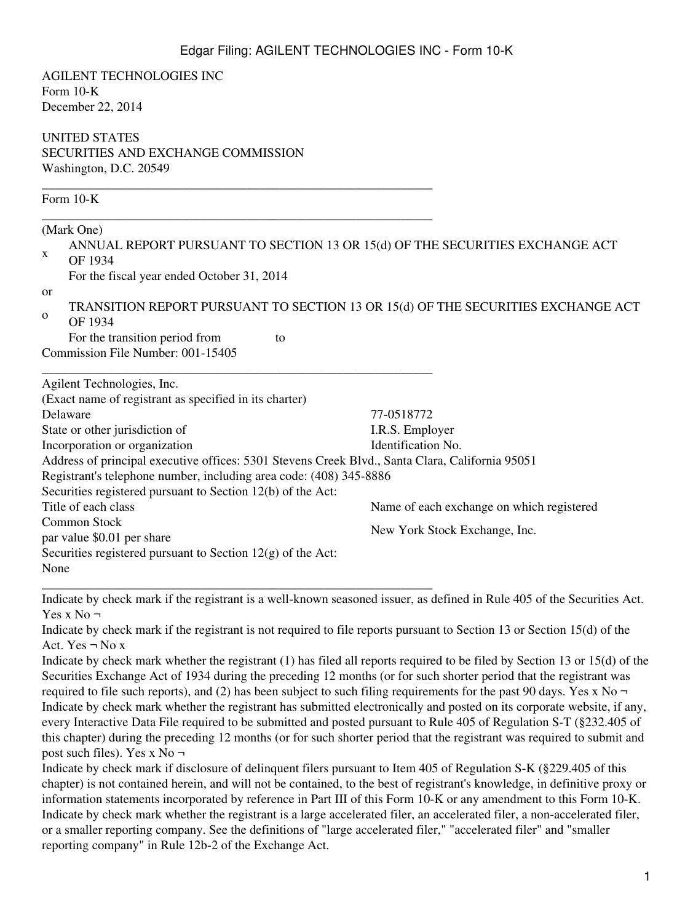AGILENT TECHNOLOGIES INC Form 10-K December 22, 2014

## UNITED STATES SECURITIES AND EXCHANGE COMMISSION Washington, D.C. 20549

|                                | Form 10-K                                                                                       |                                           |
|--------------------------------|-------------------------------------------------------------------------------------------------|-------------------------------------------|
|                                | (Mark One)                                                                                      |                                           |
| X                              | ANNUAL REPORT PURSUANT TO SECTION 13 OR 15(d) OF THE SECURITIES EXCHANGE ACT<br>OF 1934         |                                           |
|                                | For the fiscal year ended October 31, 2014                                                      |                                           |
| <b>or</b>                      |                                                                                                 |                                           |
| $\mathbf{O}$                   | TRANSITION REPORT PURSUANT TO SECTION 13 OR 15(d) OF THE SECURITIES EXCHANGE ACT<br>OF 1934     |                                           |
|                                | For the transition period from<br>to                                                            |                                           |
|                                | Commission File Number: 001-15405                                                               |                                           |
|                                |                                                                                                 |                                           |
|                                | Agilent Technologies, Inc.                                                                      |                                           |
|                                | (Exact name of registrant as specified in its charter)                                          |                                           |
|                                | Delaware                                                                                        | 77-0518772                                |
| State or other jurisdiction of |                                                                                                 | I.R.S. Employer                           |
| Incorporation or organization  |                                                                                                 | Identification No.                        |
|                                | Address of principal executive offices: 5301 Stevens Creek Blvd., Santa Clara, California 95051 |                                           |
|                                | Registrant's telephone number, including area code: (408) 345-8886                              |                                           |
|                                | Securities registered pursuant to Section 12(b) of the Act:                                     |                                           |
|                                | Title of each class                                                                             | Name of each exchange on which registered |
|                                | <b>Common Stock</b>                                                                             |                                           |
|                                | par value \$0.01 per share                                                                      | New York Stock Exchange, Inc.             |
|                                | Securities registered pursuant to Section $12(g)$ of the Act:                                   |                                           |
| None                           |                                                                                                 |                                           |

Indicate by check mark if the registrant is a well-known seasoned issuer, as defined in Rule 405 of the Securities Act. Yes x No $\neg$ 

\_\_\_\_\_\_\_\_\_\_\_\_\_\_\_\_\_\_\_\_\_\_\_\_\_\_\_\_\_\_\_\_\_\_\_\_\_\_\_\_\_\_\_\_\_\_\_\_\_\_\_\_\_\_\_\_\_\_\_\_\_

Indicate by check mark if the registrant is not required to file reports pursuant to Section 13 or Section 15(d) of the Act. Yes  $\neg$  No x

Indicate by check mark whether the registrant (1) has filed all reports required to be filed by Section 13 or 15(d) of the Securities Exchange Act of 1934 during the preceding 12 months (or for such shorter period that the registrant was required to file such reports), and (2) has been subject to such filing requirements for the past 90 days. Yes x No  $\neg$ Indicate by check mark whether the registrant has submitted electronically and posted on its corporate website, if any, every Interactive Data File required to be submitted and posted pursuant to Rule 405 of Regulation S-T (§232.405 of this chapter) during the preceding 12 months (or for such shorter period that the registrant was required to submit and post such files). Yes x No ¬

Indicate by check mark if disclosure of delinquent filers pursuant to Item 405 of Regulation S-K (§229.405 of this chapter) is not contained herein, and will not be contained, to the best of registrant's knowledge, in definitive proxy or information statements incorporated by reference in Part III of this Form 10-K or any amendment to this Form 10-K. Indicate by check mark whether the registrant is a large accelerated filer, an accelerated filer, a non-accelerated filer, or a smaller reporting company. See the definitions of "large accelerated filer," "accelerated filer" and "smaller reporting company" in Rule 12b-2 of the Exchange Act.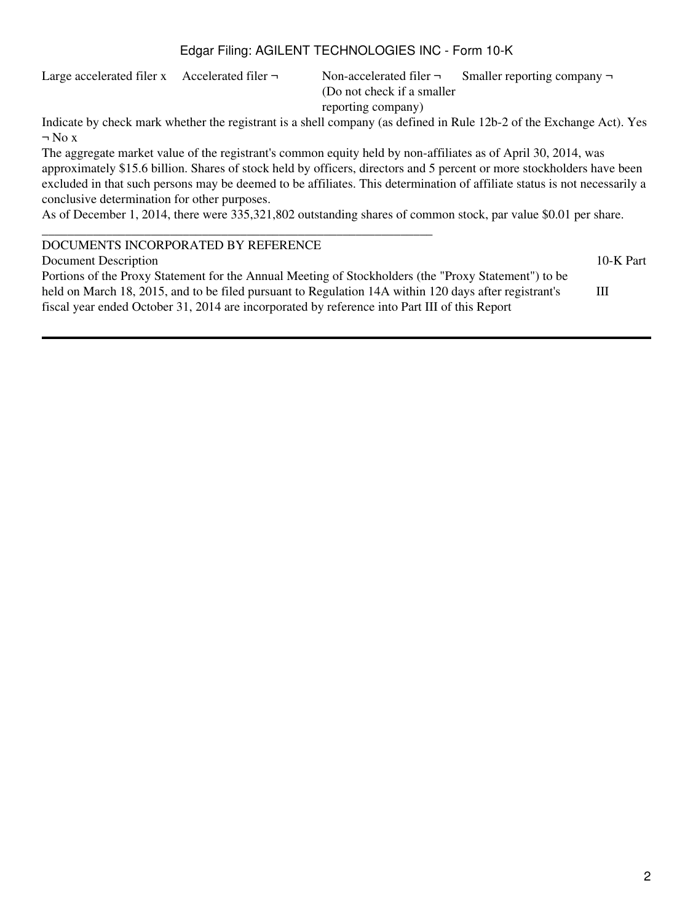Large accelerated filer x Accelerated filer ¬ Non-accelerated filer ¬ Smaller reporting company ¬ (Do not check if a smaller reporting company)

Indicate by check mark whether the registrant is a shell company (as defined in Rule 12b-2 of the Exchange Act). Yes  $\neg$  No x

The aggregate market value of the registrant's common equity held by non-affiliates as of April 30, 2014, was approximately \$15.6 billion. Shares of stock held by officers, directors and 5 percent or more stockholders have been excluded in that such persons may be deemed to be affiliates. This determination of affiliate status is not necessarily a conclusive determination for other purposes.

As of December 1, 2014, there were 335,321,802 outstanding shares of common stock, par value \$0.01 per share.

DOCUMENTS INCORPORATED BY REFERENCE

\_\_\_\_\_\_\_\_\_\_\_\_\_\_\_\_\_\_\_\_\_\_\_\_\_\_\_\_\_\_\_\_\_\_\_\_\_\_\_\_\_\_\_\_\_\_\_\_\_\_\_\_\_\_\_\_\_\_\_\_\_

Document Description 10-K Part

Portions of the Proxy Statement for the Annual Meeting of Stockholders (the "Proxy Statement") to be held on March 18, 2015, and to be filed pursuant to Regulation 14A within 120 days after registrant's fiscal year ended October 31, 2014 are incorporated by reference into Part III of this Report

III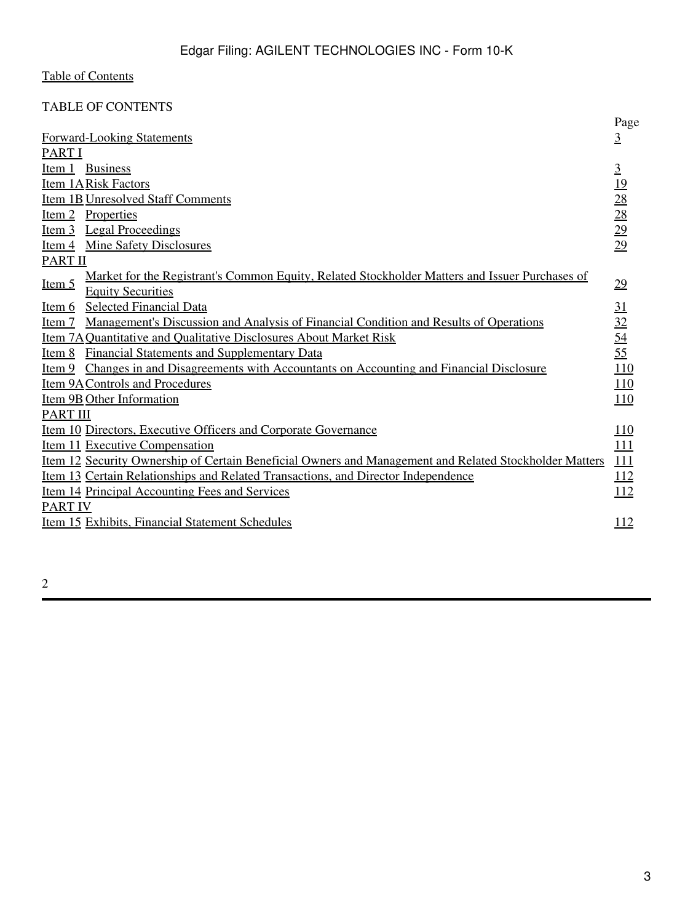<span id="page-2-0"></span>

| Table of Contents |  |
|-------------------|--|
|-------------------|--|

# TABLE OF CONTENTS

| <b>Forward-Looking Statements</b>                                         |                                                                                                        | Page                               |  |  |
|---------------------------------------------------------------------------|--------------------------------------------------------------------------------------------------------|------------------------------------|--|--|
| PART I                                                                    |                                                                                                        | $\overline{3}$                     |  |  |
| <b>Business</b><br>Item 1                                                 |                                                                                                        | $\overline{3}$                     |  |  |
| <b>Item 1ARisk Factors</b>                                                |                                                                                                        | <u>19</u>                          |  |  |
| <b>Item 1B Unresolved Staff Comments</b>                                  |                                                                                                        | 28                                 |  |  |
| Item 2 Properties                                                         |                                                                                                        | 28                                 |  |  |
| <u>Item 3 Legal Proceedings</u>                                           |                                                                                                        | 29                                 |  |  |
| <u>Item 4 Mine Safety Disclosures</u>                                     |                                                                                                        | 29                                 |  |  |
| <b>PART II</b>                                                            |                                                                                                        |                                    |  |  |
| Item 5                                                                    | Market for the Registrant's Common Equity, Related Stockholder Matters and Issuer Purchases of         | 29                                 |  |  |
| <b>Equity Securities</b>                                                  |                                                                                                        |                                    |  |  |
| <b>Selected Financial Data</b><br>Item $6$                                |                                                                                                        | 31                                 |  |  |
| Item $7$                                                                  | <u>Management's Discussion and Analysis of Financial Condition and Results of Operations</u>           | $\frac{32}{54}$<br>$\frac{54}{55}$ |  |  |
| <b>Item 7A Quantitative and Qualitative Disclosures About Market Risk</b> |                                                                                                        |                                    |  |  |
| <b>Item 8</b> Financial Statements and Supplementary Data                 |                                                                                                        |                                    |  |  |
| <u>Item 9</u>                                                             | <u>Changes in and Disagreements with Accountants on Accounting and Financial Disclosure</u>            | 110                                |  |  |
| <b>Item 9A Controls and Procedures</b><br>110                             |                                                                                                        |                                    |  |  |
| <b>Item 9B Other Information</b><br>110                                   |                                                                                                        |                                    |  |  |
| <b>PART III</b>                                                           |                                                                                                        |                                    |  |  |
| <u>Item 10 Directors, Executive Officers and Corporate Governance</u>     |                                                                                                        | <u>110</u>                         |  |  |
| <b>Item 11 Executive Compensation</b>                                     |                                                                                                        | 111                                |  |  |
|                                                                           | Item 12 Security Ownership of Certain Beneficial Owners and Management and Related Stockholder Matters | 111                                |  |  |
|                                                                           | <u>Item 13 Certain Relationships and Related Transactions, and Director Independence</u>               | 112                                |  |  |
| <u>Item 14 Principal Accounting Fees and Services</u>                     |                                                                                                        | <b>112</b>                         |  |  |
| <b>PART IV</b>                                                            |                                                                                                        |                                    |  |  |
| Item 15 Exhibits, Financial Statement Schedules<br><u>112</u>             |                                                                                                        |                                    |  |  |
|                                                                           |                                                                                                        |                                    |  |  |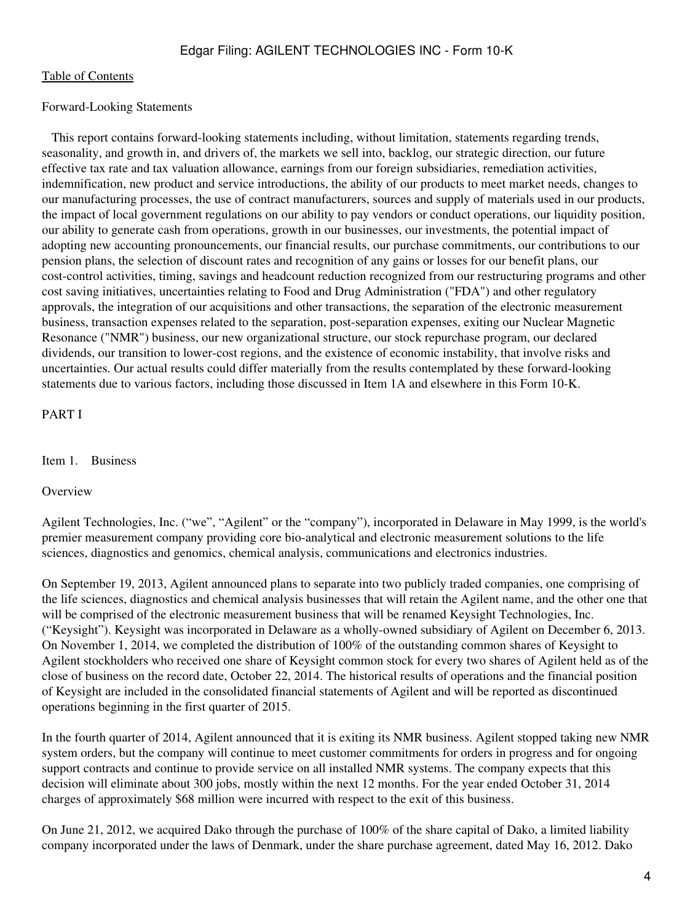### <span id="page-3-0"></span>Forward-Looking Statements

 This report contains forward-looking statements including, without limitation, statements regarding trends, seasonality, and growth in, and drivers of, the markets we sell into, backlog, our strategic direction, our future effective tax rate and tax valuation allowance, earnings from our foreign subsidiaries, remediation activities, indemnification, new product and service introductions, the ability of our products to meet market needs, changes to our manufacturing processes, the use of contract manufacturers, sources and supply of materials used in our products, the impact of local government regulations on our ability to pay vendors or conduct operations, our liquidity position, our ability to generate cash from operations, growth in our businesses, our investments, the potential impact of adopting new accounting pronouncements, our financial results, our purchase commitments, our contributions to our pension plans, the selection of discount rates and recognition of any gains or losses for our benefit plans, our cost-control activities, timing, savings and headcount reduction recognized from our restructuring programs and other cost saving initiatives, uncertainties relating to Food and Drug Administration ("FDA") and other regulatory approvals, the integration of our acquisitions and other transactions, the separation of the electronic measurement business, transaction expenses related to the separation, post-separation expenses, exiting our Nuclear Magnetic Resonance ("NMR") business, our new organizational structure, our stock repurchase program, our declared dividends, our transition to lower-cost regions, and the existence of economic instability, that involve risks and uncertainties. Our actual results could differ materially from the results contemplated by these forward-looking statements due to various factors, including those discussed in Item 1A and elsewhere in this Form 10-K.

### <span id="page-3-1"></span>PART I

#### <span id="page-3-2"></span>Item 1. Business

### **Overview**

Agilent Technologies, Inc. ("we", "Agilent" or the "company"), incorporated in Delaware in May 1999, is the world's premier measurement company providing core bio-analytical and electronic measurement solutions to the life sciences, diagnostics and genomics, chemical analysis, communications and electronics industries.

On September 19, 2013, Agilent announced plans to separate into two publicly traded companies, one comprising of the life sciences, diagnostics and chemical analysis businesses that will retain the Agilent name, and the other one that will be comprised of the electronic measurement business that will be renamed Keysight Technologies, Inc. ("Keysight"). Keysight was incorporated in Delaware as a wholly-owned subsidiary of Agilent on December 6, 2013. On November 1, 2014, we completed the distribution of 100% of the outstanding common shares of Keysight to Agilent stockholders who received one share of Keysight common stock for every two shares of Agilent held as of the close of business on the record date, October 22, 2014. The historical results of operations and the financial position of Keysight are included in the consolidated financial statements of Agilent and will be reported as discontinued operations beginning in the first quarter of 2015.

In the fourth quarter of 2014, Agilent announced that it is exiting its NMR business. Agilent stopped taking new NMR system orders, but the company will continue to meet customer commitments for orders in progress and for ongoing support contracts and continue to provide service on all installed NMR systems. The company expects that this decision will eliminate about 300 jobs, mostly within the next 12 months. For the year ended October 31, 2014 charges of approximately \$68 million were incurred with respect to the exit of this business.

On June 21, 2012, we acquired Dako through the purchase of 100% of the share capital of Dako, a limited liability company incorporated under the laws of Denmark, under the share purchase agreement, dated May 16, 2012. Dako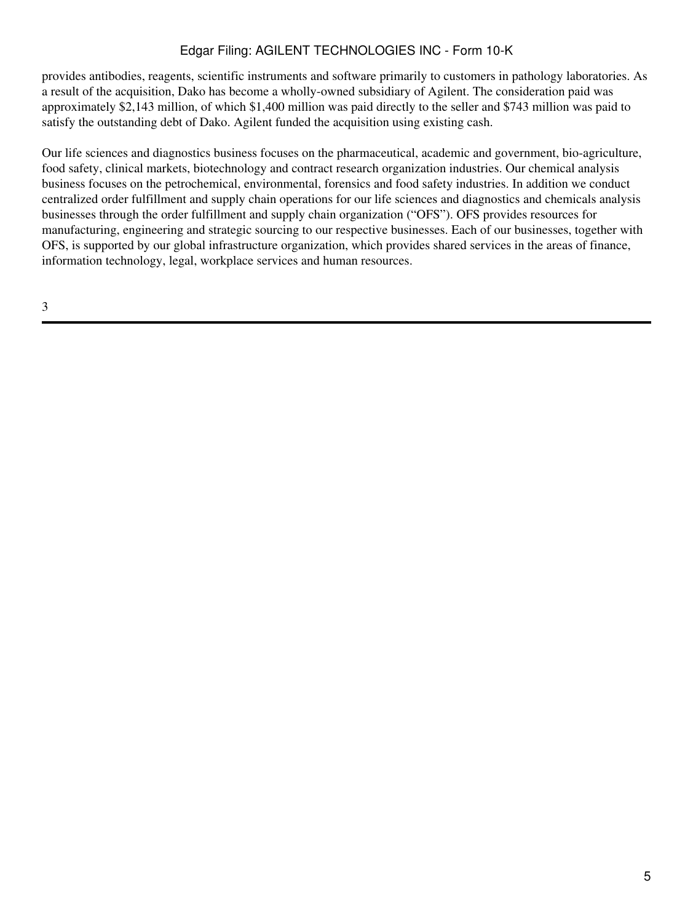provides antibodies, reagents, scientific instruments and software primarily to customers in pathology laboratories. As a result of the acquisition, Dako has become a wholly-owned subsidiary of Agilent. The consideration paid was approximately \$2,143 million, of which \$1,400 million was paid directly to the seller and \$743 million was paid to satisfy the outstanding debt of Dako. Agilent funded the acquisition using existing cash.

Our life sciences and diagnostics business focuses on the pharmaceutical, academic and government, bio-agriculture, food safety, clinical markets, biotechnology and contract research organization industries. Our chemical analysis business focuses on the petrochemical, environmental, forensics and food safety industries. In addition we conduct centralized order fulfillment and supply chain operations for our life sciences and diagnostics and chemicals analysis businesses through the order fulfillment and supply chain organization ("OFS"). OFS provides resources for manufacturing, engineering and strategic sourcing to our respective businesses. Each of our businesses, together with OFS, is supported by our global infrastructure organization, which provides shared services in the areas of finance, information technology, legal, workplace services and human resources.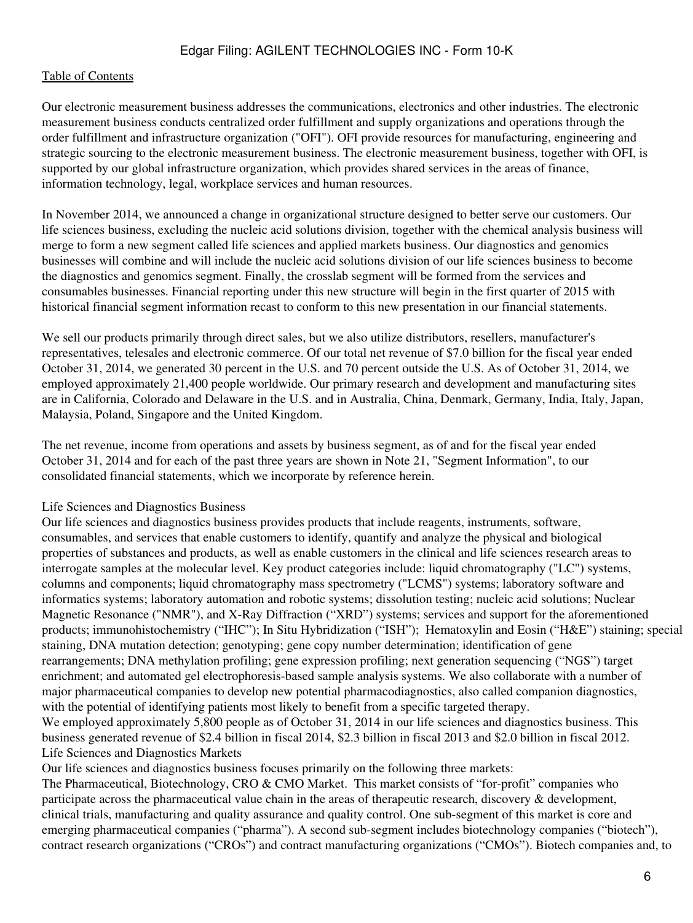### [Table of Contents](#page-2-0)

Our electronic measurement business addresses the communications, electronics and other industries. The electronic measurement business conducts centralized order fulfillment and supply organizations and operations through the order fulfillment and infrastructure organization ("OFI"). OFI provide resources for manufacturing, engineering and strategic sourcing to the electronic measurement business. The electronic measurement business, together with OFI, is supported by our global infrastructure organization, which provides shared services in the areas of finance, information technology, legal, workplace services and human resources.

In November 2014, we announced a change in organizational structure designed to better serve our customers. Our life sciences business, excluding the nucleic acid solutions division, together with the chemical analysis business will merge to form a new segment called life sciences and applied markets business. Our diagnostics and genomics businesses will combine and will include the nucleic acid solutions division of our life sciences business to become the diagnostics and genomics segment. Finally, the crosslab segment will be formed from the services and consumables businesses. Financial reporting under this new structure will begin in the first quarter of 2015 with historical financial segment information recast to conform to this new presentation in our financial statements.

We sell our products primarily through direct sales, but we also utilize distributors, resellers, manufacturer's representatives, telesales and electronic commerce. Of our total net revenue of \$7.0 billion for the fiscal year ended October 31, 2014, we generated 30 percent in the U.S. and 70 percent outside the U.S. As of October 31, 2014, we employed approximately 21,400 people worldwide. Our primary research and development and manufacturing sites are in California, Colorado and Delaware in the U.S. and in Australia, China, Denmark, Germany, India, Italy, Japan, Malaysia, Poland, Singapore and the United Kingdom.

The net revenue, income from operations and assets by business segment, as of and for the fiscal year ended October 31, 2014 and for each of the past three years are shown in Note 21, "Segment Information", to our consolidated financial statements, which we incorporate by reference herein.

### Life Sciences and Diagnostics Business

Our life sciences and diagnostics business provides products that include reagents, instruments, software, consumables, and services that enable customers to identify, quantify and analyze the physical and biological properties of substances and products, as well as enable customers in the clinical and life sciences research areas to interrogate samples at the molecular level. Key product categories include: liquid chromatography ("LC") systems, columns and components; liquid chromatography mass spectrometry ("LCMS") systems; laboratory software and informatics systems; laboratory automation and robotic systems; dissolution testing; nucleic acid solutions; Nuclear Magnetic Resonance ("NMR"), and X-Ray Diffraction ("XRD") systems; services and support for the aforementioned products; immunohistochemistry ("IHC"); In Situ Hybridization ("ISH"); Hematoxylin and Eosin ("H&E") staining; special staining, DNA mutation detection; genotyping; gene copy number determination; identification of gene rearrangements; DNA methylation profiling; gene expression profiling; next generation sequencing ("NGS") target enrichment; and automated gel electrophoresis-based sample analysis systems. We also collaborate with a number of major pharmaceutical companies to develop new potential pharmacodiagnostics, also called companion diagnostics, with the potential of identifying patients most likely to benefit from a specific targeted therapy.

We employed approximately 5,800 people as of October 31, 2014 in our life sciences and diagnostics business. This business generated revenue of \$2.4 billion in fiscal 2014, \$2.3 billion in fiscal 2013 and \$2.0 billion in fiscal 2012. Life Sciences and Diagnostics Markets

Our life sciences and diagnostics business focuses primarily on the following three markets:

The Pharmaceutical, Biotechnology, CRO & CMO Market. This market consists of "for-profit" companies who participate across the pharmaceutical value chain in the areas of therapeutic research, discovery & development, clinical trials, manufacturing and quality assurance and quality control. One sub-segment of this market is core and emerging pharmaceutical companies ("pharma"). A second sub-segment includes biotechnology companies ("biotech"), contract research organizations ("CROs") and contract manufacturing organizations ("CMOs"). Biotech companies and, to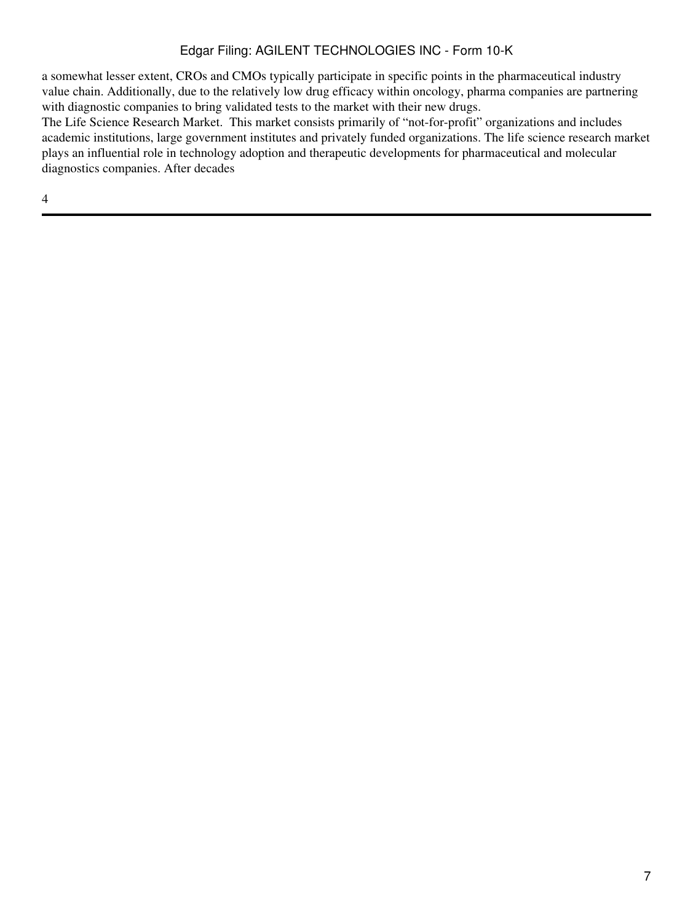a somewhat lesser extent, CROs and CMOs typically participate in specific points in the pharmaceutical industry value chain. Additionally, due to the relatively low drug efficacy within oncology, pharma companies are partnering with diagnostic companies to bring validated tests to the market with their new drugs.

The Life Science Research Market. This market consists primarily of "not-for-profit" organizations and includes academic institutions, large government institutes and privately funded organizations. The life science research market plays an influential role in technology adoption and therapeutic developments for pharmaceutical and molecular diagnostics companies. After decades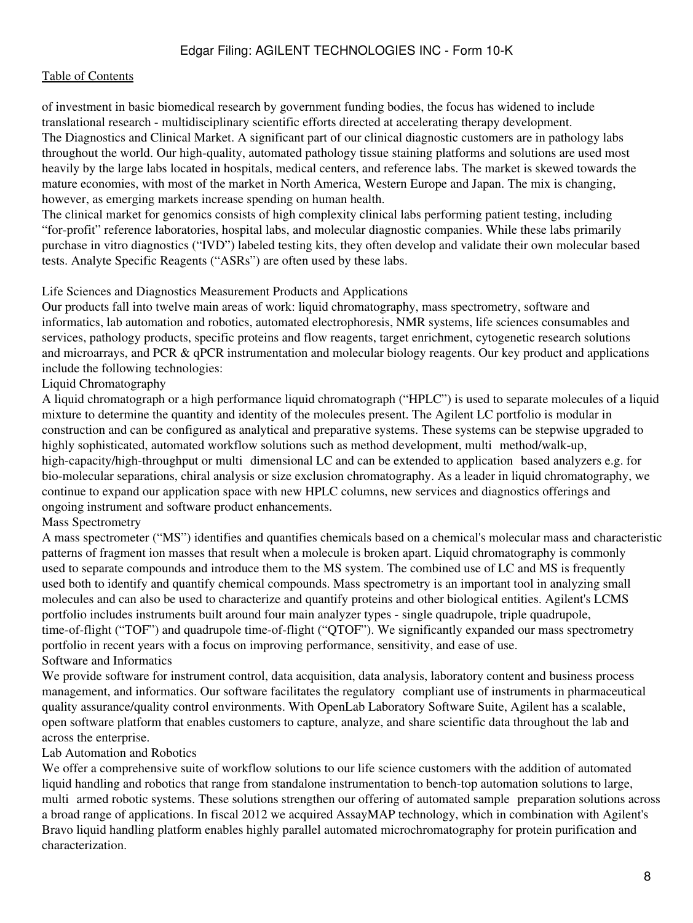### [Table of Contents](#page-2-0)

of investment in basic biomedical research by government funding bodies, the focus has widened to include translational research - multidisciplinary scientific efforts directed at accelerating therapy development. The Diagnostics and Clinical Market. A significant part of our clinical diagnostic customers are in pathology labs throughout the world. Our high-quality, automated pathology tissue staining platforms and solutions are used most heavily by the large labs located in hospitals, medical centers, and reference labs. The market is skewed towards the mature economies, with most of the market in North America, Western Europe and Japan. The mix is changing, however, as emerging markets increase spending on human health.

The clinical market for genomics consists of high complexity clinical labs performing patient testing, including "for-profit" reference laboratories, hospital labs, and molecular diagnostic companies. While these labs primarily purchase in vitro diagnostics ("IVD") labeled testing kits, they often develop and validate their own molecular based tests. Analyte Specific Reagents ("ASRs") are often used by these labs.

### Life Sciences and Diagnostics Measurement Products and Applications

Our products fall into twelve main areas of work: liquid chromatography, mass spectrometry, software and informatics, lab automation and robotics, automated electrophoresis, NMR systems, life sciences consumables and services, pathology products, specific proteins and flow reagents, target enrichment, cytogenetic research solutions and microarrays, and PCR & qPCR instrumentation and molecular biology reagents. Our key product and applications include the following technologies:

## Liquid Chromatography

A liquid chromatograph or a high performance liquid chromatograph ("HPLC") is used to separate molecules of a liquid mixture to determine the quantity and identity of the molecules present. The Agilent LC portfolio is modular in construction and can be configured as analytical and preparative systems. These systems can be stepwise upgraded to highly sophisticated, automated workflow solutions such as method development, multivethod/walk-up, high-capacity/high-throughput or multi dimensional LC and can be extended to application based analyzers e.g. for bio-molecular separations, chiral analysis or size exclusion chromatography. As a leader in liquid chromatography, we continue to expand our application space with new HPLC columns, new services and diagnostics offerings and ongoing instrument and software product enhancements.

### Mass Spectrometry

A mass spectrometer ("MS") identifies and quantifies chemicals based on a chemical's molecular mass and characteristic patterns of fragment ion masses that result when a molecule is broken apart. Liquid chromatography is commonly used to separate compounds and introduce them to the MS system. The combined use of LC and MS is frequently used both to identify and quantify chemical compounds. Mass spectrometry is an important tool in analyzing small molecules and can also be used to characterize and quantify proteins and other biological entities. Agilent's LCMS portfolio includes instruments built around four main analyzer types - single quadrupole, triple quadrupole, time-of-flight ("TOF") and quadrupole time-of-flight ("QTOF"). We significantly expanded our mass spectrometry portfolio in recent years with a focus on improving performance, sensitivity, and ease of use. Software and Informatics

We provide software for instrument control, data acquisition, data analysis, laboratory content and business process management, and informatics. Our software facilitates the regulatory‑compliant use of instruments in pharmaceutical quality assurance/quality control environments. With OpenLab Laboratory Software Suite, Agilent has a scalable, open software platform that enables customers to capture, analyze, and share scientific data throughout the lab and across the enterprise.

### Lab Automation and Robotics

We offer a comprehensive suite of workflow solutions to our life science customers with the addition of automated liquid handling and robotics that range from standalone instrumentation to bench-top automation solutions to large, multi–armed robotic systems. These solutions strengthen our offering of automated sample–preparation solutions across a broad range of applications. In fiscal 2012 we acquired AssayMAP technology, which in combination with Agilent's Bravo liquid handling platform enables highly parallel automated microchromatography for protein purification and characterization.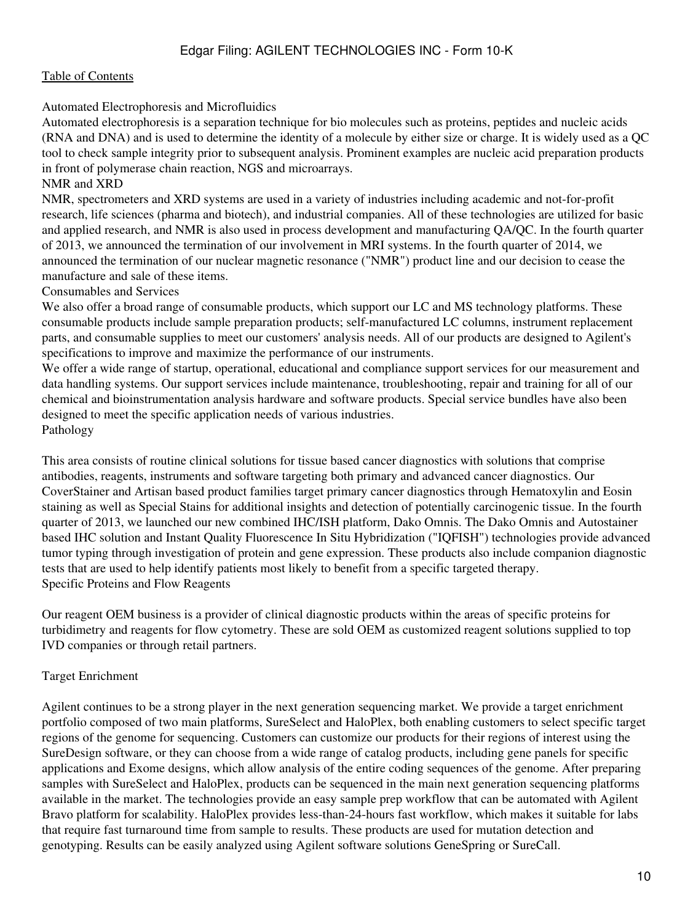Automated Electrophoresis and Microfluidics

Automated electrophoresis is a separation technique for bio molecules such as proteins, peptides and nucleic acids (RNA and DNA) and is used to determine the identity of a molecule by either size or charge. It is widely used as a QC tool to check sample integrity prior to subsequent analysis. Prominent examples are nucleic acid preparation products in front of polymerase chain reaction, NGS and microarrays.

## NMR and XRD

NMR, spectrometers and XRD systems are used in a variety of industries including academic and not-for-profit research, life sciences (pharma and biotech), and industrial companies. All of these technologies are utilized for basic and applied research, and NMR is also used in process development and manufacturing QA/QC. In the fourth quarter of 2013, we announced the termination of our involvement in MRI systems. In the fourth quarter of 2014, we announced the termination of our nuclear magnetic resonance ("NMR") product line and our decision to cease the manufacture and sale of these items.

Consumables and Services

We also offer a broad range of consumable products, which support our LC and MS technology platforms. These consumable products include sample preparation products; self-manufactured LC columns, instrument replacement parts, and consumable supplies to meet our customers' analysis needs. All of our products are designed to Agilent's specifications to improve and maximize the performance of our instruments.

We offer a wide range of startup, operational, educational and compliance support services for our measurement and data handling systems. Our support services include maintenance, troubleshooting, repair and training for all of our chemical and bioinstrumentation analysis hardware and software products. Special service bundles have also been designed to meet the specific application needs of various industries. Pathology

This area consists of routine clinical solutions for tissue based cancer diagnostics with solutions that comprise antibodies, reagents, instruments and software targeting both primary and advanced cancer diagnostics. Our CoverStainer and Artisan based product families target primary cancer diagnostics through Hematoxylin and Eosin staining as well as Special Stains for additional insights and detection of potentially carcinogenic tissue. In the fourth quarter of 2013, we launched our new combined IHC/ISH platform, Dako Omnis. The Dako Omnis and Autostainer based IHC solution and Instant Quality Fluorescence In Situ Hybridization ("IQFISH") technologies provide advanced tumor typing through investigation of protein and gene expression. These products also include companion diagnostic tests that are used to help identify patients most likely to benefit from a specific targeted therapy. Specific Proteins and Flow Reagents

Our reagent OEM business is a provider of clinical diagnostic products within the areas of specific proteins for turbidimetry and reagents for flow cytometry. These are sold OEM as customized reagent solutions supplied to top IVD companies or through retail partners.

## Target Enrichment

Agilent continues to be a strong player in the next generation sequencing market. We provide a target enrichment portfolio composed of two main platforms, SureSelect and HaloPlex, both enabling customers to select specific target regions of the genome for sequencing. Customers can customize our products for their regions of interest using the SureDesign software, or they can choose from a wide range of catalog products, including gene panels for specific applications and Exome designs, which allow analysis of the entire coding sequences of the genome. After preparing samples with SureSelect and HaloPlex, products can be sequenced in the main next generation sequencing platforms available in the market. The technologies provide an easy sample prep workflow that can be automated with Agilent Bravo platform for scalability. HaloPlex provides less-than-24-hours fast workflow, which makes it suitable for labs that require fast turnaround time from sample to results. These products are used for mutation detection and genotyping. Results can be easily analyzed using Agilent software solutions GeneSpring or SureCall.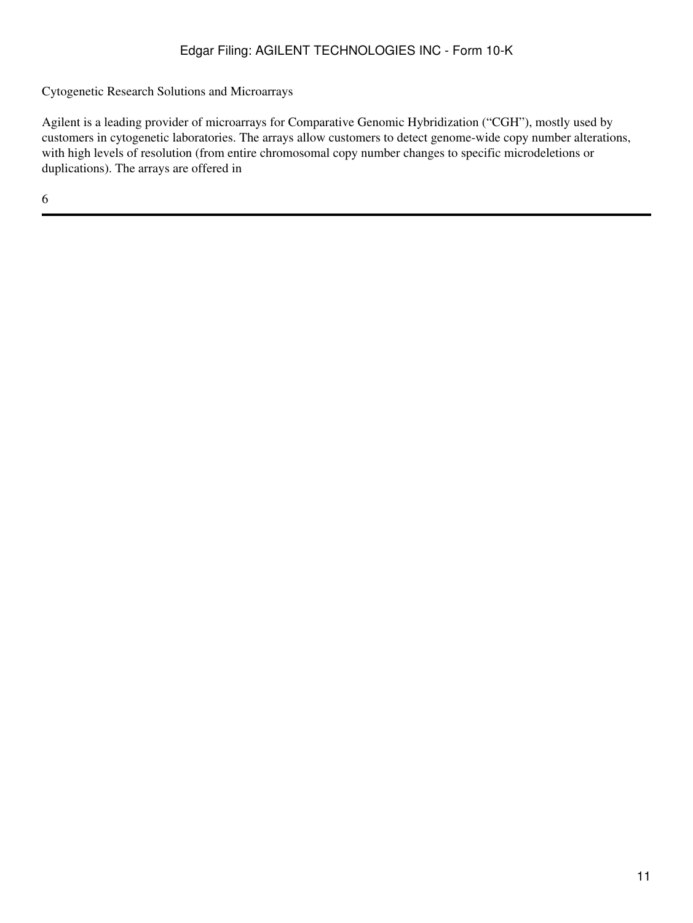Cytogenetic Research Solutions and Microarrays

Agilent is a leading provider of microarrays for Comparative Genomic Hybridization ("CGH"), mostly used by customers in cytogenetic laboratories. The arrays allow customers to detect genome-wide copy number alterations, with high levels of resolution (from entire chromosomal copy number changes to specific microdeletions or duplications). The arrays are offered in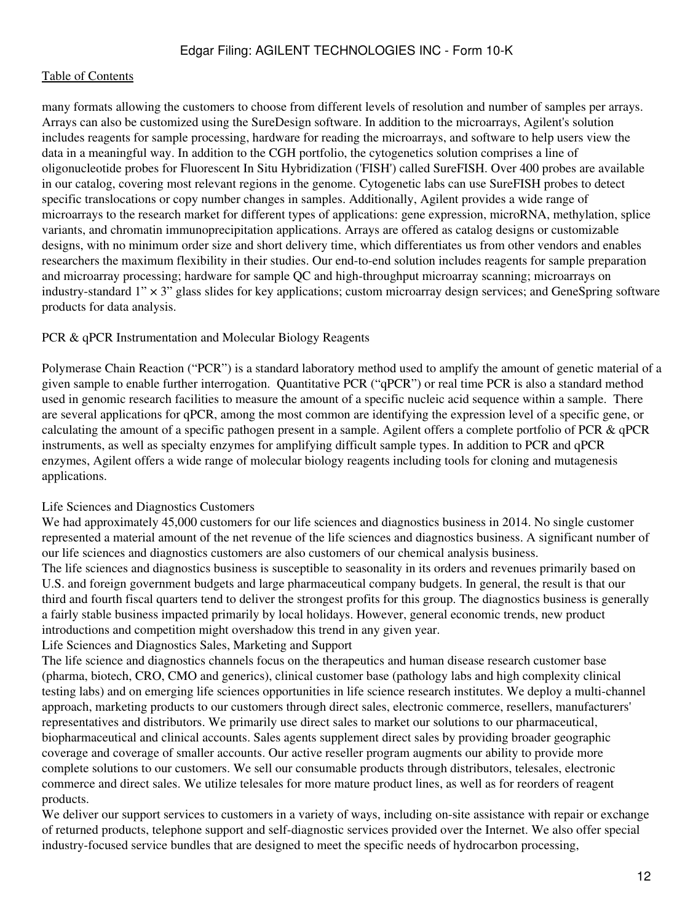many formats allowing the customers to choose from different levels of resolution and number of samples per arrays. Arrays can also be customized using the SureDesign software. In addition to the microarrays, Agilent's solution includes reagents for sample processing, hardware for reading the microarrays, and software to help users view the data in a meaningful way. In addition to the CGH portfolio, the cytogenetics solution comprises a line of oligonucleotide probes for Fluorescent In Situ Hybridization ('FISH') called SureFISH. Over 400 probes are available in our catalog, covering most relevant regions in the genome. Cytogenetic labs can use SureFISH probes to detect specific translocations or copy number changes in samples. Additionally, Agilent provides a wide range of microarrays to the research market for different types of applications: gene expression, microRNA, methylation, splice variants, and chromatin immunoprecipitation applications. Arrays are offered as catalog designs or customizable designs, with no minimum order size and short delivery time, which differentiates us from other vendors and enables researchers the maximum flexibility in their studies. Our end-to-end solution includes reagents for sample preparation and microarray processing; hardware for sample QC and high-throughput microarray scanning; microarrays on industry-standard  $1'' \times 3''$  glass slides for key applications; custom microarray design services; and GeneSpring software products for data analysis.

PCR & qPCR Instrumentation and Molecular Biology Reagents

Polymerase Chain Reaction ("PCR") is a standard laboratory method used to amplify the amount of genetic material of a given sample to enable further interrogation. Quantitative PCR ("qPCR") or real time PCR is also a standard method used in genomic research facilities to measure the amount of a specific nucleic acid sequence within a sample. There are several applications for qPCR, among the most common are identifying the expression level of a specific gene, or calculating the amount of a specific pathogen present in a sample. Agilent offers a complete portfolio of PCR & qPCR instruments, as well as specialty enzymes for amplifying difficult sample types. In addition to PCR and qPCR enzymes, Agilent offers a wide range of molecular biology reagents including tools for cloning and mutagenesis applications.

## Life Sciences and Diagnostics Customers

We had approximately 45,000 customers for our life sciences and diagnostics business in 2014. No single customer represented a material amount of the net revenue of the life sciences and diagnostics business. A significant number of our life sciences and diagnostics customers are also customers of our chemical analysis business. The life sciences and diagnostics business is susceptible to seasonality in its orders and revenues primarily based on U.S. and foreign government budgets and large pharmaceutical company budgets. In general, the result is that our third and fourth fiscal quarters tend to deliver the strongest profits for this group. The diagnostics business is generally a fairly stable business impacted primarily by local holidays. However, general economic trends, new product introductions and competition might overshadow this trend in any given year.

Life Sciences and Diagnostics Sales, Marketing and Support

The life science and diagnostics channels focus on the therapeutics and human disease research customer base (pharma, biotech, CRO, CMO and generics), clinical customer base (pathology labs and high complexity clinical testing labs) and on emerging life sciences opportunities in life science research institutes. We deploy a multi-channel approach, marketing products to our customers through direct sales, electronic commerce, resellers, manufacturers' representatives and distributors. We primarily use direct sales to market our solutions to our pharmaceutical, biopharmaceutical and clinical accounts. Sales agents supplement direct sales by providing broader geographic coverage and coverage of smaller accounts. Our active reseller program augments our ability to provide more complete solutions to our customers. We sell our consumable products through distributors, telesales, electronic commerce and direct sales. We utilize telesales for more mature product lines, as well as for reorders of reagent products.

We deliver our support services to customers in a variety of ways, including on-site assistance with repair or exchange of returned products, telephone support and self-diagnostic services provided over the Internet. We also offer special industry-focused service bundles that are designed to meet the specific needs of hydrocarbon processing,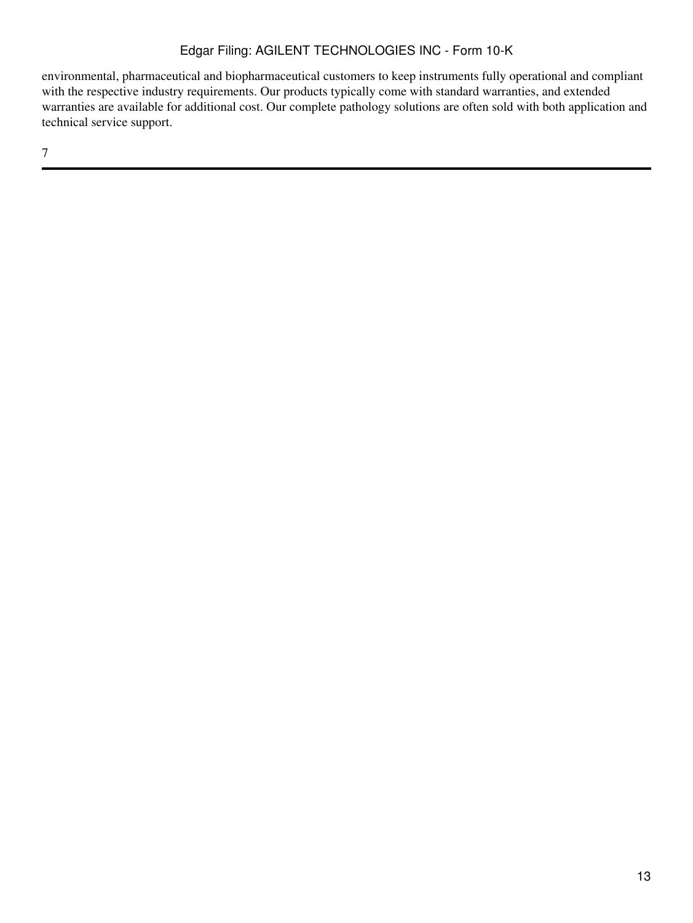environmental, pharmaceutical and biopharmaceutical customers to keep instruments fully operational and compliant with the respective industry requirements. Our products typically come with standard warranties, and extended warranties are available for additional cost. Our complete pathology solutions are often sold with both application and technical service support.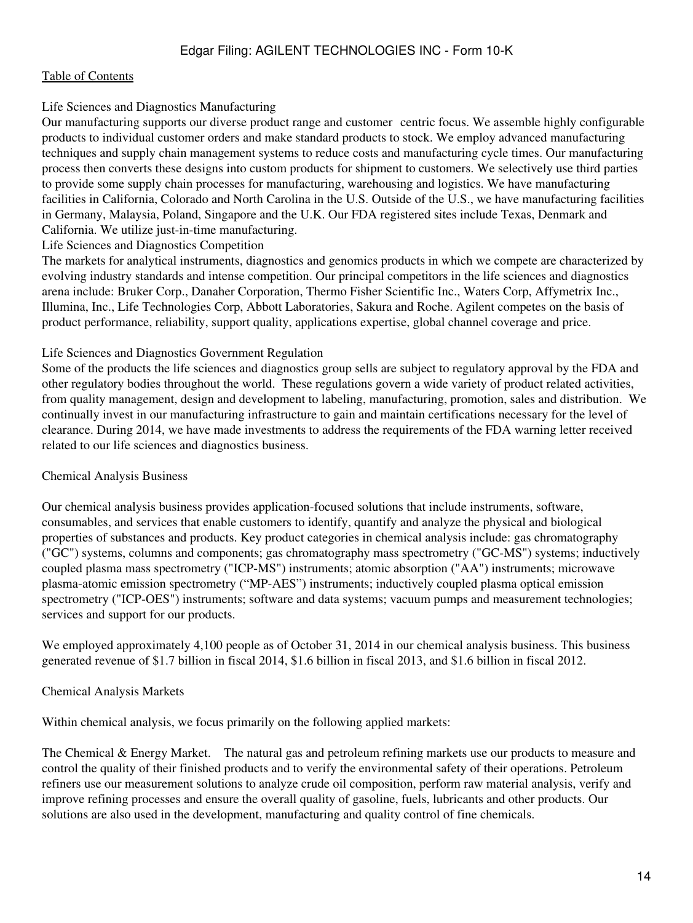### Life Sciences and Diagnostics Manufacturing

Our manufacturing supports our diverse product range and customer centric focus. We assemble highly configurable products to individual customer orders and make standard products to stock. We employ advanced manufacturing techniques and supply chain management systems to reduce costs and manufacturing cycle times. Our manufacturing process then converts these designs into custom products for shipment to customers. We selectively use third parties to provide some supply chain processes for manufacturing, warehousing and logistics. We have manufacturing facilities in California, Colorado and North Carolina in the U.S. Outside of the U.S., we have manufacturing facilities in Germany, Malaysia, Poland, Singapore and the U.K. Our FDA registered sites include Texas, Denmark and California. We utilize just-in-time manufacturing.

Life Sciences and Diagnostics Competition

The markets for analytical instruments, diagnostics and genomics products in which we compete are characterized by evolving industry standards and intense competition. Our principal competitors in the life sciences and diagnostics arena include: Bruker Corp., Danaher Corporation, Thermo Fisher Scientific Inc., Waters Corp, Affymetrix Inc., Illumina, Inc., Life Technologies Corp, Abbott Laboratories, Sakura and Roche. Agilent competes on the basis of product performance, reliability, support quality, applications expertise, global channel coverage and price.

### Life Sciences and Diagnostics Government Regulation

Some of the products the life sciences and diagnostics group sells are subject to regulatory approval by the FDA and other regulatory bodies throughout the world. These regulations govern a wide variety of product related activities, from quality management, design and development to labeling, manufacturing, promotion, sales and distribution. We continually invest in our manufacturing infrastructure to gain and maintain certifications necessary for the level of clearance. During 2014, we have made investments to address the requirements of the FDA warning letter received related to our life sciences and diagnostics business.

### Chemical Analysis Business

Our chemical analysis business provides application-focused solutions that include instruments, software, consumables, and services that enable customers to identify, quantify and analyze the physical and biological properties of substances and products. Key product categories in chemical analysis include: gas chromatography ("GC") systems, columns and components; gas chromatography mass spectrometry ("GC-MS") systems; inductively coupled plasma mass spectrometry ("ICP-MS") instruments; atomic absorption ("AA") instruments; microwave plasma-atomic emission spectrometry ("MP-AES") instruments; inductively coupled plasma optical emission spectrometry ("ICP-OES") instruments; software and data systems; vacuum pumps and measurement technologies; services and support for our products.

We employed approximately 4,100 people as of October 31, 2014 in our chemical analysis business. This business generated revenue of \$1.7 billion in fiscal 2014, \$1.6 billion in fiscal 2013, and \$1.6 billion in fiscal 2012.

### Chemical Analysis Markets

Within chemical analysis, we focus primarily on the following applied markets:

The Chemical & Energy Market. The natural gas and petroleum refining markets use our products to measure and control the quality of their finished products and to verify the environmental safety of their operations. Petroleum refiners use our measurement solutions to analyze crude oil composition, perform raw material analysis, verify and improve refining processes and ensure the overall quality of gasoline, fuels, lubricants and other products. Our solutions are also used in the development, manufacturing and quality control of fine chemicals.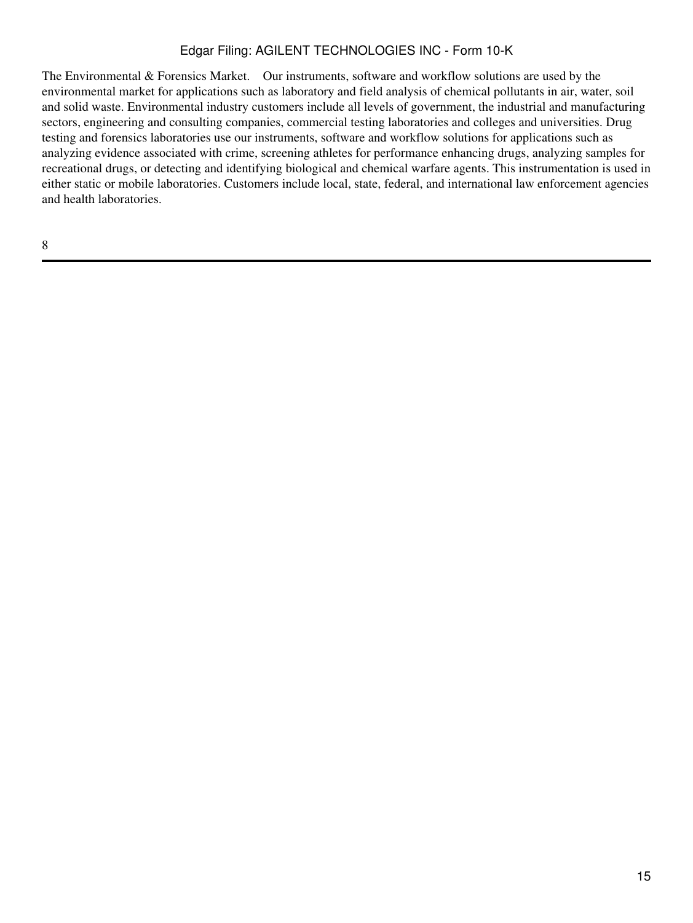The Environmental & Forensics Market. Our instruments, software and workflow solutions are used by the environmental market for applications such as laboratory and field analysis of chemical pollutants in air, water, soil and solid waste. Environmental industry customers include all levels of government, the industrial and manufacturing sectors, engineering and consulting companies, commercial testing laboratories and colleges and universities. Drug testing and forensics laboratories use our instruments, software and workflow solutions for applications such as analyzing evidence associated with crime, screening athletes for performance enhancing drugs, analyzing samples for recreational drugs, or detecting and identifying biological and chemical warfare agents. This instrumentation is used in either static or mobile laboratories. Customers include local, state, federal, and international law enforcement agencies and health laboratories.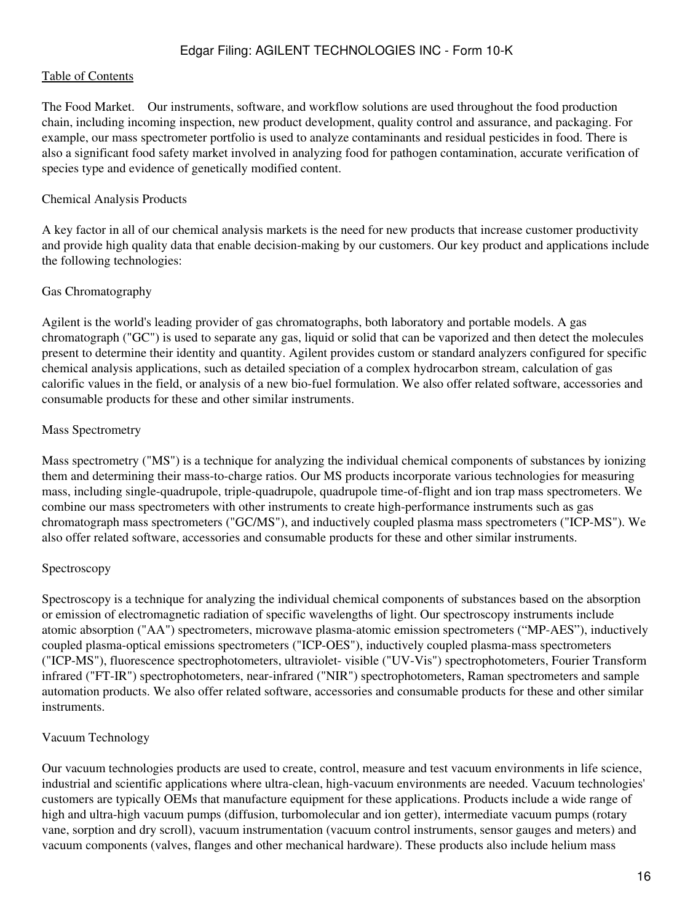### [Table of Contents](#page-2-0)

The Food Market. Our instruments, software, and workflow solutions are used throughout the food production chain, including incoming inspection, new product development, quality control and assurance, and packaging. For example, our mass spectrometer portfolio is used to analyze contaminants and residual pesticides in food. There is also a significant food safety market involved in analyzing food for pathogen contamination, accurate verification of species type and evidence of genetically modified content.

### Chemical Analysis Products

A key factor in all of our chemical analysis markets is the need for new products that increase customer productivity and provide high quality data that enable decision-making by our customers. Our key product and applications include the following technologies:

### Gas Chromatography

Agilent is the world's leading provider of gas chromatographs, both laboratory and portable models. A gas chromatograph ("GC") is used to separate any gas, liquid or solid that can be vaporized and then detect the molecules present to determine their identity and quantity. Agilent provides custom or standard analyzers configured for specific chemical analysis applications, such as detailed speciation of a complex hydrocarbon stream, calculation of gas calorific values in the field, or analysis of a new bio-fuel formulation. We also offer related software, accessories and consumable products for these and other similar instruments.

### Mass Spectrometry

Mass spectrometry ("MS") is a technique for analyzing the individual chemical components of substances by ionizing them and determining their mass-to-charge ratios. Our MS products incorporate various technologies for measuring mass, including single-quadrupole, triple-quadrupole, quadrupole time-of-flight and ion trap mass spectrometers. We combine our mass spectrometers with other instruments to create high-performance instruments such as gas chromatograph mass spectrometers ("GC/MS"), and inductively coupled plasma mass spectrometers ("ICP-MS"). We also offer related software, accessories and consumable products for these and other similar instruments.

## Spectroscopy

Spectroscopy is a technique for analyzing the individual chemical components of substances based on the absorption or emission of electromagnetic radiation of specific wavelengths of light. Our spectroscopy instruments include atomic absorption ("AA") spectrometers, microwave plasma-atomic emission spectrometers ("MP-AES"), inductively coupled plasma-optical emissions spectrometers ("ICP-OES"), inductively coupled plasma-mass spectrometers ("ICP-MS"), fluorescence spectrophotometers, ultraviolet- visible ("UV-Vis") spectrophotometers, Fourier Transform infrared ("FT-IR") spectrophotometers, near-infrared ("NIR") spectrophotometers, Raman spectrometers and sample automation products. We also offer related software, accessories and consumable products for these and other similar instruments.

## Vacuum Technology

Our vacuum technologies products are used to create, control, measure and test vacuum environments in life science, industrial and scientific applications where ultra-clean, high-vacuum environments are needed. Vacuum technologies' customers are typically OEMs that manufacture equipment for these applications. Products include a wide range of high and ultra-high vacuum pumps (diffusion, turbomolecular and ion getter), intermediate vacuum pumps (rotary vane, sorption and dry scroll), vacuum instrumentation (vacuum control instruments, sensor gauges and meters) and vacuum components (valves, flanges and other mechanical hardware). These products also include helium mass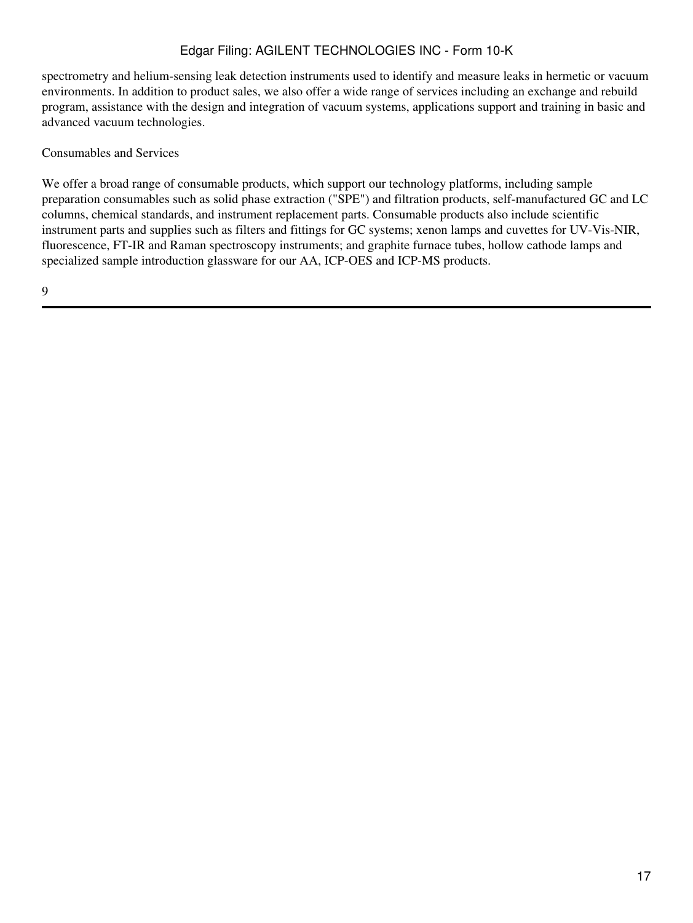spectrometry and helium-sensing leak detection instruments used to identify and measure leaks in hermetic or vacuum environments. In addition to product sales, we also offer a wide range of services including an exchange and rebuild program, assistance with the design and integration of vacuum systems, applications support and training in basic and advanced vacuum technologies.

Consumables and Services

We offer a broad range of consumable products, which support our technology platforms, including sample preparation consumables such as solid phase extraction ("SPE") and filtration products, self-manufactured GC and LC columns, chemical standards, and instrument replacement parts. Consumable products also include scientific instrument parts and supplies such as filters and fittings for GC systems; xenon lamps and cuvettes for UV-Vis-NIR, fluorescence, FT-IR and Raman spectroscopy instruments; and graphite furnace tubes, hollow cathode lamps and specialized sample introduction glassware for our AA, ICP-OES and ICP-MS products.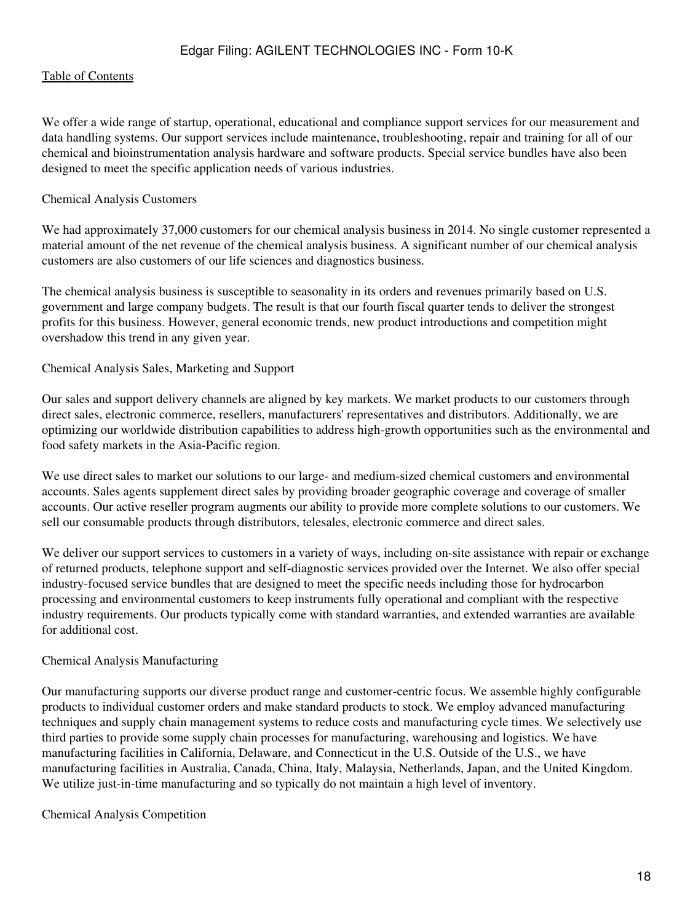We offer a wide range of startup, operational, educational and compliance support services for our measurement and data handling systems. Our support services include maintenance, troubleshooting, repair and training for all of our chemical and bioinstrumentation analysis hardware and software products. Special service bundles have also been designed to meet the specific application needs of various industries.

### Chemical Analysis Customers

We had approximately 37,000 customers for our chemical analysis business in 2014. No single customer represented a material amount of the net revenue of the chemical analysis business. A significant number of our chemical analysis customers are also customers of our life sciences and diagnostics business.

The chemical analysis business is susceptible to seasonality in its orders and revenues primarily based on U.S. government and large company budgets. The result is that our fourth fiscal quarter tends to deliver the strongest profits for this business. However, general economic trends, new product introductions and competition might overshadow this trend in any given year.

### Chemical Analysis Sales, Marketing and Support

Our sales and support delivery channels are aligned by key markets. We market products to our customers through direct sales, electronic commerce, resellers, manufacturers' representatives and distributors. Additionally, we are optimizing our worldwide distribution capabilities to address high-growth opportunities such as the environmental and food safety markets in the Asia-Pacific region.

We use direct sales to market our solutions to our large- and medium-sized chemical customers and environmental accounts. Sales agents supplement direct sales by providing broader geographic coverage and coverage of smaller accounts. Our active reseller program augments our ability to provide more complete solutions to our customers. We sell our consumable products through distributors, telesales, electronic commerce and direct sales.

We deliver our support services to customers in a variety of ways, including on-site assistance with repair or exchange of returned products, telephone support and self-diagnostic services provided over the Internet. We also offer special industry-focused service bundles that are designed to meet the specific needs including those for hydrocarbon processing and environmental customers to keep instruments fully operational and compliant with the respective industry requirements. Our products typically come with standard warranties, and extended warranties are available for additional cost.

### Chemical Analysis Manufacturing

Our manufacturing supports our diverse product range and customer-centric focus. We assemble highly configurable products to individual customer orders and make standard products to stock. We employ advanced manufacturing techniques and supply chain management systems to reduce costs and manufacturing cycle times. We selectively use third parties to provide some supply chain processes for manufacturing, warehousing and logistics. We have manufacturing facilities in California, Delaware, and Connecticut in the U.S. Outside of the U.S., we have manufacturing facilities in Australia, Canada, China, Italy, Malaysia, Netherlands, Japan, and the United Kingdom. We utilize just-in-time manufacturing and so typically do not maintain a high level of inventory.

### Chemical Analysis Competition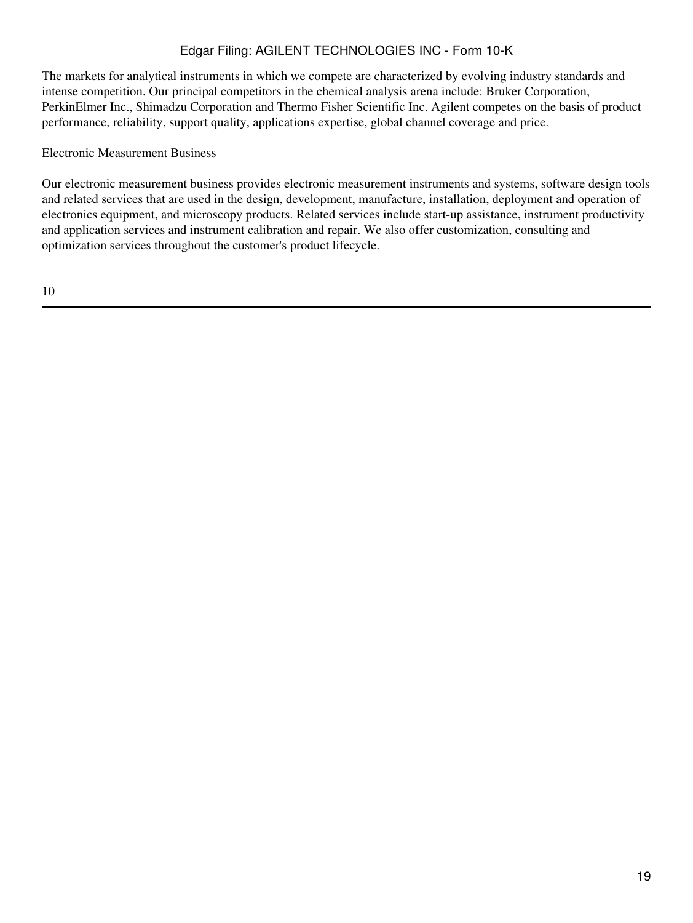The markets for analytical instruments in which we compete are characterized by evolving industry standards and intense competition. Our principal competitors in the chemical analysis arena include: Bruker Corporation, PerkinElmer Inc., Shimadzu Corporation and Thermo Fisher Scientific Inc. Agilent competes on the basis of product performance, reliability, support quality, applications expertise, global channel coverage and price.

Electronic Measurement Business

Our electronic measurement business provides electronic measurement instruments and systems, software design tools and related services that are used in the design, development, manufacture, installation, deployment and operation of electronics equipment, and microscopy products. Related services include start-up assistance, instrument productivity and application services and instrument calibration and repair. We also offer customization, consulting and optimization services throughout the customer's product lifecycle.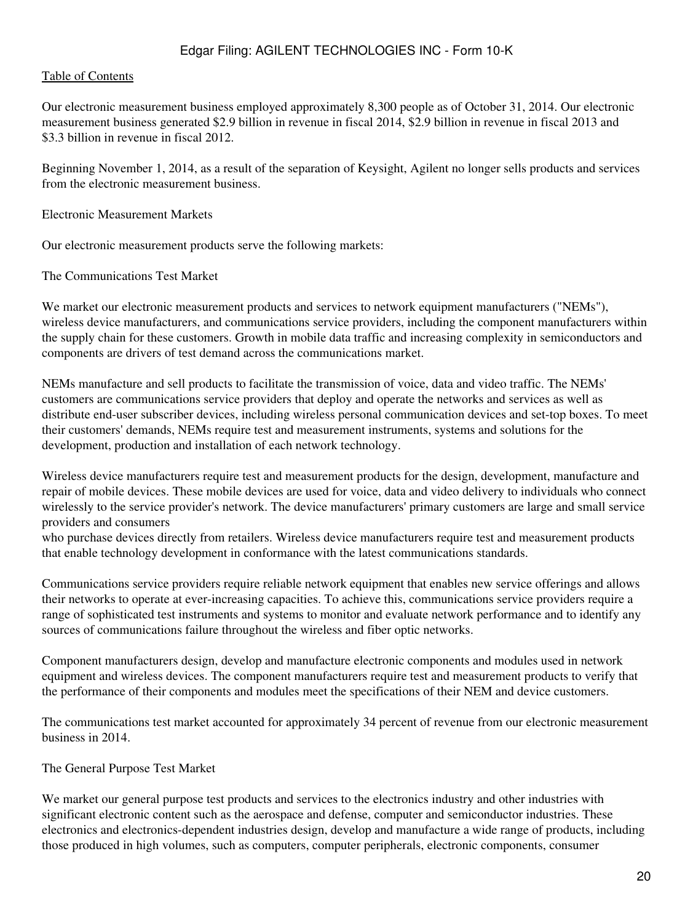### [Table of Contents](#page-2-0)

Our electronic measurement business employed approximately 8,300 people as of October 31, 2014. Our electronic measurement business generated \$2.9 billion in revenue in fiscal 2014, \$2.9 billion in revenue in fiscal 2013 and \$3.3 billion in revenue in fiscal 2012.

Beginning November 1, 2014, as a result of the separation of Keysight, Agilent no longer sells products and services from the electronic measurement business.

Electronic Measurement Markets

Our electronic measurement products serve the following markets:

The Communications Test Market

We market our electronic measurement products and services to network equipment manufacturers ("NEMs"), wireless device manufacturers, and communications service providers, including the component manufacturers within the supply chain for these customers. Growth in mobile data traffic and increasing complexity in semiconductors and components are drivers of test demand across the communications market.

NEMs manufacture and sell products to facilitate the transmission of voice, data and video traffic. The NEMs' customers are communications service providers that deploy and operate the networks and services as well as distribute end-user subscriber devices, including wireless personal communication devices and set-top boxes. To meet their customers' demands, NEMs require test and measurement instruments, systems and solutions for the development, production and installation of each network technology.

Wireless device manufacturers require test and measurement products for the design, development, manufacture and repair of mobile devices. These mobile devices are used for voice, data and video delivery to individuals who connect wirelessly to the service provider's network. The device manufacturers' primary customers are large and small service providers and consumers

who purchase devices directly from retailers. Wireless device manufacturers require test and measurement products that enable technology development in conformance with the latest communications standards.

Communications service providers require reliable network equipment that enables new service offerings and allows their networks to operate at ever-increasing capacities. To achieve this, communications service providers require a range of sophisticated test instruments and systems to monitor and evaluate network performance and to identify any sources of communications failure throughout the wireless and fiber optic networks.

Component manufacturers design, develop and manufacture electronic components and modules used in network equipment and wireless devices. The component manufacturers require test and measurement products to verify that the performance of their components and modules meet the specifications of their NEM and device customers.

The communications test market accounted for approximately 34 percent of revenue from our electronic measurement business in 2014.

The General Purpose Test Market

We market our general purpose test products and services to the electronics industry and other industries with significant electronic content such as the aerospace and defense, computer and semiconductor industries. These electronics and electronics-dependent industries design, develop and manufacture a wide range of products, including those produced in high volumes, such as computers, computer peripherals, electronic components, consumer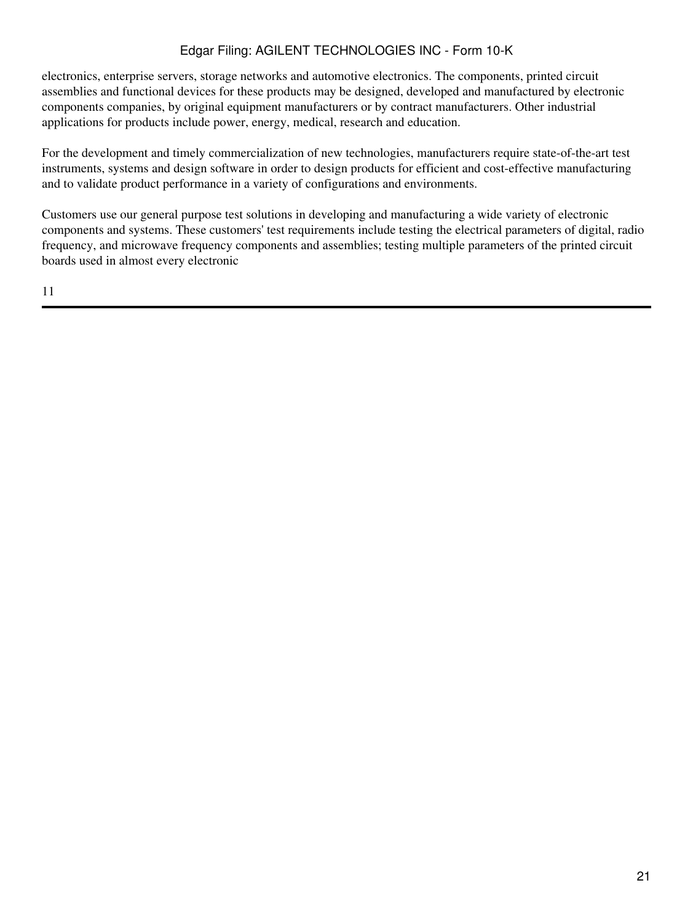electronics, enterprise servers, storage networks and automotive electronics. The components, printed circuit assemblies and functional devices for these products may be designed, developed and manufactured by electronic components companies, by original equipment manufacturers or by contract manufacturers. Other industrial applications for products include power, energy, medical, research and education.

For the development and timely commercialization of new technologies, manufacturers require state-of-the-art test instruments, systems and design software in order to design products for efficient and cost-effective manufacturing and to validate product performance in a variety of configurations and environments.

Customers use our general purpose test solutions in developing and manufacturing a wide variety of electronic components and systems. These customers' test requirements include testing the electrical parameters of digital, radio frequency, and microwave frequency components and assemblies; testing multiple parameters of the printed circuit boards used in almost every electronic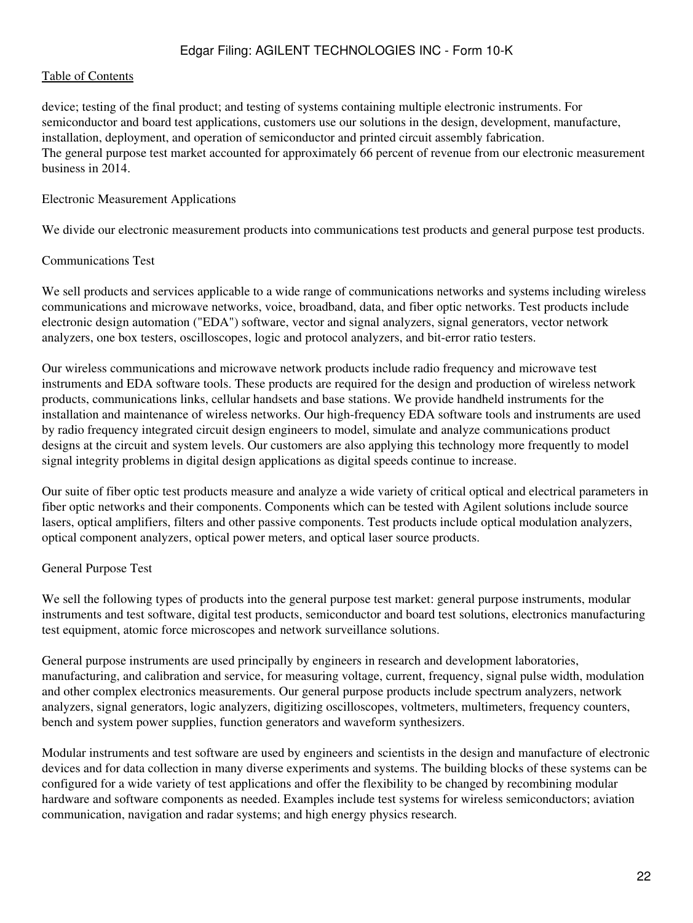### [Table of Contents](#page-2-0)

device; testing of the final product; and testing of systems containing multiple electronic instruments. For semiconductor and board test applications, customers use our solutions in the design, development, manufacture, installation, deployment, and operation of semiconductor and printed circuit assembly fabrication. The general purpose test market accounted for approximately 66 percent of revenue from our electronic measurement business in 2014.

### Electronic Measurement Applications

We divide our electronic measurement products into communications test products and general purpose test products.

### Communications Test

We sell products and services applicable to a wide range of communications networks and systems including wireless communications and microwave networks, voice, broadband, data, and fiber optic networks. Test products include electronic design automation ("EDA") software, vector and signal analyzers, signal generators, vector network analyzers, one box testers, oscilloscopes, logic and protocol analyzers, and bit-error ratio testers.

Our wireless communications and microwave network products include radio frequency and microwave test instruments and EDA software tools. These products are required for the design and production of wireless network products, communications links, cellular handsets and base stations. We provide handheld instruments for the installation and maintenance of wireless networks. Our high-frequency EDA software tools and instruments are used by radio frequency integrated circuit design engineers to model, simulate and analyze communications product designs at the circuit and system levels. Our customers are also applying this technology more frequently to model signal integrity problems in digital design applications as digital speeds continue to increase.

Our suite of fiber optic test products measure and analyze a wide variety of critical optical and electrical parameters in fiber optic networks and their components. Components which can be tested with Agilent solutions include source lasers, optical amplifiers, filters and other passive components. Test products include optical modulation analyzers, optical component analyzers, optical power meters, and optical laser source products.

## General Purpose Test

We sell the following types of products into the general purpose test market: general purpose instruments, modular instruments and test software, digital test products, semiconductor and board test solutions, electronics manufacturing test equipment, atomic force microscopes and network surveillance solutions.

General purpose instruments are used principally by engineers in research and development laboratories, manufacturing, and calibration and service, for measuring voltage, current, frequency, signal pulse width, modulation and other complex electronics measurements. Our general purpose products include spectrum analyzers, network analyzers, signal generators, logic analyzers, digitizing oscilloscopes, voltmeters, multimeters, frequency counters, bench and system power supplies, function generators and waveform synthesizers.

Modular instruments and test software are used by engineers and scientists in the design and manufacture of electronic devices and for data collection in many diverse experiments and systems. The building blocks of these systems can be configured for a wide variety of test applications and offer the flexibility to be changed by recombining modular hardware and software components as needed. Examples include test systems for wireless semiconductors; aviation communication, navigation and radar systems; and high energy physics research.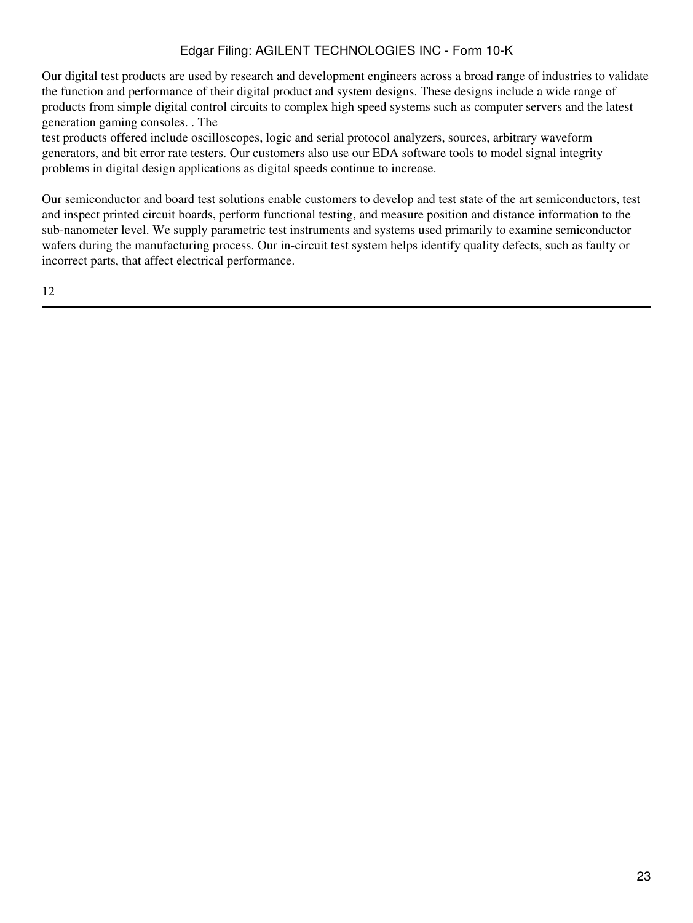Our digital test products are used by research and development engineers across a broad range of industries to validate the function and performance of their digital product and system designs. These designs include a wide range of products from simple digital control circuits to complex high speed systems such as computer servers and the latest generation gaming consoles. . The

test products offered include oscilloscopes, logic and serial protocol analyzers, sources, arbitrary waveform generators, and bit error rate testers. Our customers also use our EDA software tools to model signal integrity problems in digital design applications as digital speeds continue to increase.

Our semiconductor and board test solutions enable customers to develop and test state of the art semiconductors, test and inspect printed circuit boards, perform functional testing, and measure position and distance information to the sub-nanometer level. We supply parametric test instruments and systems used primarily to examine semiconductor wafers during the manufacturing process. Our in-circuit test system helps identify quality defects, such as faulty or incorrect parts, that affect electrical performance.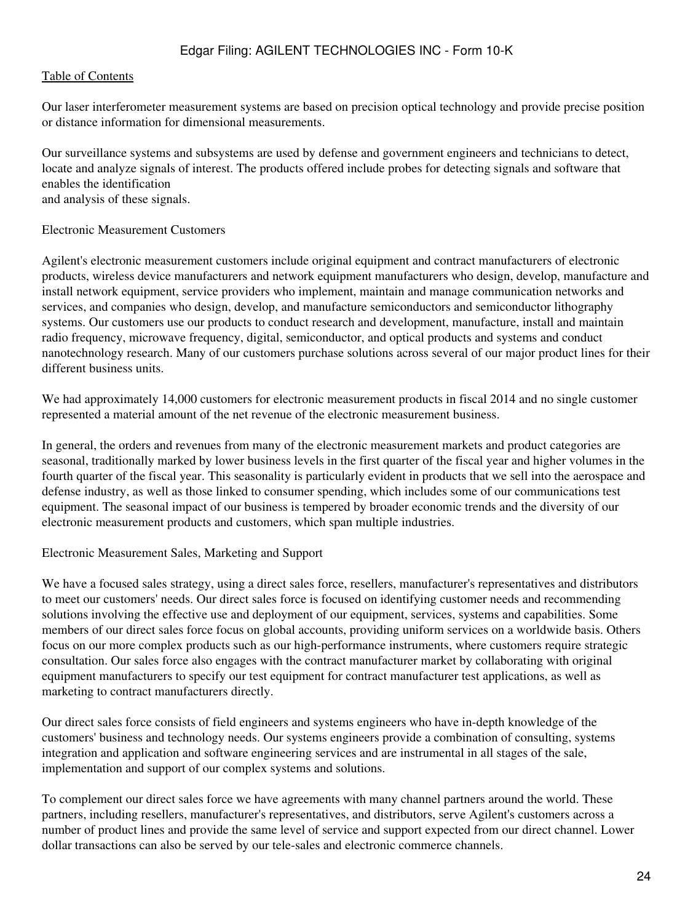Our laser interferometer measurement systems are based on precision optical technology and provide precise position or distance information for dimensional measurements.

Our surveillance systems and subsystems are used by defense and government engineers and technicians to detect, locate and analyze signals of interest. The products offered include probes for detecting signals and software that enables the identification and analysis of these signals.

### Electronic Measurement Customers

Agilent's electronic measurement customers include original equipment and contract manufacturers of electronic products, wireless device manufacturers and network equipment manufacturers who design, develop, manufacture and install network equipment, service providers who implement, maintain and manage communication networks and services, and companies who design, develop, and manufacture semiconductors and semiconductor lithography systems. Our customers use our products to conduct research and development, manufacture, install and maintain radio frequency, microwave frequency, digital, semiconductor, and optical products and systems and conduct nanotechnology research. Many of our customers purchase solutions across several of our major product lines for their different business units.

We had approximately 14,000 customers for electronic measurement products in fiscal 2014 and no single customer represented a material amount of the net revenue of the electronic measurement business.

In general, the orders and revenues from many of the electronic measurement markets and product categories are seasonal, traditionally marked by lower business levels in the first quarter of the fiscal year and higher volumes in the fourth quarter of the fiscal year. This seasonality is particularly evident in products that we sell into the aerospace and defense industry, as well as those linked to consumer spending, which includes some of our communications test equipment. The seasonal impact of our business is tempered by broader economic trends and the diversity of our electronic measurement products and customers, which span multiple industries.

### Electronic Measurement Sales, Marketing and Support

We have a focused sales strategy, using a direct sales force, resellers, manufacturer's representatives and distributors to meet our customers' needs. Our direct sales force is focused on identifying customer needs and recommending solutions involving the effective use and deployment of our equipment, services, systems and capabilities. Some members of our direct sales force focus on global accounts, providing uniform services on a worldwide basis. Others focus on our more complex products such as our high-performance instruments, where customers require strategic consultation. Our sales force also engages with the contract manufacturer market by collaborating with original equipment manufacturers to specify our test equipment for contract manufacturer test applications, as well as marketing to contract manufacturers directly.

Our direct sales force consists of field engineers and systems engineers who have in-depth knowledge of the customers' business and technology needs. Our systems engineers provide a combination of consulting, systems integration and application and software engineering services and are instrumental in all stages of the sale, implementation and support of our complex systems and solutions.

To complement our direct sales force we have agreements with many channel partners around the world. These partners, including resellers, manufacturer's representatives, and distributors, serve Agilent's customers across a number of product lines and provide the same level of service and support expected from our direct channel. Lower dollar transactions can also be served by our tele-sales and electronic commerce channels.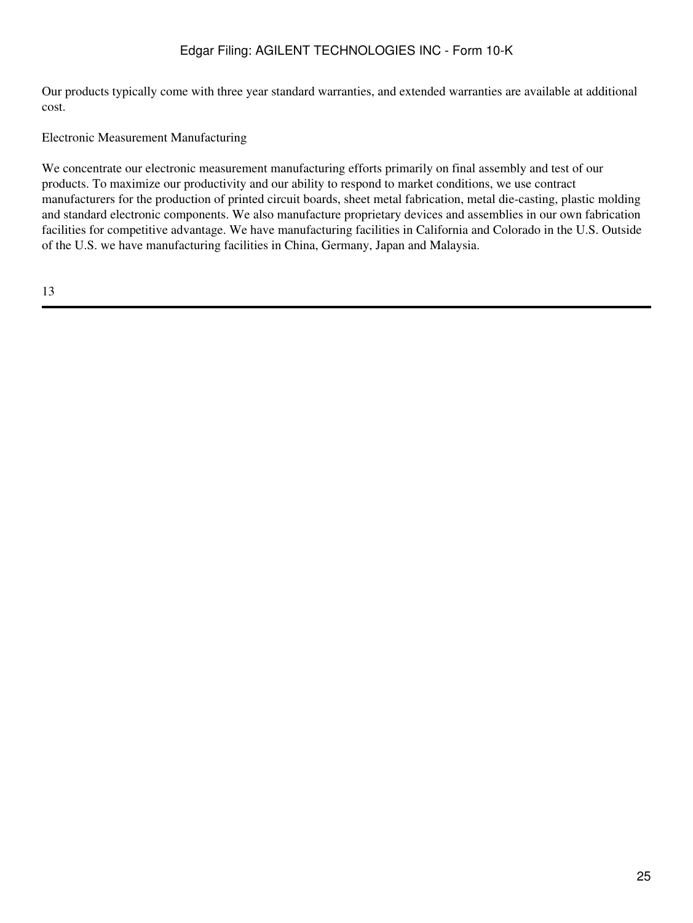Our products typically come with three year standard warranties, and extended warranties are available at additional cost.

Electronic Measurement Manufacturing

We concentrate our electronic measurement manufacturing efforts primarily on final assembly and test of our products. To maximize our productivity and our ability to respond to market conditions, we use contract manufacturers for the production of printed circuit boards, sheet metal fabrication, metal die-casting, plastic molding and standard electronic components. We also manufacture proprietary devices and assemblies in our own fabrication facilities for competitive advantage. We have manufacturing facilities in California and Colorado in the U.S. Outside of the U.S. we have manufacturing facilities in China, Germany, Japan and Malaysia.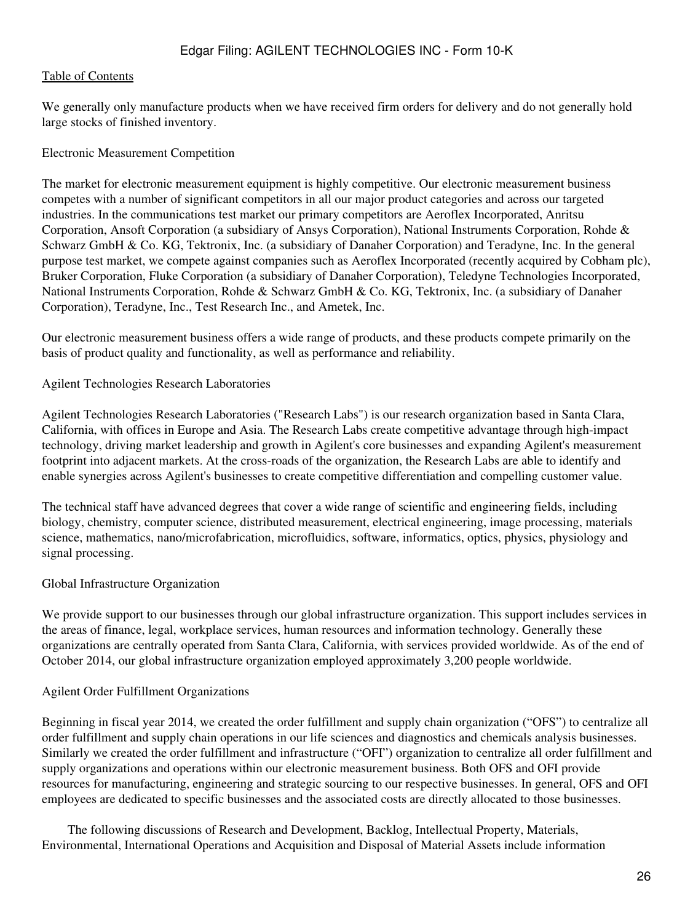We generally only manufacture products when we have received firm orders for delivery and do not generally hold large stocks of finished inventory.

### Electronic Measurement Competition

The market for electronic measurement equipment is highly competitive. Our electronic measurement business competes with a number of significant competitors in all our major product categories and across our targeted industries. In the communications test market our primary competitors are Aeroflex Incorporated, Anritsu Corporation, Ansoft Corporation (a subsidiary of Ansys Corporation), National Instruments Corporation, Rohde & Schwarz GmbH & Co. KG, Tektronix, Inc. (a subsidiary of Danaher Corporation) and Teradyne, Inc. In the general purpose test market, we compete against companies such as Aeroflex Incorporated (recently acquired by Cobham plc), Bruker Corporation, Fluke Corporation (a subsidiary of Danaher Corporation), Teledyne Technologies Incorporated, National Instruments Corporation, Rohde & Schwarz GmbH & Co. KG, Tektronix, Inc. (a subsidiary of Danaher Corporation), Teradyne, Inc., Test Research Inc., and Ametek, Inc.

Our electronic measurement business offers a wide range of products, and these products compete primarily on the basis of product quality and functionality, as well as performance and reliability.

### Agilent Technologies Research Laboratories

Agilent Technologies Research Laboratories ("Research Labs") is our research organization based in Santa Clara, California, with offices in Europe and Asia. The Research Labs create competitive advantage through high-impact technology, driving market leadership and growth in Agilent's core businesses and expanding Agilent's measurement footprint into adjacent markets. At the cross-roads of the organization, the Research Labs are able to identify and enable synergies across Agilent's businesses to create competitive differentiation and compelling customer value.

The technical staff have advanced degrees that cover a wide range of scientific and engineering fields, including biology, chemistry, computer science, distributed measurement, electrical engineering, image processing, materials science, mathematics, nano/microfabrication, microfluidics, software, informatics, optics, physics, physiology and signal processing.

### Global Infrastructure Organization

We provide support to our businesses through our global infrastructure organization. This support includes services in the areas of finance, legal, workplace services, human resources and information technology. Generally these organizations are centrally operated from Santa Clara, California, with services provided worldwide. As of the end of October 2014, our global infrastructure organization employed approximately 3,200 people worldwide.

### Agilent Order Fulfillment Organizations

Beginning in fiscal year 2014, we created the order fulfillment and supply chain organization ("OFS") to centralize all order fulfillment and supply chain operations in our life sciences and diagnostics and chemicals analysis businesses. Similarly we created the order fulfillment and infrastructure ("OFI") organization to centralize all order fulfillment and supply organizations and operations within our electronic measurement business. Both OFS and OFI provide resources for manufacturing, engineering and strategic sourcing to our respective businesses. In general, OFS and OFI employees are dedicated to specific businesses and the associated costs are directly allocated to those businesses.

 The following discussions of Research and Development, Backlog, Intellectual Property, Materials, Environmental, International Operations and Acquisition and Disposal of Material Assets include information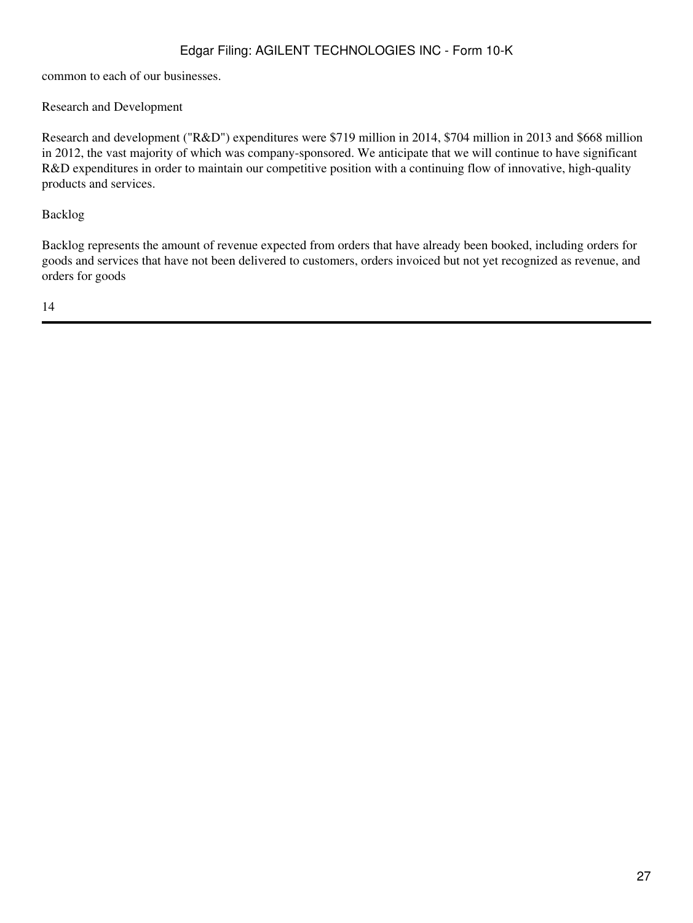common to each of our businesses.

Research and Development

Research and development ("R&D") expenditures were \$719 million in 2014, \$704 million in 2013 and \$668 million in 2012, the vast majority of which was company-sponsored. We anticipate that we will continue to have significant R&D expenditures in order to maintain our competitive position with a continuing flow of innovative, high-quality products and services.

## Backlog

Backlog represents the amount of revenue expected from orders that have already been booked, including orders for goods and services that have not been delivered to customers, orders invoiced but not yet recognized as revenue, and orders for goods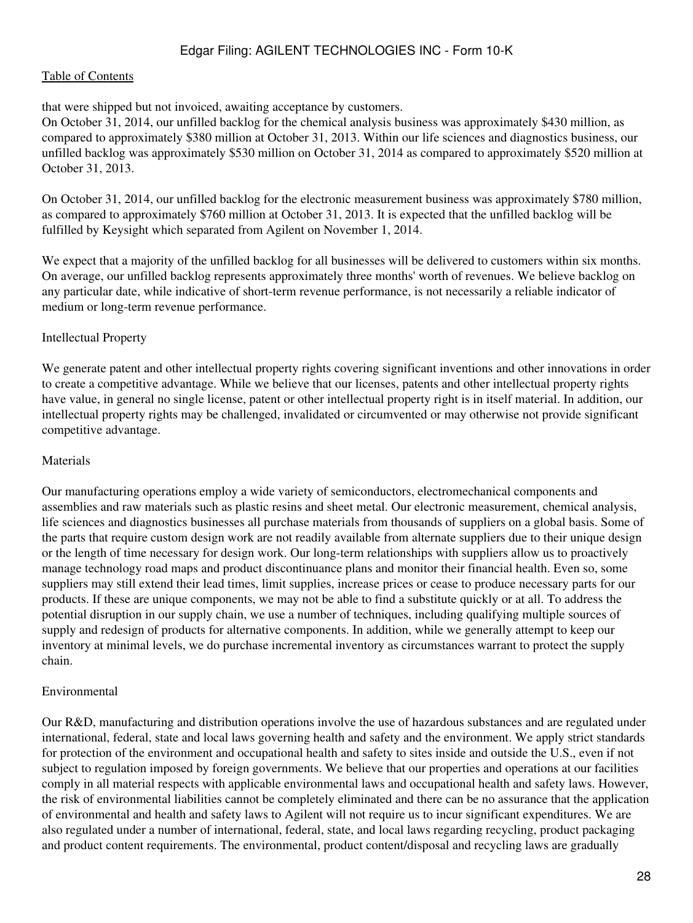### [Table of Contents](#page-2-0)

that were shipped but not invoiced, awaiting acceptance by customers.

On October 31, 2014, our unfilled backlog for the chemical analysis business was approximately \$430 million, as compared to approximately \$380 million at October 31, 2013. Within our life sciences and diagnostics business, our unfilled backlog was approximately \$530 million on October 31, 2014 as compared to approximately \$520 million at October 31, 2013.

On October 31, 2014, our unfilled backlog for the electronic measurement business was approximately \$780 million, as compared to approximately \$760 million at October 31, 2013. It is expected that the unfilled backlog will be fulfilled by Keysight which separated from Agilent on November 1, 2014.

We expect that a majority of the unfilled backlog for all businesses will be delivered to customers within six months. On average, our unfilled backlog represents approximately three months' worth of revenues. We believe backlog on any particular date, while indicative of short-term revenue performance, is not necessarily a reliable indicator of medium or long-term revenue performance.

### Intellectual Property

We generate patent and other intellectual property rights covering significant inventions and other innovations in order to create a competitive advantage. While we believe that our licenses, patents and other intellectual property rights have value, in general no single license, patent or other intellectual property right is in itself material. In addition, our intellectual property rights may be challenged, invalidated or circumvented or may otherwise not provide significant competitive advantage.

### Materials

Our manufacturing operations employ a wide variety of semiconductors, electromechanical components and assemblies and raw materials such as plastic resins and sheet metal. Our electronic measurement, chemical analysis, life sciences and diagnostics businesses all purchase materials from thousands of suppliers on a global basis. Some of the parts that require custom design work are not readily available from alternate suppliers due to their unique design or the length of time necessary for design work. Our long-term relationships with suppliers allow us to proactively manage technology road maps and product discontinuance plans and monitor their financial health. Even so, some suppliers may still extend their lead times, limit supplies, increase prices or cease to produce necessary parts for our products. If these are unique components, we may not be able to find a substitute quickly or at all. To address the potential disruption in our supply chain, we use a number of techniques, including qualifying multiple sources of supply and redesign of products for alternative components. In addition, while we generally attempt to keep our inventory at minimal levels, we do purchase incremental inventory as circumstances warrant to protect the supply chain.

### Environmental

Our R&D, manufacturing and distribution operations involve the use of hazardous substances and are regulated under international, federal, state and local laws governing health and safety and the environment. We apply strict standards for protection of the environment and occupational health and safety to sites inside and outside the U.S., even if not subject to regulation imposed by foreign governments. We believe that our properties and operations at our facilities comply in all material respects with applicable environmental laws and occupational health and safety laws. However, the risk of environmental liabilities cannot be completely eliminated and there can be no assurance that the application of environmental and health and safety laws to Agilent will not require us to incur significant expenditures. We are also regulated under a number of international, federal, state, and local laws regarding recycling, product packaging and product content requirements. The environmental, product content/disposal and recycling laws are gradually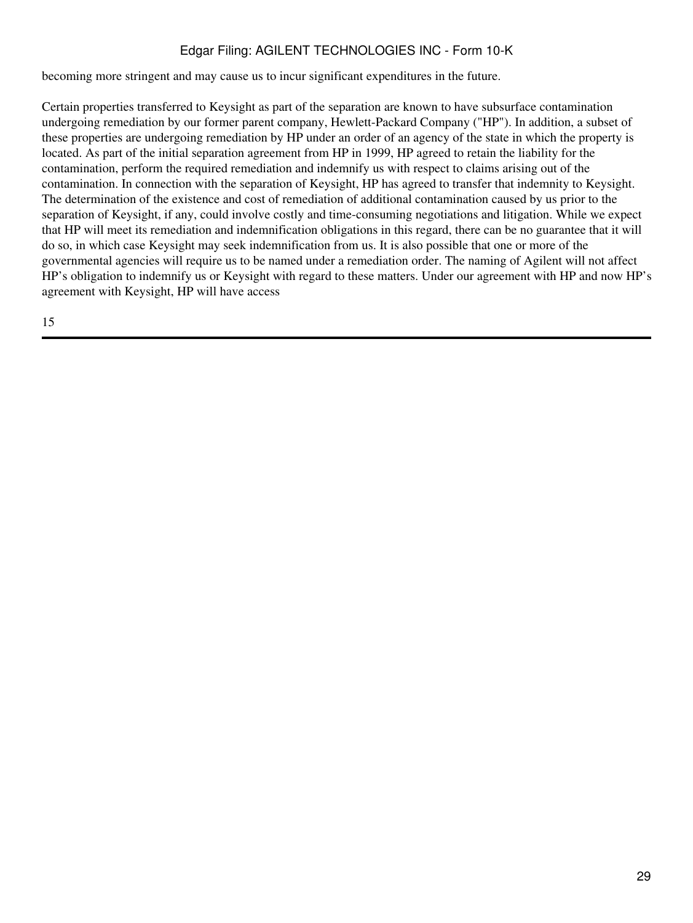becoming more stringent and may cause us to incur significant expenditures in the future.

Certain properties transferred to Keysight as part of the separation are known to have subsurface contamination undergoing remediation by our former parent company, Hewlett-Packard Company ("HP"). In addition, a subset of these properties are undergoing remediation by HP under an order of an agency of the state in which the property is located. As part of the initial separation agreement from HP in 1999, HP agreed to retain the liability for the contamination, perform the required remediation and indemnify us with respect to claims arising out of the contamination. In connection with the separation of Keysight, HP has agreed to transfer that indemnity to Keysight. The determination of the existence and cost of remediation of additional contamination caused by us prior to the separation of Keysight, if any, could involve costly and time-consuming negotiations and litigation. While we expect that HP will meet its remediation and indemnification obligations in this regard, there can be no guarantee that it will do so, in which case Keysight may seek indemnification from us. It is also possible that one or more of the governmental agencies will require us to be named under a remediation order. The naming of Agilent will not affect HP's obligation to indemnify us or Keysight with regard to these matters. Under our agreement with HP and now HP's agreement with Keysight, HP will have access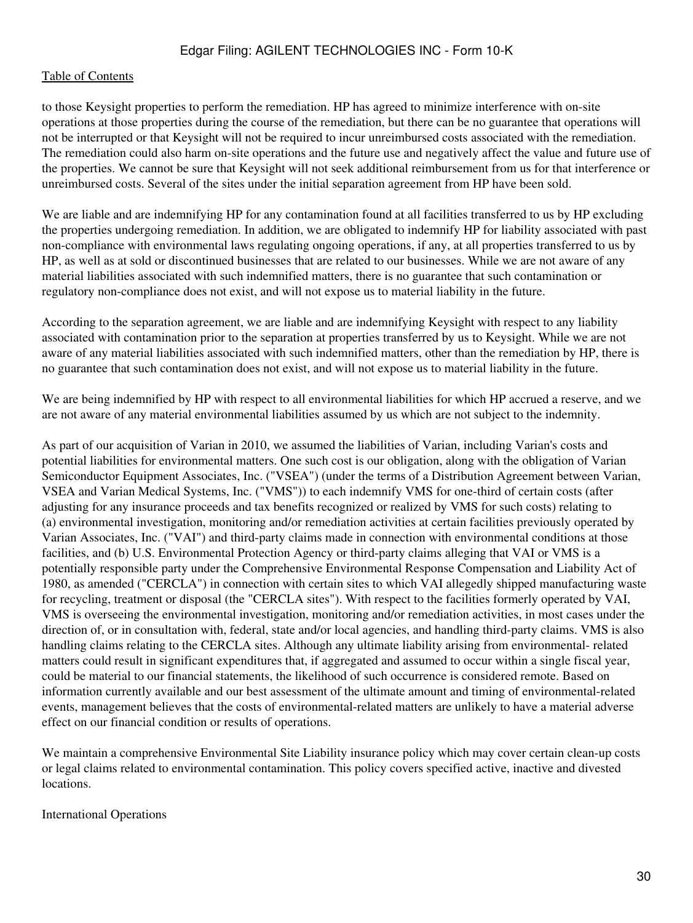### [Table of Contents](#page-2-0)

to those Keysight properties to perform the remediation. HP has agreed to minimize interference with on-site operations at those properties during the course of the remediation, but there can be no guarantee that operations will not be interrupted or that Keysight will not be required to incur unreimbursed costs associated with the remediation. The remediation could also harm on-site operations and the future use and negatively affect the value and future use of the properties. We cannot be sure that Keysight will not seek additional reimbursement from us for that interference or unreimbursed costs. Several of the sites under the initial separation agreement from HP have been sold.

We are liable and are indemnifying HP for any contamination found at all facilities transferred to us by HP excluding the properties undergoing remediation. In addition, we are obligated to indemnify HP for liability associated with past non-compliance with environmental laws regulating ongoing operations, if any, at all properties transferred to us by HP, as well as at sold or discontinued businesses that are related to our businesses. While we are not aware of any material liabilities associated with such indemnified matters, there is no guarantee that such contamination or regulatory non-compliance does not exist, and will not expose us to material liability in the future.

According to the separation agreement, we are liable and are indemnifying Keysight with respect to any liability associated with contamination prior to the separation at properties transferred by us to Keysight. While we are not aware of any material liabilities associated with such indemnified matters, other than the remediation by HP, there is no guarantee that such contamination does not exist, and will not expose us to material liability in the future.

We are being indemnified by HP with respect to all environmental liabilities for which HP accrued a reserve, and we are not aware of any material environmental liabilities assumed by us which are not subject to the indemnity.

As part of our acquisition of Varian in 2010, we assumed the liabilities of Varian, including Varian's costs and potential liabilities for environmental matters. One such cost is our obligation, along with the obligation of Varian Semiconductor Equipment Associates, Inc. ("VSEA") (under the terms of a Distribution Agreement between Varian, VSEA and Varian Medical Systems, Inc. ("VMS")) to each indemnify VMS for one-third of certain costs (after adjusting for any insurance proceeds and tax benefits recognized or realized by VMS for such costs) relating to (a) environmental investigation, monitoring and/or remediation activities at certain facilities previously operated by Varian Associates, Inc. ("VAI") and third-party claims made in connection with environmental conditions at those facilities, and (b) U.S. Environmental Protection Agency or third-party claims alleging that VAI or VMS is a potentially responsible party under the Comprehensive Environmental Response Compensation and Liability Act of 1980, as amended ("CERCLA") in connection with certain sites to which VAI allegedly shipped manufacturing waste for recycling, treatment or disposal (the "CERCLA sites"). With respect to the facilities formerly operated by VAI, VMS is overseeing the environmental investigation, monitoring and/or remediation activities, in most cases under the direction of, or in consultation with, federal, state and/or local agencies, and handling third-party claims. VMS is also handling claims relating to the CERCLA sites. Although any ultimate liability arising from environmental- related matters could result in significant expenditures that, if aggregated and assumed to occur within a single fiscal year, could be material to our financial statements, the likelihood of such occurrence is considered remote. Based on information currently available and our best assessment of the ultimate amount and timing of environmental-related events, management believes that the costs of environmental-related matters are unlikely to have a material adverse effect on our financial condition or results of operations.

We maintain a comprehensive Environmental Site Liability insurance policy which may cover certain clean-up costs or legal claims related to environmental contamination. This policy covers specified active, inactive and divested locations.

International Operations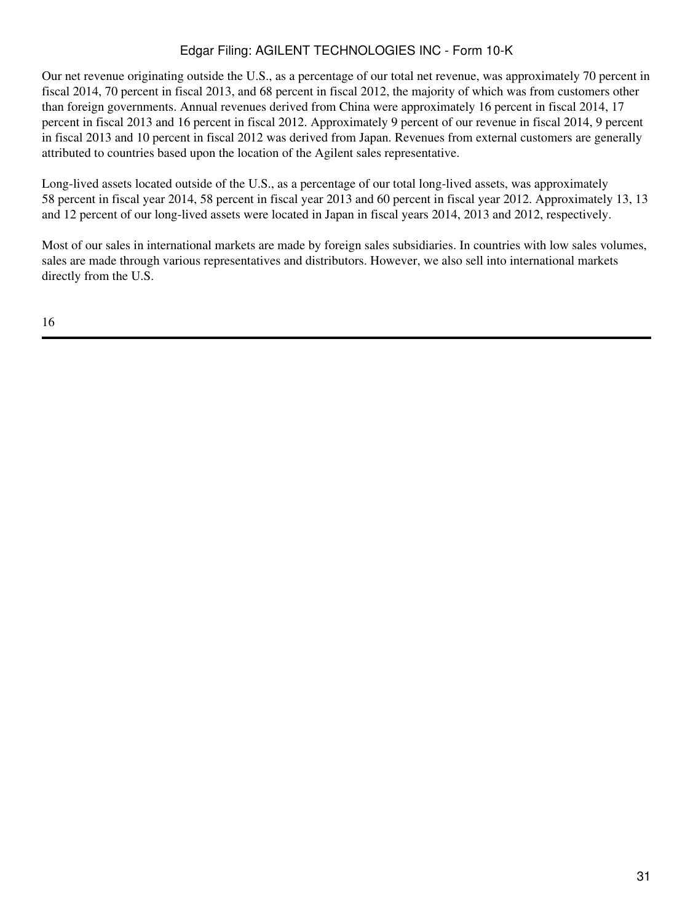Our net revenue originating outside the U.S., as a percentage of our total net revenue, was approximately 70 percent in fiscal 2014, 70 percent in fiscal 2013, and 68 percent in fiscal 2012, the majority of which was from customers other than foreign governments. Annual revenues derived from China were approximately 16 percent in fiscal 2014, 17 percent in fiscal 2013 and 16 percent in fiscal 2012. Approximately 9 percent of our revenue in fiscal 2014, 9 percent in fiscal 2013 and 10 percent in fiscal 2012 was derived from Japan. Revenues from external customers are generally attributed to countries based upon the location of the Agilent sales representative.

Long-lived assets located outside of the U.S., as a percentage of our total long-lived assets, was approximately 58 percent in fiscal year 2014, 58 percent in fiscal year 2013 and 60 percent in fiscal year 2012. Approximately 13, 13 and 12 percent of our long-lived assets were located in Japan in fiscal years 2014, 2013 and 2012, respectively.

Most of our sales in international markets are made by foreign sales subsidiaries. In countries with low sales volumes, sales are made through various representatives and distributors. However, we also sell into international markets directly from the U.S.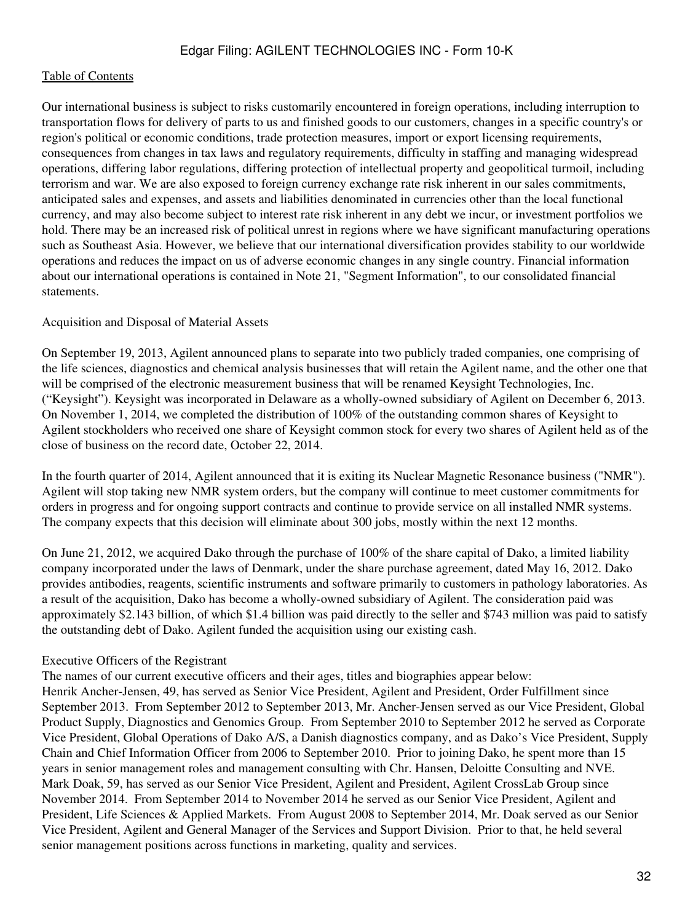Our international business is subject to risks customarily encountered in foreign operations, including interruption to transportation flows for delivery of parts to us and finished goods to our customers, changes in a specific country's or region's political or economic conditions, trade protection measures, import or export licensing requirements, consequences from changes in tax laws and regulatory requirements, difficulty in staffing and managing widespread operations, differing labor regulations, differing protection of intellectual property and geopolitical turmoil, including terrorism and war. We are also exposed to foreign currency exchange rate risk inherent in our sales commitments, anticipated sales and expenses, and assets and liabilities denominated in currencies other than the local functional currency, and may also become subject to interest rate risk inherent in any debt we incur, or investment portfolios we hold. There may be an increased risk of political unrest in regions where we have significant manufacturing operations such as Southeast Asia. However, we believe that our international diversification provides stability to our worldwide operations and reduces the impact on us of adverse economic changes in any single country. Financial information about our international operations is contained in Note 21, "Segment Information", to our consolidated financial statements.

### Acquisition and Disposal of Material Assets

On September 19, 2013, Agilent announced plans to separate into two publicly traded companies, one comprising of the life sciences, diagnostics and chemical analysis businesses that will retain the Agilent name, and the other one that will be comprised of the electronic measurement business that will be renamed Keysight Technologies, Inc. ("Keysight"). Keysight was incorporated in Delaware as a wholly-owned subsidiary of Agilent on December 6, 2013. On November 1, 2014, we completed the distribution of 100% of the outstanding common shares of Keysight to Agilent stockholders who received one share of Keysight common stock for every two shares of Agilent held as of the close of business on the record date, October 22, 2014.

In the fourth quarter of 2014, Agilent announced that it is exiting its Nuclear Magnetic Resonance business ("NMR"). Agilent will stop taking new NMR system orders, but the company will continue to meet customer commitments for orders in progress and for ongoing support contracts and continue to provide service on all installed NMR systems. The company expects that this decision will eliminate about 300 jobs, mostly within the next 12 months.

On June 21, 2012, we acquired Dako through the purchase of 100% of the share capital of Dako, a limited liability company incorporated under the laws of Denmark, under the share purchase agreement, dated May 16, 2012. Dako provides antibodies, reagents, scientific instruments and software primarily to customers in pathology laboratories. As a result of the acquisition, Dako has become a wholly-owned subsidiary of Agilent. The consideration paid was approximately \$2.143 billion, of which \$1.4 billion was paid directly to the seller and \$743 million was paid to satisfy the outstanding debt of Dako. Agilent funded the acquisition using our existing cash.

## Executive Officers of the Registrant

The names of our current executive officers and their ages, titles and biographies appear below: Henrik Ancher-Jensen, 49, has served as Senior Vice President, Agilent and President, Order Fulfillment since September 2013. From September 2012 to September 2013, Mr. Ancher-Jensen served as our Vice President, Global Product Supply, Diagnostics and Genomics Group. From September 2010 to September 2012 he served as Corporate Vice President, Global Operations of Dako A/S, a Danish diagnostics company, and as Dako's Vice President, Supply Chain and Chief Information Officer from 2006 to September 2010. Prior to joining Dako, he spent more than 15 years in senior management roles and management consulting with Chr. Hansen, Deloitte Consulting and NVE. Mark Doak, 59, has served as our Senior Vice President, Agilent and President, Agilent CrossLab Group since November 2014. From September 2014 to November 2014 he served as our Senior Vice President, Agilent and President, Life Sciences & Applied Markets. From August 2008 to September 2014, Mr. Doak served as our Senior Vice President, Agilent and General Manager of the Services and Support Division. Prior to that, he held several senior management positions across functions in marketing, quality and services.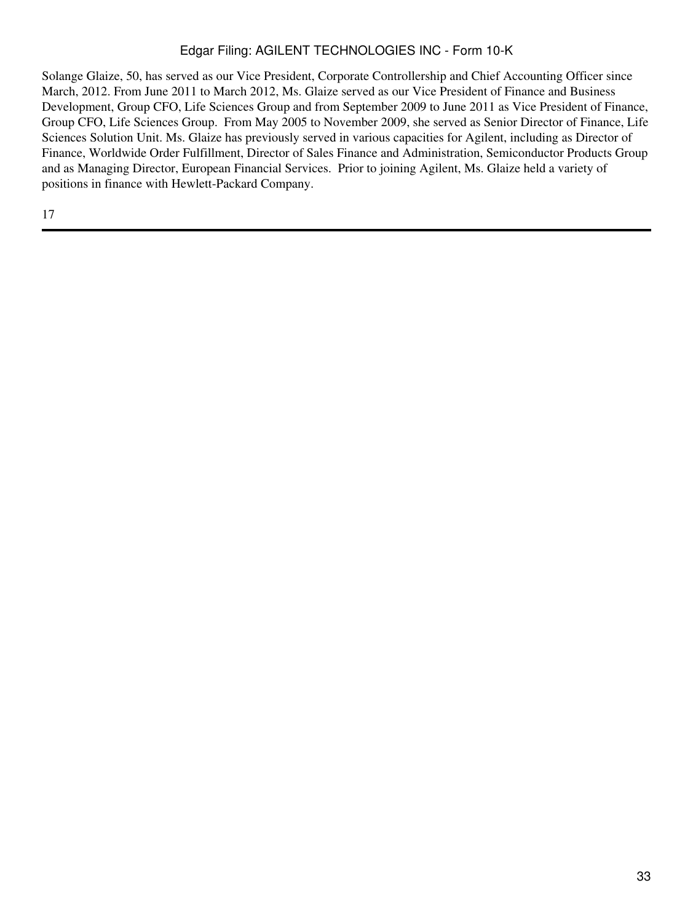Solange Glaize, 50, has served as our Vice President, Corporate Controllership and Chief Accounting Officer since March, 2012. From June 2011 to March 2012, Ms. Glaize served as our Vice President of Finance and Business Development, Group CFO, Life Sciences Group and from September 2009 to June 2011 as Vice President of Finance, Group CFO, Life Sciences Group. From May 2005 to November 2009, she served as Senior Director of Finance, Life Sciences Solution Unit. Ms. Glaize has previously served in various capacities for Agilent, including as Director of Finance, Worldwide Order Fulfillment, Director of Sales Finance and Administration, Semiconductor Products Group and as Managing Director, European Financial Services. Prior to joining Agilent, Ms. Glaize held a variety of positions in finance with Hewlett-Packard Company.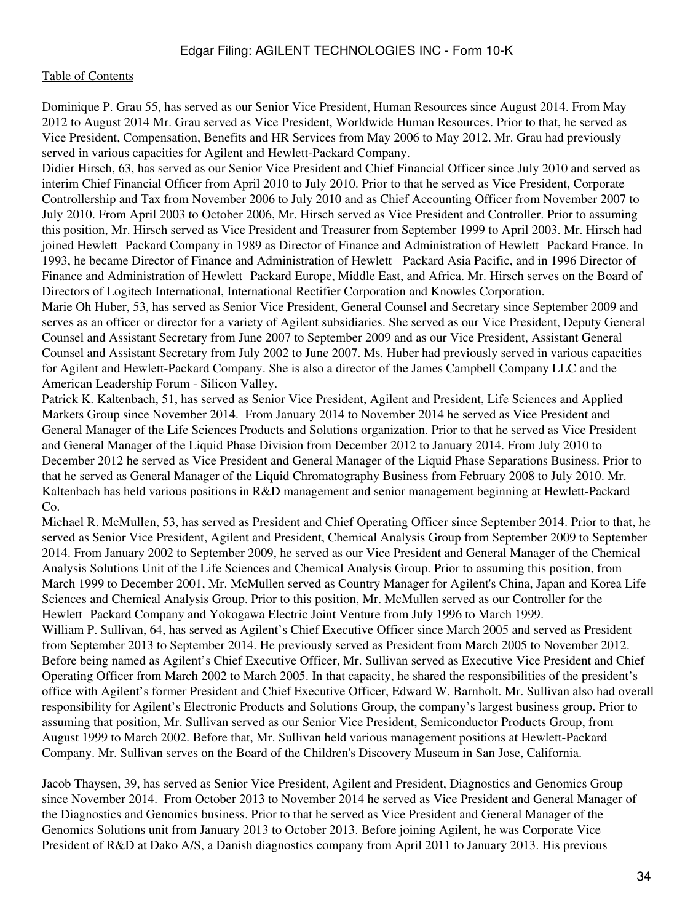Dominique P. Grau 55, has served as our Senior Vice President, Human Resources since August 2014. From May 2012 to August 2014 Mr. Grau served as Vice President, Worldwide Human Resources. Prior to that, he served as Vice President, Compensation, Benefits and HR Services from May 2006 to May 2012. Mr. Grau had previously served in various capacities for Agilent and Hewlett-Packard Company.

Didier Hirsch, 63, has served as our Senior Vice President and Chief Financial Officer since July 2010 and served as interim Chief Financial Officer from April 2010 to July 2010. Prior to that he served as Vice President, Corporate Controllership and Tax from November 2006 to July 2010 and as Chief Accounting Officer from November 2007 to July 2010. From April 2003 to October 2006, Mr. Hirsch served as Vice President and Controller. Prior to assuming this position, Mr. Hirsch served as Vice President and Treasurer from September 1999 to April 2003. Mr. Hirsch had joined Hewlett–Packard Company in 1989 as Director of Finance and Administration of Hewlett–Packard France. In 1993, he became Director of Finance and Administration of Hewlett‑ Packard Asia Pacific, and in 1996 Director of Finance and Administration of Hewlett Packard Europe, Middle East, and Africa. Mr. Hirsch serves on the Board of Directors of Logitech International, International Rectifier Corporation and Knowles Corporation.

Marie Oh Huber, 53, has served as Senior Vice President, General Counsel and Secretary since September 2009 and serves as an officer or director for a variety of Agilent subsidiaries. She served as our Vice President, Deputy General Counsel and Assistant Secretary from June 2007 to September 2009 and as our Vice President, Assistant General Counsel and Assistant Secretary from July 2002 to June 2007. Ms. Huber had previously served in various capacities for Agilent and Hewlett-Packard Company. She is also a director of the James Campbell Company LLC and the American Leadership Forum - Silicon Valley.

Patrick K. Kaltenbach, 51, has served as Senior Vice President, Agilent and President, Life Sciences and Applied Markets Group since November 2014. From January 2014 to November 2014 he served as Vice President and General Manager of the Life Sciences Products and Solutions organization. Prior to that he served as Vice President and General Manager of the Liquid Phase Division from December 2012 to January 2014. From July 2010 to December 2012 he served as Vice President and General Manager of the Liquid Phase Separations Business. Prior to that he served as General Manager of the Liquid Chromatography Business from February 2008 to July 2010. Mr. Kaltenbach has held various positions in R&D management and senior management beginning at Hewlett-Packard Co.

Michael R. McMullen, 53, has served as President and Chief Operating Officer since September 2014. Prior to that, he served as Senior Vice President, Agilent and President, Chemical Analysis Group from September 2009 to September 2014. From January 2002 to September 2009, he served as our Vice President and General Manager of the Chemical Analysis Solutions Unit of the Life Sciences and Chemical Analysis Group. Prior to assuming this position, from March 1999 to December 2001, Mr. McMullen served as Country Manager for Agilent's China, Japan and Korea Life Sciences and Chemical Analysis Group. Prior to this position, Mr. McMullen served as our Controller for the Hewlett Packard Company and Yokogawa Electric Joint Venture from July 1996 to March 1999. William P. Sullivan, 64, has served as Agilent's Chief Executive Officer since March 2005 and served as President from September 2013 to September 2014. He previously served as President from March 2005 to November 2012. Before being named as Agilent's Chief Executive Officer, Mr. Sullivan served as Executive Vice President and Chief Operating Officer from March 2002 to March 2005. In that capacity, he shared the responsibilities of the president's office with Agilent's former President and Chief Executive Officer, Edward W. Barnholt. Mr. Sullivan also had overall responsibility for Agilent's Electronic Products and Solutions Group, the company's largest business group. Prior to assuming that position, Mr. Sullivan served as our Senior Vice President, Semiconductor Products Group, from August 1999 to March 2002. Before that, Mr. Sullivan held various management positions at Hewlett-Packard Company. Mr. Sullivan serves on the Board of the Children's Discovery Museum in San Jose, California.

Jacob Thaysen, 39, has served as Senior Vice President, Agilent and President, Diagnostics and Genomics Group since November 2014. From October 2013 to November 2014 he served as Vice President and General Manager of the Diagnostics and Genomics business. Prior to that he served as Vice President and General Manager of the Genomics Solutions unit from January 2013 to October 2013. Before joining Agilent, he was Corporate Vice President of R&D at Dako A/S, a Danish diagnostics company from April 2011 to January 2013. His previous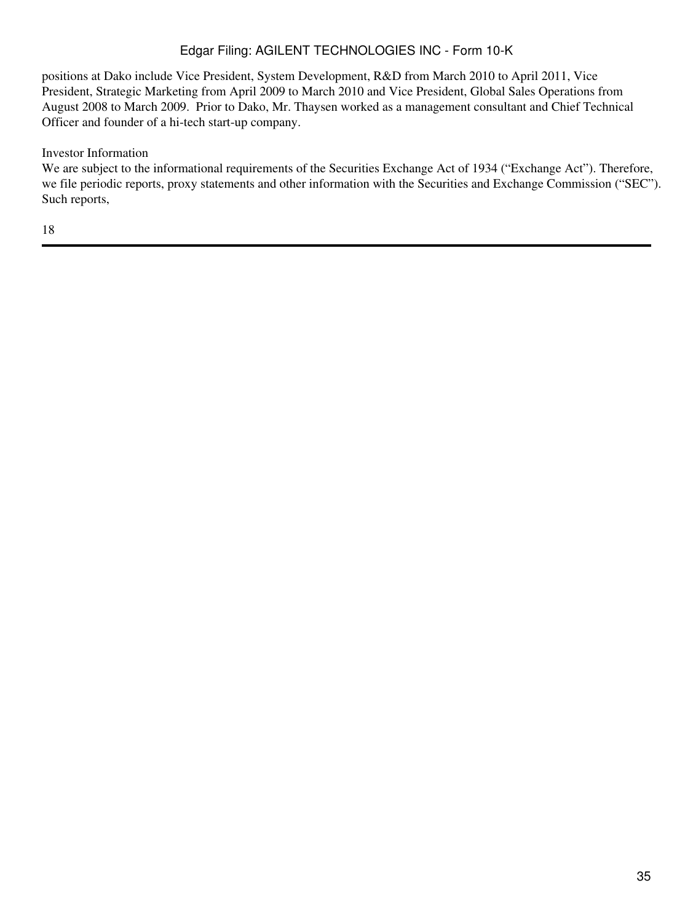positions at Dako include Vice President, System Development, R&D from March 2010 to April 2011, Vice President, Strategic Marketing from April 2009 to March 2010 and Vice President, Global Sales Operations from August 2008 to March 2009. Prior to Dako, Mr. Thaysen worked as a management consultant and Chief Technical Officer and founder of a hi-tech start-up company.

## Investor Information

We are subject to the informational requirements of the Securities Exchange Act of 1934 ("Exchange Act"). Therefore, we file periodic reports, proxy statements and other information with the Securities and Exchange Commission ("SEC"). Such reports,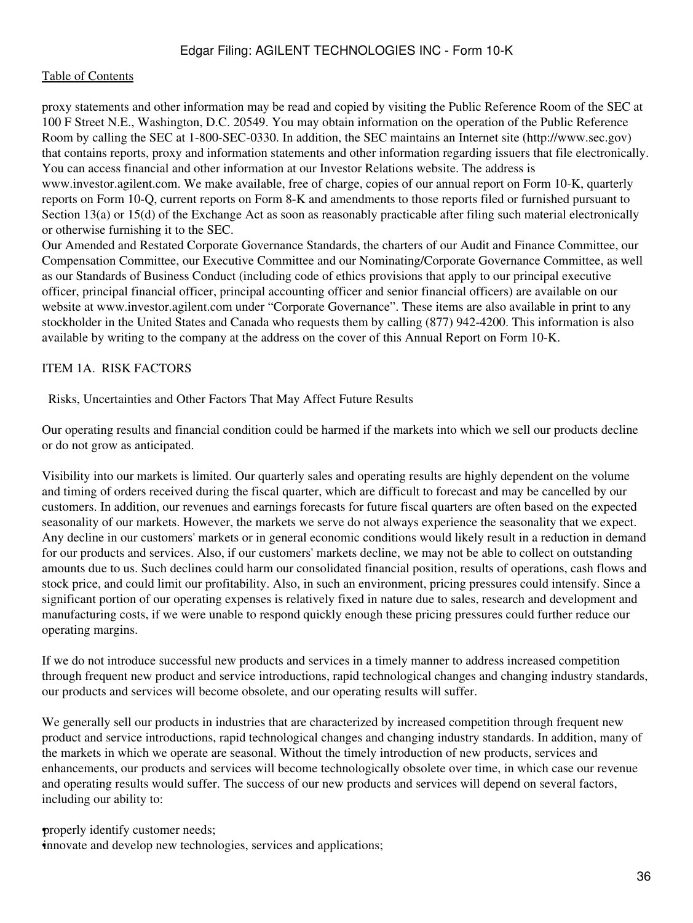proxy statements and other information may be read and copied by visiting the Public Reference Room of the SEC at 100 F Street N.E., Washington, D.C. 20549. You may obtain information on the operation of the Public Reference Room by calling the SEC at 1-800-SEC-0330. In addition, the SEC maintains an Internet site (http://www.sec.gov) that contains reports, proxy and information statements and other information regarding issuers that file electronically. You can access financial and other information at our Investor Relations website. The address is www.investor.agilent.com. We make available, free of charge, copies of our annual report on Form 10-K, quarterly reports on Form 10-Q, current reports on Form 8-K and amendments to those reports filed or furnished pursuant to Section 13(a) or 15(d) of the Exchange Act as soon as reasonably practicable after filing such material electronically or otherwise furnishing it to the SEC.

Our Amended and Restated Corporate Governance Standards, the charters of our Audit and Finance Committee, our Compensation Committee, our Executive Committee and our Nominating/Corporate Governance Committee, as well as our Standards of Business Conduct (including code of ethics provisions that apply to our principal executive officer, principal financial officer, principal accounting officer and senior financial officers) are available on our website at www.investor.agilent.com under "Corporate Governance". These items are also available in print to any stockholder in the United States and Canada who requests them by calling (877) 942-4200. This information is also available by writing to the company at the address on the cover of this Annual Report on Form 10-K.

## <span id="page-35-0"></span>ITEM 1A. RISK FACTORS

Risks, Uncertainties and Other Factors That May Affect Future Results

Our operating results and financial condition could be harmed if the markets into which we sell our products decline or do not grow as anticipated.

Visibility into our markets is limited. Our quarterly sales and operating results are highly dependent on the volume and timing of orders received during the fiscal quarter, which are difficult to forecast and may be cancelled by our customers. In addition, our revenues and earnings forecasts for future fiscal quarters are often based on the expected seasonality of our markets. However, the markets we serve do not always experience the seasonality that we expect. Any decline in our customers' markets or in general economic conditions would likely result in a reduction in demand for our products and services. Also, if our customers' markets decline, we may not be able to collect on outstanding amounts due to us. Such declines could harm our consolidated financial position, results of operations, cash flows and stock price, and could limit our profitability. Also, in such an environment, pricing pressures could intensify. Since a significant portion of our operating expenses is relatively fixed in nature due to sales, research and development and manufacturing costs, if we were unable to respond quickly enough these pricing pressures could further reduce our operating margins.

If we do not introduce successful new products and services in a timely manner to address increased competition through frequent new product and service introductions, rapid technological changes and changing industry standards, our products and services will become obsolete, and our operating results will suffer.

We generally sell our products in industries that are characterized by increased competition through frequent new product and service introductions, rapid technological changes and changing industry standards. In addition, many of the markets in which we operate are seasonal. Without the timely introduction of new products, services and enhancements, our products and services will become technologically obsolete over time, in which case our revenue and operating results would suffer. The success of our new products and services will depend on several factors, including our ability to:

properly identify customer needs; •innovate and develop new technologies, services and applications;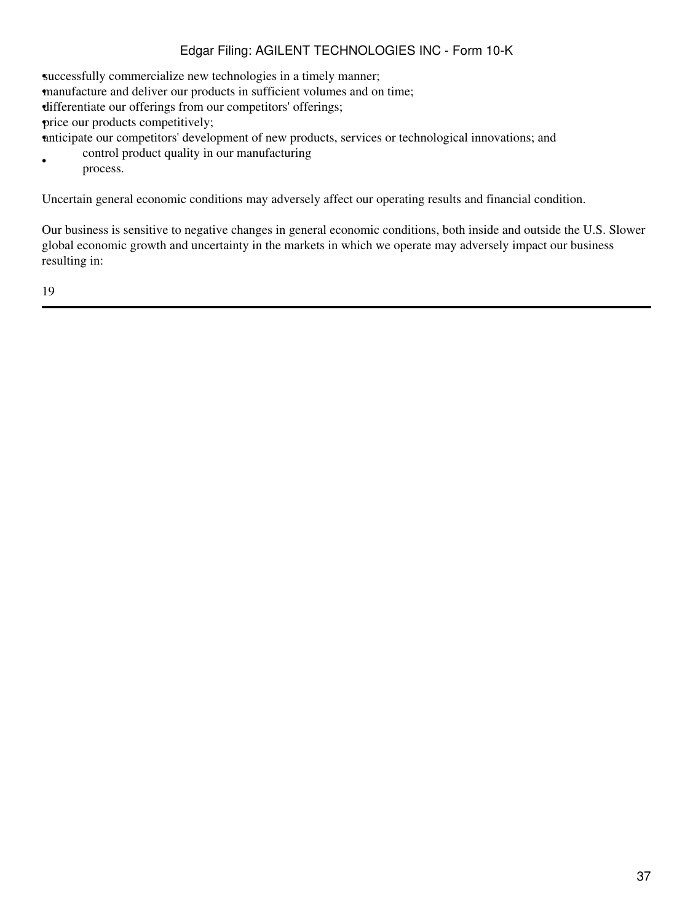successfully commercialize new technologies in a timely manner; •manufacture and deliver our products in sufficient volumes and on time; •differentiate our offerings from our competitors' offerings; •price our products competitively; •anticipate our competitors' development of new products, services or technological innovations; and

• control product quality in our manufacturing process.

Uncertain general economic conditions may adversely affect our operating results and financial condition.

Our business is sensitive to negative changes in general economic conditions, both inside and outside the U.S. Slower global economic growth and uncertainty in the markets in which we operate may adversely impact our business resulting in: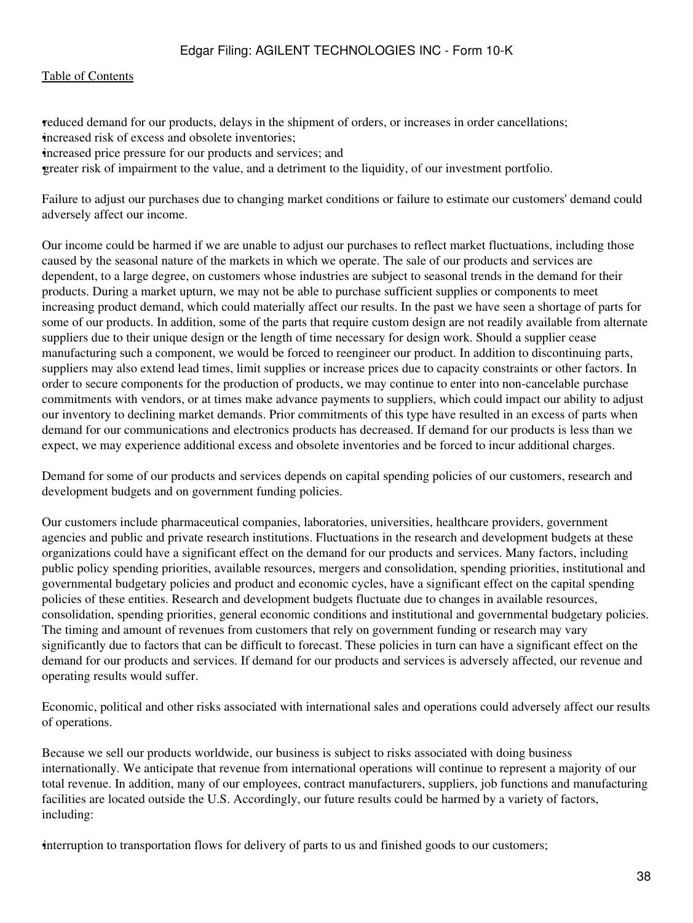#### [Table of Contents](#page-2-0)

•reduced demand for our products, delays in the shipment of orders, or increases in order cancellations; increased risk of excess and obsolete inventories;

•increased price pressure for our products and services; and

•greater risk of impairment to the value, and a detriment to the liquidity, of our investment portfolio.

Failure to adjust our purchases due to changing market conditions or failure to estimate our customers' demand could adversely affect our income.

Our income could be harmed if we are unable to adjust our purchases to reflect market fluctuations, including those caused by the seasonal nature of the markets in which we operate. The sale of our products and services are dependent, to a large degree, on customers whose industries are subject to seasonal trends in the demand for their products. During a market upturn, we may not be able to purchase sufficient supplies or components to meet increasing product demand, which could materially affect our results. In the past we have seen a shortage of parts for some of our products. In addition, some of the parts that require custom design are not readily available from alternate suppliers due to their unique design or the length of time necessary for design work. Should a supplier cease manufacturing such a component, we would be forced to reengineer our product. In addition to discontinuing parts, suppliers may also extend lead times, limit supplies or increase prices due to capacity constraints or other factors. In order to secure components for the production of products, we may continue to enter into non-cancelable purchase commitments with vendors, or at times make advance payments to suppliers, which could impact our ability to adjust our inventory to declining market demands. Prior commitments of this type have resulted in an excess of parts when demand for our communications and electronics products has decreased. If demand for our products is less than we expect, we may experience additional excess and obsolete inventories and be forced to incur additional charges.

Demand for some of our products and services depends on capital spending policies of our customers, research and development budgets and on government funding policies.

Our customers include pharmaceutical companies, laboratories, universities, healthcare providers, government agencies and public and private research institutions. Fluctuations in the research and development budgets at these organizations could have a significant effect on the demand for our products and services. Many factors, including public policy spending priorities, available resources, mergers and consolidation, spending priorities, institutional and governmental budgetary policies and product and economic cycles, have a significant effect on the capital spending policies of these entities. Research and development budgets fluctuate due to changes in available resources, consolidation, spending priorities, general economic conditions and institutional and governmental budgetary policies. The timing and amount of revenues from customers that rely on government funding or research may vary significantly due to factors that can be difficult to forecast. These policies in turn can have a significant effect on the demand for our products and services. If demand for our products and services is adversely affected, our revenue and operating results would suffer.

Economic, political and other risks associated with international sales and operations could adversely affect our results of operations.

Because we sell our products worldwide, our business is subject to risks associated with doing business internationally. We anticipate that revenue from international operations will continue to represent a majority of our total revenue. In addition, many of our employees, contract manufacturers, suppliers, job functions and manufacturing facilities are located outside the U.S. Accordingly, our future results could be harmed by a variety of factors, including:

•interruption to transportation flows for delivery of parts to us and finished goods to our customers;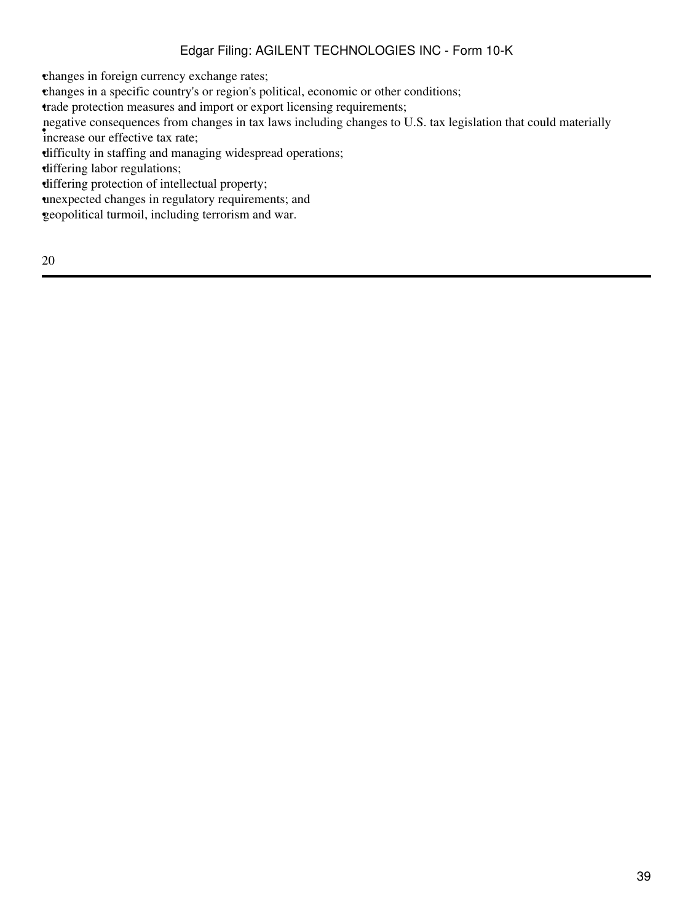•changes in foreign currency exchange rates;

•changes in a specific country's or region's political, economic or other conditions;

trade protection measures and import or export licensing requirements;

**Figure consequences** from consequences negative consequences from changes in tax laws including changes to U.S. tax legislation that could materially

•difficulty in staffing and managing widespread operations;

•differing labor regulations;

•differing protection of intellectual property;

•unexpected changes in regulatory requirements; and

•geopolitical turmoil, including terrorism and war.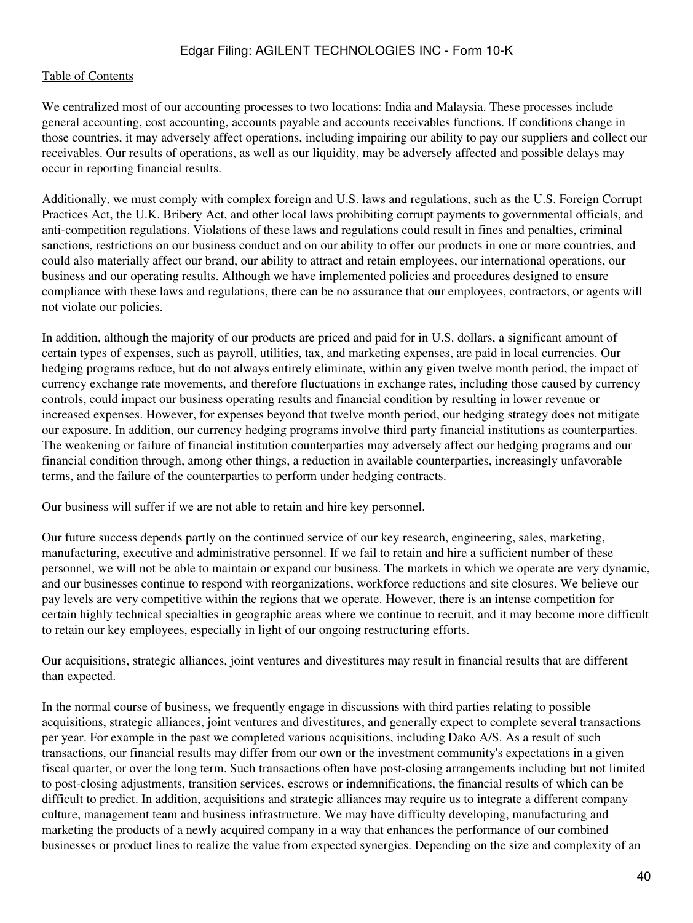#### [Table of Contents](#page-2-0)

We centralized most of our accounting processes to two locations: India and Malaysia. These processes include general accounting, cost accounting, accounts payable and accounts receivables functions. If conditions change in those countries, it may adversely affect operations, including impairing our ability to pay our suppliers and collect our receivables. Our results of operations, as well as our liquidity, may be adversely affected and possible delays may occur in reporting financial results.

Additionally, we must comply with complex foreign and U.S. laws and regulations, such as the U.S. Foreign Corrupt Practices Act, the U.K. Bribery Act, and other local laws prohibiting corrupt payments to governmental officials, and anti-competition regulations. Violations of these laws and regulations could result in fines and penalties, criminal sanctions, restrictions on our business conduct and on our ability to offer our products in one or more countries, and could also materially affect our brand, our ability to attract and retain employees, our international operations, our business and our operating results. Although we have implemented policies and procedures designed to ensure compliance with these laws and regulations, there can be no assurance that our employees, contractors, or agents will not violate our policies.

In addition, although the majority of our products are priced and paid for in U.S. dollars, a significant amount of certain types of expenses, such as payroll, utilities, tax, and marketing expenses, are paid in local currencies. Our hedging programs reduce, but do not always entirely eliminate, within any given twelve month period, the impact of currency exchange rate movements, and therefore fluctuations in exchange rates, including those caused by currency controls, could impact our business operating results and financial condition by resulting in lower revenue or increased expenses. However, for expenses beyond that twelve month period, our hedging strategy does not mitigate our exposure. In addition, our currency hedging programs involve third party financial institutions as counterparties. The weakening or failure of financial institution counterparties may adversely affect our hedging programs and our financial condition through, among other things, a reduction in available counterparties, increasingly unfavorable terms, and the failure of the counterparties to perform under hedging contracts.

Our business will suffer if we are not able to retain and hire key personnel.

Our future success depends partly on the continued service of our key research, engineering, sales, marketing, manufacturing, executive and administrative personnel. If we fail to retain and hire a sufficient number of these personnel, we will not be able to maintain or expand our business. The markets in which we operate are very dynamic, and our businesses continue to respond with reorganizations, workforce reductions and site closures. We believe our pay levels are very competitive within the regions that we operate. However, there is an intense competition for certain highly technical specialties in geographic areas where we continue to recruit, and it may become more difficult to retain our key employees, especially in light of our ongoing restructuring efforts.

Our acquisitions, strategic alliances, joint ventures and divestitures may result in financial results that are different than expected.

In the normal course of business, we frequently engage in discussions with third parties relating to possible acquisitions, strategic alliances, joint ventures and divestitures, and generally expect to complete several transactions per year. For example in the past we completed various acquisitions, including Dako A/S. As a result of such transactions, our financial results may differ from our own or the investment community's expectations in a given fiscal quarter, or over the long term. Such transactions often have post-closing arrangements including but not limited to post-closing adjustments, transition services, escrows or indemnifications, the financial results of which can be difficult to predict. In addition, acquisitions and strategic alliances may require us to integrate a different company culture, management team and business infrastructure. We may have difficulty developing, manufacturing and marketing the products of a newly acquired company in a way that enhances the performance of our combined businesses or product lines to realize the value from expected synergies. Depending on the size and complexity of an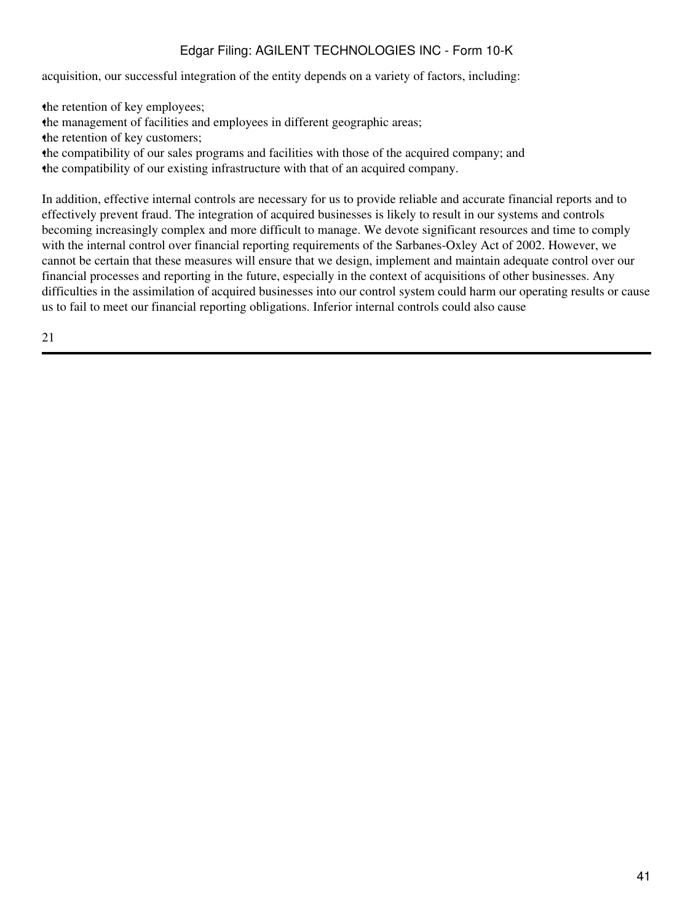acquisition, our successful integration of the entity depends on a variety of factors, including:

the retention of key employees;

•the management of facilities and employees in different geographic areas;

the retention of key customers;

•the compatibility of our sales programs and facilities with those of the acquired company; and •the compatibility of our existing infrastructure with that of an acquired company.

In addition, effective internal controls are necessary for us to provide reliable and accurate financial reports and to effectively prevent fraud. The integration of acquired businesses is likely to result in our systems and controls becoming increasingly complex and more difficult to manage. We devote significant resources and time to comply with the internal control over financial reporting requirements of the Sarbanes-Oxley Act of 2002. However, we cannot be certain that these measures will ensure that we design, implement and maintain adequate control over our financial processes and reporting in the future, especially in the context of acquisitions of other businesses. Any difficulties in the assimilation of acquired businesses into our control system could harm our operating results or cause us to fail to meet our financial reporting obligations. Inferior internal controls could also cause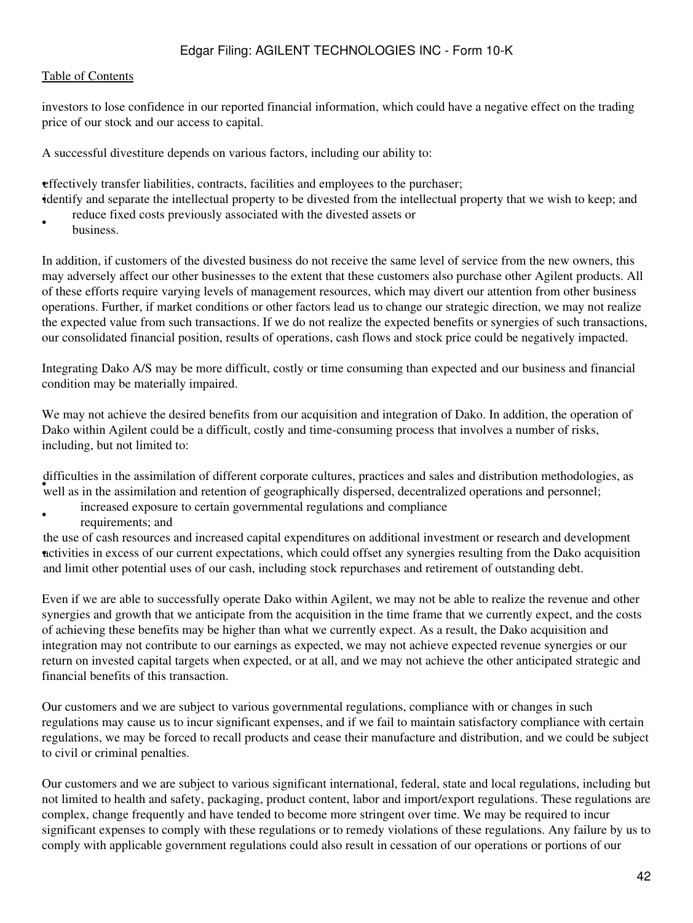investors to lose confidence in our reported financial information, which could have a negative effect on the trading price of our stock and our access to capital.

A successful divestiture depends on various factors, including our ability to:

•effectively transfer liabilities, contracts, facilities and employees to the purchaser;

•identify and separate the intellectual property to be divested from the intellectual property that we wish to keep; and reduce fixed costs previously associated with the divested assets or

• business.

In addition, if customers of the divested business do not receive the same level of service from the new owners, this may adversely affect our other businesses to the extent that these customers also purchase other Agilent products. All of these efforts require varying levels of management resources, which may divert our attention from other business operations. Further, if market conditions or other factors lead us to change our strategic direction, we may not realize the expected value from such transactions. If we do not realize the expected benefits or synergies of such transactions, our consolidated financial position, results of operations, cash flows and stock price could be negatively impacted.

Integrating Dako A/S may be more difficult, costly or time consuming than expected and our business and financial condition may be materially impaired.

We may not achieve the desired benefits from our acquisition and integration of Dako. In addition, the operation of Dako within Agilent could be a difficult, costly and time-consuming process that involves a number of risks, including, but not limited to:

well as in the assimilation of directive corporate called stype and safety and safety and distribution included  $S$ difficulties in the assimilation of different corporate cultures, practices and sales and distribution methodologies, as

increased exposure to certain governmental regulations and compliance

• requirements; and

• activities in excess of our current expectations, which could offset any synergies resulting from the Dako acquisition the use of cash resources and increased capital expenditures on additional investment or research and development and limit other potential uses of our cash, including stock repurchases and retirement of outstanding debt.

Even if we are able to successfully operate Dako within Agilent, we may not be able to realize the revenue and other synergies and growth that we anticipate from the acquisition in the time frame that we currently expect, and the costs of achieving these benefits may be higher than what we currently expect. As a result, the Dako acquisition and integration may not contribute to our earnings as expected, we may not achieve expected revenue synergies or our return on invested capital targets when expected, or at all, and we may not achieve the other anticipated strategic and financial benefits of this transaction.

Our customers and we are subject to various governmental regulations, compliance with or changes in such regulations may cause us to incur significant expenses, and if we fail to maintain satisfactory compliance with certain regulations, we may be forced to recall products and cease their manufacture and distribution, and we could be subject to civil or criminal penalties.

Our customers and we are subject to various significant international, federal, state and local regulations, including but not limited to health and safety, packaging, product content, labor and import/export regulations. These regulations are complex, change frequently and have tended to become more stringent over time. We may be required to incur significant expenses to comply with these regulations or to remedy violations of these regulations. Any failure by us to comply with applicable government regulations could also result in cessation of our operations or portions of our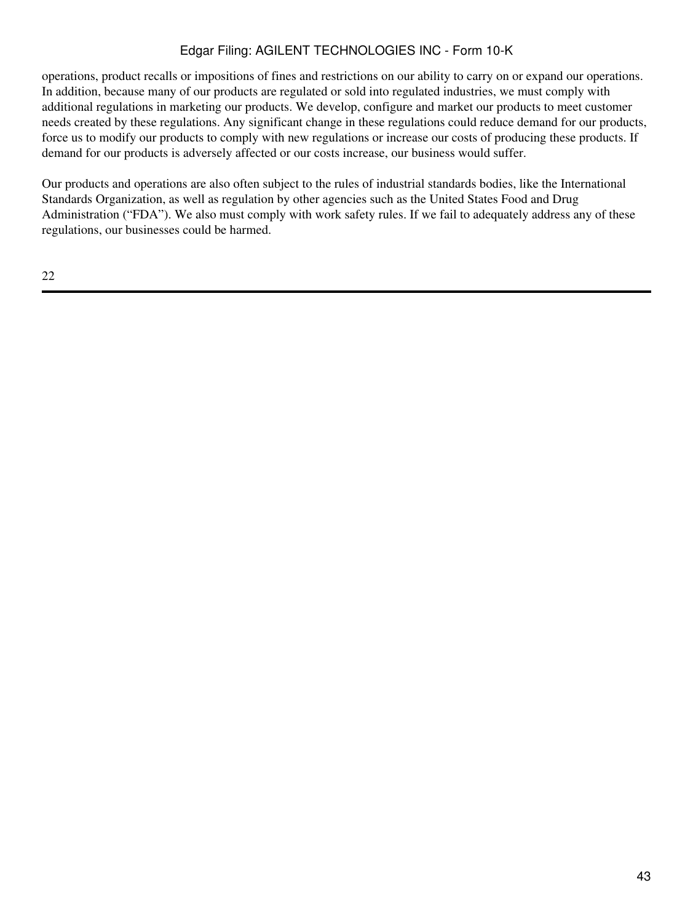operations, product recalls or impositions of fines and restrictions on our ability to carry on or expand our operations. In addition, because many of our products are regulated or sold into regulated industries, we must comply with additional regulations in marketing our products. We develop, configure and market our products to meet customer needs created by these regulations. Any significant change in these regulations could reduce demand for our products, force us to modify our products to comply with new regulations or increase our costs of producing these products. If demand for our products is adversely affected or our costs increase, our business would suffer.

Our products and operations are also often subject to the rules of industrial standards bodies, like the International Standards Organization, as well as regulation by other agencies such as the United States Food and Drug Administration ("FDA"). We also must comply with work safety rules. If we fail to adequately address any of these regulations, our businesses could be harmed.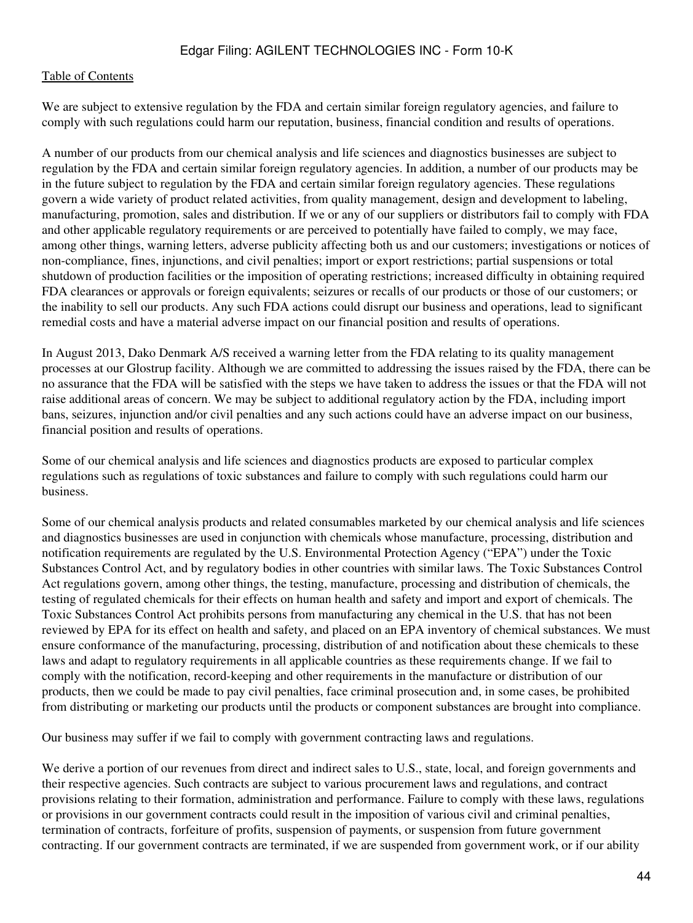We are subject to extensive regulation by the FDA and certain similar foreign regulatory agencies, and failure to comply with such regulations could harm our reputation, business, financial condition and results of operations.

A number of our products from our chemical analysis and life sciences and diagnostics businesses are subject to regulation by the FDA and certain similar foreign regulatory agencies. In addition, a number of our products may be in the future subject to regulation by the FDA and certain similar foreign regulatory agencies. These regulations govern a wide variety of product related activities, from quality management, design and development to labeling, manufacturing, promotion, sales and distribution. If we or any of our suppliers or distributors fail to comply with FDA and other applicable regulatory requirements or are perceived to potentially have failed to comply, we may face, among other things, warning letters, adverse publicity affecting both us and our customers; investigations or notices of non-compliance, fines, injunctions, and civil penalties; import or export restrictions; partial suspensions or total shutdown of production facilities or the imposition of operating restrictions; increased difficulty in obtaining required FDA clearances or approvals or foreign equivalents; seizures or recalls of our products or those of our customers; or the inability to sell our products. Any such FDA actions could disrupt our business and operations, lead to significant remedial costs and have a material adverse impact on our financial position and results of operations.

In August 2013, Dako Denmark A/S received a warning letter from the FDA relating to its quality management processes at our Glostrup facility. Although we are committed to addressing the issues raised by the FDA, there can be no assurance that the FDA will be satisfied with the steps we have taken to address the issues or that the FDA will not raise additional areas of concern. We may be subject to additional regulatory action by the FDA, including import bans, seizures, injunction and/or civil penalties and any such actions could have an adverse impact on our business, financial position and results of operations.

Some of our chemical analysis and life sciences and diagnostics products are exposed to particular complex regulations such as regulations of toxic substances and failure to comply with such regulations could harm our business.

Some of our chemical analysis products and related consumables marketed by our chemical analysis and life sciences and diagnostics businesses are used in conjunction with chemicals whose manufacture, processing, distribution and notification requirements are regulated by the U.S. Environmental Protection Agency ("EPA") under the Toxic Substances Control Act, and by regulatory bodies in other countries with similar laws. The Toxic Substances Control Act regulations govern, among other things, the testing, manufacture, processing and distribution of chemicals, the testing of regulated chemicals for their effects on human health and safety and import and export of chemicals. The Toxic Substances Control Act prohibits persons from manufacturing any chemical in the U.S. that has not been reviewed by EPA for its effect on health and safety, and placed on an EPA inventory of chemical substances. We must ensure conformance of the manufacturing, processing, distribution of and notification about these chemicals to these laws and adapt to regulatory requirements in all applicable countries as these requirements change. If we fail to comply with the notification, record-keeping and other requirements in the manufacture or distribution of our products, then we could be made to pay civil penalties, face criminal prosecution and, in some cases, be prohibited from distributing or marketing our products until the products or component substances are brought into compliance.

Our business may suffer if we fail to comply with government contracting laws and regulations.

We derive a portion of our revenues from direct and indirect sales to U.S., state, local, and foreign governments and their respective agencies. Such contracts are subject to various procurement laws and regulations, and contract provisions relating to their formation, administration and performance. Failure to comply with these laws, regulations or provisions in our government contracts could result in the imposition of various civil and criminal penalties, termination of contracts, forfeiture of profits, suspension of payments, or suspension from future government contracting. If our government contracts are terminated, if we are suspended from government work, or if our ability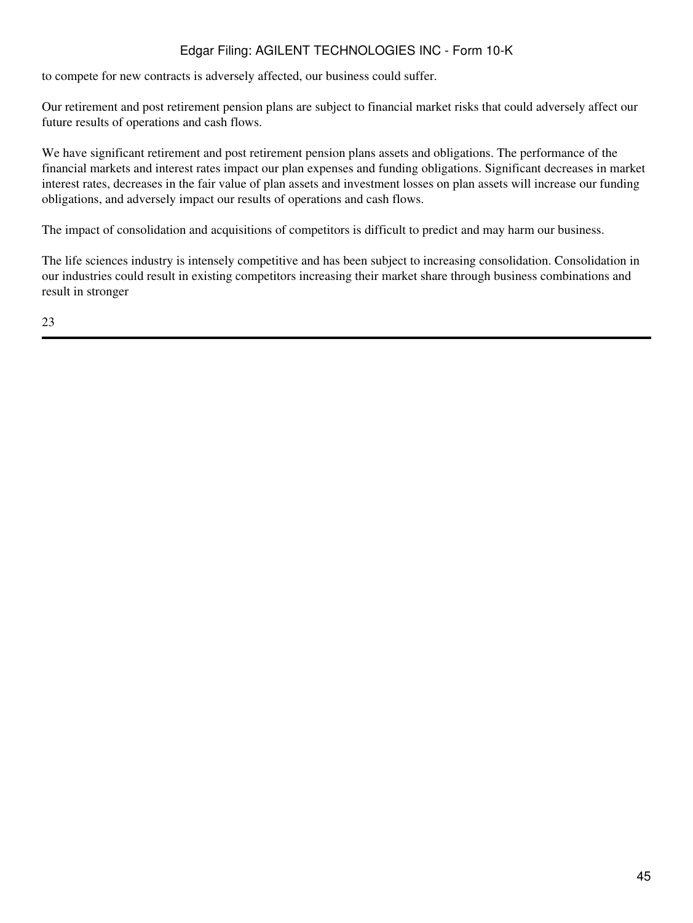to compete for new contracts is adversely affected, our business could suffer.

Our retirement and post retirement pension plans are subject to financial market risks that could adversely affect our future results of operations and cash flows.

We have significant retirement and post retirement pension plans assets and obligations. The performance of the financial markets and interest rates impact our plan expenses and funding obligations. Significant decreases in market interest rates, decreases in the fair value of plan assets and investment losses on plan assets will increase our funding obligations, and adversely impact our results of operations and cash flows.

The impact of consolidation and acquisitions of competitors is difficult to predict and may harm our business.

The life sciences industry is intensely competitive and has been subject to increasing consolidation. Consolidation in our industries could result in existing competitors increasing their market share through business combinations and result in stronger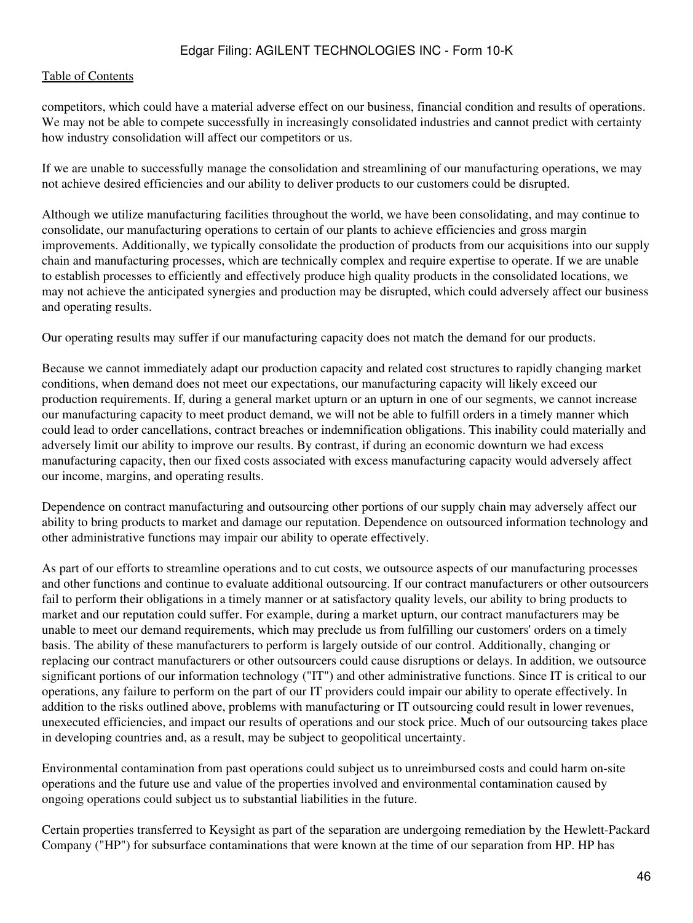#### [Table of Contents](#page-2-0)

competitors, which could have a material adverse effect on our business, financial condition and results of operations. We may not be able to compete successfully in increasingly consolidated industries and cannot predict with certainty how industry consolidation will affect our competitors or us.

If we are unable to successfully manage the consolidation and streamlining of our manufacturing operations, we may not achieve desired efficiencies and our ability to deliver products to our customers could be disrupted.

Although we utilize manufacturing facilities throughout the world, we have been consolidating, and may continue to consolidate, our manufacturing operations to certain of our plants to achieve efficiencies and gross margin improvements. Additionally, we typically consolidate the production of products from our acquisitions into our supply chain and manufacturing processes, which are technically complex and require expertise to operate. If we are unable to establish processes to efficiently and effectively produce high quality products in the consolidated locations, we may not achieve the anticipated synergies and production may be disrupted, which could adversely affect our business and operating results.

Our operating results may suffer if our manufacturing capacity does not match the demand for our products.

Because we cannot immediately adapt our production capacity and related cost structures to rapidly changing market conditions, when demand does not meet our expectations, our manufacturing capacity will likely exceed our production requirements. If, during a general market upturn or an upturn in one of our segments, we cannot increase our manufacturing capacity to meet product demand, we will not be able to fulfill orders in a timely manner which could lead to order cancellations, contract breaches or indemnification obligations. This inability could materially and adversely limit our ability to improve our results. By contrast, if during an economic downturn we had excess manufacturing capacity, then our fixed costs associated with excess manufacturing capacity would adversely affect our income, margins, and operating results.

Dependence on contract manufacturing and outsourcing other portions of our supply chain may adversely affect our ability to bring products to market and damage our reputation. Dependence on outsourced information technology and other administrative functions may impair our ability to operate effectively.

As part of our efforts to streamline operations and to cut costs, we outsource aspects of our manufacturing processes and other functions and continue to evaluate additional outsourcing. If our contract manufacturers or other outsourcers fail to perform their obligations in a timely manner or at satisfactory quality levels, our ability to bring products to market and our reputation could suffer. For example, during a market upturn, our contract manufacturers may be unable to meet our demand requirements, which may preclude us from fulfilling our customers' orders on a timely basis. The ability of these manufacturers to perform is largely outside of our control. Additionally, changing or replacing our contract manufacturers or other outsourcers could cause disruptions or delays. In addition, we outsource significant portions of our information technology ("IT") and other administrative functions. Since IT is critical to our operations, any failure to perform on the part of our IT providers could impair our ability to operate effectively. In addition to the risks outlined above, problems with manufacturing or IT outsourcing could result in lower revenues, unexecuted efficiencies, and impact our results of operations and our stock price. Much of our outsourcing takes place in developing countries and, as a result, may be subject to geopolitical uncertainty.

Environmental contamination from past operations could subject us to unreimbursed costs and could harm on-site operations and the future use and value of the properties involved and environmental contamination caused by ongoing operations could subject us to substantial liabilities in the future.

Certain properties transferred to Keysight as part of the separation are undergoing remediation by the Hewlett-Packard Company ("HP") for subsurface contaminations that were known at the time of our separation from HP. HP has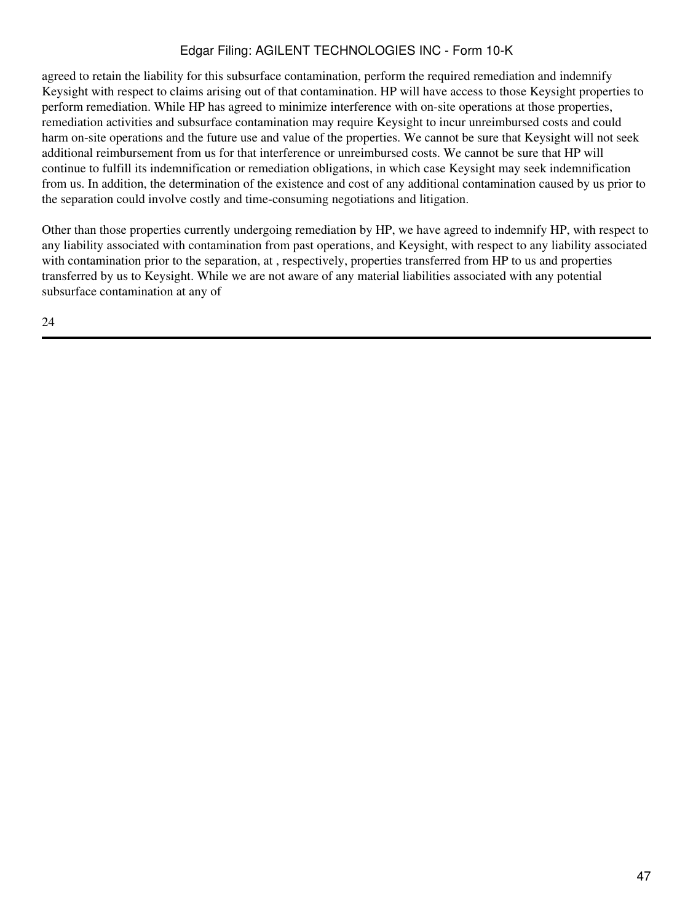agreed to retain the liability for this subsurface contamination, perform the required remediation and indemnify Keysight with respect to claims arising out of that contamination. HP will have access to those Keysight properties to perform remediation. While HP has agreed to minimize interference with on-site operations at those properties, remediation activities and subsurface contamination may require Keysight to incur unreimbursed costs and could harm on-site operations and the future use and value of the properties. We cannot be sure that Keysight will not seek additional reimbursement from us for that interference or unreimbursed costs. We cannot be sure that HP will continue to fulfill its indemnification or remediation obligations, in which case Keysight may seek indemnification from us. In addition, the determination of the existence and cost of any additional contamination caused by us prior to the separation could involve costly and time-consuming negotiations and litigation.

Other than those properties currently undergoing remediation by HP, we have agreed to indemnify HP, with respect to any liability associated with contamination from past operations, and Keysight, with respect to any liability associated with contamination prior to the separation, at, respectively, properties transferred from HP to us and properties transferred by us to Keysight. While we are not aware of any material liabilities associated with any potential subsurface contamination at any of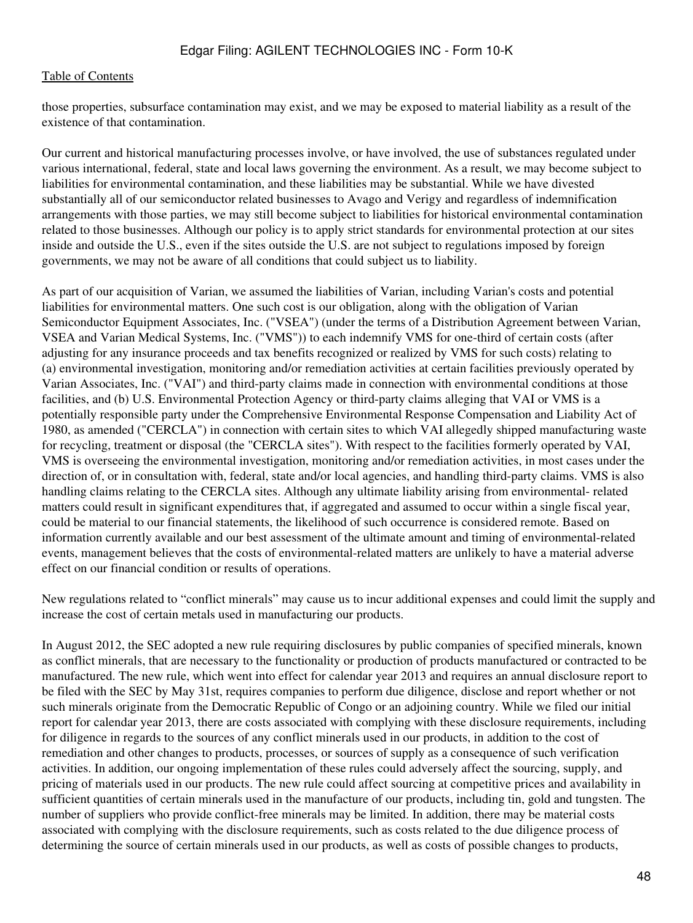those properties, subsurface contamination may exist, and we may be exposed to material liability as a result of the existence of that contamination.

Our current and historical manufacturing processes involve, or have involved, the use of substances regulated under various international, federal, state and local laws governing the environment. As a result, we may become subject to liabilities for environmental contamination, and these liabilities may be substantial. While we have divested substantially all of our semiconductor related businesses to Avago and Verigy and regardless of indemnification arrangements with those parties, we may still become subject to liabilities for historical environmental contamination related to those businesses. Although our policy is to apply strict standards for environmental protection at our sites inside and outside the U.S., even if the sites outside the U.S. are not subject to regulations imposed by foreign governments, we may not be aware of all conditions that could subject us to liability.

As part of our acquisition of Varian, we assumed the liabilities of Varian, including Varian's costs and potential liabilities for environmental matters. One such cost is our obligation, along with the obligation of Varian Semiconductor Equipment Associates, Inc. ("VSEA") (under the terms of a Distribution Agreement between Varian, VSEA and Varian Medical Systems, Inc. ("VMS")) to each indemnify VMS for one-third of certain costs (after adjusting for any insurance proceeds and tax benefits recognized or realized by VMS for such costs) relating to (a) environmental investigation, monitoring and/or remediation activities at certain facilities previously operated by Varian Associates, Inc. ("VAI") and third-party claims made in connection with environmental conditions at those facilities, and (b) U.S. Environmental Protection Agency or third-party claims alleging that VAI or VMS is a potentially responsible party under the Comprehensive Environmental Response Compensation and Liability Act of 1980, as amended ("CERCLA") in connection with certain sites to which VAI allegedly shipped manufacturing waste for recycling, treatment or disposal (the "CERCLA sites"). With respect to the facilities formerly operated by VAI, VMS is overseeing the environmental investigation, monitoring and/or remediation activities, in most cases under the direction of, or in consultation with, federal, state and/or local agencies, and handling third-party claims. VMS is also handling claims relating to the CERCLA sites. Although any ultimate liability arising from environmental- related matters could result in significant expenditures that, if aggregated and assumed to occur within a single fiscal year, could be material to our financial statements, the likelihood of such occurrence is considered remote. Based on information currently available and our best assessment of the ultimate amount and timing of environmental-related events, management believes that the costs of environmental-related matters are unlikely to have a material adverse effect on our financial condition or results of operations.

New regulations related to "conflict minerals" may cause us to incur additional expenses and could limit the supply and increase the cost of certain metals used in manufacturing our products.

In August 2012, the SEC adopted a new rule requiring disclosures by public companies of specified minerals, known as conflict minerals, that are necessary to the functionality or production of products manufactured or contracted to be manufactured. The new rule, which went into effect for calendar year 2013 and requires an annual disclosure report to be filed with the SEC by May 31st, requires companies to perform due diligence, disclose and report whether or not such minerals originate from the Democratic Republic of Congo or an adjoining country. While we filed our initial report for calendar year 2013, there are costs associated with complying with these disclosure requirements, including for diligence in regards to the sources of any conflict minerals used in our products, in addition to the cost of remediation and other changes to products, processes, or sources of supply as a consequence of such verification activities. In addition, our ongoing implementation of these rules could adversely affect the sourcing, supply, and pricing of materials used in our products. The new rule could affect sourcing at competitive prices and availability in sufficient quantities of certain minerals used in the manufacture of our products, including tin, gold and tungsten. The number of suppliers who provide conflict-free minerals may be limited. In addition, there may be material costs associated with complying with the disclosure requirements, such as costs related to the due diligence process of determining the source of certain minerals used in our products, as well as costs of possible changes to products,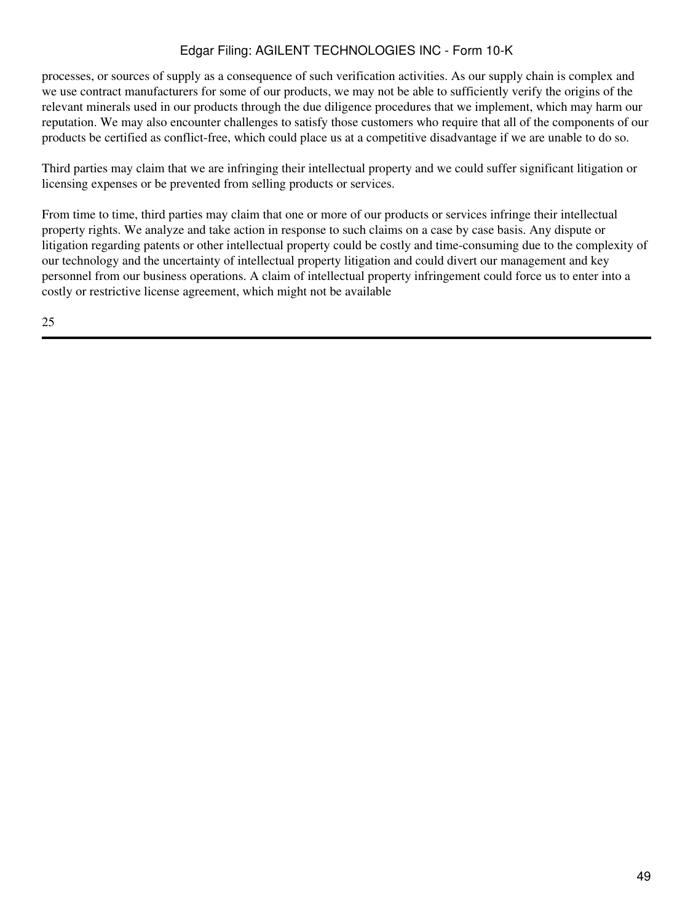processes, or sources of supply as a consequence of such verification activities. As our supply chain is complex and we use contract manufacturers for some of our products, we may not be able to sufficiently verify the origins of the relevant minerals used in our products through the due diligence procedures that we implement, which may harm our reputation. We may also encounter challenges to satisfy those customers who require that all of the components of our products be certified as conflict-free, which could place us at a competitive disadvantage if we are unable to do so.

Third parties may claim that we are infringing their intellectual property and we could suffer significant litigation or licensing expenses or be prevented from selling products or services.

From time to time, third parties may claim that one or more of our products or services infringe their intellectual property rights. We analyze and take action in response to such claims on a case by case basis. Any dispute or litigation regarding patents or other intellectual property could be costly and time-consuming due to the complexity of our technology and the uncertainty of intellectual property litigation and could divert our management and key personnel from our business operations. A claim of intellectual property infringement could force us to enter into a costly or restrictive license agreement, which might not be available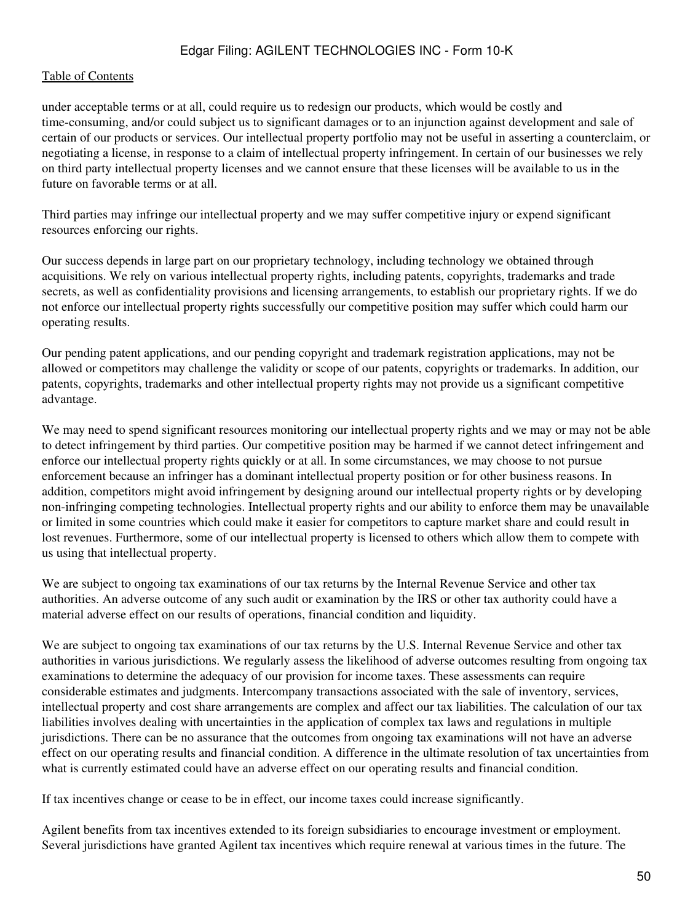#### [Table of Contents](#page-2-0)

under acceptable terms or at all, could require us to redesign our products, which would be costly and time-consuming, and/or could subject us to significant damages or to an injunction against development and sale of certain of our products or services. Our intellectual property portfolio may not be useful in asserting a counterclaim, or negotiating a license, in response to a claim of intellectual property infringement. In certain of our businesses we rely on third party intellectual property licenses and we cannot ensure that these licenses will be available to us in the future on favorable terms or at all.

Third parties may infringe our intellectual property and we may suffer competitive injury or expend significant resources enforcing our rights.

Our success depends in large part on our proprietary technology, including technology we obtained through acquisitions. We rely on various intellectual property rights, including patents, copyrights, trademarks and trade secrets, as well as confidentiality provisions and licensing arrangements, to establish our proprietary rights. If we do not enforce our intellectual property rights successfully our competitive position may suffer which could harm our operating results.

Our pending patent applications, and our pending copyright and trademark registration applications, may not be allowed or competitors may challenge the validity or scope of our patents, copyrights or trademarks. In addition, our patents, copyrights, trademarks and other intellectual property rights may not provide us a significant competitive advantage.

We may need to spend significant resources monitoring our intellectual property rights and we may or may not be able to detect infringement by third parties. Our competitive position may be harmed if we cannot detect infringement and enforce our intellectual property rights quickly or at all. In some circumstances, we may choose to not pursue enforcement because an infringer has a dominant intellectual property position or for other business reasons. In addition, competitors might avoid infringement by designing around our intellectual property rights or by developing non-infringing competing technologies. Intellectual property rights and our ability to enforce them may be unavailable or limited in some countries which could make it easier for competitors to capture market share and could result in lost revenues. Furthermore, some of our intellectual property is licensed to others which allow them to compete with us using that intellectual property.

We are subject to ongoing tax examinations of our tax returns by the Internal Revenue Service and other tax authorities. An adverse outcome of any such audit or examination by the IRS or other tax authority could have a material adverse effect on our results of operations, financial condition and liquidity.

We are subject to ongoing tax examinations of our tax returns by the U.S. Internal Revenue Service and other tax authorities in various jurisdictions. We regularly assess the likelihood of adverse outcomes resulting from ongoing tax examinations to determine the adequacy of our provision for income taxes. These assessments can require considerable estimates and judgments. Intercompany transactions associated with the sale of inventory, services, intellectual property and cost share arrangements are complex and affect our tax liabilities. The calculation of our tax liabilities involves dealing with uncertainties in the application of complex tax laws and regulations in multiple jurisdictions. There can be no assurance that the outcomes from ongoing tax examinations will not have an adverse effect on our operating results and financial condition. A difference in the ultimate resolution of tax uncertainties from what is currently estimated could have an adverse effect on our operating results and financial condition.

If tax incentives change or cease to be in effect, our income taxes could increase significantly.

Agilent benefits from tax incentives extended to its foreign subsidiaries to encourage investment or employment. Several jurisdictions have granted Agilent tax incentives which require renewal at various times in the future. The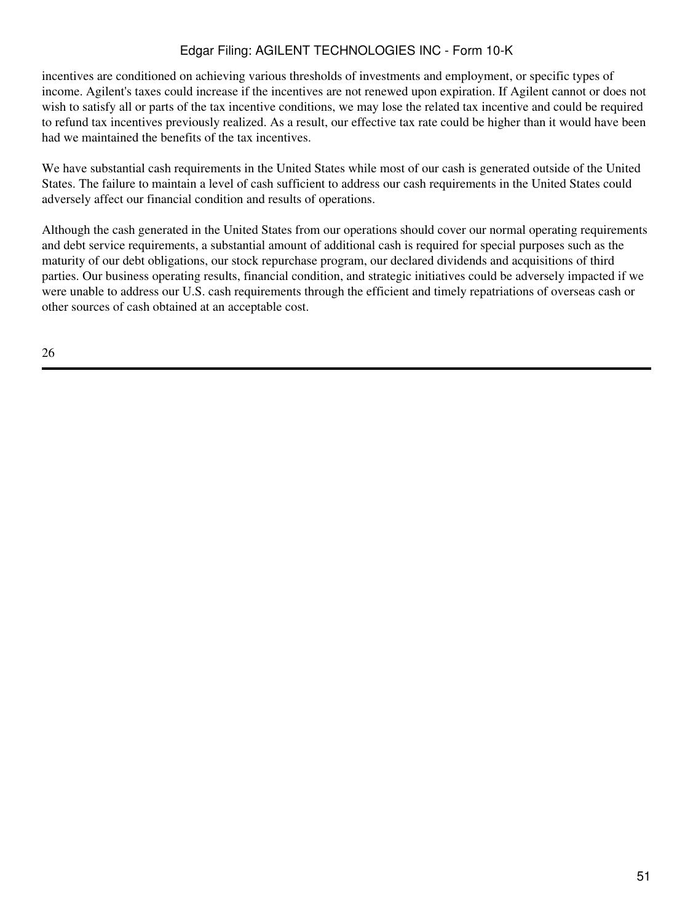incentives are conditioned on achieving various thresholds of investments and employment, or specific types of income. Agilent's taxes could increase if the incentives are not renewed upon expiration. If Agilent cannot or does not wish to satisfy all or parts of the tax incentive conditions, we may lose the related tax incentive and could be required to refund tax incentives previously realized. As a result, our effective tax rate could be higher than it would have been had we maintained the benefits of the tax incentives.

We have substantial cash requirements in the United States while most of our cash is generated outside of the United States. The failure to maintain a level of cash sufficient to address our cash requirements in the United States could adversely affect our financial condition and results of operations.

Although the cash generated in the United States from our operations should cover our normal operating requirements and debt service requirements, a substantial amount of additional cash is required for special purposes such as the maturity of our debt obligations, our stock repurchase program, our declared dividends and acquisitions of third parties. Our business operating results, financial condition, and strategic initiatives could be adversely impacted if we were unable to address our U.S. cash requirements through the efficient and timely repatriations of overseas cash or other sources of cash obtained at an acceptable cost.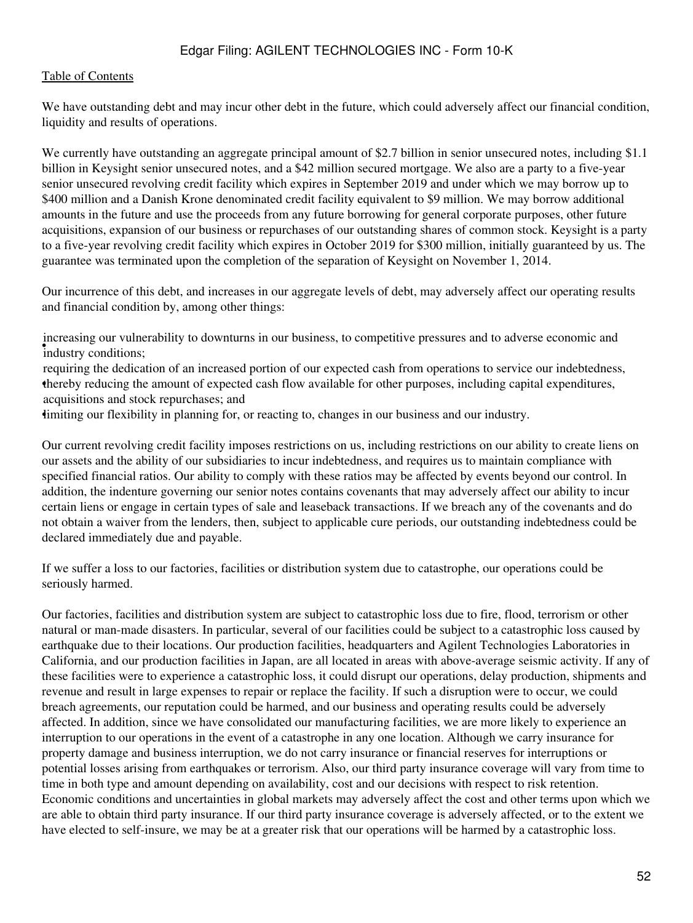We have outstanding debt and may incur other debt in the future, which could adversely affect our financial condition, liquidity and results of operations.

We currently have outstanding an aggregate principal amount of \$2.7 billion in senior unsecured notes, including \$1.1 billion in Keysight senior unsecured notes, and a \$42 million secured mortgage. We also are a party to a five-year senior unsecured revolving credit facility which expires in September 2019 and under which we may borrow up to \$400 million and a Danish Krone denominated credit facility equivalent to \$9 million. We may borrow additional amounts in the future and use the proceeds from any future borrowing for general corporate purposes, other future acquisitions, expansion of our business or repurchases of our outstanding shares of common stock. Keysight is a party to a five-year revolving credit facility which expires in October 2019 for \$300 million, initially guaranteed by us. The guarantee was terminated upon the completion of the separation of Keysight on November 1, 2014.

Our incurrence of this debt, and increases in our aggregate levels of debt, may adversely affect our operating results and financial condition by, among other things:

industry conditions; increasing our vulnerability to downturns in our business, to competitive pressures and to adverse economic and

• thereby reducing the amount of expected cash flow available for other purposes, including capital expenditures, requiring the dedication of an increased portion of our expected cash from operations to service our indebtedness, acquisitions and stock repurchases; and

•limiting our flexibility in planning for, or reacting to, changes in our business and our industry.

Our current revolving credit facility imposes restrictions on us, including restrictions on our ability to create liens on our assets and the ability of our subsidiaries to incur indebtedness, and requires us to maintain compliance with specified financial ratios. Our ability to comply with these ratios may be affected by events beyond our control. In addition, the indenture governing our senior notes contains covenants that may adversely affect our ability to incur certain liens or engage in certain types of sale and leaseback transactions. If we breach any of the covenants and do not obtain a waiver from the lenders, then, subject to applicable cure periods, our outstanding indebtedness could be declared immediately due and payable.

If we suffer a loss to our factories, facilities or distribution system due to catastrophe, our operations could be seriously harmed.

Our factories, facilities and distribution system are subject to catastrophic loss due to fire, flood, terrorism or other natural or man-made disasters. In particular, several of our facilities could be subject to a catastrophic loss caused by earthquake due to their locations. Our production facilities, headquarters and Agilent Technologies Laboratories in California, and our production facilities in Japan, are all located in areas with above-average seismic activity. If any of these facilities were to experience a catastrophic loss, it could disrupt our operations, delay production, shipments and revenue and result in large expenses to repair or replace the facility. If such a disruption were to occur, we could breach agreements, our reputation could be harmed, and our business and operating results could be adversely affected. In addition, since we have consolidated our manufacturing facilities, we are more likely to experience an interruption to our operations in the event of a catastrophe in any one location. Although we carry insurance for property damage and business interruption, we do not carry insurance or financial reserves for interruptions or potential losses arising from earthquakes or terrorism. Also, our third party insurance coverage will vary from time to time in both type and amount depending on availability, cost and our decisions with respect to risk retention. Economic conditions and uncertainties in global markets may adversely affect the cost and other terms upon which we are able to obtain third party insurance. If our third party insurance coverage is adversely affected, or to the extent we have elected to self-insure, we may be at a greater risk that our operations will be harmed by a catastrophic loss.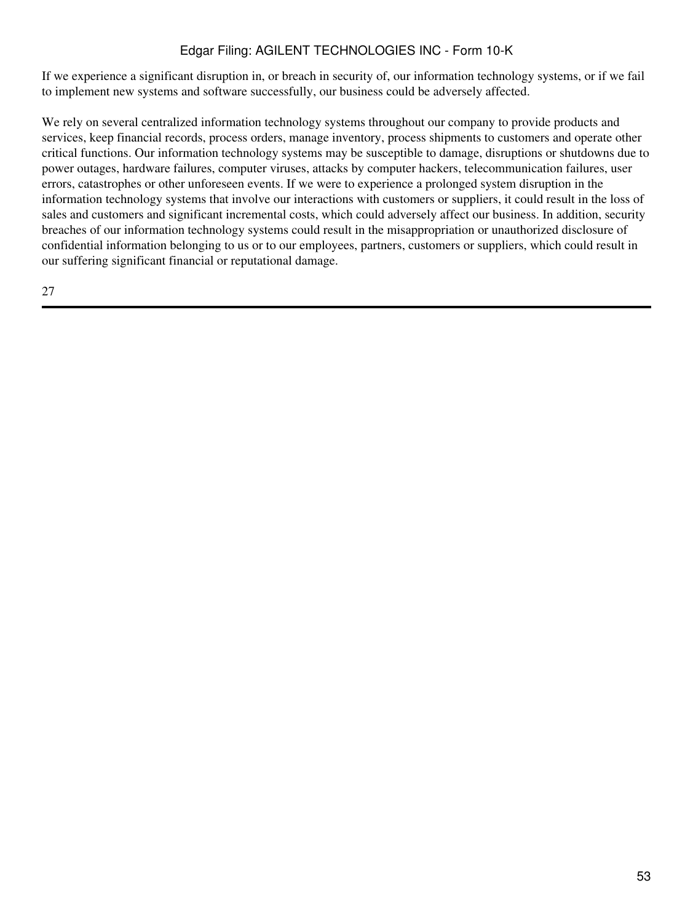If we experience a significant disruption in, or breach in security of, our information technology systems, or if we fail to implement new systems and software successfully, our business could be adversely affected.

We rely on several centralized information technology systems throughout our company to provide products and services, keep financial records, process orders, manage inventory, process shipments to customers and operate other critical functions. Our information technology systems may be susceptible to damage, disruptions or shutdowns due to power outages, hardware failures, computer viruses, attacks by computer hackers, telecommunication failures, user errors, catastrophes or other unforeseen events. If we were to experience a prolonged system disruption in the information technology systems that involve our interactions with customers or suppliers, it could result in the loss of sales and customers and significant incremental costs, which could adversely affect our business. In addition, security breaches of our information technology systems could result in the misappropriation or unauthorized disclosure of confidential information belonging to us or to our employees, partners, customers or suppliers, which could result in our suffering significant financial or reputational damage.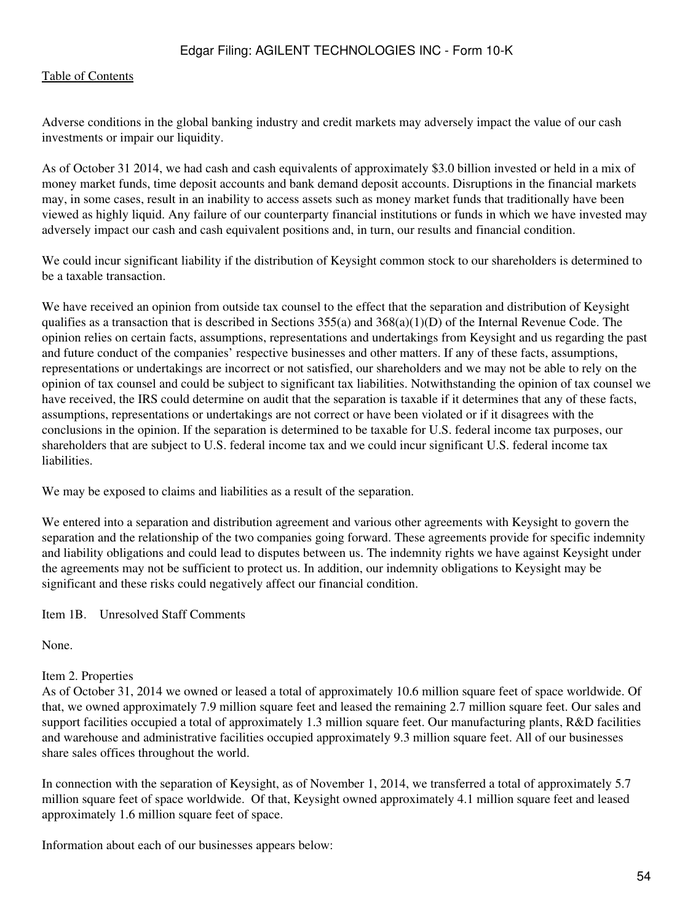Adverse conditions in the global banking industry and credit markets may adversely impact the value of our cash investments or impair our liquidity.

As of October 31 2014, we had cash and cash equivalents of approximately \$3.0 billion invested or held in a mix of money market funds, time deposit accounts and bank demand deposit accounts. Disruptions in the financial markets may, in some cases, result in an inability to access assets such as money market funds that traditionally have been viewed as highly liquid. Any failure of our counterparty financial institutions or funds in which we have invested may adversely impact our cash and cash equivalent positions and, in turn, our results and financial condition.

We could incur significant liability if the distribution of Keysight common stock to our shareholders is determined to be a taxable transaction.

We have received an opinion from outside tax counsel to the effect that the separation and distribution of Keysight qualifies as a transaction that is described in Sections  $355(a)$  and  $368(a)(1)(D)$  of the Internal Revenue Code. The opinion relies on certain facts, assumptions, representations and undertakings from Keysight and us regarding the past and future conduct of the companies' respective businesses and other matters. If any of these facts, assumptions, representations or undertakings are incorrect or not satisfied, our shareholders and we may not be able to rely on the opinion of tax counsel and could be subject to significant tax liabilities. Notwithstanding the opinion of tax counsel we have received, the IRS could determine on audit that the separation is taxable if it determines that any of these facts, assumptions, representations or undertakings are not correct or have been violated or if it disagrees with the conclusions in the opinion. If the separation is determined to be taxable for U.S. federal income tax purposes, our shareholders that are subject to U.S. federal income tax and we could incur significant U.S. federal income tax liabilities.

We may be exposed to claims and liabilities as a result of the separation.

We entered into a separation and distribution agreement and various other agreements with Keysight to govern the separation and the relationship of the two companies going forward. These agreements provide for specific indemnity and liability obligations and could lead to disputes between us. The indemnity rights we have against Keysight under the agreements may not be sufficient to protect us. In addition, our indemnity obligations to Keysight may be significant and these risks could negatively affect our financial condition.

Item 1B. Unresolved Staff Comments

None.

### Item 2. Properties

As of October 31, 2014 we owned or leased a total of approximately 10.6 million square feet of space worldwide. Of that, we owned approximately 7.9 million square feet and leased the remaining 2.7 million square feet. Our sales and support facilities occupied a total of approximately 1.3 million square feet. Our manufacturing plants, R&D facilities and warehouse and administrative facilities occupied approximately 9.3 million square feet. All of our businesses share sales offices throughout the world.

In connection with the separation of Keysight, as of November 1, 2014, we transferred a total of approximately 5.7 million square feet of space worldwide. Of that, Keysight owned approximately 4.1 million square feet and leased approximately 1.6 million square feet of space.

Information about each of our businesses appears below: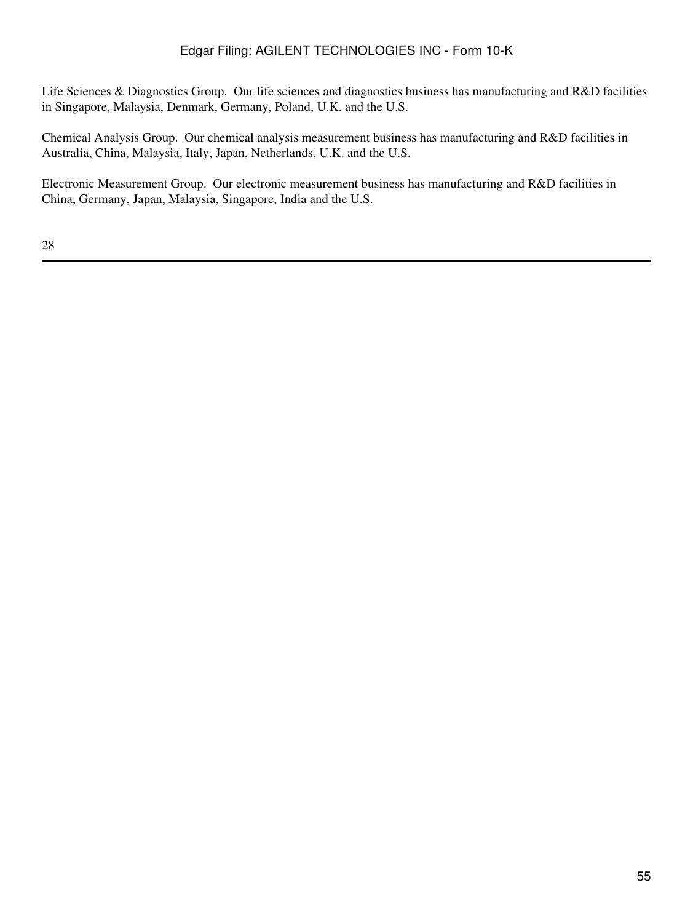Life Sciences & Diagnostics Group. Our life sciences and diagnostics business has manufacturing and R&D facilities in Singapore, Malaysia, Denmark, Germany, Poland, U.K. and the U.S.

Chemical Analysis Group. Our chemical analysis measurement business has manufacturing and R&D facilities in Australia, China, Malaysia, Italy, Japan, Netherlands, U.K. and the U.S.

Electronic Measurement Group. Our electronic measurement business has manufacturing and R&D facilities in China, Germany, Japan, Malaysia, Singapore, India and the U.S.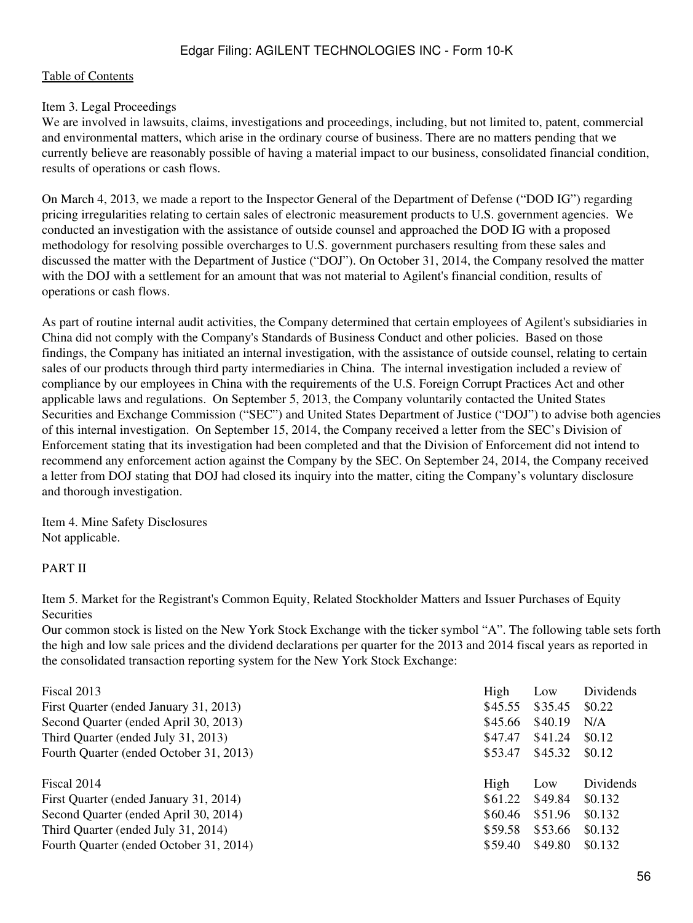#### [Table of Contents](#page-2-0)

### Item 3. Legal Proceedings

We are involved in lawsuits, claims, investigations and proceedings, including, but not limited to, patent, commercial and environmental matters, which arise in the ordinary course of business. There are no matters pending that we currently believe are reasonably possible of having a material impact to our business, consolidated financial condition, results of operations or cash flows.

On March 4, 2013, we made a report to the Inspector General of the Department of Defense ("DOD IG") regarding pricing irregularities relating to certain sales of electronic measurement products to U.S. government agencies. We conducted an investigation with the assistance of outside counsel and approached the DOD IG with a proposed methodology for resolving possible overcharges to U.S. government purchasers resulting from these sales and discussed the matter with the Department of Justice ("DOJ"). On October 31, 2014, the Company resolved the matter with the DOJ with a settlement for an amount that was not material to Agilent's financial condition, results of operations or cash flows.

As part of routine internal audit activities, the Company determined that certain employees of Agilent's subsidiaries in China did not comply with the Company's Standards of Business Conduct and other policies. Based on those findings, the Company has initiated an internal investigation, with the assistance of outside counsel, relating to certain sales of our products through third party intermediaries in China. The internal investigation included a review of compliance by our employees in China with the requirements of the U.S. Foreign Corrupt Practices Act and other applicable laws and regulations. On September 5, 2013, the Company voluntarily contacted the United States Securities and Exchange Commission ("SEC") and United States Department of Justice ("DOJ") to advise both agencies of this internal investigation. On September 15, 2014, the Company received a letter from the SEC's Division of Enforcement stating that its investigation had been completed and that the Division of Enforcement did not intend to recommend any enforcement action against the Company by the SEC. On September 24, 2014, the Company received a letter from DOJ stating that DOJ had closed its inquiry into the matter, citing the Company's voluntary disclosure and thorough investigation.

Item 4. Mine Safety Disclosures Not applicable.

#### PART II

Item 5. Market for the Registrant's Common Equity, Related Stockholder Matters and Issuer Purchases of Equity **Securities** 

Our common stock is listed on the New York Stock Exchange with the ticker symbol "A". The following table sets forth the high and low sale prices and the dividend declarations per quarter for the 2013 and 2014 fiscal years as reported in the consolidated transaction reporting system for the New York Stock Exchange:

| Fiscal 2013                             | High    | Low     | Dividends |
|-----------------------------------------|---------|---------|-----------|
| First Quarter (ended January 31, 2013)  | \$45.55 | \$35.45 | \$0.22    |
| Second Quarter (ended April 30, 2013)   | \$45.66 | \$40.19 | N/A       |
| Third Quarter (ended July 31, 2013)     | \$47.47 | \$41.24 | \$0.12    |
| Fourth Quarter (ended October 31, 2013) | \$53.47 | \$45.32 | \$0.12    |
| Fiscal 2014                             | High    | Low     | Dividends |
| First Quarter (ended January 31, 2014)  | \$61.22 | \$49.84 | \$0.132   |
| Second Quarter (ended April 30, 2014)   | \$60.46 | \$51.96 | \$0.132   |
| Third Quarter (ended July 31, 2014)     | \$59.58 | \$53.66 | \$0.132   |
|                                         |         |         |           |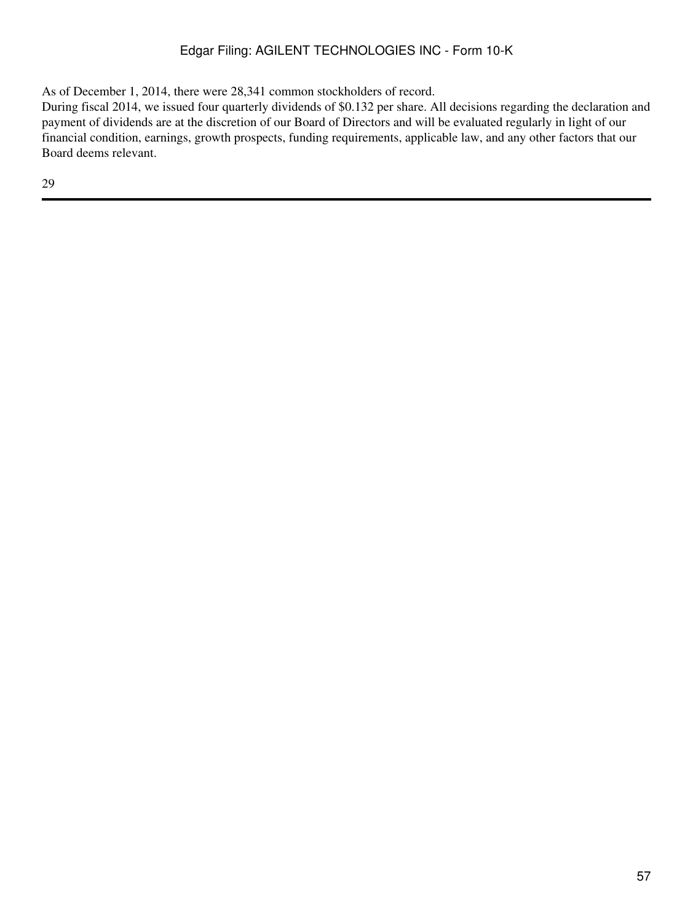As of December 1, 2014, there were 28,341 common stockholders of record.

During fiscal 2014, we issued four quarterly dividends of \$0.132 per share. All decisions regarding the declaration and payment of dividends are at the discretion of our Board of Directors and will be evaluated regularly in light of our financial condition, earnings, growth prospects, funding requirements, applicable law, and any other factors that our Board deems relevant.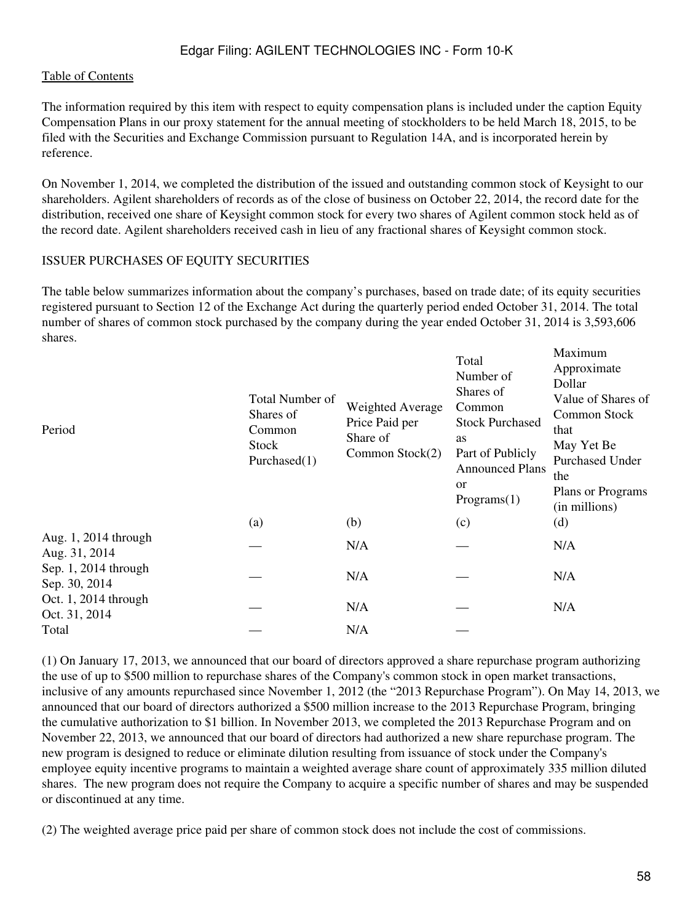### [Table of Contents](#page-2-0)

The information required by this item with respect to equity compensation plans is included under the caption Equity Compensation Plans in our proxy statement for the annual meeting of stockholders to be held March 18, 2015, to be filed with the Securities and Exchange Commission pursuant to Regulation 14A, and is incorporated herein by reference.

On November 1, 2014, we completed the distribution of the issued and outstanding common stock of Keysight to our shareholders. Agilent shareholders of records as of the close of business on October 22, 2014, the record date for the distribution, received one share of Keysight common stock for every two shares of Agilent common stock held as of the record date. Agilent shareholders received cash in lieu of any fractional shares of Keysight common stock.

#### ISSUER PURCHASES OF EQUITY SECURITIES

The table below summarizes information about the company's purchases, based on trade date; of its equity securities registered pursuant to Section 12 of the Exchange Act during the quarterly period ended October 31, 2014. The total number of shares of common stock purchased by the company during the year ended October 31, 2014 is 3,593,606 shares.

| Period                                | <b>Total Number of</b><br>Shares of<br>Common<br><b>Stock</b><br>Purchased $(1)$ | Weighted Average<br>Price Paid per<br>Share of<br>Common Stock(2) | Total<br>Number of<br>Shares of<br>Common<br><b>Stock Purchased</b><br><b>as</b><br>Part of Publicly<br><b>Announced Plans</b><br><b>or</b><br>Programs(1) | махинин<br>Approximate<br>Dollar<br>Value of Shares of<br>Common Stock<br>that<br>May Yet Be<br><b>Purchased Under</b><br>the<br>Plans or Programs<br>(in millions) |
|---------------------------------------|----------------------------------------------------------------------------------|-------------------------------------------------------------------|------------------------------------------------------------------------------------------------------------------------------------------------------------|---------------------------------------------------------------------------------------------------------------------------------------------------------------------|
|                                       | (a)                                                                              | (b)                                                               | (c)                                                                                                                                                        | (d)                                                                                                                                                                 |
| Aug. 1, 2014 through<br>Aug. 31, 2014 |                                                                                  | N/A                                                               |                                                                                                                                                            | N/A                                                                                                                                                                 |
| Sep. 1, 2014 through<br>Sep. 30, 2014 |                                                                                  | N/A                                                               |                                                                                                                                                            | N/A                                                                                                                                                                 |
| Oct. 1, 2014 through<br>Oct. 31, 2014 |                                                                                  | N/A                                                               |                                                                                                                                                            | N/A                                                                                                                                                                 |
| Total                                 |                                                                                  | N/A                                                               |                                                                                                                                                            |                                                                                                                                                                     |

(1) On January 17, 2013, we announced that our board of directors approved a share repurchase program authorizing the use of up to \$500 million to repurchase shares of the Company's common stock in open market transactions, inclusive of any amounts repurchased since November 1, 2012 (the "2013 Repurchase Program"). On May 14, 2013, we announced that our board of directors authorized a \$500 million increase to the 2013 Repurchase Program, bringing the cumulative authorization to \$1 billion. In November 2013, we completed the 2013 Repurchase Program and on November 22, 2013, we announced that our board of directors had authorized a new share repurchase program. The new program is designed to reduce or eliminate dilution resulting from issuance of stock under the Company's employee equity incentive programs to maintain a weighted average share count of approximately 335 million diluted shares. The new program does not require the Company to acquire a specific number of shares and may be suspended or discontinued at any time.

(2) The weighted average price paid per share of common stock does not include the cost of commissions.

Maximum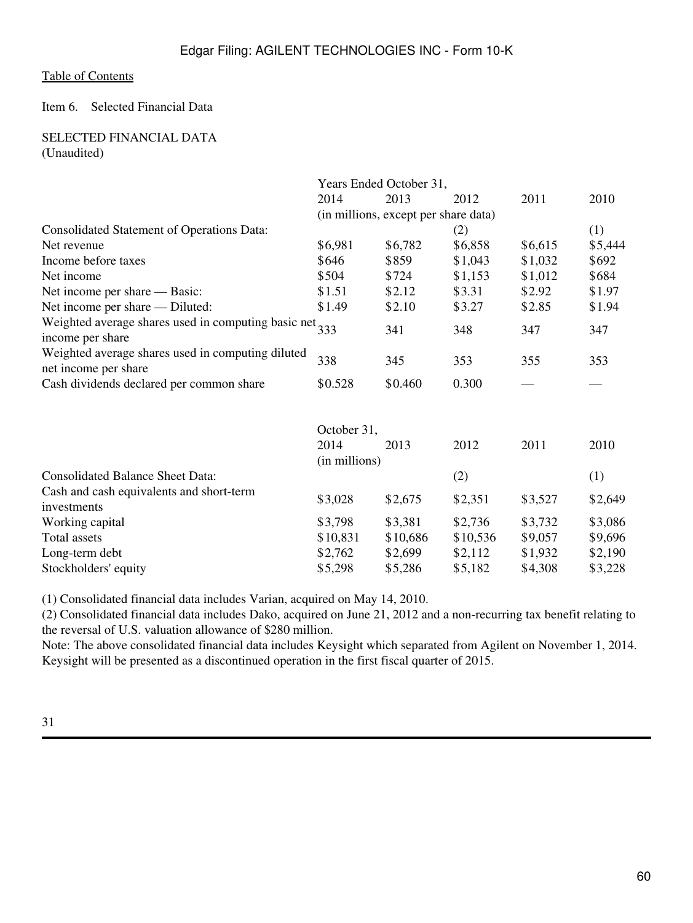### Item 6. Selected Financial Data

### SELECTED FINANCIAL DATA (Unaudited)

|                                                                               | Years Ended October 31,              |         |         |         |         |  |
|-------------------------------------------------------------------------------|--------------------------------------|---------|---------|---------|---------|--|
|                                                                               | 2014                                 | 2013    | 2012    | 2011    | 2010    |  |
|                                                                               | (in millions, except per share data) |         |         |         |         |  |
| <b>Consolidated Statement of Operations Data:</b>                             |                                      |         | (2)     |         | (1)     |  |
| Net revenue                                                                   | \$6,981                              | \$6,782 | \$6,858 | \$6,615 | \$5,444 |  |
| Income before taxes                                                           | \$646                                | \$859   | \$1,043 | \$1,032 | \$692   |  |
| Net income                                                                    | \$504                                | \$724   | \$1,153 | \$1,012 | \$684   |  |
| Net income per share — Basic:                                                 | \$1.51                               | \$2.12  | \$3.31  | \$2.92  | \$1.97  |  |
| Net income per share — Diluted:                                               | \$1.49                               | \$2.10  | \$3.27  | \$2.85  | \$1.94  |  |
| Weighted average shares used in computing basic net $333$<br>income per share |                                      | 341     | 348     | 347     | 347     |  |
| Weighted average shares used in computing diluted<br>net income per share     | 338                                  | 345     | 353     | 355     | 353     |  |
| Cash dividends declared per common share                                      | \$0.528                              | \$0.460 | 0.300   |         |         |  |
|                                                                               | October 31,                          |         |         |         |         |  |
|                                                                               | 2014<br>(in millions)                | 2013    | 2012    | 2011    | 2010    |  |
| <b>Consolidated Balance Sheet Data:</b>                                       |                                      |         | (2)     |         | (1)     |  |
| Cash and cash equivalents and short-term<br>investments                       | \$3,028                              | \$2,675 | \$2,351 | \$3,527 | \$2,649 |  |

| <b>ILIVESULIEIIUS</b> |          |          |          |         |         |
|-----------------------|----------|----------|----------|---------|---------|
| Working capital       | \$3,798  | \$3,381  | \$2.736  | \$3,732 | \$3,086 |
| Total assets          | \$10,831 | \$10,686 | \$10,536 | \$9,057 | \$9,696 |
| Long-term debt        | \$2,762  | \$2,699  | \$2,112  | \$1,932 | \$2,190 |
| Stockholders' equity  | \$5,298  | \$5,286  | \$5,182  | \$4,308 | \$3,228 |
|                       |          |          |          |         |         |

(1) Consolidated financial data includes Varian, acquired on May 14, 2010.

(2) Consolidated financial data includes Dako, acquired on June 21, 2012 and a non-recurring tax benefit relating to the reversal of U.S. valuation allowance of \$280 million.

Note: The above consolidated financial data includes Keysight which separated from Agilent on November 1, 2014. Keysight will be presented as a discontinued operation in the first fiscal quarter of 2015.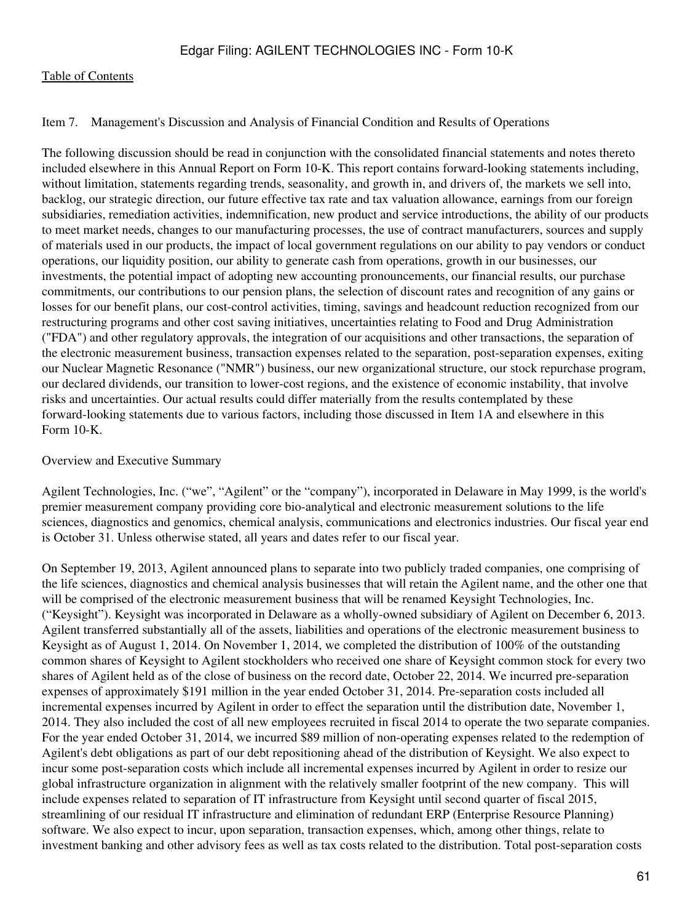#### [Table of Contents](#page-2-0)

#### Item 7. Management's Discussion and Analysis of Financial Condition and Results of Operations

The following discussion should be read in conjunction with the consolidated financial statements and notes thereto included elsewhere in this Annual Report on Form 10-K. This report contains forward-looking statements including, without limitation, statements regarding trends, seasonality, and growth in, and drivers of, the markets we sell into, backlog, our strategic direction, our future effective tax rate and tax valuation allowance, earnings from our foreign subsidiaries, remediation activities, indemnification, new product and service introductions, the ability of our products to meet market needs, changes to our manufacturing processes, the use of contract manufacturers, sources and supply of materials used in our products, the impact of local government regulations on our ability to pay vendors or conduct operations, our liquidity position, our ability to generate cash from operations, growth in our businesses, our investments, the potential impact of adopting new accounting pronouncements, our financial results, our purchase commitments, our contributions to our pension plans, the selection of discount rates and recognition of any gains or losses for our benefit plans, our cost-control activities, timing, savings and headcount reduction recognized from our restructuring programs and other cost saving initiatives, uncertainties relating to Food and Drug Administration ("FDA") and other regulatory approvals, the integration of our acquisitions and other transactions, the separation of the electronic measurement business, transaction expenses related to the separation, post-separation expenses, exiting our Nuclear Magnetic Resonance ("NMR") business, our new organizational structure, our stock repurchase program, our declared dividends, our transition to lower-cost regions, and the existence of economic instability, that involve risks and uncertainties. Our actual results could differ materially from the results contemplated by these forward-looking statements due to various factors, including those discussed in Item 1A and elsewhere in this Form 10-K.

#### Overview and Executive Summary

Agilent Technologies, Inc. ("we", "Agilent" or the "company"), incorporated in Delaware in May 1999, is the world's premier measurement company providing core bio-analytical and electronic measurement solutions to the life sciences, diagnostics and genomics, chemical analysis, communications and electronics industries. Our fiscal year end is October 31. Unless otherwise stated, all years and dates refer to our fiscal year.

On September 19, 2013, Agilent announced plans to separate into two publicly traded companies, one comprising of the life sciences, diagnostics and chemical analysis businesses that will retain the Agilent name, and the other one that will be comprised of the electronic measurement business that will be renamed Keysight Technologies, Inc. ("Keysight"). Keysight was incorporated in Delaware as a wholly-owned subsidiary of Agilent on December 6, 2013. Agilent transferred substantially all of the assets, liabilities and operations of the electronic measurement business to Keysight as of August 1, 2014. On November 1, 2014, we completed the distribution of 100% of the outstanding common shares of Keysight to Agilent stockholders who received one share of Keysight common stock for every two shares of Agilent held as of the close of business on the record date, October 22, 2014. We incurred pre-separation expenses of approximately \$191 million in the year ended October 31, 2014. Pre-separation costs included all incremental expenses incurred by Agilent in order to effect the separation until the distribution date, November 1, 2014. They also included the cost of all new employees recruited in fiscal 2014 to operate the two separate companies. For the year ended October 31, 2014, we incurred \$89 million of non-operating expenses related to the redemption of Agilent's debt obligations as part of our debt repositioning ahead of the distribution of Keysight. We also expect to incur some post-separation costs which include all incremental expenses incurred by Agilent in order to resize our global infrastructure organization in alignment with the relatively smaller footprint of the new company. This will include expenses related to separation of IT infrastructure from Keysight until second quarter of fiscal 2015, streamlining of our residual IT infrastructure and elimination of redundant ERP (Enterprise Resource Planning) software. We also expect to incur, upon separation, transaction expenses, which, among other things, relate to investment banking and other advisory fees as well as tax costs related to the distribution. Total post-separation costs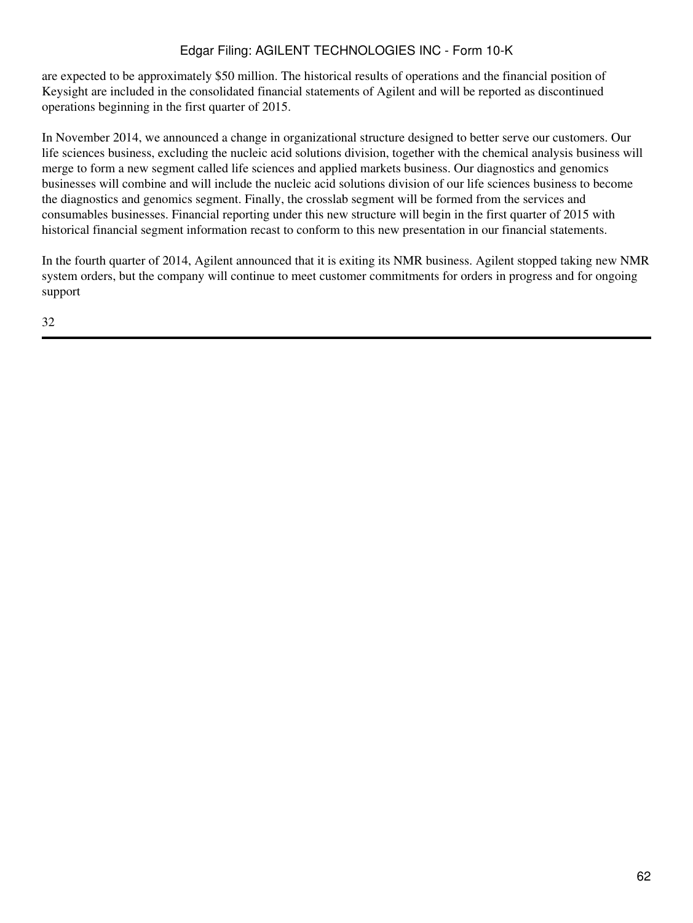are expected to be approximately \$50 million. The historical results of operations and the financial position of Keysight are included in the consolidated financial statements of Agilent and will be reported as discontinued operations beginning in the first quarter of 2015.

In November 2014, we announced a change in organizational structure designed to better serve our customers. Our life sciences business, excluding the nucleic acid solutions division, together with the chemical analysis business will merge to form a new segment called life sciences and applied markets business. Our diagnostics and genomics businesses will combine and will include the nucleic acid solutions division of our life sciences business to become the diagnostics and genomics segment. Finally, the crosslab segment will be formed from the services and consumables businesses. Financial reporting under this new structure will begin in the first quarter of 2015 with historical financial segment information recast to conform to this new presentation in our financial statements.

In the fourth quarter of 2014, Agilent announced that it is exiting its NMR business. Agilent stopped taking new NMR system orders, but the company will continue to meet customer commitments for orders in progress and for ongoing support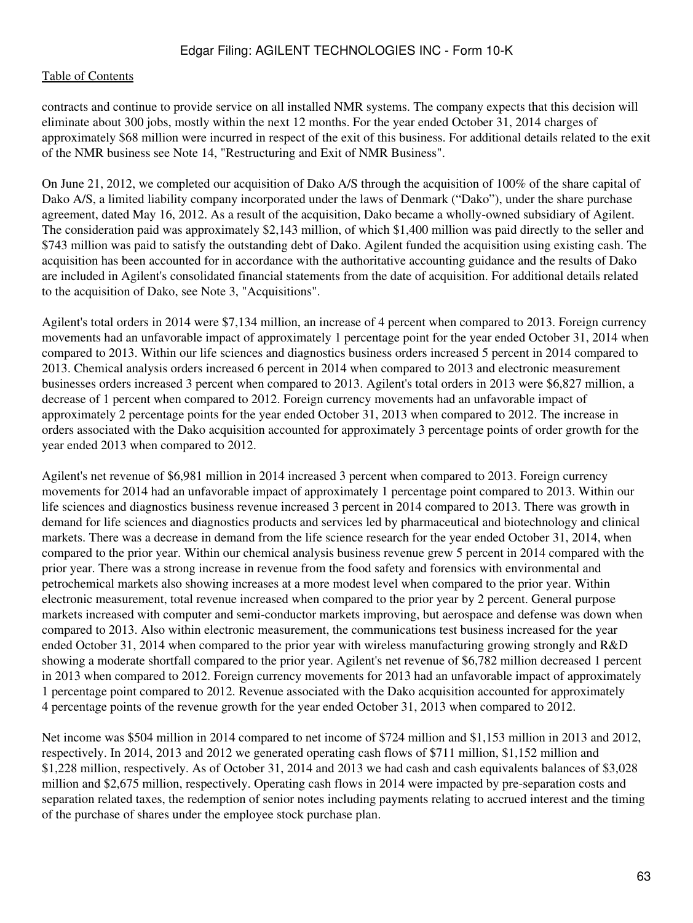contracts and continue to provide service on all installed NMR systems. The company expects that this decision will eliminate about 300 jobs, mostly within the next 12 months. For the year ended October 31, 2014 charges of approximately \$68 million were incurred in respect of the exit of this business. For additional details related to the exit of the NMR business see Note 14, "Restructuring and Exit of NMR Business".

On June 21, 2012, we completed our acquisition of Dako A/S through the acquisition of 100% of the share capital of Dako A/S, a limited liability company incorporated under the laws of Denmark ("Dako"), under the share purchase agreement, dated May 16, 2012. As a result of the acquisition, Dako became a wholly-owned subsidiary of Agilent. The consideration paid was approximately \$2,143 million, of which \$1,400 million was paid directly to the seller and \$743 million was paid to satisfy the outstanding debt of Dako. Agilent funded the acquisition using existing cash. The acquisition has been accounted for in accordance with the authoritative accounting guidance and the results of Dako are included in Agilent's consolidated financial statements from the date of acquisition. For additional details related to the acquisition of Dako, see Note 3, "Acquisitions".

Agilent's total orders in 2014 were \$7,134 million, an increase of 4 percent when compared to 2013. Foreign currency movements had an unfavorable impact of approximately 1 percentage point for the year ended October 31, 2014 when compared to 2013. Within our life sciences and diagnostics business orders increased 5 percent in 2014 compared to 2013. Chemical analysis orders increased 6 percent in 2014 when compared to 2013 and electronic measurement businesses orders increased 3 percent when compared to 2013. Agilent's total orders in 2013 were \$6,827 million, a decrease of 1 percent when compared to 2012. Foreign currency movements had an unfavorable impact of approximately 2 percentage points for the year ended October 31, 2013 when compared to 2012. The increase in orders associated with the Dako acquisition accounted for approximately 3 percentage points of order growth for the year ended 2013 when compared to 2012.

Agilent's net revenue of \$6,981 million in 2014 increased 3 percent when compared to 2013. Foreign currency movements for 2014 had an unfavorable impact of approximately 1 percentage point compared to 2013. Within our life sciences and diagnostics business revenue increased 3 percent in 2014 compared to 2013. There was growth in demand for life sciences and diagnostics products and services led by pharmaceutical and biotechnology and clinical markets. There was a decrease in demand from the life science research for the year ended October 31, 2014, when compared to the prior year. Within our chemical analysis business revenue grew 5 percent in 2014 compared with the prior year. There was a strong increase in revenue from the food safety and forensics with environmental and petrochemical markets also showing increases at a more modest level when compared to the prior year. Within electronic measurement, total revenue increased when compared to the prior year by 2 percent. General purpose markets increased with computer and semi-conductor markets improving, but aerospace and defense was down when compared to 2013. Also within electronic measurement, the communications test business increased for the year ended October 31, 2014 when compared to the prior year with wireless manufacturing growing strongly and R&D showing a moderate shortfall compared to the prior year. Agilent's net revenue of \$6,782 million decreased 1 percent in 2013 when compared to 2012. Foreign currency movements for 2013 had an unfavorable impact of approximately 1 percentage point compared to 2012. Revenue associated with the Dako acquisition accounted for approximately 4 percentage points of the revenue growth for the year ended October 31, 2013 when compared to 2012.

Net income was \$504 million in 2014 compared to net income of \$724 million and \$1,153 million in 2013 and 2012, respectively. In 2014, 2013 and 2012 we generated operating cash flows of \$711 million, \$1,152 million and \$1,228 million, respectively. As of October 31, 2014 and 2013 we had cash and cash equivalents balances of \$3,028 million and \$2,675 million, respectively. Operating cash flows in 2014 were impacted by pre-separation costs and separation related taxes, the redemption of senior notes including payments relating to accrued interest and the timing of the purchase of shares under the employee stock purchase plan.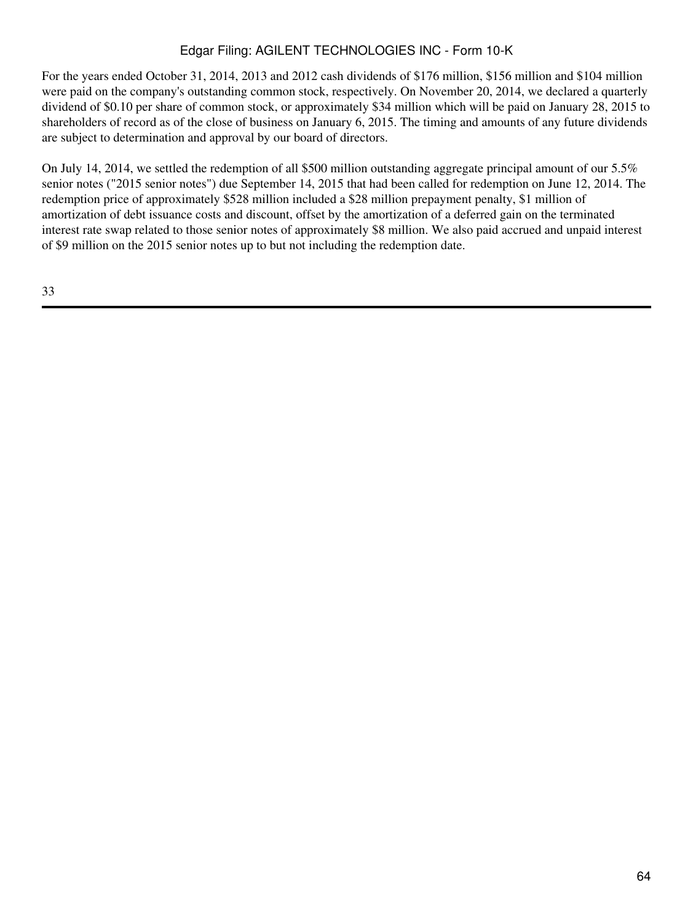For the years ended October 31, 2014, 2013 and 2012 cash dividends of \$176 million, \$156 million and \$104 million were paid on the company's outstanding common stock, respectively. On November 20, 2014, we declared a quarterly dividend of \$0.10 per share of common stock, or approximately \$34 million which will be paid on January 28, 2015 to shareholders of record as of the close of business on January 6, 2015. The timing and amounts of any future dividends are subject to determination and approval by our board of directors.

On July 14, 2014, we settled the redemption of all \$500 million outstanding aggregate principal amount of our 5.5% senior notes ("2015 senior notes") due September 14, 2015 that had been called for redemption on June 12, 2014. The redemption price of approximately \$528 million included a \$28 million prepayment penalty, \$1 million of amortization of debt issuance costs and discount, offset by the amortization of a deferred gain on the terminated interest rate swap related to those senior notes of approximately \$8 million. We also paid accrued and unpaid interest of \$9 million on the 2015 senior notes up to but not including the redemption date.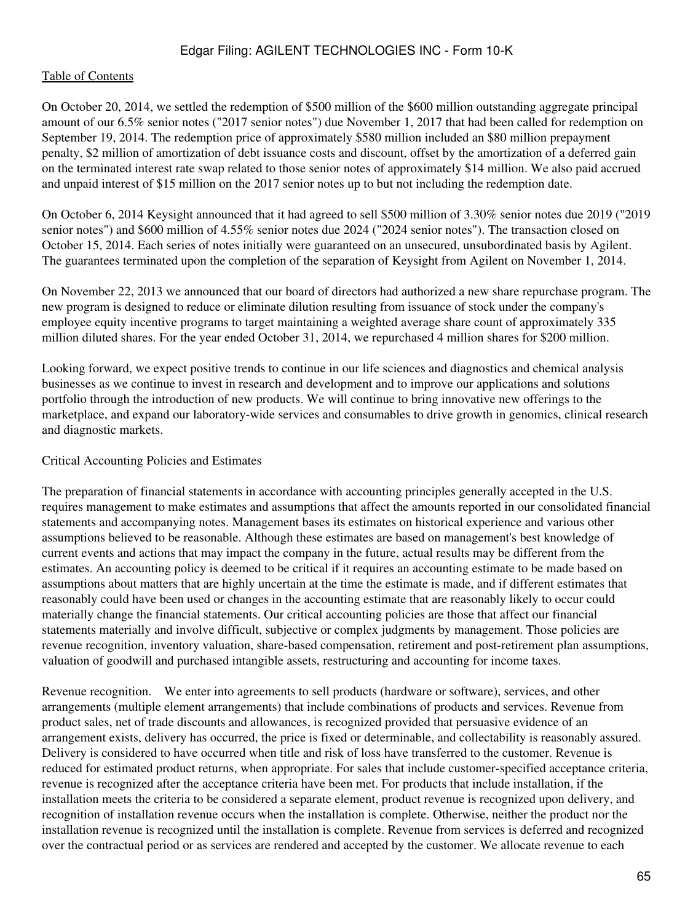### [Table of Contents](#page-2-0)

On October 20, 2014, we settled the redemption of \$500 million of the \$600 million outstanding aggregate principal amount of our 6.5% senior notes ("2017 senior notes") due November 1, 2017 that had been called for redemption on September 19, 2014. The redemption price of approximately \$580 million included an \$80 million prepayment penalty, \$2 million of amortization of debt issuance costs and discount, offset by the amortization of a deferred gain on the terminated interest rate swap related to those senior notes of approximately \$14 million. We also paid accrued and unpaid interest of \$15 million on the 2017 senior notes up to but not including the redemption date.

On October 6, 2014 Keysight announced that it had agreed to sell \$500 million of 3.30% senior notes due 2019 ("2019 senior notes") and \$600 million of 4.55% senior notes due 2024 ("2024 senior notes"). The transaction closed on October 15, 2014. Each series of notes initially were guaranteed on an unsecured, unsubordinated basis by Agilent. The guarantees terminated upon the completion of the separation of Keysight from Agilent on November 1, 2014.

On November 22, 2013 we announced that our board of directors had authorized a new share repurchase program. The new program is designed to reduce or eliminate dilution resulting from issuance of stock under the company's employee equity incentive programs to target maintaining a weighted average share count of approximately 335 million diluted shares. For the year ended October 31, 2014, we repurchased 4 million shares for \$200 million.

Looking forward, we expect positive trends to continue in our life sciences and diagnostics and chemical analysis businesses as we continue to invest in research and development and to improve our applications and solutions portfolio through the introduction of new products. We will continue to bring innovative new offerings to the marketplace, and expand our laboratory-wide services and consumables to drive growth in genomics, clinical research and diagnostic markets.

#### Critical Accounting Policies and Estimates

The preparation of financial statements in accordance with accounting principles generally accepted in the U.S. requires management to make estimates and assumptions that affect the amounts reported in our consolidated financial statements and accompanying notes. Management bases its estimates on historical experience and various other assumptions believed to be reasonable. Although these estimates are based on management's best knowledge of current events and actions that may impact the company in the future, actual results may be different from the estimates. An accounting policy is deemed to be critical if it requires an accounting estimate to be made based on assumptions about matters that are highly uncertain at the time the estimate is made, and if different estimates that reasonably could have been used or changes in the accounting estimate that are reasonably likely to occur could materially change the financial statements. Our critical accounting policies are those that affect our financial statements materially and involve difficult, subjective or complex judgments by management. Those policies are revenue recognition, inventory valuation, share-based compensation, retirement and post-retirement plan assumptions, valuation of goodwill and purchased intangible assets, restructuring and accounting for income taxes.

Revenue recognition. We enter into agreements to sell products (hardware or software), services, and other arrangements (multiple element arrangements) that include combinations of products and services. Revenue from product sales, net of trade discounts and allowances, is recognized provided that persuasive evidence of an arrangement exists, delivery has occurred, the price is fixed or determinable, and collectability is reasonably assured. Delivery is considered to have occurred when title and risk of loss have transferred to the customer. Revenue is reduced for estimated product returns, when appropriate. For sales that include customer-specified acceptance criteria, revenue is recognized after the acceptance criteria have been met. For products that include installation, if the installation meets the criteria to be considered a separate element, product revenue is recognized upon delivery, and recognition of installation revenue occurs when the installation is complete. Otherwise, neither the product nor the installation revenue is recognized until the installation is complete. Revenue from services is deferred and recognized over the contractual period or as services are rendered and accepted by the customer. We allocate revenue to each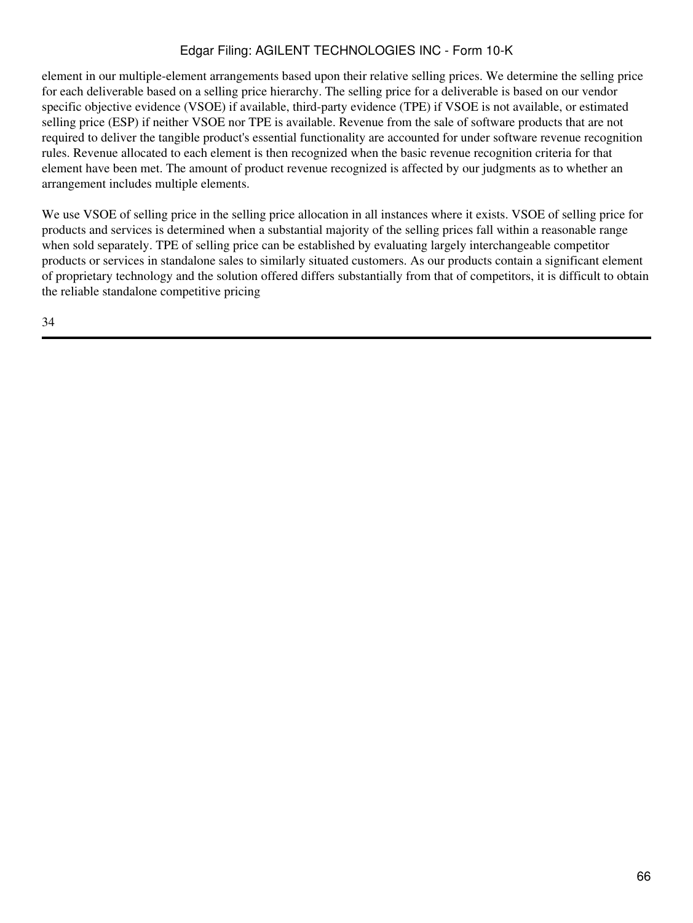element in our multiple-element arrangements based upon their relative selling prices. We determine the selling price for each deliverable based on a selling price hierarchy. The selling price for a deliverable is based on our vendor specific objective evidence (VSOE) if available, third-party evidence (TPE) if VSOE is not available, or estimated selling price (ESP) if neither VSOE nor TPE is available. Revenue from the sale of software products that are not required to deliver the tangible product's essential functionality are accounted for under software revenue recognition rules. Revenue allocated to each element is then recognized when the basic revenue recognition criteria for that element have been met. The amount of product revenue recognized is affected by our judgments as to whether an arrangement includes multiple elements.

We use VSOE of selling price in the selling price allocation in all instances where it exists. VSOE of selling price for products and services is determined when a substantial majority of the selling prices fall within a reasonable range when sold separately. TPE of selling price can be established by evaluating largely interchangeable competitor products or services in standalone sales to similarly situated customers. As our products contain a significant element of proprietary technology and the solution offered differs substantially from that of competitors, it is difficult to obtain the reliable standalone competitive pricing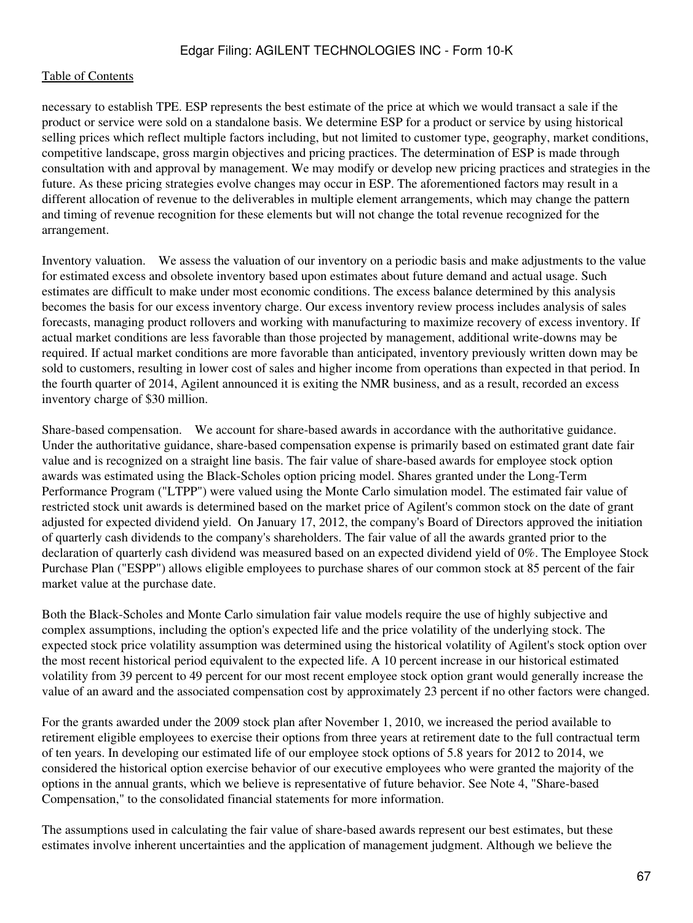#### [Table of Contents](#page-2-0)

necessary to establish TPE. ESP represents the best estimate of the price at which we would transact a sale if the product or service were sold on a standalone basis. We determine ESP for a product or service by using historical selling prices which reflect multiple factors including, but not limited to customer type, geography, market conditions, competitive landscape, gross margin objectives and pricing practices. The determination of ESP is made through consultation with and approval by management. We may modify or develop new pricing practices and strategies in the future. As these pricing strategies evolve changes may occur in ESP. The aforementioned factors may result in a different allocation of revenue to the deliverables in multiple element arrangements, which may change the pattern and timing of revenue recognition for these elements but will not change the total revenue recognized for the arrangement.

Inventory valuation. We assess the valuation of our inventory on a periodic basis and make adjustments to the value for estimated excess and obsolete inventory based upon estimates about future demand and actual usage. Such estimates are difficult to make under most economic conditions. The excess balance determined by this analysis becomes the basis for our excess inventory charge. Our excess inventory review process includes analysis of sales forecasts, managing product rollovers and working with manufacturing to maximize recovery of excess inventory. If actual market conditions are less favorable than those projected by management, additional write-downs may be required. If actual market conditions are more favorable than anticipated, inventory previously written down may be sold to customers, resulting in lower cost of sales and higher income from operations than expected in that period. In the fourth quarter of 2014, Agilent announced it is exiting the NMR business, and as a result, recorded an excess inventory charge of \$30 million.

Share-based compensation. We account for share-based awards in accordance with the authoritative guidance. Under the authoritative guidance, share-based compensation expense is primarily based on estimated grant date fair value and is recognized on a straight line basis. The fair value of share-based awards for employee stock option awards was estimated using the Black-Scholes option pricing model. Shares granted under the Long-Term Performance Program ("LTPP") were valued using the Monte Carlo simulation model. The estimated fair value of restricted stock unit awards is determined based on the market price of Agilent's common stock on the date of grant adjusted for expected dividend yield. On January 17, 2012, the company's Board of Directors approved the initiation of quarterly cash dividends to the company's shareholders. The fair value of all the awards granted prior to the declaration of quarterly cash dividend was measured based on an expected dividend yield of 0%. The Employee Stock Purchase Plan ("ESPP") allows eligible employees to purchase shares of our common stock at 85 percent of the fair market value at the purchase date.

Both the Black-Scholes and Monte Carlo simulation fair value models require the use of highly subjective and complex assumptions, including the option's expected life and the price volatility of the underlying stock. The expected stock price volatility assumption was determined using the historical volatility of Agilent's stock option over the most recent historical period equivalent to the expected life. A 10 percent increase in our historical estimated volatility from 39 percent to 49 percent for our most recent employee stock option grant would generally increase the value of an award and the associated compensation cost by approximately 23 percent if no other factors were changed.

For the grants awarded under the 2009 stock plan after November 1, 2010, we increased the period available to retirement eligible employees to exercise their options from three years at retirement date to the full contractual term of ten years. In developing our estimated life of our employee stock options of 5.8 years for 2012 to 2014, we considered the historical option exercise behavior of our executive employees who were granted the majority of the options in the annual grants, which we believe is representative of future behavior. See Note 4, "Share-based Compensation," to the consolidated financial statements for more information.

The assumptions used in calculating the fair value of share-based awards represent our best estimates, but these estimates involve inherent uncertainties and the application of management judgment. Although we believe the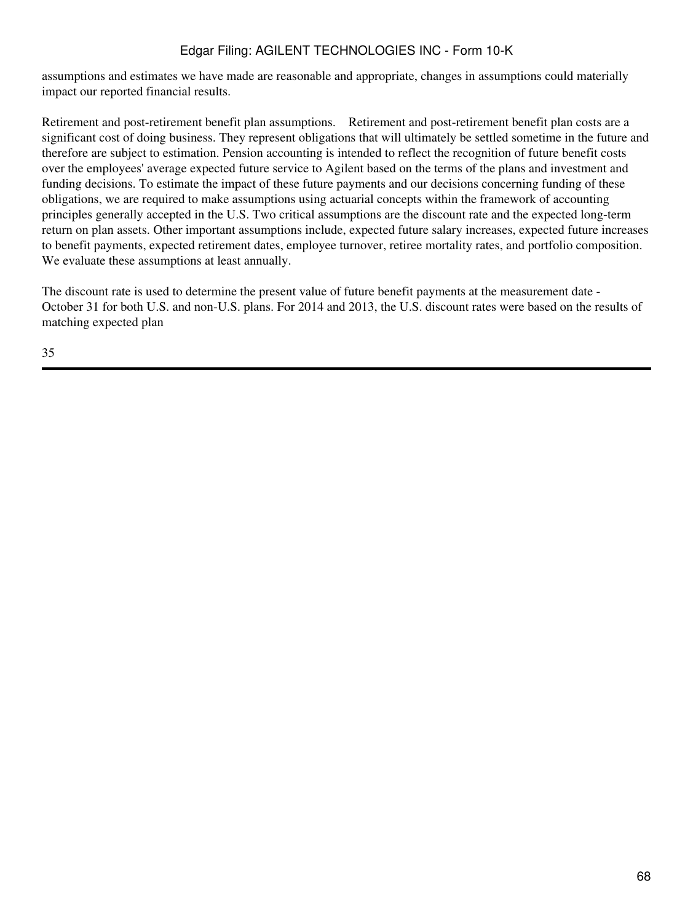assumptions and estimates we have made are reasonable and appropriate, changes in assumptions could materially impact our reported financial results.

Retirement and post-retirement benefit plan assumptions. Retirement and post-retirement benefit plan costs are a significant cost of doing business. They represent obligations that will ultimately be settled sometime in the future and therefore are subject to estimation. Pension accounting is intended to reflect the recognition of future benefit costs over the employees' average expected future service to Agilent based on the terms of the plans and investment and funding decisions. To estimate the impact of these future payments and our decisions concerning funding of these obligations, we are required to make assumptions using actuarial concepts within the framework of accounting principles generally accepted in the U.S. Two critical assumptions are the discount rate and the expected long-term return on plan assets. Other important assumptions include, expected future salary increases, expected future increases to benefit payments, expected retirement dates, employee turnover, retiree mortality rates, and portfolio composition. We evaluate these assumptions at least annually.

The discount rate is used to determine the present value of future benefit payments at the measurement date - October 31 for both U.S. and non-U.S. plans. For 2014 and 2013, the U.S. discount rates were based on the results of matching expected plan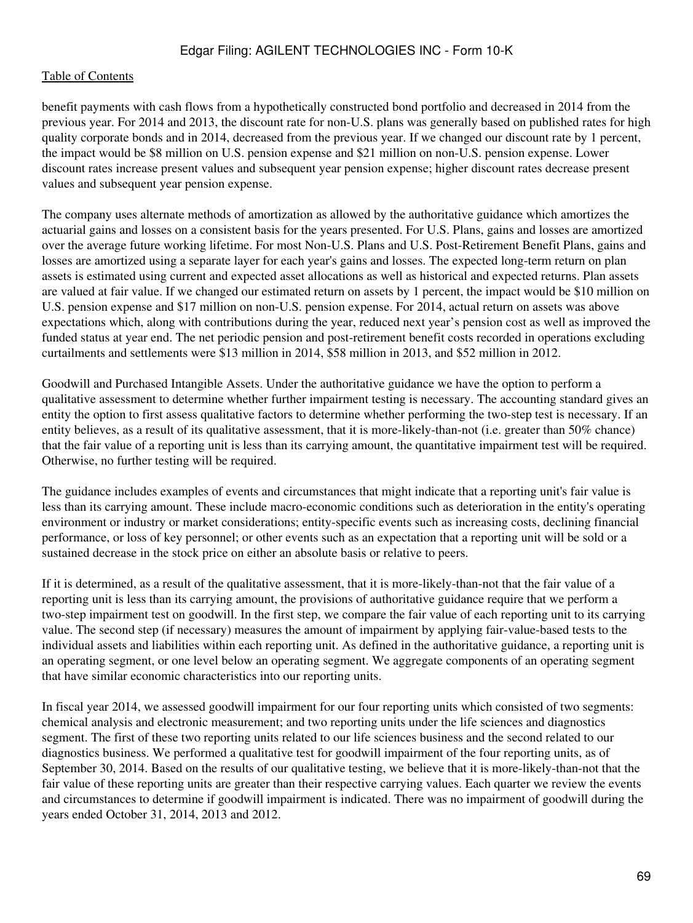#### [Table of Contents](#page-2-0)

benefit payments with cash flows from a hypothetically constructed bond portfolio and decreased in 2014 from the previous year. For 2014 and 2013, the discount rate for non-U.S. plans was generally based on published rates for high quality corporate bonds and in 2014, decreased from the previous year. If we changed our discount rate by 1 percent, the impact would be \$8 million on U.S. pension expense and \$21 million on non-U.S. pension expense. Lower discount rates increase present values and subsequent year pension expense; higher discount rates decrease present values and subsequent year pension expense.

The company uses alternate methods of amortization as allowed by the authoritative guidance which amortizes the actuarial gains and losses on a consistent basis for the years presented. For U.S. Plans, gains and losses are amortized over the average future working lifetime. For most Non-U.S. Plans and U.S. Post-Retirement Benefit Plans, gains and losses are amortized using a separate layer for each year's gains and losses. The expected long-term return on plan assets is estimated using current and expected asset allocations as well as historical and expected returns. Plan assets are valued at fair value. If we changed our estimated return on assets by 1 percent, the impact would be \$10 million on U.S. pension expense and \$17 million on non-U.S. pension expense. For 2014, actual return on assets was above expectations which, along with contributions during the year, reduced next year's pension cost as well as improved the funded status at year end. The net periodic pension and post-retirement benefit costs recorded in operations excluding curtailments and settlements were \$13 million in 2014, \$58 million in 2013, and \$52 million in 2012.

Goodwill and Purchased Intangible Assets. Under the authoritative guidance we have the option to perform a qualitative assessment to determine whether further impairment testing is necessary. The accounting standard gives an entity the option to first assess qualitative factors to determine whether performing the two-step test is necessary. If an entity believes, as a result of its qualitative assessment, that it is more-likely-than-not (i.e. greater than 50% chance) that the fair value of a reporting unit is less than its carrying amount, the quantitative impairment test will be required. Otherwise, no further testing will be required.

The guidance includes examples of events and circumstances that might indicate that a reporting unit's fair value is less than its carrying amount. These include macro-economic conditions such as deterioration in the entity's operating environment or industry or market considerations; entity-specific events such as increasing costs, declining financial performance, or loss of key personnel; or other events such as an expectation that a reporting unit will be sold or a sustained decrease in the stock price on either an absolute basis or relative to peers.

If it is determined, as a result of the qualitative assessment, that it is more-likely-than-not that the fair value of a reporting unit is less than its carrying amount, the provisions of authoritative guidance require that we perform a two-step impairment test on goodwill. In the first step, we compare the fair value of each reporting unit to its carrying value. The second step (if necessary) measures the amount of impairment by applying fair-value-based tests to the individual assets and liabilities within each reporting unit. As defined in the authoritative guidance, a reporting unit is an operating segment, or one level below an operating segment. We aggregate components of an operating segment that have similar economic characteristics into our reporting units.

In fiscal year 2014, we assessed goodwill impairment for our four reporting units which consisted of two segments: chemical analysis and electronic measurement; and two reporting units under the life sciences and diagnostics segment. The first of these two reporting units related to our life sciences business and the second related to our diagnostics business. We performed a qualitative test for goodwill impairment of the four reporting units, as of September 30, 2014. Based on the results of our qualitative testing, we believe that it is more-likely-than-not that the fair value of these reporting units are greater than their respective carrying values. Each quarter we review the events and circumstances to determine if goodwill impairment is indicated. There was no impairment of goodwill during the years ended October 31, 2014, 2013 and 2012.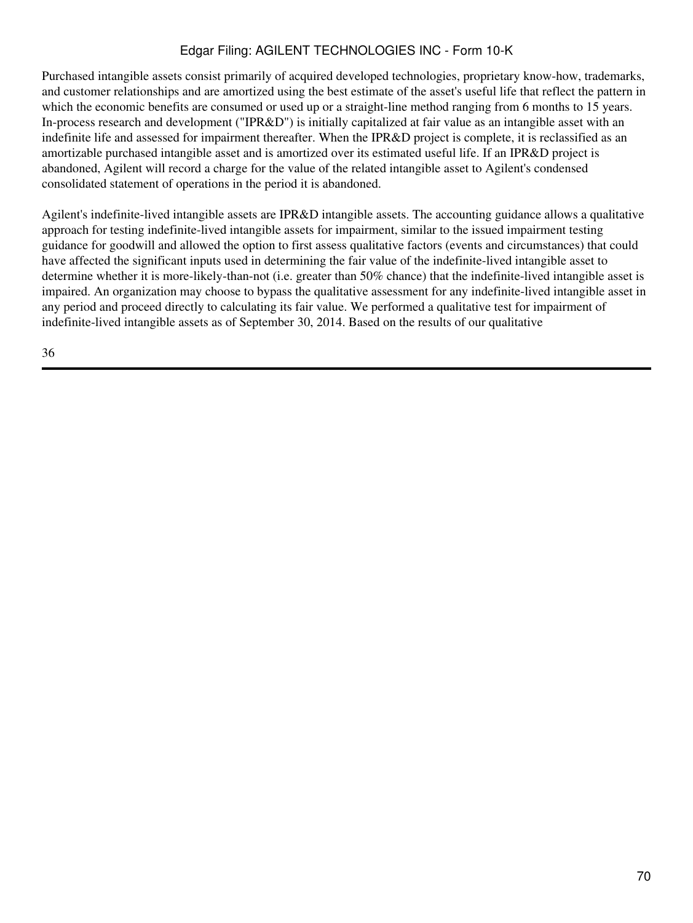Purchased intangible assets consist primarily of acquired developed technologies, proprietary know-how, trademarks, and customer relationships and are amortized using the best estimate of the asset's useful life that reflect the pattern in which the economic benefits are consumed or used up or a straight-line method ranging from 6 months to 15 years. In-process research and development ("IPR&D") is initially capitalized at fair value as an intangible asset with an indefinite life and assessed for impairment thereafter. When the IPR&D project is complete, it is reclassified as an amortizable purchased intangible asset and is amortized over its estimated useful life. If an IPR&D project is abandoned, Agilent will record a charge for the value of the related intangible asset to Agilent's condensed consolidated statement of operations in the period it is abandoned.

Agilent's indefinite-lived intangible assets are IPR&D intangible assets. The accounting guidance allows a qualitative approach for testing indefinite-lived intangible assets for impairment, similar to the issued impairment testing guidance for goodwill and allowed the option to first assess qualitative factors (events and circumstances) that could have affected the significant inputs used in determining the fair value of the indefinite-lived intangible asset to determine whether it is more-likely-than-not (i.e. greater than 50% chance) that the indefinite-lived intangible asset is impaired. An organization may choose to bypass the qualitative assessment for any indefinite-lived intangible asset in any period and proceed directly to calculating its fair value. We performed a qualitative test for impairment of indefinite-lived intangible assets as of September 30, 2014. Based on the results of our qualitative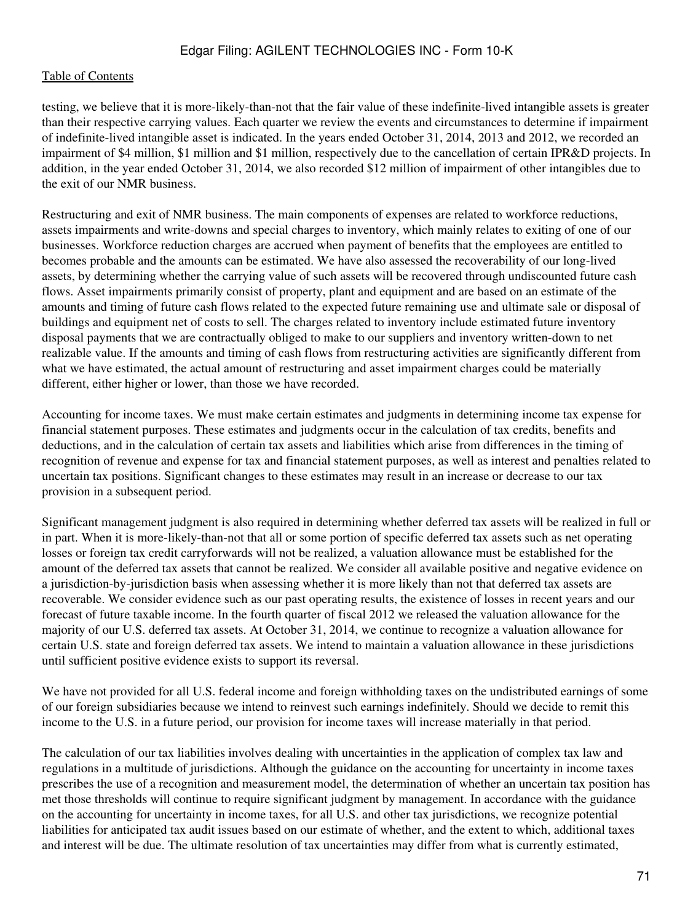#### [Table of Contents](#page-2-0)

testing, we believe that it is more-likely-than-not that the fair value of these indefinite-lived intangible assets is greater than their respective carrying values. Each quarter we review the events and circumstances to determine if impairment of indefinite-lived intangible asset is indicated. In the years ended October 31, 2014, 2013 and 2012, we recorded an impairment of \$4 million, \$1 million and \$1 million, respectively due to the cancellation of certain IPR&D projects. In addition, in the year ended October 31, 2014, we also recorded \$12 million of impairment of other intangibles due to the exit of our NMR business.

Restructuring and exit of NMR business. The main components of expenses are related to workforce reductions, assets impairments and write-downs and special charges to inventory, which mainly relates to exiting of one of our businesses. Workforce reduction charges are accrued when payment of benefits that the employees are entitled to becomes probable and the amounts can be estimated. We have also assessed the recoverability of our long-lived assets, by determining whether the carrying value of such assets will be recovered through undiscounted future cash flows. Asset impairments primarily consist of property, plant and equipment and are based on an estimate of the amounts and timing of future cash flows related to the expected future remaining use and ultimate sale or disposal of buildings and equipment net of costs to sell. The charges related to inventory include estimated future inventory disposal payments that we are contractually obliged to make to our suppliers and inventory written-down to net realizable value. If the amounts and timing of cash flows from restructuring activities are significantly different from what we have estimated, the actual amount of restructuring and asset impairment charges could be materially different, either higher or lower, than those we have recorded.

Accounting for income taxes. We must make certain estimates and judgments in determining income tax expense for financial statement purposes. These estimates and judgments occur in the calculation of tax credits, benefits and deductions, and in the calculation of certain tax assets and liabilities which arise from differences in the timing of recognition of revenue and expense for tax and financial statement purposes, as well as interest and penalties related to uncertain tax positions. Significant changes to these estimates may result in an increase or decrease to our tax provision in a subsequent period.

Significant management judgment is also required in determining whether deferred tax assets will be realized in full or in part. When it is more-likely-than-not that all or some portion of specific deferred tax assets such as net operating losses or foreign tax credit carryforwards will not be realized, a valuation allowance must be established for the amount of the deferred tax assets that cannot be realized. We consider all available positive and negative evidence on a jurisdiction-by-jurisdiction basis when assessing whether it is more likely than not that deferred tax assets are recoverable. We consider evidence such as our past operating results, the existence of losses in recent years and our forecast of future taxable income. In the fourth quarter of fiscal 2012 we released the valuation allowance for the majority of our U.S. deferred tax assets. At October 31, 2014, we continue to recognize a valuation allowance for certain U.S. state and foreign deferred tax assets. We intend to maintain a valuation allowance in these jurisdictions until sufficient positive evidence exists to support its reversal.

We have not provided for all U.S. federal income and foreign withholding taxes on the undistributed earnings of some of our foreign subsidiaries because we intend to reinvest such earnings indefinitely. Should we decide to remit this income to the U.S. in a future period, our provision for income taxes will increase materially in that period.

The calculation of our tax liabilities involves dealing with uncertainties in the application of complex tax law and regulations in a multitude of jurisdictions. Although the guidance on the accounting for uncertainty in income taxes prescribes the use of a recognition and measurement model, the determination of whether an uncertain tax position has met those thresholds will continue to require significant judgment by management. In accordance with the guidance on the accounting for uncertainty in income taxes, for all U.S. and other tax jurisdictions, we recognize potential liabilities for anticipated tax audit issues based on our estimate of whether, and the extent to which, additional taxes and interest will be due. The ultimate resolution of tax uncertainties may differ from what is currently estimated,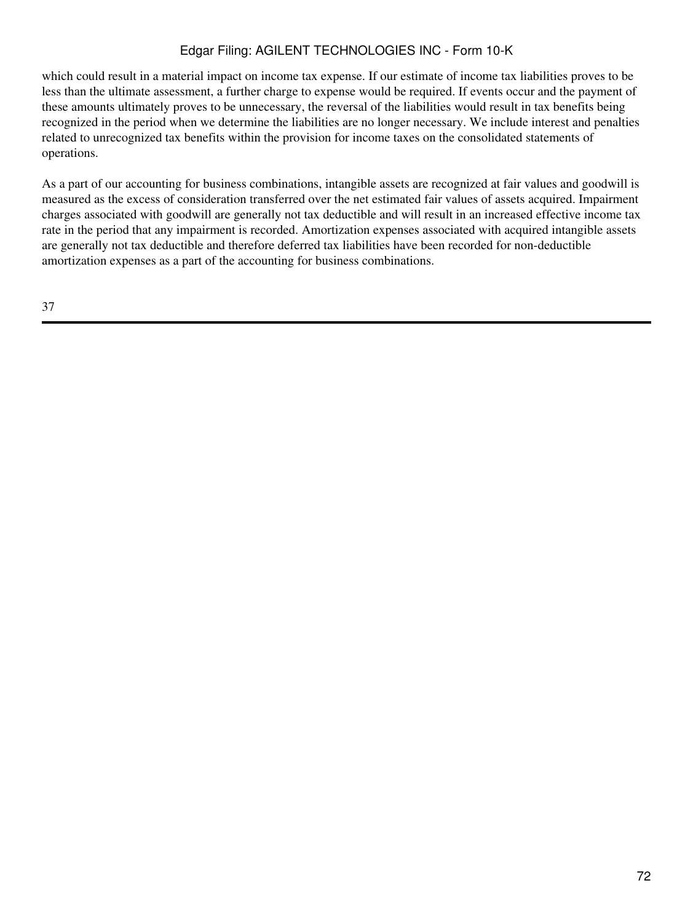which could result in a material impact on income tax expense. If our estimate of income tax liabilities proves to be less than the ultimate assessment, a further charge to expense would be required. If events occur and the payment of these amounts ultimately proves to be unnecessary, the reversal of the liabilities would result in tax benefits being recognized in the period when we determine the liabilities are no longer necessary. We include interest and penalties related to unrecognized tax benefits within the provision for income taxes on the consolidated statements of operations.

As a part of our accounting for business combinations, intangible assets are recognized at fair values and goodwill is measured as the excess of consideration transferred over the net estimated fair values of assets acquired. Impairment charges associated with goodwill are generally not tax deductible and will result in an increased effective income tax rate in the period that any impairment is recorded. Amortization expenses associated with acquired intangible assets are generally not tax deductible and therefore deferred tax liabilities have been recorded for non-deductible amortization expenses as a part of the accounting for business combinations.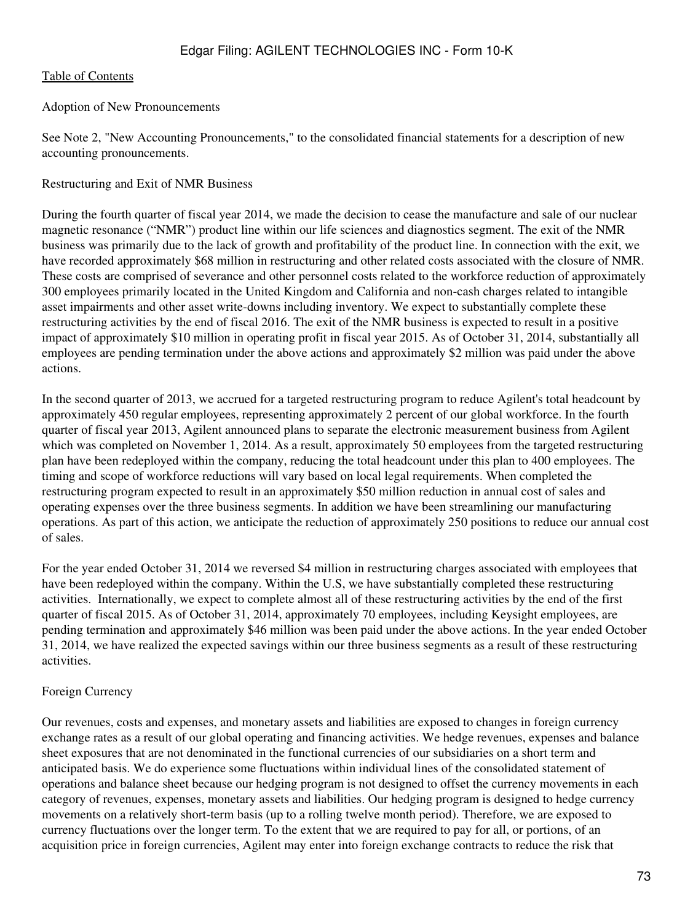### Adoption of New Pronouncements

See Note 2, "New Accounting Pronouncements," to the consolidated financial statements for a description of new accounting pronouncements.

### Restructuring and Exit of NMR Business

During the fourth quarter of fiscal year 2014, we made the decision to cease the manufacture and sale of our nuclear magnetic resonance ("NMR") product line within our life sciences and diagnostics segment. The exit of the NMR business was primarily due to the lack of growth and profitability of the product line. In connection with the exit, we have recorded approximately \$68 million in restructuring and other related costs associated with the closure of NMR. These costs are comprised of severance and other personnel costs related to the workforce reduction of approximately 300 employees primarily located in the United Kingdom and California and non-cash charges related to intangible asset impairments and other asset write-downs including inventory. We expect to substantially complete these restructuring activities by the end of fiscal 2016. The exit of the NMR business is expected to result in a positive impact of approximately \$10 million in operating profit in fiscal year 2015. As of October 31, 2014, substantially all employees are pending termination under the above actions and approximately \$2 million was paid under the above actions.

In the second quarter of 2013, we accrued for a targeted restructuring program to reduce Agilent's total headcount by approximately 450 regular employees, representing approximately 2 percent of our global workforce. In the fourth quarter of fiscal year 2013, Agilent announced plans to separate the electronic measurement business from Agilent which was completed on November 1, 2014. As a result, approximately 50 employees from the targeted restructuring plan have been redeployed within the company, reducing the total headcount under this plan to 400 employees. The timing and scope of workforce reductions will vary based on local legal requirements. When completed the restructuring program expected to result in an approximately \$50 million reduction in annual cost of sales and operating expenses over the three business segments. In addition we have been streamlining our manufacturing operations. As part of this action, we anticipate the reduction of approximately 250 positions to reduce our annual cost of sales.

For the year ended October 31, 2014 we reversed \$4 million in restructuring charges associated with employees that have been redeployed within the company. Within the U.S, we have substantially completed these restructuring activities. Internationally, we expect to complete almost all of these restructuring activities by the end of the first quarter of fiscal 2015. As of October 31, 2014, approximately 70 employees, including Keysight employees, are pending termination and approximately \$46 million was been paid under the above actions. In the year ended October 31, 2014, we have realized the expected savings within our three business segments as a result of these restructuring activities.

### Foreign Currency

Our revenues, costs and expenses, and monetary assets and liabilities are exposed to changes in foreign currency exchange rates as a result of our global operating and financing activities. We hedge revenues, expenses and balance sheet exposures that are not denominated in the functional currencies of our subsidiaries on a short term and anticipated basis. We do experience some fluctuations within individual lines of the consolidated statement of operations and balance sheet because our hedging program is not designed to offset the currency movements in each category of revenues, expenses, monetary assets and liabilities. Our hedging program is designed to hedge currency movements on a relatively short-term basis (up to a rolling twelve month period). Therefore, we are exposed to currency fluctuations over the longer term. To the extent that we are required to pay for all, or portions, of an acquisition price in foreign currencies, Agilent may enter into foreign exchange contracts to reduce the risk that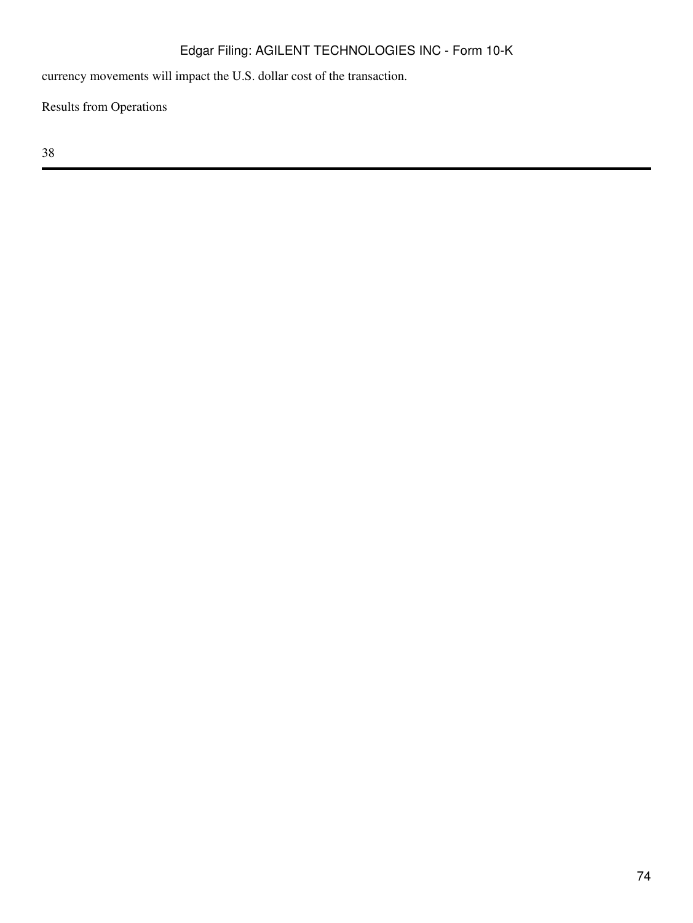currency movements will impact the U.S. dollar cost of the transaction.

Results from Operations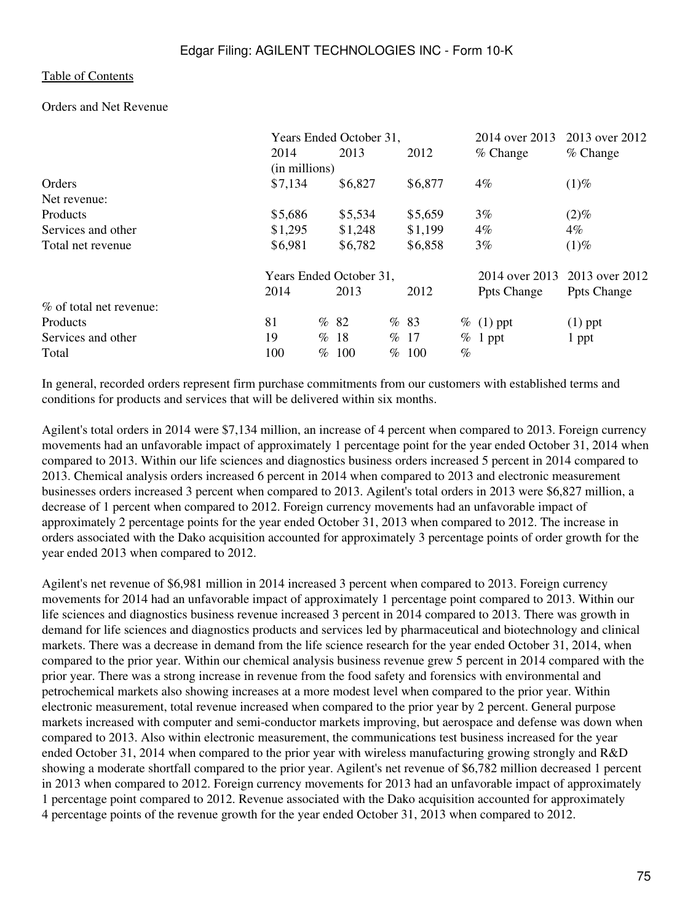#### Orders and Net Revenue

|                         | Years Ended October 31, |      |         |      |         |                | 2014 over 2013     | 2013 over 2012     |
|-------------------------|-------------------------|------|---------|------|---------|----------------|--------------------|--------------------|
|                         | 2014                    |      | 2013    |      | 2012    |                | $%$ Change         | $%$ Change         |
|                         | (in millions)           |      |         |      |         |                |                    |                    |
| Orders                  | \$7,134                 |      | \$6,827 |      | \$6,877 |                | $4\%$              | $(1)\%$            |
| Net revenue:            |                         |      |         |      |         |                |                    |                    |
| Products                | \$5,686                 |      | \$5,534 |      | \$5,659 |                | 3%                 | $(2)\%$            |
| Services and other      | \$1,295                 |      | \$1,248 |      | \$1,199 |                | $4\%$              | $4\%$              |
| Total net revenue       | \$6,981                 |      | \$6,782 |      | \$6,858 |                | 3%                 | $(1)\%$            |
|                         | Years Ended October 31, |      |         |      |         | 2014 over 2013 | 2013 over 2012     |                    |
|                         | 2014                    |      | 2013    |      | 2012    |                | <b>Ppts Change</b> | <b>Ppts Change</b> |
| % of total net revenue: |                         |      |         |      |         |                |                    |                    |
| Products                | 81                      | % 82 |         |      | %83     |                | $\%$ (1) ppt       | $(1)$ ppt          |
| Services and other      | 19                      | %18  |         |      | % 17    |                | $\%$ 1 ppt         | 1 ppt              |
| Total                   | 100                     | $\%$ | 100     | $\%$ | 100     | $\%$           |                    |                    |

In general, recorded orders represent firm purchase commitments from our customers with established terms and conditions for products and services that will be delivered within six months.

Agilent's total orders in 2014 were \$7,134 million, an increase of 4 percent when compared to 2013. Foreign currency movements had an unfavorable impact of approximately 1 percentage point for the year ended October 31, 2014 when compared to 2013. Within our life sciences and diagnostics business orders increased 5 percent in 2014 compared to 2013. Chemical analysis orders increased 6 percent in 2014 when compared to 2013 and electronic measurement businesses orders increased 3 percent when compared to 2013. Agilent's total orders in 2013 were \$6,827 million, a decrease of 1 percent when compared to 2012. Foreign currency movements had an unfavorable impact of approximately 2 percentage points for the year ended October 31, 2013 when compared to 2012. The increase in orders associated with the Dako acquisition accounted for approximately 3 percentage points of order growth for the year ended 2013 when compared to 2012.

Agilent's net revenue of \$6,981 million in 2014 increased 3 percent when compared to 2013. Foreign currency movements for 2014 had an unfavorable impact of approximately 1 percentage point compared to 2013. Within our life sciences and diagnostics business revenue increased 3 percent in 2014 compared to 2013. There was growth in demand for life sciences and diagnostics products and services led by pharmaceutical and biotechnology and clinical markets. There was a decrease in demand from the life science research for the year ended October 31, 2014, when compared to the prior year. Within our chemical analysis business revenue grew 5 percent in 2014 compared with the prior year. There was a strong increase in revenue from the food safety and forensics with environmental and petrochemical markets also showing increases at a more modest level when compared to the prior year. Within electronic measurement, total revenue increased when compared to the prior year by 2 percent. General purpose markets increased with computer and semi-conductor markets improving, but aerospace and defense was down when compared to 2013. Also within electronic measurement, the communications test business increased for the year ended October 31, 2014 when compared to the prior year with wireless manufacturing growing strongly and R&D showing a moderate shortfall compared to the prior year. Agilent's net revenue of \$6,782 million decreased 1 percent in 2013 when compared to 2012. Foreign currency movements for 2013 had an unfavorable impact of approximately 1 percentage point compared to 2012. Revenue associated with the Dako acquisition accounted for approximately 4 percentage points of the revenue growth for the year ended October 31, 2013 when compared to 2012.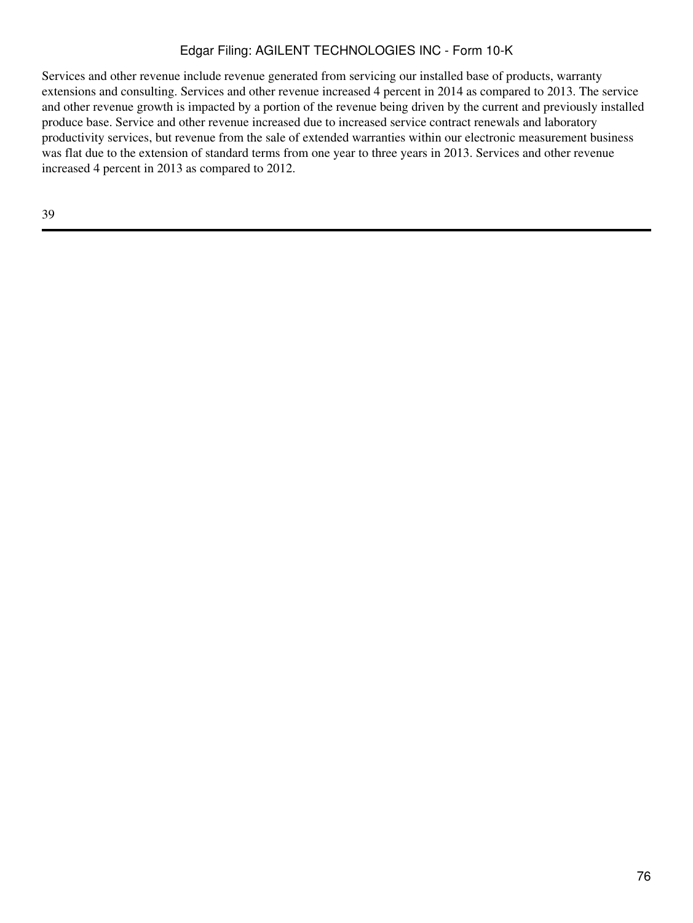Services and other revenue include revenue generated from servicing our installed base of products, warranty extensions and consulting. Services and other revenue increased 4 percent in 2014 as compared to 2013. The service and other revenue growth is impacted by a portion of the revenue being driven by the current and previously installed produce base. Service and other revenue increased due to increased service contract renewals and laboratory productivity services, but revenue from the sale of extended warranties within our electronic measurement business was flat due to the extension of standard terms from one year to three years in 2013. Services and other revenue increased 4 percent in 2013 as compared to 2012.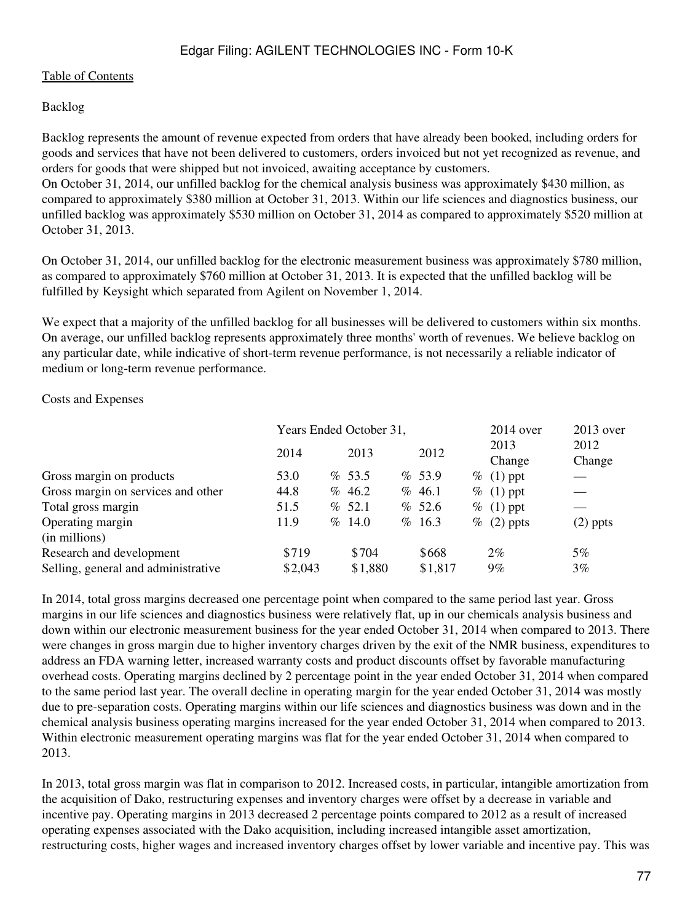### Backlog

Backlog represents the amount of revenue expected from orders that have already been booked, including orders for goods and services that have not been delivered to customers, orders invoiced but not yet recognized as revenue, and orders for goods that were shipped but not invoiced, awaiting acceptance by customers. On October 31, 2014, our unfilled backlog for the chemical analysis business was approximately \$430 million, as compared to approximately \$380 million at October 31, 2013. Within our life sciences and diagnostics business, our unfilled backlog was approximately \$530 million on October 31, 2014 as compared to approximately \$520 million at

October 31, 2013.

On October 31, 2014, our unfilled backlog for the electronic measurement business was approximately \$780 million, as compared to approximately \$760 million at October 31, 2013. It is expected that the unfilled backlog will be fulfilled by Keysight which separated from Agilent on November 1, 2014.

We expect that a majority of the unfilled backlog for all businesses will be delivered to customers within six months. On average, our unfilled backlog represents approximately three months' worth of revenues. We believe backlog on any particular date, while indicative of short-term revenue performance, is not necessarily a reliable indicator of medium or long-term revenue performance.

Costs and Expenses

|                                     | Years Ended October 31, |  |         |  | $2014$ over |  | $2013$ over    |                |
|-------------------------------------|-------------------------|--|---------|--|-------------|--|----------------|----------------|
|                                     | 2014                    |  | 2013    |  | 2012        |  | 2013<br>Change | 2012<br>Change |
| Gross margin on products            | 53.0                    |  | % 53.5  |  | $\%$ 53.9   |  | $\%$ (1) ppt   |                |
| Gross margin on services and other  | 44.8                    |  | % 46.2  |  | % 46.1      |  | $\%$ (1) ppt   |                |
| Total gross margin                  | 51.5                    |  | % 52.1  |  | % 52.6      |  | $\%$ (1) ppt   |                |
| Operating margin                    | 11.9                    |  | %14.0   |  | % 16.3      |  | $\%$ (2) ppts  | $(2)$ ppts     |
| (in millions)                       |                         |  |         |  |             |  |                |                |
| Research and development            | \$719                   |  | \$704   |  | \$668       |  | $2\%$          | $5\%$          |
| Selling, general and administrative | \$2,043                 |  | \$1,880 |  | \$1,817     |  | $9\%$          | $3\%$          |

In 2014, total gross margins decreased one percentage point when compared to the same period last year. Gross margins in our life sciences and diagnostics business were relatively flat, up in our chemicals analysis business and down within our electronic measurement business for the year ended October 31, 2014 when compared to 2013. There were changes in gross margin due to higher inventory charges driven by the exit of the NMR business, expenditures to address an FDA warning letter, increased warranty costs and product discounts offset by favorable manufacturing overhead costs. Operating margins declined by 2 percentage point in the year ended October 31, 2014 when compared to the same period last year. The overall decline in operating margin for the year ended October 31, 2014 was mostly due to pre-separation costs. Operating margins within our life sciences and diagnostics business was down and in the chemical analysis business operating margins increased for the year ended October 31, 2014 when compared to 2013. Within electronic measurement operating margins was flat for the year ended October 31, 2014 when compared to 2013.

In 2013, total gross margin was flat in comparison to 2012. Increased costs, in particular, intangible amortization from the acquisition of Dako, restructuring expenses and inventory charges were offset by a decrease in variable and incentive pay. Operating margins in 2013 decreased 2 percentage points compared to 2012 as a result of increased operating expenses associated with the Dako acquisition, including increased intangible asset amortization, restructuring costs, higher wages and increased inventory charges offset by lower variable and incentive pay. This was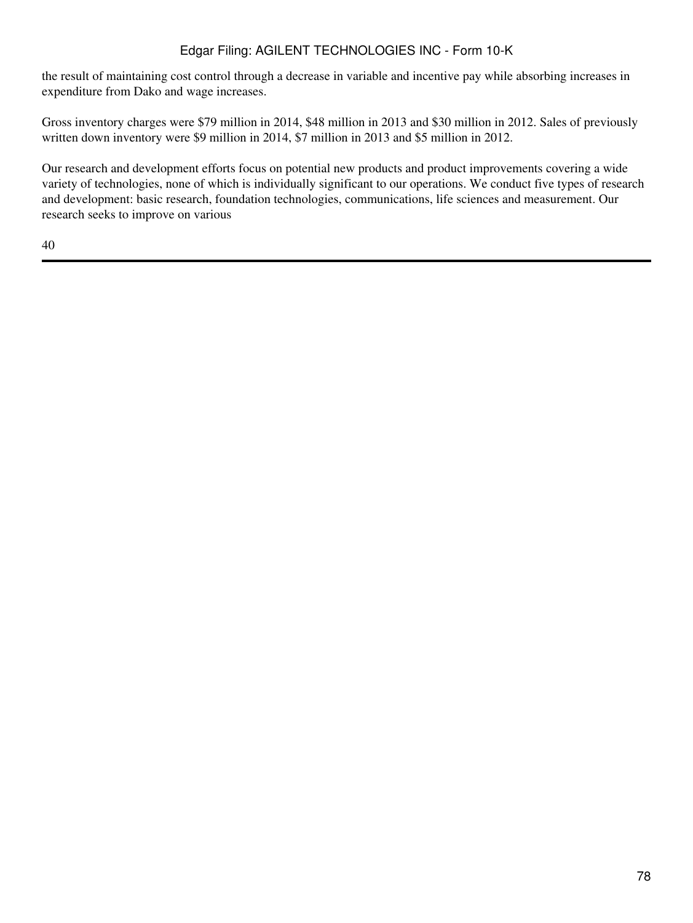the result of maintaining cost control through a decrease in variable and incentive pay while absorbing increases in expenditure from Dako and wage increases.

Gross inventory charges were \$79 million in 2014, \$48 million in 2013 and \$30 million in 2012. Sales of previously written down inventory were \$9 million in 2014, \$7 million in 2013 and \$5 million in 2012.

Our research and development efforts focus on potential new products and product improvements covering a wide variety of technologies, none of which is individually significant to our operations. We conduct five types of research and development: basic research, foundation technologies, communications, life sciences and measurement. Our research seeks to improve on various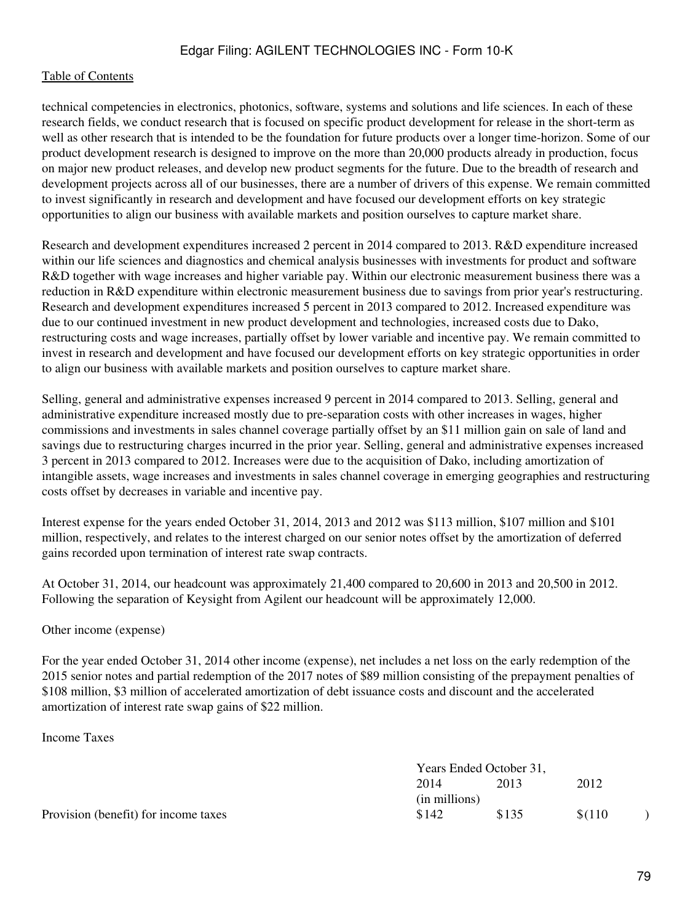#### [Table of Contents](#page-2-0)

technical competencies in electronics, photonics, software, systems and solutions and life sciences. In each of these research fields, we conduct research that is focused on specific product development for release in the short-term as well as other research that is intended to be the foundation for future products over a longer time-horizon. Some of our product development research is designed to improve on the more than 20,000 products already in production, focus on major new product releases, and develop new product segments for the future. Due to the breadth of research and development projects across all of our businesses, there are a number of drivers of this expense. We remain committed to invest significantly in research and development and have focused our development efforts on key strategic opportunities to align our business with available markets and position ourselves to capture market share.

Research and development expenditures increased 2 percent in 2014 compared to 2013. R&D expenditure increased within our life sciences and diagnostics and chemical analysis businesses with investments for product and software R&D together with wage increases and higher variable pay. Within our electronic measurement business there was a reduction in R&D expenditure within electronic measurement business due to savings from prior year's restructuring. Research and development expenditures increased 5 percent in 2013 compared to 2012. Increased expenditure was due to our continued investment in new product development and technologies, increased costs due to Dako, restructuring costs and wage increases, partially offset by lower variable and incentive pay. We remain committed to invest in research and development and have focused our development efforts on key strategic opportunities in order to align our business with available markets and position ourselves to capture market share.

Selling, general and administrative expenses increased 9 percent in 2014 compared to 2013. Selling, general and administrative expenditure increased mostly due to pre-separation costs with other increases in wages, higher commissions and investments in sales channel coverage partially offset by an \$11 million gain on sale of land and savings due to restructuring charges incurred in the prior year. Selling, general and administrative expenses increased 3 percent in 2013 compared to 2012. Increases were due to the acquisition of Dako, including amortization of intangible assets, wage increases and investments in sales channel coverage in emerging geographies and restructuring costs offset by decreases in variable and incentive pay.

Interest expense for the years ended October 31, 2014, 2013 and 2012 was \$113 million, \$107 million and \$101 million, respectively, and relates to the interest charged on our senior notes offset by the amortization of deferred gains recorded upon termination of interest rate swap contracts.

At October 31, 2014, our headcount was approximately 21,400 compared to 20,600 in 2013 and 20,500 in 2012. Following the separation of Keysight from Agilent our headcount will be approximately 12,000.

Other income (expense)

For the year ended October 31, 2014 other income (expense), net includes a net loss on the early redemption of the 2015 senior notes and partial redemption of the 2017 notes of \$89 million consisting of the prepayment penalties of \$108 million, \$3 million of accelerated amortization of debt issuance costs and discount and the accelerated amortization of interest rate swap gains of \$22 million.

Income Taxes

|                                      |               | Years Ended October 31, |         |  |
|--------------------------------------|---------------|-------------------------|---------|--|
|                                      | 2014          | 2013                    | 2012    |  |
|                                      | (in millions) |                         |         |  |
| Provision (benefit) for income taxes | \$142         | \$135                   | \$(110) |  |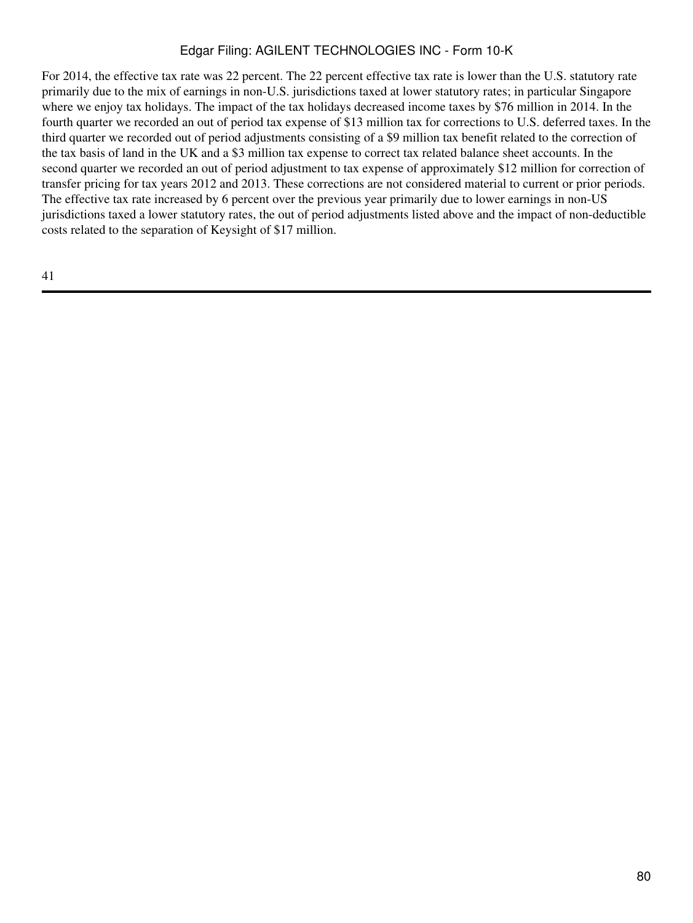For 2014, the effective tax rate was 22 percent. The 22 percent effective tax rate is lower than the U.S. statutory rate primarily due to the mix of earnings in non-U.S. jurisdictions taxed at lower statutory rates; in particular Singapore where we enjoy tax holidays. The impact of the tax holidays decreased income taxes by \$76 million in 2014. In the fourth quarter we recorded an out of period tax expense of \$13 million tax for corrections to U.S. deferred taxes. In the third quarter we recorded out of period adjustments consisting of a \$9 million tax benefit related to the correction of the tax basis of land in the UK and a \$3 million tax expense to correct tax related balance sheet accounts. In the second quarter we recorded an out of period adjustment to tax expense of approximately \$12 million for correction of transfer pricing for tax years 2012 and 2013. These corrections are not considered material to current or prior periods. The effective tax rate increased by 6 percent over the previous year primarily due to lower earnings in non-US jurisdictions taxed a lower statutory rates, the out of period adjustments listed above and the impact of non-deductible costs related to the separation of Keysight of \$17 million.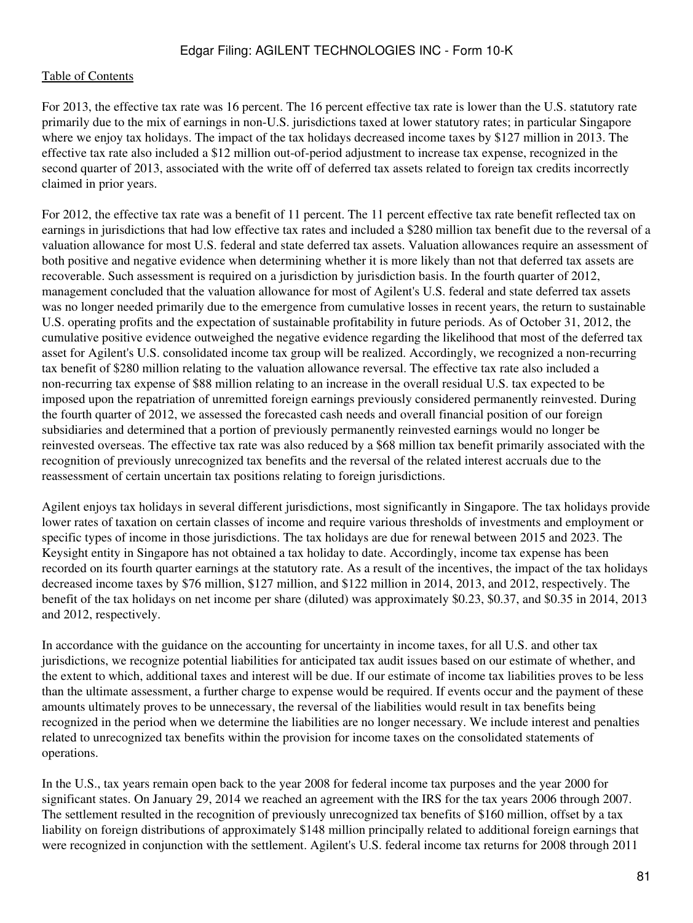### [Table of Contents](#page-2-0)

For 2013, the effective tax rate was 16 percent. The 16 percent effective tax rate is lower than the U.S. statutory rate primarily due to the mix of earnings in non-U.S. jurisdictions taxed at lower statutory rates; in particular Singapore where we enjoy tax holidays. The impact of the tax holidays decreased income taxes by \$127 million in 2013. The effective tax rate also included a \$12 million out-of-period adjustment to increase tax expense, recognized in the second quarter of 2013, associated with the write off of deferred tax assets related to foreign tax credits incorrectly claimed in prior years.

For 2012, the effective tax rate was a benefit of 11 percent. The 11 percent effective tax rate benefit reflected tax on earnings in jurisdictions that had low effective tax rates and included a \$280 million tax benefit due to the reversal of a valuation allowance for most U.S. federal and state deferred tax assets. Valuation allowances require an assessment of both positive and negative evidence when determining whether it is more likely than not that deferred tax assets are recoverable. Such assessment is required on a jurisdiction by jurisdiction basis. In the fourth quarter of 2012, management concluded that the valuation allowance for most of Agilent's U.S. federal and state deferred tax assets was no longer needed primarily due to the emergence from cumulative losses in recent years, the return to sustainable U.S. operating profits and the expectation of sustainable profitability in future periods. As of October 31, 2012, the cumulative positive evidence outweighed the negative evidence regarding the likelihood that most of the deferred tax asset for Agilent's U.S. consolidated income tax group will be realized. Accordingly, we recognized a non-recurring tax benefit of \$280 million relating to the valuation allowance reversal. The effective tax rate also included a non-recurring tax expense of \$88 million relating to an increase in the overall residual U.S. tax expected to be imposed upon the repatriation of unremitted foreign earnings previously considered permanently reinvested. During the fourth quarter of 2012, we assessed the forecasted cash needs and overall financial position of our foreign subsidiaries and determined that a portion of previously permanently reinvested earnings would no longer be reinvested overseas. The effective tax rate was also reduced by a \$68 million tax benefit primarily associated with the recognition of previously unrecognized tax benefits and the reversal of the related interest accruals due to the reassessment of certain uncertain tax positions relating to foreign jurisdictions.

Agilent enjoys tax holidays in several different jurisdictions, most significantly in Singapore. The tax holidays provide lower rates of taxation on certain classes of income and require various thresholds of investments and employment or specific types of income in those jurisdictions. The tax holidays are due for renewal between 2015 and 2023. The Keysight entity in Singapore has not obtained a tax holiday to date. Accordingly, income tax expense has been recorded on its fourth quarter earnings at the statutory rate. As a result of the incentives, the impact of the tax holidays decreased income taxes by \$76 million, \$127 million, and \$122 million in 2014, 2013, and 2012, respectively. The benefit of the tax holidays on net income per share (diluted) was approximately \$0.23, \$0.37, and \$0.35 in 2014, 2013 and 2012, respectively.

In accordance with the guidance on the accounting for uncertainty in income taxes, for all U.S. and other tax jurisdictions, we recognize potential liabilities for anticipated tax audit issues based on our estimate of whether, and the extent to which, additional taxes and interest will be due. If our estimate of income tax liabilities proves to be less than the ultimate assessment, a further charge to expense would be required. If events occur and the payment of these amounts ultimately proves to be unnecessary, the reversal of the liabilities would result in tax benefits being recognized in the period when we determine the liabilities are no longer necessary. We include interest and penalties related to unrecognized tax benefits within the provision for income taxes on the consolidated statements of operations.

In the U.S., tax years remain open back to the year 2008 for federal income tax purposes and the year 2000 for significant states. On January 29, 2014 we reached an agreement with the IRS for the tax years 2006 through 2007. The settlement resulted in the recognition of previously unrecognized tax benefits of \$160 million, offset by a tax liability on foreign distributions of approximately \$148 million principally related to additional foreign earnings that were recognized in conjunction with the settlement. Agilent's U.S. federal income tax returns for 2008 through 2011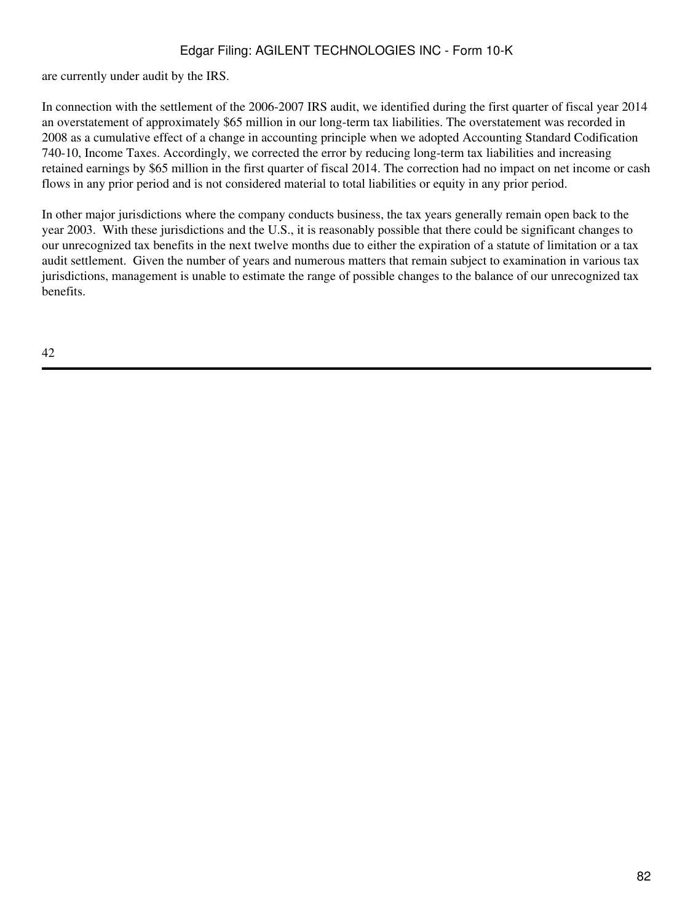are currently under audit by the IRS.

In connection with the settlement of the 2006-2007 IRS audit, we identified during the first quarter of fiscal year 2014 an overstatement of approximately \$65 million in our long-term tax liabilities. The overstatement was recorded in 2008 as a cumulative effect of a change in accounting principle when we adopted Accounting Standard Codification 740-10, Income Taxes. Accordingly, we corrected the error by reducing long-term tax liabilities and increasing retained earnings by \$65 million in the first quarter of fiscal 2014. The correction had no impact on net income or cash flows in any prior period and is not considered material to total liabilities or equity in any prior period.

In other major jurisdictions where the company conducts business, the tax years generally remain open back to the year 2003. With these jurisdictions and the U.S., it is reasonably possible that there could be significant changes to our unrecognized tax benefits in the next twelve months due to either the expiration of a statute of limitation or a tax audit settlement. Given the number of years and numerous matters that remain subject to examination in various tax jurisdictions, management is unable to estimate the range of possible changes to the balance of our unrecognized tax benefits.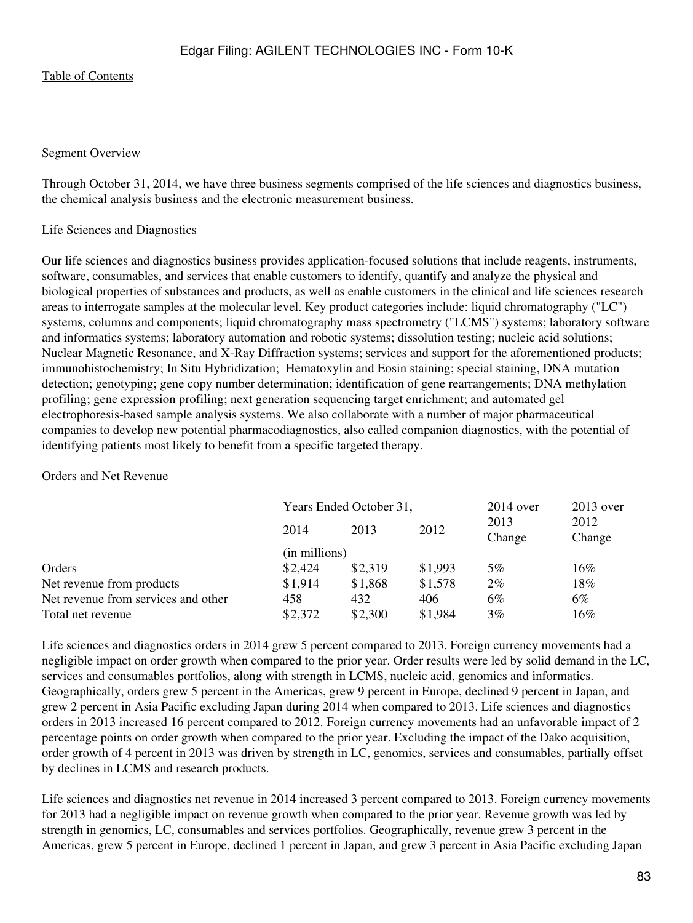#### Segment Overview

Through October 31, 2014, we have three business segments comprised of the life sciences and diagnostics business, the chemical analysis business and the electronic measurement business.

### Life Sciences and Diagnostics

Our life sciences and diagnostics business provides application-focused solutions that include reagents, instruments, software, consumables, and services that enable customers to identify, quantify and analyze the physical and biological properties of substances and products, as well as enable customers in the clinical and life sciences research areas to interrogate samples at the molecular level. Key product categories include: liquid chromatography ("LC") systems, columns and components; liquid chromatography mass spectrometry ("LCMS") systems; laboratory software and informatics systems; laboratory automation and robotic systems; dissolution testing; nucleic acid solutions; Nuclear Magnetic Resonance, and X-Ray Diffraction systems; services and support for the aforementioned products; immunohistochemistry; In Situ Hybridization; Hematoxylin and Eosin staining; special staining, DNA mutation detection; genotyping; gene copy number determination; identification of gene rearrangements; DNA methylation profiling; gene expression profiling; next generation sequencing target enrichment; and automated gel electrophoresis-based sample analysis systems. We also collaborate with a number of major pharmaceutical companies to develop new potential pharmacodiagnostics, also called companion diagnostics, with the potential of identifying patients most likely to benefit from a specific targeted therapy.

Orders and Net Revenue

|                                     |               | Years Ended October 31, | $2014$ over | $2013$ over    |                |
|-------------------------------------|---------------|-------------------------|-------------|----------------|----------------|
|                                     | 2014          | 2013                    | 2012        | 2013<br>Change | 2012<br>Change |
|                                     | (in millions) |                         |             |                |                |
| Orders                              | \$2,424       | \$2,319                 | \$1,993     | 5%             | 16%            |
| Net revenue from products           | \$1,914       | \$1,868                 | \$1,578     | $2\%$          | 18%            |
| Net revenue from services and other | 458           | 432                     | 406         | 6%             | 6%             |
| Total net revenue                   | \$2,372       | \$2,300                 | \$1,984     | 3%             | 16%            |

Life sciences and diagnostics orders in 2014 grew 5 percent compared to 2013. Foreign currency movements had a negligible impact on order growth when compared to the prior year. Order results were led by solid demand in the LC, services and consumables portfolios, along with strength in LCMS, nucleic acid, genomics and informatics. Geographically, orders grew 5 percent in the Americas, grew 9 percent in Europe, declined 9 percent in Japan, and grew 2 percent in Asia Pacific excluding Japan during 2014 when compared to 2013. Life sciences and diagnostics orders in 2013 increased 16 percent compared to 2012. Foreign currency movements had an unfavorable impact of 2 percentage points on order growth when compared to the prior year. Excluding the impact of the Dako acquisition, order growth of 4 percent in 2013 was driven by strength in LC, genomics, services and consumables, partially offset by declines in LCMS and research products.

Life sciences and diagnostics net revenue in 2014 increased 3 percent compared to 2013. Foreign currency movements for 2013 had a negligible impact on revenue growth when compared to the prior year. Revenue growth was led by strength in genomics, LC, consumables and services portfolios. Geographically, revenue grew 3 percent in the Americas, grew 5 percent in Europe, declined 1 percent in Japan, and grew 3 percent in Asia Pacific excluding Japan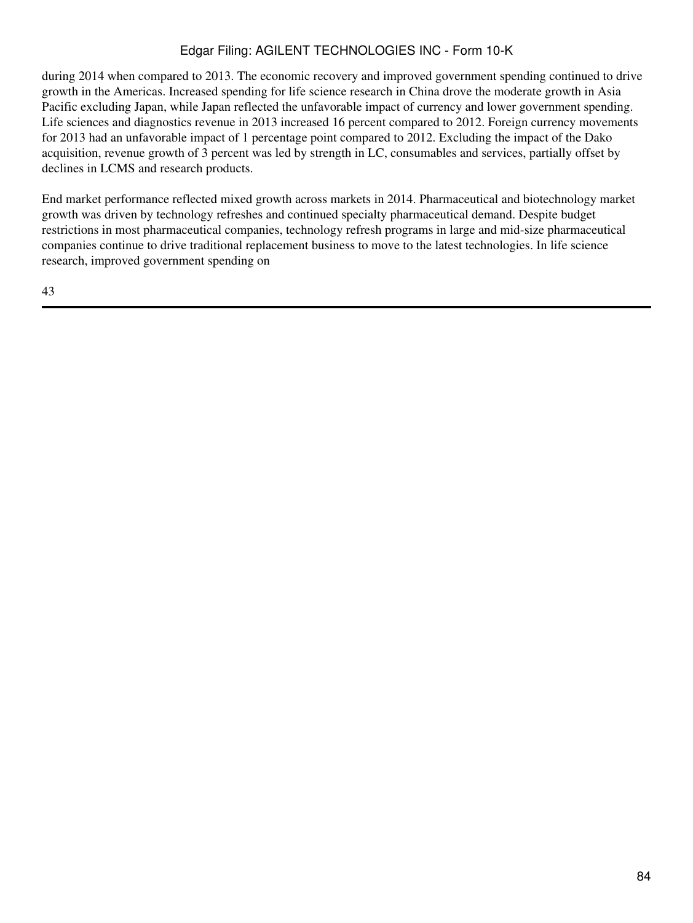during 2014 when compared to 2013. The economic recovery and improved government spending continued to drive growth in the Americas. Increased spending for life science research in China drove the moderate growth in Asia Pacific excluding Japan, while Japan reflected the unfavorable impact of currency and lower government spending. Life sciences and diagnostics revenue in 2013 increased 16 percent compared to 2012. Foreign currency movements for 2013 had an unfavorable impact of 1 percentage point compared to 2012. Excluding the impact of the Dako acquisition, revenue growth of 3 percent was led by strength in LC, consumables and services, partially offset by declines in LCMS and research products.

End market performance reflected mixed growth across markets in 2014. Pharmaceutical and biotechnology market growth was driven by technology refreshes and continued specialty pharmaceutical demand. Despite budget restrictions in most pharmaceutical companies, technology refresh programs in large and mid-size pharmaceutical companies continue to drive traditional replacement business to move to the latest technologies. In life science research, improved government spending on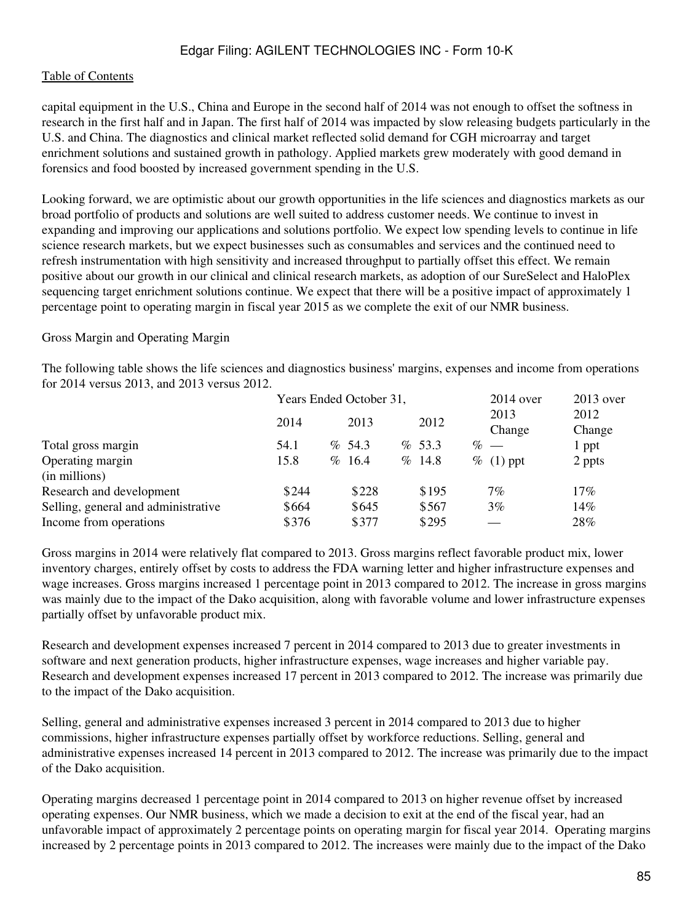### [Table of Contents](#page-2-0)

capital equipment in the U.S., China and Europe in the second half of 2014 was not enough to offset the softness in research in the first half and in Japan. The first half of 2014 was impacted by slow releasing budgets particularly in the U.S. and China. The diagnostics and clinical market reflected solid demand for CGH microarray and target enrichment solutions and sustained growth in pathology. Applied markets grew moderately with good demand in forensics and food boosted by increased government spending in the U.S.

Looking forward, we are optimistic about our growth opportunities in the life sciences and diagnostics markets as our broad portfolio of products and solutions are well suited to address customer needs. We continue to invest in expanding and improving our applications and solutions portfolio. We expect low spending levels to continue in life science research markets, but we expect businesses such as consumables and services and the continued need to refresh instrumentation with high sensitivity and increased throughput to partially offset this effect. We remain positive about our growth in our clinical and clinical research markets, as adoption of our SureSelect and HaloPlex sequencing target enrichment solutions continue. We expect that there will be a positive impact of approximately 1 percentage point to operating margin in fiscal year 2015 as we complete the exit of our NMR business.

### Gross Margin and Operating Margin

The following table shows the life sciences and diagnostics business' margins, expenses and income from operations for 2014 versus 2013, and 2013 versus 2012.

|                                     | Years Ended October 31, |  |           |  |           | $2014$ over    | $2013$ over    |
|-------------------------------------|-------------------------|--|-----------|--|-----------|----------------|----------------|
|                                     | 2014                    |  | 2013      |  | 2012      | 2013<br>Change | 2012<br>Change |
| Total gross margin                  | 54.1                    |  | $\%$ 54.3 |  | $\%$ 53.3 | $\%$ —         | 1 ppt          |
| Operating margin                    | 15.8                    |  | %16.4     |  | %14.8     | $\%$ (1) ppt   | 2 ppts         |
| (in millions)                       |                         |  |           |  |           |                |                |
| Research and development            | \$244                   |  | \$228     |  | \$195     | $7\%$          | 17%            |
| Selling, general and administrative | \$664                   |  | \$645     |  | \$567     | 3%             | 14%            |
| Income from operations              | \$376                   |  | \$377     |  | \$295     |                | 28%            |

Gross margins in 2014 were relatively flat compared to 2013. Gross margins reflect favorable product mix, lower inventory charges, entirely offset by costs to address the FDA warning letter and higher infrastructure expenses and wage increases. Gross margins increased 1 percentage point in 2013 compared to 2012. The increase in gross margins was mainly due to the impact of the Dako acquisition, along with favorable volume and lower infrastructure expenses partially offset by unfavorable product mix.

Research and development expenses increased 7 percent in 2014 compared to 2013 due to greater investments in software and next generation products, higher infrastructure expenses, wage increases and higher variable pay. Research and development expenses increased 17 percent in 2013 compared to 2012. The increase was primarily due to the impact of the Dako acquisition.

Selling, general and administrative expenses increased 3 percent in 2014 compared to 2013 due to higher commissions, higher infrastructure expenses partially offset by workforce reductions. Selling, general and administrative expenses increased 14 percent in 2013 compared to 2012. The increase was primarily due to the impact of the Dako acquisition.

Operating margins decreased 1 percentage point in 2014 compared to 2013 on higher revenue offset by increased operating expenses. Our NMR business, which we made a decision to exit at the end of the fiscal year, had an unfavorable impact of approximately 2 percentage points on operating margin for fiscal year 2014. Operating margins increased by 2 percentage points in 2013 compared to 2012. The increases were mainly due to the impact of the Dako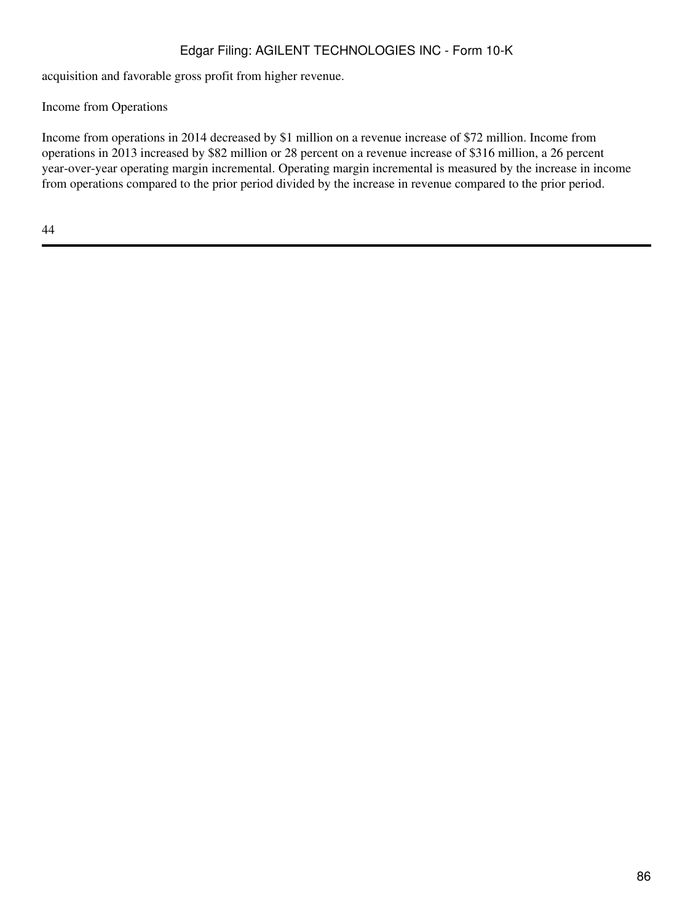acquisition and favorable gross profit from higher revenue.

Income from Operations

Income from operations in 2014 decreased by \$1 million on a revenue increase of \$72 million. Income from operations in 2013 increased by \$82 million or 28 percent on a revenue increase of \$316 million, a 26 percent year-over-year operating margin incremental. Operating margin incremental is measured by the increase in income from operations compared to the prior period divided by the increase in revenue compared to the prior period.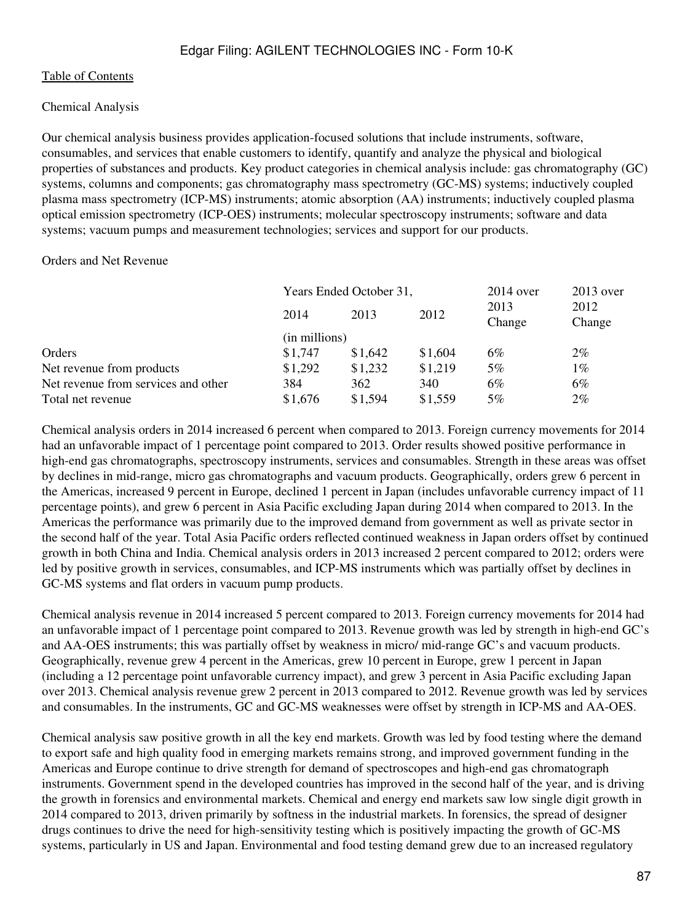### Chemical Analysis

Our chemical analysis business provides application-focused solutions that include instruments, software, consumables, and services that enable customers to identify, quantify and analyze the physical and biological properties of substances and products. Key product categories in chemical analysis include: gas chromatography (GC) systems, columns and components; gas chromatography mass spectrometry (GC-MS) systems; inductively coupled plasma mass spectrometry (ICP-MS) instruments; atomic absorption (AA) instruments; inductively coupled plasma optical emission spectrometry (ICP-OES) instruments; molecular spectroscopy instruments; software and data systems; vacuum pumps and measurement technologies; services and support for our products.

### Orders and Net Revenue

|                                     |               | Years Ended October 31, | $2014$ over | $2013$ over    |                |
|-------------------------------------|---------------|-------------------------|-------------|----------------|----------------|
|                                     | 2014          | 2013                    | 2012        | 2013<br>Change | 2012<br>Change |
|                                     | (in millions) |                         |             |                |                |
| Orders                              | \$1,747       | \$1,642                 | \$1,604     | 6%             | $2\%$          |
| Net revenue from products           | \$1,292       | \$1,232                 | \$1,219     | $5\%$          | $1\%$          |
| Net revenue from services and other | 384           | 362                     | 340         | 6%             | 6%             |
| Total net revenue                   | \$1,676       | \$1,594                 | \$1,559     | 5%             | $2\%$          |

Chemical analysis orders in 2014 increased 6 percent when compared to 2013. Foreign currency movements for 2014 had an unfavorable impact of 1 percentage point compared to 2013. Order results showed positive performance in high-end gas chromatographs, spectroscopy instruments, services and consumables. Strength in these areas was offset by declines in mid-range, micro gas chromatographs and vacuum products. Geographically, orders grew 6 percent in the Americas, increased 9 percent in Europe, declined 1 percent in Japan (includes unfavorable currency impact of 11 percentage points), and grew 6 percent in Asia Pacific excluding Japan during 2014 when compared to 2013. In the Americas the performance was primarily due to the improved demand from government as well as private sector in the second half of the year. Total Asia Pacific orders reflected continued weakness in Japan orders offset by continued growth in both China and India. Chemical analysis orders in 2013 increased 2 percent compared to 2012; orders were led by positive growth in services, consumables, and ICP-MS instruments which was partially offset by declines in GC-MS systems and flat orders in vacuum pump products.

Chemical analysis revenue in 2014 increased 5 percent compared to 2013. Foreign currency movements for 2014 had an unfavorable impact of 1 percentage point compared to 2013. Revenue growth was led by strength in high-end GC's and AA-OES instruments; this was partially offset by weakness in micro/ mid-range GC's and vacuum products. Geographically, revenue grew 4 percent in the Americas, grew 10 percent in Europe, grew 1 percent in Japan (including a 12 percentage point unfavorable currency impact), and grew 3 percent in Asia Pacific excluding Japan over 2013. Chemical analysis revenue grew 2 percent in 2013 compared to 2012. Revenue growth was led by services and consumables. In the instruments, GC and GC-MS weaknesses were offset by strength in ICP-MS and AA-OES.

Chemical analysis saw positive growth in all the key end markets. Growth was led by food testing where the demand to export safe and high quality food in emerging markets remains strong, and improved government funding in the Americas and Europe continue to drive strength for demand of spectroscopes and high-end gas chromatograph instruments. Government spend in the developed countries has improved in the second half of the year, and is driving the growth in forensics and environmental markets. Chemical and energy end markets saw low single digit growth in 2014 compared to 2013, driven primarily by softness in the industrial markets. In forensics, the spread of designer drugs continues to drive the need for high-sensitivity testing which is positively impacting the growth of GC-MS systems, particularly in US and Japan. Environmental and food testing demand grew due to an increased regulatory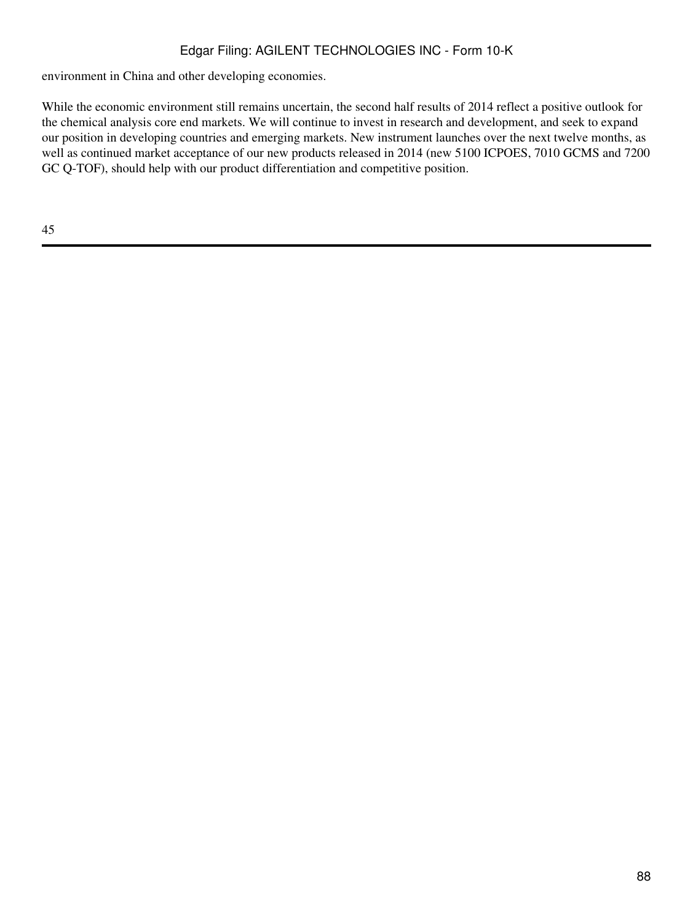environment in China and other developing economies.

While the economic environment still remains uncertain, the second half results of 2014 reflect a positive outlook for the chemical analysis core end markets. We will continue to invest in research and development, and seek to expand our position in developing countries and emerging markets. New instrument launches over the next twelve months, as well as continued market acceptance of our new products released in 2014 (new 5100 ICPOES, 7010 GCMS and 7200 GC Q-TOF), should help with our product differentiation and competitive position.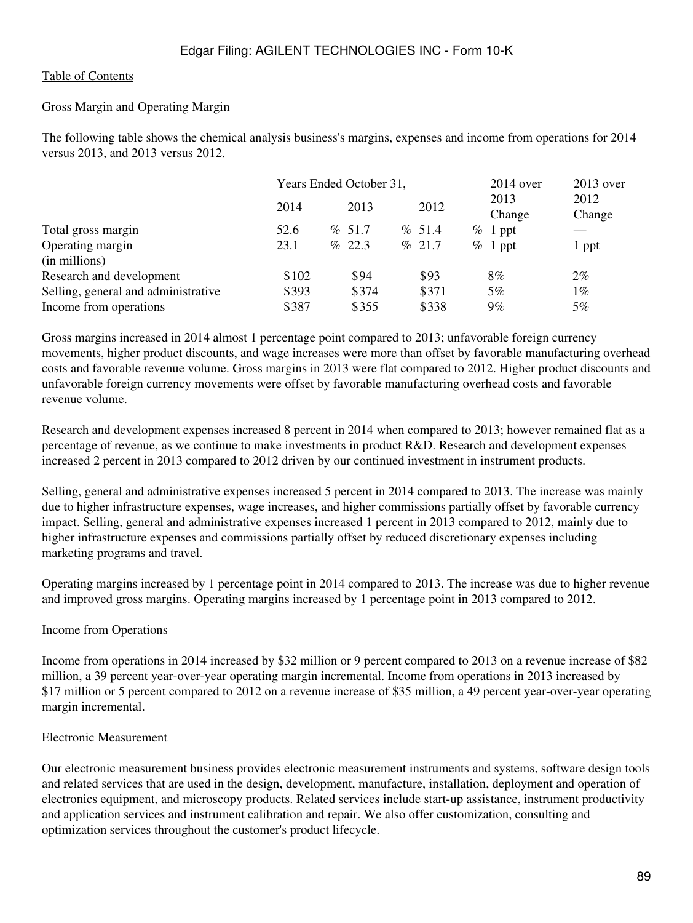### Gross Margin and Operating Margin

The following table shows the chemical analysis business's margins, expenses and income from operations for 2014 versus 2013, and 2013 versus 2012.

| Years Ended October 31, |  |       |                     |       |                     | $2014$ over    | $2013$ over                       |
|-------------------------|--|-------|---------------------|-------|---------------------|----------------|-----------------------------------|
| 2014                    |  | 2013  |                     | 2012  |                     | 2013<br>Change | 2012<br>Change                    |
| 52.6                    |  |       |                     |       |                     |                |                                   |
| 23.1                    |  |       |                     |       |                     |                | 1 ppt                             |
|                         |  |       |                     |       |                     |                |                                   |
| \$102                   |  | \$94  |                     | \$93  |                     | 8%             | $2\%$                             |
| \$393                   |  | \$374 |                     | \$371 |                     | $5\%$          | $1\%$                             |
| \$387                   |  | \$355 |                     | \$338 |                     |                | $5\%$                             |
|                         |  |       | % 51.7<br>$\%$ 22.3 |       | $\%$ 51.4<br>% 21.7 |                | $\%$ 1 ppt<br>$\%$ 1 ppt<br>$9\%$ |

Gross margins increased in 2014 almost 1 percentage point compared to 2013; unfavorable foreign currency movements, higher product discounts, and wage increases were more than offset by favorable manufacturing overhead costs and favorable revenue volume. Gross margins in 2013 were flat compared to 2012. Higher product discounts and unfavorable foreign currency movements were offset by favorable manufacturing overhead costs and favorable revenue volume.

Research and development expenses increased 8 percent in 2014 when compared to 2013; however remained flat as a percentage of revenue, as we continue to make investments in product R&D. Research and development expenses increased 2 percent in 2013 compared to 2012 driven by our continued investment in instrument products.

Selling, general and administrative expenses increased 5 percent in 2014 compared to 2013. The increase was mainly due to higher infrastructure expenses, wage increases, and higher commissions partially offset by favorable currency impact. Selling, general and administrative expenses increased 1 percent in 2013 compared to 2012, mainly due to higher infrastructure expenses and commissions partially offset by reduced discretionary expenses including marketing programs and travel.

Operating margins increased by 1 percentage point in 2014 compared to 2013. The increase was due to higher revenue and improved gross margins. Operating margins increased by 1 percentage point in 2013 compared to 2012.

#### Income from Operations

Income from operations in 2014 increased by \$32 million or 9 percent compared to 2013 on a revenue increase of \$82 million, a 39 percent year-over-year operating margin incremental. Income from operations in 2013 increased by \$17 million or 5 percent compared to 2012 on a revenue increase of \$35 million, a 49 percent year-over-year operating margin incremental.

#### Electronic Measurement

Our electronic measurement business provides electronic measurement instruments and systems, software design tools and related services that are used in the design, development, manufacture, installation, deployment and operation of electronics equipment, and microscopy products. Related services include start-up assistance, instrument productivity and application services and instrument calibration and repair. We also offer customization, consulting and optimization services throughout the customer's product lifecycle.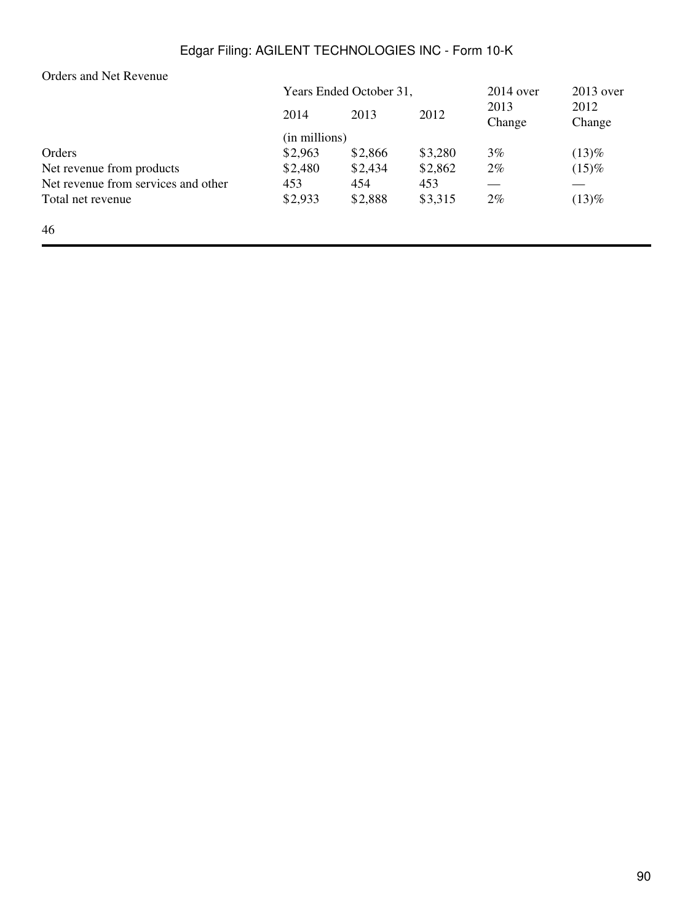## Orders and Net Revenue

|                                     | Years Ended October 31, |         |         | $2014$ over    | $2013$ over    |  |
|-------------------------------------|-------------------------|---------|---------|----------------|----------------|--|
|                                     | 2014                    | 2013    | 2012    | 2013<br>Change | 2012<br>Change |  |
|                                     | (in millions)           |         |         |                |                |  |
| Orders                              | \$2,963                 | \$2,866 | \$3,280 | 3%             | $(13)\%$       |  |
| Net revenue from products           | \$2,480                 | \$2,434 | \$2,862 | $2\%$          | $(15)\%$       |  |
| Net revenue from services and other | 453                     | 454     | 453     |                |                |  |
| Total net revenue                   | \$2,933                 | \$2,888 | \$3,315 | $2\%$          | $(13)\%$       |  |
| 46                                  |                         |         |         |                |                |  |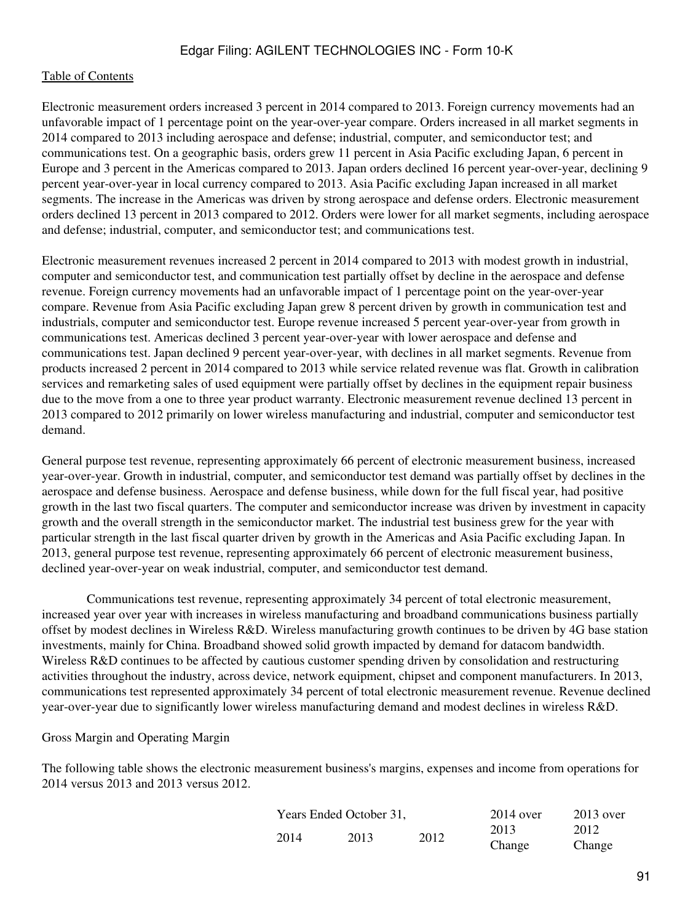#### [Table of Contents](#page-2-0)

Electronic measurement orders increased 3 percent in 2014 compared to 2013. Foreign currency movements had an unfavorable impact of 1 percentage point on the year-over-year compare. Orders increased in all market segments in 2014 compared to 2013 including aerospace and defense; industrial, computer, and semiconductor test; and communications test. On a geographic basis, orders grew 11 percent in Asia Pacific excluding Japan, 6 percent in Europe and 3 percent in the Americas compared to 2013. Japan orders declined 16 percent year-over-year, declining 9 percent year-over-year in local currency compared to 2013. Asia Pacific excluding Japan increased in all market segments. The increase in the Americas was driven by strong aerospace and defense orders. Electronic measurement orders declined 13 percent in 2013 compared to 2012. Orders were lower for all market segments, including aerospace and defense; industrial, computer, and semiconductor test; and communications test.

Electronic measurement revenues increased 2 percent in 2014 compared to 2013 with modest growth in industrial, computer and semiconductor test, and communication test partially offset by decline in the aerospace and defense revenue. Foreign currency movements had an unfavorable impact of 1 percentage point on the year-over-year compare. Revenue from Asia Pacific excluding Japan grew 8 percent driven by growth in communication test and industrials, computer and semiconductor test. Europe revenue increased 5 percent year-over-year from growth in communications test. Americas declined 3 percent year-over-year with lower aerospace and defense and communications test. Japan declined 9 percent year-over-year, with declines in all market segments. Revenue from products increased 2 percent in 2014 compared to 2013 while service related revenue was flat. Growth in calibration services and remarketing sales of used equipment were partially offset by declines in the equipment repair business due to the move from a one to three year product warranty. Electronic measurement revenue declined 13 percent in 2013 compared to 2012 primarily on lower wireless manufacturing and industrial, computer and semiconductor test demand.

General purpose test revenue, representing approximately 66 percent of electronic measurement business, increased year-over-year. Growth in industrial, computer, and semiconductor test demand was partially offset by declines in the aerospace and defense business. Aerospace and defense business, while down for the full fiscal year, had positive growth in the last two fiscal quarters. The computer and semiconductor increase was driven by investment in capacity growth and the overall strength in the semiconductor market. The industrial test business grew for the year with particular strength in the last fiscal quarter driven by growth in the Americas and Asia Pacific excluding Japan. In 2013, general purpose test revenue, representing approximately 66 percent of electronic measurement business, declined year-over-year on weak industrial, computer, and semiconductor test demand.

 Communications test revenue, representing approximately 34 percent of total electronic measurement, increased year over year with increases in wireless manufacturing and broadband communications business partially offset by modest declines in Wireless R&D. Wireless manufacturing growth continues to be driven by 4G base station investments, mainly for China. Broadband showed solid growth impacted by demand for datacom bandwidth. Wireless R&D continues to be affected by cautious customer spending driven by consolidation and restructuring activities throughout the industry, across device, network equipment, chipset and component manufacturers. In 2013, communications test represented approximately 34 percent of total electronic measurement revenue. Revenue declined year-over-year due to significantly lower wireless manufacturing demand and modest declines in wireless R&D.

Gross Margin and Operating Margin

The following table shows the electronic measurement business's margins, expenses and income from operations for 2014 versus 2013 and 2013 versus 2012.

|      | Years Ended October 31. |      | 2014 over | $2013$ over |
|------|-------------------------|------|-----------|-------------|
| 2014 | 2013                    | 2012 | 2013      | 2012        |
|      |                         |      | Change    | Change      |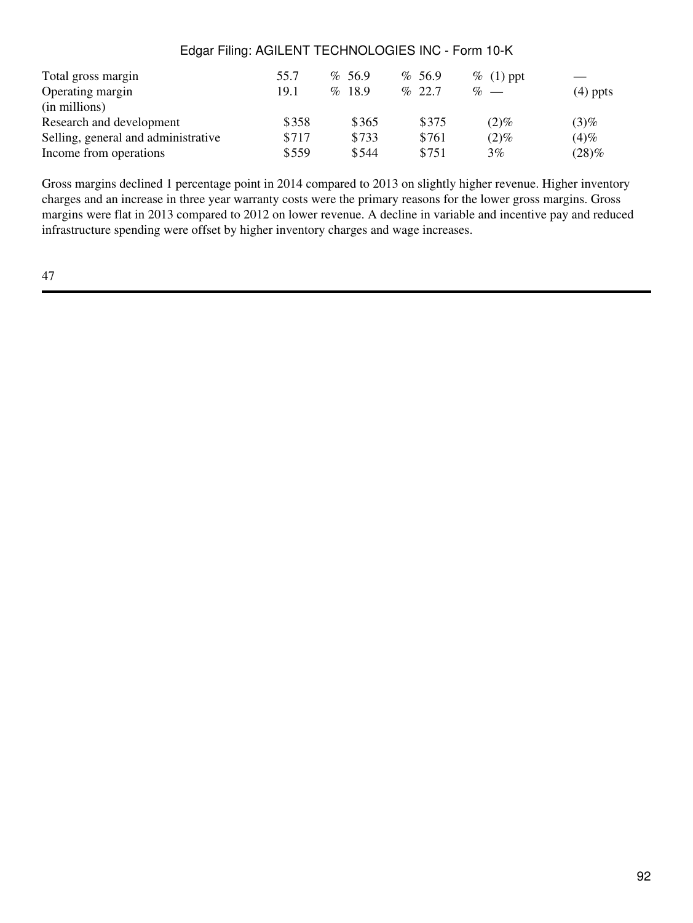| Total gross margin<br>Operating margin<br>(in millions) | 55.7<br>19.1 | %56.9<br>%18.9 | %56.9<br>% 22.7 | $\%$ (1) ppt<br>$\%$ — | $(4)$ ppts |
|---------------------------------------------------------|--------------|----------------|-----------------|------------------------|------------|
| Research and development                                | \$358        | \$365          | \$375           | $(2)\%$                | $(3)\%$    |
| Selling, general and administrative                     | \$717        | \$733          | \$761           | $(2)\%$                | (4)%       |
| Income from operations                                  | \$559        | \$544          | \$751           | $3\%$                  | $(28)\%$   |

Gross margins declined 1 percentage point in 2014 compared to 2013 on slightly higher revenue. Higher inventory charges and an increase in three year warranty costs were the primary reasons for the lower gross margins. Gross margins were flat in 2013 compared to 2012 on lower revenue. A decline in variable and incentive pay and reduced infrastructure spending were offset by higher inventory charges and wage increases.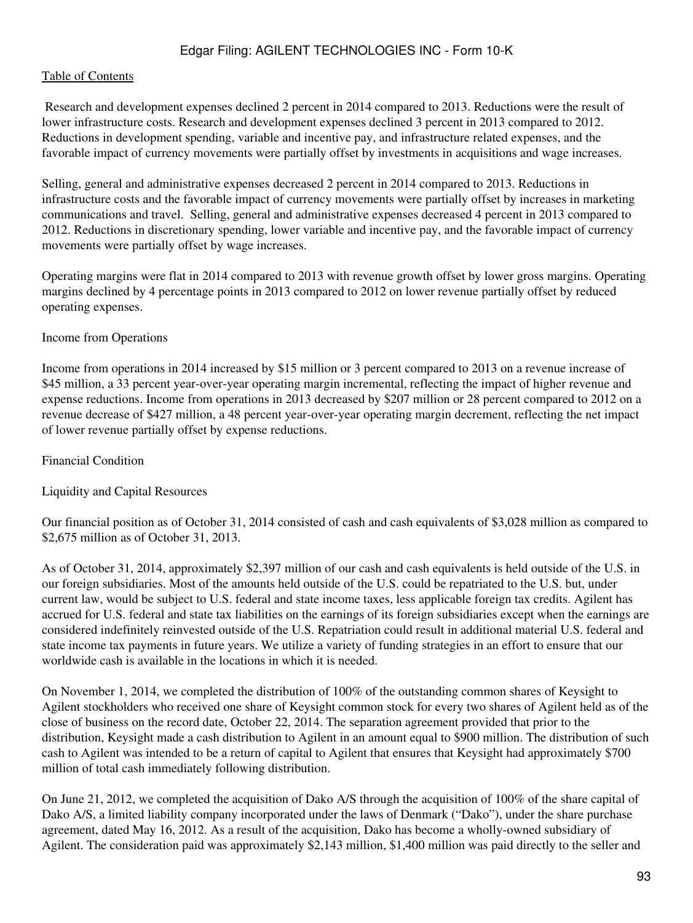### [Table of Contents](#page-2-0)

 Research and development expenses declined 2 percent in 2014 compared to 2013. Reductions were the result of lower infrastructure costs. Research and development expenses declined 3 percent in 2013 compared to 2012. Reductions in development spending, variable and incentive pay, and infrastructure related expenses, and the favorable impact of currency movements were partially offset by investments in acquisitions and wage increases.

Selling, general and administrative expenses decreased 2 percent in 2014 compared to 2013. Reductions in infrastructure costs and the favorable impact of currency movements were partially offset by increases in marketing communications and travel. Selling, general and administrative expenses decreased 4 percent in 2013 compared to 2012. Reductions in discretionary spending, lower variable and incentive pay, and the favorable impact of currency movements were partially offset by wage increases.

Operating margins were flat in 2014 compared to 2013 with revenue growth offset by lower gross margins. Operating margins declined by 4 percentage points in 2013 compared to 2012 on lower revenue partially offset by reduced operating expenses.

### Income from Operations

Income from operations in 2014 increased by \$15 million or 3 percent compared to 2013 on a revenue increase of \$45 million, a 33 percent year-over-year operating margin incremental, reflecting the impact of higher revenue and expense reductions. Income from operations in 2013 decreased by \$207 million or 28 percent compared to 2012 on a revenue decrease of \$427 million, a 48 percent year-over-year operating margin decrement, reflecting the net impact of lower revenue partially offset by expense reductions.

#### Financial Condition

#### Liquidity and Capital Resources

Our financial position as of October 31, 2014 consisted of cash and cash equivalents of \$3,028 million as compared to \$2,675 million as of October 31, 2013.

As of October 31, 2014, approximately \$2,397 million of our cash and cash equivalents is held outside of the U.S. in our foreign subsidiaries. Most of the amounts held outside of the U.S. could be repatriated to the U.S. but, under current law, would be subject to U.S. federal and state income taxes, less applicable foreign tax credits. Agilent has accrued for U.S. federal and state tax liabilities on the earnings of its foreign subsidiaries except when the earnings are considered indefinitely reinvested outside of the U.S. Repatriation could result in additional material U.S. federal and state income tax payments in future years. We utilize a variety of funding strategies in an effort to ensure that our worldwide cash is available in the locations in which it is needed.

On November 1, 2014, we completed the distribution of 100% of the outstanding common shares of Keysight to Agilent stockholders who received one share of Keysight common stock for every two shares of Agilent held as of the close of business on the record date, October 22, 2014. The separation agreement provided that prior to the distribution, Keysight made a cash distribution to Agilent in an amount equal to \$900 million. The distribution of such cash to Agilent was intended to be a return of capital to Agilent that ensures that Keysight had approximately \$700 million of total cash immediately following distribution.

On June 21, 2012, we completed the acquisition of Dako A/S through the acquisition of 100% of the share capital of Dako A/S, a limited liability company incorporated under the laws of Denmark ("Dako"), under the share purchase agreement, dated May 16, 2012. As a result of the acquisition, Dako has become a wholly-owned subsidiary of Agilent. The consideration paid was approximately \$2,143 million, \$1,400 million was paid directly to the seller and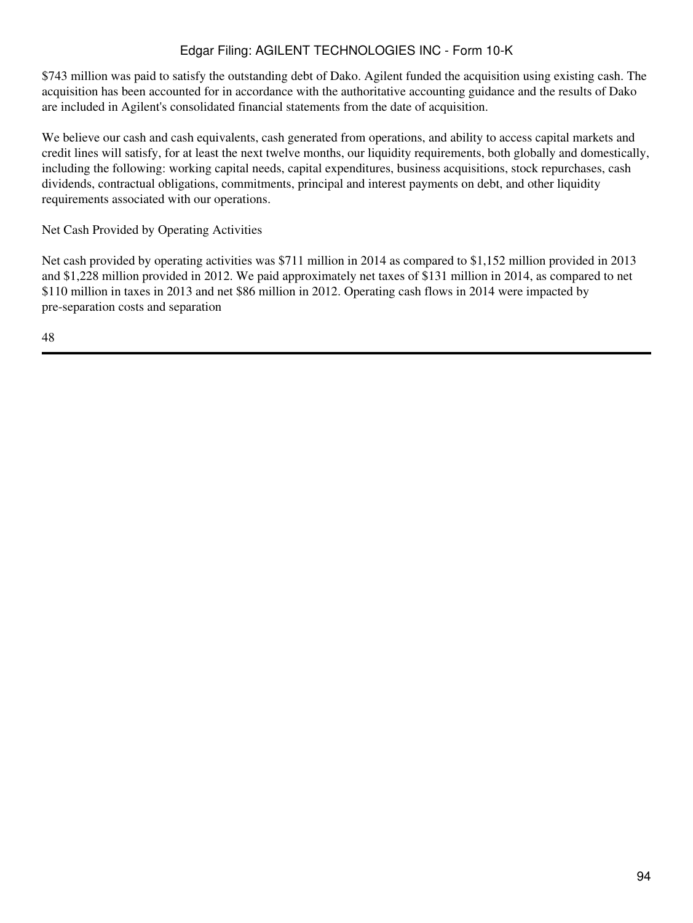\$743 million was paid to satisfy the outstanding debt of Dako. Agilent funded the acquisition using existing cash. The acquisition has been accounted for in accordance with the authoritative accounting guidance and the results of Dako are included in Agilent's consolidated financial statements from the date of acquisition.

We believe our cash and cash equivalents, cash generated from operations, and ability to access capital markets and credit lines will satisfy, for at least the next twelve months, our liquidity requirements, both globally and domestically, including the following: working capital needs, capital expenditures, business acquisitions, stock repurchases, cash dividends, contractual obligations, commitments, principal and interest payments on debt, and other liquidity requirements associated with our operations.

Net Cash Provided by Operating Activities

Net cash provided by operating activities was \$711 million in 2014 as compared to \$1,152 million provided in 2013 and \$1,228 million provided in 2012. We paid approximately net taxes of \$131 million in 2014, as compared to net \$110 million in taxes in 2013 and net \$86 million in 2012. Operating cash flows in 2014 were impacted by pre-separation costs and separation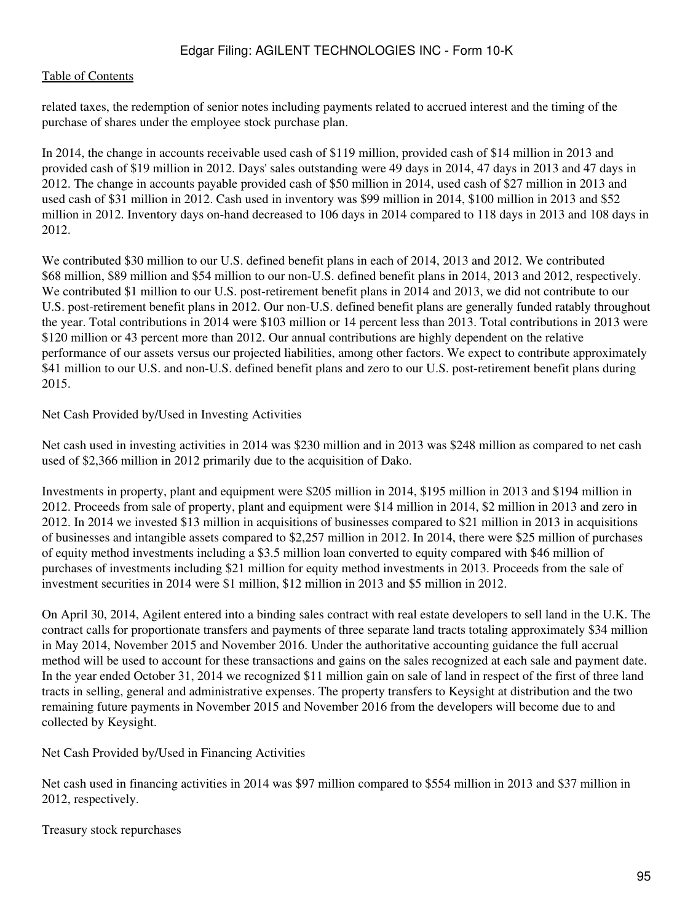#### [Table of Contents](#page-2-0)

related taxes, the redemption of senior notes including payments related to accrued interest and the timing of the purchase of shares under the employee stock purchase plan.

In 2014, the change in accounts receivable used cash of \$119 million, provided cash of \$14 million in 2013 and provided cash of \$19 million in 2012. Days' sales outstanding were 49 days in 2014, 47 days in 2013 and 47 days in 2012. The change in accounts payable provided cash of \$50 million in 2014, used cash of \$27 million in 2013 and used cash of \$31 million in 2012. Cash used in inventory was \$99 million in 2014, \$100 million in 2013 and \$52 million in 2012. Inventory days on-hand decreased to 106 days in 2014 compared to 118 days in 2013 and 108 days in 2012.

We contributed \$30 million to our U.S. defined benefit plans in each of 2014, 2013 and 2012. We contributed \$68 million, \$89 million and \$54 million to our non-U.S. defined benefit plans in 2014, 2013 and 2012, respectively. We contributed \$1 million to our U.S. post-retirement benefit plans in 2014 and 2013, we did not contribute to our U.S. post-retirement benefit plans in 2012. Our non-U.S. defined benefit plans are generally funded ratably throughout the year. Total contributions in 2014 were \$103 million or 14 percent less than 2013. Total contributions in 2013 were \$120 million or 43 percent more than 2012. Our annual contributions are highly dependent on the relative performance of our assets versus our projected liabilities, among other factors. We expect to contribute approximately \$41 million to our U.S. and non-U.S. defined benefit plans and zero to our U.S. post-retirement benefit plans during 2015.

Net Cash Provided by/Used in Investing Activities

Net cash used in investing activities in 2014 was \$230 million and in 2013 was \$248 million as compared to net cash used of \$2,366 million in 2012 primarily due to the acquisition of Dako.

Investments in property, plant and equipment were \$205 million in 2014, \$195 million in 2013 and \$194 million in 2012. Proceeds from sale of property, plant and equipment were \$14 million in 2014, \$2 million in 2013 and zero in 2012. In 2014 we invested \$13 million in acquisitions of businesses compared to \$21 million in 2013 in acquisitions of businesses and intangible assets compared to \$2,257 million in 2012. In 2014, there were \$25 million of purchases of equity method investments including a \$3.5 million loan converted to equity compared with \$46 million of purchases of investments including \$21 million for equity method investments in 2013. Proceeds from the sale of investment securities in 2014 were \$1 million, \$12 million in 2013 and \$5 million in 2012.

On April 30, 2014, Agilent entered into a binding sales contract with real estate developers to sell land in the U.K. The contract calls for proportionate transfers and payments of three separate land tracts totaling approximately \$34 million in May 2014, November 2015 and November 2016. Under the authoritative accounting guidance the full accrual method will be used to account for these transactions and gains on the sales recognized at each sale and payment date. In the year ended October 31, 2014 we recognized \$11 million gain on sale of land in respect of the first of three land tracts in selling, general and administrative expenses. The property transfers to Keysight at distribution and the two remaining future payments in November 2015 and November 2016 from the developers will become due to and collected by Keysight.

Net Cash Provided by/Used in Financing Activities

Net cash used in financing activities in 2014 was \$97 million compared to \$554 million in 2013 and \$37 million in 2012, respectively.

Treasury stock repurchases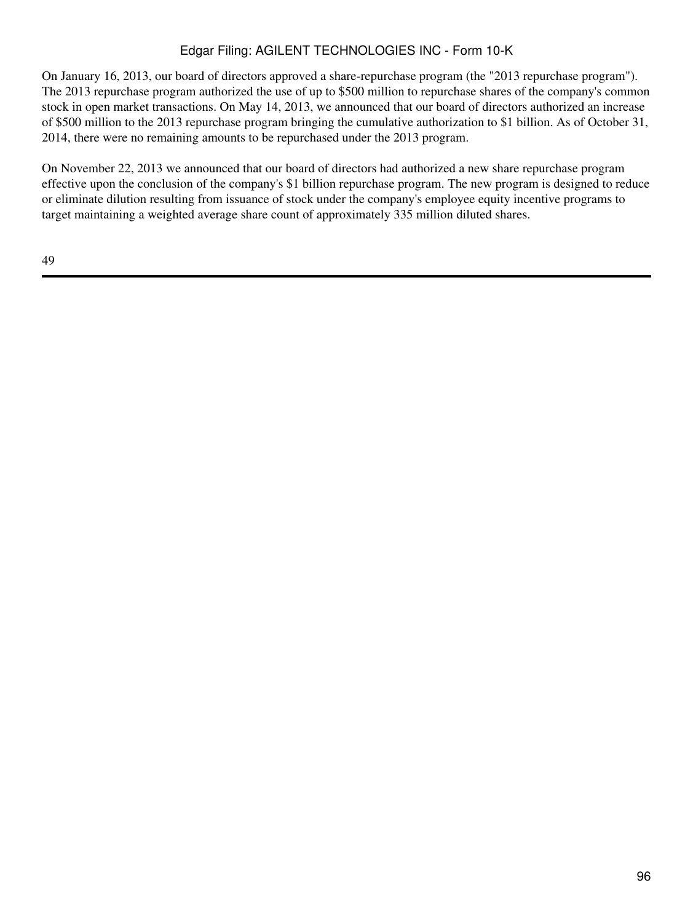On January 16, 2013, our board of directors approved a share-repurchase program (the "2013 repurchase program"). The 2013 repurchase program authorized the use of up to \$500 million to repurchase shares of the company's common stock in open market transactions. On May 14, 2013, we announced that our board of directors authorized an increase of \$500 million to the 2013 repurchase program bringing the cumulative authorization to \$1 billion. As of October 31, 2014, there were no remaining amounts to be repurchased under the 2013 program.

On November 22, 2013 we announced that our board of directors had authorized a new share repurchase program effective upon the conclusion of the company's \$1 billion repurchase program. The new program is designed to reduce or eliminate dilution resulting from issuance of stock under the company's employee equity incentive programs to target maintaining a weighted average share count of approximately 335 million diluted shares.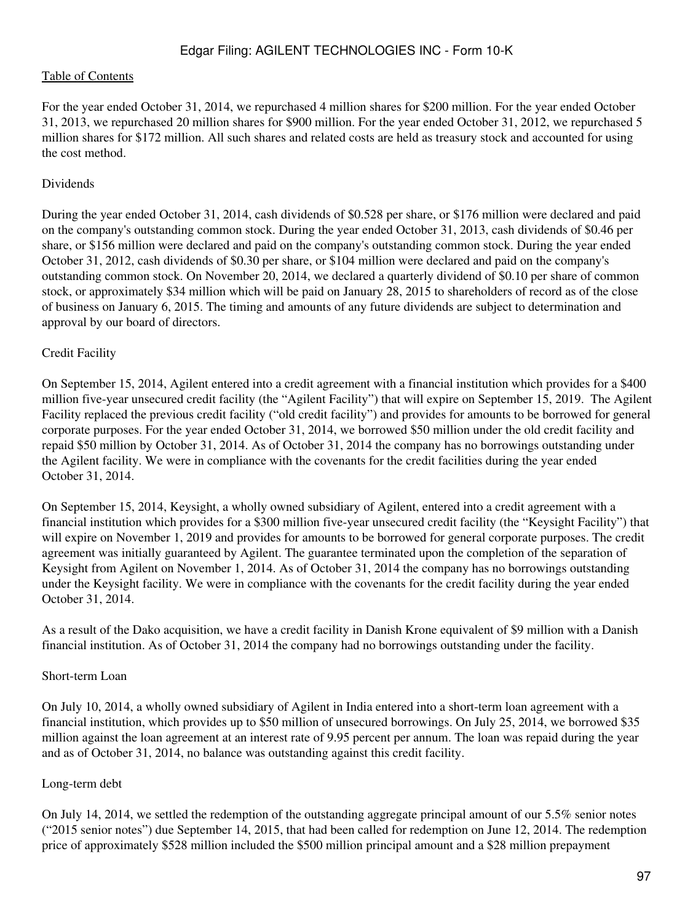### [Table of Contents](#page-2-0)

For the year ended October 31, 2014, we repurchased 4 million shares for \$200 million. For the year ended October 31, 2013, we repurchased 20 million shares for \$900 million. For the year ended October 31, 2012, we repurchased 5 million shares for \$172 million. All such shares and related costs are held as treasury stock and accounted for using the cost method.

### Dividends

During the year ended October 31, 2014, cash dividends of \$0.528 per share, or \$176 million were declared and paid on the company's outstanding common stock. During the year ended October 31, 2013, cash dividends of \$0.46 per share, or \$156 million were declared and paid on the company's outstanding common stock. During the year ended October 31, 2012, cash dividends of \$0.30 per share, or \$104 million were declared and paid on the company's outstanding common stock. On November 20, 2014, we declared a quarterly dividend of \$0.10 per share of common stock, or approximately \$34 million which will be paid on January 28, 2015 to shareholders of record as of the close of business on January 6, 2015. The timing and amounts of any future dividends are subject to determination and approval by our board of directors.

### Credit Facility

On September 15, 2014, Agilent entered into a credit agreement with a financial institution which provides for a \$400 million five-year unsecured credit facility (the "Agilent Facility") that will expire on September 15, 2019. The Agilent Facility replaced the previous credit facility ("old credit facility") and provides for amounts to be borrowed for general corporate purposes. For the year ended October 31, 2014, we borrowed \$50 million under the old credit facility and repaid \$50 million by October 31, 2014. As of October 31, 2014 the company has no borrowings outstanding under the Agilent facility. We were in compliance with the covenants for the credit facilities during the year ended October 31, 2014.

On September 15, 2014, Keysight, a wholly owned subsidiary of Agilent, entered into a credit agreement with a financial institution which provides for a \$300 million five-year unsecured credit facility (the "Keysight Facility") that will expire on November 1, 2019 and provides for amounts to be borrowed for general corporate purposes. The credit agreement was initially guaranteed by Agilent. The guarantee terminated upon the completion of the separation of Keysight from Agilent on November 1, 2014. As of October 31, 2014 the company has no borrowings outstanding under the Keysight facility. We were in compliance with the covenants for the credit facility during the year ended October 31, 2014.

As a result of the Dako acquisition, we have a credit facility in Danish Krone equivalent of \$9 million with a Danish financial institution. As of October 31, 2014 the company had no borrowings outstanding under the facility.

#### Short-term Loan

On July 10, 2014, a wholly owned subsidiary of Agilent in India entered into a short-term loan agreement with a financial institution, which provides up to \$50 million of unsecured borrowings. On July 25, 2014, we borrowed \$35 million against the loan agreement at an interest rate of 9.95 percent per annum. The loan was repaid during the year and as of October 31, 2014, no balance was outstanding against this credit facility.

#### Long-term debt

On July 14, 2014, we settled the redemption of the outstanding aggregate principal amount of our 5.5% senior notes ("2015 senior notes") due September 14, 2015, that had been called for redemption on June 12, 2014. The redemption price of approximately \$528 million included the \$500 million principal amount and a \$28 million prepayment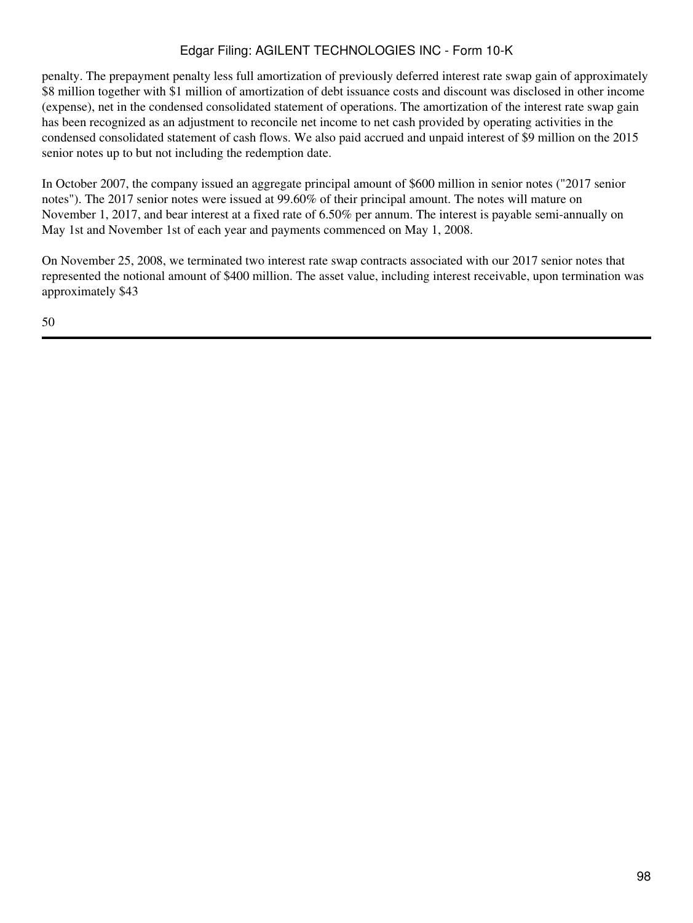penalty. The prepayment penalty less full amortization of previously deferred interest rate swap gain of approximately \$8 million together with \$1 million of amortization of debt issuance costs and discount was disclosed in other income (expense), net in the condensed consolidated statement of operations. The amortization of the interest rate swap gain has been recognized as an adjustment to reconcile net income to net cash provided by operating activities in the condensed consolidated statement of cash flows. We also paid accrued and unpaid interest of \$9 million on the 2015 senior notes up to but not including the redemption date.

In October 2007, the company issued an aggregate principal amount of \$600 million in senior notes ("2017 senior notes"). The 2017 senior notes were issued at 99.60% of their principal amount. The notes will mature on November 1, 2017, and bear interest at a fixed rate of 6.50% per annum. The interest is payable semi-annually on May 1st and November 1st of each year and payments commenced on May 1, 2008.

On November 25, 2008, we terminated two interest rate swap contracts associated with our 2017 senior notes that represented the notional amount of \$400 million. The asset value, including interest receivable, upon termination was approximately \$43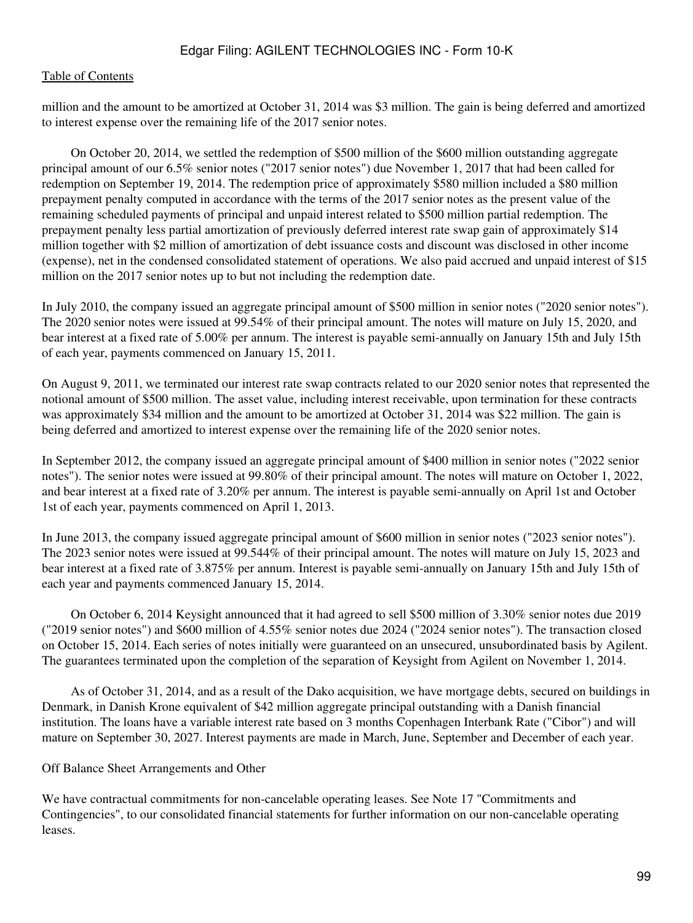million and the amount to be amortized at October 31, 2014 was \$3 million. The gain is being deferred and amortized to interest expense over the remaining life of the 2017 senior notes.

 On October 20, 2014, we settled the redemption of \$500 million of the \$600 million outstanding aggregate principal amount of our 6.5% senior notes ("2017 senior notes") due November 1, 2017 that had been called for redemption on September 19, 2014. The redemption price of approximately \$580 million included a \$80 million prepayment penalty computed in accordance with the terms of the 2017 senior notes as the present value of the remaining scheduled payments of principal and unpaid interest related to \$500 million partial redemption. The prepayment penalty less partial amortization of previously deferred interest rate swap gain of approximately \$14 million together with \$2 million of amortization of debt issuance costs and discount was disclosed in other income (expense), net in the condensed consolidated statement of operations. We also paid accrued and unpaid interest of \$15 million on the 2017 senior notes up to but not including the redemption date.

In July 2010, the company issued an aggregate principal amount of \$500 million in senior notes ("2020 senior notes"). The 2020 senior notes were issued at 99.54% of their principal amount. The notes will mature on July 15, 2020, and bear interest at a fixed rate of 5.00% per annum. The interest is payable semi-annually on January 15th and July 15th of each year, payments commenced on January 15, 2011.

On August 9, 2011, we terminated our interest rate swap contracts related to our 2020 senior notes that represented the notional amount of \$500 million. The asset value, including interest receivable, upon termination for these contracts was approximately \$34 million and the amount to be amortized at October 31, 2014 was \$22 million. The gain is being deferred and amortized to interest expense over the remaining life of the 2020 senior notes.

In September 2012, the company issued an aggregate principal amount of \$400 million in senior notes ("2022 senior notes"). The senior notes were issued at 99.80% of their principal amount. The notes will mature on October 1, 2022, and bear interest at a fixed rate of 3.20% per annum. The interest is payable semi-annually on April 1st and October 1st of each year, payments commenced on April 1, 2013.

In June 2013, the company issued aggregate principal amount of \$600 million in senior notes ("2023 senior notes"). The 2023 senior notes were issued at 99.544% of their principal amount. The notes will mature on July 15, 2023 and bear interest at a fixed rate of 3.875% per annum. Interest is payable semi-annually on January 15th and July 15th of each year and payments commenced January 15, 2014.

 On October 6, 2014 Keysight announced that it had agreed to sell \$500 million of 3.30% senior notes due 2019 ("2019 senior notes") and \$600 million of 4.55% senior notes due 2024 ("2024 senior notes"). The transaction closed on October 15, 2014. Each series of notes initially were guaranteed on an unsecured, unsubordinated basis by Agilent. The guarantees terminated upon the completion of the separation of Keysight from Agilent on November 1, 2014.

 As of October 31, 2014, and as a result of the Dako acquisition, we have mortgage debts, secured on buildings in Denmark, in Danish Krone equivalent of \$42 million aggregate principal outstanding with a Danish financial institution. The loans have a variable interest rate based on 3 months Copenhagen Interbank Rate ("Cibor") and will mature on September 30, 2027. Interest payments are made in March, June, September and December of each year.

#### Off Balance Sheet Arrangements and Other

We have contractual commitments for non-cancelable operating leases. See Note 17 "Commitments and Contingencies", to our consolidated financial statements for further information on our non-cancelable operating leases.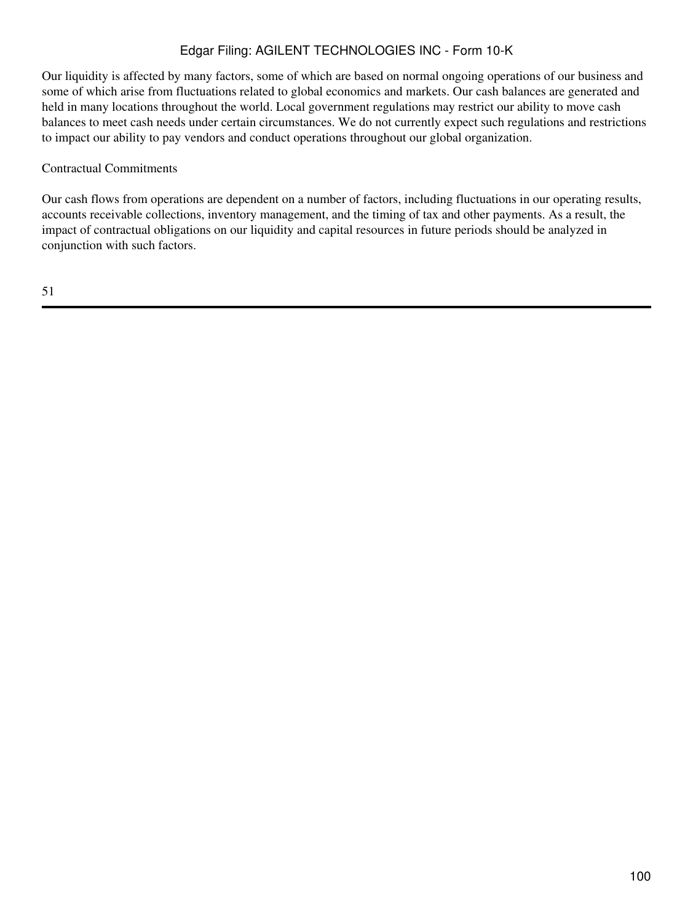Our liquidity is affected by many factors, some of which are based on normal ongoing operations of our business and some of which arise from fluctuations related to global economics and markets. Our cash balances are generated and held in many locations throughout the world. Local government regulations may restrict our ability to move cash balances to meet cash needs under certain circumstances. We do not currently expect such regulations and restrictions to impact our ability to pay vendors and conduct operations throughout our global organization.

### Contractual Commitments

Our cash flows from operations are dependent on a number of factors, including fluctuations in our operating results, accounts receivable collections, inventory management, and the timing of tax and other payments. As a result, the impact of contractual obligations on our liquidity and capital resources in future periods should be analyzed in conjunction with such factors.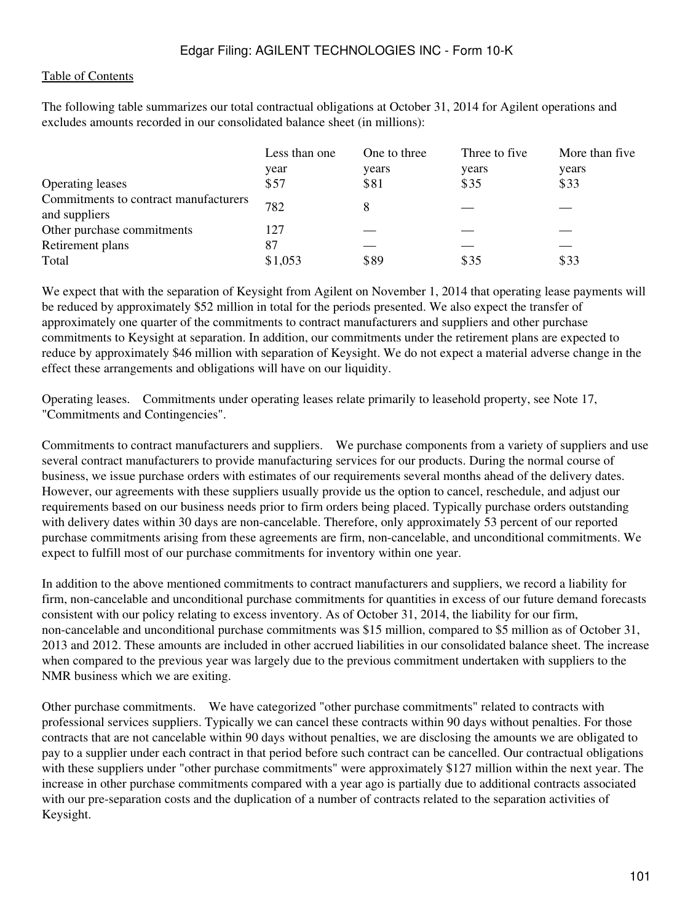The following table summarizes our total contractual obligations at October 31, 2014 for Agilent operations and excludes amounts recorded in our consolidated balance sheet (in millions):

|                                                        | Less than one | One to three | Three to five | More than five. |  |
|--------------------------------------------------------|---------------|--------------|---------------|-----------------|--|
|                                                        | year          | years        | years         | years           |  |
| <b>Operating leases</b>                                | \$57          | \$81         | \$35          | \$33            |  |
| Commitments to contract manufacturers<br>and suppliers | 782           |              |               |                 |  |
| Other purchase commitments                             | 127           |              |               |                 |  |
| Retirement plans                                       | 87            |              |               |                 |  |
| Total                                                  | \$1,053       | \$89         | \$35          | \$33            |  |

We expect that with the separation of Keysight from Agilent on November 1, 2014 that operating lease payments will be reduced by approximately \$52 million in total for the periods presented. We also expect the transfer of approximately one quarter of the commitments to contract manufacturers and suppliers and other purchase commitments to Keysight at separation. In addition, our commitments under the retirement plans are expected to reduce by approximately \$46 million with separation of Keysight. We do not expect a material adverse change in the effect these arrangements and obligations will have on our liquidity.

Operating leases. Commitments under operating leases relate primarily to leasehold property, see Note 17, "Commitments and Contingencies".

Commitments to contract manufacturers and suppliers. We purchase components from a variety of suppliers and use several contract manufacturers to provide manufacturing services for our products. During the normal course of business, we issue purchase orders with estimates of our requirements several months ahead of the delivery dates. However, our agreements with these suppliers usually provide us the option to cancel, reschedule, and adjust our requirements based on our business needs prior to firm orders being placed. Typically purchase orders outstanding with delivery dates within 30 days are non-cancelable. Therefore, only approximately 53 percent of our reported purchase commitments arising from these agreements are firm, non-cancelable, and unconditional commitments. We expect to fulfill most of our purchase commitments for inventory within one year.

In addition to the above mentioned commitments to contract manufacturers and suppliers, we record a liability for firm, non-cancelable and unconditional purchase commitments for quantities in excess of our future demand forecasts consistent with our policy relating to excess inventory. As of October 31, 2014, the liability for our firm, non-cancelable and unconditional purchase commitments was \$15 million, compared to \$5 million as of October 31, 2013 and 2012. These amounts are included in other accrued liabilities in our consolidated balance sheet. The increase when compared to the previous year was largely due to the previous commitment undertaken with suppliers to the NMR business which we are exiting.

Other purchase commitments. We have categorized "other purchase commitments" related to contracts with professional services suppliers. Typically we can cancel these contracts within 90 days without penalties. For those contracts that are not cancelable within 90 days without penalties, we are disclosing the amounts we are obligated to pay to a supplier under each contract in that period before such contract can be cancelled. Our contractual obligations with these suppliers under "other purchase commitments" were approximately \$127 million within the next year. The increase in other purchase commitments compared with a year ago is partially due to additional contracts associated with our pre-separation costs and the duplication of a number of contracts related to the separation activities of Keysight.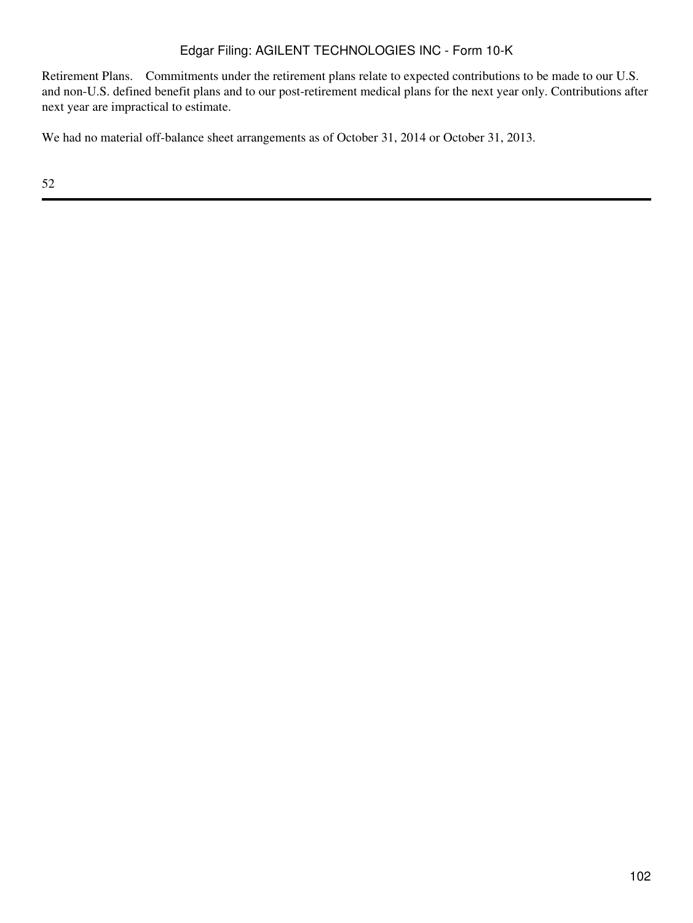Retirement Plans. Commitments under the retirement plans relate to expected contributions to be made to our U.S. and non-U.S. defined benefit plans and to our post-retirement medical plans for the next year only. Contributions after next year are impractical to estimate.

We had no material off-balance sheet arrangements as of October 31, 2014 or October 31, 2013.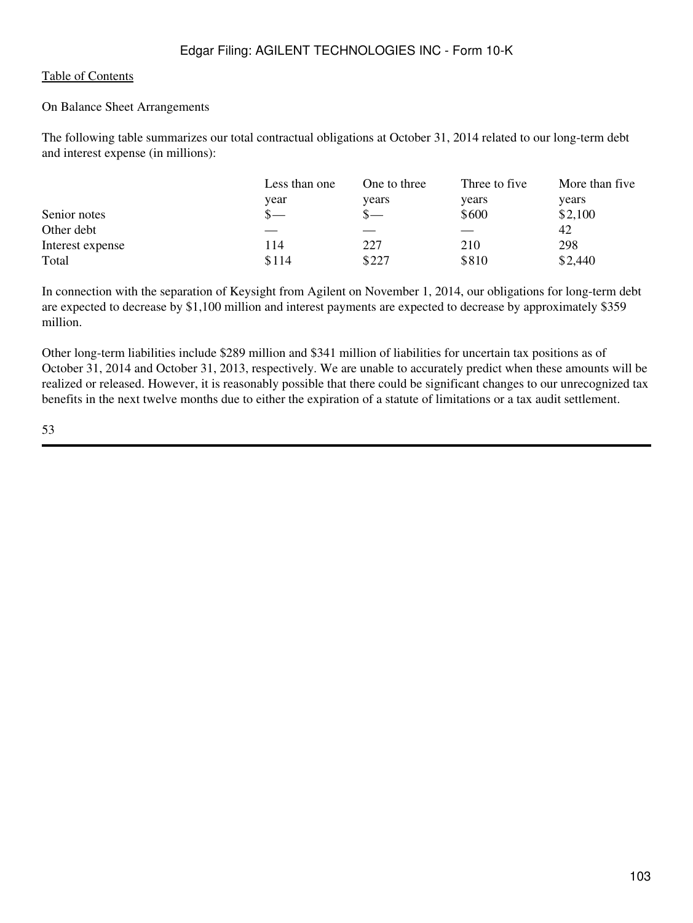### On Balance Sheet Arrangements

The following table summarizes our total contractual obligations at October 31, 2014 related to our long-term debt and interest expense (in millions):

|                  | Less than one | One to three | Three to five | More than five |
|------------------|---------------|--------------|---------------|----------------|
|                  | year          | vears        | years         | years          |
| Senior notes     | $S-$          | $S-$         | \$600         | \$2,100        |
| Other debt       |               |              |               | 42             |
| Interest expense | 114           | 227          | 210           | 298            |
| Total            | \$114         | \$227        | \$810         | \$2,440        |

In connection with the separation of Keysight from Agilent on November 1, 2014, our obligations for long-term debt are expected to decrease by \$1,100 million and interest payments are expected to decrease by approximately \$359 million.

Other long-term liabilities include \$289 million and \$341 million of liabilities for uncertain tax positions as of October 31, 2014 and October 31, 2013, respectively. We are unable to accurately predict when these amounts will be realized or released. However, it is reasonably possible that there could be significant changes to our unrecognized tax benefits in the next twelve months due to either the expiration of a statute of limitations or a tax audit settlement.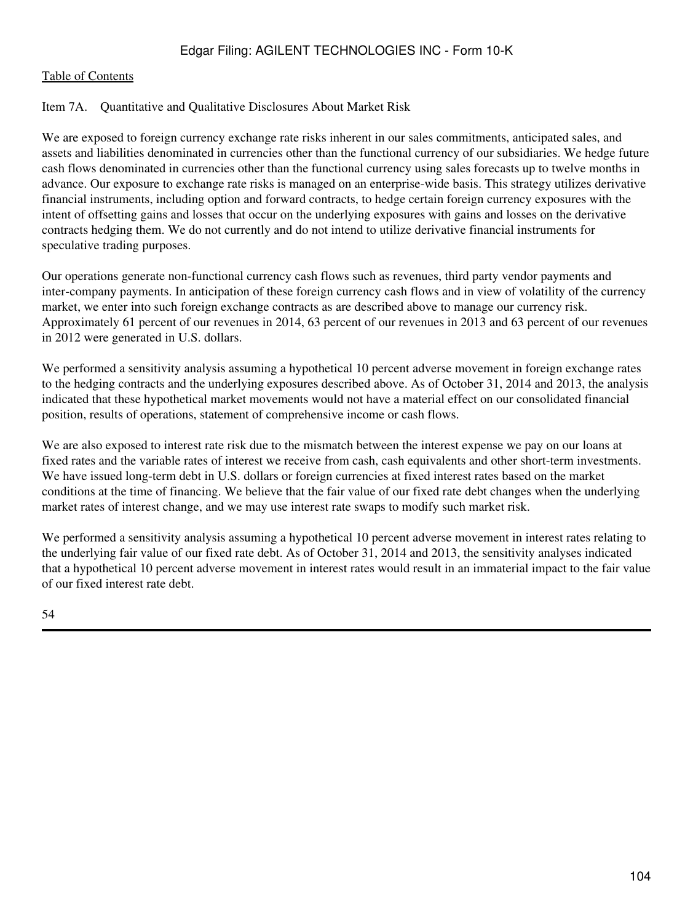#### [Table of Contents](#page-2-0)

### Item 7A. Quantitative and Qualitative Disclosures About Market Risk

We are exposed to foreign currency exchange rate risks inherent in our sales commitments, anticipated sales, and assets and liabilities denominated in currencies other than the functional currency of our subsidiaries. We hedge future cash flows denominated in currencies other than the functional currency using sales forecasts up to twelve months in advance. Our exposure to exchange rate risks is managed on an enterprise-wide basis. This strategy utilizes derivative financial instruments, including option and forward contracts, to hedge certain foreign currency exposures with the intent of offsetting gains and losses that occur on the underlying exposures with gains and losses on the derivative contracts hedging them. We do not currently and do not intend to utilize derivative financial instruments for speculative trading purposes.

Our operations generate non-functional currency cash flows such as revenues, third party vendor payments and inter-company payments. In anticipation of these foreign currency cash flows and in view of volatility of the currency market, we enter into such foreign exchange contracts as are described above to manage our currency risk. Approximately 61 percent of our revenues in 2014, 63 percent of our revenues in 2013 and 63 percent of our revenues in 2012 were generated in U.S. dollars.

We performed a sensitivity analysis assuming a hypothetical 10 percent adverse movement in foreign exchange rates to the hedging contracts and the underlying exposures described above. As of October 31, 2014 and 2013, the analysis indicated that these hypothetical market movements would not have a material effect on our consolidated financial position, results of operations, statement of comprehensive income or cash flows.

We are also exposed to interest rate risk due to the mismatch between the interest expense we pay on our loans at fixed rates and the variable rates of interest we receive from cash, cash equivalents and other short-term investments. We have issued long-term debt in U.S. dollars or foreign currencies at fixed interest rates based on the market conditions at the time of financing. We believe that the fair value of our fixed rate debt changes when the underlying market rates of interest change, and we may use interest rate swaps to modify such market risk.

We performed a sensitivity analysis assuming a hypothetical 10 percent adverse movement in interest rates relating to the underlying fair value of our fixed rate debt. As of October 31, 2014 and 2013, the sensitivity analyses indicated that a hypothetical 10 percent adverse movement in interest rates would result in an immaterial impact to the fair value of our fixed interest rate debt.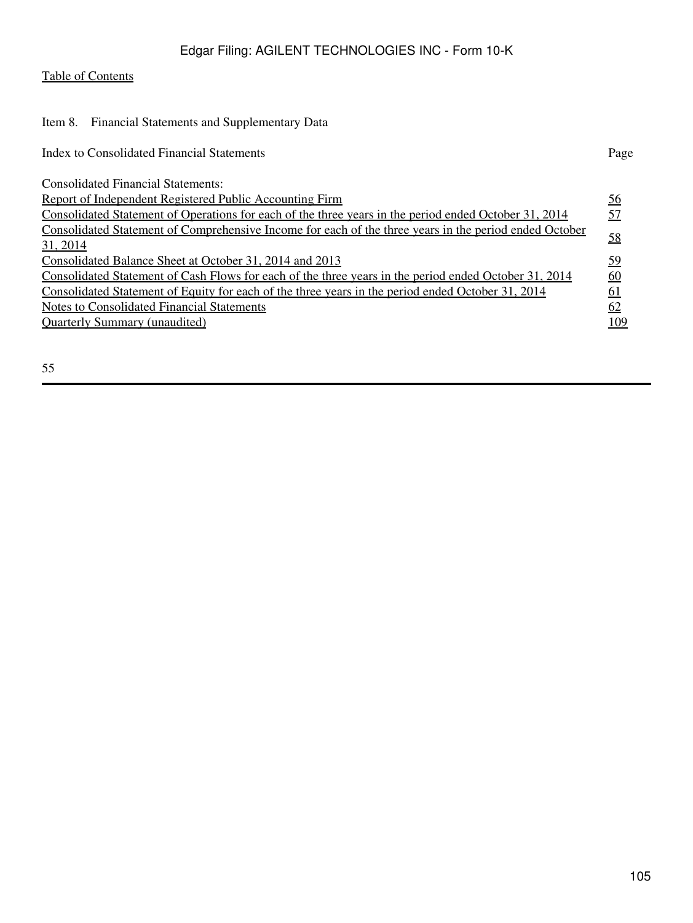| <b>Financial Statements and Supplementary Data</b><br>Item 8.                                          |           |  |
|--------------------------------------------------------------------------------------------------------|-----------|--|
| Index to Consolidated Financial Statements                                                             | Page      |  |
| <b>Consolidated Financial Statements:</b>                                                              |           |  |
| Report of Independent Registered Public Accounting Firm                                                | <u>56</u> |  |
| Consolidated Statement of Operations for each of the three years in the period ended October 31, 2014  | 57        |  |
| Consolidated Statement of Comprehensive Income for each of the three years in the period ended October |           |  |
| 31, 2014                                                                                               | <u>58</u> |  |
| Consolidated Balance Sheet at October 31, 2014 and 2013                                                | 59        |  |
| Consolidated Statement of Cash Flows for each of the three years in the period ended October 31, 2014  | 60        |  |
| Consolidated Statement of Equity for each of the three years in the period ended October 31, 2014      | 61        |  |
| <b>Notes to Consolidated Financial Statements</b>                                                      | 62        |  |
| <b>Quarterly Summary (unaudited)</b>                                                                   | 109       |  |
|                                                                                                        |           |  |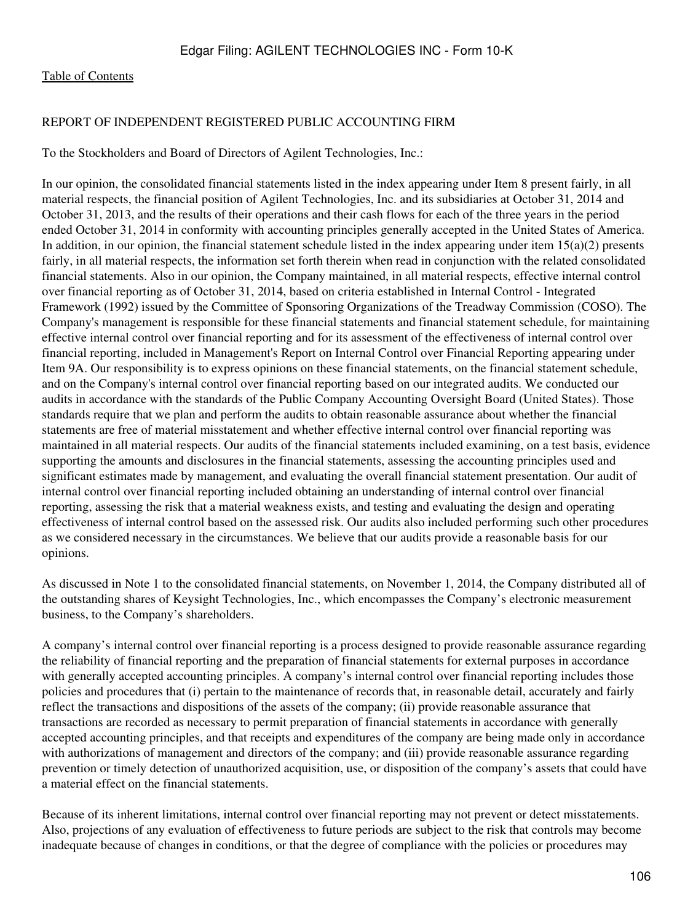### <span id="page-105-0"></span>REPORT OF INDEPENDENT REGISTERED PUBLIC ACCOUNTING FIRM

To the Stockholders and Board of Directors of Agilent Technologies, Inc.:

In our opinion, the consolidated financial statements listed in the index appearing under Item 8 present fairly, in all material respects, the financial position of Agilent Technologies, Inc. and its subsidiaries at October 31, 2014 and October 31, 2013, and the results of their operations and their cash flows for each of the three years in the period ended October 31, 2014 in conformity with accounting principles generally accepted in the United States of America. In addition, in our opinion, the financial statement schedule listed in the index appearing under item  $15(a)(2)$  presents fairly, in all material respects, the information set forth therein when read in conjunction with the related consolidated financial statements. Also in our opinion, the Company maintained, in all material respects, effective internal control over financial reporting as of October 31, 2014, based on criteria established in Internal Control - Integrated Framework (1992) issued by the Committee of Sponsoring Organizations of the Treadway Commission (COSO). The Company's management is responsible for these financial statements and financial statement schedule, for maintaining effective internal control over financial reporting and for its assessment of the effectiveness of internal control over financial reporting, included in Management's Report on Internal Control over Financial Reporting appearing under Item 9A. Our responsibility is to express opinions on these financial statements, on the financial statement schedule, and on the Company's internal control over financial reporting based on our integrated audits. We conducted our audits in accordance with the standards of the Public Company Accounting Oversight Board (United States). Those standards require that we plan and perform the audits to obtain reasonable assurance about whether the financial statements are free of material misstatement and whether effective internal control over financial reporting was maintained in all material respects. Our audits of the financial statements included examining, on a test basis, evidence supporting the amounts and disclosures in the financial statements, assessing the accounting principles used and significant estimates made by management, and evaluating the overall financial statement presentation. Our audit of internal control over financial reporting included obtaining an understanding of internal control over financial reporting, assessing the risk that a material weakness exists, and testing and evaluating the design and operating effectiveness of internal control based on the assessed risk. Our audits also included performing such other procedures as we considered necessary in the circumstances. We believe that our audits provide a reasonable basis for our opinions.

As discussed in Note 1 to the consolidated financial statements, on November 1, 2014, the Company distributed all of the outstanding shares of Keysight Technologies, Inc., which encompasses the Company's electronic measurement business, to the Company's shareholders.

A company's internal control over financial reporting is a process designed to provide reasonable assurance regarding the reliability of financial reporting and the preparation of financial statements for external purposes in accordance with generally accepted accounting principles. A company's internal control over financial reporting includes those policies and procedures that (i) pertain to the maintenance of records that, in reasonable detail, accurately and fairly reflect the transactions and dispositions of the assets of the company; (ii) provide reasonable assurance that transactions are recorded as necessary to permit preparation of financial statements in accordance with generally accepted accounting principles, and that receipts and expenditures of the company are being made only in accordance with authorizations of management and directors of the company; and (iii) provide reasonable assurance regarding prevention or timely detection of unauthorized acquisition, use, or disposition of the company's assets that could have a material effect on the financial statements.

Because of its inherent limitations, internal control over financial reporting may not prevent or detect misstatements. Also, projections of any evaluation of effectiveness to future periods are subject to the risk that controls may become inadequate because of changes in conditions, or that the degree of compliance with the policies or procedures may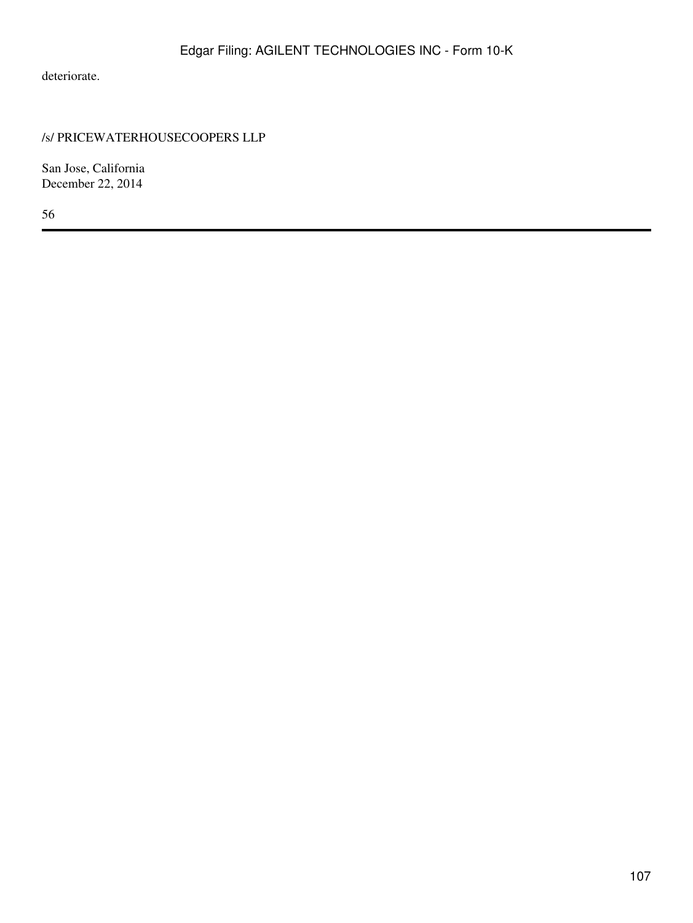deteriorate.

### /s/ PRICEWATERHOUSECOOPERS LLP

San Jose, California December 22, 2014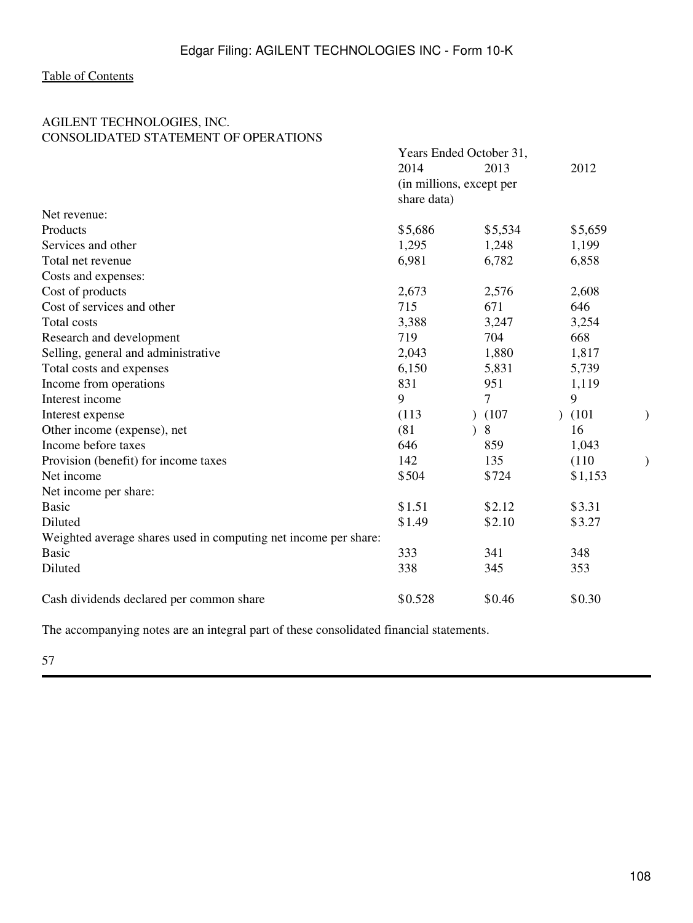### <span id="page-107-0"></span>AGILENT TECHNOLOGIES, INC. CONSOLIDATED STATEMENT OF OPERATIONS

|                                                                 | Years Ended October 31,  |                        |         |  |
|-----------------------------------------------------------------|--------------------------|------------------------|---------|--|
|                                                                 | 2014                     | 2013                   | 2012    |  |
|                                                                 | (in millions, except per |                        |         |  |
|                                                                 | share data)              |                        |         |  |
| Net revenue:                                                    |                          |                        |         |  |
| Products                                                        | \$5,686                  | \$5,534                | \$5,659 |  |
| Services and other                                              | 1,295                    | 1,248                  | 1,199   |  |
| Total net revenue                                               | 6,981                    | 6,782                  | 6,858   |  |
| Costs and expenses:                                             |                          |                        |         |  |
| Cost of products                                                | 2,673                    | 2,576                  | 2,608   |  |
| Cost of services and other                                      | 715                      | 671                    | 646     |  |
| <b>Total costs</b>                                              | 3,388                    | 3,247                  | 3,254   |  |
| Research and development                                        | 719                      | 704                    | 668     |  |
| Selling, general and administrative                             | 2,043                    | 1,880                  | 1,817   |  |
| Total costs and expenses                                        | 6,150                    | 5,831                  | 5,739   |  |
| Income from operations                                          | 831                      | 951                    | 1,119   |  |
| Interest income                                                 | 9                        | $\overline{7}$         | 9       |  |
| Interest expense                                                | (113)                    | (107)<br>$\mathcal{L}$ | (101)   |  |
| Other income (expense), net                                     | (81)                     | 8<br>$\lambda$         | 16      |  |
| Income before taxes                                             | 646                      | 859                    | 1,043   |  |
| Provision (benefit) for income taxes                            | 142                      | 135                    | (110)   |  |
| Net income                                                      | \$504                    | \$724                  | \$1,153 |  |
| Net income per share:                                           |                          |                        |         |  |
| <b>Basic</b>                                                    | \$1.51                   | \$2.12                 | \$3.31  |  |
| Diluted                                                         | \$1.49                   | \$2.10                 | \$3.27  |  |
| Weighted average shares used in computing net income per share: |                          |                        |         |  |
| <b>Basic</b>                                                    | 333                      | 341                    | 348     |  |
| Diluted                                                         | 338                      | 345                    | 353     |  |
| Cash dividends declared per common share                        | \$0.528                  | \$0.46                 | \$0.30  |  |

The accompanying notes are an integral part of these consolidated financial statements.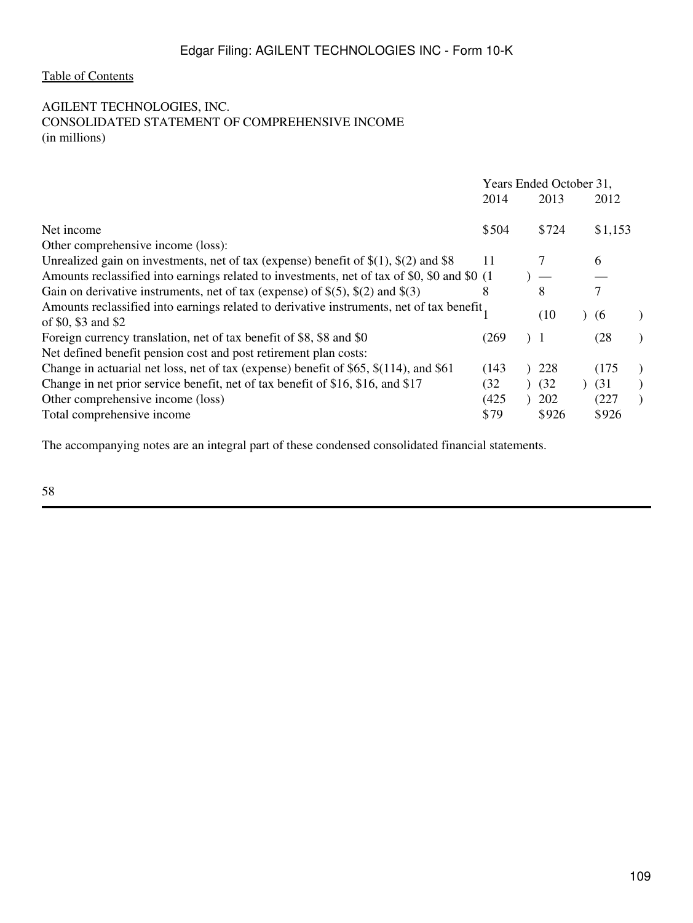### AGILENT TECHNOLOGIES, INC. CONSOLIDATED STATEMENT OF COMPREHENSIVE INCOME (in millions)

|                                                                                                                  | Years Ended October 31, |  |       |  |         |  |
|------------------------------------------------------------------------------------------------------------------|-------------------------|--|-------|--|---------|--|
|                                                                                                                  | 2014                    |  | 2013  |  | 2012    |  |
| Net income                                                                                                       | \$504                   |  | \$724 |  | \$1,153 |  |
| Other comprehensive income (loss):                                                                               |                         |  |       |  |         |  |
| Unrealized gain on investments, net of tax (expense) benefit of $\$(1), \$(2)$ and $\$\$$                        | 11                      |  |       |  | 6       |  |
| Amounts reclassified into earnings related to investments, net of tax of \$0, \$0 and \$0 (1)                    |                         |  |       |  |         |  |
| Gain on derivative instruments, net of tax (expense) of $\S(5)$ , $\S(2)$ and $\S(3)$                            | 8                       |  | 8     |  | 7       |  |
| Amounts reclassified into earnings related to derivative instruments, net of tax benefit,<br>of \$0, \$3 and \$2 |                         |  | (10)  |  | (6)     |  |
| Foreign currency translation, net of tax benefit of \$8, \$8 and \$0                                             | (269)                   |  |       |  | (28     |  |
| Net defined benefit pension cost and post retirement plan costs:                                                 |                         |  |       |  |         |  |
| Change in actuarial net loss, net of tax (expense) benefit of $$65, $(114)$ , and $$61$                          | (143)                   |  | 228   |  | (175)   |  |
| Change in net prior service benefit, net of tax benefit of \$16, \$16, and \$17                                  | (32)                    |  | (32)  |  | (31)    |  |
| Other comprehensive income (loss)                                                                                | (425                    |  | 202   |  | (227    |  |
| Total comprehensive income                                                                                       | \$79                    |  | \$926 |  | \$926   |  |

The accompanying notes are an integral part of these condensed consolidated financial statements.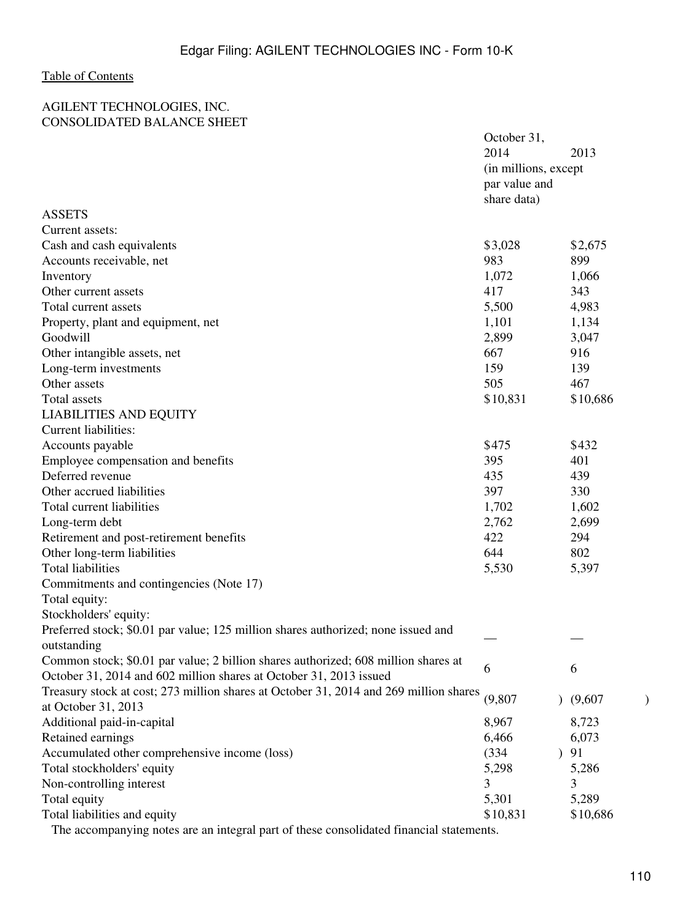### AGILENT TECHNOLOGIES, INC. CONSOLIDATED BALANCE SHEET

|                                                                                       | October 31,<br>2014                                  | 2013     |  |
|---------------------------------------------------------------------------------------|------------------------------------------------------|----------|--|
|                                                                                       | (in millions, except<br>par value and<br>share data) |          |  |
| <b>ASSETS</b>                                                                         |                                                      |          |  |
| Current assets:                                                                       |                                                      |          |  |
| Cash and cash equivalents                                                             | \$3,028                                              | \$2,675  |  |
| Accounts receivable, net                                                              | 983                                                  | 899      |  |
| Inventory                                                                             | 1,072                                                | 1,066    |  |
| Other current assets                                                                  | 417                                                  | 343      |  |
| Total current assets                                                                  | 5,500                                                | 4,983    |  |
| Property, plant and equipment, net                                                    | 1,101                                                | 1,134    |  |
| Goodwill                                                                              | 2,899                                                | 3,047    |  |
| Other intangible assets, net                                                          | 667                                                  | 916      |  |
| Long-term investments                                                                 | 159                                                  | 139      |  |
| Other assets                                                                          | 505                                                  | 467      |  |
| Total assets                                                                          | \$10,831                                             | \$10,686 |  |
| <b>LIABILITIES AND EQUITY</b>                                                         |                                                      |          |  |
| <b>Current liabilities:</b>                                                           |                                                      |          |  |
| Accounts payable                                                                      | \$475                                                | \$432    |  |
| Employee compensation and benefits                                                    | 395                                                  | 401      |  |
| Deferred revenue                                                                      | 435                                                  | 439      |  |
| Other accrued liabilities                                                             | 397                                                  | 330      |  |
| Total current liabilities                                                             | 1,702                                                | 1,602    |  |
| Long-term debt                                                                        | 2,762                                                | 2,699    |  |
| Retirement and post-retirement benefits                                               | 422                                                  | 294      |  |
| Other long-term liabilities                                                           | 644                                                  | 802      |  |
| <b>Total liabilities</b>                                                              | 5,530                                                | 5,397    |  |
| Commitments and contingencies (Note 17)                                               |                                                      |          |  |
| Total equity:                                                                         |                                                      |          |  |
| Stockholders' equity:                                                                 |                                                      |          |  |
| Preferred stock; \$0.01 par value; 125 million shares authorized; none issued and     |                                                      |          |  |
| outstanding                                                                           |                                                      |          |  |
| Common stock; \$0.01 par value; 2 billion shares authorized; 608 million shares at    |                                                      |          |  |
| October 31, 2014 and 602 million shares at October 31, 2013 issued                    | 6                                                    | 6        |  |
| Treasury stock at cost; 273 million shares at October 31, 2014 and 269 million shares |                                                      |          |  |
| at October 31, 2013                                                                   | (9, 807)                                             | (9,607)  |  |
| Additional paid-in-capital                                                            | 8,967                                                | 8,723    |  |
| Retained earnings                                                                     | 6,466                                                | 6,073    |  |
| Accumulated other comprehensive income (loss)                                         | (334)                                                | 91       |  |
| Total stockholders' equity                                                            | 5,298                                                | 5,286    |  |
| Non-controlling interest                                                              | 3                                                    | 3        |  |
| Total equity                                                                          | 5,301                                                | 5,289    |  |
| Total liabilities and equity                                                          | \$10,831                                             | \$10,686 |  |
|                                                                                       |                                                      |          |  |

The accompanying notes are an integral part of these consolidated financial statements.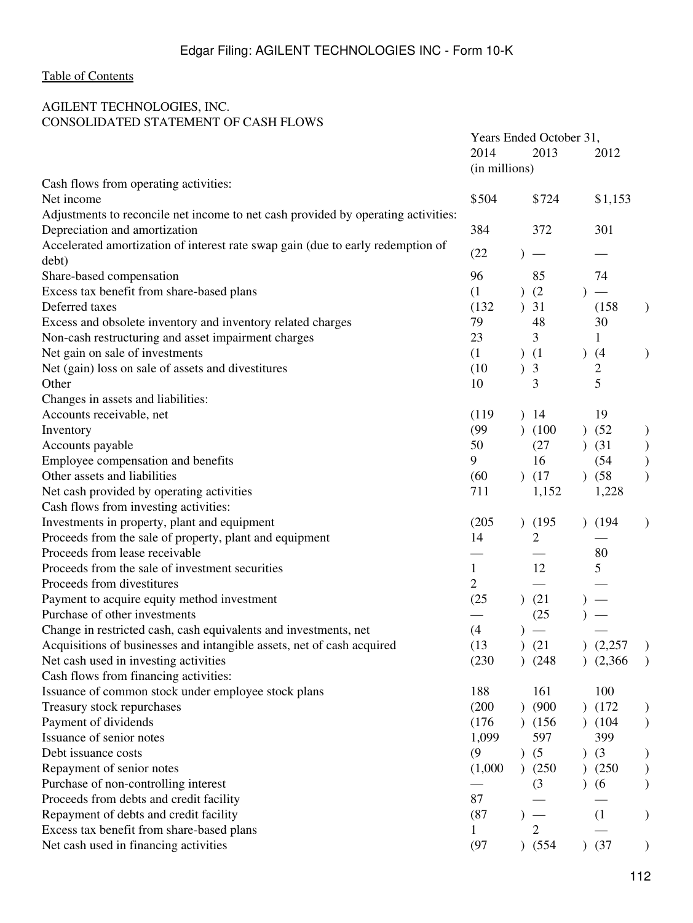# AGILENT TECHNOLOGIES, INC. CONSOLIDATED STATEMENT OF CASH FLOWS

|                                                                                   | Years Ended October 31, |                        |            |               |  |  |  |
|-----------------------------------------------------------------------------------|-------------------------|------------------------|------------|---------------|--|--|--|
|                                                                                   | 2014                    | 2013                   | 2012       |               |  |  |  |
|                                                                                   | (in millions)           |                        |            |               |  |  |  |
| Cash flows from operating activities:                                             |                         |                        |            |               |  |  |  |
| Net income                                                                        | \$504                   | \$724                  | \$1,153    |               |  |  |  |
| Adjustments to reconcile net income to net cash provided by operating activities: |                         |                        |            |               |  |  |  |
| Depreciation and amortization                                                     | 384                     | 372                    | 301        |               |  |  |  |
| Accelerated amortization of interest rate swap gain (due to early redemption of   |                         |                        |            |               |  |  |  |
| debt)                                                                             | (22)                    |                        |            |               |  |  |  |
| Share-based compensation                                                          | 96                      | 85                     | 74         |               |  |  |  |
| Excess tax benefit from share-based plans                                         | (1)                     | (2)<br>$\mathcal{L}$   |            |               |  |  |  |
| Deferred taxes                                                                    | (132)                   | 31<br>$\lambda$        | (158)      | $\mathcal{E}$ |  |  |  |
| Excess and obsolete inventory and inventory related charges                       | 79                      | 48                     | 30         |               |  |  |  |
| Non-cash restructuring and asset impairment charges                               | 23                      | 3                      | 1          |               |  |  |  |
| Net gain on sale of investments                                                   | (1)                     | (1)                    | (4)        |               |  |  |  |
| Net (gain) loss on sale of assets and divestitures                                | (10)                    | 3                      | $\sqrt{2}$ |               |  |  |  |
| Other                                                                             | 10                      | 3                      | 5          |               |  |  |  |
| Changes in assets and liabilities:                                                |                         |                        |            |               |  |  |  |
| Accounts receivable, net                                                          | (119)                   | 14                     | 19         |               |  |  |  |
| Inventory                                                                         | (99)                    | (100)                  | (52)       |               |  |  |  |
| Accounts payable                                                                  | 50                      | (27)                   | $)$ (31)   |               |  |  |  |
| Employee compensation and benefits                                                | 9                       | 16                     | (54)       |               |  |  |  |
| Other assets and liabilities                                                      | (60)                    | (17)                   | ) (58)     |               |  |  |  |
| Net cash provided by operating activities                                         | 711                     | 1,152                  | 1,228      |               |  |  |  |
| Cash flows from investing activities:                                             |                         |                        |            |               |  |  |  |
| Investments in property, plant and equipment                                      | (205)                   | (195)                  | (194)      |               |  |  |  |
| Proceeds from the sale of property, plant and equipment                           | 14                      | $\overline{2}$         |            |               |  |  |  |
| Proceeds from lease receivable                                                    |                         |                        | 80         |               |  |  |  |
| Proceeds from the sale of investment securities                                   | $\mathbf{1}$            | 12                     | 5          |               |  |  |  |
| Proceeds from divestitures                                                        | $\overline{2}$          |                        |            |               |  |  |  |
| Payment to acquire equity method investment                                       | (25)                    | (21)<br>$\mathcal{L}$  |            |               |  |  |  |
| Purchase of other investments                                                     |                         | (25)                   |            |               |  |  |  |
| Change in restricted cash, cash equivalents and investments, net                  | (4)                     |                        |            |               |  |  |  |
| Acquisitions of businesses and intangible assets, net of cash acquired            | (13)                    | (21)                   | (2,257)    |               |  |  |  |
| Net cash used in investing activities                                             | (230)                   | (248)                  | )(2,366)   |               |  |  |  |
| Cash flows from financing activities:                                             |                         |                        |            |               |  |  |  |
| Issuance of common stock under employee stock plans                               | 188                     | 161                    | 100        |               |  |  |  |
| Treasury stock repurchases                                                        | (200)                   | (900)<br>$\mathcal{L}$ | (172)      |               |  |  |  |
| Payment of dividends                                                              | (176)                   | (156)                  | (104)      | $\mathcal{E}$ |  |  |  |
| Issuance of senior notes                                                          | 1,099                   | 597                    | 399        |               |  |  |  |
| Debt issuance costs                                                               | (9)                     | (5)<br>$\mathcal{L}$   | (3)        |               |  |  |  |
| Repayment of senior notes                                                         | (1,000)                 | (250)<br>$\mathcal{L}$ | (250)      |               |  |  |  |
| Purchase of non-controlling interest                                              |                         | (3)                    | (6)        |               |  |  |  |
| Proceeds from debts and credit facility                                           | 87                      |                        |            |               |  |  |  |
| Repayment of debts and credit facility                                            | (87)                    |                        | (1)        |               |  |  |  |
| Excess tax benefit from share-based plans                                         |                         | $\overline{2}$         |            |               |  |  |  |
| Net cash used in financing activities                                             | (97)                    | (554)                  | )(37)      | $\mathcal{Y}$ |  |  |  |
|                                                                                   |                         |                        |            |               |  |  |  |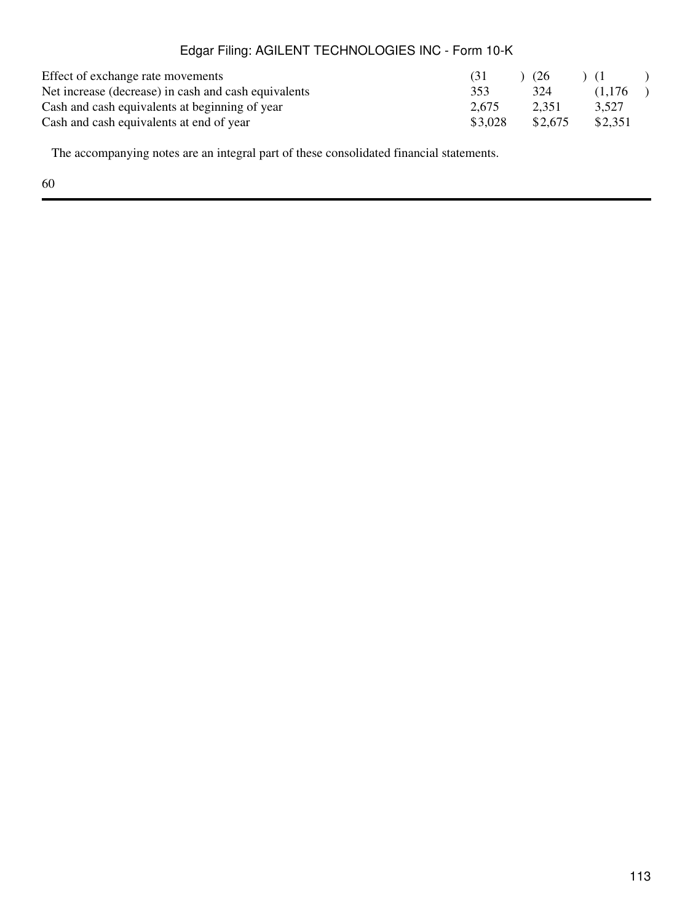| Effect of exchange rate movements                    | (31)    | (26)    | $\overline{1}$ |  |
|------------------------------------------------------|---------|---------|----------------|--|
| Net increase (decrease) in cash and cash equivalents | 353     | 324     | (1.176)        |  |
| Cash and cash equivalents at beginning of year       | 2.675   | 2.351   | 3.527          |  |
| Cash and cash equivalents at end of year             | \$3,028 | \$2.675 | \$2,351        |  |

The accompanying notes are an integral part of these consolidated financial statements.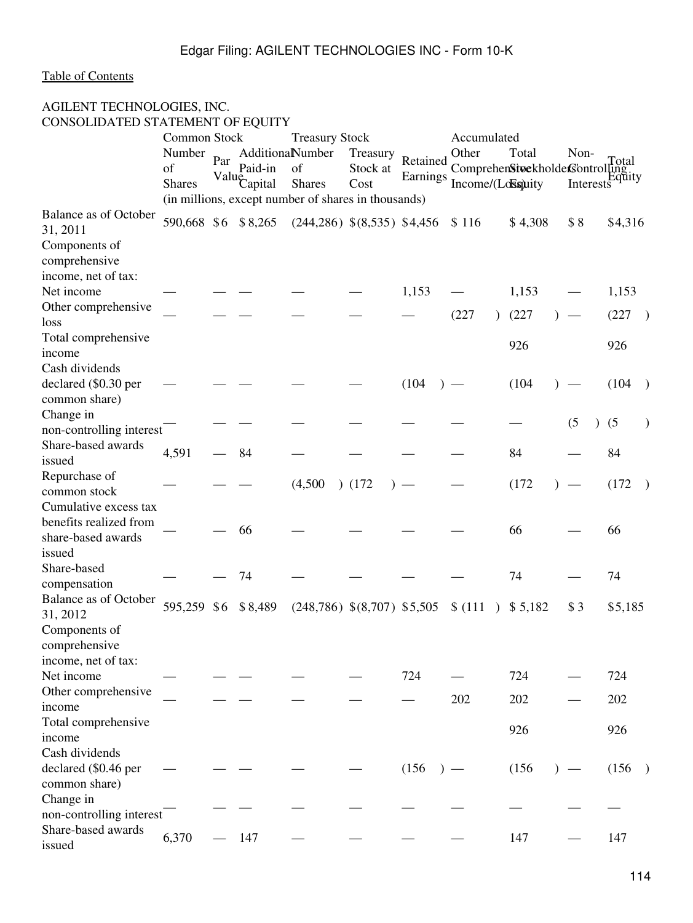| AGILENT TECHNOLOGIES, INC.                                          |                               |     |                                                                    |                                                                                                |                              |                      |                           |                                            |                      |                           |
|---------------------------------------------------------------------|-------------------------------|-----|--------------------------------------------------------------------|------------------------------------------------------------------------------------------------|------------------------------|----------------------|---------------------------|--------------------------------------------|----------------------|---------------------------|
| CONSOLIDATED STATEMENT OF EQUITY                                    | Common Stock                  |     |                                                                    | <b>Treasury Stock</b>                                                                          |                              |                      | Accumulated               |                                            |                      |                           |
|                                                                     | Number<br>of<br><b>Shares</b> | Par | Paid-in<br>$\ensuremath{\textrm{Value}}\xspace_{\textrm{Capital}}$ | AdditionalNumber<br>of<br><b>Shares</b><br>(in millions, except number of shares in thousands) | Treasury<br>Stock at<br>Cost | Retained<br>Earnings | Other<br>Income/(Lossuity | Total<br>Comprehensive kholder Sontrolling | Non-                 | Total<br>Interests Equity |
| Balance as of October<br>31, 2011                                   | 590,668 \$6 \$8,265           |     |                                                                    | $(244,286)$ \$ $(8,535)$ \$4,456                                                               |                              |                      | \$116                     | \$4,308                                    | \$8                  | \$4,316                   |
| Components of<br>comprehensive<br>income, net of tax:<br>Net income |                               |     |                                                                    |                                                                                                |                              | 1,153                |                           | 1,153                                      |                      | 1,153                     |
| Other comprehensive                                                 |                               |     |                                                                    |                                                                                                |                              |                      | (227)                     | (227)                                      |                      | (227)<br>$\lambda$        |
| loss<br>Total comprehensive<br>income                               |                               |     |                                                                    |                                                                                                |                              |                      |                           | 926                                        |                      | 926                       |
| Cash dividends<br>declared (\$0.30 per<br>common share)             |                               |     |                                                                    |                                                                                                |                              | (104)                |                           | (104)                                      |                      | (104)                     |
| Change in<br>non-controlling interest                               |                               |     |                                                                    |                                                                                                |                              |                      |                           |                                            | (5)<br>$\mathcal{L}$ | (5)                       |
| Share-based awards<br>issued                                        | 4,591                         |     | 84                                                                 |                                                                                                |                              |                      |                           | 84                                         |                      | 84                        |
| Repurchase of<br>common stock<br>Cumulative excess tax              |                               |     |                                                                    | (4,500)                                                                                        | (172)                        |                      |                           | (172)                                      |                      | (172)                     |
| benefits realized from<br>share-based awards<br>issued              |                               |     | 66                                                                 |                                                                                                |                              |                      |                           | 66                                         |                      | 66                        |
| Share-based<br>compensation                                         |                               |     | 74                                                                 |                                                                                                |                              |                      |                           | 74                                         |                      | 74                        |
| Balance as of October<br>31, 2012<br>Components of                  | 595,259                       | \$6 | \$8,489                                                            | $(248,786)$ \$ $(8,707)$ \$5,505                                                               |                              |                      | \$(111)<br>$\lambda$      | \$5,182                                    | \$3                  | \$5,185                   |
| comprehensive<br>income, net of tax:                                |                               |     |                                                                    |                                                                                                |                              |                      |                           |                                            |                      |                           |
| Net income<br>Other comprehensive                                   |                               |     |                                                                    |                                                                                                |                              | 724                  |                           | 724                                        |                      | 724                       |
| income<br>Total comprehensive                                       |                               |     |                                                                    |                                                                                                |                              |                      | 202                       | 202<br>926                                 |                      | 202<br>926                |
| income<br>Cash dividends<br>declared (\$0.46 per<br>common share)   |                               |     |                                                                    |                                                                                                |                              | (156)                |                           | (156)                                      |                      | (156)                     |
| Change in<br>non-controlling interest                               |                               |     |                                                                    |                                                                                                |                              |                      |                           |                                            |                      |                           |
| Share-based awards<br>issued                                        | 6,370                         |     | 147                                                                |                                                                                                |                              |                      |                           | 147                                        |                      | 147                       |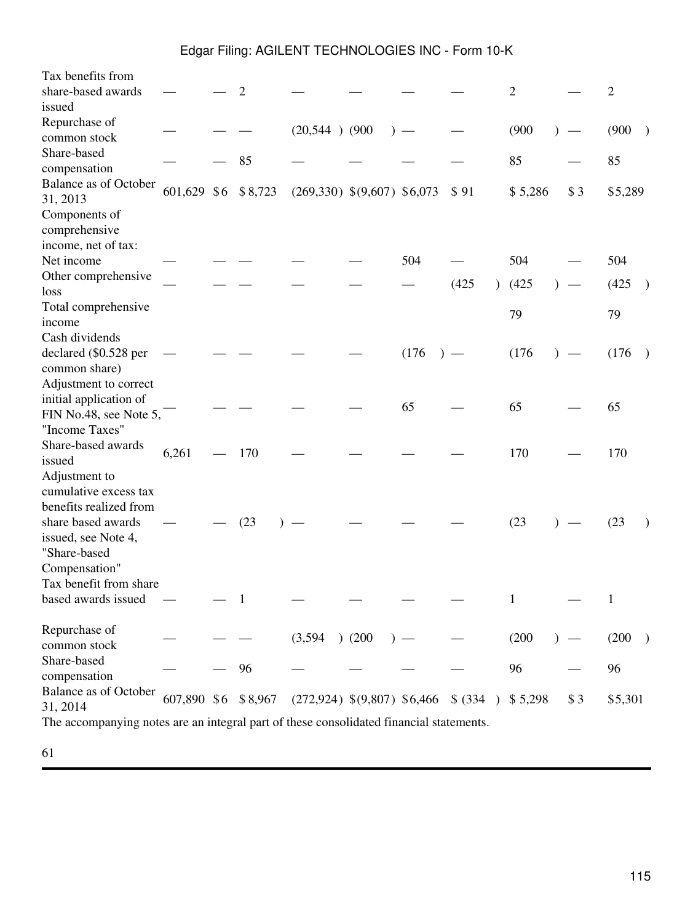| Tax benefits from                                                                       |             |     |                |                                             |         |       |                        |                |     |                        |
|-----------------------------------------------------------------------------------------|-------------|-----|----------------|---------------------------------------------|---------|-------|------------------------|----------------|-----|------------------------|
| share-based awards                                                                      |             |     | $\overline{2}$ |                                             |         |       |                        | $\mathfrak{2}$ |     | 2                      |
| issued                                                                                  |             |     |                |                                             |         |       |                        |                |     |                        |
| Repurchase of                                                                           |             |     |                | $(20,544)$ (900)                            |         |       |                        | (900)          |     | (900)<br>$\rightarrow$ |
| common stock                                                                            |             |     |                |                                             |         |       |                        |                |     |                        |
| Share-based                                                                             |             |     | 85             |                                             |         |       |                        | 85             |     | 85                     |
| compensation                                                                            |             |     |                |                                             |         |       |                        |                |     |                        |
| Balance as of October<br>31, 2013                                                       | 601,629     | \$6 | \$8,723        | $(269,330)$ \$ $(9,607)$ \$6,073            |         |       | \$91                   | \$5,286        | \$3 | \$5,289                |
| Components of                                                                           |             |     |                |                                             |         |       |                        |                |     |                        |
| comprehensive                                                                           |             |     |                |                                             |         |       |                        |                |     |                        |
| income, net of tax:                                                                     |             |     |                |                                             |         |       |                        |                |     |                        |
| Net income                                                                              |             |     |                |                                             |         | 504   |                        | 504            |     | 504                    |
| Other comprehensive<br>loss                                                             |             |     |                |                                             |         |       | (425)<br>$\mathcal{L}$ | (425)          |     | (425)<br>$\big)$       |
| Total comprehensive                                                                     |             |     |                |                                             |         |       |                        |                |     |                        |
| income                                                                                  |             |     |                |                                             |         |       |                        | 79             |     | 79                     |
| Cash dividends                                                                          |             |     |                |                                             |         |       |                        |                |     |                        |
| declared (\$0.528 per                                                                   |             |     |                |                                             |         | (176) |                        | (176)          |     | (176)<br>$\rightarrow$ |
| common share)                                                                           |             |     |                |                                             |         |       |                        |                |     |                        |
| Adjustment to correct                                                                   |             |     |                |                                             |         |       |                        |                |     |                        |
| initial application of                                                                  |             |     |                |                                             |         |       |                        |                |     |                        |
| FIN No.48, see Note 5,                                                                  |             |     |                |                                             |         | 65    |                        | 65             |     | 65                     |
| "Income Taxes"                                                                          |             |     |                |                                             |         |       |                        |                |     |                        |
| Share-based awards                                                                      |             |     |                |                                             |         |       |                        |                |     |                        |
| issued                                                                                  | 6,261       |     | 170            |                                             |         |       |                        | 170            |     | 170                    |
| Adjustment to                                                                           |             |     |                |                                             |         |       |                        |                |     |                        |
| cumulative excess tax                                                                   |             |     |                |                                             |         |       |                        |                |     |                        |
| benefits realized from                                                                  |             |     |                |                                             |         |       |                        |                |     |                        |
| share based awards                                                                      |             |     | (23)           |                                             |         |       |                        | (23)           |     | (23)                   |
| issued, see Note 4,                                                                     |             |     |                |                                             |         |       |                        |                |     |                        |
| "Share-based                                                                            |             |     |                |                                             |         |       |                        |                |     |                        |
| Compensation"                                                                           |             |     |                |                                             |         |       |                        |                |     |                        |
| Tax benefit from share                                                                  |             |     |                |                                             |         |       |                        |                |     |                        |
| based awards issued                                                                     |             |     | 1              |                                             |         |       |                        | $\mathbf{1}$   |     | 1                      |
|                                                                                         |             |     |                |                                             |         |       |                        |                |     |                        |
| Repurchase of                                                                           |             |     |                |                                             |         |       |                        |                |     |                        |
| common stock                                                                            |             |     |                | (3,594)                                     | ) (200) |       |                        | (200)          |     | (200)<br>$\rightarrow$ |
| Share-based                                                                             |             |     |                |                                             |         |       |                        |                |     |                        |
| compensation                                                                            |             |     | 96             |                                             |         |       |                        | 96             |     | 96                     |
| <b>Balance as of October</b>                                                            |             |     |                |                                             |         |       |                        |                |     |                        |
| 31, 2014                                                                                | 607,890 \$6 |     | \$8,967        | $(272,924)$ \$ $(9,807)$ \$6,466 \$ $(334)$ |         |       |                        | \$5,298        | \$3 | \$5,301                |
| The accompanying notes are an integral part of these consolidated financial statements. |             |     |                |                                             |         |       |                        |                |     |                        |
|                                                                                         |             |     |                |                                             |         |       |                        |                |     |                        |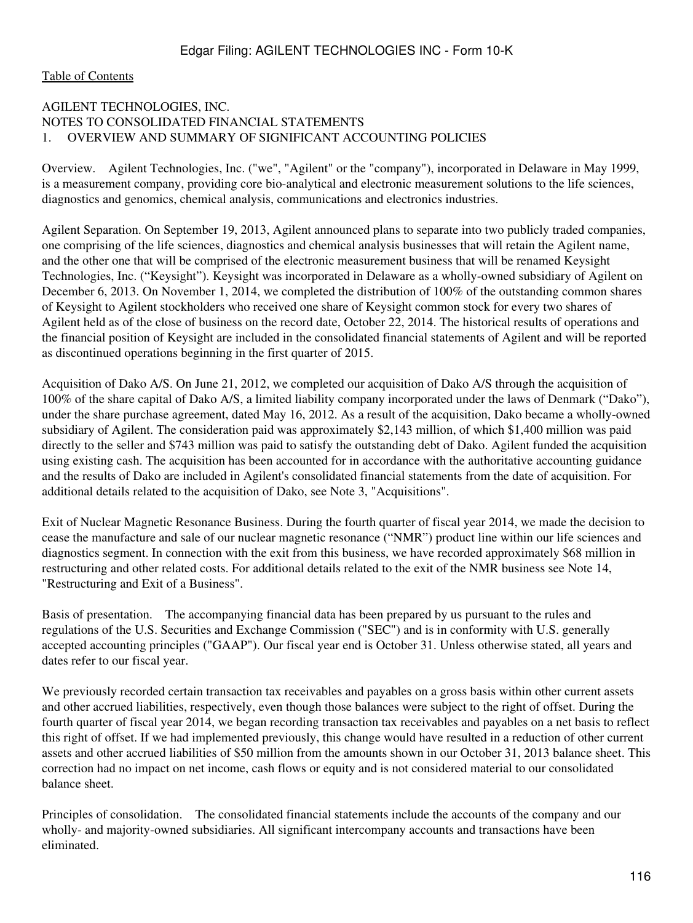#### [Table of Contents](#page-2-0)

### AGILENT TECHNOLOGIES, INC. NOTES TO CONSOLIDATED FINANCIAL STATEMENTS 1. OVERVIEW AND SUMMARY OF SIGNIFICANT ACCOUNTING POLICIES

Overview. Agilent Technologies, Inc. ("we", "Agilent" or the "company"), incorporated in Delaware in May 1999, is a measurement company, providing core bio-analytical and electronic measurement solutions to the life sciences, diagnostics and genomics, chemical analysis, communications and electronics industries.

Agilent Separation. On September 19, 2013, Agilent announced plans to separate into two publicly traded companies, one comprising of the life sciences, diagnostics and chemical analysis businesses that will retain the Agilent name, and the other one that will be comprised of the electronic measurement business that will be renamed Keysight Technologies, Inc. ("Keysight"). Keysight was incorporated in Delaware as a wholly-owned subsidiary of Agilent on December 6, 2013. On November 1, 2014, we completed the distribution of 100% of the outstanding common shares of Keysight to Agilent stockholders who received one share of Keysight common stock for every two shares of Agilent held as of the close of business on the record date, October 22, 2014. The historical results of operations and the financial position of Keysight are included in the consolidated financial statements of Agilent and will be reported as discontinued operations beginning in the first quarter of 2015.

Acquisition of Dako A/S. On June 21, 2012, we completed our acquisition of Dako A/S through the acquisition of 100% of the share capital of Dako A/S, a limited liability company incorporated under the laws of Denmark ("Dako"), under the share purchase agreement, dated May 16, 2012. As a result of the acquisition, Dako became a wholly-owned subsidiary of Agilent. The consideration paid was approximately \$2,143 million, of which \$1,400 million was paid directly to the seller and \$743 million was paid to satisfy the outstanding debt of Dako. Agilent funded the acquisition using existing cash. The acquisition has been accounted for in accordance with the authoritative accounting guidance and the results of Dako are included in Agilent's consolidated financial statements from the date of acquisition. For additional details related to the acquisition of Dako, see Note 3, "Acquisitions".

Exit of Nuclear Magnetic Resonance Business. During the fourth quarter of fiscal year 2014, we made the decision to cease the manufacture and sale of our nuclear magnetic resonance ("NMR") product line within our life sciences and diagnostics segment. In connection with the exit from this business, we have recorded approximately \$68 million in restructuring and other related costs. For additional details related to the exit of the NMR business see Note 14, "Restructuring and Exit of a Business".

Basis of presentation. The accompanying financial data has been prepared by us pursuant to the rules and regulations of the U.S. Securities and Exchange Commission ("SEC") and is in conformity with U.S. generally accepted accounting principles ("GAAP"). Our fiscal year end is October 31. Unless otherwise stated, all years and dates refer to our fiscal year.

We previously recorded certain transaction tax receivables and payables on a gross basis within other current assets and other accrued liabilities, respectively, even though those balances were subject to the right of offset. During the fourth quarter of fiscal year 2014, we began recording transaction tax receivables and payables on a net basis to reflect this right of offset. If we had implemented previously, this change would have resulted in a reduction of other current assets and other accrued liabilities of \$50 million from the amounts shown in our October 31, 2013 balance sheet. This correction had no impact on net income, cash flows or equity and is not considered material to our consolidated balance sheet.

Principles of consolidation. The consolidated financial statements include the accounts of the company and our wholly- and majority-owned subsidiaries. All significant intercompany accounts and transactions have been eliminated.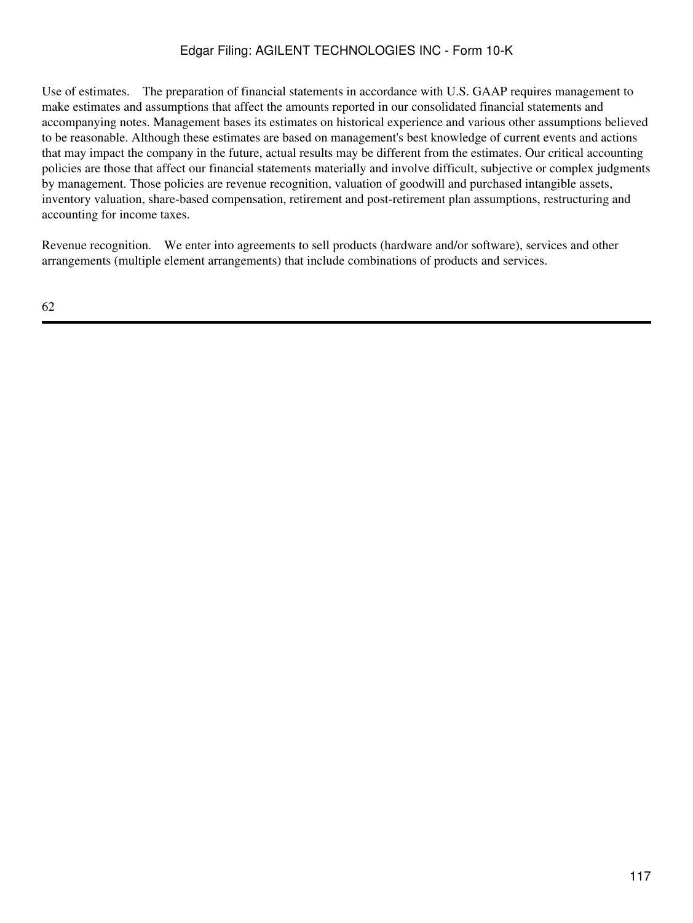Use of estimates. The preparation of financial statements in accordance with U.S. GAAP requires management to make estimates and assumptions that affect the amounts reported in our consolidated financial statements and accompanying notes. Management bases its estimates on historical experience and various other assumptions believed to be reasonable. Although these estimates are based on management's best knowledge of current events and actions that may impact the company in the future, actual results may be different from the estimates. Our critical accounting policies are those that affect our financial statements materially and involve difficult, subjective or complex judgments by management. Those policies are revenue recognition, valuation of goodwill and purchased intangible assets, inventory valuation, share-based compensation, retirement and post-retirement plan assumptions, restructuring and accounting for income taxes.

Revenue recognition. We enter into agreements to sell products (hardware and/or software), services and other arrangements (multiple element arrangements) that include combinations of products and services.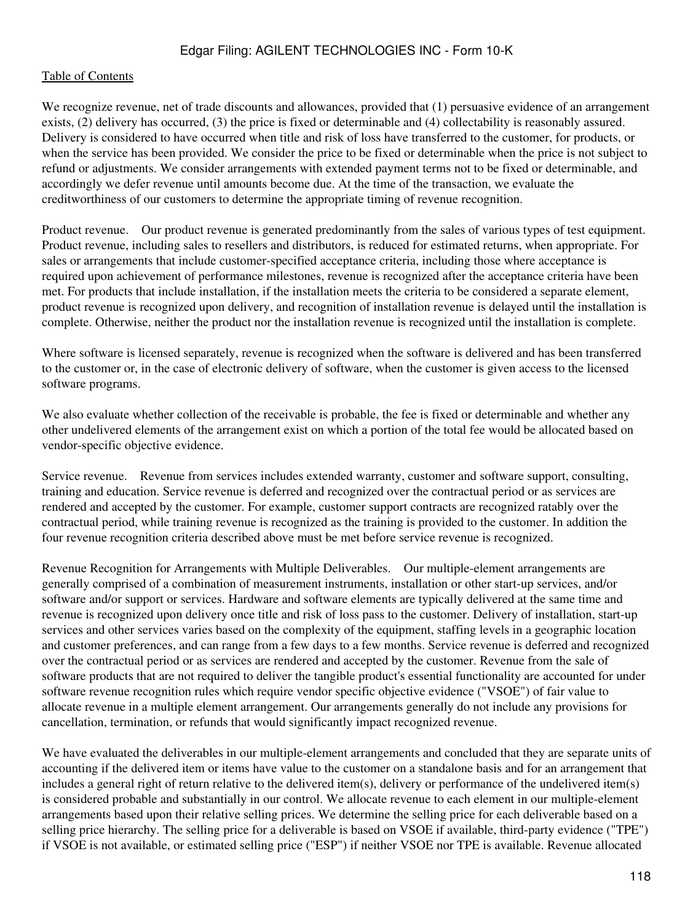#### [Table of Contents](#page-2-0)

We recognize revenue, net of trade discounts and allowances, provided that  $(1)$  persuasive evidence of an arrangement exists, (2) delivery has occurred, (3) the price is fixed or determinable and (4) collectability is reasonably assured. Delivery is considered to have occurred when title and risk of loss have transferred to the customer, for products, or when the service has been provided. We consider the price to be fixed or determinable when the price is not subject to refund or adjustments. We consider arrangements with extended payment terms not to be fixed or determinable, and accordingly we defer revenue until amounts become due. At the time of the transaction, we evaluate the creditworthiness of our customers to determine the appropriate timing of revenue recognition.

Product revenue. Our product revenue is generated predominantly from the sales of various types of test equipment. Product revenue, including sales to resellers and distributors, is reduced for estimated returns, when appropriate. For sales or arrangements that include customer-specified acceptance criteria, including those where acceptance is required upon achievement of performance milestones, revenue is recognized after the acceptance criteria have been met. For products that include installation, if the installation meets the criteria to be considered a separate element, product revenue is recognized upon delivery, and recognition of installation revenue is delayed until the installation is complete. Otherwise, neither the product nor the installation revenue is recognized until the installation is complete.

Where software is licensed separately, revenue is recognized when the software is delivered and has been transferred to the customer or, in the case of electronic delivery of software, when the customer is given access to the licensed software programs.

We also evaluate whether collection of the receivable is probable, the fee is fixed or determinable and whether any other undelivered elements of the arrangement exist on which a portion of the total fee would be allocated based on vendor-specific objective evidence.

Service revenue. Revenue from services includes extended warranty, customer and software support, consulting, training and education. Service revenue is deferred and recognized over the contractual period or as services are rendered and accepted by the customer. For example, customer support contracts are recognized ratably over the contractual period, while training revenue is recognized as the training is provided to the customer. In addition the four revenue recognition criteria described above must be met before service revenue is recognized.

Revenue Recognition for Arrangements with Multiple Deliverables. Our multiple-element arrangements are generally comprised of a combination of measurement instruments, installation or other start-up services, and/or software and/or support or services. Hardware and software elements are typically delivered at the same time and revenue is recognized upon delivery once title and risk of loss pass to the customer. Delivery of installation, start-up services and other services varies based on the complexity of the equipment, staffing levels in a geographic location and customer preferences, and can range from a few days to a few months. Service revenue is deferred and recognized over the contractual period or as services are rendered and accepted by the customer. Revenue from the sale of software products that are not required to deliver the tangible product's essential functionality are accounted for under software revenue recognition rules which require vendor specific objective evidence ("VSOE") of fair value to allocate revenue in a multiple element arrangement. Our arrangements generally do not include any provisions for cancellation, termination, or refunds that would significantly impact recognized revenue.

We have evaluated the deliverables in our multiple-element arrangements and concluded that they are separate units of accounting if the delivered item or items have value to the customer on a standalone basis and for an arrangement that includes a general right of return relative to the delivered item(s), delivery or performance of the undelivered item(s) is considered probable and substantially in our control. We allocate revenue to each element in our multiple-element arrangements based upon their relative selling prices. We determine the selling price for each deliverable based on a selling price hierarchy. The selling price for a deliverable is based on VSOE if available, third-party evidence ("TPE") if VSOE is not available, or estimated selling price ("ESP") if neither VSOE nor TPE is available. Revenue allocated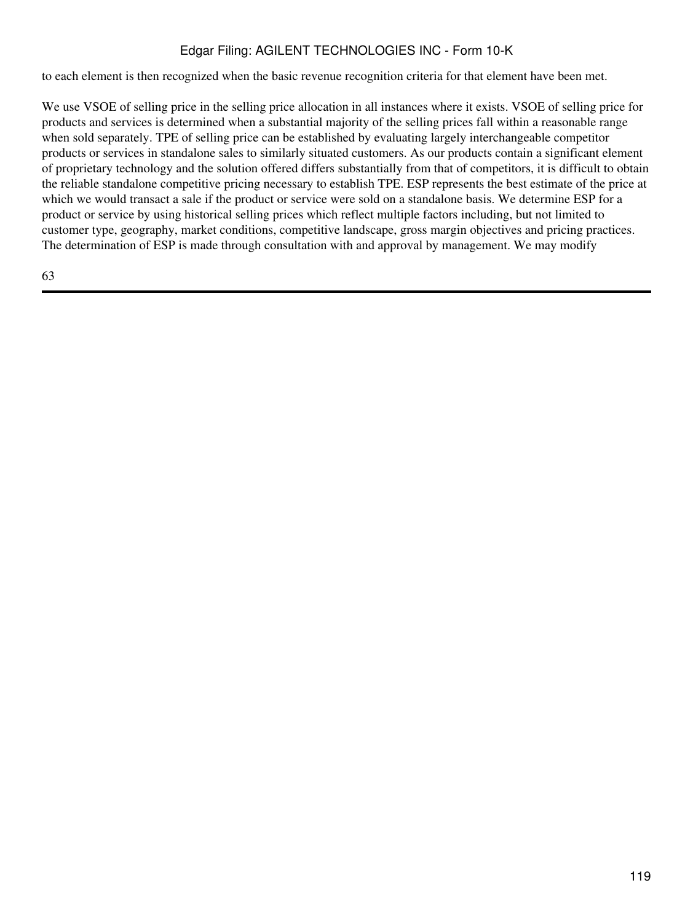to each element is then recognized when the basic revenue recognition criteria for that element have been met.

We use VSOE of selling price in the selling price allocation in all instances where it exists. VSOE of selling price for products and services is determined when a substantial majority of the selling prices fall within a reasonable range when sold separately. TPE of selling price can be established by evaluating largely interchangeable competitor products or services in standalone sales to similarly situated customers. As our products contain a significant element of proprietary technology and the solution offered differs substantially from that of competitors, it is difficult to obtain the reliable standalone competitive pricing necessary to establish TPE. ESP represents the best estimate of the price at which we would transact a sale if the product or service were sold on a standalone basis. We determine ESP for a product or service by using historical selling prices which reflect multiple factors including, but not limited to customer type, geography, market conditions, competitive landscape, gross margin objectives and pricing practices. The determination of ESP is made through consultation with and approval by management. We may modify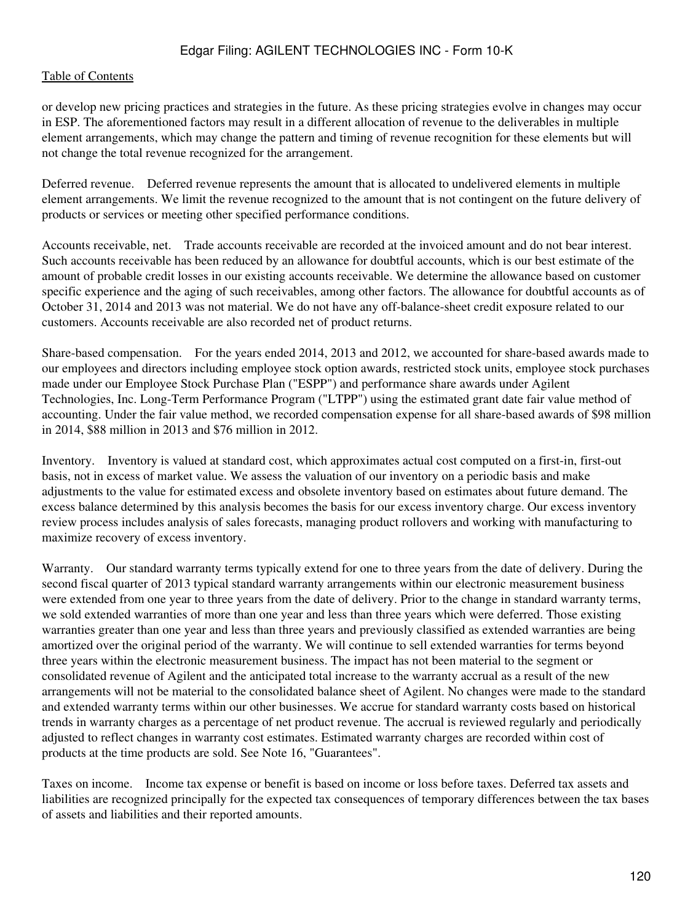#### [Table of Contents](#page-2-0)

or develop new pricing practices and strategies in the future. As these pricing strategies evolve in changes may occur in ESP. The aforementioned factors may result in a different allocation of revenue to the deliverables in multiple element arrangements, which may change the pattern and timing of revenue recognition for these elements but will not change the total revenue recognized for the arrangement.

Deferred revenue. Deferred revenue represents the amount that is allocated to undelivered elements in multiple element arrangements. We limit the revenue recognized to the amount that is not contingent on the future delivery of products or services or meeting other specified performance conditions.

Accounts receivable, net. Trade accounts receivable are recorded at the invoiced amount and do not bear interest. Such accounts receivable has been reduced by an allowance for doubtful accounts, which is our best estimate of the amount of probable credit losses in our existing accounts receivable. We determine the allowance based on customer specific experience and the aging of such receivables, among other factors. The allowance for doubtful accounts as of October 31, 2014 and 2013 was not material. We do not have any off-balance-sheet credit exposure related to our customers. Accounts receivable are also recorded net of product returns.

Share-based compensation. For the years ended 2014, 2013 and 2012, we accounted for share-based awards made to our employees and directors including employee stock option awards, restricted stock units, employee stock purchases made under our Employee Stock Purchase Plan ("ESPP") and performance share awards under Agilent Technologies, Inc. Long-Term Performance Program ("LTPP") using the estimated grant date fair value method of accounting. Under the fair value method, we recorded compensation expense for all share-based awards of \$98 million in 2014, \$88 million in 2013 and \$76 million in 2012.

Inventory. Inventory is valued at standard cost, which approximates actual cost computed on a first-in, first-out basis, not in excess of market value. We assess the valuation of our inventory on a periodic basis and make adjustments to the value for estimated excess and obsolete inventory based on estimates about future demand. The excess balance determined by this analysis becomes the basis for our excess inventory charge. Our excess inventory review process includes analysis of sales forecasts, managing product rollovers and working with manufacturing to maximize recovery of excess inventory.

Warranty. Our standard warranty terms typically extend for one to three years from the date of delivery. During the second fiscal quarter of 2013 typical standard warranty arrangements within our electronic measurement business were extended from one year to three years from the date of delivery. Prior to the change in standard warranty terms, we sold extended warranties of more than one year and less than three years which were deferred. Those existing warranties greater than one year and less than three years and previously classified as extended warranties are being amortized over the original period of the warranty. We will continue to sell extended warranties for terms beyond three years within the electronic measurement business. The impact has not been material to the segment or consolidated revenue of Agilent and the anticipated total increase to the warranty accrual as a result of the new arrangements will not be material to the consolidated balance sheet of Agilent. No changes were made to the standard and extended warranty terms within our other businesses. We accrue for standard warranty costs based on historical trends in warranty charges as a percentage of net product revenue. The accrual is reviewed regularly and periodically adjusted to reflect changes in warranty cost estimates. Estimated warranty charges are recorded within cost of products at the time products are sold. See Note 16, "Guarantees".

Taxes on income. Income tax expense or benefit is based on income or loss before taxes. Deferred tax assets and liabilities are recognized principally for the expected tax consequences of temporary differences between the tax bases of assets and liabilities and their reported amounts.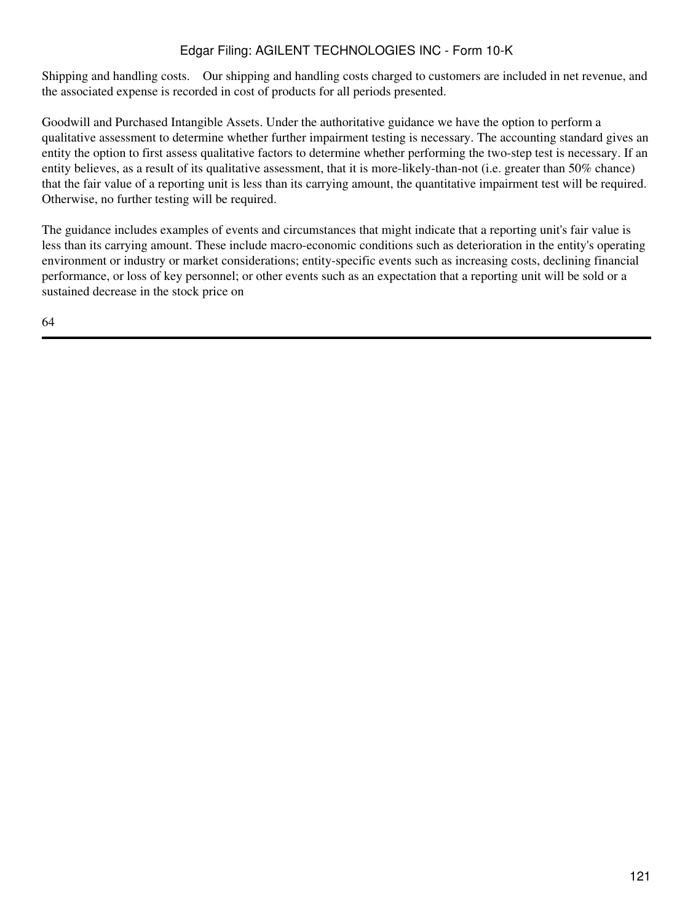Shipping and handling costs. Our shipping and handling costs charged to customers are included in net revenue, and the associated expense is recorded in cost of products for all periods presented.

Goodwill and Purchased Intangible Assets. Under the authoritative guidance we have the option to perform a qualitative assessment to determine whether further impairment testing is necessary. The accounting standard gives an entity the option to first assess qualitative factors to determine whether performing the two-step test is necessary. If an entity believes, as a result of its qualitative assessment, that it is more-likely-than-not (i.e. greater than 50% chance) that the fair value of a reporting unit is less than its carrying amount, the quantitative impairment test will be required. Otherwise, no further testing will be required.

The guidance includes examples of events and circumstances that might indicate that a reporting unit's fair value is less than its carrying amount. These include macro-economic conditions such as deterioration in the entity's operating environment or industry or market considerations; entity-specific events such as increasing costs, declining financial performance, or loss of key personnel; or other events such as an expectation that a reporting unit will be sold or a sustained decrease in the stock price on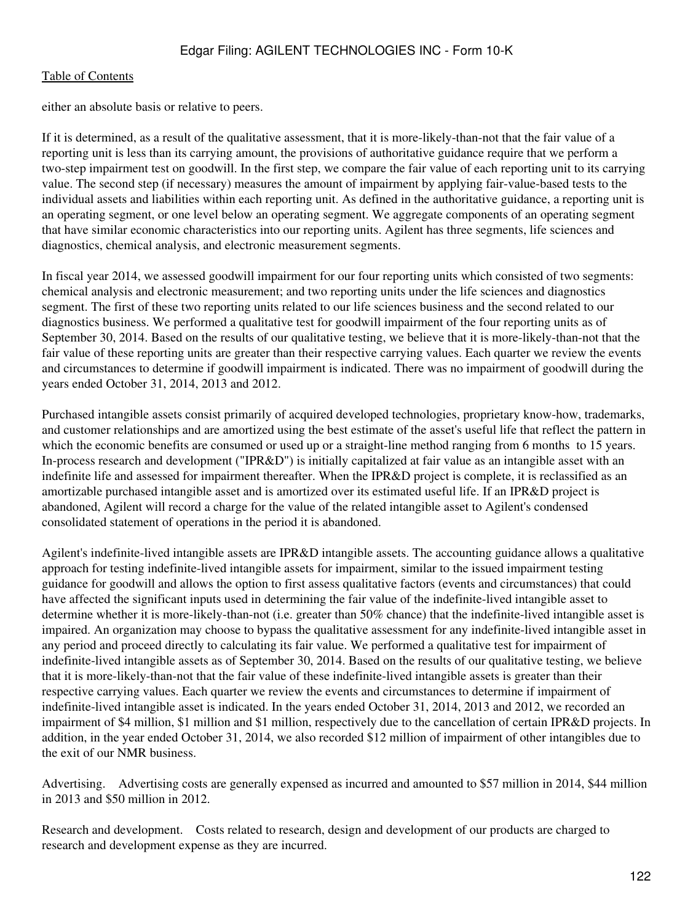either an absolute basis or relative to peers.

If it is determined, as a result of the qualitative assessment, that it is more-likely-than-not that the fair value of a reporting unit is less than its carrying amount, the provisions of authoritative guidance require that we perform a two-step impairment test on goodwill. In the first step, we compare the fair value of each reporting unit to its carrying value. The second step (if necessary) measures the amount of impairment by applying fair-value-based tests to the individual assets and liabilities within each reporting unit. As defined in the authoritative guidance, a reporting unit is an operating segment, or one level below an operating segment. We aggregate components of an operating segment that have similar economic characteristics into our reporting units. Agilent has three segments, life sciences and diagnostics, chemical analysis, and electronic measurement segments.

In fiscal year 2014, we assessed goodwill impairment for our four reporting units which consisted of two segments: chemical analysis and electronic measurement; and two reporting units under the life sciences and diagnostics segment. The first of these two reporting units related to our life sciences business and the second related to our diagnostics business. We performed a qualitative test for goodwill impairment of the four reporting units as of September 30, 2014. Based on the results of our qualitative testing, we believe that it is more-likely-than-not that the fair value of these reporting units are greater than their respective carrying values. Each quarter we review the events and circumstances to determine if goodwill impairment is indicated. There was no impairment of goodwill during the years ended October 31, 2014, 2013 and 2012.

Purchased intangible assets consist primarily of acquired developed technologies, proprietary know-how, trademarks, and customer relationships and are amortized using the best estimate of the asset's useful life that reflect the pattern in which the economic benefits are consumed or used up or a straight-line method ranging from 6 months to 15 years. In-process research and development ("IPR&D") is initially capitalized at fair value as an intangible asset with an indefinite life and assessed for impairment thereafter. When the IPR&D project is complete, it is reclassified as an amortizable purchased intangible asset and is amortized over its estimated useful life. If an IPR&D project is abandoned, Agilent will record a charge for the value of the related intangible asset to Agilent's condensed consolidated statement of operations in the period it is abandoned.

Agilent's indefinite-lived intangible assets are IPR&D intangible assets. The accounting guidance allows a qualitative approach for testing indefinite-lived intangible assets for impairment, similar to the issued impairment testing guidance for goodwill and allows the option to first assess qualitative factors (events and circumstances) that could have affected the significant inputs used in determining the fair value of the indefinite-lived intangible asset to determine whether it is more-likely-than-not (i.e. greater than 50% chance) that the indefinite-lived intangible asset is impaired. An organization may choose to bypass the qualitative assessment for any indefinite-lived intangible asset in any period and proceed directly to calculating its fair value. We performed a qualitative test for impairment of indefinite-lived intangible assets as of September 30, 2014. Based on the results of our qualitative testing, we believe that it is more-likely-than-not that the fair value of these indefinite-lived intangible assets is greater than their respective carrying values. Each quarter we review the events and circumstances to determine if impairment of indefinite-lived intangible asset is indicated. In the years ended October 31, 2014, 2013 and 2012, we recorded an impairment of \$4 million, \$1 million and \$1 million, respectively due to the cancellation of certain IPR&D projects. In addition, in the year ended October 31, 2014, we also recorded \$12 million of impairment of other intangibles due to the exit of our NMR business.

Advertising. Advertising costs are generally expensed as incurred and amounted to \$57 million in 2014, \$44 million in 2013 and \$50 million in 2012.

Research and development. Costs related to research, design and development of our products are charged to research and development expense as they are incurred.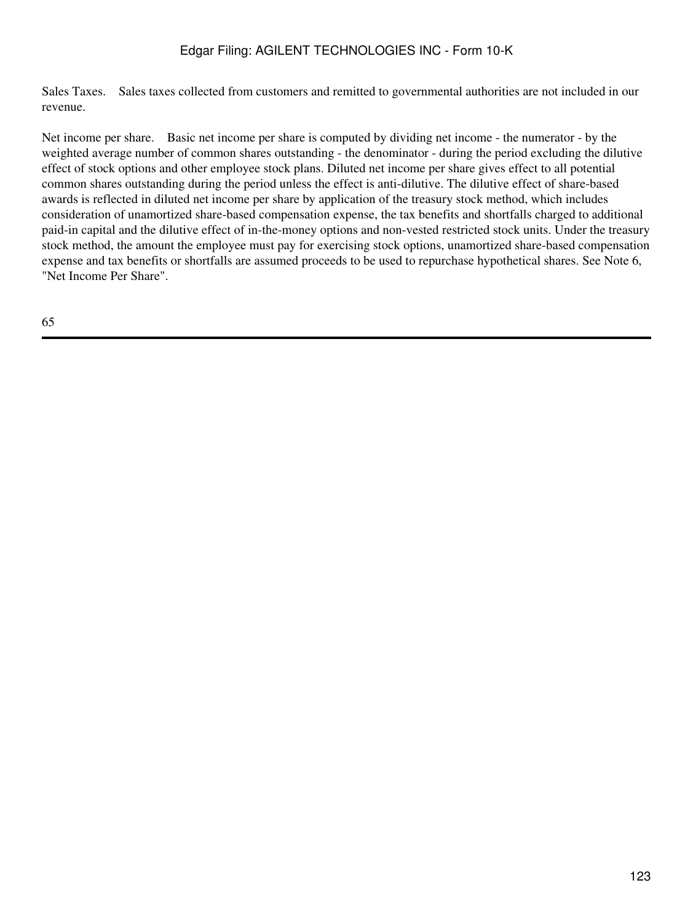Sales Taxes. Sales taxes collected from customers and remitted to governmental authorities are not included in our revenue.

Net income per share. Basic net income per share is computed by dividing net income - the numerator - by the weighted average number of common shares outstanding - the denominator - during the period excluding the dilutive effect of stock options and other employee stock plans. Diluted net income per share gives effect to all potential common shares outstanding during the period unless the effect is anti-dilutive. The dilutive effect of share-based awards is reflected in diluted net income per share by application of the treasury stock method, which includes consideration of unamortized share-based compensation expense, the tax benefits and shortfalls charged to additional paid-in capital and the dilutive effect of in-the-money options and non-vested restricted stock units. Under the treasury stock method, the amount the employee must pay for exercising stock options, unamortized share-based compensation expense and tax benefits or shortfalls are assumed proceeds to be used to repurchase hypothetical shares. See Note 6, "Net Income Per Share".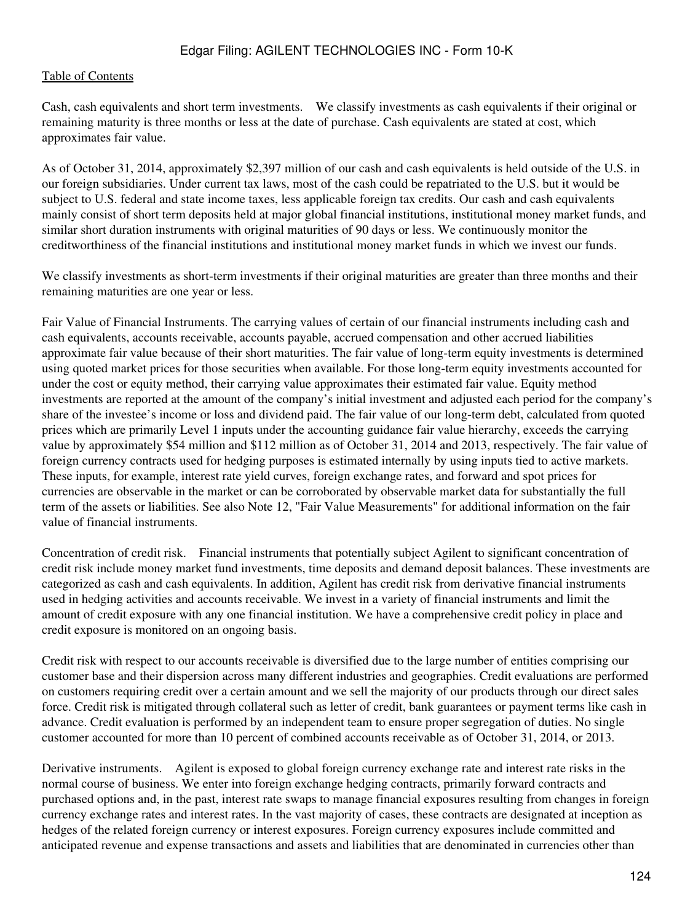Cash, cash equivalents and short term investments. We classify investments as cash equivalents if their original or remaining maturity is three months or less at the date of purchase. Cash equivalents are stated at cost, which approximates fair value.

As of October 31, 2014, approximately \$2,397 million of our cash and cash equivalents is held outside of the U.S. in our foreign subsidiaries. Under current tax laws, most of the cash could be repatriated to the U.S. but it would be subject to U.S. federal and state income taxes, less applicable foreign tax credits. Our cash and cash equivalents mainly consist of short term deposits held at major global financial institutions, institutional money market funds, and similar short duration instruments with original maturities of 90 days or less. We continuously monitor the creditworthiness of the financial institutions and institutional money market funds in which we invest our funds.

We classify investments as short-term investments if their original maturities are greater than three months and their remaining maturities are one year or less.

Fair Value of Financial Instruments. The carrying values of certain of our financial instruments including cash and cash equivalents, accounts receivable, accounts payable, accrued compensation and other accrued liabilities approximate fair value because of their short maturities. The fair value of long-term equity investments is determined using quoted market prices for those securities when available. For those long-term equity investments accounted for under the cost or equity method, their carrying value approximates their estimated fair value. Equity method investments are reported at the amount of the company's initial investment and adjusted each period for the company's share of the investee's income or loss and dividend paid. The fair value of our long-term debt, calculated from quoted prices which are primarily Level 1 inputs under the accounting guidance fair value hierarchy, exceeds the carrying value by approximately \$54 million and \$112 million as of October 31, 2014 and 2013, respectively. The fair value of foreign currency contracts used for hedging purposes is estimated internally by using inputs tied to active markets. These inputs, for example, interest rate yield curves, foreign exchange rates, and forward and spot prices for currencies are observable in the market or can be corroborated by observable market data for substantially the full term of the assets or liabilities. See also Note 12, "Fair Value Measurements" for additional information on the fair value of financial instruments.

Concentration of credit risk. Financial instruments that potentially subject Agilent to significant concentration of credit risk include money market fund investments, time deposits and demand deposit balances. These investments are categorized as cash and cash equivalents. In addition, Agilent has credit risk from derivative financial instruments used in hedging activities and accounts receivable. We invest in a variety of financial instruments and limit the amount of credit exposure with any one financial institution. We have a comprehensive credit policy in place and credit exposure is monitored on an ongoing basis.

Credit risk with respect to our accounts receivable is diversified due to the large number of entities comprising our customer base and their dispersion across many different industries and geographies. Credit evaluations are performed on customers requiring credit over a certain amount and we sell the majority of our products through our direct sales force. Credit risk is mitigated through collateral such as letter of credit, bank guarantees or payment terms like cash in advance. Credit evaluation is performed by an independent team to ensure proper segregation of duties. No single customer accounted for more than 10 percent of combined accounts receivable as of October 31, 2014, or 2013.

Derivative instruments. Agilent is exposed to global foreign currency exchange rate and interest rate risks in the normal course of business. We enter into foreign exchange hedging contracts, primarily forward contracts and purchased options and, in the past, interest rate swaps to manage financial exposures resulting from changes in foreign currency exchange rates and interest rates. In the vast majority of cases, these contracts are designated at inception as hedges of the related foreign currency or interest exposures. Foreign currency exposures include committed and anticipated revenue and expense transactions and assets and liabilities that are denominated in currencies other than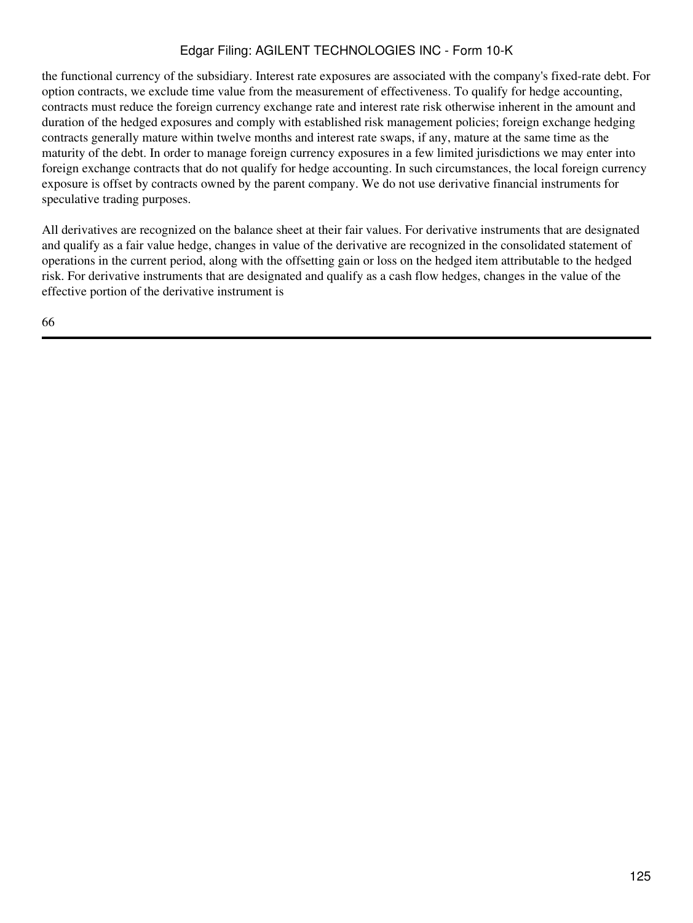the functional currency of the subsidiary. Interest rate exposures are associated with the company's fixed-rate debt. For option contracts, we exclude time value from the measurement of effectiveness. To qualify for hedge accounting, contracts must reduce the foreign currency exchange rate and interest rate risk otherwise inherent in the amount and duration of the hedged exposures and comply with established risk management policies; foreign exchange hedging contracts generally mature within twelve months and interest rate swaps, if any, mature at the same time as the maturity of the debt. In order to manage foreign currency exposures in a few limited jurisdictions we may enter into foreign exchange contracts that do not qualify for hedge accounting. In such circumstances, the local foreign currency exposure is offset by contracts owned by the parent company. We do not use derivative financial instruments for speculative trading purposes.

All derivatives are recognized on the balance sheet at their fair values. For derivative instruments that are designated and qualify as a fair value hedge, changes in value of the derivative are recognized in the consolidated statement of operations in the current period, along with the offsetting gain or loss on the hedged item attributable to the hedged risk. For derivative instruments that are designated and qualify as a cash flow hedges, changes in the value of the effective portion of the derivative instrument is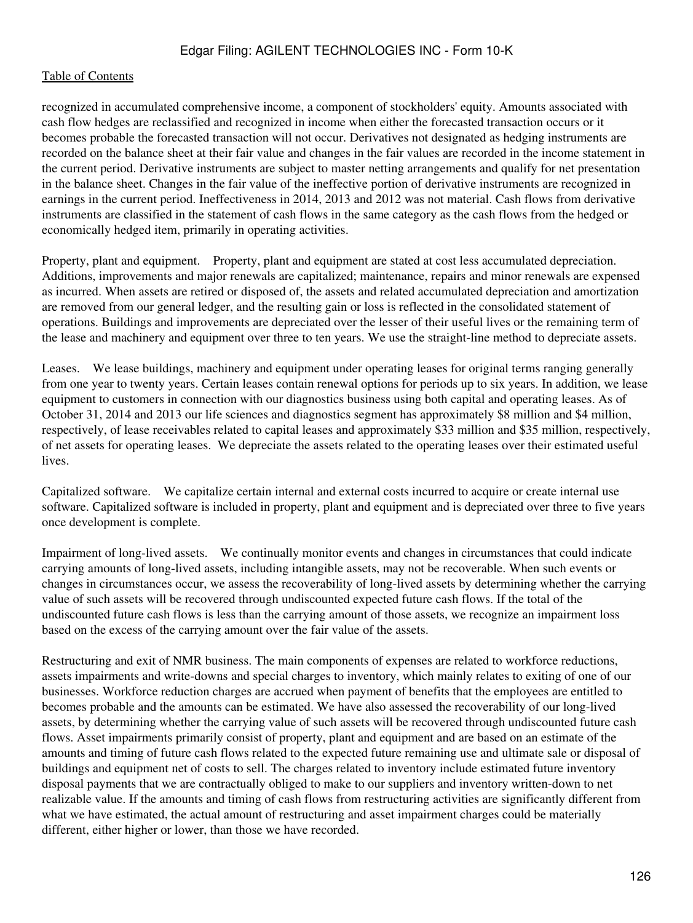#### [Table of Contents](#page-2-0)

recognized in accumulated comprehensive income, a component of stockholders' equity. Amounts associated with cash flow hedges are reclassified and recognized in income when either the forecasted transaction occurs or it becomes probable the forecasted transaction will not occur. Derivatives not designated as hedging instruments are recorded on the balance sheet at their fair value and changes in the fair values are recorded in the income statement in the current period. Derivative instruments are subject to master netting arrangements and qualify for net presentation in the balance sheet. Changes in the fair value of the ineffective portion of derivative instruments are recognized in earnings in the current period. Ineffectiveness in 2014, 2013 and 2012 was not material. Cash flows from derivative instruments are classified in the statement of cash flows in the same category as the cash flows from the hedged or economically hedged item, primarily in operating activities.

Property, plant and equipment. Property, plant and equipment are stated at cost less accumulated depreciation. Additions, improvements and major renewals are capitalized; maintenance, repairs and minor renewals are expensed as incurred. When assets are retired or disposed of, the assets and related accumulated depreciation and amortization are removed from our general ledger, and the resulting gain or loss is reflected in the consolidated statement of operations. Buildings and improvements are depreciated over the lesser of their useful lives or the remaining term of the lease and machinery and equipment over three to ten years. We use the straight-line method to depreciate assets.

Leases. We lease buildings, machinery and equipment under operating leases for original terms ranging generally from one year to twenty years. Certain leases contain renewal options for periods up to six years. In addition, we lease equipment to customers in connection with our diagnostics business using both capital and operating leases. As of October 31, 2014 and 2013 our life sciences and diagnostics segment has approximately \$8 million and \$4 million, respectively, of lease receivables related to capital leases and approximately \$33 million and \$35 million, respectively, of net assets for operating leases. We depreciate the assets related to the operating leases over their estimated useful lives.

Capitalized software. We capitalize certain internal and external costs incurred to acquire or create internal use software. Capitalized software is included in property, plant and equipment and is depreciated over three to five years once development is complete.

Impairment of long-lived assets. We continually monitor events and changes in circumstances that could indicate carrying amounts of long-lived assets, including intangible assets, may not be recoverable. When such events or changes in circumstances occur, we assess the recoverability of long-lived assets by determining whether the carrying value of such assets will be recovered through undiscounted expected future cash flows. If the total of the undiscounted future cash flows is less than the carrying amount of those assets, we recognize an impairment loss based on the excess of the carrying amount over the fair value of the assets.

Restructuring and exit of NMR business. The main components of expenses are related to workforce reductions, assets impairments and write-downs and special charges to inventory, which mainly relates to exiting of one of our businesses. Workforce reduction charges are accrued when payment of benefits that the employees are entitled to becomes probable and the amounts can be estimated. We have also assessed the recoverability of our long-lived assets, by determining whether the carrying value of such assets will be recovered through undiscounted future cash flows. Asset impairments primarily consist of property, plant and equipment and are based on an estimate of the amounts and timing of future cash flows related to the expected future remaining use and ultimate sale or disposal of buildings and equipment net of costs to sell. The charges related to inventory include estimated future inventory disposal payments that we are contractually obliged to make to our suppliers and inventory written-down to net realizable value. If the amounts and timing of cash flows from restructuring activities are significantly different from what we have estimated, the actual amount of restructuring and asset impairment charges could be materially different, either higher or lower, than those we have recorded.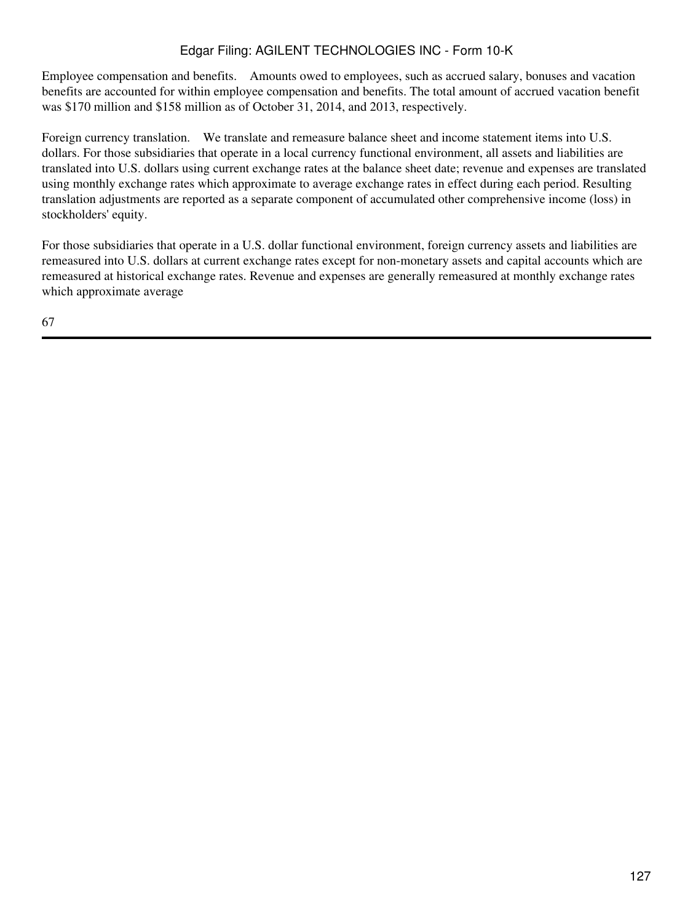Employee compensation and benefits. Amounts owed to employees, such as accrued salary, bonuses and vacation benefits are accounted for within employee compensation and benefits. The total amount of accrued vacation benefit was \$170 million and \$158 million as of October 31, 2014, and 2013, respectively.

Foreign currency translation. We translate and remeasure balance sheet and income statement items into U.S. dollars. For those subsidiaries that operate in a local currency functional environment, all assets and liabilities are translated into U.S. dollars using current exchange rates at the balance sheet date; revenue and expenses are translated using monthly exchange rates which approximate to average exchange rates in effect during each period. Resulting translation adjustments are reported as a separate component of accumulated other comprehensive income (loss) in stockholders' equity.

For those subsidiaries that operate in a U.S. dollar functional environment, foreign currency assets and liabilities are remeasured into U.S. dollars at current exchange rates except for non-monetary assets and capital accounts which are remeasured at historical exchange rates. Revenue and expenses are generally remeasured at monthly exchange rates which approximate average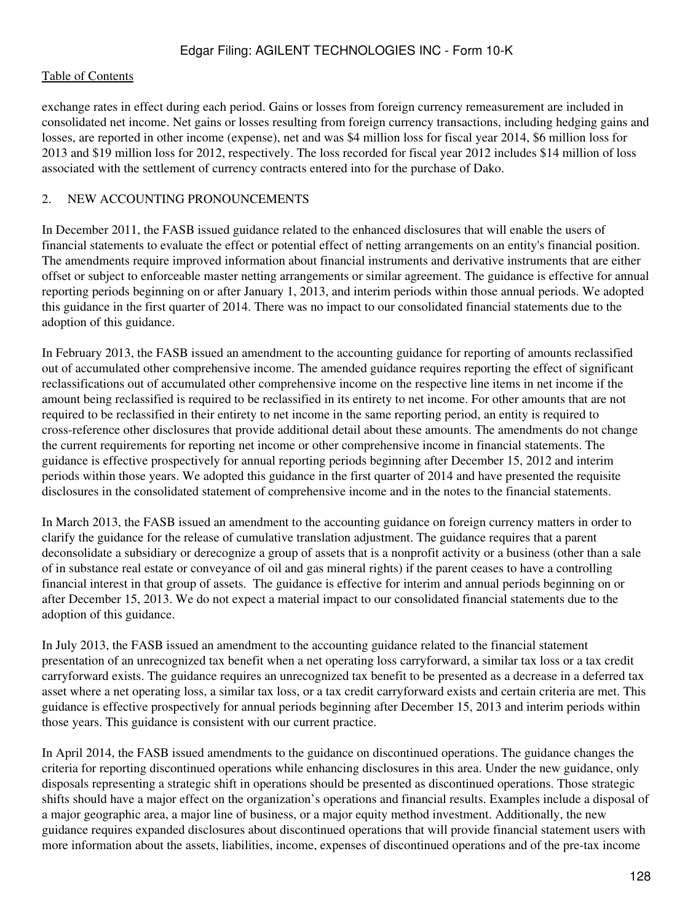#### [Table of Contents](#page-2-0)

exchange rates in effect during each period. Gains or losses from foreign currency remeasurement are included in consolidated net income. Net gains or losses resulting from foreign currency transactions, including hedging gains and losses, are reported in other income (expense), net and was \$4 million loss for fiscal year 2014, \$6 million loss for 2013 and \$19 million loss for 2012, respectively. The loss recorded for fiscal year 2012 includes \$14 million of loss associated with the settlement of currency contracts entered into for the purchase of Dako.

#### 2. NEW ACCOUNTING PRONOUNCEMENTS

In December 2011, the FASB issued guidance related to the enhanced disclosures that will enable the users of financial statements to evaluate the effect or potential effect of netting arrangements on an entity's financial position. The amendments require improved information about financial instruments and derivative instruments that are either offset or subject to enforceable master netting arrangements or similar agreement. The guidance is effective for annual reporting periods beginning on or after January 1, 2013, and interim periods within those annual periods. We adopted this guidance in the first quarter of 2014. There was no impact to our consolidated financial statements due to the adoption of this guidance.

In February 2013, the FASB issued an amendment to the accounting guidance for reporting of amounts reclassified out of accumulated other comprehensive income. The amended guidance requires reporting the effect of significant reclassifications out of accumulated other comprehensive income on the respective line items in net income if the amount being reclassified is required to be reclassified in its entirety to net income. For other amounts that are not required to be reclassified in their entirety to net income in the same reporting period, an entity is required to cross-reference other disclosures that provide additional detail about these amounts. The amendments do not change the current requirements for reporting net income or other comprehensive income in financial statements. The guidance is effective prospectively for annual reporting periods beginning after December 15, 2012 and interim periods within those years. We adopted this guidance in the first quarter of 2014 and have presented the requisite disclosures in the consolidated statement of comprehensive income and in the notes to the financial statements.

In March 2013, the FASB issued an amendment to the accounting guidance on foreign currency matters in order to clarify the guidance for the release of cumulative translation adjustment. The guidance requires that a parent deconsolidate a subsidiary or derecognize a group of assets that is a nonprofit activity or a business (other than a sale of in substance real estate or conveyance of oil and gas mineral rights) if the parent ceases to have a controlling financial interest in that group of assets. The guidance is effective for interim and annual periods beginning on or after December 15, 2013. We do not expect a material impact to our consolidated financial statements due to the adoption of this guidance.

In July 2013, the FASB issued an amendment to the accounting guidance related to the financial statement presentation of an unrecognized tax benefit when a net operating loss carryforward, a similar tax loss or a tax credit carryforward exists. The guidance requires an unrecognized tax benefit to be presented as a decrease in a deferred tax asset where a net operating loss, a similar tax loss, or a tax credit carryforward exists and certain criteria are met. This guidance is effective prospectively for annual periods beginning after December 15, 2013 and interim periods within those years. This guidance is consistent with our current practice.

In April 2014, the FASB issued amendments to the guidance on discontinued operations. The guidance changes the criteria for reporting discontinued operations while enhancing disclosures in this area. Under the new guidance, only disposals representing a strategic shift in operations should be presented as discontinued operations. Those strategic shifts should have a major effect on the organization's operations and financial results. Examples include a disposal of a major geographic area, a major line of business, or a major equity method investment. Additionally, the new guidance requires expanded disclosures about discontinued operations that will provide financial statement users with more information about the assets, liabilities, income, expenses of discontinued operations and of the pre-tax income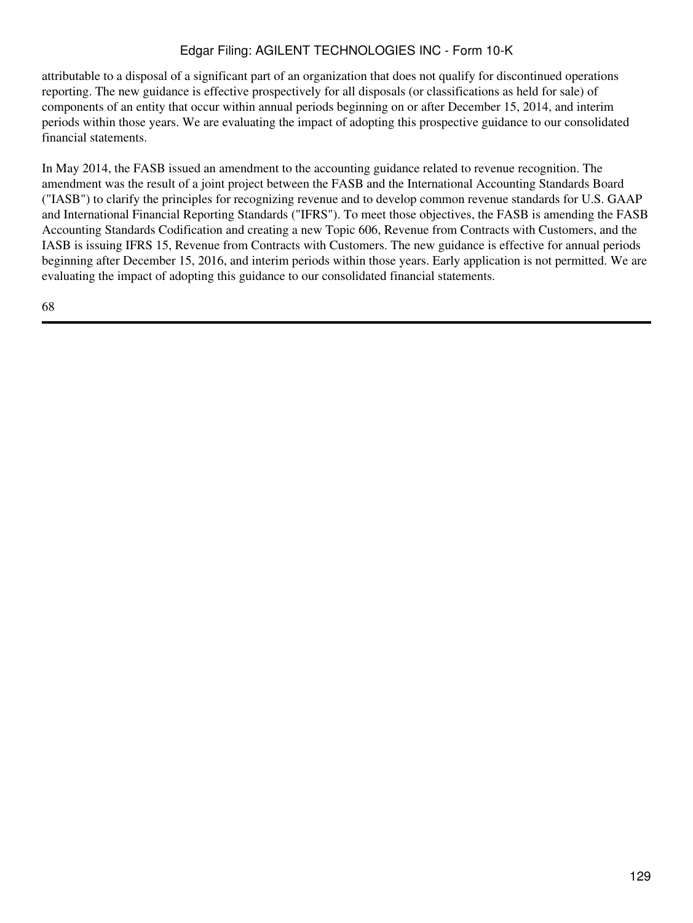attributable to a disposal of a significant part of an organization that does not qualify for discontinued operations reporting. The new guidance is effective prospectively for all disposals (or classifications as held for sale) of components of an entity that occur within annual periods beginning on or after December 15, 2014, and interim periods within those years. We are evaluating the impact of adopting this prospective guidance to our consolidated financial statements.

In May 2014, the FASB issued an amendment to the accounting guidance related to revenue recognition. The amendment was the result of a joint project between the FASB and the International Accounting Standards Board ("IASB") to clarify the principles for recognizing revenue and to develop common revenue standards for U.S. GAAP and International Financial Reporting Standards ("IFRS"). To meet those objectives, the FASB is amending the FASB Accounting Standards Codification and creating a new Topic 606, Revenue from Contracts with Customers, and the IASB is issuing IFRS 15, Revenue from Contracts with Customers. The new guidance is effective for annual periods beginning after December 15, 2016, and interim periods within those years. Early application is not permitted. We are evaluating the impact of adopting this guidance to our consolidated financial statements.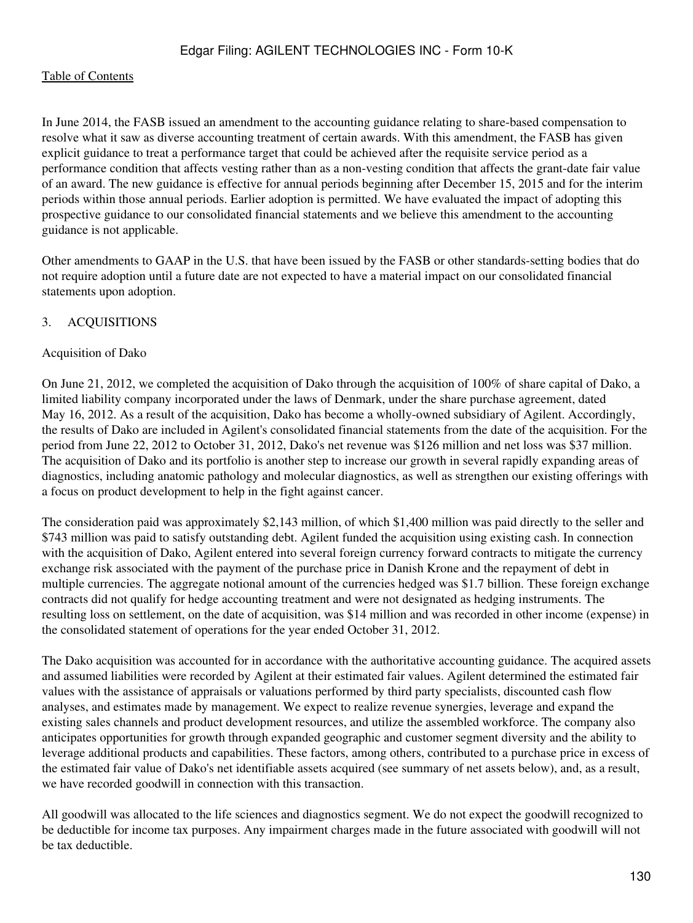In June 2014, the FASB issued an amendment to the accounting guidance relating to share-based compensation to resolve what it saw as diverse accounting treatment of certain awards. With this amendment, the FASB has given explicit guidance to treat a performance target that could be achieved after the requisite service period as a performance condition that affects vesting rather than as a non-vesting condition that affects the grant-date fair value of an award. The new guidance is effective for annual periods beginning after December 15, 2015 and for the interim periods within those annual periods. Earlier adoption is permitted. We have evaluated the impact of adopting this prospective guidance to our consolidated financial statements and we believe this amendment to the accounting guidance is not applicable.

Other amendments to GAAP in the U.S. that have been issued by the FASB or other standards-setting bodies that do not require adoption until a future date are not expected to have a material impact on our consolidated financial statements upon adoption.

### 3. ACQUISITIONS

### Acquisition of Dako

On June 21, 2012, we completed the acquisition of Dako through the acquisition of 100% of share capital of Dako, a limited liability company incorporated under the laws of Denmark, under the share purchase agreement, dated May 16, 2012. As a result of the acquisition, Dako has become a wholly-owned subsidiary of Agilent. Accordingly, the results of Dako are included in Agilent's consolidated financial statements from the date of the acquisition. For the period from June 22, 2012 to October 31, 2012, Dako's net revenue was \$126 million and net loss was \$37 million. The acquisition of Dako and its portfolio is another step to increase our growth in several rapidly expanding areas of diagnostics, including anatomic pathology and molecular diagnostics, as well as strengthen our existing offerings with a focus on product development to help in the fight against cancer.

The consideration paid was approximately \$2,143 million, of which \$1,400 million was paid directly to the seller and \$743 million was paid to satisfy outstanding debt. Agilent funded the acquisition using existing cash. In connection with the acquisition of Dako, Agilent entered into several foreign currency forward contracts to mitigate the currency exchange risk associated with the payment of the purchase price in Danish Krone and the repayment of debt in multiple currencies. The aggregate notional amount of the currencies hedged was \$1.7 billion. These foreign exchange contracts did not qualify for hedge accounting treatment and were not designated as hedging instruments. The resulting loss on settlement, on the date of acquisition, was \$14 million and was recorded in other income (expense) in the consolidated statement of operations for the year ended October 31, 2012.

The Dako acquisition was accounted for in accordance with the authoritative accounting guidance. The acquired assets and assumed liabilities were recorded by Agilent at their estimated fair values. Agilent determined the estimated fair values with the assistance of appraisals or valuations performed by third party specialists, discounted cash flow analyses, and estimates made by management. We expect to realize revenue synergies, leverage and expand the existing sales channels and product development resources, and utilize the assembled workforce. The company also anticipates opportunities for growth through expanded geographic and customer segment diversity and the ability to leverage additional products and capabilities. These factors, among others, contributed to a purchase price in excess of the estimated fair value of Dako's net identifiable assets acquired (see summary of net assets below), and, as a result, we have recorded goodwill in connection with this transaction.

All goodwill was allocated to the life sciences and diagnostics segment. We do not expect the goodwill recognized to be deductible for income tax purposes. Any impairment charges made in the future associated with goodwill will not be tax deductible.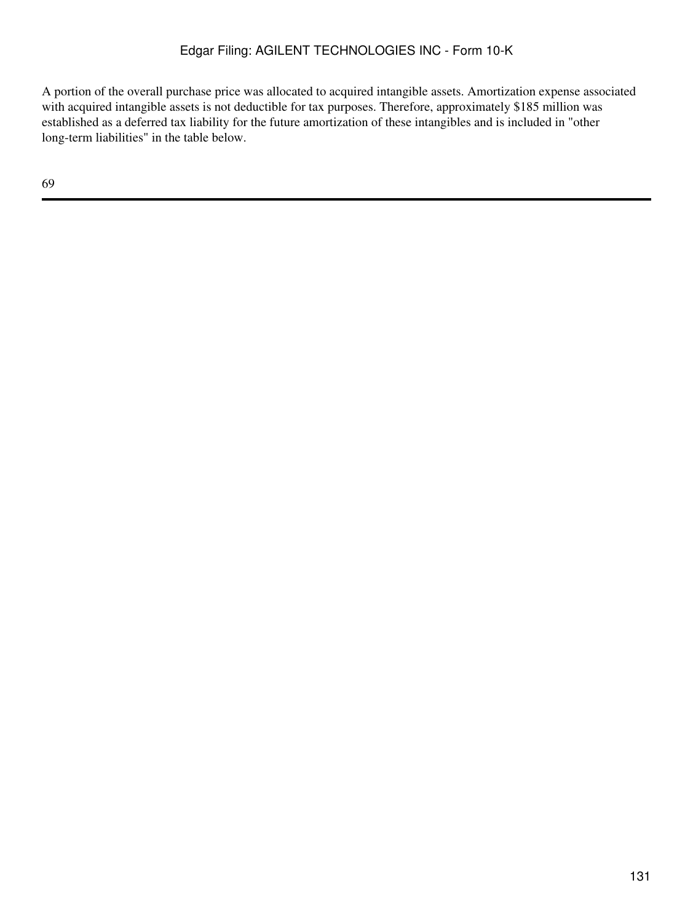A portion of the overall purchase price was allocated to acquired intangible assets. Amortization expense associated with acquired intangible assets is not deductible for tax purposes. Therefore, approximately \$185 million was established as a deferred tax liability for the future amortization of these intangibles and is included in "other long-term liabilities" in the table below.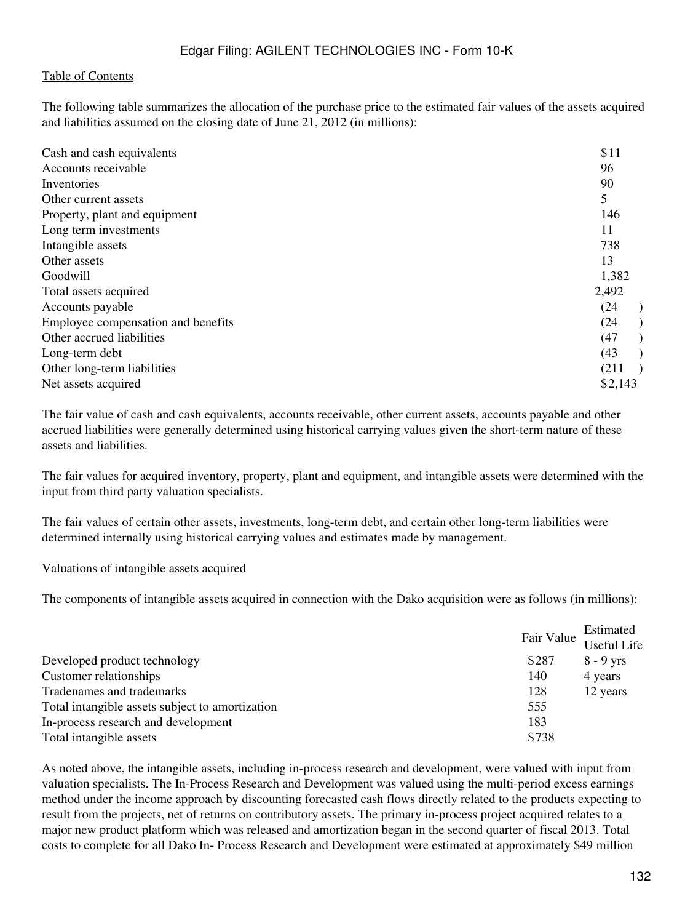The following table summarizes the allocation of the purchase price to the estimated fair values of the assets acquired and liabilities assumed on the closing date of June 21, 2012 (in millions):

| Cash and cash equivalents          | \$11    |
|------------------------------------|---------|
| Accounts receivable                | 96      |
| Inventories                        | 90      |
| Other current assets               | 5       |
| Property, plant and equipment      | 146     |
| Long term investments              | 11      |
| Intangible assets                  | 738     |
| Other assets                       | 13      |
| Goodwill                           | 1,382   |
| Total assets acquired              | 2,492   |
| Accounts payable                   | (24)    |
| Employee compensation and benefits | (24)    |
| Other accrued liabilities          | (47)    |
| Long-term debt                     | (43)    |
| Other long-term liabilities        | (211)   |
| Net assets acquired                | \$2,143 |

The fair value of cash and cash equivalents, accounts receivable, other current assets, accounts payable and other accrued liabilities were generally determined using historical carrying values given the short-term nature of these assets and liabilities.

The fair values for acquired inventory, property, plant and equipment, and intangible assets were determined with the input from third party valuation specialists.

The fair values of certain other assets, investments, long-term debt, and certain other long-term liabilities were determined internally using historical carrying values and estimates made by management.

Valuations of intangible assets acquired

The components of intangible assets acquired in connection with the Dako acquisition were as follows (in millions):

|                                                 | Fair Value Useful Life |           |
|-------------------------------------------------|------------------------|-----------|
| Developed product technology                    | \$287                  | 8 - 9 yrs |
| Customer relationships                          | 140                    | 4 years   |
| Tradenames and trademarks                       | 128                    | 12 years  |
| Total intangible assets subject to amortization | 555                    |           |
| In-process research and development             | 183                    |           |
| Total intangible assets                         | \$738                  |           |

As noted above, the intangible assets, including in-process research and development, were valued with input from valuation specialists. The In-Process Research and Development was valued using the multi-period excess earnings method under the income approach by discounting forecasted cash flows directly related to the products expecting to result from the projects, net of returns on contributory assets. The primary in-process project acquired relates to a major new product platform which was released and amortization began in the second quarter of fiscal 2013. Total costs to complete for all Dako In- Process Research and Development were estimated at approximately \$49 million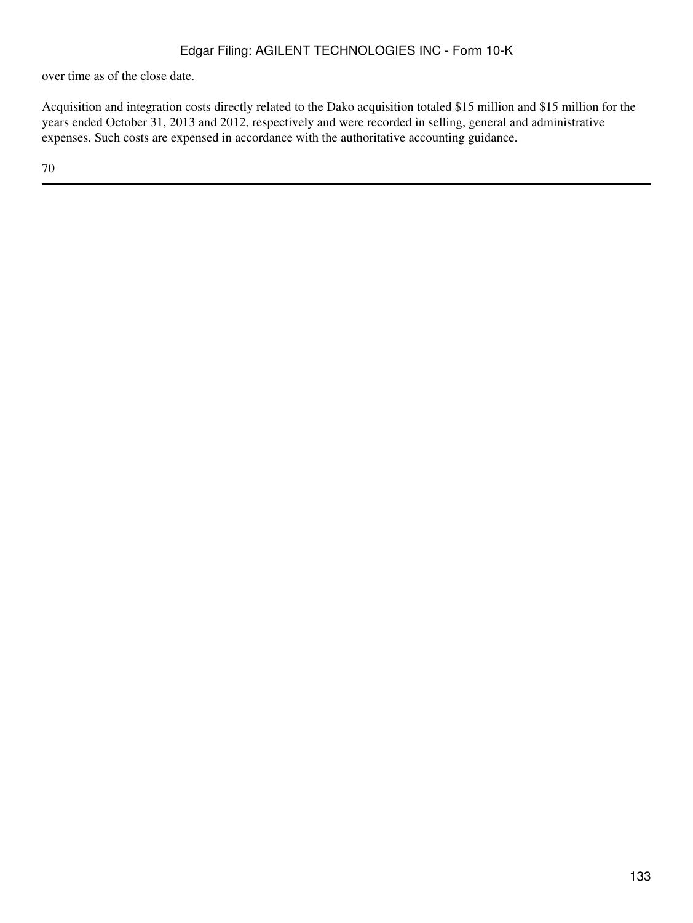over time as of the close date.

Acquisition and integration costs directly related to the Dako acquisition totaled \$15 million and \$15 million for the years ended October 31, 2013 and 2012, respectively and were recorded in selling, general and administrative expenses. Such costs are expensed in accordance with the authoritative accounting guidance.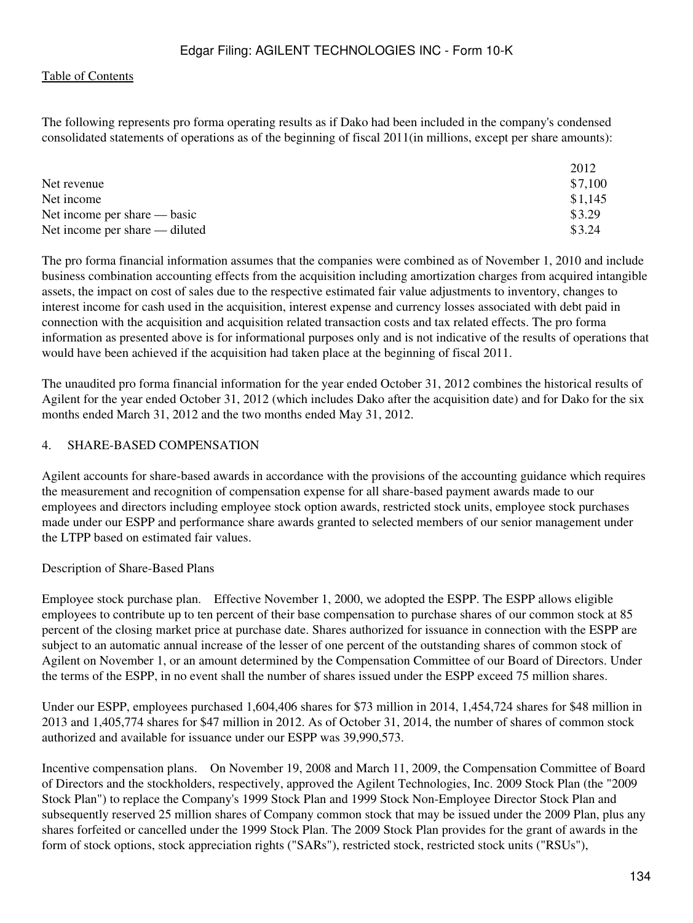The following represents pro forma operating results as if Dako had been included in the company's condensed consolidated statements of operations as of the beginning of fiscal 2011(in millions, except per share amounts):

| 2012    |
|---------|
| \$7,100 |
| \$1,145 |
| \$3.29  |
| \$3.24  |
|         |

The pro forma financial information assumes that the companies were combined as of November 1, 2010 and include business combination accounting effects from the acquisition including amortization charges from acquired intangible assets, the impact on cost of sales due to the respective estimated fair value adjustments to inventory, changes to interest income for cash used in the acquisition, interest expense and currency losses associated with debt paid in connection with the acquisition and acquisition related transaction costs and tax related effects. The pro forma information as presented above is for informational purposes only and is not indicative of the results of operations that would have been achieved if the acquisition had taken place at the beginning of fiscal 2011.

The unaudited pro forma financial information for the year ended October 31, 2012 combines the historical results of Agilent for the year ended October 31, 2012 (which includes Dako after the acquisition date) and for Dako for the six months ended March 31, 2012 and the two months ended May 31, 2012.

#### 4. SHARE-BASED COMPENSATION

Agilent accounts for share-based awards in accordance with the provisions of the accounting guidance which requires the measurement and recognition of compensation expense for all share-based payment awards made to our employees and directors including employee stock option awards, restricted stock units, employee stock purchases made under our ESPP and performance share awards granted to selected members of our senior management under the LTPP based on estimated fair values.

Description of Share-Based Plans

Employee stock purchase plan. Effective November 1, 2000, we adopted the ESPP. The ESPP allows eligible employees to contribute up to ten percent of their base compensation to purchase shares of our common stock at 85 percent of the closing market price at purchase date. Shares authorized for issuance in connection with the ESPP are subject to an automatic annual increase of the lesser of one percent of the outstanding shares of common stock of Agilent on November 1, or an amount determined by the Compensation Committee of our Board of Directors. Under the terms of the ESPP, in no event shall the number of shares issued under the ESPP exceed 75 million shares.

Under our ESPP, employees purchased 1,604,406 shares for \$73 million in 2014, 1,454,724 shares for \$48 million in 2013 and 1,405,774 shares for \$47 million in 2012. As of October 31, 2014, the number of shares of common stock authorized and available for issuance under our ESPP was 39,990,573.

Incentive compensation plans. On November 19, 2008 and March 11, 2009, the Compensation Committee of Board of Directors and the stockholders, respectively, approved the Agilent Technologies, Inc. 2009 Stock Plan (the "2009 Stock Plan") to replace the Company's 1999 Stock Plan and 1999 Stock Non-Employee Director Stock Plan and subsequently reserved 25 million shares of Company common stock that may be issued under the 2009 Plan, plus any shares forfeited or cancelled under the 1999 Stock Plan. The 2009 Stock Plan provides for the grant of awards in the form of stock options, stock appreciation rights ("SARs"), restricted stock, restricted stock units ("RSUs"),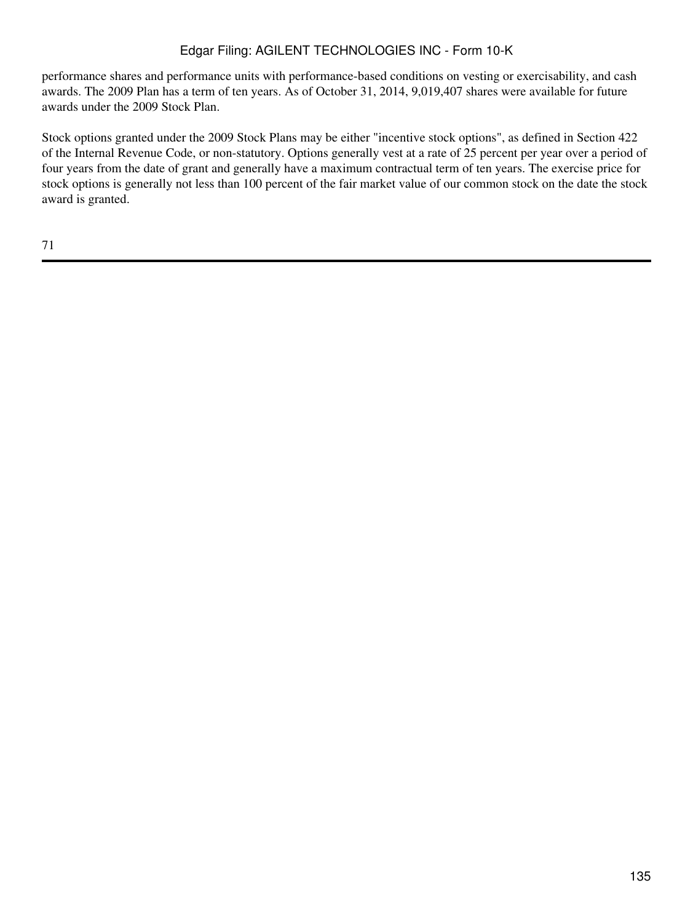performance shares and performance units with performance-based conditions on vesting or exercisability, and cash awards. The 2009 Plan has a term of ten years. As of October 31, 2014, 9,019,407 shares were available for future awards under the 2009 Stock Plan.

Stock options granted under the 2009 Stock Plans may be either "incentive stock options", as defined in Section 422 of the Internal Revenue Code, or non-statutory. Options generally vest at a rate of 25 percent per year over a period of four years from the date of grant and generally have a maximum contractual term of ten years. The exercise price for stock options is generally not less than 100 percent of the fair market value of our common stock on the date the stock award is granted.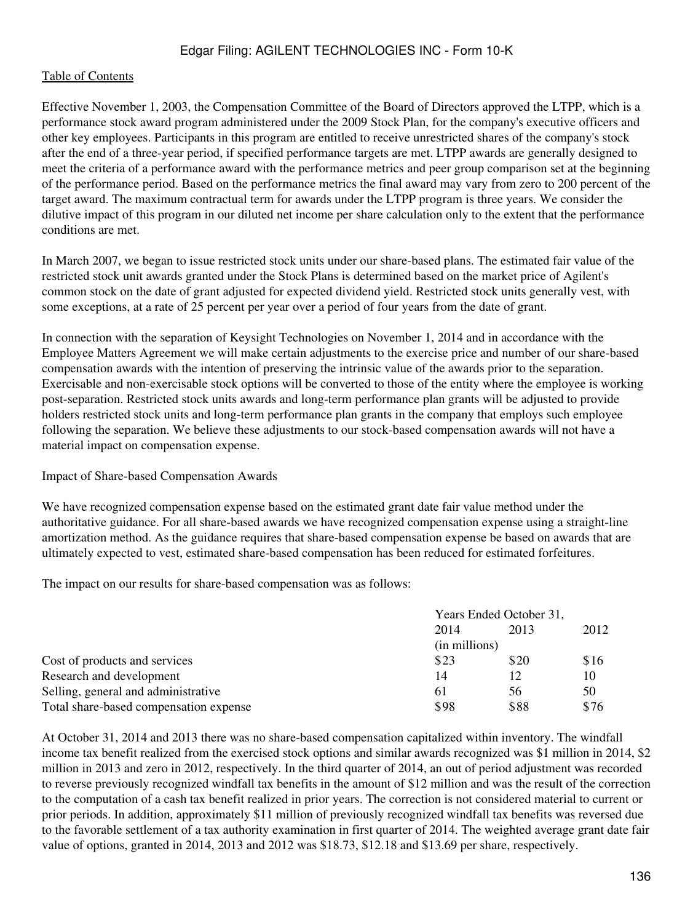#### [Table of Contents](#page-2-0)

Effective November 1, 2003, the Compensation Committee of the Board of Directors approved the LTPP, which is a performance stock award program administered under the 2009 Stock Plan, for the company's executive officers and other key employees. Participants in this program are entitled to receive unrestricted shares of the company's stock after the end of a three-year period, if specified performance targets are met. LTPP awards are generally designed to meet the criteria of a performance award with the performance metrics and peer group comparison set at the beginning of the performance period. Based on the performance metrics the final award may vary from zero to 200 percent of the target award. The maximum contractual term for awards under the LTPP program is three years. We consider the dilutive impact of this program in our diluted net income per share calculation only to the extent that the performance conditions are met.

In March 2007, we began to issue restricted stock units under our share-based plans. The estimated fair value of the restricted stock unit awards granted under the Stock Plans is determined based on the market price of Agilent's common stock on the date of grant adjusted for expected dividend yield. Restricted stock units generally vest, with some exceptions, at a rate of 25 percent per year over a period of four years from the date of grant.

In connection with the separation of Keysight Technologies on November 1, 2014 and in accordance with the Employee Matters Agreement we will make certain adjustments to the exercise price and number of our share-based compensation awards with the intention of preserving the intrinsic value of the awards prior to the separation. Exercisable and non-exercisable stock options will be converted to those of the entity where the employee is working post-separation. Restricted stock units awards and long-term performance plan grants will be adjusted to provide holders restricted stock units and long-term performance plan grants in the company that employs such employee following the separation. We believe these adjustments to our stock-based compensation awards will not have a material impact on compensation expense.

#### Impact of Share-based Compensation Awards

We have recognized compensation expense based on the estimated grant date fair value method under the authoritative guidance. For all share-based awards we have recognized compensation expense using a straight-line amortization method. As the guidance requires that share-based compensation expense be based on awards that are ultimately expected to vest, estimated share-based compensation has been reduced for estimated forfeitures.

The impact on our results for share-based compensation was as follows:

|                                        | Years Ended October 31, |      |      |  |
|----------------------------------------|-------------------------|------|------|--|
|                                        | 2014                    | 2013 | 2012 |  |
|                                        | (in millions)           |      |      |  |
| Cost of products and services          | \$23                    | \$20 | \$16 |  |
| Research and development               | 14                      | 12   | 10   |  |
| Selling, general and administrative    | 61                      | 56   | 50   |  |
| Total share-based compensation expense | \$98                    | \$88 | \$76 |  |

At October 31, 2014 and 2013 there was no share-based compensation capitalized within inventory. The windfall income tax benefit realized from the exercised stock options and similar awards recognized was \$1 million in 2014, \$2 million in 2013 and zero in 2012, respectively. In the third quarter of 2014, an out of period adjustment was recorded to reverse previously recognized windfall tax benefits in the amount of \$12 million and was the result of the correction to the computation of a cash tax benefit realized in prior years. The correction is not considered material to current or prior periods. In addition, approximately \$11 million of previously recognized windfall tax benefits was reversed due to the favorable settlement of a tax authority examination in first quarter of 2014. The weighted average grant date fair value of options, granted in 2014, 2013 and 2012 was \$18.73, \$12.18 and \$13.69 per share, respectively.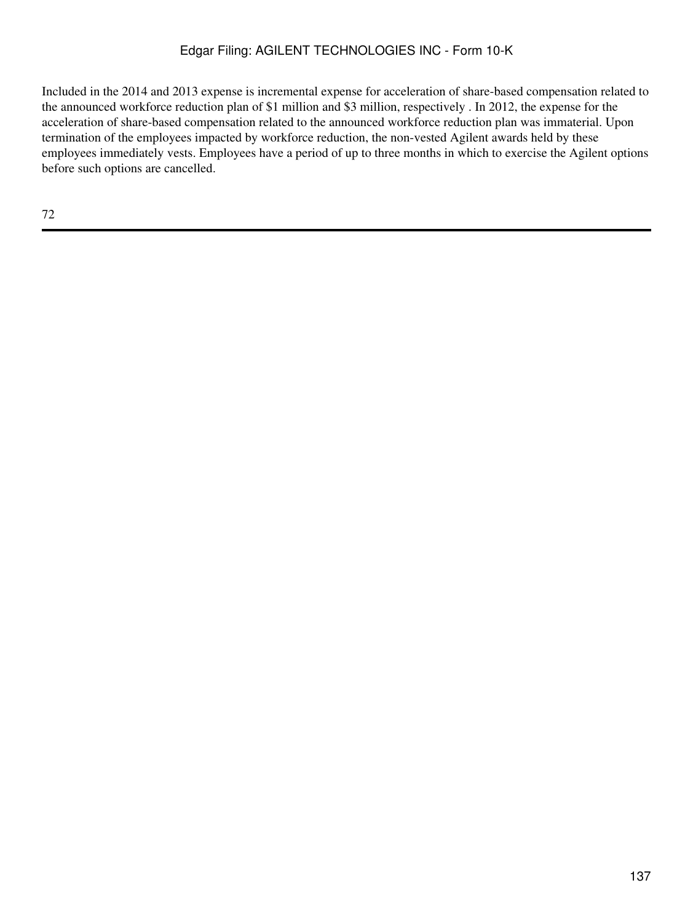Included in the 2014 and 2013 expense is incremental expense for acceleration of share-based compensation related to the announced workforce reduction plan of \$1 million and \$3 million, respectively . In 2012, the expense for the acceleration of share-based compensation related to the announced workforce reduction plan was immaterial. Upon termination of the employees impacted by workforce reduction, the non-vested Agilent awards held by these employees immediately vests. Employees have a period of up to three months in which to exercise the Agilent options before such options are cancelled.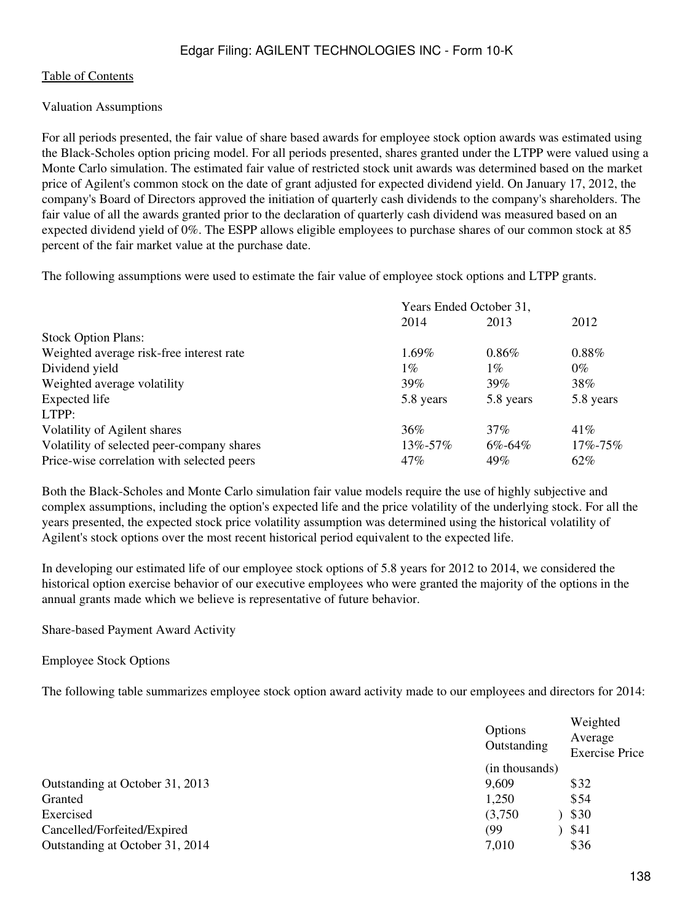### Valuation Assumptions

For all periods presented, the fair value of share based awards for employee stock option awards was estimated using the Black-Scholes option pricing model. For all periods presented, shares granted under the LTPP were valued using a Monte Carlo simulation. The estimated fair value of restricted stock unit awards was determined based on the market price of Agilent's common stock on the date of grant adjusted for expected dividend yield. On January 17, 2012, the company's Board of Directors approved the initiation of quarterly cash dividends to the company's shareholders. The fair value of all the awards granted prior to the declaration of quarterly cash dividend was measured based on an expected dividend yield of 0%. The ESPP allows eligible employees to purchase shares of our common stock at 85 percent of the fair market value at the purchase date.

The following assumptions were used to estimate the fair value of employee stock options and LTPP grants.

|                                            | Years Ended October 31, |              |               |  |
|--------------------------------------------|-------------------------|--------------|---------------|--|
|                                            | 2014                    | 2013         | 2012          |  |
| <b>Stock Option Plans:</b>                 |                         |              |               |  |
| Weighted average risk-free interest rate   | $1.69\%$                | $0.86\%$     | $0.88\%$      |  |
| Dividend yield                             | $1\%$                   | $1\%$        | $0\%$         |  |
| Weighted average volatility                | 39%                     | 39%          | 38%           |  |
| Expected life                              | 5.8 years               | 5.8 years    | 5.8 years     |  |
| LTPP:                                      |                         |              |               |  |
| Volatility of Agilent shares               | 36%                     | $37\%$       | 41%           |  |
| Volatility of selected peer-company shares | 13%-57%                 | $6\% - 64\%$ | $17\% - 75\%$ |  |
| Price-wise correlation with selected peers | 47%                     | 49%          | 62%           |  |

Both the Black-Scholes and Monte Carlo simulation fair value models require the use of highly subjective and complex assumptions, including the option's expected life and the price volatility of the underlying stock. For all the years presented, the expected stock price volatility assumption was determined using the historical volatility of Agilent's stock options over the most recent historical period equivalent to the expected life.

In developing our estimated life of our employee stock options of 5.8 years for 2012 to 2014, we considered the historical option exercise behavior of our executive employees who were granted the majority of the options in the annual grants made which we believe is representative of future behavior.

Share-based Payment Award Activity

### Employee Stock Options

The following table summarizes employee stock option award activity made to our employees and directors for 2014:

|                                 | Options<br>Outstanding | Weighted<br>Average<br><b>Exercise Price</b> |
|---------------------------------|------------------------|----------------------------------------------|
|                                 | (in thousands)         |                                              |
| Outstanding at October 31, 2013 | 9,609                  | \$32                                         |
| Granted                         | 1,250                  | \$54                                         |
| Exercised                       | (3,750)                | \$30                                         |
| Cancelled/Forfeited/Expired     | (99)                   | \$41                                         |
| Outstanding at October 31, 2014 | 7,010                  | \$36                                         |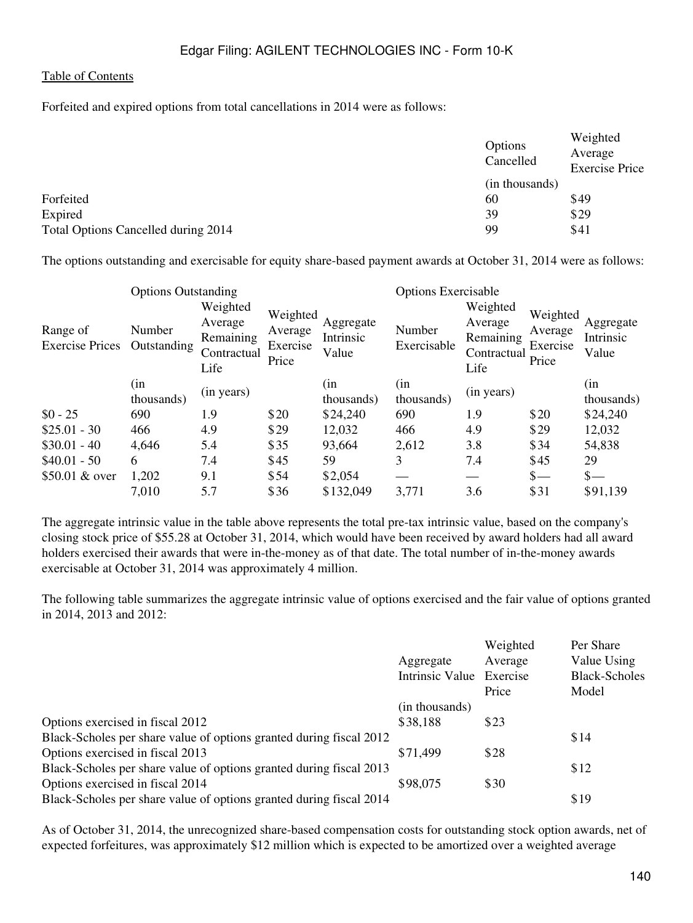Forfeited and expired options from total cancellations in 2014 were as follows:

|                                     | Options<br>Cancelled | Weighted<br>Average<br><b>Exercise Price</b> |
|-------------------------------------|----------------------|----------------------------------------------|
|                                     | (in thousands)       |                                              |
| Forfeited                           | 60                   | \$49                                         |
| Expired                             | 39                   | \$29                                         |
| Total Options Cancelled during 2014 | 99                   | \$41                                         |

The options outstanding and exercisable for equity share-based payment awards at October 31, 2014 were as follows:

|                                    | <b>Options Outstanding</b> |                                                         |                                          |                                 | <b>Options Exercisable</b> |                                                         |                                          |                                 |
|------------------------------------|----------------------------|---------------------------------------------------------|------------------------------------------|---------------------------------|----------------------------|---------------------------------------------------------|------------------------------------------|---------------------------------|
| Range of<br><b>Exercise Prices</b> | Number<br>Outstanding      | Weighted<br>Average<br>Remaining<br>Contractual<br>Life | Weighted<br>Average<br>Exercise<br>Price | Aggregate<br>Intrinsic<br>Value | Number<br>Exercisable      | Weighted<br>Average<br>Remaining<br>Contractual<br>Life | Weighted<br>Average<br>Exercise<br>Price | Aggregate<br>Intrinsic<br>Value |
|                                    | (in<br>thousands)          | (in years)                                              |                                          | (1n<br>thousands)               | (in<br>thousands)          | (in years)                                              |                                          | (in<br>thousands)               |
| $$0 - 25$                          | 690                        | 1.9                                                     | \$20                                     | \$24,240                        | 690                        | 1.9                                                     | \$20                                     | \$24,240                        |
| $$25.01 - 30$                      | 466                        | 4.9                                                     | \$29                                     | 12,032                          | 466                        | 4.9                                                     | \$29                                     | 12,032                          |
| $$30.01 - 40$                      | 4,646                      | 5.4                                                     | \$35                                     | 93,664                          | 2,612                      | 3.8                                                     | \$34                                     | 54,838                          |
| $$40.01 - 50$                      | 6                          | 7.4                                                     | \$45                                     | 59                              | 3                          | 7.4                                                     | \$45                                     | 29                              |
| \$50.01 $&$ over                   | 1,202                      | 9.1                                                     | \$54                                     | \$2,054                         |                            |                                                         | $\frac{\S}{\S}$                          | $\frac{\S}{\S}$                 |
|                                    | 7,010                      | 5.7                                                     | \$36                                     | \$132,049                       | 3,771                      | 3.6                                                     | \$31                                     | \$91,139                        |

The aggregate intrinsic value in the table above represents the total pre-tax intrinsic value, based on the company's closing stock price of \$55.28 at October 31, 2014, which would have been received by award holders had all award holders exercised their awards that were in-the-money as of that date. The total number of in-the-money awards exercisable at October 31, 2014 was approximately 4 million.

The following table summarizes the aggregate intrinsic value of options exercised and the fair value of options granted in 2014, 2013 and 2012:

|                                                                     | Aggregate<br>Intrinsic Value | Weighted<br>Average<br>Exercise<br>Price | Per Share<br>Value Using<br><b>Black-Scholes</b><br>Model |
|---------------------------------------------------------------------|------------------------------|------------------------------------------|-----------------------------------------------------------|
|                                                                     | (in thousands)               |                                          |                                                           |
| Options exercised in fiscal 2012                                    | \$38,188                     | \$23                                     |                                                           |
| Black-Scholes per share value of options granted during fiscal 2012 |                              |                                          | \$14                                                      |
| Options exercised in fiscal 2013                                    | \$71,499                     | \$28                                     |                                                           |
| Black-Scholes per share value of options granted during fiscal 2013 |                              |                                          | \$12                                                      |
| Options exercised in fiscal 2014                                    | \$98,075                     | \$30                                     |                                                           |
| Black-Scholes per share value of options granted during fiscal 2014 |                              |                                          | \$19                                                      |

As of October 31, 2014, the unrecognized share-based compensation costs for outstanding stock option awards, net of expected forfeitures, was approximately \$12 million which is expected to be amortized over a weighted average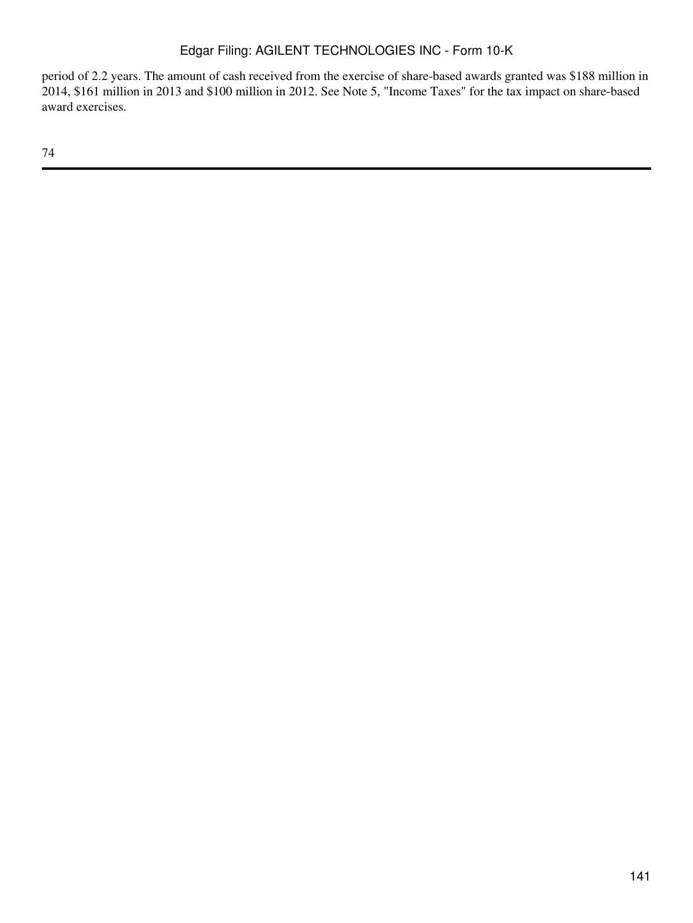period of 2.2 years. The amount of cash received from the exercise of share-based awards granted was \$188 million in 2014, \$161 million in 2013 and \$100 million in 2012. See Note 5, "Income Taxes" for the tax impact on share-based award exercises.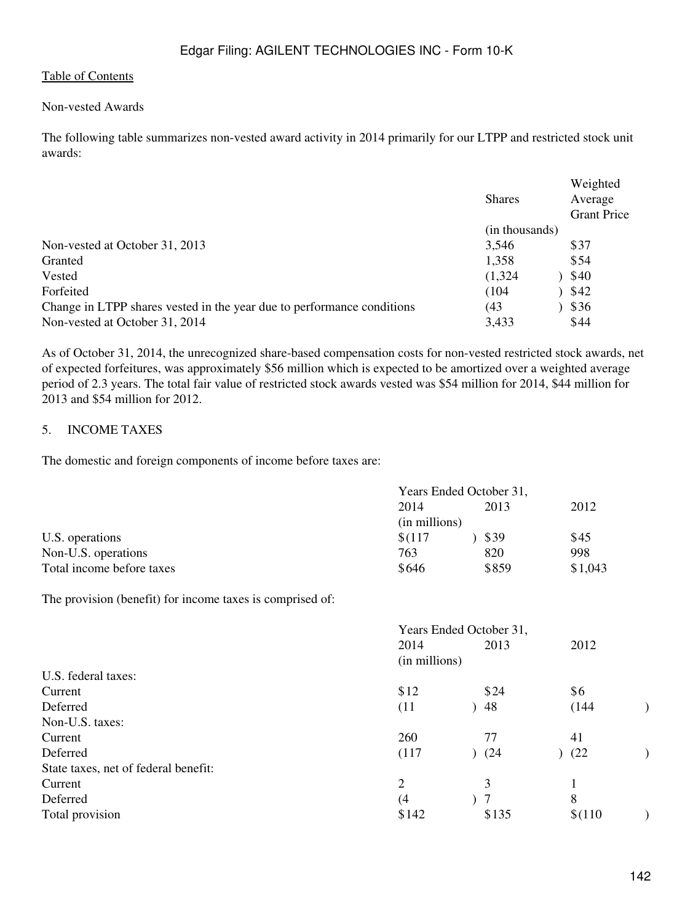#### Non-vested Awards

The following table summarizes non-vested award activity in 2014 primarily for our LTPP and restricted stock unit awards:

|                                                                        |                | Weighted<br>Average |  |
|------------------------------------------------------------------------|----------------|---------------------|--|
|                                                                        | <b>Shares</b>  |                     |  |
|                                                                        |                | <b>Grant Price</b>  |  |
|                                                                        | (in thousands) |                     |  |
| Non-vested at October 31, 2013                                         | 3.546          | \$37                |  |
| Granted                                                                | 1,358          | \$54                |  |
| Vested                                                                 | (1,324)        | 340                 |  |
| Forfeited                                                              | (104           | 342                 |  |
| Change in LTPP shares vested in the year due to performance conditions | (43)           | 36                  |  |
| Non-vested at October 31, 2014                                         | 3,433          | \$44                |  |

As of October 31, 2014, the unrecognized share-based compensation costs for non-vested restricted stock awards, net of expected forfeitures, was approximately \$56 million which is expected to be amortized over a weighted average period of 2.3 years. The total fair value of restricted stock awards vested was \$54 million for 2014, \$44 million for 2013 and \$54 million for 2012.

### 5. INCOME TAXES

The domestic and foreign components of income before taxes are:

|                           | Years Ended October 31, |       |         |  |  |
|---------------------------|-------------------------|-------|---------|--|--|
|                           | 2014                    | 2013  | 2012    |  |  |
|                           | (in millions)           |       |         |  |  |
| U.S. operations           | \$(117                  | \$39  | \$45    |  |  |
| Non-U.S. operations       | 763                     | 820   | 998     |  |  |
| Total income before taxes | \$646                   | \$859 | \$1,043 |  |  |

The provision (benefit) for income taxes is comprised of:

| Years Ended October 31, |                    |         |      |
|-------------------------|--------------------|---------|------|
| 2014                    | 2013               | 2012    |      |
| (in millions)           |                    |         |      |
|                         |                    |         |      |
| \$12                    | \$24               | \$6     |      |
| (11)                    | 48<br>$\mathbf{r}$ | (144)   |      |
|                         |                    |         |      |
| 260                     | 77                 | 41      |      |
| (117)                   | (24)               |         |      |
|                         |                    |         |      |
| 2                       | 3                  |         |      |
| (4)                     |                    | 8       |      |
| \$142                   | \$135              | \$(110) |      |
|                         |                    |         | (22) |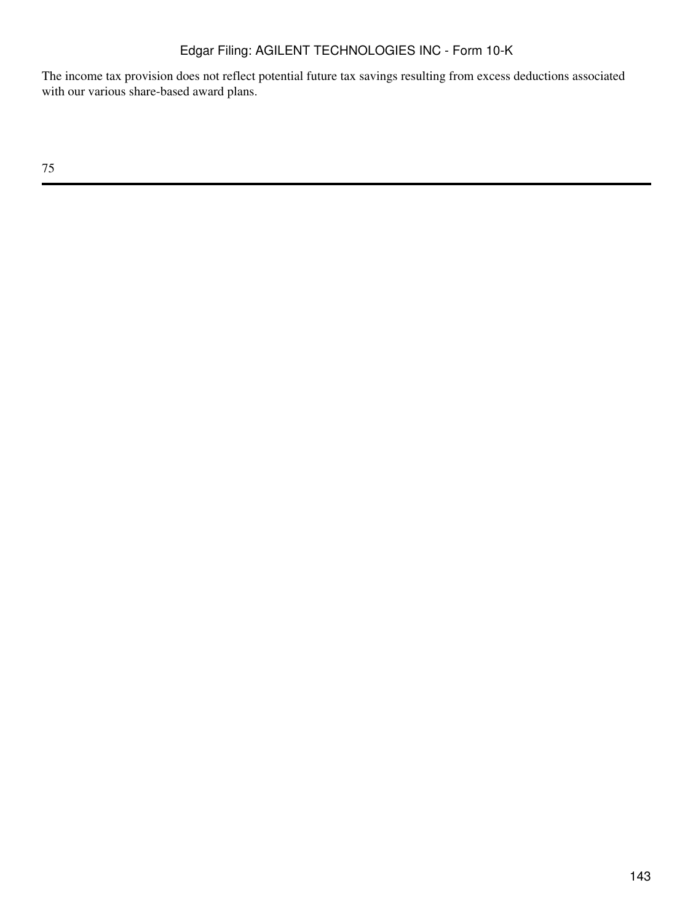The income tax provision does not reflect potential future tax savings resulting from excess deductions associated with our various share-based award plans.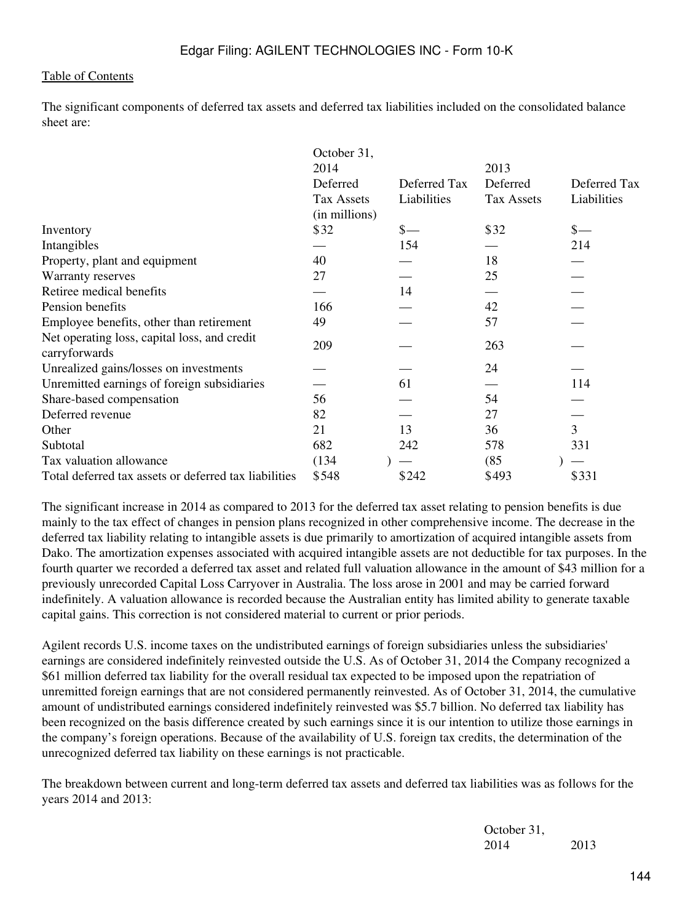The significant components of deferred tax assets and deferred tax liabilities included on the consolidated balance sheet are:

|                                                               | October 31,       |              |                   |                 |
|---------------------------------------------------------------|-------------------|--------------|-------------------|-----------------|
|                                                               | 2014              |              | 2013              |                 |
|                                                               | Deferred          | Deferred Tax | Deferred          | Deferred Tax    |
|                                                               | <b>Tax Assets</b> | Liabilities  | <b>Tax Assets</b> | Liabilities     |
|                                                               | (in millions)     |              |                   |                 |
| Inventory                                                     | \$32              | $S-$         | \$32              | $\frac{\ }{s-}$ |
| Intangibles                                                   |                   | 154          |                   | 214             |
| Property, plant and equipment                                 | 40                |              | 18                |                 |
| Warranty reserves                                             | 27                |              | 25                |                 |
| Retiree medical benefits                                      |                   | 14           |                   |                 |
| Pension benefits                                              | 166               |              | 42                |                 |
| Employee benefits, other than retirement                      | 49                |              | 57                |                 |
| Net operating loss, capital loss, and credit<br>carryforwards | 209               |              | 263               |                 |
| Unrealized gains/losses on investments                        |                   |              | 24                |                 |
| Unremitted earnings of foreign subsidiaries                   |                   | 61           |                   | 114             |
| Share-based compensation                                      | 56                |              | 54                |                 |
| Deferred revenue                                              | 82                |              | 27                |                 |
| Other                                                         | 21                | 13           | 36                | $\overline{3}$  |
| Subtotal                                                      | 682               | 242          | 578               | 331             |
| Tax valuation allowance                                       | (134)             |              | (85)              |                 |
| Total deferred tax assets or deferred tax liabilities         | \$548             | \$242        | \$493             | \$331           |

The significant increase in 2014 as compared to 2013 for the deferred tax asset relating to pension benefits is due mainly to the tax effect of changes in pension plans recognized in other comprehensive income. The decrease in the deferred tax liability relating to intangible assets is due primarily to amortization of acquired intangible assets from Dako. The amortization expenses associated with acquired intangible assets are not deductible for tax purposes. In the fourth quarter we recorded a deferred tax asset and related full valuation allowance in the amount of \$43 million for a previously unrecorded Capital Loss Carryover in Australia. The loss arose in 2001 and may be carried forward indefinitely. A valuation allowance is recorded because the Australian entity has limited ability to generate taxable capital gains. This correction is not considered material to current or prior periods.

Agilent records U.S. income taxes on the undistributed earnings of foreign subsidiaries unless the subsidiaries' earnings are considered indefinitely reinvested outside the U.S. As of October 31, 2014 the Company recognized a \$61 million deferred tax liability for the overall residual tax expected to be imposed upon the repatriation of unremitted foreign earnings that are not considered permanently reinvested. As of October 31, 2014, the cumulative amount of undistributed earnings considered indefinitely reinvested was \$5.7 billion. No deferred tax liability has been recognized on the basis difference created by such earnings since it is our intention to utilize those earnings in the company's foreign operations. Because of the availability of U.S. foreign tax credits, the determination of the unrecognized deferred tax liability on these earnings is not practicable.

The breakdown between current and long-term deferred tax assets and deferred tax liabilities was as follows for the years 2014 and 2013:

> October 31, 2014 2013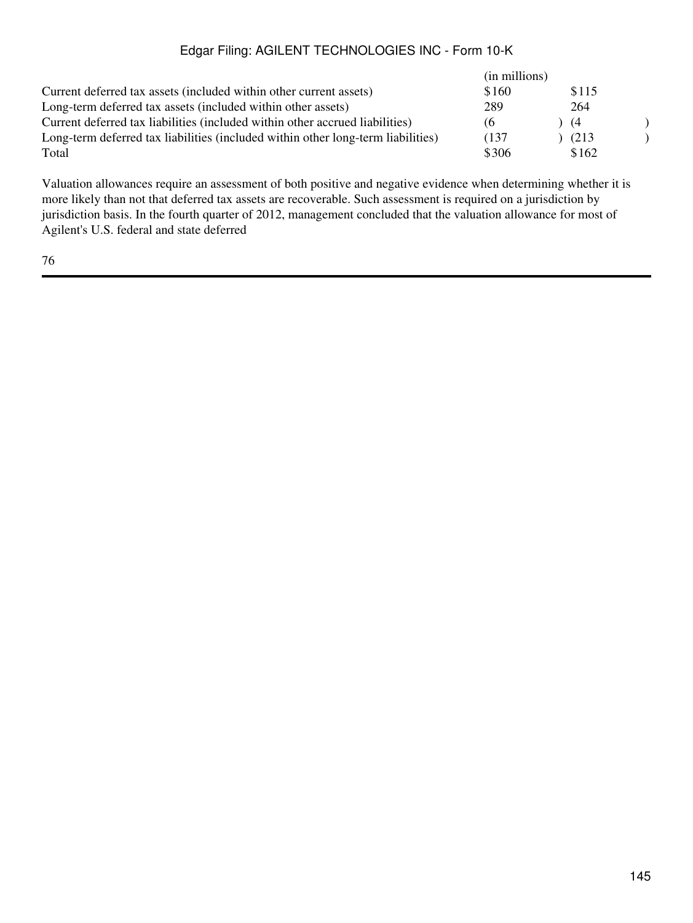|                                                                                  | (in millions) |       |  |
|----------------------------------------------------------------------------------|---------------|-------|--|
| Current deferred tax assets (included within other current assets)               | \$160         | \$115 |  |
| Long-term deferred tax assets (included within other assets)                     | 289           | 264   |  |
| Current deferred tax liabilities (included within other accrued liabilities)     | (6)           | (4)   |  |
| Long-term deferred tax liabilities (included within other long-term liabilities) | (137)         | (213) |  |
| Total                                                                            | \$306         | \$162 |  |

Valuation allowances require an assessment of both positive and negative evidence when determining whether it is more likely than not that deferred tax assets are recoverable. Such assessment is required on a jurisdiction by jurisdiction basis. In the fourth quarter of 2012, management concluded that the valuation allowance for most of Agilent's U.S. federal and state deferred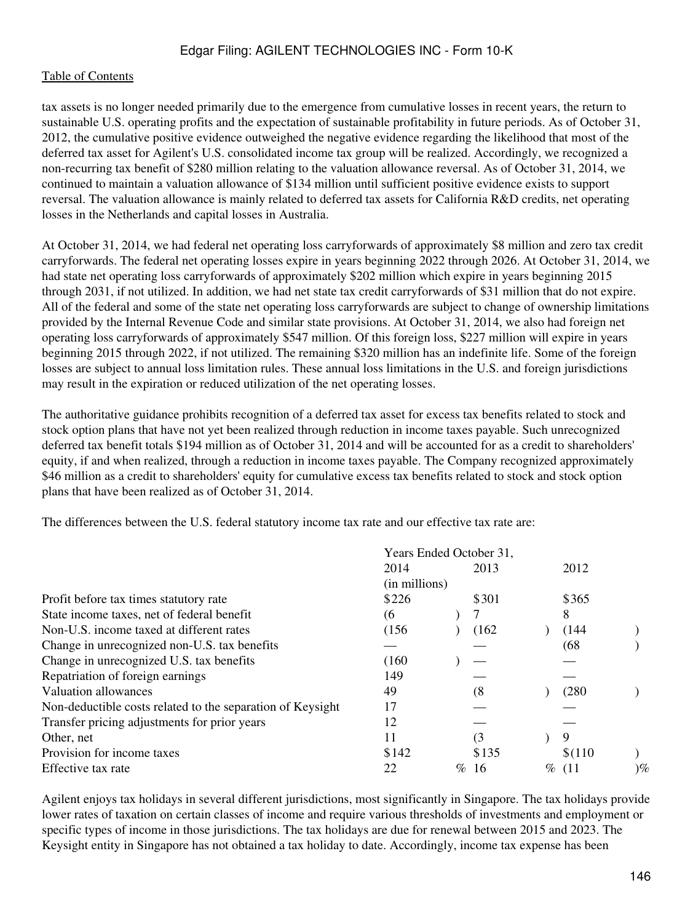#### [Table of Contents](#page-2-0)

tax assets is no longer needed primarily due to the emergence from cumulative losses in recent years, the return to sustainable U.S. operating profits and the expectation of sustainable profitability in future periods. As of October 31, 2012, the cumulative positive evidence outweighed the negative evidence regarding the likelihood that most of the deferred tax asset for Agilent's U.S. consolidated income tax group will be realized. Accordingly, we recognized a non-recurring tax benefit of \$280 million relating to the valuation allowance reversal. As of October 31, 2014, we continued to maintain a valuation allowance of \$134 million until sufficient positive evidence exists to support reversal. The valuation allowance is mainly related to deferred tax assets for California R&D credits, net operating losses in the Netherlands and capital losses in Australia.

At October 31, 2014, we had federal net operating loss carryforwards of approximately \$8 million and zero tax credit carryforwards. The federal net operating losses expire in years beginning 2022 through 2026. At October 31, 2014, we had state net operating loss carryforwards of approximately \$202 million which expire in years beginning 2015 through 2031, if not utilized. In addition, we had net state tax credit carryforwards of \$31 million that do not expire. All of the federal and some of the state net operating loss carryforwards are subject to change of ownership limitations provided by the Internal Revenue Code and similar state provisions. At October 31, 2014, we also had foreign net operating loss carryforwards of approximately \$547 million. Of this foreign loss, \$227 million will expire in years beginning 2015 through 2022, if not utilized. The remaining \$320 million has an indefinite life. Some of the foreign losses are subject to annual loss limitation rules. These annual loss limitations in the U.S. and foreign jurisdictions may result in the expiration or reduced utilization of the net operating losses.

The authoritative guidance prohibits recognition of a deferred tax asset for excess tax benefits related to stock and stock option plans that have not yet been realized through reduction in income taxes payable. Such unrecognized deferred tax benefit totals \$194 million as of October 31, 2014 and will be accounted for as a credit to shareholders' equity, if and when realized, through a reduction in income taxes payable. The Company recognized approximately \$46 million as a credit to shareholders' equity for cumulative excess tax benefits related to stock and stock option plans that have been realized as of October 31, 2014.

The differences between the U.S. federal statutory income tax rate and our effective tax rate are:

|                                                            | Years Ended October 31, |      |       |      |         |       |
|------------------------------------------------------------|-------------------------|------|-------|------|---------|-------|
|                                                            | 2014                    |      | 2013  |      | 2012    |       |
|                                                            | (in millions)           |      |       |      |         |       |
| Profit before tax times statutory rate                     | \$226                   |      | \$301 |      | \$365   |       |
| State income taxes, net of federal benefit                 | (6                      |      |       |      | 8       |       |
| Non-U.S. income taxed at different rates                   | (156)                   |      | (162) |      | (144)   |       |
| Change in unrecognized non-U.S. tax benefits               |                         |      |       |      | (68)    |       |
| Change in unrecognized U.S. tax benefits                   | (160)                   |      |       |      |         |       |
| Repatriation of foreign earnings                           | 149                     |      |       |      |         |       |
| Valuation allowances                                       | 49                      |      | (8)   |      | (280)   |       |
| Non-deductible costs related to the separation of Keysight | 17                      |      |       |      |         |       |
| Transfer pricing adjustments for prior years               | 12                      |      |       |      |         |       |
| Other, net                                                 | 11                      |      | (3)   |      | 9       |       |
| Provision for income taxes                                 | \$142                   |      | \$135 |      | \$(110) |       |
| Effective tax rate                                         | 22                      | $\%$ | -16   | $\%$ | (11)    | $)\%$ |

Agilent enjoys tax holidays in several different jurisdictions, most significantly in Singapore. The tax holidays provide lower rates of taxation on certain classes of income and require various thresholds of investments and employment or specific types of income in those jurisdictions. The tax holidays are due for renewal between 2015 and 2023. The Keysight entity in Singapore has not obtained a tax holiday to date. Accordingly, income tax expense has been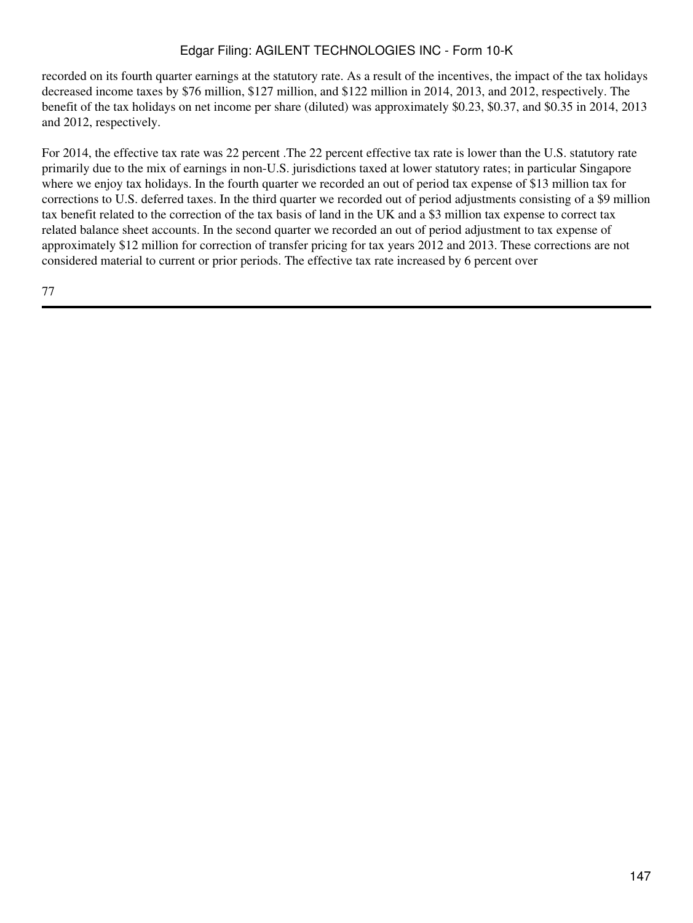recorded on its fourth quarter earnings at the statutory rate. As a result of the incentives, the impact of the tax holidays decreased income taxes by \$76 million, \$127 million, and \$122 million in 2014, 2013, and 2012, respectively. The benefit of the tax holidays on net income per share (diluted) was approximately \$0.23, \$0.37, and \$0.35 in 2014, 2013 and 2012, respectively.

For 2014, the effective tax rate was 22 percent .The 22 percent effective tax rate is lower than the U.S. statutory rate primarily due to the mix of earnings in non-U.S. jurisdictions taxed at lower statutory rates; in particular Singapore where we enjoy tax holidays. In the fourth quarter we recorded an out of period tax expense of \$13 million tax for corrections to U.S. deferred taxes. In the third quarter we recorded out of period adjustments consisting of a \$9 million tax benefit related to the correction of the tax basis of land in the UK and a \$3 million tax expense to correct tax related balance sheet accounts. In the second quarter we recorded an out of period adjustment to tax expense of approximately \$12 million for correction of transfer pricing for tax years 2012 and 2013. These corrections are not considered material to current or prior periods. The effective tax rate increased by 6 percent over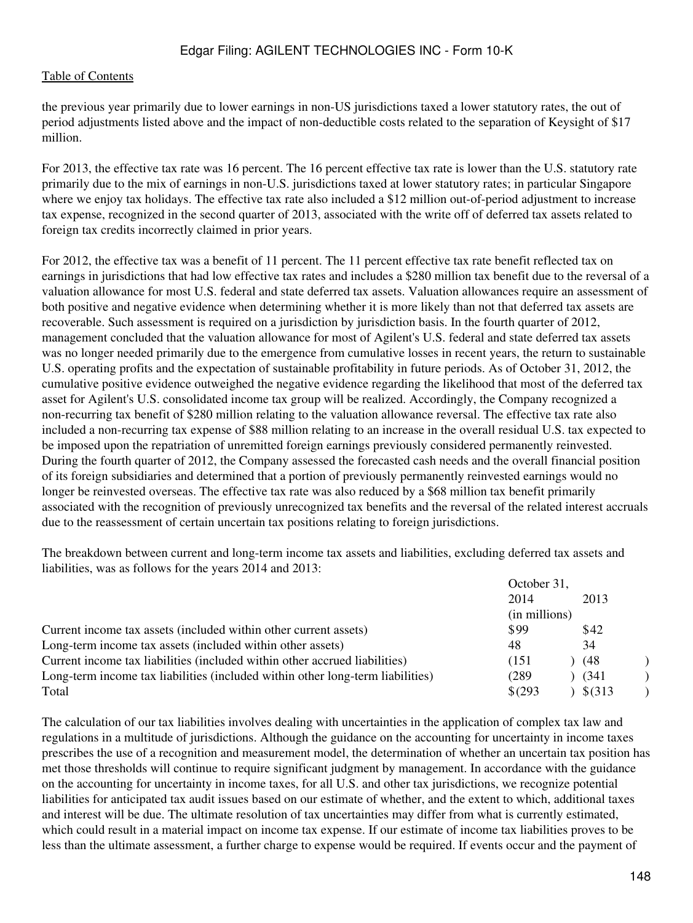the previous year primarily due to lower earnings in non-US jurisdictions taxed a lower statutory rates, the out of period adjustments listed above and the impact of non-deductible costs related to the separation of Keysight of \$17 million.

For 2013, the effective tax rate was 16 percent. The 16 percent effective tax rate is lower than the U.S. statutory rate primarily due to the mix of earnings in non-U.S. jurisdictions taxed at lower statutory rates; in particular Singapore where we enjoy tax holidays. The effective tax rate also included a \$12 million out-of-period adjustment to increase tax expense, recognized in the second quarter of 2013, associated with the write off of deferred tax assets related to foreign tax credits incorrectly claimed in prior years.

For 2012, the effective tax was a benefit of 11 percent. The 11 percent effective tax rate benefit reflected tax on earnings in jurisdictions that had low effective tax rates and includes a \$280 million tax benefit due to the reversal of a valuation allowance for most U.S. federal and state deferred tax assets. Valuation allowances require an assessment of both positive and negative evidence when determining whether it is more likely than not that deferred tax assets are recoverable. Such assessment is required on a jurisdiction by jurisdiction basis. In the fourth quarter of 2012, management concluded that the valuation allowance for most of Agilent's U.S. federal and state deferred tax assets was no longer needed primarily due to the emergence from cumulative losses in recent years, the return to sustainable U.S. operating profits and the expectation of sustainable profitability in future periods. As of October 31, 2012, the cumulative positive evidence outweighed the negative evidence regarding the likelihood that most of the deferred tax asset for Agilent's U.S. consolidated income tax group will be realized. Accordingly, the Company recognized a non-recurring tax benefit of \$280 million relating to the valuation allowance reversal. The effective tax rate also included a non-recurring tax expense of \$88 million relating to an increase in the overall residual U.S. tax expected to be imposed upon the repatriation of unremitted foreign earnings previously considered permanently reinvested. During the fourth quarter of 2012, the Company assessed the forecasted cash needs and the overall financial position of its foreign subsidiaries and determined that a portion of previously permanently reinvested earnings would no longer be reinvested overseas. The effective tax rate was also reduced by a \$68 million tax benefit primarily associated with the recognition of previously unrecognized tax benefits and the reversal of the related interest accruals due to the reassessment of certain uncertain tax positions relating to foreign jurisdictions.

The breakdown between current and long-term income tax assets and liabilities, excluding deferred tax assets and liabilities, was as follows for the years 2014 and 2013:

|                                                                                | October 31,   |             |  |
|--------------------------------------------------------------------------------|---------------|-------------|--|
|                                                                                | 2014          | 2013        |  |
|                                                                                | (in millions) |             |  |
| Current income tax assets (included within other current assets)               | \$99          | \$42        |  |
| Long-term income tax assets (included within other assets)                     | 48            | 34          |  |
| Current income tax liabilities (included within other accrued liabilities)     | (151)         | (48         |  |
| Long-term income tax liabilities (included within other long-term liabilities) | (289)         | (341        |  |
| Total                                                                          | $$^{(293)}$   | $$^{(313)}$ |  |

The calculation of our tax liabilities involves dealing with uncertainties in the application of complex tax law and regulations in a multitude of jurisdictions. Although the guidance on the accounting for uncertainty in income taxes prescribes the use of a recognition and measurement model, the determination of whether an uncertain tax position has met those thresholds will continue to require significant judgment by management. In accordance with the guidance on the accounting for uncertainty in income taxes, for all U.S. and other tax jurisdictions, we recognize potential liabilities for anticipated tax audit issues based on our estimate of whether, and the extent to which, additional taxes and interest will be due. The ultimate resolution of tax uncertainties may differ from what is currently estimated, which could result in a material impact on income tax expense. If our estimate of income tax liabilities proves to be less than the ultimate assessment, a further charge to expense would be required. If events occur and the payment of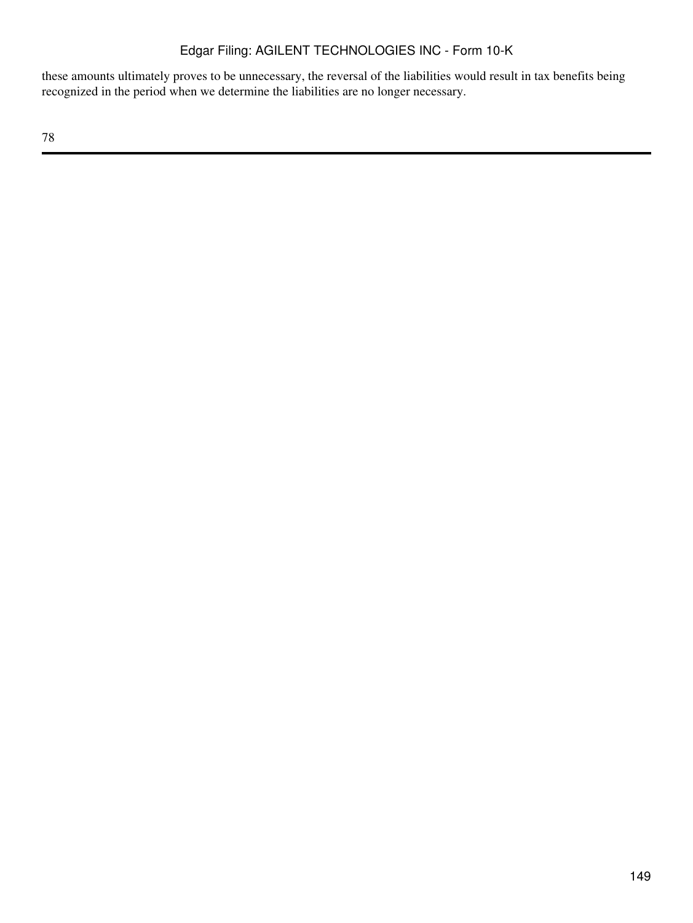these amounts ultimately proves to be unnecessary, the reversal of the liabilities would result in tax benefits being recognized in the period when we determine the liabilities are no longer necessary.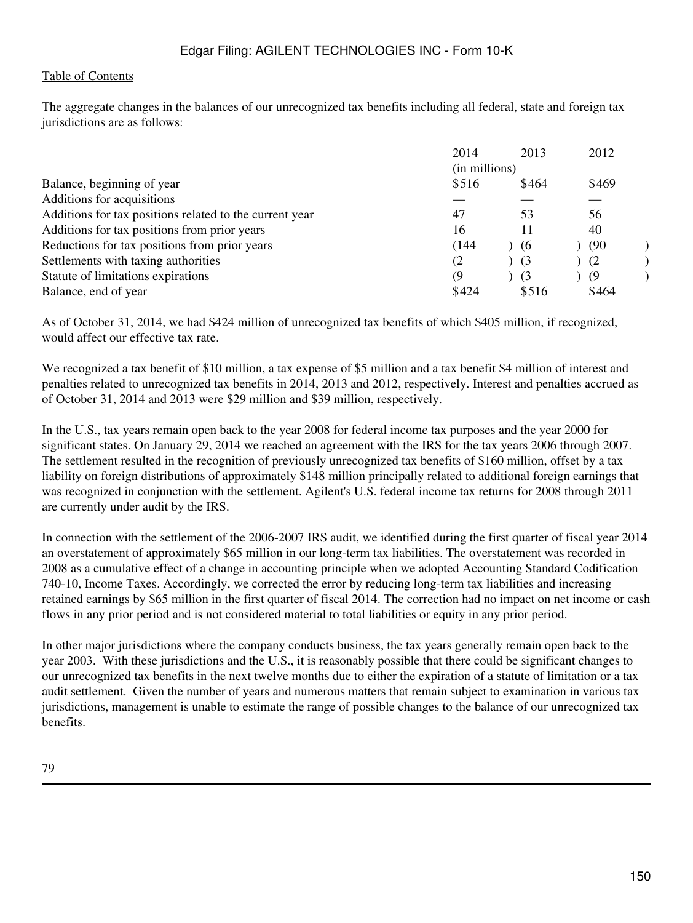The aggregate changes in the balances of our unrecognized tax benefits including all federal, state and foreign tax jurisdictions are as follows:

|                                                         | 2014          | 2013  | 2012  |  |
|---------------------------------------------------------|---------------|-------|-------|--|
|                                                         | (in millions) |       |       |  |
| Balance, beginning of year                              | \$516         | \$464 | \$469 |  |
| Additions for acquisitions                              |               |       |       |  |
| Additions for tax positions related to the current year | 47            | 53    | 56    |  |
| Additions for tax positions from prior years            | 16            | 11    | 40    |  |
| Reductions for tax positions from prior years           | (144          | - 6   | (90)  |  |
| Settlements with taxing authorities                     | (2            | (3    | (2)   |  |
| Statute of limitations expirations                      | (9            | (3)   | (9)   |  |
| Balance, end of year                                    | \$424         | \$516 | \$464 |  |

As of October 31, 2014, we had \$424 million of unrecognized tax benefits of which \$405 million, if recognized, would affect our effective tax rate.

We recognized a tax benefit of \$10 million, a tax expense of \$5 million and a tax benefit \$4 million of interest and penalties related to unrecognized tax benefits in 2014, 2013 and 2012, respectively. Interest and penalties accrued as of October 31, 2014 and 2013 were \$29 million and \$39 million, respectively.

In the U.S., tax years remain open back to the year 2008 for federal income tax purposes and the year 2000 for significant states. On January 29, 2014 we reached an agreement with the IRS for the tax years 2006 through 2007. The settlement resulted in the recognition of previously unrecognized tax benefits of \$160 million, offset by a tax liability on foreign distributions of approximately \$148 million principally related to additional foreign earnings that was recognized in conjunction with the settlement. Agilent's U.S. federal income tax returns for 2008 through 2011 are currently under audit by the IRS.

In connection with the settlement of the 2006-2007 IRS audit, we identified during the first quarter of fiscal year 2014 an overstatement of approximately \$65 million in our long-term tax liabilities. The overstatement was recorded in 2008 as a cumulative effect of a change in accounting principle when we adopted Accounting Standard Codification 740-10, Income Taxes. Accordingly, we corrected the error by reducing long-term tax liabilities and increasing retained earnings by \$65 million in the first quarter of fiscal 2014. The correction had no impact on net income or cash flows in any prior period and is not considered material to total liabilities or equity in any prior period.

In other major jurisdictions where the company conducts business, the tax years generally remain open back to the year 2003. With these jurisdictions and the U.S., it is reasonably possible that there could be significant changes to our unrecognized tax benefits in the next twelve months due to either the expiration of a statute of limitation or a tax audit settlement. Given the number of years and numerous matters that remain subject to examination in various tax jurisdictions, management is unable to estimate the range of possible changes to the balance of our unrecognized tax benefits.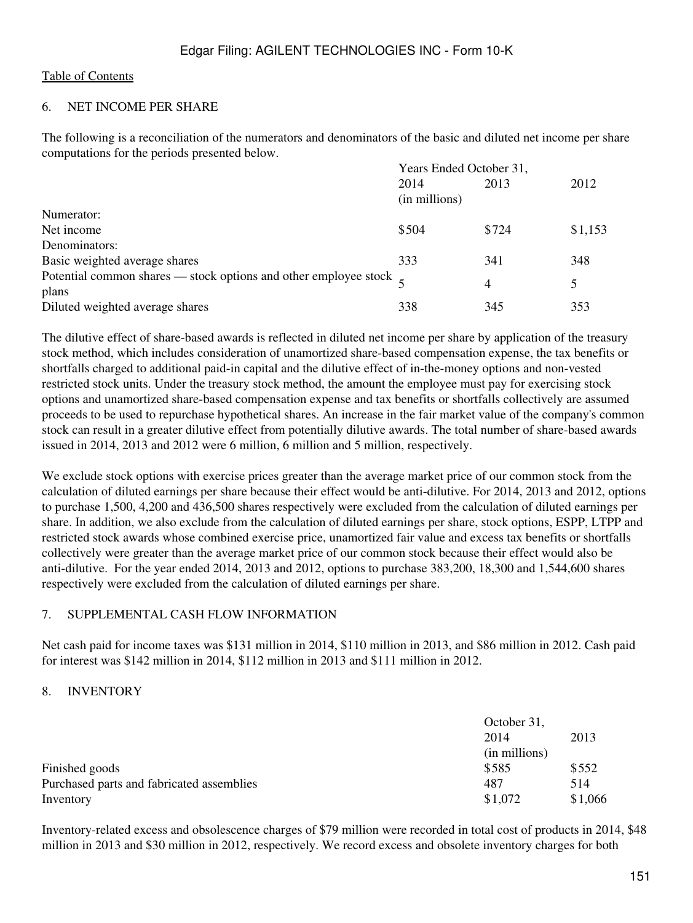#### 6. NET INCOME PER SHARE

The following is a reconciliation of the numerators and denominators of the basic and diluted net income per share computations for the periods presented below.

|                                                                          | Years Ended October 31, |       |         |  |  |
|--------------------------------------------------------------------------|-------------------------|-------|---------|--|--|
|                                                                          | 2014                    | 2013  | 2012    |  |  |
|                                                                          | (in millions)           |       |         |  |  |
| Numerator:                                                               |                         |       |         |  |  |
| Net income                                                               | \$504                   | \$724 | \$1,153 |  |  |
| Denominators:                                                            |                         |       |         |  |  |
| Basic weighted average shares                                            | 333                     | 341   | 348     |  |  |
| Potential common shares — stock options and other employee stock $\zeta$ |                         | 4     | 5       |  |  |
| plans                                                                    |                         |       |         |  |  |
| Diluted weighted average shares                                          | 338                     | 345   | 353     |  |  |

The dilutive effect of share-based awards is reflected in diluted net income per share by application of the treasury stock method, which includes consideration of unamortized share-based compensation expense, the tax benefits or shortfalls charged to additional paid-in capital and the dilutive effect of in-the-money options and non-vested restricted stock units. Under the treasury stock method, the amount the employee must pay for exercising stock options and unamortized share-based compensation expense and tax benefits or shortfalls collectively are assumed proceeds to be used to repurchase hypothetical shares. An increase in the fair market value of the company's common stock can result in a greater dilutive effect from potentially dilutive awards. The total number of share-based awards issued in 2014, 2013 and 2012 were 6 million, 6 million and 5 million, respectively.

We exclude stock options with exercise prices greater than the average market price of our common stock from the calculation of diluted earnings per share because their effect would be anti-dilutive. For 2014, 2013 and 2012, options to purchase 1,500, 4,200 and 436,500 shares respectively were excluded from the calculation of diluted earnings per share. In addition, we also exclude from the calculation of diluted earnings per share, stock options, ESPP, LTPP and restricted stock awards whose combined exercise price, unamortized fair value and excess tax benefits or shortfalls collectively were greater than the average market price of our common stock because their effect would also be anti-dilutive. For the year ended 2014, 2013 and 2012, options to purchase 383,200, 18,300 and 1,544,600 shares respectively were excluded from the calculation of diluted earnings per share.

### 7. SUPPLEMENTAL CASH FLOW INFORMATION

Net cash paid for income taxes was \$131 million in 2014, \$110 million in 2013, and \$86 million in 2012. Cash paid for interest was \$142 million in 2014, \$112 million in 2013 and \$111 million in 2012.

#### 8. INVENTORY

|                                           | October 31,   |         |  |
|-------------------------------------------|---------------|---------|--|
|                                           | 2014          | 2013    |  |
|                                           | (in millions) |         |  |
| Finished goods                            | \$585         | \$552   |  |
| Purchased parts and fabricated assemblies | 487           | 514     |  |
| Inventory                                 | \$1,072       | \$1,066 |  |
|                                           |               |         |  |

Inventory-related excess and obsolescence charges of \$79 million were recorded in total cost of products in 2014, \$48 million in 2013 and \$30 million in 2012, respectively. We record excess and obsolete inventory charges for both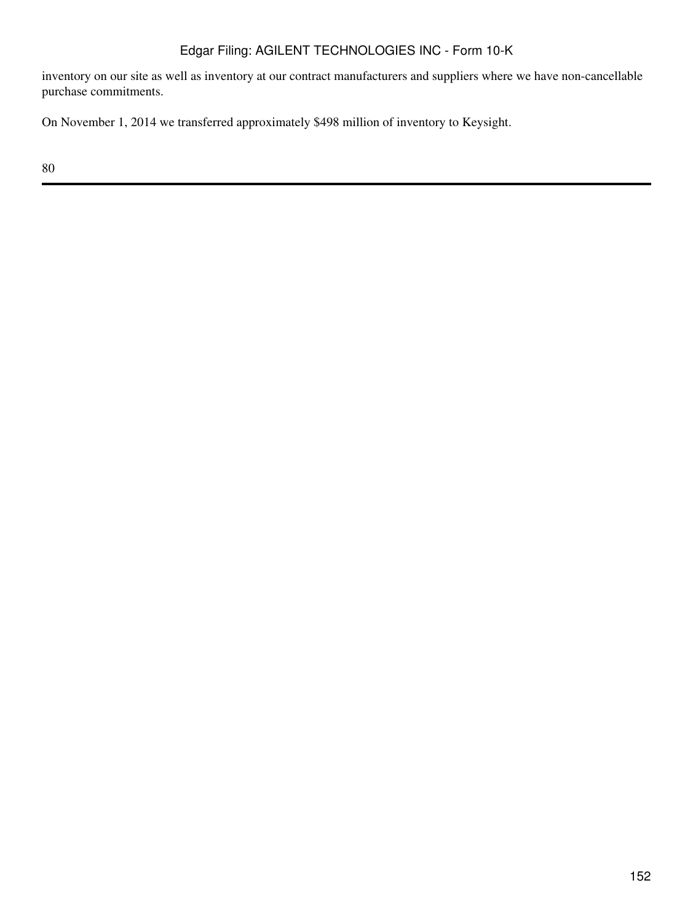inventory on our site as well as inventory at our contract manufacturers and suppliers where we have non-cancellable purchase commitments.

On November 1, 2014 we transferred approximately \$498 million of inventory to Keysight.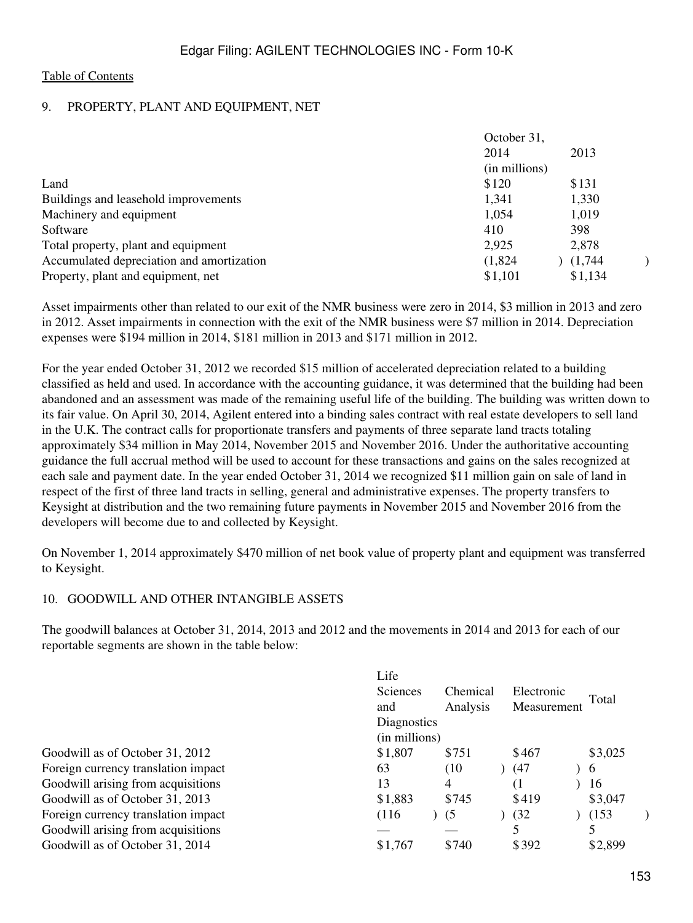#### 9. PROPERTY, PLANT AND EQUIPMENT, NET

| October 31,   |         |         |  |
|---------------|---------|---------|--|
| 2014          | 2013    |         |  |
| (in millions) |         |         |  |
| \$120         | \$131   |         |  |
| 1,341         | 1,330   |         |  |
| 1,054         | 1,019   |         |  |
| 410           | 398     |         |  |
| 2,925         | 2,878   |         |  |
| (1,824)       |         |         |  |
| \$1,101       | \$1,134 |         |  |
|               |         | (1,744) |  |

Asset impairments other than related to our exit of the NMR business were zero in 2014, \$3 million in 2013 and zero in 2012. Asset impairments in connection with the exit of the NMR business were \$7 million in 2014. Depreciation expenses were \$194 million in 2014, \$181 million in 2013 and \$171 million in 2012.

For the year ended October 31, 2012 we recorded \$15 million of accelerated depreciation related to a building classified as held and used. In accordance with the accounting guidance, it was determined that the building had been abandoned and an assessment was made of the remaining useful life of the building. The building was written down to its fair value. On April 30, 2014, Agilent entered into a binding sales contract with real estate developers to sell land in the U.K. The contract calls for proportionate transfers and payments of three separate land tracts totaling approximately \$34 million in May 2014, November 2015 and November 2016. Under the authoritative accounting guidance the full accrual method will be used to account for these transactions and gains on the sales recognized at each sale and payment date. In the year ended October 31, 2014 we recognized \$11 million gain on sale of land in respect of the first of three land tracts in selling, general and administrative expenses. The property transfers to Keysight at distribution and the two remaining future payments in November 2015 and November 2016 from the developers will become due to and collected by Keysight.

On November 1, 2014 approximately \$470 million of net book value of property plant and equipment was transferred to Keysight.

# 10. GOODWILL AND OTHER INTANGIBLE ASSETS

The goodwill balances at October 31, 2014, 2013 and 2012 and the movements in 2014 and 2013 for each of our reportable segments are shown in the table below:

|                                     | Life               |          |             |         |
|-------------------------------------|--------------------|----------|-------------|---------|
|                                     | Sciences           | Chemical | Electronic  |         |
|                                     | and                | Analysis | Measurement | Total   |
|                                     | <b>Diagnostics</b> |          |             |         |
|                                     | (in millions)      |          |             |         |
| Goodwill as of October 31, 2012     | \$1,807            | \$751    | \$467       | \$3,025 |
| Foreign currency translation impact | 63                 | (10)     | (47)        | 6       |
| Goodwill arising from acquisitions  | 13                 | 4        | (1)         | 16      |
| Goodwill as of October 31, 2013     | \$1,883            | \$745    | \$419       | \$3,047 |
| Foreign currency translation impact | (116)              | (5)      | (32)        | (153)   |
| Goodwill arising from acquisitions  |                    |          |             |         |
| Goodwill as of October 31, 2014     | \$1,767            | \$740    | \$392       | \$2,899 |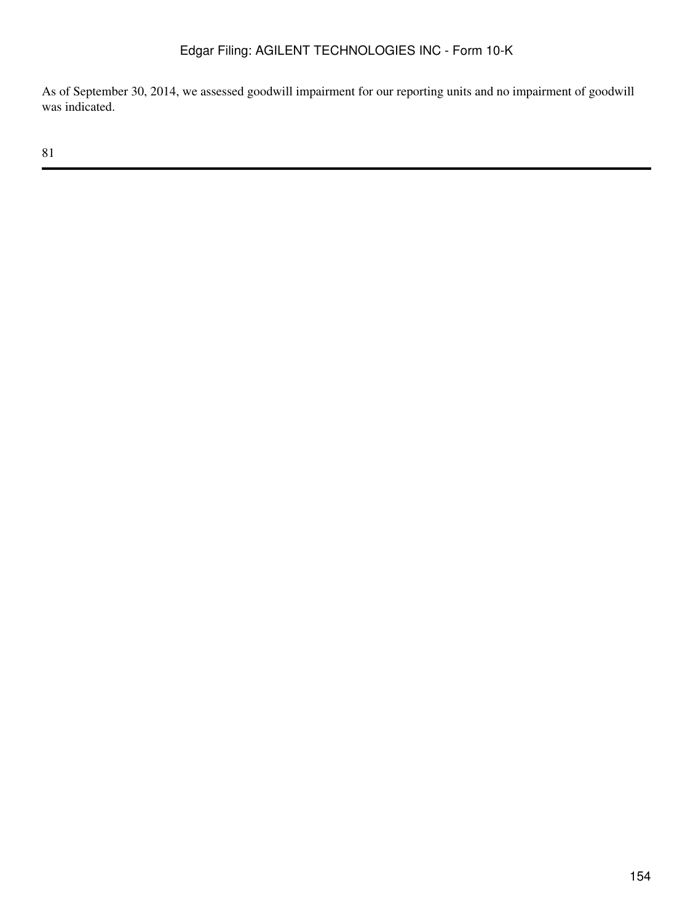As of September 30, 2014, we assessed goodwill impairment for our reporting units and no impairment of goodwill was indicated.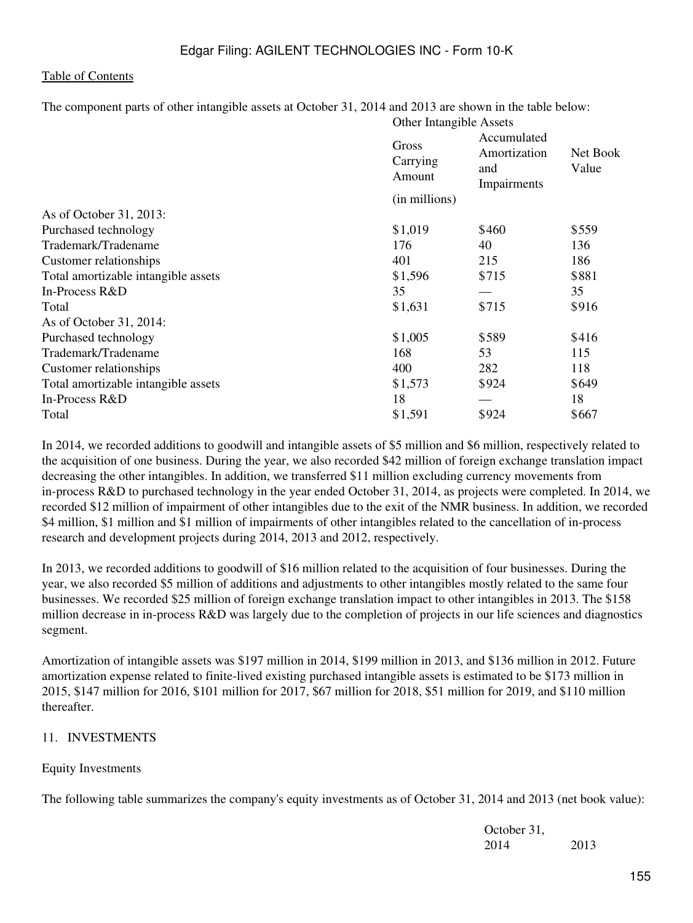The component parts of other intangible assets at October 31, 2014 and 2013 are shown in the table below:

|                                     | Other Intangible Assets     |                                                   |                   |  |  |
|-------------------------------------|-----------------------------|---------------------------------------------------|-------------------|--|--|
|                                     | Gross<br>Carrying<br>Amount | Accumulated<br>Amortization<br>and<br>Impairments | Net Book<br>Value |  |  |
|                                     | (in millions)               |                                                   |                   |  |  |
| As of October 31, 2013:             |                             |                                                   |                   |  |  |
| Purchased technology                | \$1,019                     | \$460                                             | \$559             |  |  |
| Trademark/Tradename                 | 176                         | 40                                                | 136               |  |  |
| Customer relationships              | 401                         | 215                                               | 186               |  |  |
| Total amortizable intangible assets | \$1,596                     | \$715                                             | \$881             |  |  |
| In-Process R&D                      | 35                          |                                                   | 35                |  |  |
| Total                               | \$1,631                     | \$715                                             | \$916             |  |  |
| As of October 31, 2014:             |                             |                                                   |                   |  |  |
| Purchased technology                | \$1,005                     | \$589                                             | \$416             |  |  |
| Trademark/Tradename                 | 168                         | 53                                                | 115               |  |  |
| Customer relationships              | 400                         | 282                                               | 118               |  |  |
| Total amortizable intangible assets | \$1,573                     | \$924                                             | \$649             |  |  |
| In-Process R&D                      | 18                          |                                                   | 18                |  |  |
| Total                               | \$1,591                     | \$924                                             | \$667             |  |  |
|                                     |                             |                                                   |                   |  |  |

In 2014, we recorded additions to goodwill and intangible assets of \$5 million and \$6 million, respectively related to the acquisition of one business. During the year, we also recorded \$42 million of foreign exchange translation impact decreasing the other intangibles. In addition, we transferred \$11 million excluding currency movements from in-process R&D to purchased technology in the year ended October 31, 2014, as projects were completed. In 2014, we recorded \$12 million of impairment of other intangibles due to the exit of the NMR business. In addition, we recorded \$4 million, \$1 million and \$1 million of impairments of other intangibles related to the cancellation of in-process research and development projects during 2014, 2013 and 2012, respectively.

In 2013, we recorded additions to goodwill of \$16 million related to the acquisition of four businesses. During the year, we also recorded \$5 million of additions and adjustments to other intangibles mostly related to the same four businesses. We recorded \$25 million of foreign exchange translation impact to other intangibles in 2013. The \$158 million decrease in in-process R&D was largely due to the completion of projects in our life sciences and diagnostics segment.

Amortization of intangible assets was \$197 million in 2014, \$199 million in 2013, and \$136 million in 2012. Future amortization expense related to finite-lived existing purchased intangible assets is estimated to be \$173 million in 2015, \$147 million for 2016, \$101 million for 2017, \$67 million for 2018, \$51 million for 2019, and \$110 million thereafter.

#### 11. INVESTMENTS

# Equity Investments

The following table summarizes the company's equity investments as of October 31, 2014 and 2013 (net book value):

October 31, 2014 2013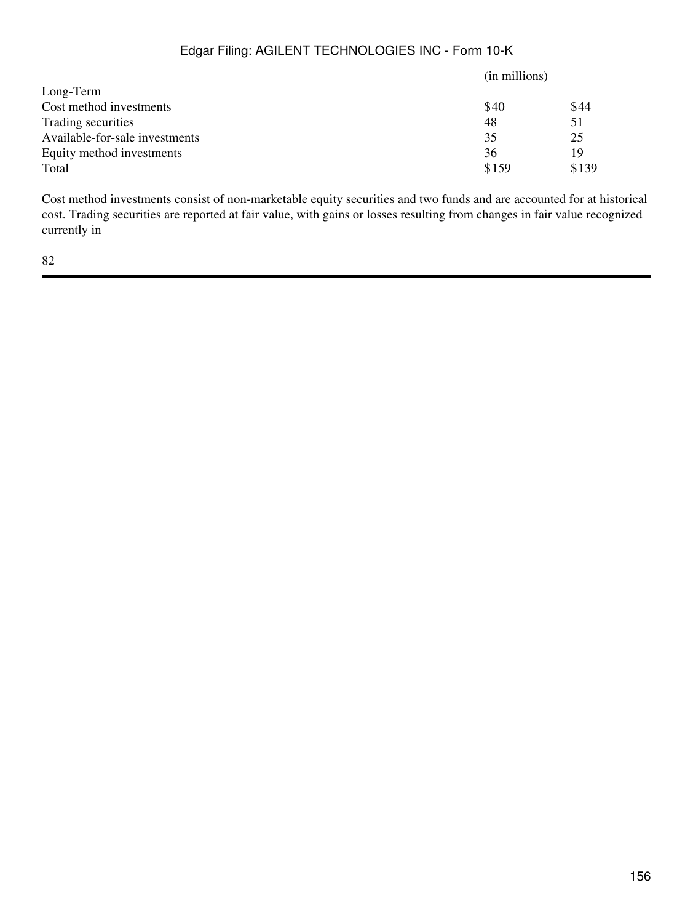|                                | (in millions) |       |  |  |
|--------------------------------|---------------|-------|--|--|
| Long-Term                      |               |       |  |  |
| Cost method investments        | \$40          | \$44  |  |  |
| Trading securities             | 48            | 51    |  |  |
| Available-for-sale investments | 35            | 25    |  |  |
| Equity method investments      | 36            | 19    |  |  |
| Total                          | \$159         | \$139 |  |  |

Cost method investments consist of non-marketable equity securities and two funds and are accounted for at historical cost. Trading securities are reported at fair value, with gains or losses resulting from changes in fair value recognized currently in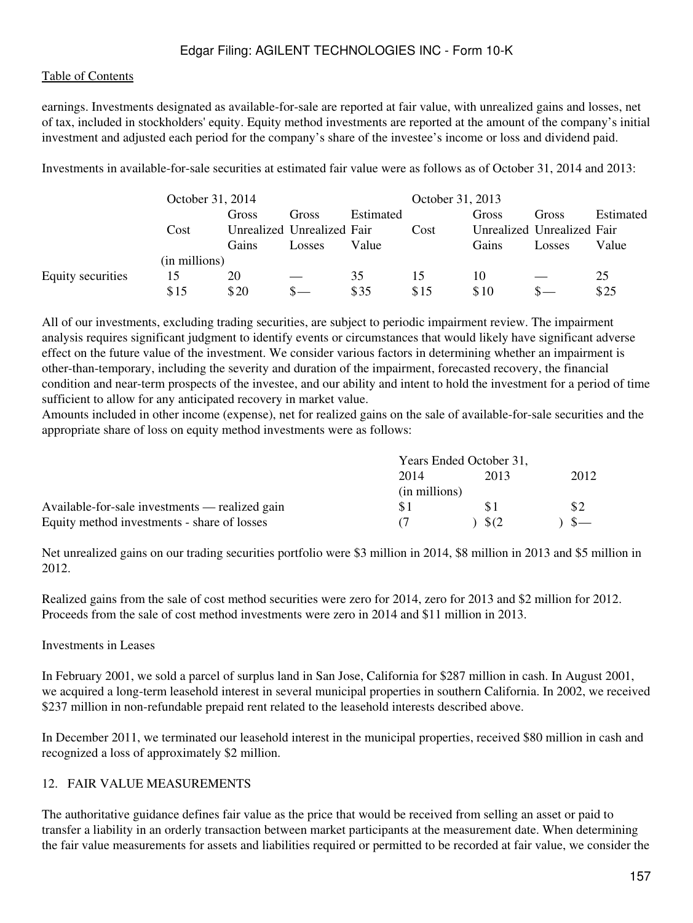#### [Table of Contents](#page-2-0)

earnings. Investments designated as available-for-sale are reported at fair value, with unrealized gains and losses, net of tax, included in stockholders' equity. Equity method investments are reported at the amount of the company's initial investment and adjusted each period for the company's share of the investee's income or loss and dividend paid.

Investments in available-for-sale securities at estimated fair value were as follows as of October 31, 2014 and 2013:

|                   | October 31, 2014 |       |                            |           | October 31, 2013 |       |                            |           |
|-------------------|------------------|-------|----------------------------|-----------|------------------|-------|----------------------------|-----------|
|                   |                  | Gross | Gross                      | Estimated |                  | Gross | Gross                      | Estimated |
|                   | Cost             |       | Unrealized Unrealized Fair |           | Cost             |       | Unrealized Unrealized Fair |           |
|                   |                  | Gains | Losses                     | Value     |                  | Gains | Losses                     | Value     |
|                   | (in millions)    |       |                            |           |                  |       |                            |           |
| Equity securities | 15               | 20    |                            | 35        | 15               | 10    |                            | 25        |
|                   | \$15             | \$20  |                            | \$35      | \$15             | \$10  |                            | \$25      |

All of our investments, excluding trading securities, are subject to periodic impairment review. The impairment analysis requires significant judgment to identify events or circumstances that would likely have significant adverse effect on the future value of the investment. We consider various factors in determining whether an impairment is other-than-temporary, including the severity and duration of the impairment, forecasted recovery, the financial condition and near-term prospects of the investee, and our ability and intent to hold the investment for a period of time sufficient to allow for any anticipated recovery in market value.

Amounts included in other income (expense), net for realized gains on the sale of available-for-sale securities and the appropriate share of loss on equity method investments were as follows:

|                                                | Years Ended October 31, |                   |      |  |  |
|------------------------------------------------|-------------------------|-------------------|------|--|--|
|                                                | 2014                    | 2013              | 2012 |  |  |
|                                                | (in millions)           |                   |      |  |  |
| Available-for-sale investments — realized gain | \$1                     | -81               | \$2  |  |  |
| Equity method investments - share of losses    |                         | S <sub>6</sub> (2 |      |  |  |

Net unrealized gains on our trading securities portfolio were \$3 million in 2014, \$8 million in 2013 and \$5 million in 2012.

Realized gains from the sale of cost method securities were zero for 2014, zero for 2013 and \$2 million for 2012. Proceeds from the sale of cost method investments were zero in 2014 and \$11 million in 2013.

#### Investments in Leases

In February 2001, we sold a parcel of surplus land in San Jose, California for \$287 million in cash. In August 2001, we acquired a long-term leasehold interest in several municipal properties in southern California. In 2002, we received \$237 million in non-refundable prepaid rent related to the leasehold interests described above.

In December 2011, we terminated our leasehold interest in the municipal properties, received \$80 million in cash and recognized a loss of approximately \$2 million.

#### 12. FAIR VALUE MEASUREMENTS

The authoritative guidance defines fair value as the price that would be received from selling an asset or paid to transfer a liability in an orderly transaction between market participants at the measurement date. When determining the fair value measurements for assets and liabilities required or permitted to be recorded at fair value, we consider the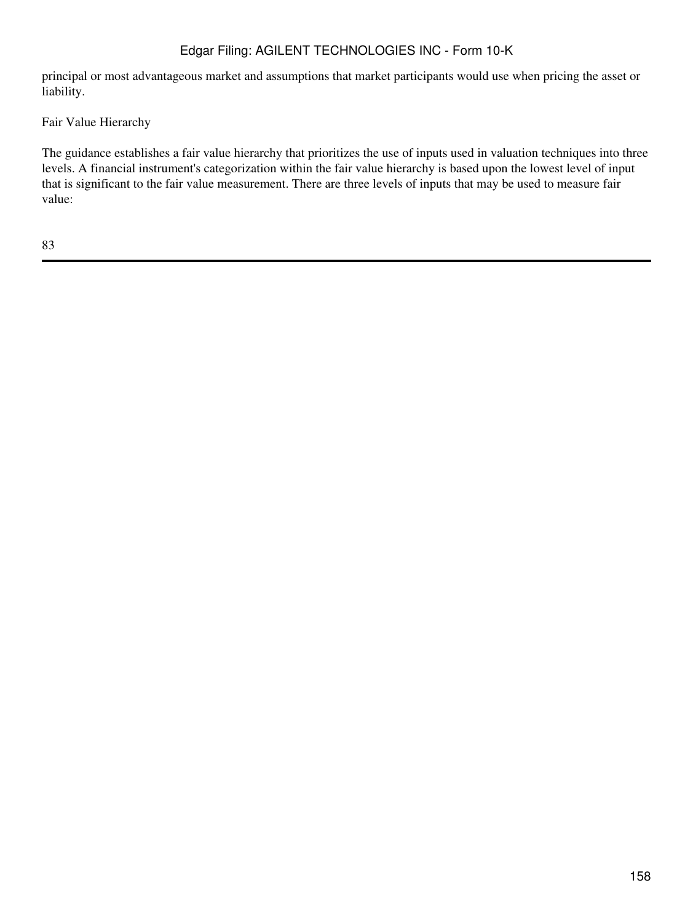principal or most advantageous market and assumptions that market participants would use when pricing the asset or liability.

Fair Value Hierarchy

The guidance establishes a fair value hierarchy that prioritizes the use of inputs used in valuation techniques into three levels. A financial instrument's categorization within the fair value hierarchy is based upon the lowest level of input that is significant to the fair value measurement. There are three levels of inputs that may be used to measure fair value: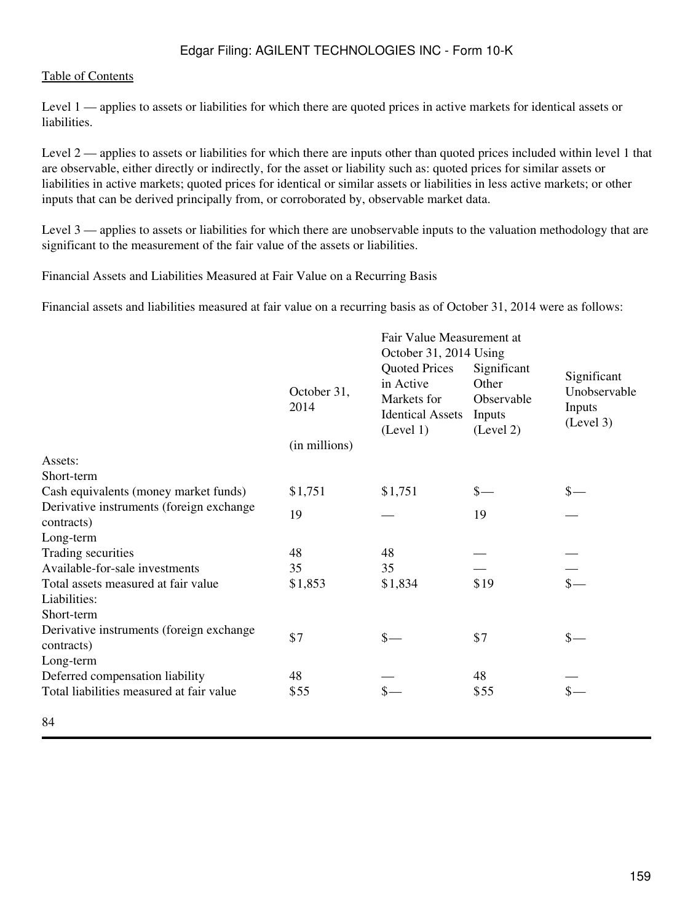Level 1 — applies to assets or liabilities for which there are quoted prices in active markets for identical assets or liabilities.

Level 2 — applies to assets or liabilities for which there are inputs other than quoted prices included within level 1 that are observable, either directly or indirectly, for the asset or liability such as: quoted prices for similar assets or liabilities in active markets; quoted prices for identical or similar assets or liabilities in less active markets; or other inputs that can be derived principally from, or corroborated by, observable market data.

Level 3 — applies to assets or liabilities for which there are unobservable inputs to the valuation methodology that are significant to the measurement of the fair value of the assets or liabilities.

Financial Assets and Liabilities Measured at Fair Value on a Recurring Basis

Financial assets and liabilities measured at fair value on a recurring basis as of October 31, 2014 were as follows:

|                                                        | October 31,<br>2014<br>(in millions) | Fair Value Measurement at<br>October 31, 2014 Using<br><b>Quoted Prices</b><br>in Active<br>Markets for<br><b>Identical Assets</b><br>(Level 1) | Significant<br>Other<br>Observable<br>Inputs<br>(Level 2) | Significant<br>Unobservable<br>Inputs<br>(Level 3) |
|--------------------------------------------------------|--------------------------------------|-------------------------------------------------------------------------------------------------------------------------------------------------|-----------------------------------------------------------|----------------------------------------------------|
| Assets:                                                |                                      |                                                                                                                                                 |                                                           |                                                    |
| Short-term                                             |                                      |                                                                                                                                                 |                                                           |                                                    |
| Cash equivalents (money market funds)                  | \$1,751                              | \$1,751                                                                                                                                         | $\frac{\ }{s-}$                                           | $S-$                                               |
| Derivative instruments (foreign exchange<br>contracts) | 19                                   |                                                                                                                                                 | 19                                                        |                                                    |
| Long-term                                              |                                      |                                                                                                                                                 |                                                           |                                                    |
| Trading securities                                     | 48                                   | 48                                                                                                                                              |                                                           |                                                    |
| Available-for-sale investments                         | 35                                   | 35                                                                                                                                              |                                                           |                                                    |
| Total assets measured at fair value<br>Liabilities:    | \$1,853                              | \$1,834                                                                                                                                         | \$19                                                      |                                                    |
| Short-term                                             |                                      |                                                                                                                                                 |                                                           |                                                    |
| Derivative instruments (foreign exchange<br>contracts) | \$7                                  | $s-$                                                                                                                                            | \$7                                                       | $\mathbb{S}-$                                      |
| Long-term                                              |                                      |                                                                                                                                                 |                                                           |                                                    |
| Deferred compensation liability                        | 48                                   |                                                                                                                                                 | 48                                                        |                                                    |
| Total liabilities measured at fair value               | \$55                                 | $s-$                                                                                                                                            | \$55                                                      | $\frac{\ }{s-}$                                    |
| 84                                                     |                                      |                                                                                                                                                 |                                                           |                                                    |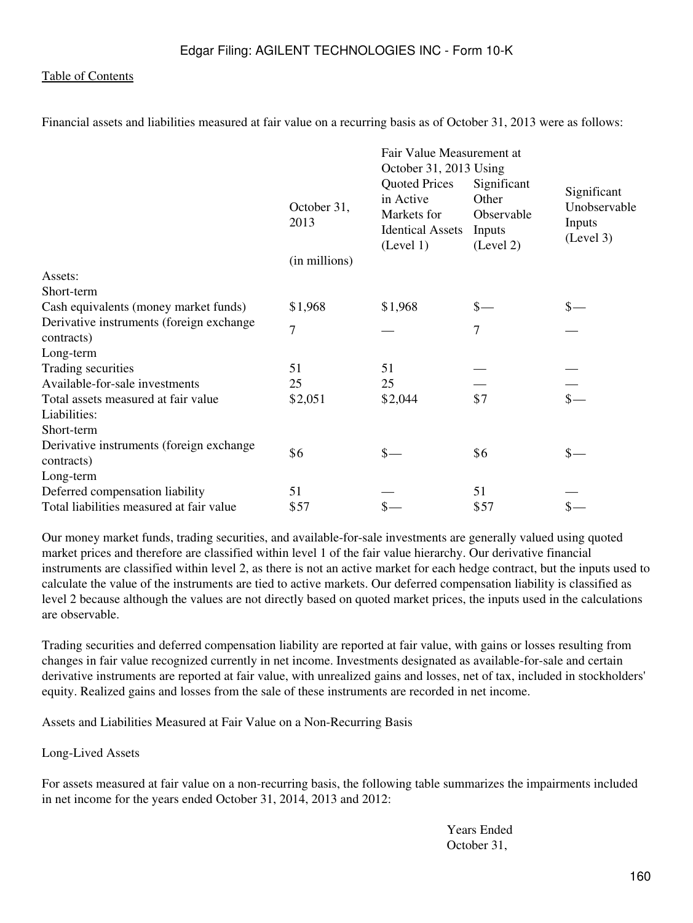Financial assets and liabilities measured at fair value on a recurring basis as of October 31, 2013 were as follows:

|                                                        |                     | Fair Value Measurement at<br>October 31, 2013 Using                                      |                                                           |                                                    |
|--------------------------------------------------------|---------------------|------------------------------------------------------------------------------------------|-----------------------------------------------------------|----------------------------------------------------|
|                                                        | October 31,<br>2013 | <b>Quoted Prices</b><br>in Active<br>Markets for<br><b>Identical Assets</b><br>(Level 1) | Significant<br>Other<br>Observable<br>Inputs<br>(Level 2) | Significant<br>Unobservable<br>Inputs<br>(Level 3) |
|                                                        | (in millions)       |                                                                                          |                                                           |                                                    |
| Assets:                                                |                     |                                                                                          |                                                           |                                                    |
| Short-term                                             |                     |                                                                                          |                                                           |                                                    |
| Cash equivalents (money market funds)                  | \$1,968             | \$1,968                                                                                  | $S-$                                                      | s—                                                 |
| Derivative instruments (foreign exchange<br>contracts) | 7                   |                                                                                          | $\overline{7}$                                            |                                                    |
| Long-term                                              |                     |                                                                                          |                                                           |                                                    |
| Trading securities                                     | 51                  | 51                                                                                       |                                                           |                                                    |
| Available-for-sale investments                         | 25                  | 25                                                                                       |                                                           |                                                    |
| Total assets measured at fair value                    | \$2,051             | \$2,044                                                                                  | \$7                                                       |                                                    |
| Liabilities:                                           |                     |                                                                                          |                                                           |                                                    |
| Short-term                                             |                     |                                                                                          |                                                           |                                                    |
| Derivative instruments (foreign exchange<br>contracts) | \$6                 | $S-$                                                                                     | \$6                                                       | $\frac{\ }{\ }$                                    |
| Long-term                                              |                     |                                                                                          |                                                           |                                                    |
| Deferred compensation liability                        | 51                  |                                                                                          | 51                                                        |                                                    |
| Total liabilities measured at fair value               | \$57                |                                                                                          | \$57                                                      |                                                    |
|                                                        |                     |                                                                                          |                                                           |                                                    |

Our money market funds, trading securities, and available-for-sale investments are generally valued using quoted market prices and therefore are classified within level 1 of the fair value hierarchy. Our derivative financial instruments are classified within level 2, as there is not an active market for each hedge contract, but the inputs used to calculate the value of the instruments are tied to active markets. Our deferred compensation liability is classified as level 2 because although the values are not directly based on quoted market prices, the inputs used in the calculations are observable.

Trading securities and deferred compensation liability are reported at fair value, with gains or losses resulting from changes in fair value recognized currently in net income. Investments designated as available-for-sale and certain derivative instruments are reported at fair value, with unrealized gains and losses, net of tax, included in stockholders' equity. Realized gains and losses from the sale of these instruments are recorded in net income.

Assets and Liabilities Measured at Fair Value on a Non-Recurring Basis

#### Long-Lived Assets

For assets measured at fair value on a non-recurring basis, the following table summarizes the impairments included in net income for the years ended October 31, 2014, 2013 and 2012:

> Years Ended October 31,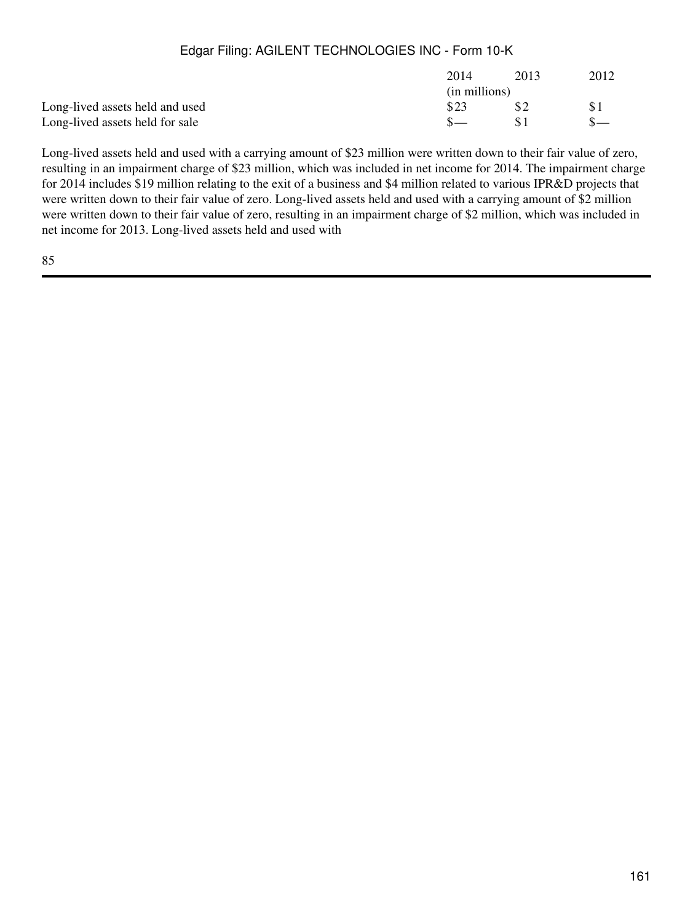|                                 | 2014          | 2013 | 2012 |
|---------------------------------|---------------|------|------|
|                                 | (in millions) |      |      |
| Long-lived assets held and used | \$23          |      |      |
| Long-lived assets held for sale |               |      |      |

Long-lived assets held and used with a carrying amount of \$23 million were written down to their fair value of zero, resulting in an impairment charge of \$23 million, which was included in net income for 2014. The impairment charge for 2014 includes \$19 million relating to the exit of a business and \$4 million related to various IPR&D projects that were written down to their fair value of zero. Long-lived assets held and used with a carrying amount of \$2 million were written down to their fair value of zero, resulting in an impairment charge of \$2 million, which was included in net income for 2013. Long-lived assets held and used with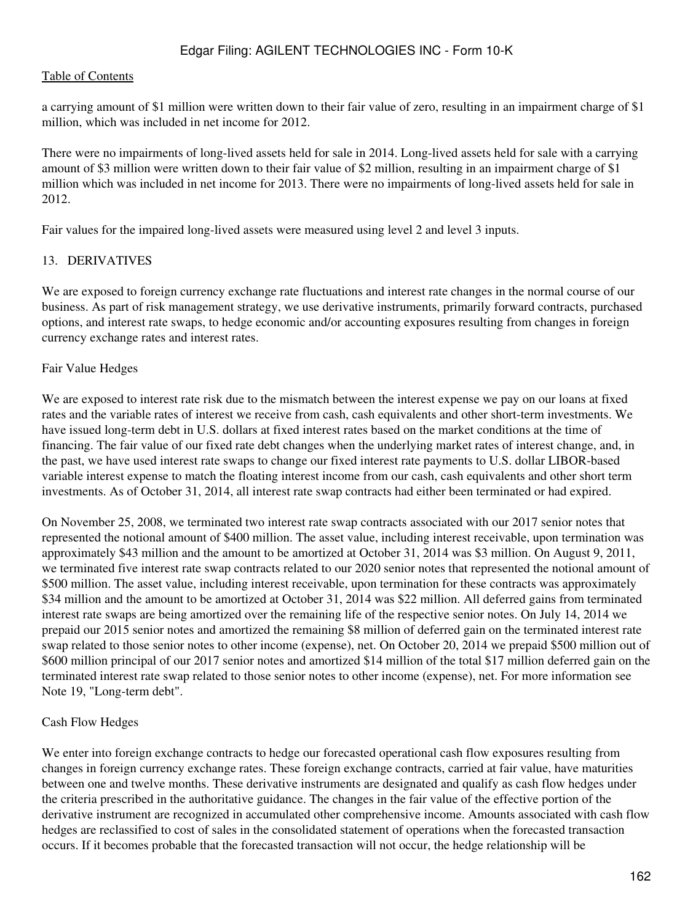a carrying amount of \$1 million were written down to their fair value of zero, resulting in an impairment charge of \$1 million, which was included in net income for 2012.

There were no impairments of long-lived assets held for sale in 2014. Long-lived assets held for sale with a carrying amount of \$3 million were written down to their fair value of \$2 million, resulting in an impairment charge of \$1 million which was included in net income for 2013. There were no impairments of long-lived assets held for sale in 2012.

Fair values for the impaired long-lived assets were measured using level 2 and level 3 inputs.

# 13. DERIVATIVES

We are exposed to foreign currency exchange rate fluctuations and interest rate changes in the normal course of our business. As part of risk management strategy, we use derivative instruments, primarily forward contracts, purchased options, and interest rate swaps, to hedge economic and/or accounting exposures resulting from changes in foreign currency exchange rates and interest rates.

### Fair Value Hedges

We are exposed to interest rate risk due to the mismatch between the interest expense we pay on our loans at fixed rates and the variable rates of interest we receive from cash, cash equivalents and other short-term investments. We have issued long-term debt in U.S. dollars at fixed interest rates based on the market conditions at the time of financing. The fair value of our fixed rate debt changes when the underlying market rates of interest change, and, in the past, we have used interest rate swaps to change our fixed interest rate payments to U.S. dollar LIBOR-based variable interest expense to match the floating interest income from our cash, cash equivalents and other short term investments. As of October 31, 2014, all interest rate swap contracts had either been terminated or had expired.

On November 25, 2008, we terminated two interest rate swap contracts associated with our 2017 senior notes that represented the notional amount of \$400 million. The asset value, including interest receivable, upon termination was approximately \$43 million and the amount to be amortized at October 31, 2014 was \$3 million. On August 9, 2011, we terminated five interest rate swap contracts related to our 2020 senior notes that represented the notional amount of \$500 million. The asset value, including interest receivable, upon termination for these contracts was approximately \$34 million and the amount to be amortized at October 31, 2014 was \$22 million. All deferred gains from terminated interest rate swaps are being amortized over the remaining life of the respective senior notes. On July 14, 2014 we prepaid our 2015 senior notes and amortized the remaining \$8 million of deferred gain on the terminated interest rate swap related to those senior notes to other income (expense), net. On October 20, 2014 we prepaid \$500 million out of \$600 million principal of our 2017 senior notes and amortized \$14 million of the total \$17 million deferred gain on the terminated interest rate swap related to those senior notes to other income (expense), net. For more information see Note 19, "Long-term debt".

# Cash Flow Hedges

We enter into foreign exchange contracts to hedge our forecasted operational cash flow exposures resulting from changes in foreign currency exchange rates. These foreign exchange contracts, carried at fair value, have maturities between one and twelve months. These derivative instruments are designated and qualify as cash flow hedges under the criteria prescribed in the authoritative guidance. The changes in the fair value of the effective portion of the derivative instrument are recognized in accumulated other comprehensive income. Amounts associated with cash flow hedges are reclassified to cost of sales in the consolidated statement of operations when the forecasted transaction occurs. If it becomes probable that the forecasted transaction will not occur, the hedge relationship will be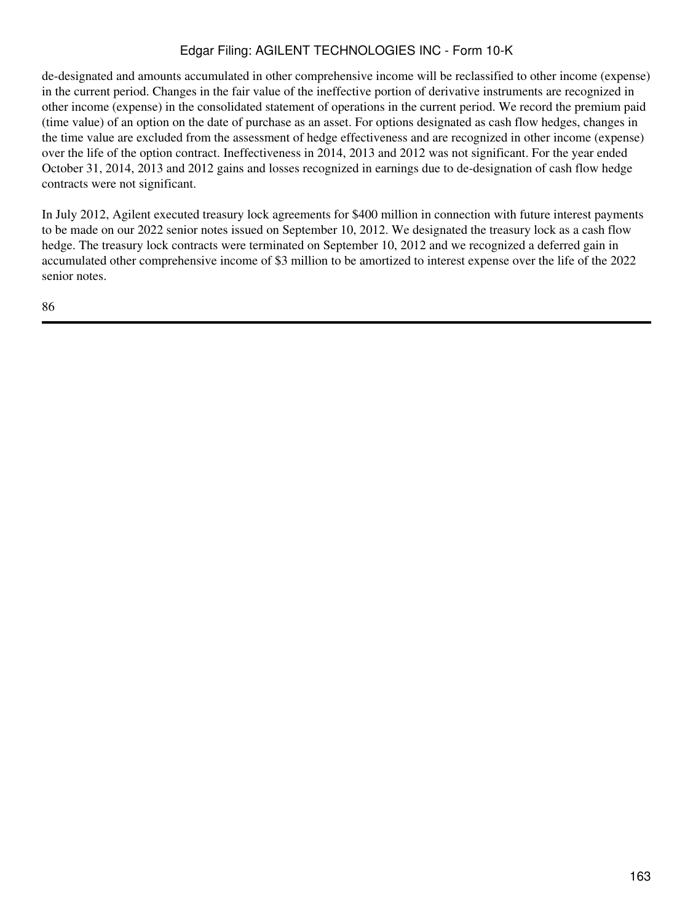de-designated and amounts accumulated in other comprehensive income will be reclassified to other income (expense) in the current period. Changes in the fair value of the ineffective portion of derivative instruments are recognized in other income (expense) in the consolidated statement of operations in the current period. We record the premium paid (time value) of an option on the date of purchase as an asset. For options designated as cash flow hedges, changes in the time value are excluded from the assessment of hedge effectiveness and are recognized in other income (expense) over the life of the option contract. Ineffectiveness in 2014, 2013 and 2012 was not significant. For the year ended October 31, 2014, 2013 and 2012 gains and losses recognized in earnings due to de-designation of cash flow hedge contracts were not significant.

In July 2012, Agilent executed treasury lock agreements for \$400 million in connection with future interest payments to be made on our 2022 senior notes issued on September 10, 2012. We designated the treasury lock as a cash flow hedge. The treasury lock contracts were terminated on September 10, 2012 and we recognized a deferred gain in accumulated other comprehensive income of \$3 million to be amortized to interest expense over the life of the 2022 senior notes.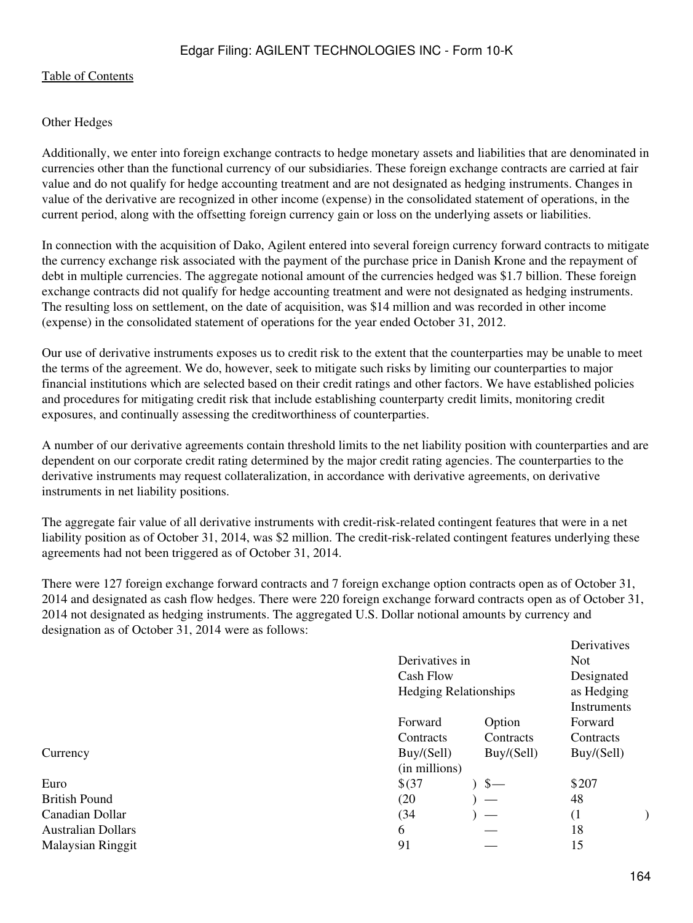### Other Hedges

Additionally, we enter into foreign exchange contracts to hedge monetary assets and liabilities that are denominated in currencies other than the functional currency of our subsidiaries. These foreign exchange contracts are carried at fair value and do not qualify for hedge accounting treatment and are not designated as hedging instruments. Changes in value of the derivative are recognized in other income (expense) in the consolidated statement of operations, in the current period, along with the offsetting foreign currency gain or loss on the underlying assets or liabilities.

In connection with the acquisition of Dako, Agilent entered into several foreign currency forward contracts to mitigate the currency exchange risk associated with the payment of the purchase price in Danish Krone and the repayment of debt in multiple currencies. The aggregate notional amount of the currencies hedged was \$1.7 billion. These foreign exchange contracts did not qualify for hedge accounting treatment and were not designated as hedging instruments. The resulting loss on settlement, on the date of acquisition, was \$14 million and was recorded in other income (expense) in the consolidated statement of operations for the year ended October 31, 2012.

Our use of derivative instruments exposes us to credit risk to the extent that the counterparties may be unable to meet the terms of the agreement. We do, however, seek to mitigate such risks by limiting our counterparties to major financial institutions which are selected based on their credit ratings and other factors. We have established policies and procedures for mitigating credit risk that include establishing counterparty credit limits, monitoring credit exposures, and continually assessing the creditworthiness of counterparties.

A number of our derivative agreements contain threshold limits to the net liability position with counterparties and are dependent on our corporate credit rating determined by the major credit rating agencies. The counterparties to the derivative instruments may request collateralization, in accordance with derivative agreements, on derivative instruments in net liability positions.

The aggregate fair value of all derivative instruments with credit-risk-related contingent features that were in a net liability position as of October 31, 2014, was \$2 million. The credit-risk-related contingent features underlying these agreements had not been triggered as of October 31, 2014.

There were 127 foreign exchange forward contracts and 7 foreign exchange option contracts open as of October 31, 2014 and designated as cash flow hedges. There were 220 foreign exchange forward contracts open as of October 31, 2014 not designated as hedging instruments. The aggregated U.S. Dollar notional amounts by currency and designation as of October 31, 2014 were as follows:

|                           |                              |                             | ---------   |  |  |  |  |
|---------------------------|------------------------------|-----------------------------|-------------|--|--|--|--|
|                           | Derivatives in               |                             | <b>Not</b>  |  |  |  |  |
|                           | <b>Cash Flow</b>             |                             |             |  |  |  |  |
|                           | <b>Hedging Relationships</b> |                             | as Hedging  |  |  |  |  |
|                           |                              |                             | Instruments |  |  |  |  |
|                           | Forward                      | Option                      | Forward     |  |  |  |  |
|                           | Contracts                    | Contracts                   | Contracts   |  |  |  |  |
| Currency                  | Buy/(Sell)                   | Buy/(Sell)                  | Buy/(Sell)  |  |  |  |  |
|                           | (in millions)                |                             |             |  |  |  |  |
| Euro                      | $$^{(37)}$                   | $\frac{1}{2}$               | \$207       |  |  |  |  |
| <b>British Pound</b>      | (20)                         | $\overbrace{\hspace{15em}}$ | 48          |  |  |  |  |
| Canadian Dollar           | (34)                         |                             | (1)         |  |  |  |  |
| <b>Australian Dollars</b> | 6                            |                             | 18          |  |  |  |  |
| <b>Malaysian Ringgit</b>  | 91                           |                             | 15          |  |  |  |  |
|                           |                              |                             |             |  |  |  |  |

Derivatives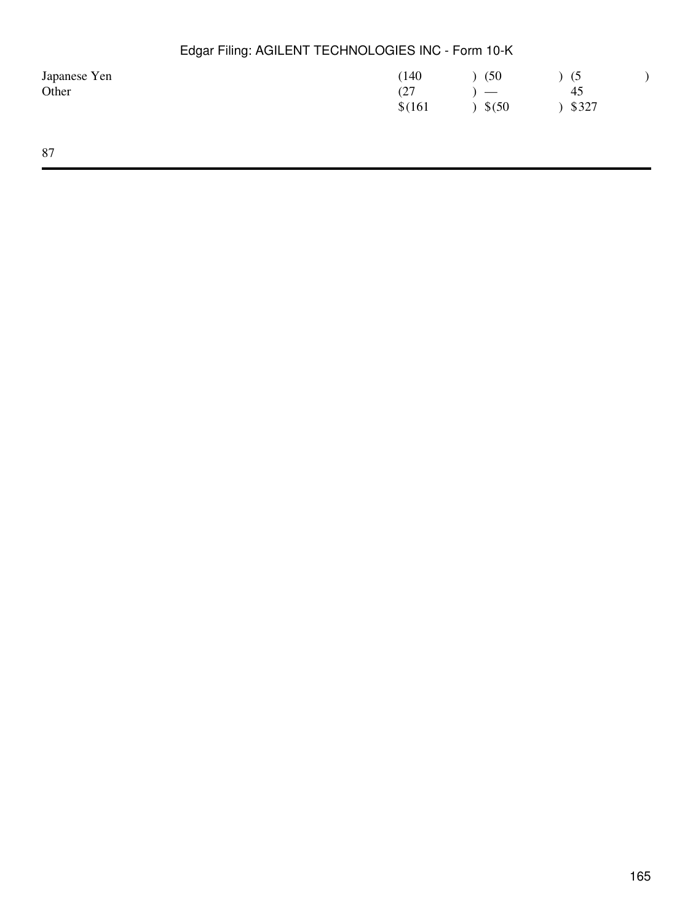| Japanese Yen<br>Other | (140)<br>(27)<br>\$(161) | (50)<br>\$ (50) | (5)<br>45<br>\$327 |  |
|-----------------------|--------------------------|-----------------|--------------------|--|
|                       |                          |                 |                    |  |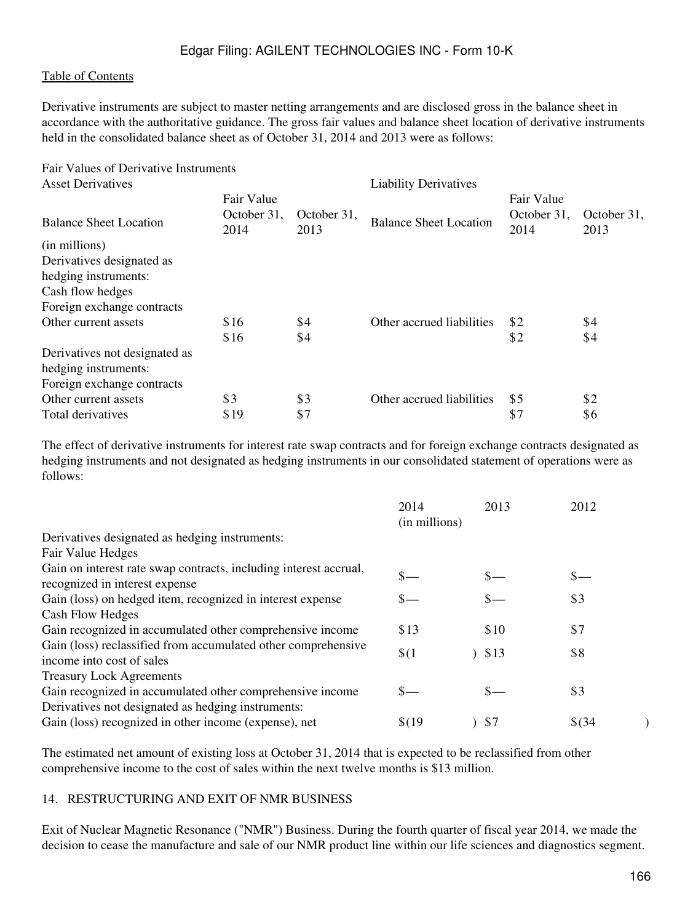Derivative instruments are subject to master netting arrangements and are disclosed gross in the balance sheet in accordance with the authoritative guidance. The gross fair values and balance sheet location of derivative instruments held in the consolidated balance sheet as of October 31, 2014 and 2013 were as follows:

Fair Values of Derivative Instruments

| <b>Asset Derivatives</b>      |                     |                     | <b>Liability Derivatives</b>  |                     |                     |
|-------------------------------|---------------------|---------------------|-------------------------------|---------------------|---------------------|
|                               | Fair Value          |                     |                               | Fair Value          |                     |
| <b>Balance Sheet Location</b> | October 31,<br>2014 | October 31,<br>2013 | <b>Balance Sheet Location</b> | October 31,<br>2014 | October 31,<br>2013 |
| (in millions)                 |                     |                     |                               |                     |                     |
| Derivatives designated as     |                     |                     |                               |                     |                     |
| hedging instruments:          |                     |                     |                               |                     |                     |
| Cash flow hedges              |                     |                     |                               |                     |                     |
| Foreign exchange contracts    |                     |                     |                               |                     |                     |
| Other current assets          | \$16                | \$4                 | Other accrued liabilities     | \$2                 | \$4                 |
|                               | \$16                | \$4                 |                               | \$2                 | \$4                 |
| Derivatives not designated as |                     |                     |                               |                     |                     |
| hedging instruments:          |                     |                     |                               |                     |                     |
| Foreign exchange contracts    |                     |                     |                               |                     |                     |
| Other current assets          | \$3                 | \$3                 | Other accrued liabilities     | \$5                 | \$2                 |
| Total derivatives             | \$19                | \$7                 |                               | \$7                 | \$6                 |

The effect of derivative instruments for interest rate swap contracts and for foreign exchange contracts designated as hedging instruments and not designated as hedging instruments in our consolidated statement of operations were as follows:

|                                                                                                     | 2014<br>(in millions) | 2013 | 2012       |
|-----------------------------------------------------------------------------------------------------|-----------------------|------|------------|
| Derivatives designated as hedging instruments:                                                      |                       |      |            |
| Fair Value Hedges                                                                                   |                       |      |            |
| Gain on interest rate swap contracts, including interest accrual,<br>recognized in interest expense | $S-$                  |      | $S-$       |
| Gain (loss) on hedged item, recognized in interest expense                                          | $\frac{\ }{s-}$       | $s-$ | \$3        |
| Cash Flow Hedges                                                                                    |                       |      |            |
| Gain recognized in accumulated other comprehensive income                                           | \$13                  | \$10 | \$7        |
| Gain (loss) reclassified from accumulated other comprehensive<br>income into cost of sales          | $\frac{1}{2}$         | \$13 | \$8        |
| <b>Treasury Lock Agreements</b>                                                                     |                       |      |            |
| Gain recognized in accumulated other comprehensive income                                           | $\mathbf{s}-$         |      | \$3        |
| Derivatives not designated as hedging instruments:                                                  |                       |      |            |
| Gain (loss) recognized in other income (expense), net                                               | \$(19)                | \$7  | $$^{(34)}$ |

The estimated net amount of existing loss at October 31, 2014 that is expected to be reclassified from other comprehensive income to the cost of sales within the next twelve months is \$13 million.

# 14. RESTRUCTURING AND EXIT OF NMR BUSINESS

Exit of Nuclear Magnetic Resonance ("NMR") Business. During the fourth quarter of fiscal year 2014, we made the decision to cease the manufacture and sale of our NMR product line within our life sciences and diagnostics segment.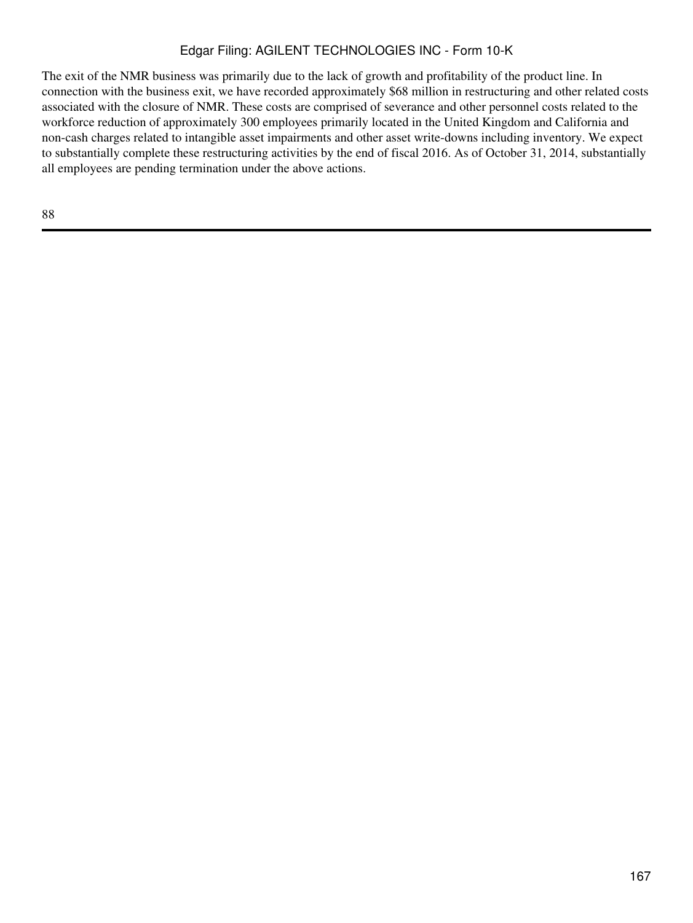The exit of the NMR business was primarily due to the lack of growth and profitability of the product line. In connection with the business exit, we have recorded approximately \$68 million in restructuring and other related costs associated with the closure of NMR. These costs are comprised of severance and other personnel costs related to the workforce reduction of approximately 300 employees primarily located in the United Kingdom and California and non-cash charges related to intangible asset impairments and other asset write-downs including inventory. We expect to substantially complete these restructuring activities by the end of fiscal 2016. As of October 31, 2014, substantially all employees are pending termination under the above actions.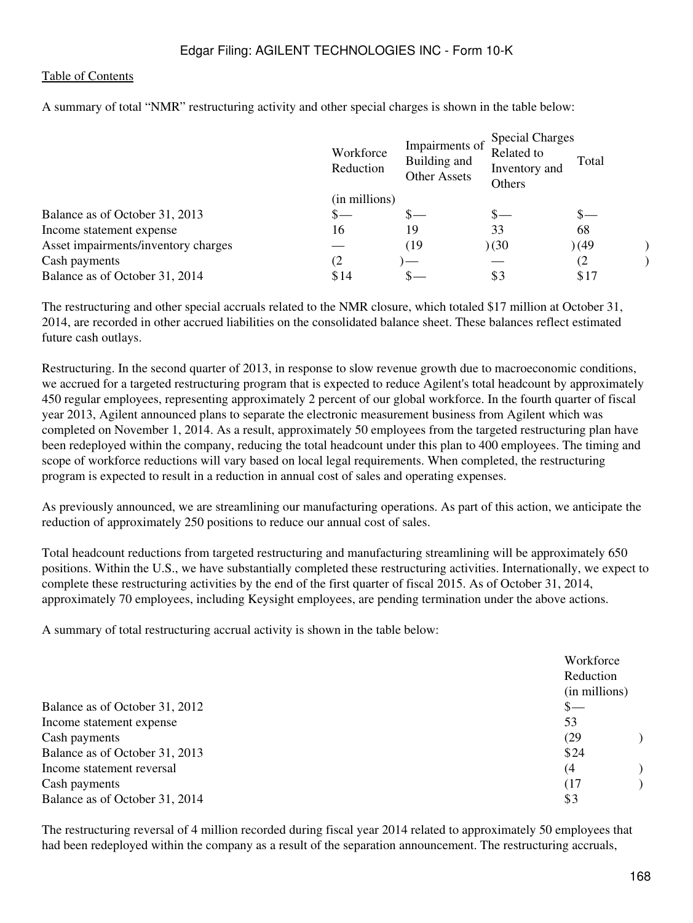A summary of total "NMR" restructuring activity and other special charges is shown in the table below:

|                                     | Workforce<br>Reduction | Impairments of<br>Building and<br>Other Assets | <b>Special Charges</b><br>Related to<br>Inventory and<br>Others | Total |  |
|-------------------------------------|------------------------|------------------------------------------------|-----------------------------------------------------------------|-------|--|
|                                     | (in millions)          |                                                |                                                                 |       |  |
| Balance as of October 31, 2013      | S—                     |                                                |                                                                 |       |  |
| Income statement expense            | 16                     | 19                                             | 33                                                              | 68    |  |
| Asset impairments/inventory charges |                        | (19                                            | )(30)                                                           | (49)  |  |
| Cash payments                       | (2                     |                                                |                                                                 | (2)   |  |
| Balance as of October 31, 2014      | \$14                   |                                                | \$3                                                             | \$17  |  |

The restructuring and other special accruals related to the NMR closure, which totaled \$17 million at October 31, 2014, are recorded in other accrued liabilities on the consolidated balance sheet. These balances reflect estimated future cash outlays.

Restructuring. In the second quarter of 2013, in response to slow revenue growth due to macroeconomic conditions, we accrued for a targeted restructuring program that is expected to reduce Agilent's total headcount by approximately 450 regular employees, representing approximately 2 percent of our global workforce. In the fourth quarter of fiscal year 2013, Agilent announced plans to separate the electronic measurement business from Agilent which was completed on November 1, 2014. As a result, approximately 50 employees from the targeted restructuring plan have been redeployed within the company, reducing the total headcount under this plan to 400 employees. The timing and scope of workforce reductions will vary based on local legal requirements. When completed, the restructuring program is expected to result in a reduction in annual cost of sales and operating expenses.

As previously announced, we are streamlining our manufacturing operations. As part of this action, we anticipate the reduction of approximately 250 positions to reduce our annual cost of sales.

Total headcount reductions from targeted restructuring and manufacturing streamlining will be approximately 650 positions. Within the U.S., we have substantially completed these restructuring activities. Internationally, we expect to complete these restructuring activities by the end of the first quarter of fiscal 2015. As of October 31, 2014, approximately 70 employees, including Keysight employees, are pending termination under the above actions.

A summary of total restructuring accrual activity is shown in the table below:

|                                | Workforce<br>Reduction<br>(in millions) |  |
|--------------------------------|-----------------------------------------|--|
| Balance as of October 31, 2012 | $S-$                                    |  |
| Income statement expense       | 53                                      |  |
| Cash payments                  | (29)                                    |  |
| Balance as of October 31, 2013 | \$24                                    |  |
| Income statement reversal      | (4)                                     |  |
| Cash payments                  | (17)                                    |  |
| Balance as of October 31, 2014 | \$3                                     |  |

The restructuring reversal of 4 million recorded during fiscal year 2014 related to approximately 50 employees that had been redeployed within the company as a result of the separation announcement. The restructuring accruals,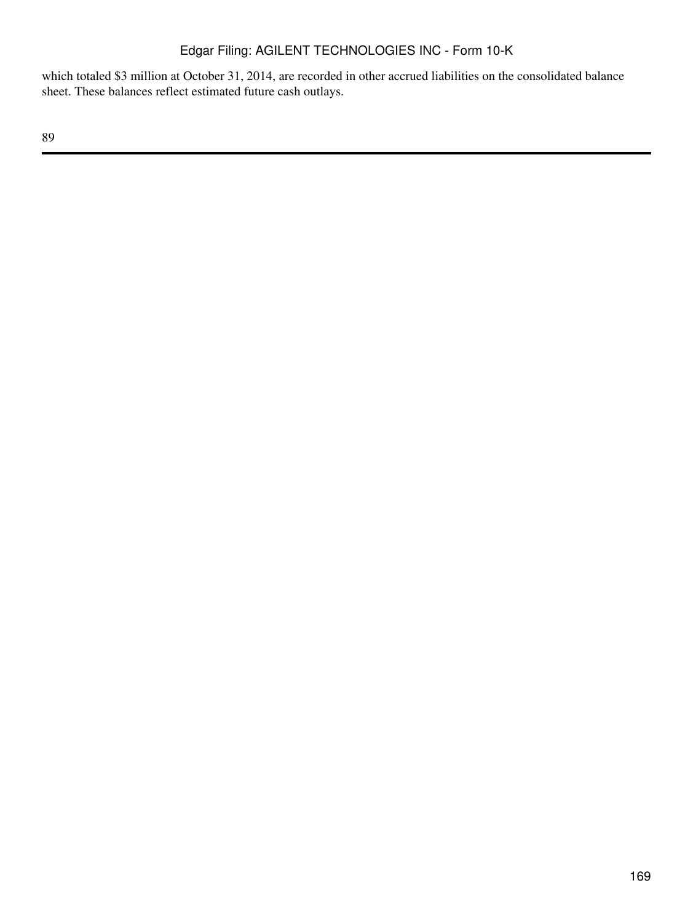which totaled \$3 million at October 31, 2014, are recorded in other accrued liabilities on the consolidated balance sheet. These balances reflect estimated future cash outlays.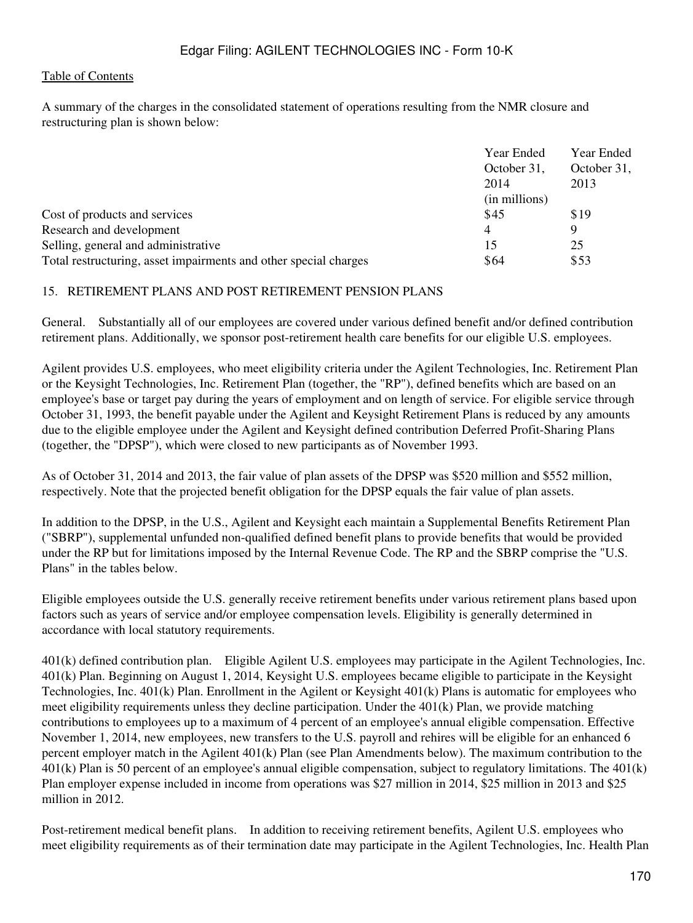A summary of the charges in the consolidated statement of operations resulting from the NMR closure and restructuring plan is shown below:

|                                                                  | Year Ended    | Year Ended  |
|------------------------------------------------------------------|---------------|-------------|
|                                                                  | October 31,   | October 31, |
|                                                                  | 2014          | 2013        |
|                                                                  | (in millions) |             |
| Cost of products and services                                    | \$45          | \$19        |
| Research and development                                         | 4             | Q           |
| Selling, general and administrative                              | 15            | 25          |
| Total restructuring, asset impairments and other special charges | \$64          | \$53        |

#### 15. RETIREMENT PLANS AND POST RETIREMENT PENSION PLANS

General. Substantially all of our employees are covered under various defined benefit and/or defined contribution retirement plans. Additionally, we sponsor post-retirement health care benefits for our eligible U.S. employees.

Agilent provides U.S. employees, who meet eligibility criteria under the Agilent Technologies, Inc. Retirement Plan or the Keysight Technologies, Inc. Retirement Plan (together, the "RP"), defined benefits which are based on an employee's base or target pay during the years of employment and on length of service. For eligible service through October 31, 1993, the benefit payable under the Agilent and Keysight Retirement Plans is reduced by any amounts due to the eligible employee under the Agilent and Keysight defined contribution Deferred Profit-Sharing Plans (together, the "DPSP"), which were closed to new participants as of November 1993.

As of October 31, 2014 and 2013, the fair value of plan assets of the DPSP was \$520 million and \$552 million, respectively. Note that the projected benefit obligation for the DPSP equals the fair value of plan assets.

In addition to the DPSP, in the U.S., Agilent and Keysight each maintain a Supplemental Benefits Retirement Plan ("SBRP"), supplemental unfunded non-qualified defined benefit plans to provide benefits that would be provided under the RP but for limitations imposed by the Internal Revenue Code. The RP and the SBRP comprise the "U.S. Plans" in the tables below.

Eligible employees outside the U.S. generally receive retirement benefits under various retirement plans based upon factors such as years of service and/or employee compensation levels. Eligibility is generally determined in accordance with local statutory requirements.

401(k) defined contribution plan. Eligible Agilent U.S. employees may participate in the Agilent Technologies, Inc. 401(k) Plan. Beginning on August 1, 2014, Keysight U.S. employees became eligible to participate in the Keysight Technologies, Inc. 401(k) Plan. Enrollment in the Agilent or Keysight 401(k) Plans is automatic for employees who meet eligibility requirements unless they decline participation. Under the 401(k) Plan, we provide matching contributions to employees up to a maximum of 4 percent of an employee's annual eligible compensation. Effective November 1, 2014, new employees, new transfers to the U.S. payroll and rehires will be eligible for an enhanced 6 percent employer match in the Agilent 401(k) Plan (see Plan Amendments below). The maximum contribution to the 401(k) Plan is 50 percent of an employee's annual eligible compensation, subject to regulatory limitations. The 401(k) Plan employer expense included in income from operations was \$27 million in 2014, \$25 million in 2013 and \$25 million in 2012.

Post-retirement medical benefit plans. In addition to receiving retirement benefits, Agilent U.S. employees who meet eligibility requirements as of their termination date may participate in the Agilent Technologies, Inc. Health Plan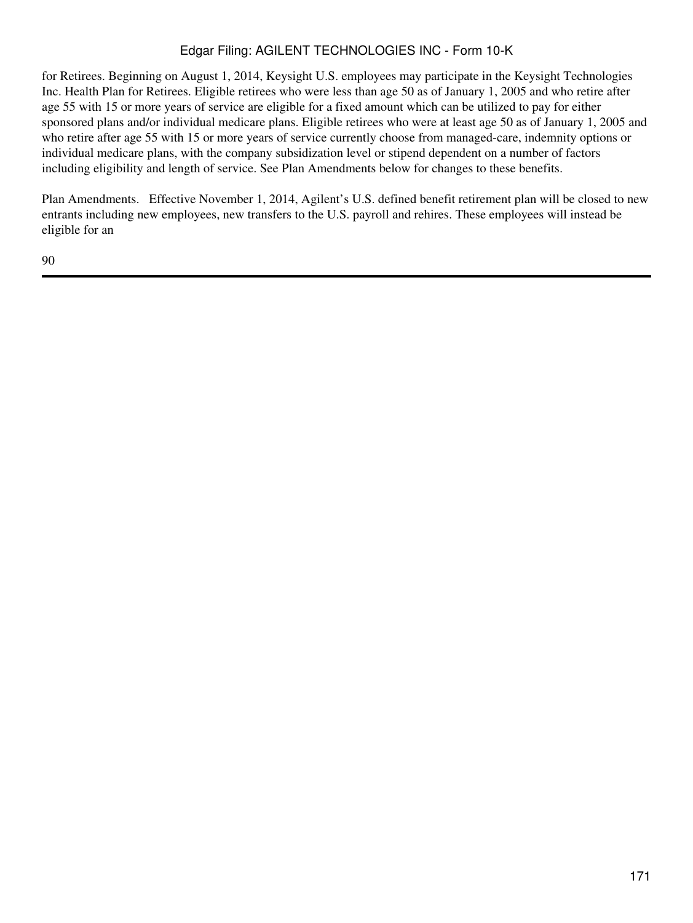for Retirees. Beginning on August 1, 2014, Keysight U.S. employees may participate in the Keysight Technologies Inc. Health Plan for Retirees. Eligible retirees who were less than age 50 as of January 1, 2005 and who retire after age 55 with 15 or more years of service are eligible for a fixed amount which can be utilized to pay for either sponsored plans and/or individual medicare plans. Eligible retirees who were at least age 50 as of January 1, 2005 and who retire after age 55 with 15 or more years of service currently choose from managed-care, indemnity options or individual medicare plans, with the company subsidization level or stipend dependent on a number of factors including eligibility and length of service. See Plan Amendments below for changes to these benefits.

Plan Amendments. Effective November 1, 2014, Agilent's U.S. defined benefit retirement plan will be closed to new entrants including new employees, new transfers to the U.S. payroll and rehires. These employees will instead be eligible for an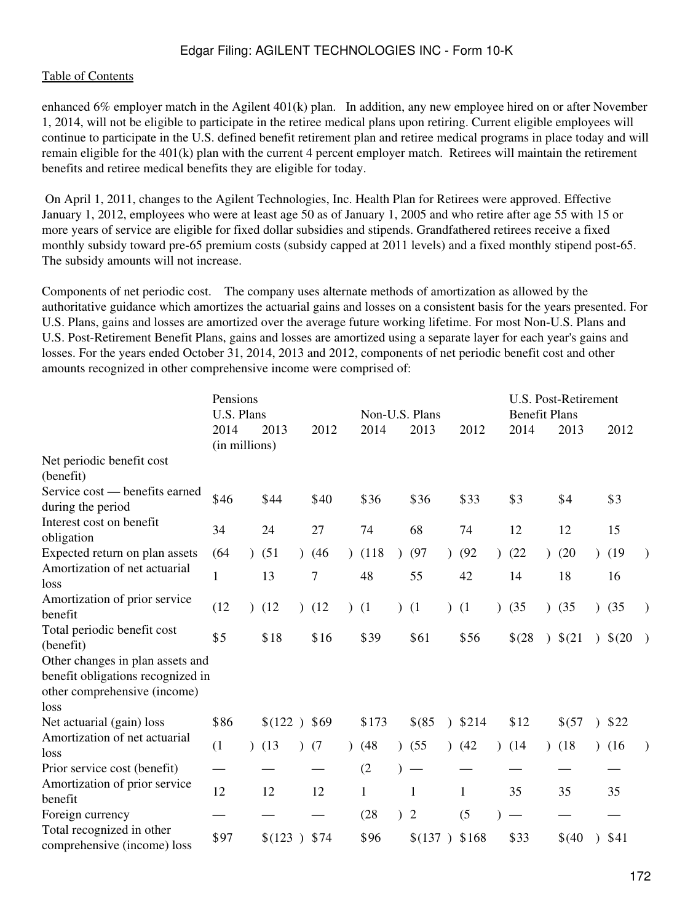#### [Table of Contents](#page-2-0)

enhanced 6% employer match in the Agilent 401(k) plan. In addition, any new employee hired on or after November 1, 2014, will not be eligible to participate in the retiree medical plans upon retiring. Current eligible employees will continue to participate in the U.S. defined benefit retirement plan and retiree medical programs in place today and will remain eligible for the 401(k) plan with the current 4 percent employer match. Retirees will maintain the retirement benefits and retiree medical benefits they are eligible for today.

 On April 1, 2011, changes to the Agilent Technologies, Inc. Health Plan for Retirees were approved. Effective January 1, 2012, employees who were at least age 50 as of January 1, 2005 and who retire after age 55 with 15 or more years of service are eligible for fixed dollar subsidies and stipends. Grandfathered retirees receive a fixed monthly subsidy toward pre-65 premium costs (subsidy capped at 2011 levels) and a fixed monthly stipend post-65. The subsidy amounts will not increase.

Components of net periodic cost. The company uses alternate methods of amortization as allowed by the authoritative guidance which amortizes the actuarial gains and losses on a consistent basis for the years presented. For U.S. Plans, gains and losses are amortized over the average future working lifetime. For most Non-U.S. Plans and U.S. Post-Retirement Benefit Plans, gains and losses are amortized using a separate layer for each year's gains and losses. For the years ended October 31, 2014, 2013 and 2012, components of net periodic benefit cost and other amounts recognized in other comprehensive income were comprised of:

|                                                          |                       | Pensions      |         |               |                |               |              |               |                   |               |                      |               |                   |               | <b>U.S. Post-Retirement</b> |               |        |               |  |  |  |
|----------------------------------------------------------|-----------------------|---------------|---------|---------------|----------------|---------------|--------------|---------------|-------------------|---------------|----------------------|---------------|-------------------|---------------|-----------------------------|---------------|--------|---------------|--|--|--|
|                                                          | U.S. Plans            |               |         |               | Non-U.S. Plans |               |              |               |                   |               | <b>Benefit Plans</b> |               |                   |               |                             |               |        |               |  |  |  |
|                                                          | 2014<br>(in millions) |               | 2013    |               | 2012           |               | 2014         |               | 2013              |               | 2012                 |               | 2014              |               | 2013                        |               | 2012   |               |  |  |  |
| Net periodic benefit cost                                |                       |               |         |               |                |               |              |               |                   |               |                      |               |                   |               |                             |               |        |               |  |  |  |
| (benefit)                                                |                       |               |         |               |                |               |              |               |                   |               |                      |               |                   |               |                             |               |        |               |  |  |  |
| Service cost - benefits earned                           | \$46                  |               | \$44    |               | \$40           |               | \$36         |               | \$36              |               | \$33                 |               |                   |               | \$4                         |               |        |               |  |  |  |
| during the period                                        |                       |               |         |               |                |               |              |               |                   |               |                      |               | \$3               |               |                             |               | \$3    |               |  |  |  |
| Interest cost on benefit                                 | 34                    |               | 24      |               | 27             |               | 74           |               | 68                |               | 74                   |               | 12                |               | 12                          |               | 15     |               |  |  |  |
| obligation                                               |                       |               |         |               |                |               |              |               |                   |               |                      |               |                   |               |                             |               |        |               |  |  |  |
| Expected return on plan assets                           | (64)                  | $\mathcal{L}$ | (51)    | $\mathcal{L}$ | (46)           | $\mathcal{L}$ | (118)        | $\lambda$     | (97)              | $\mathcal{L}$ | (92)                 | $\mathcal{L}$ | (22)              |               | (20)                        | $\mathcal{L}$ | (19)   | $\mathcal{E}$ |  |  |  |
| Amortization of net actuarial<br>loss                    | $\mathbf{1}$          |               | 13      |               | 7              |               | 48           |               | 55                |               | 42                   |               | 14                |               | 18                          |               | 16     |               |  |  |  |
| Amortization of prior service<br>benefit                 | (12)                  |               | (12)    | $\mathcal{L}$ | (12)           | $\mathcal{L}$ | (1)          | $\mathcal{L}$ | (1)               | $\mathcal{L}$ | (1)                  | $\mathcal{L}$ | (35)              | $\mathcal{L}$ | (35)                        | $\mathcal{L}$ | (35)   | $\lambda$     |  |  |  |
| Total periodic benefit cost<br>(benefit)                 | \$5                   |               | \$18    |               | \$16           |               | \$39         |               | \$61              |               | \$56                 |               | $$^{(28)}$        | $\mathcal{L}$ | \$(21)                      | $\mathcal{L}$ | \$(20) |               |  |  |  |
| Other changes in plan assets and                         |                       |               |         |               |                |               |              |               |                   |               |                      |               |                   |               |                             |               |        |               |  |  |  |
| benefit obligations recognized in                        |                       |               |         |               |                |               |              |               |                   |               |                      |               |                   |               |                             |               |        |               |  |  |  |
| other comprehensive (income)                             |                       |               |         |               |                |               |              |               |                   |               |                      |               |                   |               |                             |               |        |               |  |  |  |
| loss                                                     |                       |               |         |               |                |               |              |               |                   |               |                      |               |                   |               |                             |               |        |               |  |  |  |
| Net actuarial (gain) loss                                | \$86                  |               | \$(122) |               | \$69           |               | \$173        |               | \$ (85)           | $\lambda$     | \$214                |               | \$12              |               | \$(57                       |               | \$22   |               |  |  |  |
| Amortization of net actuarial<br>loss                    | (1)                   |               | (13)    | $\mathcal{L}$ | (7)            |               | $)$ (48)     |               | ) (55)            |               | $)$ (42)             |               | (14)              |               | (18)                        |               | (16)   | $\mathcal{L}$ |  |  |  |
| Prior service cost (benefit)                             |                       |               |         |               |                |               | (2)          | $\mathcal{L}$ | $\hspace{0.05cm}$ |               |                      |               |                   |               |                             |               |        |               |  |  |  |
| Amortization of prior service<br>benefit                 | 12                    |               | 12      |               | 12             |               | $\mathbf{1}$ |               | 1                 |               | $\mathbf{1}$         |               | 35                |               | 35                          |               | 35     |               |  |  |  |
| Foreign currency                                         |                       |               |         |               |                |               | (28)         |               | $\overline{2}$    |               | (5)                  |               | $\hspace{0.05cm}$ |               |                             |               |        |               |  |  |  |
| Total recognized in other<br>comprehensive (income) loss | \$97                  |               | \$(123) |               | \$74           |               | \$96         |               | \$(137)           |               | \$168                |               | \$33              |               | \$(40)                      |               | \$41   |               |  |  |  |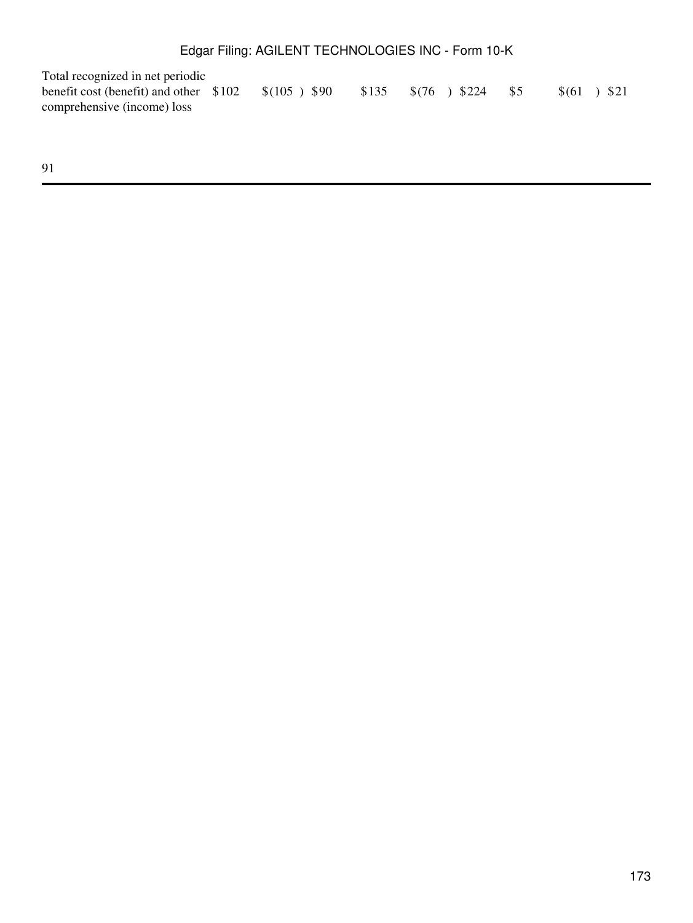Total recognized in net periodic benefit cost (benefit) and other \$102 comprehensive (income) loss  $$(105)$  \$90 \$135 \$(76 ) \$224 \$5 \$(61 ) \$21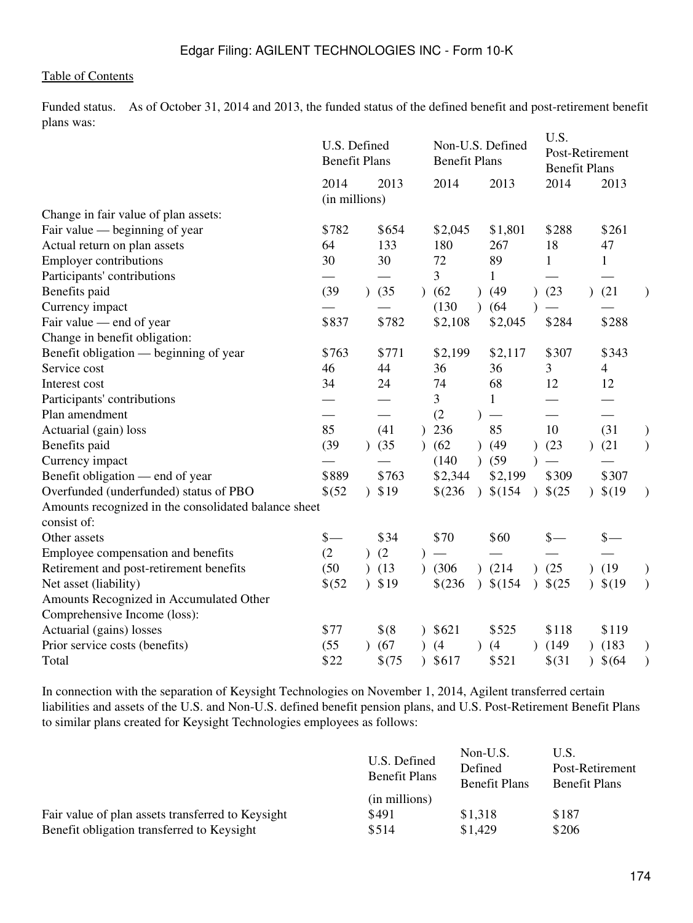Funded status. As of October 31, 2014 and 2013, the funded status of the defined benefit and post-retirement benefit plans was:

|                                                                     | U.S. Defined<br><b>Benefit Plans</b> |               |                                           |               |                                  | Non-U.S. Defined<br><b>Benefit Plans</b> |                          |           |                                           |               | Post-Retirement<br><b>Benefit Plans</b> |               |
|---------------------------------------------------------------------|--------------------------------------|---------------|-------------------------------------------|---------------|----------------------------------|------------------------------------------|--------------------------|-----------|-------------------------------------------|---------------|-----------------------------------------|---------------|
|                                                                     | 2014                                 |               | 2013                                      |               | 2014                             |                                          | 2013                     |           | 2014                                      |               | 2013                                    |               |
|                                                                     | (in millions)                        |               |                                           |               |                                  |                                          |                          |           |                                           |               |                                         |               |
| Change in fair value of plan assets:                                |                                      |               |                                           |               |                                  |                                          |                          |           |                                           |               |                                         |               |
| Fair value — beginning of year                                      | \$782                                |               | \$654                                     |               | \$2,045                          |                                          | \$1,801                  |           | \$288                                     |               | \$261                                   |               |
| Actual return on plan assets                                        | 64                                   |               | 133                                       |               | 180                              |                                          | 267                      |           | 18                                        |               | 47                                      |               |
| <b>Employer contributions</b>                                       | 30                                   |               | 30                                        |               | 72                               |                                          | 89                       |           | $\mathbf{1}$                              |               | $\mathbf{1}$                            |               |
| Participants' contributions                                         |                                      |               | $\overbrace{\phantom{13333}}$             |               | $\overline{3}$                   |                                          | $\mathbf{1}$             |           |                                           |               |                                         |               |
| Benefits paid                                                       | (39)                                 | $\mathcal{L}$ | (35)                                      |               | (62)                             |                                          | (49)                     |           | (23)                                      | $\lambda$     | (21)                                    | $\mathcal{E}$ |
| Currency impact                                                     |                                      |               |                                           |               | (130)                            | $\lambda$                                | (64)                     |           |                                           |               |                                         |               |
| Fair value — end of year                                            | \$837                                |               | \$782                                     |               | \$2,108                          |                                          | \$2,045                  |           | \$284                                     |               | \$288                                   |               |
| Change in benefit obligation:                                       |                                      |               |                                           |               |                                  |                                          |                          |           |                                           |               |                                         |               |
| Benefit obligation — beginning of year                              | \$763                                |               | \$771                                     |               | \$2,199                          |                                          | \$2,117                  |           | \$307                                     |               | \$343                                   |               |
| Service cost                                                        | 46                                   |               | 44                                        |               | 36                               |                                          | 36                       |           | $\overline{3}$                            |               | $\overline{4}$                          |               |
| Interest cost                                                       | 34                                   |               | 24                                        |               | 74                               |                                          | 68                       |           | 12                                        |               | 12                                      |               |
| Participants' contributions                                         |                                      |               | $\qquad \qquad$                           |               | 3                                |                                          | $\mathbf{1}$             |           |                                           |               |                                         |               |
| Plan amendment                                                      | $\overline{\phantom{0}}$             |               | $\qquad \qquad \overline{\qquad \qquad }$ |               | (2)                              | $\lambda$                                | $\overline{\phantom{m}}$ |           | $\qquad \qquad \overline{\qquad \qquad }$ |               | $\overline{\phantom{0}}$                |               |
| Actuarial (gain) loss                                               | 85                                   |               | (41)                                      |               | 236                              |                                          | 85                       |           | 10                                        |               | (31)                                    | $\mathcal{E}$ |
| Benefits paid                                                       | (39)                                 |               | $)$ (35)                                  |               | (62)                             |                                          | (49)                     |           | (23)                                      | $\lambda$     | (21)                                    | $\mathcal{E}$ |
| Currency impact                                                     |                                      |               |                                           |               | (140)                            |                                          | $)$ (59                  |           |                                           |               |                                         |               |
| Benefit obligation — end of year                                    | \$889                                |               | \$763                                     |               | \$2,344                          |                                          | \$2,199                  |           | \$309                                     |               | \$307                                   |               |
| Overfunded (underfunded) status of PBO                              | \$ (52)                              | $\mathcal{L}$ | \$19                                      |               | $$^{(236)}$                      | $\lambda$                                | \$(154)                  | $\lambda$ | \$(25)                                    | $\lambda$     | \$(19)                                  | $\lambda$     |
| Amounts recognized in the consolidated balance sheet<br>consist of: |                                      |               |                                           |               |                                  |                                          |                          |           |                                           |               |                                         |               |
| Other assets                                                        | $\frac{\S}{\S}$                      |               | \$34                                      |               | \$70                             |                                          | \$60                     |           | $\frac{\S}{\S}$                           |               | $\frac{\S}{\S}$                         |               |
| Employee compensation and benefits                                  | (2)                                  | $\mathcal{L}$ | (2)                                       | $\mathcal{L}$ | $\overbrace{\phantom{12322111}}$ |                                          |                          |           |                                           |               |                                         |               |
| Retirement and post-retirement benefits                             | (50)                                 |               | (13)                                      |               | $)$ (306)                        |                                          | (214)                    |           | )(25)                                     | $\mathcal{F}$ | (19)                                    | $\mathcal{E}$ |
| Net asset (liability)                                               | \$ (52)                              | $\mathcal{L}$ | \$19                                      |               | \$(236)                          |                                          | \$(154)                  |           | 3(25)                                     | $\lambda$     | \$(19)                                  | $\mathcal{L}$ |
| Amounts Recognized in Accumulated Other                             |                                      |               |                                           |               |                                  |                                          |                          |           |                                           |               |                                         |               |
| Comprehensive Income (loss):                                        |                                      |               |                                           |               |                                  |                                          |                          |           |                                           |               |                                         |               |
| Actuarial (gains) losses                                            | \$77                                 |               | $$^{(8)}$                                 | $\mathcal{L}$ | \$621                            |                                          | \$525                    |           | \$118                                     |               | \$119                                   |               |
| Prior service costs (benefits)                                      | (55)                                 | $\mathcal{L}$ | (67)                                      |               | (4)                              |                                          | (4)                      |           | (149)                                     |               | (183)                                   | $\mathcal{E}$ |
| Total                                                               | \$22                                 |               | \$(75                                     | $\mathcal{L}$ | \$617                            |                                          | \$521                    |           | $$^{(31)}$                                | $\lambda$     | \$ (64)                                 | $\mathcal{E}$ |

In connection with the separation of Keysight Technologies on November 1, 2014, Agilent transferred certain liabilities and assets of the U.S. and Non-U.S. defined benefit pension plans, and U.S. Post-Retirement Benefit Plans to similar plans created for Keysight Technologies employees as follows:

|                                                   | U.S. Defined<br><b>Benefit Plans</b> | Non-U.S.<br>Defined<br><b>Benefit Plans</b> | U.S.<br>Post-Retirement<br><b>Benefit Plans</b> |
|---------------------------------------------------|--------------------------------------|---------------------------------------------|-------------------------------------------------|
|                                                   | (in millions)                        |                                             |                                                 |
| Fair value of plan assets transferred to Keysight | \$491                                | \$1,318                                     | \$187                                           |
| Benefit obligation transferred to Keysight        | \$514                                | \$1,429                                     | \$206                                           |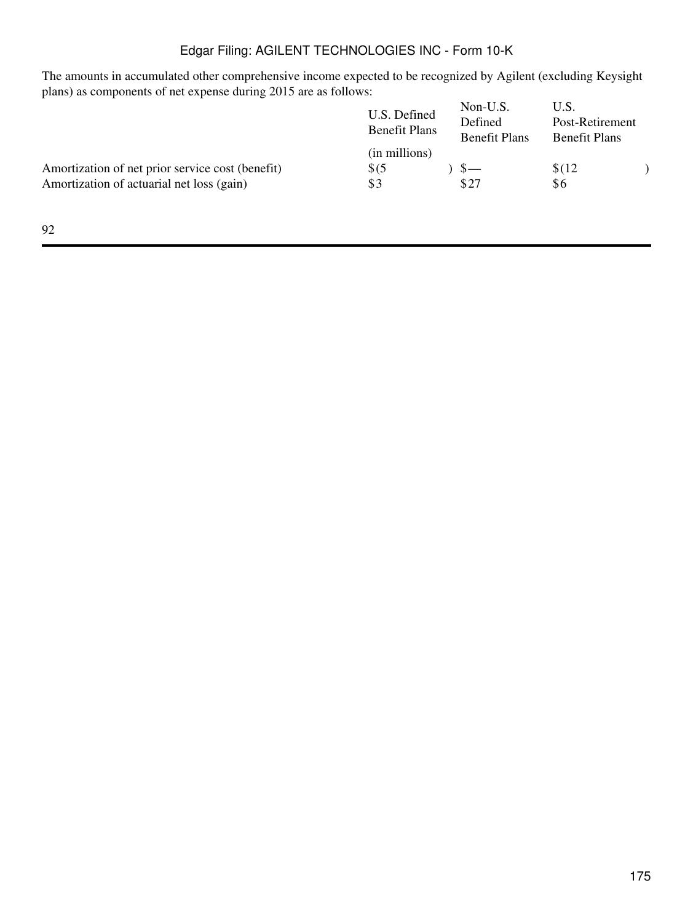The amounts in accumulated other comprehensive income expected to be recognized by Agilent (excluding Keysight plans) as components of net expense during 2015 are as follows: N<sub>on</sub> II C. II.C.

|                                                  | U.S. Defined<br><b>Benefit Plans</b> | $Non-U.S.$<br>Defined<br><b>Benefit Plans</b> | U.S.<br>Post-Retirement<br><b>Benefit Plans</b> |  |
|--------------------------------------------------|--------------------------------------|-----------------------------------------------|-------------------------------------------------|--|
|                                                  | (in millions)                        |                                               |                                                 |  |
| Amortization of net prior service cost (benefit) | $\sqrt{5}$                           |                                               | \$(12)                                          |  |
| Amortization of actuarial net loss (gain)        | \$3                                  | \$27                                          | \$6                                             |  |
|                                                  |                                      |                                               |                                                 |  |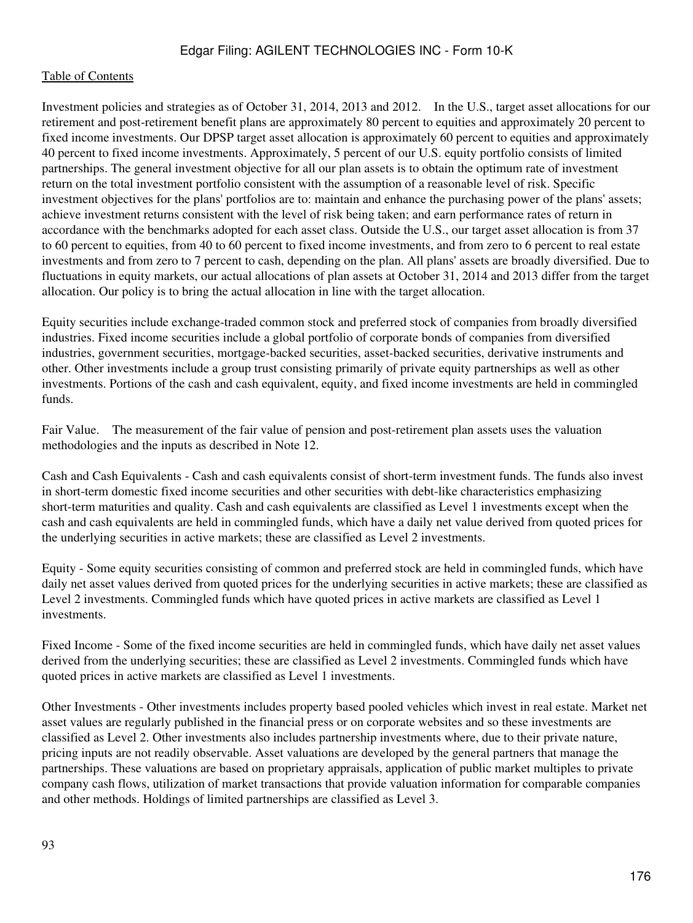Investment policies and strategies as of October 31, 2014, 2013 and 2012. In the U.S., target asset allocations for our retirement and post-retirement benefit plans are approximately 80 percent to equities and approximately 20 percent to fixed income investments. Our DPSP target asset allocation is approximately 60 percent to equities and approximately 40 percent to fixed income investments. Approximately, 5 percent of our U.S. equity portfolio consists of limited partnerships. The general investment objective for all our plan assets is to obtain the optimum rate of investment return on the total investment portfolio consistent with the assumption of a reasonable level of risk. Specific investment objectives for the plans' portfolios are to: maintain and enhance the purchasing power of the plans' assets; achieve investment returns consistent with the level of risk being taken; and earn performance rates of return in accordance with the benchmarks adopted for each asset class. Outside the U.S., our target asset allocation is from 37 to 60 percent to equities, from 40 to 60 percent to fixed income investments, and from zero to 6 percent to real estate investments and from zero to 7 percent to cash, depending on the plan. All plans' assets are broadly diversified. Due to fluctuations in equity markets, our actual allocations of plan assets at October 31, 2014 and 2013 differ from the target allocation. Our policy is to bring the actual allocation in line with the target allocation.

Equity securities include exchange-traded common stock and preferred stock of companies from broadly diversified industries. Fixed income securities include a global portfolio of corporate bonds of companies from diversified industries, government securities, mortgage-backed securities, asset-backed securities, derivative instruments and other. Other investments include a group trust consisting primarily of private equity partnerships as well as other investments. Portions of the cash and cash equivalent, equity, and fixed income investments are held in commingled funds.

Fair Value. The measurement of the fair value of pension and post-retirement plan assets uses the valuation methodologies and the inputs as described in Note 12.

Cash and Cash Equivalents - Cash and cash equivalents consist of short-term investment funds. The funds also invest in short-term domestic fixed income securities and other securities with debt-like characteristics emphasizing short-term maturities and quality. Cash and cash equivalents are classified as Level 1 investments except when the cash and cash equivalents are held in commingled funds, which have a daily net value derived from quoted prices for the underlying securities in active markets; these are classified as Level 2 investments.

Equity - Some equity securities consisting of common and preferred stock are held in commingled funds, which have daily net asset values derived from quoted prices for the underlying securities in active markets; these are classified as Level 2 investments. Commingled funds which have quoted prices in active markets are classified as Level 1 investments.

Fixed Income - Some of the fixed income securities are held in commingled funds, which have daily net asset values derived from the underlying securities; these are classified as Level 2 investments. Commingled funds which have quoted prices in active markets are classified as Level 1 investments.

Other Investments - Other investments includes property based pooled vehicles which invest in real estate. Market net asset values are regularly published in the financial press or on corporate websites and so these investments are classified as Level 2. Other investments also includes partnership investments where, due to their private nature, pricing inputs are not readily observable. Asset valuations are developed by the general partners that manage the partnerships. These valuations are based on proprietary appraisals, application of public market multiples to private company cash flows, utilization of market transactions that provide valuation information for comparable companies and other methods. Holdings of limited partnerships are classified as Level 3.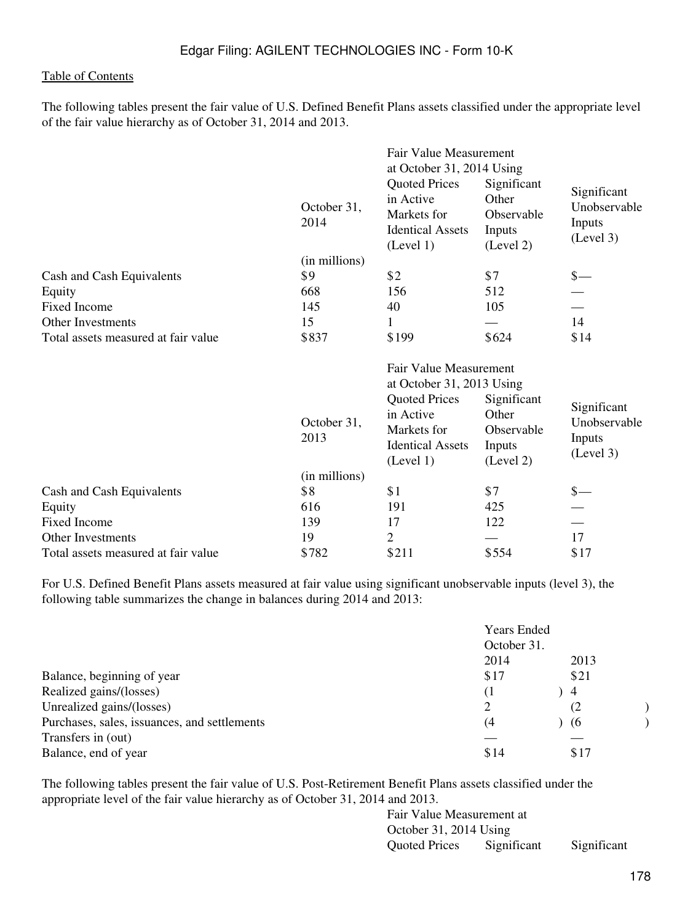The following tables present the fair value of U.S. Defined Benefit Plans assets classified under the appropriate level of the fair value hierarchy as of October 31, 2014 and 2013.

|                                     | Fair Value Measurement<br>at October 31, 2014 Using |                                                                                          |                                                           |                                                    |  |
|-------------------------------------|-----------------------------------------------------|------------------------------------------------------------------------------------------|-----------------------------------------------------------|----------------------------------------------------|--|
|                                     | October 31,<br>2014                                 | <b>Quoted Prices</b><br>in Active<br>Markets for<br><b>Identical Assets</b><br>(Level 1) | Significant<br>Other<br>Observable<br>Inputs<br>(Level 2) | Significant<br>Unobservable<br>Inputs<br>(Level 3) |  |
|                                     | (in millions)                                       |                                                                                          |                                                           |                                                    |  |
| Cash and Cash Equivalents           | \$9                                                 | \$2                                                                                      | \$7                                                       | $\frac{\ }{\ }$                                    |  |
| Equity                              | 668                                                 | 156                                                                                      | 512                                                       |                                                    |  |
| <b>Fixed Income</b>                 | 145                                                 | 40                                                                                       | 105                                                       |                                                    |  |
| <b>Other Investments</b>            | 15                                                  | 1                                                                                        |                                                           | 14                                                 |  |
| Total assets measured at fair value | \$837                                               | \$199                                                                                    | \$624                                                     | \$14                                               |  |
|                                     |                                                     | Fair Value Measurement<br>at October 31, 2013 Using                                      |                                                           |                                                    |  |
|                                     | October 31,<br>2013                                 | <b>Quoted Prices</b><br>in Active<br>Markets for<br><b>Identical Assets</b><br>(Level 1) | Significant<br>Other<br>Observable<br>Inputs<br>(Level 2) | Significant<br>Unobservable<br>Inputs<br>(Level 3) |  |
|                                     | (in millions)                                       |                                                                                          |                                                           |                                                    |  |
| Cash and Cash Equivalents           | \$8                                                 | \$1                                                                                      | \$7                                                       | $\frac{\ }{\ }$                                    |  |
| Equity                              | 616                                                 | 191                                                                                      | 425                                                       |                                                    |  |
| <b>Fixed Income</b>                 | 139                                                 | 17                                                                                       | 122                                                       |                                                    |  |
| Other Investments                   | 19                                                  | 2                                                                                        |                                                           | 17                                                 |  |
| Total assets measured at fair value | \$782                                               | \$211                                                                                    | \$554                                                     | \$17                                               |  |

For U.S. Defined Benefit Plans assets measured at fair value using significant unobservable inputs (level 3), the following table summarizes the change in balances during 2014 and 2013:

|                                              | <b>Years Ended</b> |                |  |  |
|----------------------------------------------|--------------------|----------------|--|--|
|                                              | October 31.        |                |  |  |
|                                              | 2014               | 2013           |  |  |
| Balance, beginning of year                   | \$17               | \$21           |  |  |
| Realized gains/(losses)                      |                    | $\overline{4}$ |  |  |
| Unrealized gains/(losses)                    |                    | (2)            |  |  |
| Purchases, sales, issuances, and settlements | (4)                | (6)            |  |  |
| Transfers in (out)                           |                    |                |  |  |
| Balance, end of year                         | \$14               | \$17           |  |  |

The following tables present the fair value of U.S. Post-Retirement Benefit Plans assets classified under the appropriate level of the fair value hierarchy as of October 31, 2014 and 2013.

> Fair Value Measurement at October 31, 2014 Using Quoted Prices Significant Significant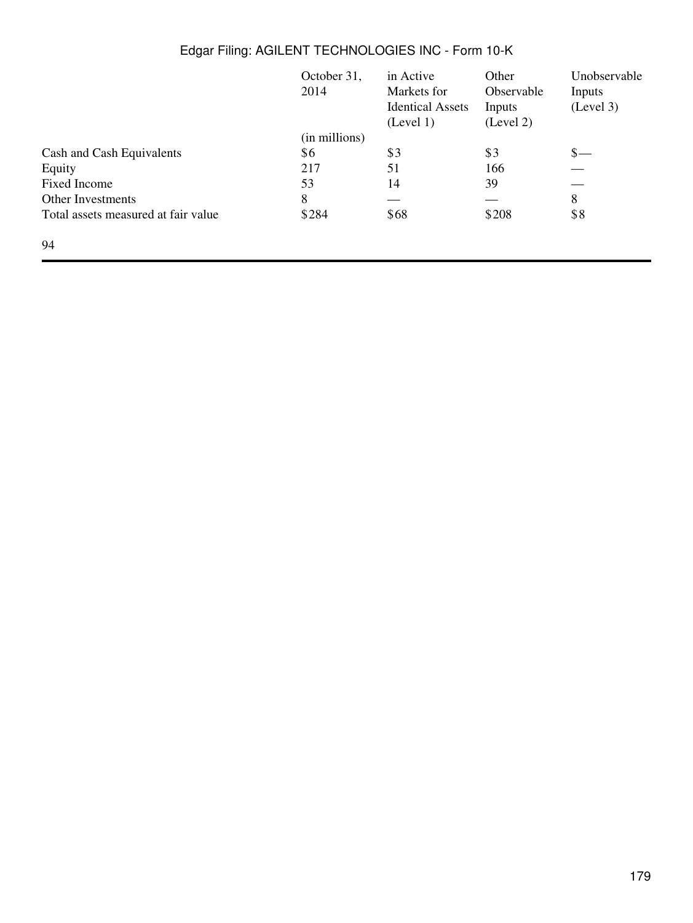|                                     | October 31,<br>2014  | in Active<br>Markets for<br><b>Identical Assets</b> | Other<br>Observable<br>Inputs | Unobservable<br>Inputs<br>(Level 3) |
|-------------------------------------|----------------------|-----------------------------------------------------|-------------------------------|-------------------------------------|
|                                     |                      | (Level 1)                                           | (Level 2)                     |                                     |
|                                     | (in millions)<br>\$6 | \$3                                                 | \$3                           | $\mathcal{S}-$                      |
| Cash and Cash Equivalents           |                      |                                                     |                               |                                     |
| Equity                              | 217                  | 51                                                  | 166                           |                                     |
| Fixed Income                        | 53                   | 14                                                  | 39                            |                                     |
| <b>Other Investments</b>            | 8                    |                                                     |                               | 8                                   |
| Total assets measured at fair value | \$284                | \$68                                                | \$208                         | \$8                                 |
| 94                                  |                      |                                                     |                               |                                     |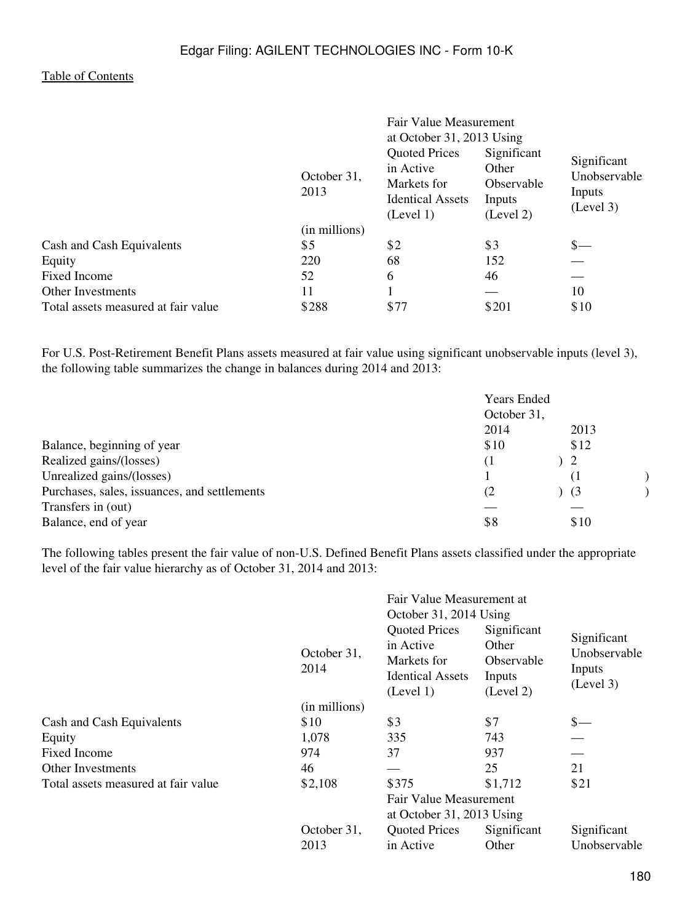|                                     | October 31,<br>2013 | Fair Value Measurement<br>at October 31, 2013 Using<br><b>Quoted Prices</b><br>in Active<br>Markets for<br><b>Identical Assets</b><br>(Level 1) | Significant<br>Other<br>Observable<br>Inputs<br>(Level 2) | Significant<br>Unobservable<br>Inputs<br>(Level 3) |
|-------------------------------------|---------------------|-------------------------------------------------------------------------------------------------------------------------------------------------|-----------------------------------------------------------|----------------------------------------------------|
|                                     | (in millions)       |                                                                                                                                                 |                                                           |                                                    |
| Cash and Cash Equivalents           | \$5                 | \$2                                                                                                                                             | \$3                                                       | $S-$                                               |
| Equity                              | 220                 | 68                                                                                                                                              | 152                                                       |                                                    |
| Fixed Income                        | 52                  | 6                                                                                                                                               | 46                                                        |                                                    |
| <b>Other Investments</b>            | 11                  |                                                                                                                                                 |                                                           | 10                                                 |
| Total assets measured at fair value | \$288               | \$77                                                                                                                                            | \$201                                                     | \$10                                               |

For U.S. Post-Retirement Benefit Plans assets measured at fair value using significant unobservable inputs (level 3), the following table summarizes the change in balances during 2014 and 2013:

|                                              | <b>Years Ended</b><br>October 31, |               |  |
|----------------------------------------------|-----------------------------------|---------------|--|
|                                              |                                   |               |  |
|                                              | 2014                              | 2013          |  |
| Balance, beginning of year                   | \$10                              | \$12          |  |
| Realized gains/(losses)                      | (1                                | $\binom{2}{}$ |  |
| Unrealized gains/(losses)                    |                                   |               |  |
| Purchases, sales, issuances, and settlements | (2                                | - (3          |  |
| Transfers in (out)                           |                                   |               |  |
| Balance, end of year                         | \$8                               | \$10          |  |

The following tables present the fair value of non-U.S. Defined Benefit Plans assets classified under the appropriate level of the fair value hierarchy as of October 31, 2014 and 2013:

|                                     | Fair Value Measurement at<br>October 31, 2014 Using |                                                                                          |                                                           |                                                    |  |
|-------------------------------------|-----------------------------------------------------|------------------------------------------------------------------------------------------|-----------------------------------------------------------|----------------------------------------------------|--|
|                                     | October 31,<br>2014                                 | <b>Quoted Prices</b><br>in Active<br>Markets for<br><b>Identical Assets</b><br>(Level 1) | Significant<br>Other<br>Observable<br>Inputs<br>(Level 2) | Significant<br>Unobservable<br>Inputs<br>(Level 3) |  |
|                                     | (in millions)                                       |                                                                                          |                                                           |                                                    |  |
| Cash and Cash Equivalents           | \$10                                                | \$3                                                                                      | \$7                                                       | $\frac{\S}{\S}$                                    |  |
| Equity                              | 1,078                                               | 335                                                                                      | 743                                                       |                                                    |  |
| Fixed Income                        | 974                                                 | 37                                                                                       | 937                                                       |                                                    |  |
| <b>Other Investments</b>            | 46                                                  |                                                                                          | 25                                                        | 21                                                 |  |
| Total assets measured at fair value | \$2,108                                             | \$375                                                                                    | \$1,712                                                   | \$21                                               |  |
|                                     |                                                     | Fair Value Measurement                                                                   |                                                           |                                                    |  |
|                                     |                                                     | at October 31, 2013 Using                                                                |                                                           |                                                    |  |
|                                     | October 31,                                         | <b>Quoted Prices</b>                                                                     | Significant                                               | Significant                                        |  |
|                                     | 2013                                                | in Active                                                                                | Other                                                     | Unobservable                                       |  |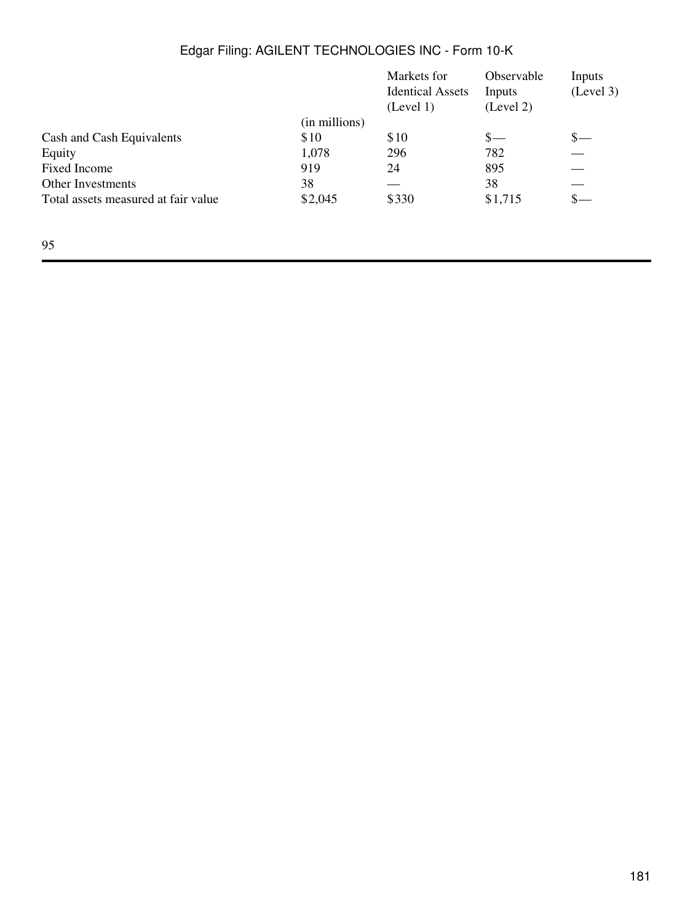|                                     |               | Markets for             | Observable | Inputs    |
|-------------------------------------|---------------|-------------------------|------------|-----------|
|                                     |               | <b>Identical Assets</b> | Inputs     | (Level 3) |
|                                     |               | (Level 1)               | (Level 2)  |           |
|                                     | (in millions) |                         |            |           |
| Cash and Cash Equivalents           | \$10          | \$10                    | $S-$       | $S-$      |
| Equity                              | 1,078         | 296                     | 782        |           |
| Fixed Income                        | 919           | 24                      | 895        |           |
| <b>Other Investments</b>            | 38            |                         | 38         |           |
| Total assets measured at fair value | \$2,045       | \$330                   | \$1,715    | $S-$      |
|                                     |               |                         |            |           |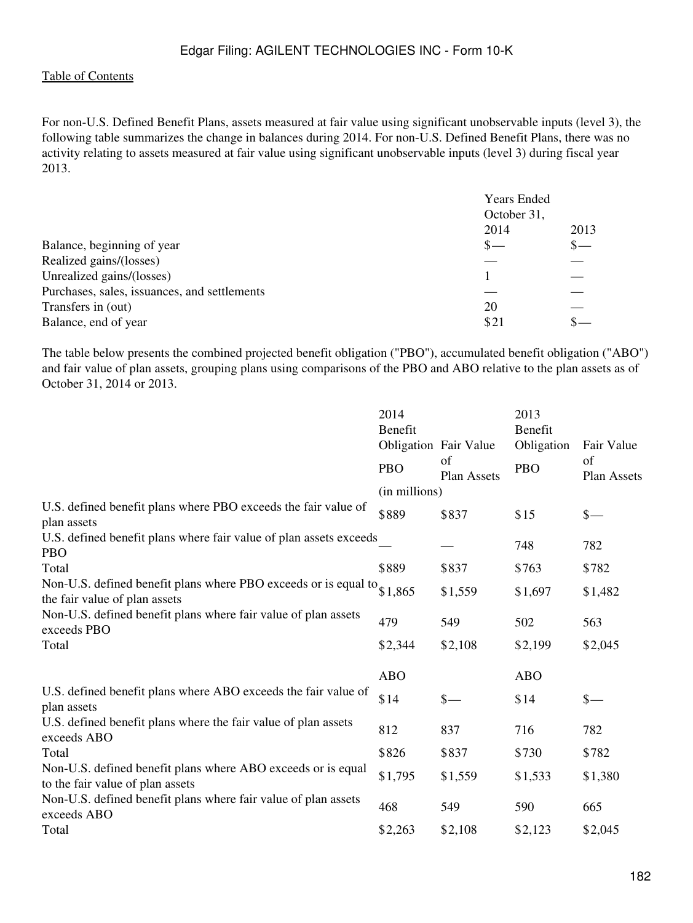For non-U.S. Defined Benefit Plans, assets measured at fair value using significant unobservable inputs (level 3), the following table summarizes the change in balances during 2014. For non-U.S. Defined Benefit Plans, there was no activity relating to assets measured at fair value using significant unobservable inputs (level 3) during fiscal year 2013.

|                                              | <b>Years Ended</b><br>October 31, |               |
|----------------------------------------------|-----------------------------------|---------------|
|                                              | 2014                              | 2013          |
| Balance, beginning of year                   | $S-$                              | $\frac{1}{2}$ |
| Realized gains/(losses)                      |                                   |               |
| Unrealized gains/(losses)                    |                                   |               |
| Purchases, sales, issuances, and settlements |                                   |               |
| Transfers in (out)                           | 20                                |               |
| Balance, end of year                         | \$21                              |               |

The table below presents the combined projected benefit obligation ("PBO"), accumulated benefit obligation ("ABO") and fair value of plan assets, grouping plans using comparisons of the PBO and ABO relative to the plan assets as of October 31, 2014 or 2013.

|                                                                                                           | 2014<br>Benefit | <b>Obligation</b> Fair Value | 2013<br>Benefit<br>Obligation | Fair Value        |
|-----------------------------------------------------------------------------------------------------------|-----------------|------------------------------|-------------------------------|-------------------|
|                                                                                                           | <b>PBO</b>      | οf<br><b>Plan Assets</b>     | PBO                           | of<br>Plan Assets |
|                                                                                                           | (in millions)   |                              |                               |                   |
| U.S. defined benefit plans where PBO exceeds the fair value of<br>plan assets                             | \$889           | \$837                        | \$15                          | $\frac{\ }{s-}$   |
| U.S. defined benefit plans where fair value of plan assets exceeds<br><b>PBO</b>                          |                 |                              | 748                           | 782               |
| Total                                                                                                     | \$889           | \$837                        | \$763                         | \$782             |
| Non-U.S. defined benefit plans where PBO exceeds or is equal to $$1,865$<br>the fair value of plan assets |                 | \$1,559                      | \$1,697                       | \$1,482           |
| Non-U.S. defined benefit plans where fair value of plan assets<br>exceeds PBO                             | 479             | 549                          | 502                           | 563               |
| Total                                                                                                     | \$2,344         | \$2,108                      | \$2,199                       | \$2,045           |
|                                                                                                           | <b>ABO</b>      |                              | <b>ABO</b>                    |                   |
| U.S. defined benefit plans where ABO exceeds the fair value of<br>plan assets                             | \$14            | $s-$                         | \$14                          | $\frac{\ }{s-}$   |
| U.S. defined benefit plans where the fair value of plan assets<br>exceeds ABO                             | 812             | 837                          | 716                           | 782               |
| Total                                                                                                     | \$826           | \$837                        | \$730                         | \$782             |
| Non-U.S. defined benefit plans where ABO exceeds or is equal<br>to the fair value of plan assets          | \$1,795         | \$1,559                      | \$1,533                       | \$1,380           |
| Non-U.S. defined benefit plans where fair value of plan assets<br>exceeds ABO                             | 468             | 549                          | 590                           | 665               |
| Total                                                                                                     | \$2,263         | \$2,108                      | \$2,123                       | \$2,045           |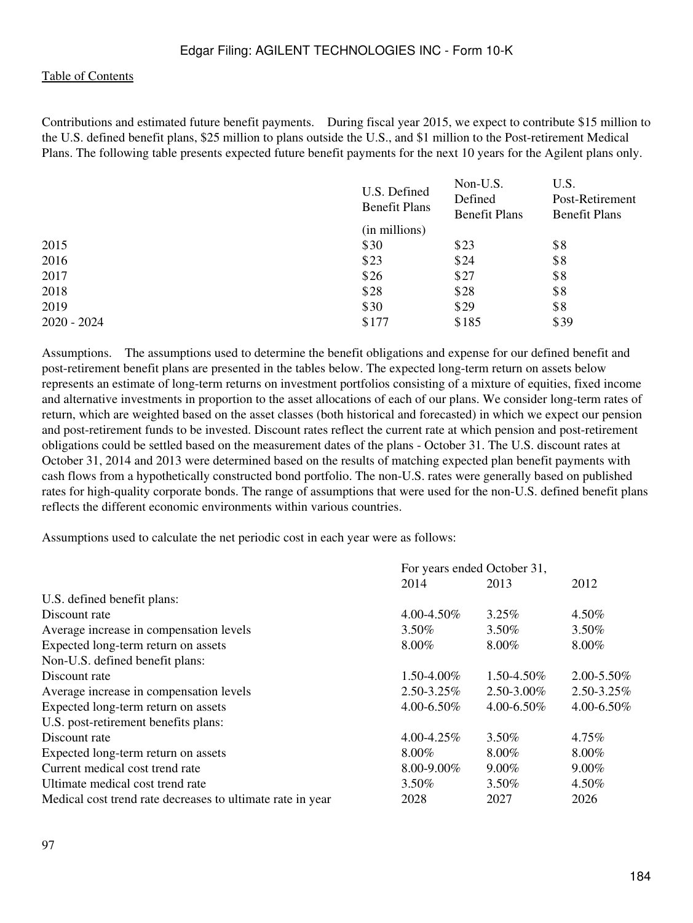#### [Table of Contents](#page-2-0)

Contributions and estimated future benefit payments. During fiscal year 2015, we expect to contribute \$15 million to the U.S. defined benefit plans, \$25 million to plans outside the U.S., and \$1 million to the Post-retirement Medical Plans. The following table presents expected future benefit payments for the next 10 years for the Agilent plans only.

|               | U.S. Defined         | Non-U.S.             | U.S.                 |
|---------------|----------------------|----------------------|----------------------|
|               | <b>Benefit Plans</b> | Defined              | Post-Retirement      |
|               |                      | <b>Benefit Plans</b> | <b>Benefit Plans</b> |
|               | (in millions)        |                      |                      |
| 2015          | \$30                 | \$23                 | \$8                  |
| 2016          | \$23                 | \$24                 | \$8                  |
| 2017          | \$26                 | \$27                 | \$8                  |
| 2018          | \$28                 | \$28                 | \$8                  |
| 2019          | \$30                 | \$29                 | \$8                  |
| $2020 - 2024$ | \$177                | \$185                | \$39                 |

Assumptions. The assumptions used to determine the benefit obligations and expense for our defined benefit and post-retirement benefit plans are presented in the tables below. The expected long-term return on assets below represents an estimate of long-term returns on investment portfolios consisting of a mixture of equities, fixed income and alternative investments in proportion to the asset allocations of each of our plans. We consider long-term rates of return, which are weighted based on the asset classes (both historical and forecasted) in which we expect our pension and post-retirement funds to be invested. Discount rates reflect the current rate at which pension and post-retirement obligations could be settled based on the measurement dates of the plans - October 31. The U.S. discount rates at October 31, 2014 and 2013 were determined based on the results of matching expected plan benefit payments with cash flows from a hypothetically constructed bond portfolio. The non-U.S. rates were generally based on published rates for high-quality corporate bonds. The range of assumptions that were used for the non-U.S. defined benefit plans reflects the different economic environments within various countries.

Assumptions used to calculate the net periodic cost in each year were as follows:

|                                                            | For years ended October 31, |                 |                 |  |  |
|------------------------------------------------------------|-----------------------------|-----------------|-----------------|--|--|
|                                                            | 2014                        | 2013            | 2012            |  |  |
| U.S. defined benefit plans:                                |                             |                 |                 |  |  |
| Discount rate                                              | $4.00 - 4.50\%$             | 3.25%           | 4.50%           |  |  |
| Average increase in compensation levels                    | 3.50%                       | 3.50%           | $3.50\%$        |  |  |
| Expected long-term return on assets                        | $8.00\%$                    | 8.00%           | 8.00%           |  |  |
| Non-U.S. defined benefit plans:                            |                             |                 |                 |  |  |
| Discount rate                                              | $1.50 - 4.00\%$             | $1.50 - 4.50\%$ | 2.00-5.50%      |  |  |
| Average increase in compensation levels                    | $2.50 - 3.25\%$             | 2.50-3.00%      | 2.50-3.25%      |  |  |
| Expected long-term return on assets                        | $4.00 - 6.50\%$             | $4.00 - 6.50\%$ | $4.00 - 6.50\%$ |  |  |
| U.S. post-retirement benefits plans:                       |                             |                 |                 |  |  |
| Discount rate                                              | 4.00-4.25%                  | 3.50%           | 4.75%           |  |  |
| Expected long-term return on assets                        | $8.00\%$                    | $8.00\%$        | $8.00\%$        |  |  |
| Current medical cost trend rate                            | 8.00-9.00%                  | 9.00%           | 9.00%           |  |  |
| Ultimate medical cost trend rate                           | $3.50\%$                    | 3.50%           | 4.50%           |  |  |
| Medical cost trend rate decreases to ultimate rate in year | 2028                        | 2027            | 2026            |  |  |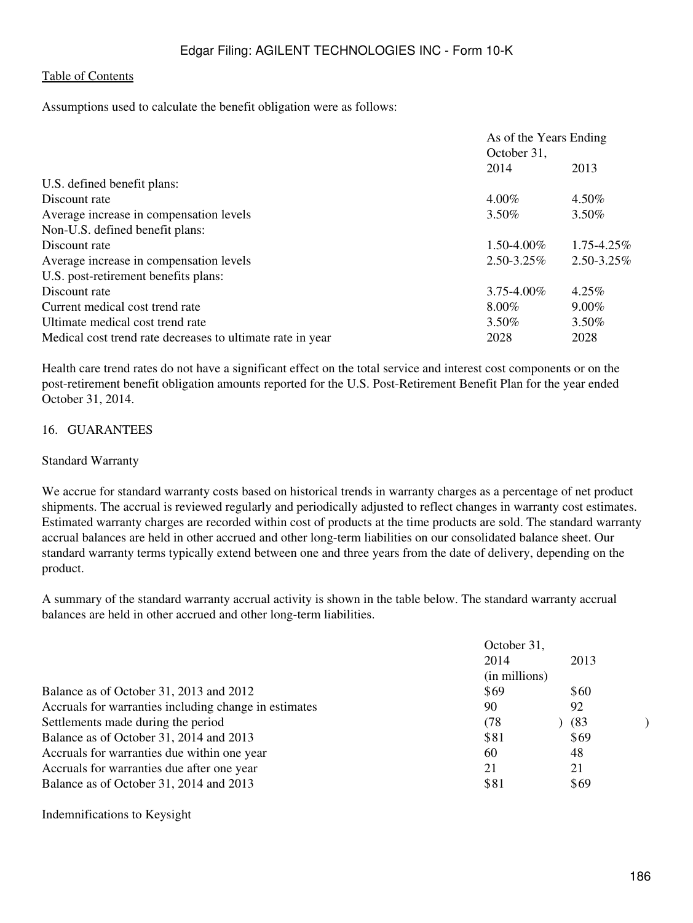Assumptions used to calculate the benefit obligation were as follows:

|                                                            |                 | As of the Years Ending<br>October 31, |  |  |
|------------------------------------------------------------|-----------------|---------------------------------------|--|--|
|                                                            |                 |                                       |  |  |
|                                                            | 2014            | 2013                                  |  |  |
| U.S. defined benefit plans:                                |                 |                                       |  |  |
| Discount rate                                              | $4.00\%$        | 4.50%                                 |  |  |
| Average increase in compensation levels                    | $3.50\%$        | $3.50\%$                              |  |  |
| Non-U.S. defined benefit plans:                            |                 |                                       |  |  |
| Discount rate                                              | $1.50 - 4.00\%$ | 1.75-4.25%                            |  |  |
| Average increase in compensation levels                    | $2.50 - 3.25\%$ | 2.50-3.25%                            |  |  |
| U.S. post-retirement benefits plans:                       |                 |                                       |  |  |
| Discount rate                                              | 3.75-4.00%      | $4.25\%$                              |  |  |
| Current medical cost trend rate                            | $8.00\%$        | $9.00\%$                              |  |  |
| Ultimate medical cost trend rate                           | $3.50\%$        | $3.50\%$                              |  |  |
| Medical cost trend rate decreases to ultimate rate in year | 2028            | 2028                                  |  |  |
|                                                            |                 |                                       |  |  |

Health care trend rates do not have a significant effect on the total service and interest cost components or on the post-retirement benefit obligation amounts reported for the U.S. Post-Retirement Benefit Plan for the year ended October 31, 2014.

## 16. GUARANTEES

#### Standard Warranty

We accrue for standard warranty costs based on historical trends in warranty charges as a percentage of net product shipments. The accrual is reviewed regularly and periodically adjusted to reflect changes in warranty cost estimates. Estimated warranty charges are recorded within cost of products at the time products are sold. The standard warranty accrual balances are held in other accrued and other long-term liabilities on our consolidated balance sheet. Our standard warranty terms typically extend between one and three years from the date of delivery, depending on the product.

A summary of the standard warranty accrual activity is shown in the table below. The standard warranty accrual balances are held in other accrued and other long-term liabilities.

|                                                       | October 31,   |      |
|-------------------------------------------------------|---------------|------|
|                                                       | 2014          | 2013 |
|                                                       | (in millions) |      |
| Balance as of October 31, 2013 and 2012               | \$69          | \$60 |
| Accruals for warranties including change in estimates | 90            | 92   |
| Settlements made during the period                    | (78           | (83) |
| Balance as of October 31, 2014 and 2013               | \$81          | \$69 |
| Accruals for warranties due within one year           | 60            | 48   |
| Accruals for warranties due after one year            | 21            | 21   |
| Balance as of October 31, 2014 and 2013               | \$81          | \$69 |

#### Indemnifications to Keysight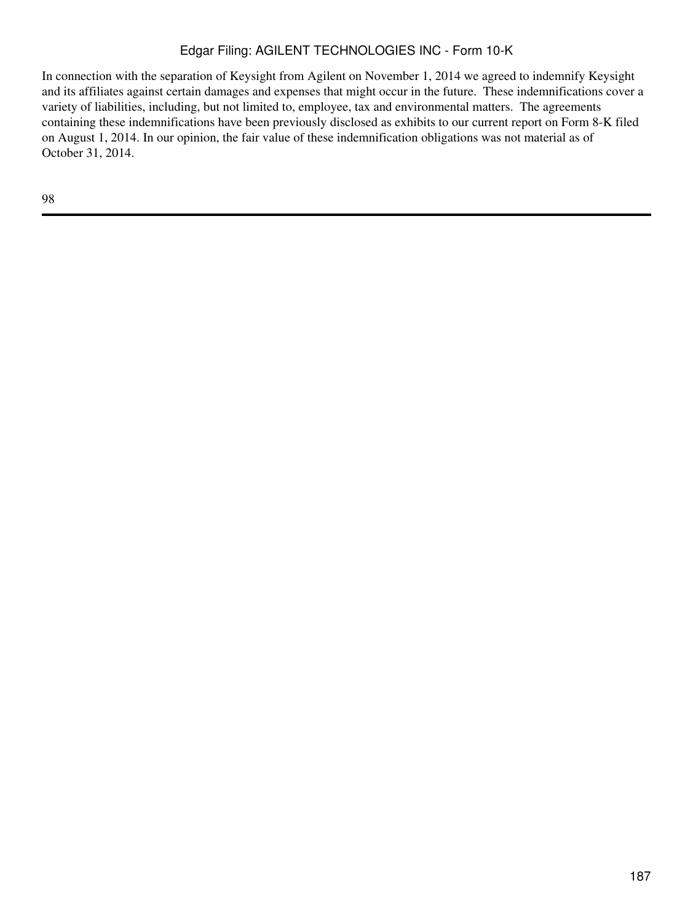In connection with the separation of Keysight from Agilent on November 1, 2014 we agreed to indemnify Keysight and its affiliates against certain damages and expenses that might occur in the future. These indemnifications cover a variety of liabilities, including, but not limited to, employee, tax and environmental matters. The agreements containing these indemnifications have been previously disclosed as exhibits to our current report on Form 8-K filed on August 1, 2014. In our opinion, the fair value of these indemnification obligations was not material as of October 31, 2014.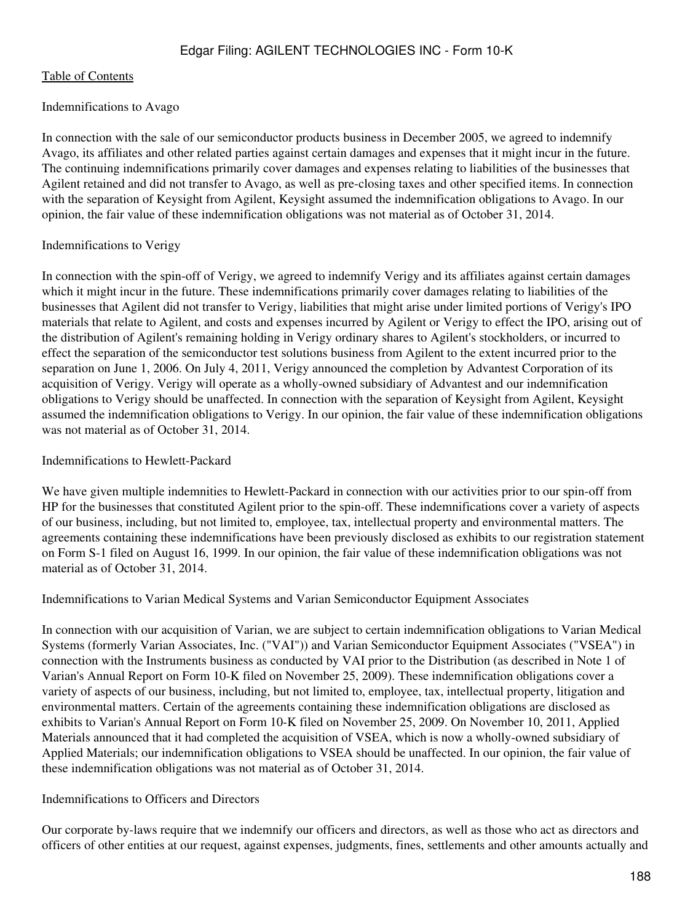## Indemnifications to Avago

In connection with the sale of our semiconductor products business in December 2005, we agreed to indemnify Avago, its affiliates and other related parties against certain damages and expenses that it might incur in the future. The continuing indemnifications primarily cover damages and expenses relating to liabilities of the businesses that Agilent retained and did not transfer to Avago, as well as pre-closing taxes and other specified items. In connection with the separation of Keysight from Agilent, Keysight assumed the indemnification obligations to Avago. In our opinion, the fair value of these indemnification obligations was not material as of October 31, 2014.

## Indemnifications to Verigy

In connection with the spin-off of Verigy, we agreed to indemnify Verigy and its affiliates against certain damages which it might incur in the future. These indemnifications primarily cover damages relating to liabilities of the businesses that Agilent did not transfer to Verigy, liabilities that might arise under limited portions of Verigy's IPO materials that relate to Agilent, and costs and expenses incurred by Agilent or Verigy to effect the IPO, arising out of the distribution of Agilent's remaining holding in Verigy ordinary shares to Agilent's stockholders, or incurred to effect the separation of the semiconductor test solutions business from Agilent to the extent incurred prior to the separation on June 1, 2006. On July 4, 2011, Verigy announced the completion by Advantest Corporation of its acquisition of Verigy. Verigy will operate as a wholly-owned subsidiary of Advantest and our indemnification obligations to Verigy should be unaffected. In connection with the separation of Keysight from Agilent, Keysight assumed the indemnification obligations to Verigy. In our opinion, the fair value of these indemnification obligations was not material as of October 31, 2014.

## Indemnifications to Hewlett-Packard

We have given multiple indemnities to Hewlett-Packard in connection with our activities prior to our spin-off from HP for the businesses that constituted Agilent prior to the spin-off. These indemnifications cover a variety of aspects of our business, including, but not limited to, employee, tax, intellectual property and environmental matters. The agreements containing these indemnifications have been previously disclosed as exhibits to our registration statement on Form S-1 filed on August 16, 1999. In our opinion, the fair value of these indemnification obligations was not material as of October 31, 2014.

Indemnifications to Varian Medical Systems and Varian Semiconductor Equipment Associates

In connection with our acquisition of Varian, we are subject to certain indemnification obligations to Varian Medical Systems (formerly Varian Associates, Inc. ("VAI")) and Varian Semiconductor Equipment Associates ("VSEA") in connection with the Instruments business as conducted by VAI prior to the Distribution (as described in Note 1 of Varian's Annual Report on Form 10-K filed on November 25, 2009). These indemnification obligations cover a variety of aspects of our business, including, but not limited to, employee, tax, intellectual property, litigation and environmental matters. Certain of the agreements containing these indemnification obligations are disclosed as exhibits to Varian's Annual Report on Form 10-K filed on November 25, 2009. On November 10, 2011, Applied Materials announced that it had completed the acquisition of VSEA, which is now a wholly-owned subsidiary of Applied Materials; our indemnification obligations to VSEA should be unaffected. In our opinion, the fair value of these indemnification obligations was not material as of October 31, 2014.

## Indemnifications to Officers and Directors

Our corporate by-laws require that we indemnify our officers and directors, as well as those who act as directors and officers of other entities at our request, against expenses, judgments, fines, settlements and other amounts actually and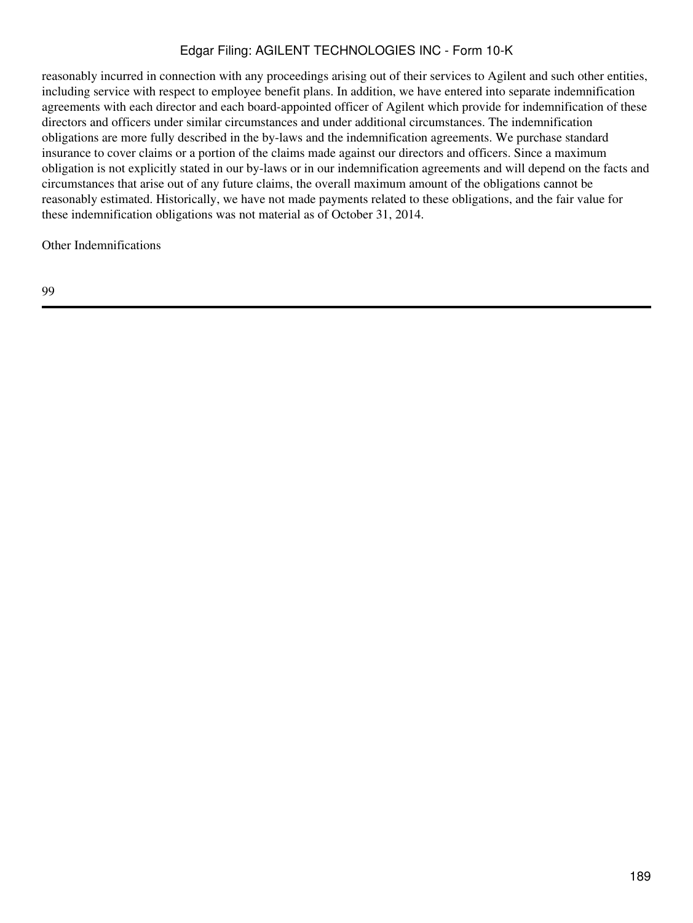reasonably incurred in connection with any proceedings arising out of their services to Agilent and such other entities, including service with respect to employee benefit plans. In addition, we have entered into separate indemnification agreements with each director and each board-appointed officer of Agilent which provide for indemnification of these directors and officers under similar circumstances and under additional circumstances. The indemnification obligations are more fully described in the by-laws and the indemnification agreements. We purchase standard insurance to cover claims or a portion of the claims made against our directors and officers. Since a maximum obligation is not explicitly stated in our by-laws or in our indemnification agreements and will depend on the facts and circumstances that arise out of any future claims, the overall maximum amount of the obligations cannot be reasonably estimated. Historically, we have not made payments related to these obligations, and the fair value for these indemnification obligations was not material as of October 31, 2014.

Other Indemnifications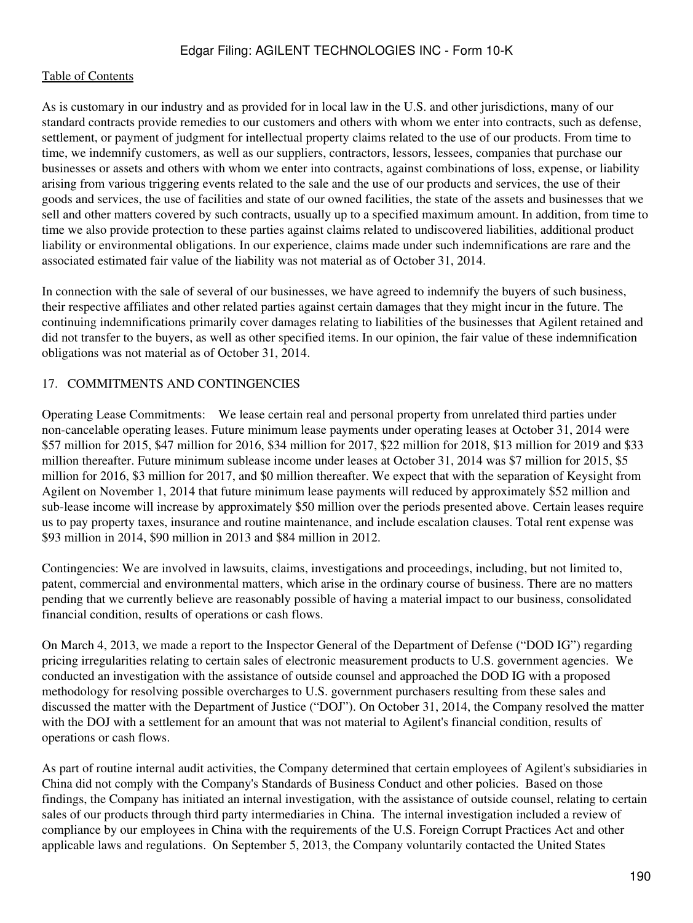As is customary in our industry and as provided for in local law in the U.S. and other jurisdictions, many of our standard contracts provide remedies to our customers and others with whom we enter into contracts, such as defense, settlement, or payment of judgment for intellectual property claims related to the use of our products. From time to time, we indemnify customers, as well as our suppliers, contractors, lessors, lessees, companies that purchase our businesses or assets and others with whom we enter into contracts, against combinations of loss, expense, or liability arising from various triggering events related to the sale and the use of our products and services, the use of their goods and services, the use of facilities and state of our owned facilities, the state of the assets and businesses that we sell and other matters covered by such contracts, usually up to a specified maximum amount. In addition, from time to time we also provide protection to these parties against claims related to undiscovered liabilities, additional product liability or environmental obligations. In our experience, claims made under such indemnifications are rare and the associated estimated fair value of the liability was not material as of October 31, 2014.

In connection with the sale of several of our businesses, we have agreed to indemnify the buyers of such business, their respective affiliates and other related parties against certain damages that they might incur in the future. The continuing indemnifications primarily cover damages relating to liabilities of the businesses that Agilent retained and did not transfer to the buyers, as well as other specified items. In our opinion, the fair value of these indemnification obligations was not material as of October 31, 2014.

## 17. COMMITMENTS AND CONTINGENCIES

Operating Lease Commitments: We lease certain real and personal property from unrelated third parties under non-cancelable operating leases. Future minimum lease payments under operating leases at October 31, 2014 were \$57 million for 2015, \$47 million for 2016, \$34 million for 2017, \$22 million for 2018, \$13 million for 2019 and \$33 million thereafter. Future minimum sublease income under leases at October 31, 2014 was \$7 million for 2015, \$5 million for 2016, \$3 million for 2017, and \$0 million thereafter. We expect that with the separation of Keysight from Agilent on November 1, 2014 that future minimum lease payments will reduced by approximately \$52 million and sub-lease income will increase by approximately \$50 million over the periods presented above. Certain leases require us to pay property taxes, insurance and routine maintenance, and include escalation clauses. Total rent expense was \$93 million in 2014, \$90 million in 2013 and \$84 million in 2012.

Contingencies: We are involved in lawsuits, claims, investigations and proceedings, including, but not limited to, patent, commercial and environmental matters, which arise in the ordinary course of business. There are no matters pending that we currently believe are reasonably possible of having a material impact to our business, consolidated financial condition, results of operations or cash flows.

On March 4, 2013, we made a report to the Inspector General of the Department of Defense ("DOD IG") regarding pricing irregularities relating to certain sales of electronic measurement products to U.S. government agencies. We conducted an investigation with the assistance of outside counsel and approached the DOD IG with a proposed methodology for resolving possible overcharges to U.S. government purchasers resulting from these sales and discussed the matter with the Department of Justice ("DOJ"). On October 31, 2014, the Company resolved the matter with the DOJ with a settlement for an amount that was not material to Agilent's financial condition, results of operations or cash flows.

As part of routine internal audit activities, the Company determined that certain employees of Agilent's subsidiaries in China did not comply with the Company's Standards of Business Conduct and other policies. Based on those findings, the Company has initiated an internal investigation, with the assistance of outside counsel, relating to certain sales of our products through third party intermediaries in China. The internal investigation included a review of compliance by our employees in China with the requirements of the U.S. Foreign Corrupt Practices Act and other applicable laws and regulations. On September 5, 2013, the Company voluntarily contacted the United States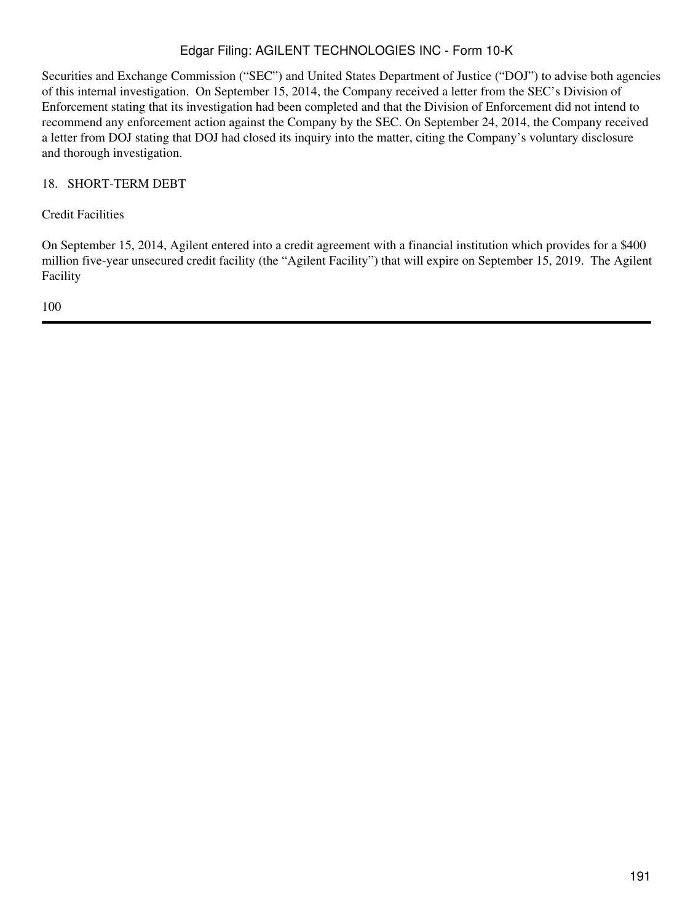Securities and Exchange Commission ("SEC") and United States Department of Justice ("DOJ") to advise both agencies of this internal investigation. On September 15, 2014, the Company received a letter from the SEC's Division of Enforcement stating that its investigation had been completed and that the Division of Enforcement did not intend to recommend any enforcement action against the Company by the SEC. On September 24, 2014, the Company received a letter from DOJ stating that DOJ had closed its inquiry into the matter, citing the Company's voluntary disclosure and thorough investigation.

## 18. SHORT-TERM DEBT

## Credit Facilities

On September 15, 2014, Agilent entered into a credit agreement with a financial institution which provides for a \$400 million five-year unsecured credit facility (the "Agilent Facility") that will expire on September 15, 2019. The Agilent Facility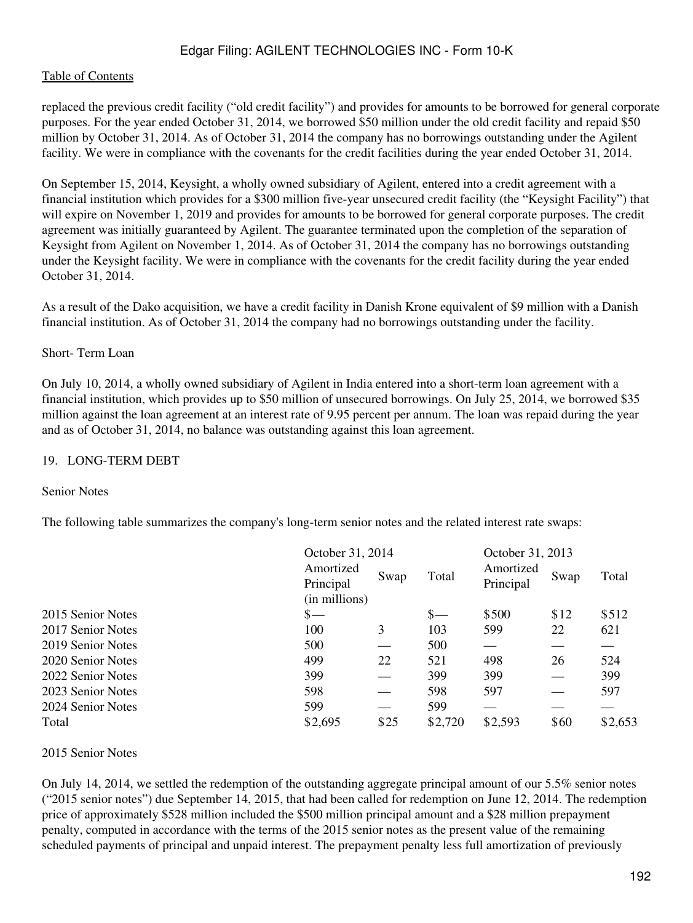## [Table of Contents](#page-2-0)

replaced the previous credit facility ("old credit facility") and provides for amounts to be borrowed for general corporate purposes. For the year ended October 31, 2014, we borrowed \$50 million under the old credit facility and repaid \$50 million by October 31, 2014. As of October 31, 2014 the company has no borrowings outstanding under the Agilent facility. We were in compliance with the covenants for the credit facilities during the year ended October 31, 2014.

On September 15, 2014, Keysight, a wholly owned subsidiary of Agilent, entered into a credit agreement with a financial institution which provides for a \$300 million five-year unsecured credit facility (the "Keysight Facility") that will expire on November 1, 2019 and provides for amounts to be borrowed for general corporate purposes. The credit agreement was initially guaranteed by Agilent. The guarantee terminated upon the completion of the separation of Keysight from Agilent on November 1, 2014. As of October 31, 2014 the company has no borrowings outstanding under the Keysight facility. We were in compliance with the covenants for the credit facility during the year ended October 31, 2014.

As a result of the Dako acquisition, we have a credit facility in Danish Krone equivalent of \$9 million with a Danish financial institution. As of October 31, 2014 the company had no borrowings outstanding under the facility.

## Short- Term Loan

On July 10, 2014, a wholly owned subsidiary of Agilent in India entered into a short-term loan agreement with a financial institution, which provides up to \$50 million of unsecured borrowings. On July 25, 2014, we borrowed \$35 million against the loan agreement at an interest rate of 9.95 percent per annum. The loan was repaid during the year and as of October 31, 2014, no balance was outstanding against this loan agreement.

## 19. LONG-TERM DEBT

#### Senior Notes

The following table summarizes the company's long-term senior notes and the related interest rate swaps:

|                                                                   |      | October 31, 2013 |  |  |  |  |
|-------------------------------------------------------------------|------|------------------|--|--|--|--|
| Amortized<br>Amortized<br>Swap<br>Total<br>Principal<br>Principal | Swap | Total            |  |  |  |  |
| (in millions)                                                     |      |                  |  |  |  |  |
| \$500<br>2015 Senior Notes<br>$\frac{\ }{s-}$<br>$S-$             | \$12 | \$512            |  |  |  |  |
| 3<br>100<br>103<br>599<br>2017 Senior Notes                       | 22   | 621              |  |  |  |  |
| 500<br>500<br>2019 Senior Notes                                   |      |                  |  |  |  |  |
| 499<br>22<br>521<br>498<br>2020 Senior Notes                      | 26   | 524              |  |  |  |  |
| 399<br>399<br>399<br>2022 Senior Notes                            |      | 399              |  |  |  |  |
| 598<br>598<br>597<br>2023 Senior Notes                            |      | 597              |  |  |  |  |
| 599<br>599<br>2024 Senior Notes                                   |      |                  |  |  |  |  |
| \$2,695<br>\$25<br>\$2,720<br>Total<br>\$2,593                    | \$60 | \$2,653          |  |  |  |  |

## 2015 Senior Notes

On July 14, 2014, we settled the redemption of the outstanding aggregate principal amount of our 5.5% senior notes ("2015 senior notes") due September 14, 2015, that had been called for redemption on June 12, 2014. The redemption price of approximately \$528 million included the \$500 million principal amount and a \$28 million prepayment penalty, computed in accordance with the terms of the 2015 senior notes as the present value of the remaining scheduled payments of principal and unpaid interest. The prepayment penalty less full amortization of previously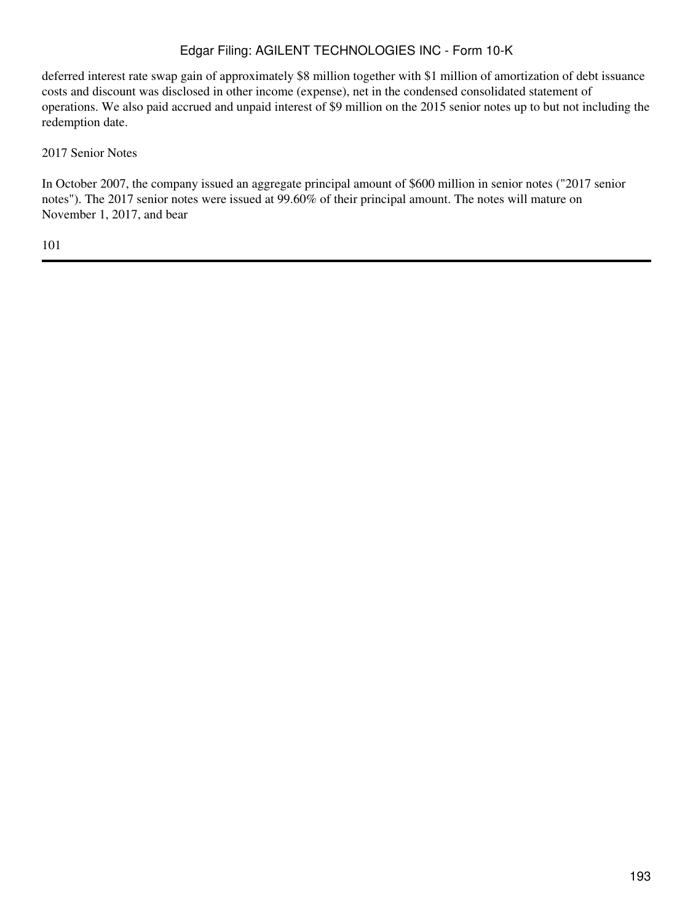deferred interest rate swap gain of approximately \$8 million together with \$1 million of amortization of debt issuance costs and discount was disclosed in other income (expense), net in the condensed consolidated statement of operations. We also paid accrued and unpaid interest of \$9 million on the 2015 senior notes up to but not including the redemption date.

## 2017 Senior Notes

In October 2007, the company issued an aggregate principal amount of \$600 million in senior notes ("2017 senior notes"). The 2017 senior notes were issued at 99.60% of their principal amount. The notes will mature on November 1, 2017, and bear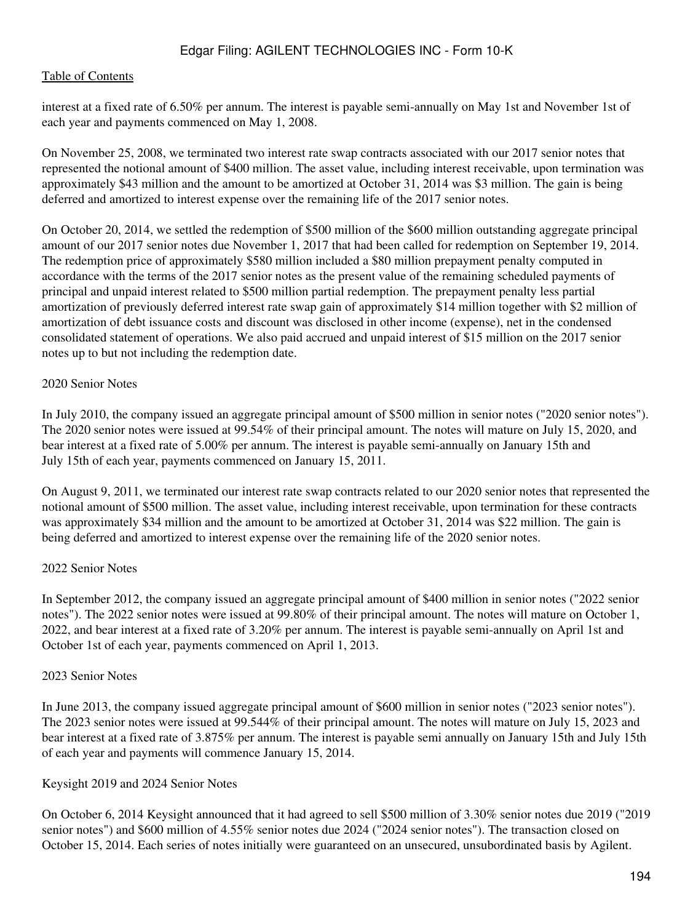## [Table of Contents](#page-2-0)

interest at a fixed rate of 6.50% per annum. The interest is payable semi-annually on May 1st and November 1st of each year and payments commenced on May 1, 2008.

On November 25, 2008, we terminated two interest rate swap contracts associated with our 2017 senior notes that represented the notional amount of \$400 million. The asset value, including interest receivable, upon termination was approximately \$43 million and the amount to be amortized at October 31, 2014 was \$3 million. The gain is being deferred and amortized to interest expense over the remaining life of the 2017 senior notes.

On October 20, 2014, we settled the redemption of \$500 million of the \$600 million outstanding aggregate principal amount of our 2017 senior notes due November 1, 2017 that had been called for redemption on September 19, 2014. The redemption price of approximately \$580 million included a \$80 million prepayment penalty computed in accordance with the terms of the 2017 senior notes as the present value of the remaining scheduled payments of principal and unpaid interest related to \$500 million partial redemption. The prepayment penalty less partial amortization of previously deferred interest rate swap gain of approximately \$14 million together with \$2 million of amortization of debt issuance costs and discount was disclosed in other income (expense), net in the condensed consolidated statement of operations. We also paid accrued and unpaid interest of \$15 million on the 2017 senior notes up to but not including the redemption date.

#### 2020 Senior Notes

In July 2010, the company issued an aggregate principal amount of \$500 million in senior notes ("2020 senior notes"). The 2020 senior notes were issued at 99.54% of their principal amount. The notes will mature on July 15, 2020, and bear interest at a fixed rate of 5.00% per annum. The interest is payable semi-annually on January 15th and July 15th of each year, payments commenced on January 15, 2011.

On August 9, 2011, we terminated our interest rate swap contracts related to our 2020 senior notes that represented the notional amount of \$500 million. The asset value, including interest receivable, upon termination for these contracts was approximately \$34 million and the amount to be amortized at October 31, 2014 was \$22 million. The gain is being deferred and amortized to interest expense over the remaining life of the 2020 senior notes.

## 2022 Senior Notes

In September 2012, the company issued an aggregate principal amount of \$400 million in senior notes ("2022 senior notes"). The 2022 senior notes were issued at 99.80% of their principal amount. The notes will mature on October 1, 2022, and bear interest at a fixed rate of 3.20% per annum. The interest is payable semi-annually on April 1st and October 1st of each year, payments commenced on April 1, 2013.

#### 2023 Senior Notes

In June 2013, the company issued aggregate principal amount of \$600 million in senior notes ("2023 senior notes"). The 2023 senior notes were issued at 99.544% of their principal amount. The notes will mature on July 15, 2023 and bear interest at a fixed rate of 3.875% per annum. The interest is payable semi annually on January 15th and July 15th of each year and payments will commence January 15, 2014.

## Keysight 2019 and 2024 Senior Notes

On October 6, 2014 Keysight announced that it had agreed to sell \$500 million of 3.30% senior notes due 2019 ("2019 senior notes") and \$600 million of 4.55% senior notes due 2024 ("2024 senior notes"). The transaction closed on October 15, 2014. Each series of notes initially were guaranteed on an unsecured, unsubordinated basis by Agilent.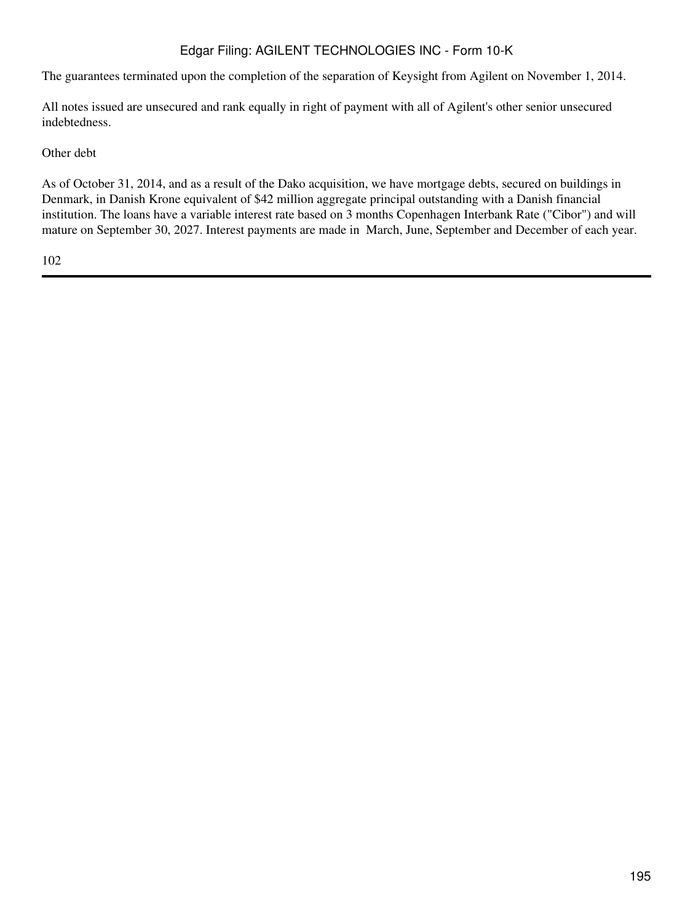The guarantees terminated upon the completion of the separation of Keysight from Agilent on November 1, 2014.

All notes issued are unsecured and rank equally in right of payment with all of Agilent's other senior unsecured indebtedness.

Other debt

As of October 31, 2014, and as a result of the Dako acquisition, we have mortgage debts, secured on buildings in Denmark, in Danish Krone equivalent of \$42 million aggregate principal outstanding with a Danish financial institution. The loans have a variable interest rate based on 3 months Copenhagen Interbank Rate ("Cibor") and will mature on September 30, 2027. Interest payments are made in March, June, September and December of each year.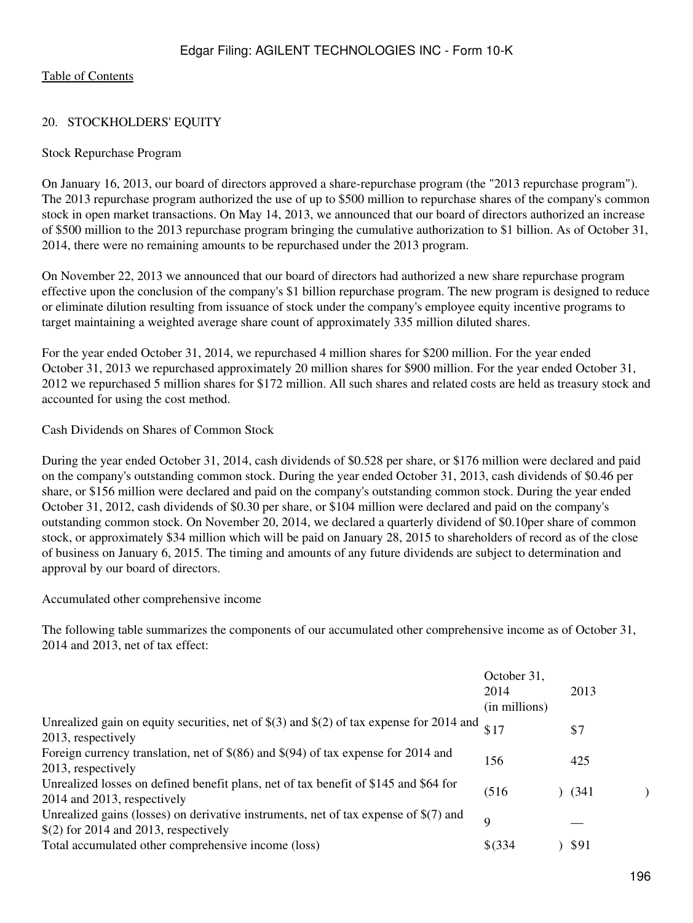## 20. STOCKHOLDERS' EQUITY

#### Stock Repurchase Program

On January 16, 2013, our board of directors approved a share-repurchase program (the "2013 repurchase program"). The 2013 repurchase program authorized the use of up to \$500 million to repurchase shares of the company's common stock in open market transactions. On May 14, 2013, we announced that our board of directors authorized an increase of \$500 million to the 2013 repurchase program bringing the cumulative authorization to \$1 billion. As of October 31, 2014, there were no remaining amounts to be repurchased under the 2013 program.

On November 22, 2013 we announced that our board of directors had authorized a new share repurchase program effective upon the conclusion of the company's \$1 billion repurchase program. The new program is designed to reduce or eliminate dilution resulting from issuance of stock under the company's employee equity incentive programs to target maintaining a weighted average share count of approximately 335 million diluted shares.

For the year ended October 31, 2014, we repurchased 4 million shares for \$200 million. For the year ended October 31, 2013 we repurchased approximately 20 million shares for \$900 million. For the year ended October 31, 2012 we repurchased 5 million shares for \$172 million. All such shares and related costs are held as treasury stock and accounted for using the cost method.

Cash Dividends on Shares of Common Stock

During the year ended October 31, 2014, cash dividends of \$0.528 per share, or \$176 million were declared and paid on the company's outstanding common stock. During the year ended October 31, 2013, cash dividends of \$0.46 per share, or \$156 million were declared and paid on the company's outstanding common stock. During the year ended October 31, 2012, cash dividends of \$0.30 per share, or \$104 million were declared and paid on the company's outstanding common stock. On November 20, 2014, we declared a quarterly dividend of \$0.10per share of common stock, or approximately \$34 million which will be paid on January 28, 2015 to shareholders of record as of the close of business on January 6, 2015. The timing and amounts of any future dividends are subject to determination and approval by our board of directors.

## Accumulated other comprehensive income

The following table summarizes the components of our accumulated other comprehensive income as of October 31, 2014 and 2013, net of tax effect:

|                                                                                                                                   | October 31,<br>2014<br>(in millions) | 2013  |  |
|-----------------------------------------------------------------------------------------------------------------------------------|--------------------------------------|-------|--|
| Unrealized gain on equity securities, net of $\S(3)$ and $\S(2)$ of tax expense for 2014 and<br>2013, respectively                | \$17                                 | \$7   |  |
| Foreign currency translation, net of $$(86)$ and $$(94)$ of tax expense for 2014 and<br>2013, respectively                        | 156                                  | 425   |  |
| Unrealized losses on defined benefit plans, net of tax benefit of \$145 and \$64 for<br>2014 and 2013, respectively               | (516)                                | (341) |  |
| Unrealized gains (losses) on derivative instruments, net of tax expense of $\S(7)$ and<br>$\S(2)$ for 2014 and 2013, respectively | 9                                    |       |  |
| Total accumulated other comprehensive income (loss)                                                                               | \$(334)                              | \$91  |  |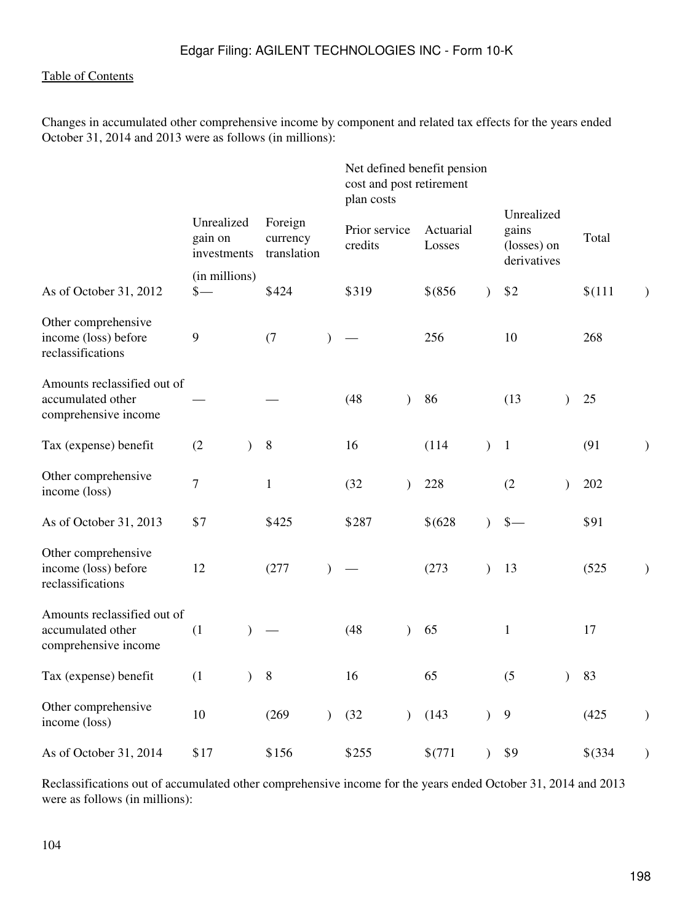Changes in accumulated other comprehensive income by component and related tax effects for the years ended October 31, 2014 and 2013 were as follows (in millions):

|                                                                          |                                      | Net defined benefit pension<br>cost and post retirement<br>plan costs |                                    |           |                          |               |                     |               |                                                   |               |         |               |
|--------------------------------------------------------------------------|--------------------------------------|-----------------------------------------------------------------------|------------------------------------|-----------|--------------------------|---------------|---------------------|---------------|---------------------------------------------------|---------------|---------|---------------|
|                                                                          | Unrealized<br>gain on<br>investments |                                                                       | Foreign<br>currency<br>translation |           | Prior service<br>credits |               | Actuarial<br>Losses |               | Unrealized<br>gains<br>(losses) on<br>derivatives |               | Total   |               |
| As of October 31, 2012                                                   | (in millions)<br>$\frac{\ }{s-}$     |                                                                       | \$424                              |           | \$319                    |               | \$ (856)            | $\mathcal{L}$ | \$2                                               |               | \$(111) | $\mathcal{E}$ |
| Other comprehensive<br>income (loss) before<br>reclassifications         | $\boldsymbol{9}$                     |                                                                       | (7)                                | $\lambda$ |                          |               | 256                 |               | 10                                                |               | 268     |               |
| Amounts reclassified out of<br>accumulated other<br>comprehensive income |                                      |                                                                       |                                    |           | (48)                     | $\lambda$     | 86                  |               | (13)                                              | $\lambda$     | 25      |               |
| Tax (expense) benefit                                                    | (2)                                  | $\mathcal{E}$                                                         | 8                                  |           | 16                       |               | (114)               | $\mathcal{L}$ | $\mathbf{1}$                                      |               | (91)    | $\mathcal{C}$ |
| Other comprehensive<br>income (loss)                                     | $\tau$                               |                                                                       | $\mathbf{1}$                       |           | (32)                     | $\lambda$     | 228                 |               | (2)                                               | $\mathcal{E}$ | 202     |               |
| As of October 31, 2013                                                   | \$7                                  |                                                                       | \$425                              |           | \$287                    |               | \$ (628)            | $\mathcal{L}$ | $\frac{1}{2}$                                     |               | \$91    |               |
| Other comprehensive<br>income (loss) before<br>reclassifications         | 12                                   |                                                                       | (277)                              | $\lambda$ |                          |               | (273)               | $\mathcal{L}$ | 13                                                |               | (525)   | $\mathcal{E}$ |
| Amounts reclassified out of<br>accumulated other<br>comprehensive income | (1)                                  | $\mathcal{E}$                                                         |                                    |           | (48)                     | $\mathcal{L}$ | 65                  |               | $\mathbf{1}$                                      |               | 17      |               |
| Tax (expense) benefit                                                    | (1)                                  | $\mathcal{E}$                                                         | 8                                  |           | 16                       |               | 65                  |               | (5)                                               | $\mathcal{E}$ | 83      |               |
| Other comprehensive<br>income (loss)                                     | 10                                   |                                                                       | (269)                              | $\lambda$ | (32)                     | $\lambda$     | (143)               | $\lambda$     | 9                                                 |               | (425)   | $\mathcal{E}$ |
| As of October 31, 2014                                                   | \$17                                 |                                                                       | \$156                              |           | \$255                    |               | \$(771              | $\mathcal{E}$ | \$9                                               |               | \$(334) | $\mathcal{)}$ |

Reclassifications out of accumulated other comprehensive income for the years ended October 31, 2014 and 2013 were as follows (in millions):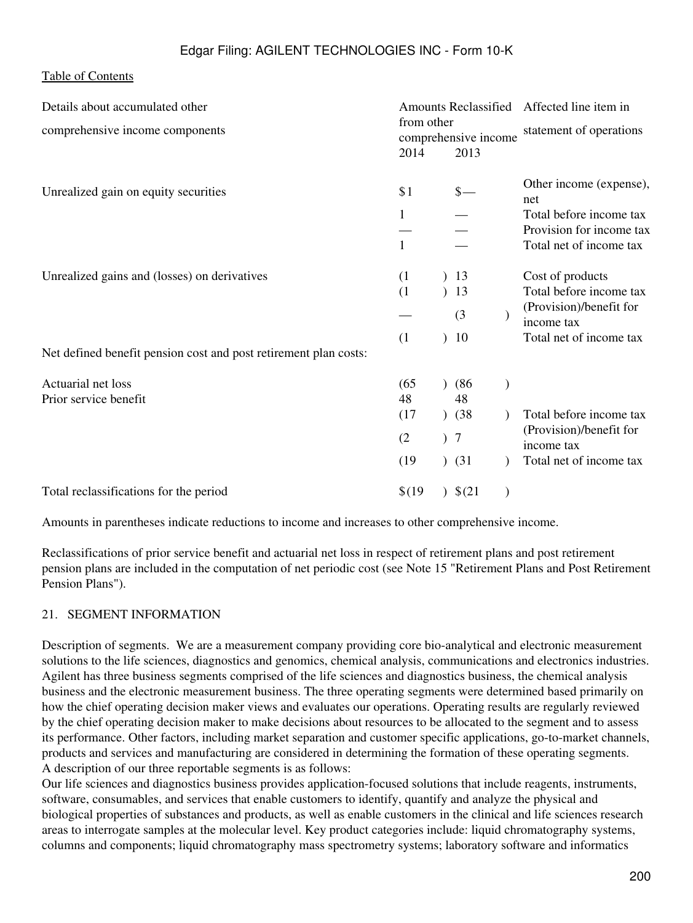| Details about accumulated other                                  | Amounts Reclassified Affected line item in         |  |                         |               |                                       |  |  |
|------------------------------------------------------------------|----------------------------------------------------|--|-------------------------|---------------|---------------------------------------|--|--|
| comprehensive income components                                  | from other<br>comprehensive income<br>2014<br>2013 |  | statement of operations |               |                                       |  |  |
| Unrealized gain on equity securities                             | \$1                                                |  | $\frac{\ }{\ }$         |               | Other income (expense),<br>net        |  |  |
|                                                                  | 1                                                  |  |                         |               | Total before income tax               |  |  |
|                                                                  |                                                    |  |                         |               | Provision for income tax              |  |  |
|                                                                  | $\mathbf{1}$                                       |  |                         |               | Total net of income tax               |  |  |
| Unrealized gains and (losses) on derivatives                     | (1)                                                |  | 13                      |               | Cost of products                      |  |  |
|                                                                  | (1)                                                |  | 13                      |               | Total before income tax               |  |  |
|                                                                  |                                                    |  | (3)                     | $\lambda$     | (Provision)/benefit for<br>income tax |  |  |
|                                                                  | (1)                                                |  | 10                      |               | Total net of income tax               |  |  |
| Net defined benefit pension cost and post retirement plan costs: |                                                    |  |                         |               |                                       |  |  |
| Actuarial net loss                                               | (65)                                               |  | (86)                    | $\mathcal{E}$ |                                       |  |  |
| Prior service benefit                                            | 48                                                 |  | 48                      |               |                                       |  |  |
|                                                                  | (17)                                               |  | $)$ (38)                |               | Total before income tax               |  |  |
|                                                                  | (2)                                                |  | )7                      |               | (Provision)/benefit for<br>income tax |  |  |
|                                                                  | (19)                                               |  | $)$ (31)                |               | Total net of income tax               |  |  |
| Total reclassifications for the period                           | \$(19)                                             |  | 3(21)                   | $\mathcal{E}$ |                                       |  |  |

Amounts in parentheses indicate reductions to income and increases to other comprehensive income.

Reclassifications of prior service benefit and actuarial net loss in respect of retirement plans and post retirement pension plans are included in the computation of net periodic cost (see Note 15 "Retirement Plans and Post Retirement Pension Plans").

## 21. SEGMENT INFORMATION

Description of segments. We are a measurement company providing core bio-analytical and electronic measurement solutions to the life sciences, diagnostics and genomics, chemical analysis, communications and electronics industries. Agilent has three business segments comprised of the life sciences and diagnostics business, the chemical analysis business and the electronic measurement business. The three operating segments were determined based primarily on how the chief operating decision maker views and evaluates our operations. Operating results are regularly reviewed by the chief operating decision maker to make decisions about resources to be allocated to the segment and to assess its performance. Other factors, including market separation and customer specific applications, go-to-market channels, products and services and manufacturing are considered in determining the formation of these operating segments. A description of our three reportable segments is as follows:

Our life sciences and diagnostics business provides application-focused solutions that include reagents, instruments, software, consumables, and services that enable customers to identify, quantify and analyze the physical and biological properties of substances and products, as well as enable customers in the clinical and life sciences research areas to interrogate samples at the molecular level. Key product categories include: liquid chromatography systems, columns and components; liquid chromatography mass spectrometry systems; laboratory software and informatics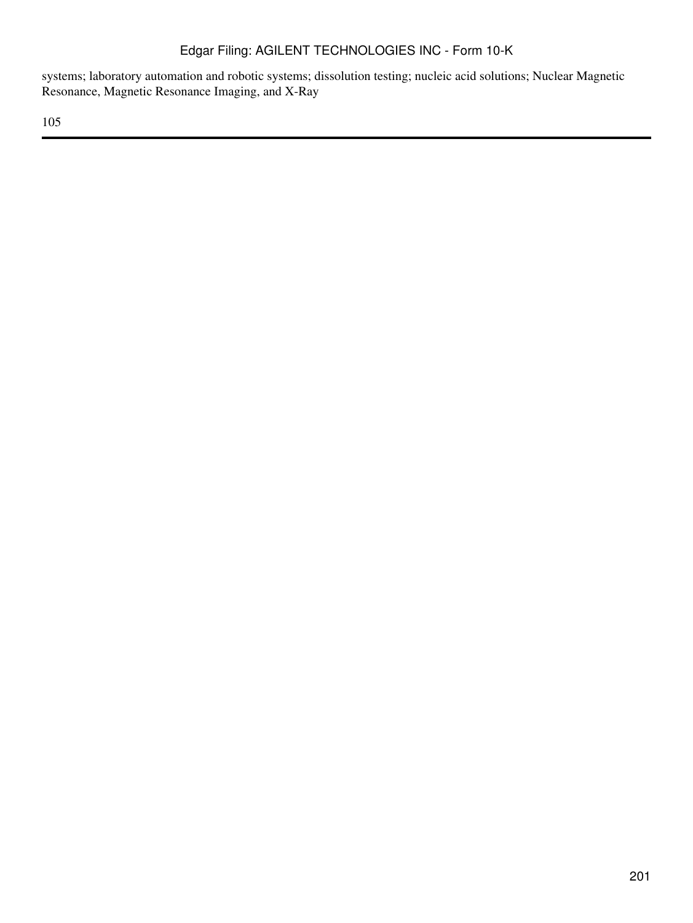systems; laboratory automation and robotic systems; dissolution testing; nucleic acid solutions; Nuclear Magnetic Resonance, Magnetic Resonance Imaging, and X-Ray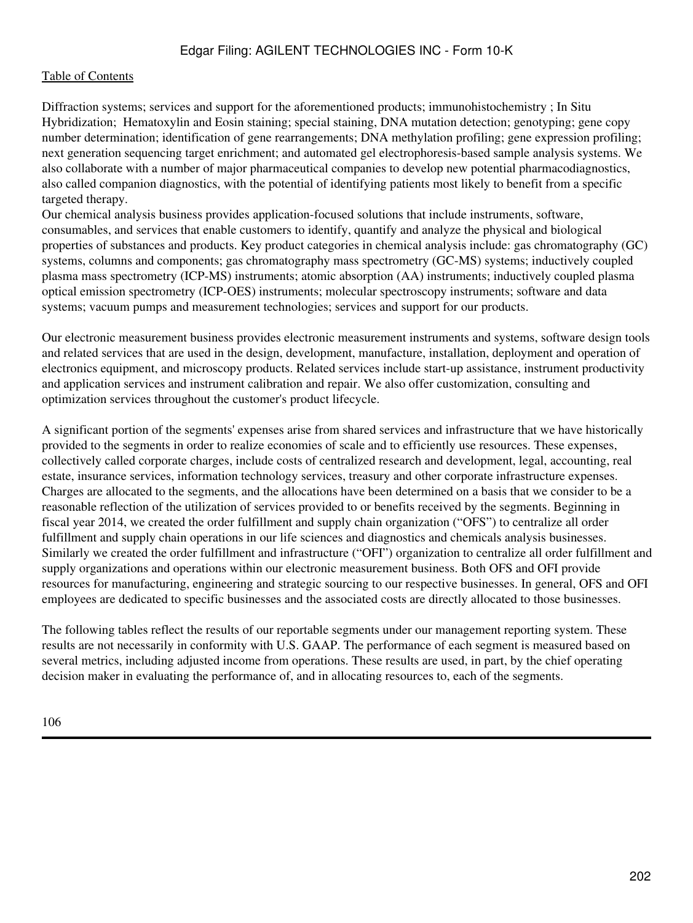## [Table of Contents](#page-2-0)

Diffraction systems; services and support for the aforementioned products; immunohistochemistry ; In Situ Hybridization; Hematoxylin and Eosin staining; special staining, DNA mutation detection; genotyping; gene copy number determination; identification of gene rearrangements; DNA methylation profiling; gene expression profiling; next generation sequencing target enrichment; and automated gel electrophoresis-based sample analysis systems. We also collaborate with a number of major pharmaceutical companies to develop new potential pharmacodiagnostics, also called companion diagnostics, with the potential of identifying patients most likely to benefit from a specific targeted therapy.

Our chemical analysis business provides application-focused solutions that include instruments, software, consumables, and services that enable customers to identify, quantify and analyze the physical and biological properties of substances and products. Key product categories in chemical analysis include: gas chromatography (GC) systems, columns and components; gas chromatography mass spectrometry (GC-MS) systems; inductively coupled plasma mass spectrometry (ICP-MS) instruments; atomic absorption (AA) instruments; inductively coupled plasma optical emission spectrometry (ICP-OES) instruments; molecular spectroscopy instruments; software and data systems; vacuum pumps and measurement technologies; services and support for our products.

Our electronic measurement business provides electronic measurement instruments and systems, software design tools and related services that are used in the design, development, manufacture, installation, deployment and operation of electronics equipment, and microscopy products. Related services include start-up assistance, instrument productivity and application services and instrument calibration and repair. We also offer customization, consulting and optimization services throughout the customer's product lifecycle.

A significant portion of the segments' expenses arise from shared services and infrastructure that we have historically provided to the segments in order to realize economies of scale and to efficiently use resources. These expenses, collectively called corporate charges, include costs of centralized research and development, legal, accounting, real estate, insurance services, information technology services, treasury and other corporate infrastructure expenses. Charges are allocated to the segments, and the allocations have been determined on a basis that we consider to be a reasonable reflection of the utilization of services provided to or benefits received by the segments. Beginning in fiscal year 2014, we created the order fulfillment and supply chain organization ("OFS") to centralize all order fulfillment and supply chain operations in our life sciences and diagnostics and chemicals analysis businesses. Similarly we created the order fulfillment and infrastructure ("OFI") organization to centralize all order fulfillment and supply organizations and operations within our electronic measurement business. Both OFS and OFI provide resources for manufacturing, engineering and strategic sourcing to our respective businesses. In general, OFS and OFI employees are dedicated to specific businesses and the associated costs are directly allocated to those businesses.

The following tables reflect the results of our reportable segments under our management reporting system. These results are not necessarily in conformity with U.S. GAAP. The performance of each segment is measured based on several metrics, including adjusted income from operations. These results are used, in part, by the chief operating decision maker in evaluating the performance of, and in allocating resources to, each of the segments.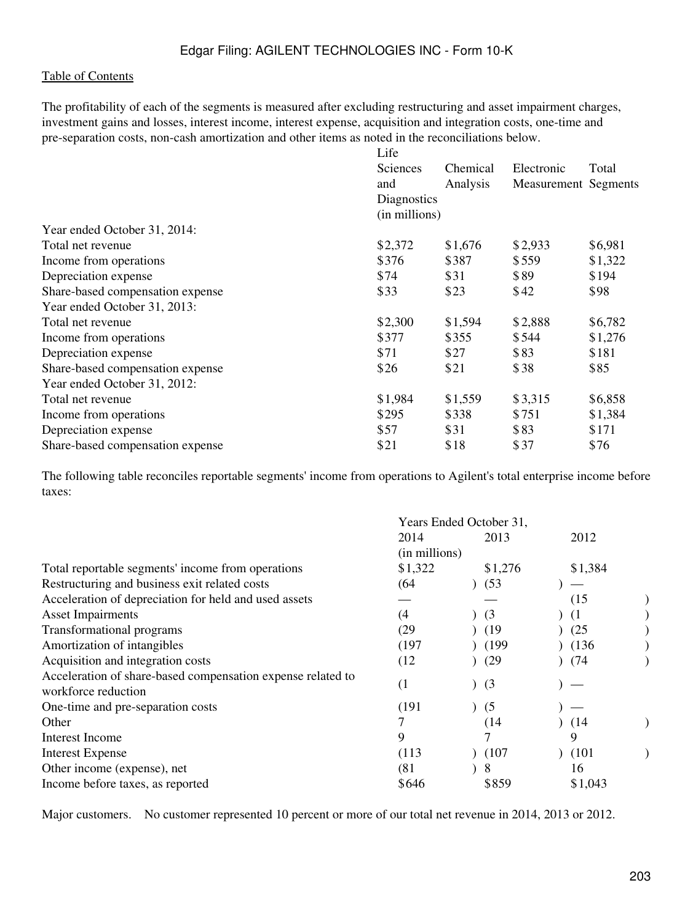The profitability of each of the segments is measured after excluding restructuring and asset impairment charges, investment gains and losses, interest income, interest expense, acquisition and integration costs, one-time and pre-separation costs, non-cash amortization and other items as noted in the reconciliations below.

| Life          |          |            |                      |
|---------------|----------|------------|----------------------|
| Sciences      | Chemical | Electronic | Total                |
| and           | Analysis |            |                      |
| Diagnostics   |          |            |                      |
| (in millions) |          |            |                      |
|               |          |            |                      |
| \$2,372       | \$1,676  | \$2,933    | \$6,981              |
| \$376         | \$387    | \$559      | \$1,322              |
| \$74          | \$31     | \$89       | \$194                |
| \$33          | \$23     | \$42       | \$98                 |
|               |          |            |                      |
| \$2,300       | \$1,594  | \$2,888    | \$6,782              |
| \$377         | \$355    | \$544      | \$1,276              |
| \$71          | \$27     | \$83       | \$181                |
| \$26          | \$21     | \$38       | \$85                 |
|               |          |            |                      |
| \$1,984       | \$1,559  | \$3,315    | \$6,858              |
| \$295         | \$338    | \$751      | \$1,384              |
| \$57          | \$31     | \$83       | \$171                |
| \$21          | \$18     | \$37       | \$76                 |
|               |          |            | Measurement Segments |

The following table reconciles reportable segments' income from operations to Agilent's total enterprise income before taxes:

|                                                                                    | Years Ended October 31, |  |         |  |         |  |
|------------------------------------------------------------------------------------|-------------------------|--|---------|--|---------|--|
|                                                                                    | 2014                    |  | 2013    |  | 2012    |  |
|                                                                                    | (in millions)           |  |         |  |         |  |
| Total reportable segments' income from operations                                  | \$1,322                 |  | \$1,276 |  | \$1,384 |  |
| Restructuring and business exit related costs                                      | (64)                    |  | (53)    |  |         |  |
| Acceleration of depreciation for held and used assets                              |                         |  |         |  | (15)    |  |
| <b>Asset Impairments</b>                                                           | (4)                     |  | (3)     |  | - (1    |  |
| Transformational programs                                                          | (29)                    |  | (19)    |  | (25)    |  |
| Amortization of intangibles                                                        | (197)                   |  | (199)   |  | (136)   |  |
| Acquisition and integration costs                                                  | (12)                    |  | (29)    |  | (74)    |  |
| Acceleration of share-based compensation expense related to<br>workforce reduction | (1)                     |  | (3)     |  |         |  |
| One-time and pre-separation costs                                                  | (191)                   |  | (5)     |  |         |  |
| Other                                                                              |                         |  | (14)    |  | (14)    |  |
| Interest Income                                                                    | 9                       |  | 7       |  | 9       |  |
| <b>Interest Expense</b>                                                            | (113)                   |  | (107)   |  | (101)   |  |
| Other income (expense), net                                                        | (81)                    |  | 8       |  | 16      |  |
| Income before taxes, as reported                                                   | \$646                   |  | \$859   |  | \$1,043 |  |

Major customers. No customer represented 10 percent or more of our total net revenue in 2014, 2013 or 2012.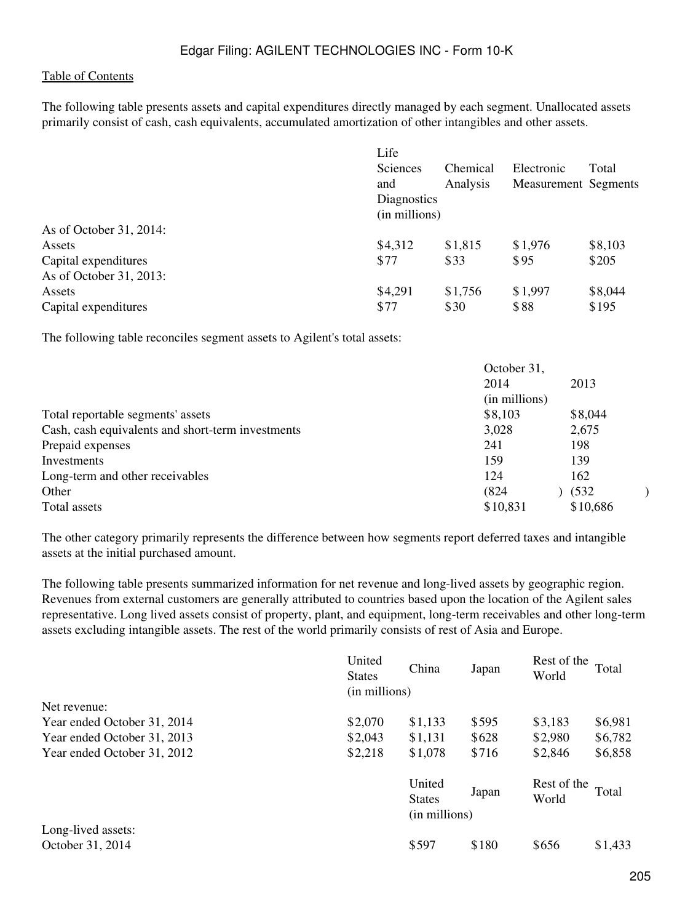The following table presents assets and capital expenditures directly managed by each segment. Unallocated assets primarily consist of cash, cash equivalents, accumulated amortization of other intangibles and other assets.

| Chemical        | Electronic                   | Total                |
|-----------------|------------------------------|----------------------|
| Analysis        |                              |                      |
|                 |                              |                      |
|                 |                              |                      |
|                 |                              |                      |
| \$1,815         | \$1,976                      | \$8,103              |
| \$33            | \$95                         | \$205                |
|                 |                              |                      |
| \$1,756         | \$1,997                      | \$8,044              |
| \$30            | \$88                         | \$195                |
| <b>Sciences</b> | Diagnostics<br>(in millions) | Measurement Segments |

The following table reconciles segment assets to Agilent's total assets:

|                                                   | October 31,   |          |  |
|---------------------------------------------------|---------------|----------|--|
|                                                   | 2014          | 2013     |  |
|                                                   | (in millions) |          |  |
| Total reportable segments' assets                 | \$8,103       | \$8,044  |  |
| Cash, cash equivalents and short-term investments | 3,028         | 2,675    |  |
| Prepaid expenses                                  | 241           | 198      |  |
| Investments                                       | 159           | 139      |  |
| Long-term and other receivables                   | 124           | 162      |  |
| Other                                             | (824)         | (532)    |  |
| Total assets                                      | \$10,831      | \$10,686 |  |

The other category primarily represents the difference between how segments report deferred taxes and intangible assets at the initial purchased amount.

The following table presents summarized information for net revenue and long-lived assets by geographic region. Revenues from external customers are generally attributed to countries based upon the location of the Agilent sales representative. Long lived assets consist of property, plant, and equipment, long-term receivables and other long-term assets excluding intangible assets. The rest of the world primarily consists of rest of Asia and Europe.

|                             | United<br><b>States</b> | China                   | Japan | Rest of the<br>World | Total   |
|-----------------------------|-------------------------|-------------------------|-------|----------------------|---------|
|                             | (in millions)           |                         |       |                      |         |
| Net revenue:                |                         |                         |       |                      |         |
| Year ended October 31, 2014 | \$2,070                 | \$1,133                 | \$595 | \$3,183              | \$6,981 |
| Year ended October 31, 2013 | \$2,043                 | \$1,131                 | \$628 | \$2,980              | \$6,782 |
| Year ended October 31, 2012 | \$2,218                 | \$1,078                 | \$716 | \$2,846              | \$6,858 |
|                             |                         | United<br><b>States</b> | Japan | Rest of the<br>World | Total   |
|                             |                         | (in millions)           |       |                      |         |
| Long-lived assets:          |                         |                         |       |                      |         |
| October 31, 2014            |                         | \$597                   | \$180 | \$656                | \$1,433 |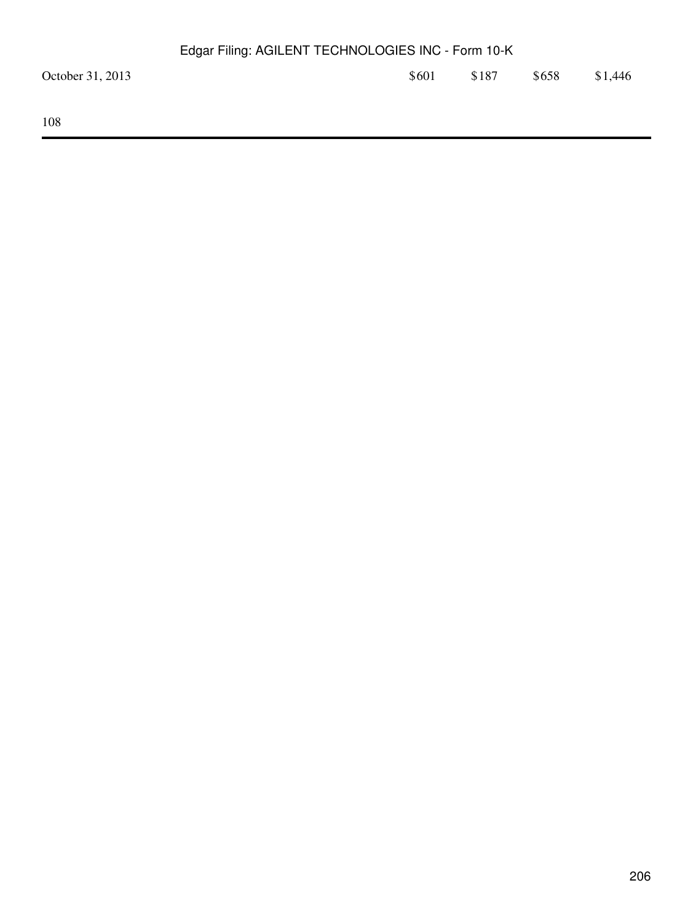| October 31, 2013 | \$601 | $$187$ $$658$ $$1,446$ |  |
|------------------|-------|------------------------|--|
|                  |       |                        |  |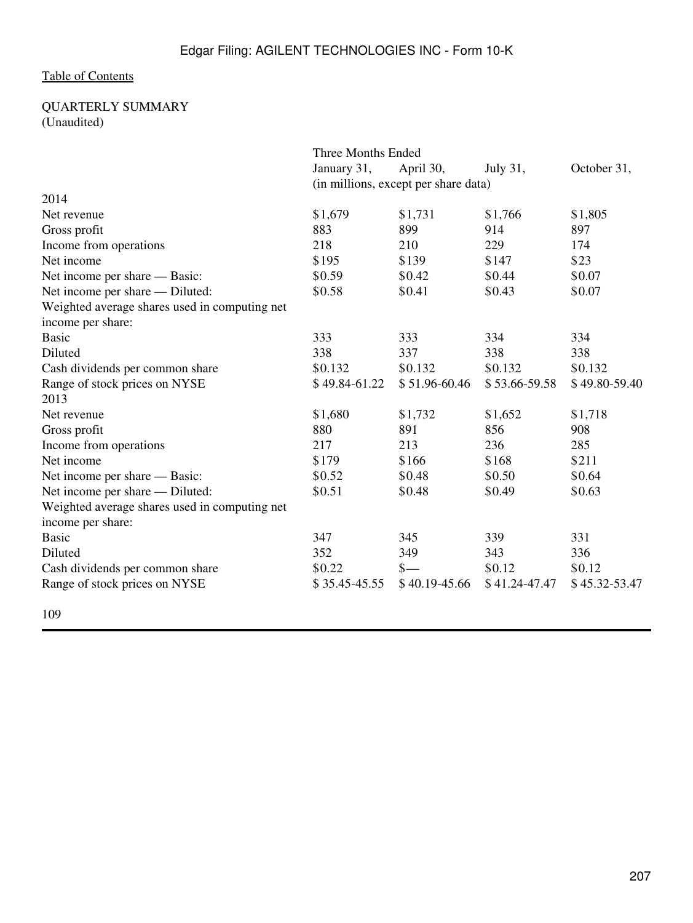# QUARTERLY SUMMARY

(Unaudited)

|                                               | Three Months Ended |                                      |                  |               |  |  |
|-----------------------------------------------|--------------------|--------------------------------------|------------------|---------------|--|--|
|                                               | January 31,        | April 30,                            | July 31,         | October 31,   |  |  |
|                                               |                    | (in millions, except per share data) |                  |               |  |  |
| 2014                                          |                    |                                      |                  |               |  |  |
| Net revenue                                   | \$1,679            | \$1,731                              | \$1,766          | \$1,805       |  |  |
| Gross profit                                  | 883                | 899                                  | 914              | 897           |  |  |
| Income from operations                        | 218                | 210                                  | 229              | 174           |  |  |
| Net income                                    | \$195              | \$139                                | \$147            | \$23          |  |  |
| Net income per share - Basic:                 | \$0.59             | \$0.42                               | \$0.44           | \$0.07        |  |  |
| Net income per share - Diluted:               | \$0.58             | \$0.41                               | \$0.43           | \$0.07        |  |  |
| Weighted average shares used in computing net |                    |                                      |                  |               |  |  |
| income per share:                             |                    |                                      |                  |               |  |  |
| <b>Basic</b>                                  | 333                | 333                                  | 334              | 334           |  |  |
| Diluted                                       | 338                | 337                                  | 338              | 338           |  |  |
| Cash dividends per common share               | \$0.132            | \$0.132                              | \$0.132          | \$0.132       |  |  |
| Range of stock prices on NYSE                 | \$49.84-61.22      | $$51.96-60.46$                       | \$53.66-59.58    | \$49.80-59.40 |  |  |
| 2013                                          |                    |                                      |                  |               |  |  |
| Net revenue                                   | \$1,680            | \$1,732                              | \$1,652          | \$1,718       |  |  |
| Gross profit                                  | 880                | 891                                  | 856              | 908           |  |  |
| Income from operations                        | 217                | 213                                  | 236              | 285           |  |  |
| Net income                                    | \$179              | \$166                                | \$168            | \$211         |  |  |
| Net income per share — Basic:                 | \$0.52             | \$0.48                               | \$0.50           | \$0.64        |  |  |
| Net income per share - Diluted:               | \$0.51             | \$0.48                               | \$0.49           | \$0.63        |  |  |
| Weighted average shares used in computing net |                    |                                      |                  |               |  |  |
| income per share:                             |                    |                                      |                  |               |  |  |
| <b>Basic</b>                                  | 347                | 345                                  | 339              | 331           |  |  |
| Diluted                                       | 352                | 349                                  | 343              | 336           |  |  |
| Cash dividends per common share               | \$0.22             | $\frac{\ }{s-}$                      | \$0.12           | \$0.12        |  |  |
| Range of stock prices on NYSE                 | \$35.45-45.55      | $$40.19 - 45.66$                     | $$41.24 - 47.47$ | \$45.32-53.47 |  |  |
| 109                                           |                    |                                      |                  |               |  |  |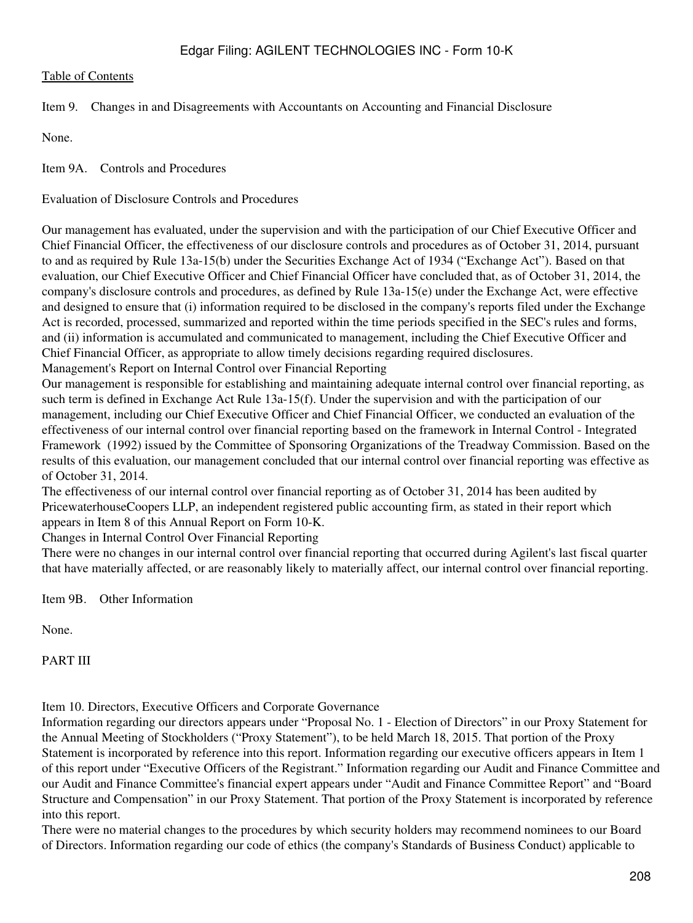Item 9. Changes in and Disagreements with Accountants on Accounting and Financial Disclosure

None.

Item 9A. Controls and Procedures

Evaluation of Disclosure Controls and Procedures

Our management has evaluated, under the supervision and with the participation of our Chief Executive Officer and Chief Financial Officer, the effectiveness of our disclosure controls and procedures as of October 31, 2014, pursuant to and as required by Rule 13a-15(b) under the Securities Exchange Act of 1934 ("Exchange Act"). Based on that evaluation, our Chief Executive Officer and Chief Financial Officer have concluded that, as of October 31, 2014, the company's disclosure controls and procedures, as defined by Rule 13a-15(e) under the Exchange Act, were effective and designed to ensure that (i) information required to be disclosed in the company's reports filed under the Exchange Act is recorded, processed, summarized and reported within the time periods specified in the SEC's rules and forms, and (ii) information is accumulated and communicated to management, including the Chief Executive Officer and Chief Financial Officer, as appropriate to allow timely decisions regarding required disclosures.

Management's Report on Internal Control over Financial Reporting

Our management is responsible for establishing and maintaining adequate internal control over financial reporting, as such term is defined in Exchange Act Rule 13a-15(f). Under the supervision and with the participation of our management, including our Chief Executive Officer and Chief Financial Officer, we conducted an evaluation of the effectiveness of our internal control over financial reporting based on the framework in Internal Control - Integrated Framework (1992) issued by the Committee of Sponsoring Organizations of the Treadway Commission. Based on the results of this evaluation, our management concluded that our internal control over financial reporting was effective as of October 31, 2014.

The effectiveness of our internal control over financial reporting as of October 31, 2014 has been audited by PricewaterhouseCoopers LLP, an independent registered public accounting firm, as stated in their report which appears in Item 8 of this Annual Report on Form 10-K.

Changes in Internal Control Over Financial Reporting

There were no changes in our internal control over financial reporting that occurred during Agilent's last fiscal quarter that have materially affected, or are reasonably likely to materially affect, our internal control over financial reporting.

Item 9B. Other Information

None.

PART III

Item 10. Directors, Executive Officers and Corporate Governance

Information regarding our directors appears under "Proposal No. 1 - Election of Directors" in our Proxy Statement for the Annual Meeting of Stockholders ("Proxy Statement"), to be held March 18, 2015. That portion of the Proxy Statement is incorporated by reference into this report. Information regarding our executive officers appears in Item 1 of this report under "Executive Officers of the Registrant." Information regarding our Audit and Finance Committee and our Audit and Finance Committee's financial expert appears under "Audit and Finance Committee Report" and "Board Structure and Compensation" in our Proxy Statement. That portion of the Proxy Statement is incorporated by reference into this report.

There were no material changes to the procedures by which security holders may recommend nominees to our Board of Directors. Information regarding our code of ethics (the company's Standards of Business Conduct) applicable to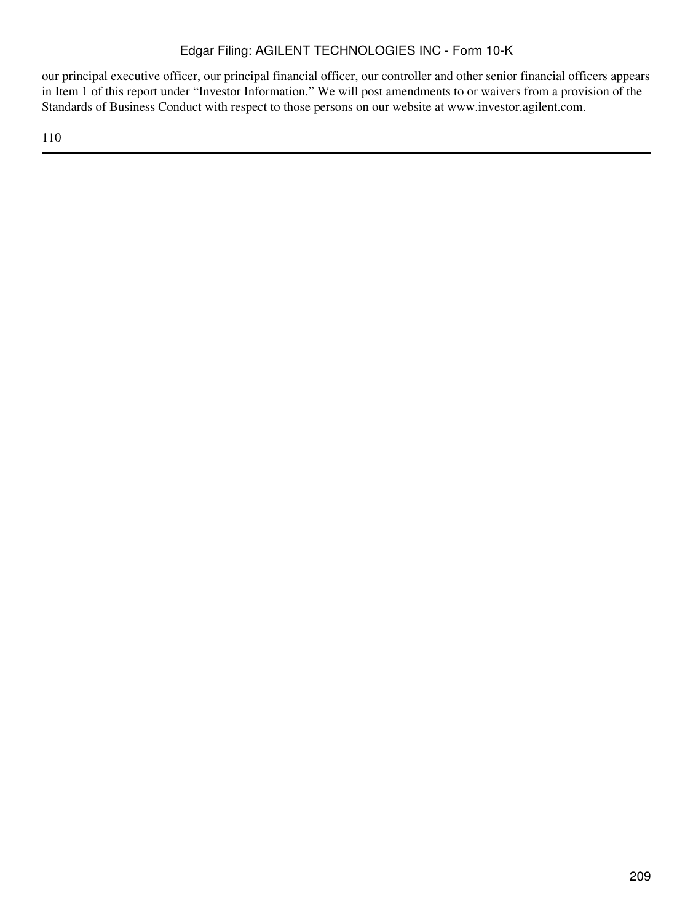our principal executive officer, our principal financial officer, our controller and other senior financial officers appears in Item 1 of this report under "Investor Information." We will post amendments to or waivers from a provision of the Standards of Business Conduct with respect to those persons on our website at www.investor.agilent.com.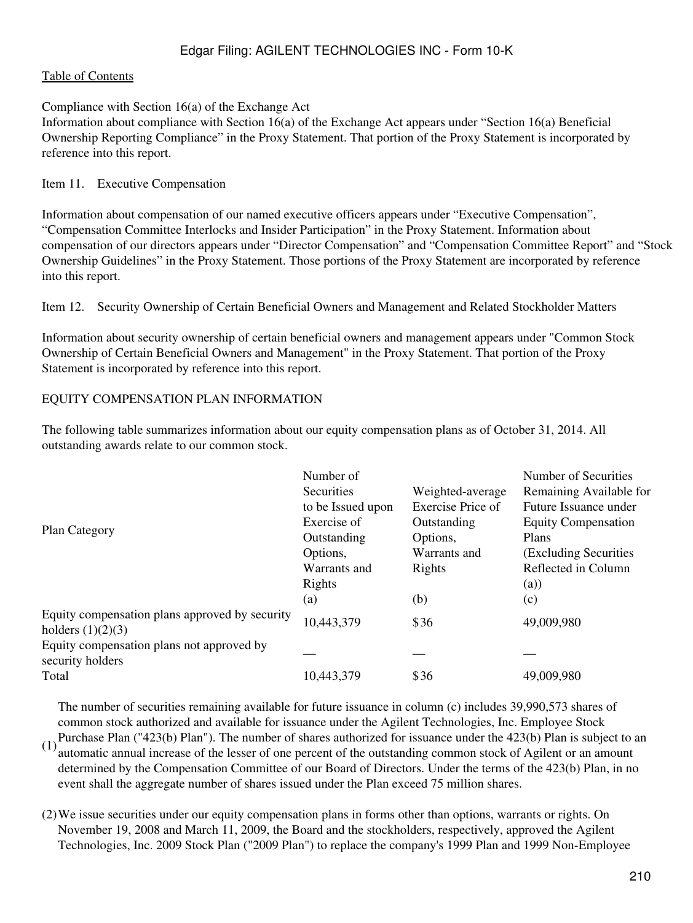## [Table of Contents](#page-2-0)

Compliance with Section 16(a) of the Exchange Act

Information about compliance with Section 16(a) of the Exchange Act appears under "Section 16(a) Beneficial Ownership Reporting Compliance" in the Proxy Statement. That portion of the Proxy Statement is incorporated by reference into this report.

Item 11. Executive Compensation

Information about compensation of our named executive officers appears under "Executive Compensation", "Compensation Committee Interlocks and Insider Participation" in the Proxy Statement. Information about compensation of our directors appears under "Director Compensation" and "Compensation Committee Report" and "Stock Ownership Guidelines" in the Proxy Statement. Those portions of the Proxy Statement are incorporated by reference into this report.

Item 12. Security Ownership of Certain Beneficial Owners and Management and Related Stockholder Matters

Information about security ownership of certain beneficial owners and management appears under "Common Stock Ownership of Certain Beneficial Owners and Management" in the Proxy Statement. That portion of the Proxy Statement is incorporated by reference into this report.

## EQUITY COMPENSATION PLAN INFORMATION

The following table summarizes information about our equity compensation plans as of October 31, 2014. All outstanding awards relate to our common stock.

| Plan Category                                                         | Number of<br><b>Securities</b><br>to be Issued upon<br>Exercise of<br>Outstanding<br>Options,<br>Warrants and<br>Rights<br>(a) | Weighted-average<br>Exercise Price of<br>Outstanding<br>Options,<br>Warrants and<br>Rights<br>(b) | Number of Securities<br>Remaining Available for<br>Future Issuance under<br><b>Equity Compensation</b><br>Plans<br>(Excluding Securities)<br>Reflected in Column<br>(a))<br>(c) |
|-----------------------------------------------------------------------|--------------------------------------------------------------------------------------------------------------------------------|---------------------------------------------------------------------------------------------------|---------------------------------------------------------------------------------------------------------------------------------------------------------------------------------|
| Equity compensation plans approved by security<br>holders $(1)(2)(3)$ | 10,443,379                                                                                                                     | \$36                                                                                              | 49,009,980                                                                                                                                                                      |
| Equity compensation plans not approved by<br>security holders         |                                                                                                                                |                                                                                                   |                                                                                                                                                                                 |
| Total                                                                 | 10,443,379                                                                                                                     | \$36                                                                                              | 49,009,980                                                                                                                                                                      |

(1) Purchase Plan ("423(b) Plan"). The number of shares authorized for issuance under the 423(b) Plan is subject to an  $(1)$  outcometic annual increase of the lesser of an amount of the extending common stock of Agilant o The number of securities remaining available for future issuance in column (c) includes 39,990,573 shares of common stock authorized and available for issuance under the Agilent Technologies, Inc. Employee Stock automatic annual increase of the lesser of one percent of the outstanding common stock of Agilent or an amount determined by the Compensation Committee of our Board of Directors. Under the terms of the 423(b) Plan, in no

event shall the aggregate number of shares issued under the Plan exceed 75 million shares.

(2)We issue securities under our equity compensation plans in forms other than options, warrants or rights. On November 19, 2008 and March 11, 2009, the Board and the stockholders, respectively, approved the Agilent Technologies, Inc. 2009 Stock Plan ("2009 Plan") to replace the company's 1999 Plan and 1999 Non-Employee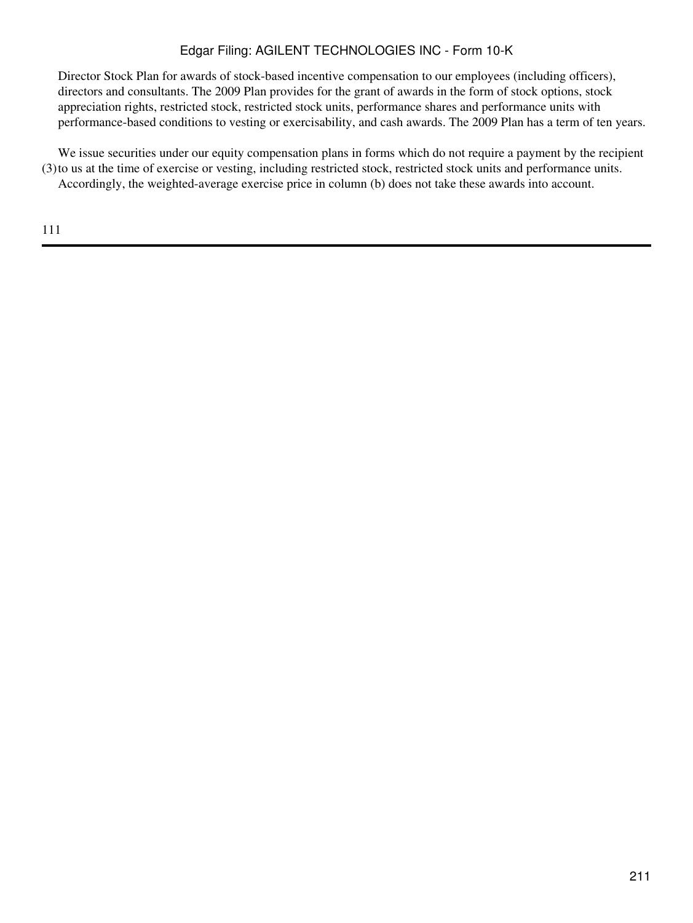Director Stock Plan for awards of stock-based incentive compensation to our employees (including officers), directors and consultants. The 2009 Plan provides for the grant of awards in the form of stock options, stock appreciation rights, restricted stock, restricted stock units, performance shares and performance units with performance-based conditions to vesting or exercisability, and cash awards. The 2009 Plan has a term of ten years.

(3) to us at the time of exercise or vesting, including restricted stock, restricted stock units and performance units. We issue securities under our equity compensation plans in forms which do not require a payment by the recipient Accordingly, the weighted-average exercise price in column (b) does not take these awards into account.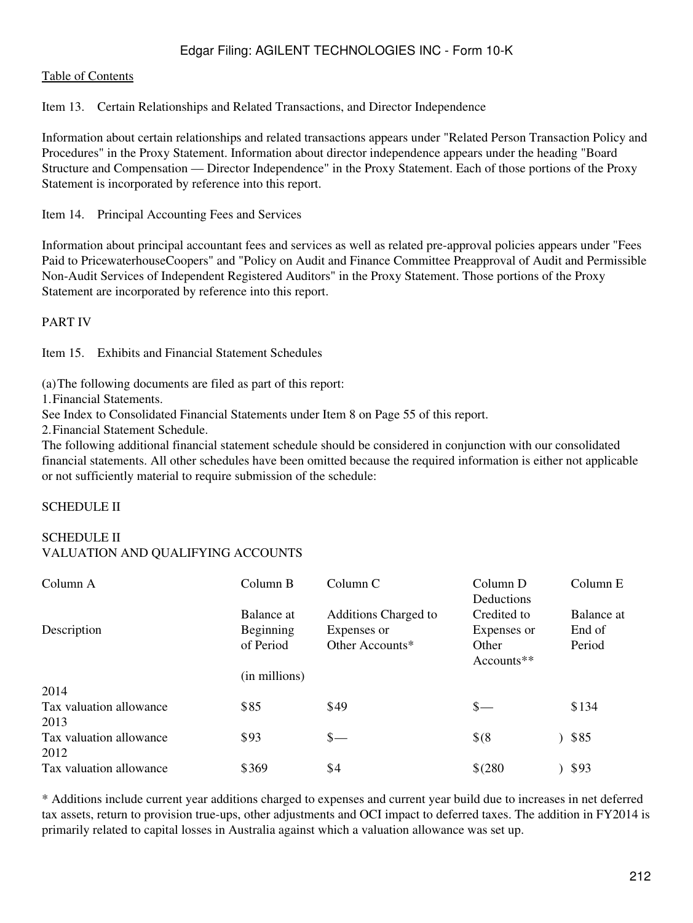## [Table of Contents](#page-2-0)

Item 13. Certain Relationships and Related Transactions, and Director Independence

Information about certain relationships and related transactions appears under "Related Person Transaction Policy and Procedures" in the Proxy Statement. Information about director independence appears under the heading "Board Structure and Compensation — Director Independence" in the Proxy Statement. Each of those portions of the Proxy Statement is incorporated by reference into this report.

Item 14. Principal Accounting Fees and Services

Information about principal accountant fees and services as well as related pre-approval policies appears under "Fees Paid to PricewaterhouseCoopers" and "Policy on Audit and Finance Committee Preapproval of Audit and Permissible Non-Audit Services of Independent Registered Auditors" in the Proxy Statement. Those portions of the Proxy Statement are incorporated by reference into this report.

#### PART IV

Item 15. Exhibits and Financial Statement Schedules

(a)The following documents are filed as part of this report:

1.Financial Statements.

See Index to Consolidated Financial Statements under Item 8 on Page 55 of this report.

2.Financial Statement Schedule.

The following additional financial statement schedule should be considered in conjunction with our consolidated financial statements. All other schedules have been omitted because the required information is either not applicable or not sufficiently material to require submission of the schedule:

## SCHEDULE II

## SCHEDULE II VALUATION AND QUALIFYING ACCOUNTS

| Column A                        | Column B                | Column <sub>C</sub>                 | Column D<br>Deductions     | Column E             |
|---------------------------------|-------------------------|-------------------------------------|----------------------------|----------------------|
| Description                     | Balance at<br>Beginning | Additions Charged to<br>Expenses or | Credited to<br>Expenses or | Balance at<br>End of |
|                                 | of Period               | Other Accounts*                     | Other<br>$Accounts**$      | Period               |
|                                 | (in millions)           |                                     |                            |                      |
| 2014                            |                         |                                     |                            |                      |
| Tax valuation allowance<br>2013 | \$85                    | \$49                                | $s-$                       | \$134                |
| Tax valuation allowance<br>2012 | \$93                    | $s-$                                | $\sqrt{8}$                 | \$85                 |
| Tax valuation allowance         | \$369                   | \$4                                 | $$^{(280)}$                | \$93                 |

\* Additions include current year additions charged to expenses and current year build due to increases in net deferred tax assets, return to provision true-ups, other adjustments and OCI impact to deferred taxes. The addition in FY2014 is primarily related to capital losses in Australia against which a valuation allowance was set up.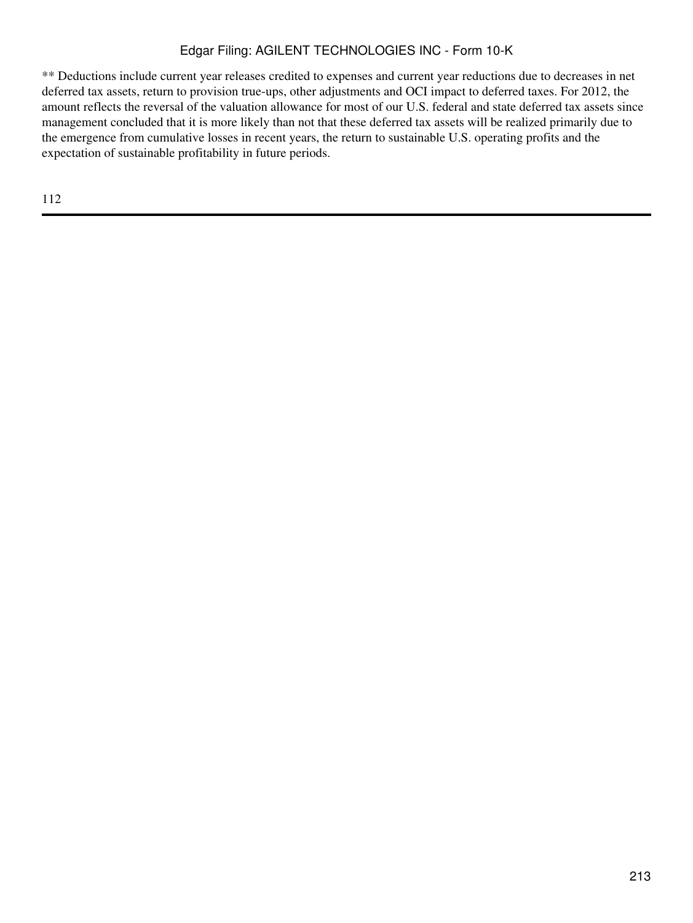\*\* Deductions include current year releases credited to expenses and current year reductions due to decreases in net deferred tax assets, return to provision true-ups, other adjustments and OCI impact to deferred taxes. For 2012, the amount reflects the reversal of the valuation allowance for most of our U.S. federal and state deferred tax assets since management concluded that it is more likely than not that these deferred tax assets will be realized primarily due to the emergence from cumulative losses in recent years, the return to sustainable U.S. operating profits and the expectation of sustainable profitability in future periods.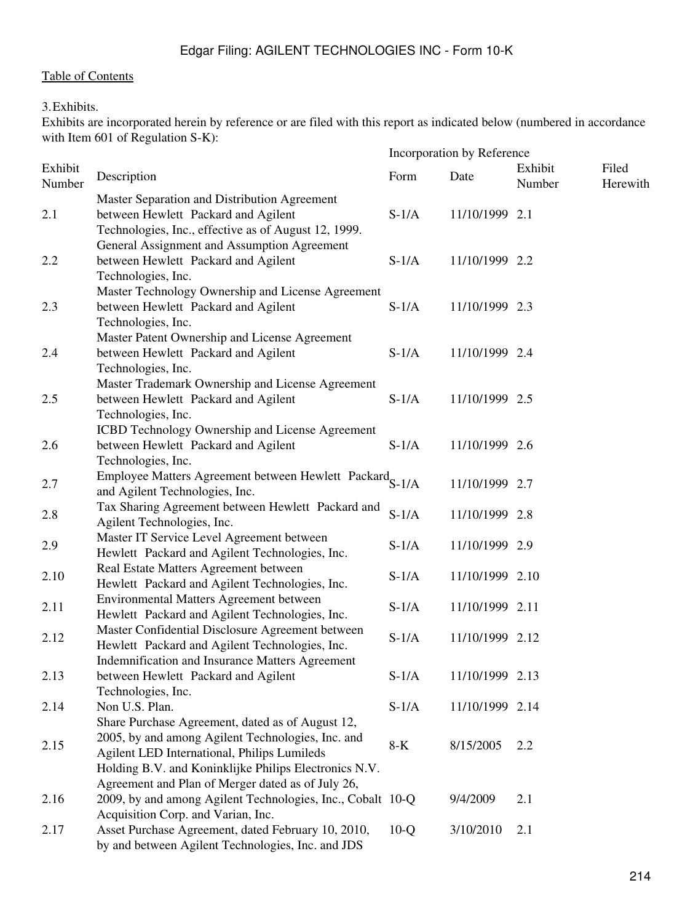## 3.Exhibits.

Exhibits are incorporated herein by reference or are filed with this report as indicated below (numbered in accordance with Item 601 of Regulation S-K):

|                   |                                                                                                                                                           | Incorporation by Reference |                 |                   |                   |  |
|-------------------|-----------------------------------------------------------------------------------------------------------------------------------------------------------|----------------------------|-----------------|-------------------|-------------------|--|
| Exhibit<br>Number | Description                                                                                                                                               | Form                       | Date            | Exhibit<br>Number | Filed<br>Herewith |  |
| 2.1               | Master Separation and Distribution Agreement<br>between Hewlett Packard and Agilent<br>Technologies, Inc., effective as of August 12, 1999.               | $S-1/A$                    | 11/10/1999 2.1  |                   |                   |  |
| 2.2               | General Assignment and Assumption Agreement<br>between Hewlett Packard and Agilent<br>Technologies, Inc.                                                  | $S-1/A$                    | 11/10/1999 2.2  |                   |                   |  |
| 2.3               | Master Technology Ownership and License Agreement<br>between Hewlett Packard and Agilent<br>Technologies, Inc.                                            | $S-1/A$                    | 11/10/1999 2.3  |                   |                   |  |
| 2.4               | Master Patent Ownership and License Agreement<br>between Hewlett Packard and Agilent<br>Technologies, Inc.                                                | $S-1/A$                    | 11/10/1999 2.4  |                   |                   |  |
| 2.5               | Master Trademark Ownership and License Agreement<br>between Hewlett Packard and Agilent<br>Technologies, Inc.                                             | $S-1/A$                    | 11/10/1999 2.5  |                   |                   |  |
| 2.6               | <b>ICBD Technology Ownership and License Agreement</b><br>between Hewlett Packard and Agilent<br>Technologies, Inc.                                       | $S-1/A$                    | 11/10/1999 2.6  |                   |                   |  |
| 2.7               | Employee Matters Agreement between Hewlett Packard S-1/A<br>and Agilent Technologies, Inc.                                                                |                            | 11/10/1999 2.7  |                   |                   |  |
| 2.8               | Tax Sharing Agreement between Hewlett Packard and<br>Agilent Technologies, Inc.                                                                           | $S-1/A$                    | 11/10/1999 2.8  |                   |                   |  |
| 2.9               | Master IT Service Level Agreement between<br>Hewlett Packard and Agilent Technologies, Inc.                                                               | $S-1/A$                    | 11/10/1999 2.9  |                   |                   |  |
| 2.10              | Real Estate Matters Agreement between<br>Hewlett Packard and Agilent Technologies, Inc.                                                                   | $S-1/A$                    | 11/10/1999 2.10 |                   |                   |  |
| 2.11              | Environmental Matters Agreement between<br>Hewlett Packard and Agilent Technologies, Inc.                                                                 | $S-1/A$                    | 11/10/1999 2.11 |                   |                   |  |
| 2.12              | Master Confidential Disclosure Agreement between<br>Hewlett Packard and Agilent Technologies, Inc.                                                        | $S-1/A$                    | 11/10/1999 2.12 |                   |                   |  |
| 2.13              | Indemnification and Insurance Matters Agreement<br>between Hewlett Packard and Agilent<br>Technologies, Inc.                                              | $S-1/A$                    | 11/10/1999 2.13 |                   |                   |  |
| 2.14              | Non U.S. Plan.<br>Share Purchase Agreement, dated as of August 12,                                                                                        | $S-1/A$                    | 11/10/1999 2.14 |                   |                   |  |
| 2.15              | 2005, by and among Agilent Technologies, Inc. and<br>Agilent LED International, Philips Lumileds<br>Holding B.V. and Koninklijke Philips Electronics N.V. | $8-K$                      | 8/15/2005       | 2.2               |                   |  |
| 2.16              | Agreement and Plan of Merger dated as of July 26,<br>2009, by and among Agilent Technologies, Inc., Cobalt 10-Q<br>Acquisition Corp. and Varian, Inc.     |                            | 9/4/2009        | 2.1               |                   |  |
| 2.17              | Asset Purchase Agreement, dated February 10, 2010,<br>by and between Agilent Technologies, Inc. and JDS                                                   | $10-Q$                     | 3/10/2010       | 2.1               |                   |  |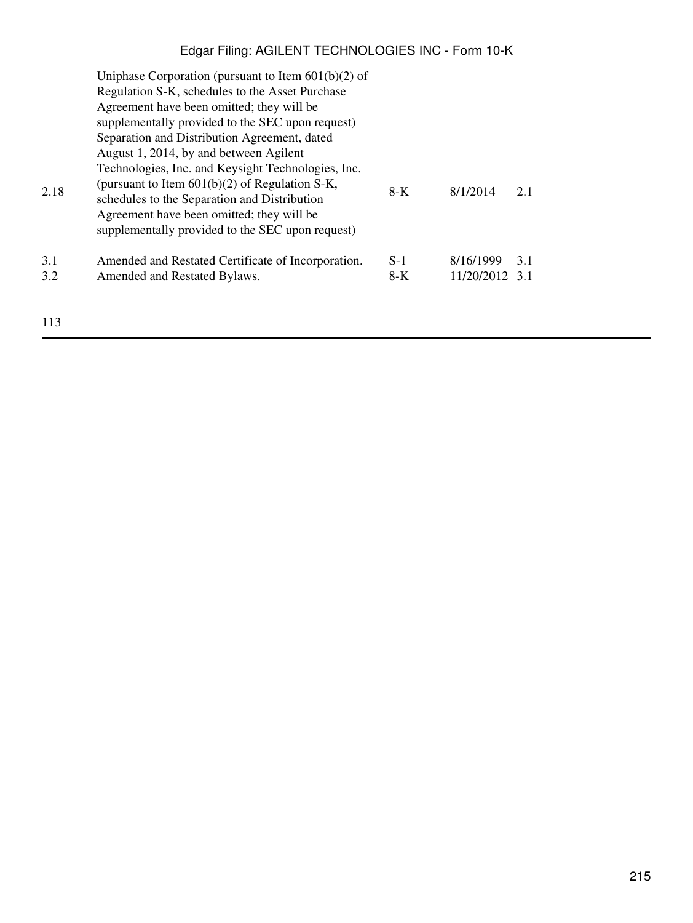| 2.18 | Uniphase Corporation (pursuant to Item $601(b)(2)$ of<br>Regulation S-K, schedules to the Asset Purchase<br>Agreement have been omitted; they will be<br>supplementally provided to the SEC upon request)<br>Separation and Distribution Agreement, dated<br>August 1, 2014, by and between Agilent<br>Technologies, Inc. and Keysight Technologies, Inc.<br>(pursuant to Item $601(b)(2)$ of Regulation S-K,<br>schedules to the Separation and Distribution<br>Agreement have been omitted; they will be<br>supplementally provided to the SEC upon request) | $8-K$ | 8/1/2014       | 2.1 |
|------|----------------------------------------------------------------------------------------------------------------------------------------------------------------------------------------------------------------------------------------------------------------------------------------------------------------------------------------------------------------------------------------------------------------------------------------------------------------------------------------------------------------------------------------------------------------|-------|----------------|-----|
| 3.1  | Amended and Restated Certificate of Incorporation.                                                                                                                                                                                                                                                                                                                                                                                                                                                                                                             | $S-1$ | 8/16/1999      | 3.1 |
| 3.2  | Amended and Restated Bylaws.                                                                                                                                                                                                                                                                                                                                                                                                                                                                                                                                   | $8-K$ | 11/20/2012 3.1 |     |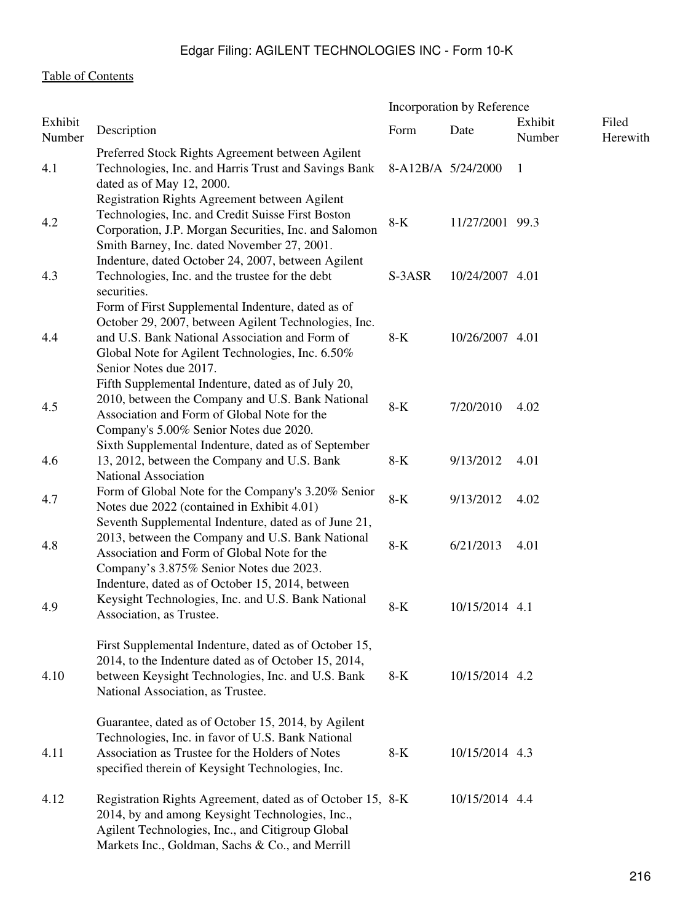## [Table of Contents](#page-2-0)

|                   |                                                                                                                                                                                                                                                          | Incorporation by Reference |                    |                   |                   |
|-------------------|----------------------------------------------------------------------------------------------------------------------------------------------------------------------------------------------------------------------------------------------------------|----------------------------|--------------------|-------------------|-------------------|
| Exhibit<br>Number | Description                                                                                                                                                                                                                                              | Form                       | Date               | Exhibit<br>Number | Filed<br>Herewith |
| 4.1               | Preferred Stock Rights Agreement between Agilent<br>Technologies, Inc. and Harris Trust and Savings Bank<br>dated as of May 12, 2000.                                                                                                                    |                            | 8-A12B/A 5/24/2000 | $\mathbf{1}$      |                   |
| 4.2               | Registration Rights Agreement between Agilent<br>Technologies, Inc. and Credit Suisse First Boston<br>Corporation, J.P. Morgan Securities, Inc. and Salomon<br>Smith Barney, Inc. dated November 27, 2001.                                               | $8-K$                      | 11/27/2001 99.3    |                   |                   |
| 4.3               | Indenture, dated October 24, 2007, between Agilent<br>Technologies, Inc. and the trustee for the debt                                                                                                                                                    | S-3ASR                     | 10/24/2007 4.01    |                   |                   |
| 4.4               | securities.<br>Form of First Supplemental Indenture, dated as of<br>October 29, 2007, between Agilent Technologies, Inc.<br>and U.S. Bank National Association and Form of<br>Global Note for Agilent Technologies, Inc. 6.50%<br>Senior Notes due 2017. | $8-K$                      | 10/26/2007 4.01    |                   |                   |
| 4.5               | Fifth Supplemental Indenture, dated as of July 20,<br>2010, between the Company and U.S. Bank National<br>Association and Form of Global Note for the<br>Company's 5.00% Senior Notes due 2020.                                                          | $8-K$                      | 7/20/2010          | 4.02              |                   |
| 4.6               | Sixth Supplemental Indenture, dated as of September<br>13, 2012, between the Company and U.S. Bank<br>National Association                                                                                                                               | $8-K$                      | 9/13/2012          | 4.01              |                   |
| 4.7               | Form of Global Note for the Company's 3.20% Senior<br>Notes due 2022 (contained in Exhibit 4.01)                                                                                                                                                         | $8-K$                      | 9/13/2012          | 4.02              |                   |
| 4.8               | Seventh Supplemental Indenture, dated as of June 21,<br>2013, between the Company and U.S. Bank National<br>Association and Form of Global Note for the<br>Company's 3.875% Senior Notes due 2023.                                                       | $8-K$                      | 6/21/2013          | 4.01              |                   |
| 4.9               | Indenture, dated as of October 15, 2014, between<br>Keysight Technologies, Inc. and U.S. Bank National<br>Association, as Trustee.                                                                                                                       | $8-K$                      | 10/15/2014 4.1     |                   |                   |
| 4.10              | First Supplemental Indenture, dated as of October 15,<br>2014, to the Indenture dated as of October 15, 2014,<br>between Keysight Technologies, Inc. and U.S. Bank<br>National Association, as Trustee.                                                  | $8-K$                      | 10/15/2014 4.2     |                   |                   |
| 4.11              | Guarantee, dated as of October 15, 2014, by Agilent<br>Technologies, Inc. in favor of U.S. Bank National<br>Association as Trustee for the Holders of Notes<br>specified therein of Keysight Technologies, Inc.                                          | $8-K$                      | 10/15/2014 4.3     |                   |                   |
| 4.12              | Registration Rights Agreement, dated as of October 15, 8-K<br>2014, by and among Keysight Technologies, Inc.,<br>Agilent Technologies, Inc., and Citigroup Global<br>Markets Inc., Goldman, Sachs & Co., and Merrill                                     |                            | 10/15/2014 4.4     |                   |                   |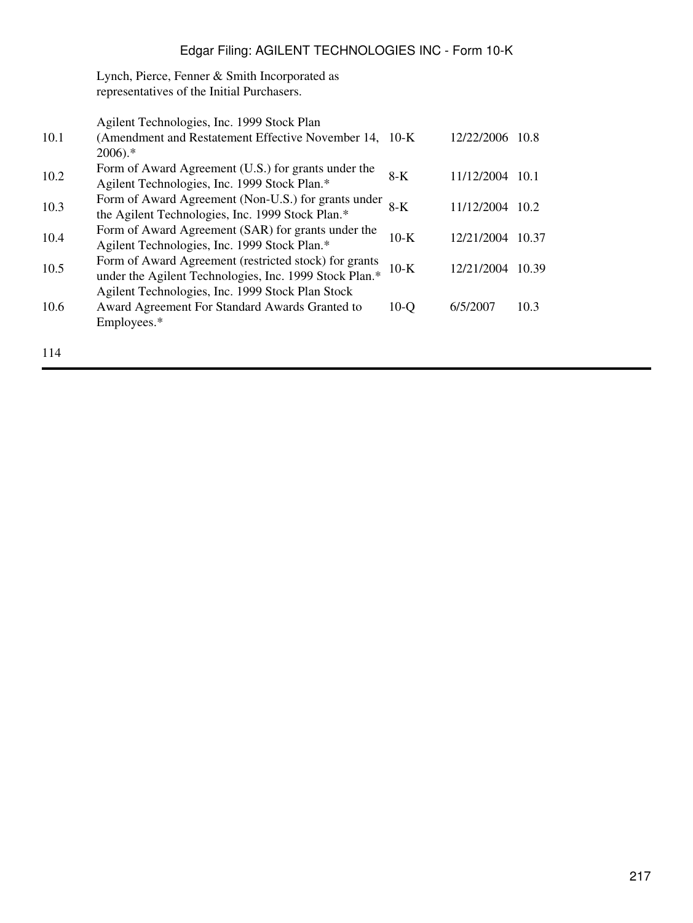Lynch, Pierce, Fenner & Smith Incorporated as representatives of the Initial Purchasers.

|      | Agilent Technologies, Inc. 1999 Stock Plan              |         |                 |       |
|------|---------------------------------------------------------|---------|-----------------|-------|
| 10.1 | (Amendment and Restatement Effective November 14, 10-K) |         | 12/22/2006 10.8 |       |
|      | $2006$ ).*                                              |         |                 |       |
| 10.2 | Form of Award Agreement (U.S.) for grants under the     | $8-K$   | 11/12/2004      | 10.1  |
|      | Agilent Technologies, Inc. 1999 Stock Plan.*            |         |                 |       |
| 10.3 | Form of Award Agreement (Non-U.S.) for grants under     | $8-K$   | 11/12/2004      | 10.2  |
|      | the Agilent Technologies, Inc. 1999 Stock Plan.*        |         |                 |       |
| 10.4 | Form of Award Agreement (SAR) for grants under the      | $10-K$  | 12/21/2004      | 10.37 |
|      | Agilent Technologies, Inc. 1999 Stock Plan.*            |         |                 |       |
| 10.5 | Form of Award Agreement (restricted stock) for grants   | $10-K$  | 12/21/2004      | 10.39 |
|      | under the Agilent Technologies, Inc. 1999 Stock Plan.*  |         |                 |       |
|      | Agilent Technologies, Inc. 1999 Stock Plan Stock        |         |                 |       |
| 10.6 | Award Agreement For Standard Awards Granted to          | $10$ -O | 6/5/2007        | 10.3  |
|      | Employees.*                                             |         |                 |       |
|      |                                                         |         |                 |       |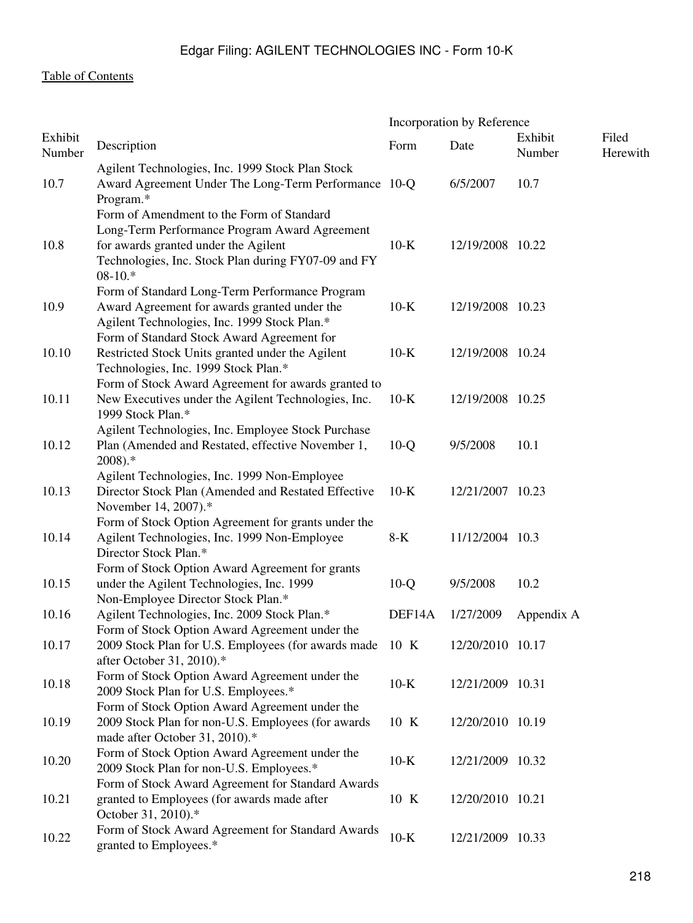## [Table of Contents](#page-2-0)

|                   |                                                                                                          |        | Incorporation by Reference |                   |                   |
|-------------------|----------------------------------------------------------------------------------------------------------|--------|----------------------------|-------------------|-------------------|
| Exhibit<br>Number | Description                                                                                              | Form   | Date                       | Exhibit<br>Number | Filed<br>Herewith |
| 10.7              | Agilent Technologies, Inc. 1999 Stock Plan Stock<br>Award Agreement Under The Long-Term Performance 10-Q |        | 6/5/2007                   | 10.7              |                   |
|                   | Program.*<br>Form of Amendment to the Form of Standard                                                   |        |                            |                   |                   |
|                   | Long-Term Performance Program Award Agreement                                                            |        |                            |                   |                   |
| 10.8              | for awards granted under the Agilent<br>Technologies, Inc. Stock Plan during FY07-09 and FY<br>$08-10.*$ | $10-K$ | 12/19/2008 10.22           |                   |                   |
|                   | Form of Standard Long-Term Performance Program                                                           |        |                            |                   |                   |
| 10.9              | Award Agreement for awards granted under the<br>Agilent Technologies, Inc. 1999 Stock Plan.*             | $10-K$ | 12/19/2008 10.23           |                   |                   |
| 10.10             | Form of Standard Stock Award Agreement for<br>Restricted Stock Units granted under the Agilent           | $10-K$ | 12/19/2008 10.24           |                   |                   |
|                   | Technologies, Inc. 1999 Stock Plan.*                                                                     |        |                            |                   |                   |
|                   | Form of Stock Award Agreement for awards granted to                                                      |        |                            |                   |                   |
| 10.11             | New Executives under the Agilent Technologies, Inc.<br>1999 Stock Plan.*                                 | $10-K$ | 12/19/2008 10.25           |                   |                   |
|                   | Agilent Technologies, Inc. Employee Stock Purchase                                                       |        |                            |                   |                   |
| 10.12             | Plan (Amended and Restated, effective November 1,<br>$2008$ ).*                                          | $10-Q$ | 9/5/2008                   | 10.1              |                   |
| 10.13             | Agilent Technologies, Inc. 1999 Non-Employee<br>Director Stock Plan (Amended and Restated Effective      | $10-K$ | 12/21/2007 10.23           |                   |                   |
|                   | November 14, 2007).*                                                                                     |        |                            |                   |                   |
|                   | Form of Stock Option Agreement for grants under the                                                      |        |                            |                   |                   |
| 10.14             | Agilent Technologies, Inc. 1999 Non-Employee<br>Director Stock Plan.*                                    | $8-K$  | 11/12/2004 10.3            |                   |                   |
| 10.15             | Form of Stock Option Award Agreement for grants<br>under the Agilent Technologies, Inc. 1999             | $10-Q$ | 9/5/2008                   | 10.2              |                   |
|                   | Non-Employee Director Stock Plan.*                                                                       |        |                            |                   |                   |
| 10.16             | Agilent Technologies, Inc. 2009 Stock Plan.*                                                             | DEF14A | 1/27/2009                  | Appendix A        |                   |
| 10.17             | Form of Stock Option Award Agreement under the<br>2009 Stock Plan for U.S. Employees (for awards made    | 10 K   | 12/20/2010 10.17           |                   |                   |
|                   | after October 31, 2010).*                                                                                |        |                            |                   |                   |
| 10.18             | Form of Stock Option Award Agreement under the<br>2009 Stock Plan for U.S. Employees.*                   | $10-K$ | 12/21/2009 10.31           |                   |                   |
|                   | Form of Stock Option Award Agreement under the                                                           |        |                            |                   |                   |
| 10.19             | 2009 Stock Plan for non-U.S. Employees (for awards<br>made after October 31, 2010).*                     | 10 K   | 12/20/2010 10.19           |                   |                   |
| 10.20             | Form of Stock Option Award Agreement under the<br>2009 Stock Plan for non-U.S. Employees.*               | $10-K$ | 12/21/2009 10.32           |                   |                   |
|                   | Form of Stock Award Agreement for Standard Awards                                                        |        |                            |                   |                   |
| 10.21             | granted to Employees (for awards made after<br>October 31, 2010).*                                       | 10 K   | 12/20/2010 10.21           |                   |                   |
| 10.22             | Form of Stock Award Agreement for Standard Awards<br>granted to Employees.*                              | $10-K$ | 12/21/2009 10.33           |                   |                   |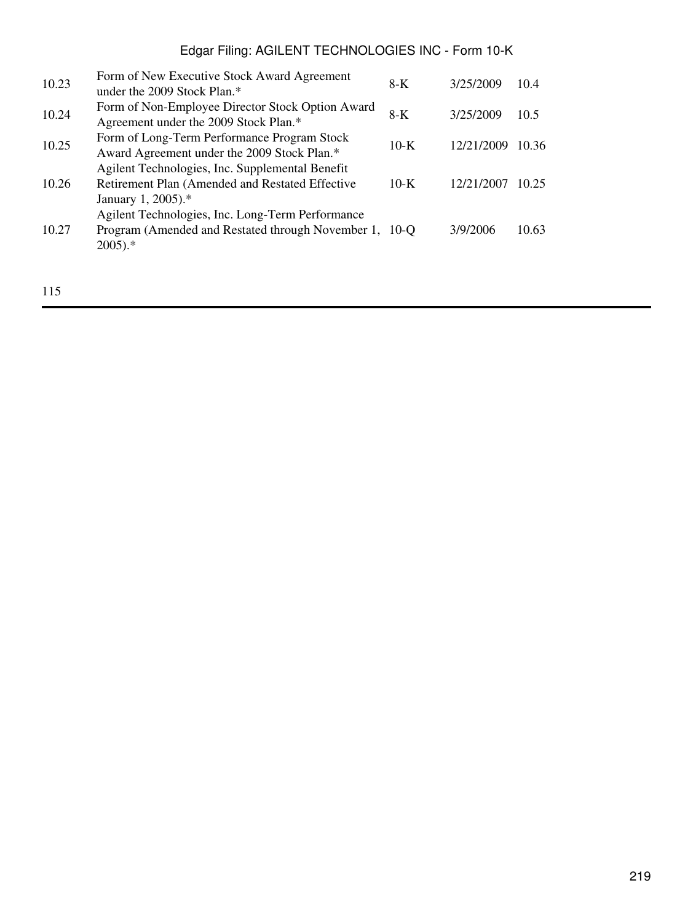| 10.23 | Form of New Executive Stock Award Agreement<br>under the 2009 Stock Plan.*                                                | $8-K$  | 3/25/2009  | 10.4  |
|-------|---------------------------------------------------------------------------------------------------------------------------|--------|------------|-------|
| 10.24 | Form of Non-Employee Director Stock Option Award<br>Agreement under the 2009 Stock Plan.*                                 | $8-K$  | 3/25/2009  | 10.5  |
| 10.25 | Form of Long-Term Performance Program Stock<br>Award Agreement under the 2009 Stock Plan.*                                | $10-K$ | 12/21/2009 | 10.36 |
| 10.26 | Agilent Technologies, Inc. Supplemental Benefit<br>Retirement Plan (Amended and Restated Effective<br>January 1, 2005).*  | $10-K$ | 12/21/2007 | 10.25 |
| 10.27 | Agilent Technologies, Inc. Long-Term Performance<br>Program (Amended and Restated through November 1, 10-Q)<br>$2005$ ).* |        | 3/9/2006   | 10.63 |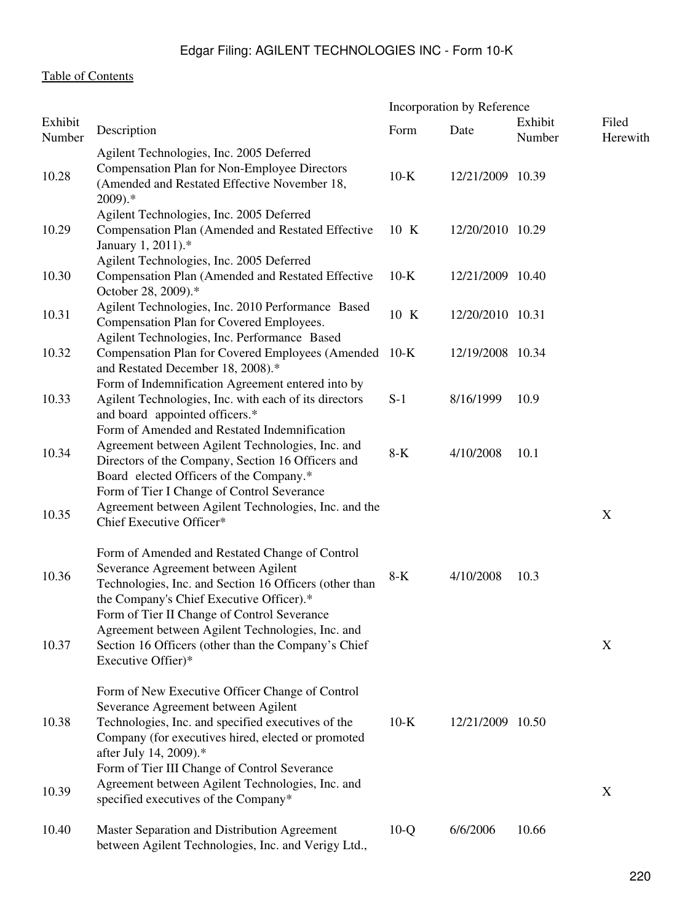## [Table of Contents](#page-2-0)

|                   |                                                                                                                                                                                                                                                                              |        | Incorporation by Reference |                   |                   |  |
|-------------------|------------------------------------------------------------------------------------------------------------------------------------------------------------------------------------------------------------------------------------------------------------------------------|--------|----------------------------|-------------------|-------------------|--|
| Exhibit<br>Number | Description                                                                                                                                                                                                                                                                  | Form   | Date                       | Exhibit<br>Number | Filed<br>Herewith |  |
| 10.28             | Agilent Technologies, Inc. 2005 Deferred<br>Compensation Plan for Non-Employee Directors<br>(Amended and Restated Effective November 18,<br>$2009$ ).*                                                                                                                       | $10-K$ | 12/21/2009 10.39           |                   |                   |  |
| 10.29             | Agilent Technologies, Inc. 2005 Deferred<br>Compensation Plan (Amended and Restated Effective<br>January 1, 2011).*                                                                                                                                                          | 10 K   | 12/20/2010 10.29           |                   |                   |  |
| 10.30             | Agilent Technologies, Inc. 2005 Deferred<br>Compensation Plan (Amended and Restated Effective<br>October 28, 2009).*                                                                                                                                                         | $10-K$ | 12/21/2009 10.40           |                   |                   |  |
| 10.31             | Agilent Technologies, Inc. 2010 Performance Based<br>Compensation Plan for Covered Employees.<br>Agilent Technologies, Inc. Performance Based                                                                                                                                | 10 K   | 12/20/2010 10.31           |                   |                   |  |
| 10.32             | Compensation Plan for Covered Employees (Amended 10-K)<br>and Restated December 18, 2008).*                                                                                                                                                                                  |        | 12/19/2008 10.34           |                   |                   |  |
| 10.33             | Form of Indemnification Agreement entered into by<br>Agilent Technologies, Inc. with each of its directors<br>and board appointed officers.*                                                                                                                                 | $S-1$  | 8/16/1999                  | 10.9              |                   |  |
| 10.34             | Form of Amended and Restated Indemnification<br>Agreement between Agilent Technologies, Inc. and<br>Directors of the Company, Section 16 Officers and<br>Board elected Officers of the Company.*                                                                             | $8-K$  | 4/10/2008                  | 10.1              |                   |  |
| 10.35             | Form of Tier I Change of Control Severance<br>Agreement between Agilent Technologies, Inc. and the<br>Chief Executive Officer*                                                                                                                                               |        |                            |                   | X                 |  |
| 10.36             | Form of Amended and Restated Change of Control<br>Severance Agreement between Agilent<br>Technologies, Inc. and Section 16 Officers (other than<br>the Company's Chief Executive Officer).*                                                                                  | $8-K$  | 4/10/2008                  | 10.3              |                   |  |
| 10.37             | Form of Tier II Change of Control Severance<br>Agreement between Agilent Technologies, Inc. and<br>Section 16 Officers (other than the Company's Chief<br>Executive Offier)*                                                                                                 |        |                            |                   | X                 |  |
| 10.38             | Form of New Executive Officer Change of Control<br>Severance Agreement between Agilent<br>Technologies, Inc. and specified executives of the<br>Company (for executives hired, elected or promoted<br>after July 14, 2009).*<br>Form of Tier III Change of Control Severance | $10-K$ | 12/21/2009 10.50           |                   |                   |  |
| 10.39             | Agreement between Agilent Technologies, Inc. and<br>specified executives of the Company*                                                                                                                                                                                     |        |                            |                   | X                 |  |
| 10.40             | Master Separation and Distribution Agreement<br>between Agilent Technologies, Inc. and Verigy Ltd.,                                                                                                                                                                          | $10-Q$ | 6/6/2006                   | 10.66             |                   |  |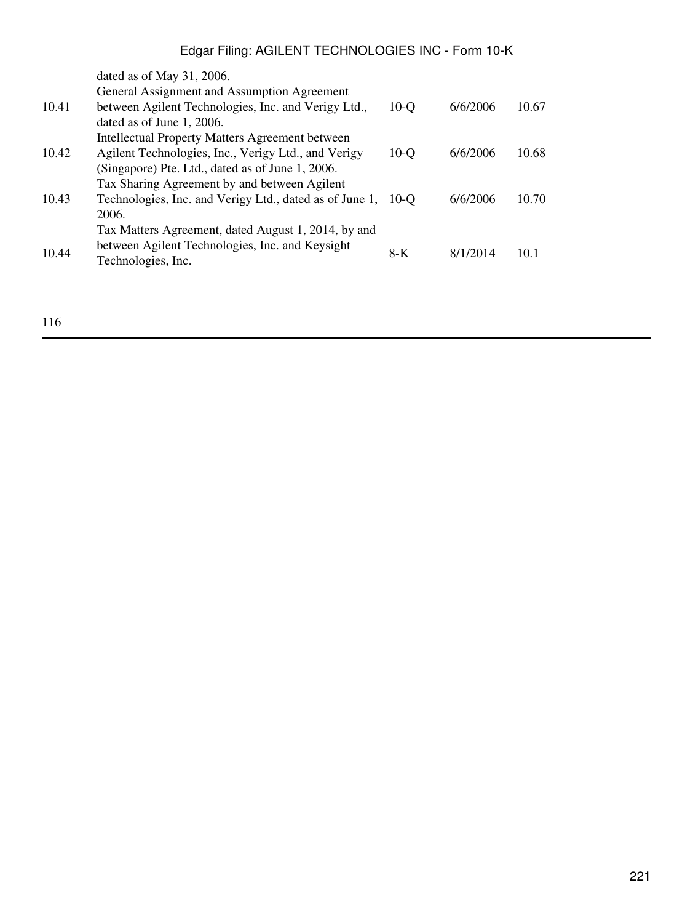|       | dated as of May 31, 2006.                               |          |          |       |
|-------|---------------------------------------------------------|----------|----------|-------|
|       | General Assignment and Assumption Agreement             |          |          |       |
| 10.41 | between Agilent Technologies, Inc. and Verigy Ltd.,     | $10-Q$   | 6/6/2006 | 10.67 |
|       | dated as of June 1, 2006.                               |          |          |       |
|       | <b>Intellectual Property Matters Agreement between</b>  |          |          |       |
| 10.42 | Agilent Technologies, Inc., Verigy Ltd., and Verigy     | $10$ -O  | 6/6/2006 | 10.68 |
|       | (Singapore) Pte. Ltd., dated as of June 1, 2006.        |          |          |       |
|       | Tax Sharing Agreement by and between Agilent            |          |          |       |
| 10.43 | Technologies, Inc. and Verigy Ltd., dated as of June 1, | $10 - O$ | 6/6/2006 | 10.70 |
|       | 2006.                                                   |          |          |       |
|       | Tax Matters Agreement, dated August 1, 2014, by and     |          |          |       |
|       | between Agilent Technologies, Inc. and Keysight         | $8-K$    | 8/1/2014 |       |
| 10.44 | Technologies, Inc.                                      |          |          | 10.1  |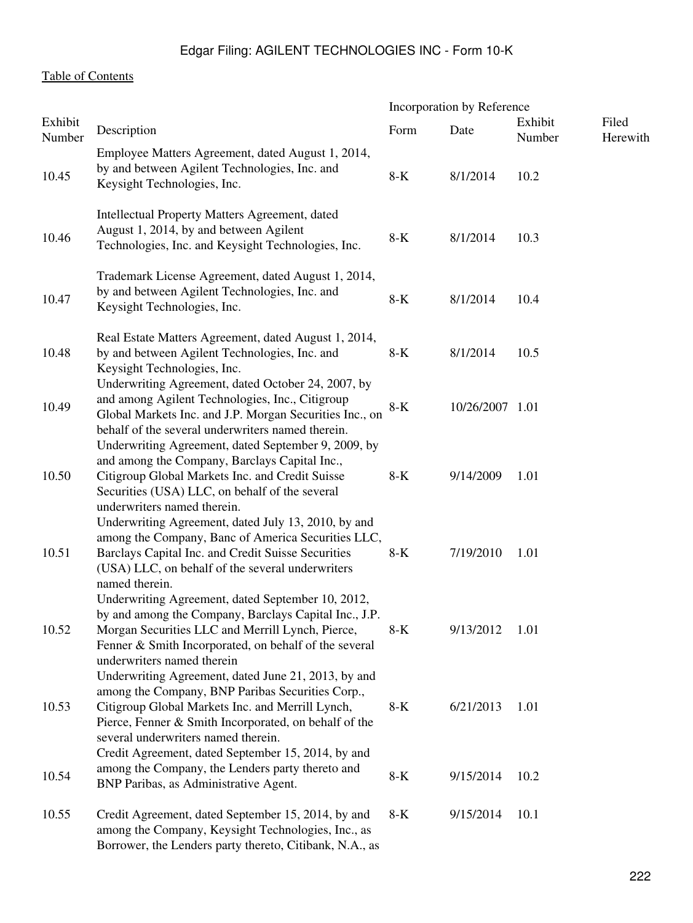## [Table of Contents](#page-2-0)

|                   |                                                                                                                                                                                                                                                             |       | Incorporation by Reference |                   |                   |  |
|-------------------|-------------------------------------------------------------------------------------------------------------------------------------------------------------------------------------------------------------------------------------------------------------|-------|----------------------------|-------------------|-------------------|--|
| Exhibit<br>Number | Description                                                                                                                                                                                                                                                 | Form  | Date                       | Exhibit<br>Number | Filed<br>Herewith |  |
| 10.45             | Employee Matters Agreement, dated August 1, 2014,<br>by and between Agilent Technologies, Inc. and<br>Keysight Technologies, Inc.                                                                                                                           | $8-K$ | 8/1/2014                   | 10.2              |                   |  |
| 10.46             | Intellectual Property Matters Agreement, dated<br>August 1, 2014, by and between Agilent<br>Technologies, Inc. and Keysight Technologies, Inc.                                                                                                              | $8-K$ | 8/1/2014                   | 10.3              |                   |  |
| 10.47             | Trademark License Agreement, dated August 1, 2014,<br>by and between Agilent Technologies, Inc. and<br>Keysight Technologies, Inc.                                                                                                                          | $8-K$ | 8/1/2014                   | 10.4              |                   |  |
| 10.48             | Real Estate Matters Agreement, dated August 1, 2014,<br>by and between Agilent Technologies, Inc. and<br>Keysight Technologies, Inc.                                                                                                                        | $8-K$ | 8/1/2014                   | 10.5              |                   |  |
| 10.49             | Underwriting Agreement, dated October 24, 2007, by<br>and among Agilent Technologies, Inc., Citigroup<br>Global Markets Inc. and J.P. Morgan Securities Inc., on<br>behalf of the several underwriters named therein.                                       | $8-K$ | 10/26/2007 1.01            |                   |                   |  |
| 10.50             | Underwriting Agreement, dated September 9, 2009, by<br>and among the Company, Barclays Capital Inc.,<br>Citigroup Global Markets Inc. and Credit Suisse<br>Securities (USA) LLC, on behalf of the several<br>underwriters named therein.                    | $8-K$ | 9/14/2009                  | 1.01              |                   |  |
| 10.51             | Underwriting Agreement, dated July 13, 2010, by and<br>among the Company, Banc of America Securities LLC,<br>Barclays Capital Inc. and Credit Suisse Securities<br>(USA) LLC, on behalf of the several underwriters<br>named therein.                       | $8-K$ | 7/19/2010                  | 1.01              |                   |  |
| 10.52             | Underwriting Agreement, dated September 10, 2012,<br>by and among the Company, Barclays Capital Inc., J.P.<br>Morgan Securities LLC and Merrill Lynch, Pierce,<br>Fenner & Smith Incorporated, on behalf of the several<br>underwriters named therein       | $8-K$ | 9/13/2012                  | 1.01              |                   |  |
| 10.53             | Underwriting Agreement, dated June 21, 2013, by and<br>among the Company, BNP Paribas Securities Corp.,<br>Citigroup Global Markets Inc. and Merrill Lynch,<br>Pierce, Fenner & Smith Incorporated, on behalf of the<br>several underwriters named therein. | $8-K$ | 6/21/2013                  | 1.01              |                   |  |
| 10.54             | Credit Agreement, dated September 15, 2014, by and<br>among the Company, the Lenders party thereto and<br>BNP Paribas, as Administrative Agent.                                                                                                             | $8-K$ | 9/15/2014                  | 10.2              |                   |  |
| 10.55             | Credit Agreement, dated September 15, 2014, by and<br>among the Company, Keysight Technologies, Inc., as<br>Borrower, the Lenders party thereto, Citibank, N.A., as                                                                                         | $8-K$ | 9/15/2014                  | 10.1              |                   |  |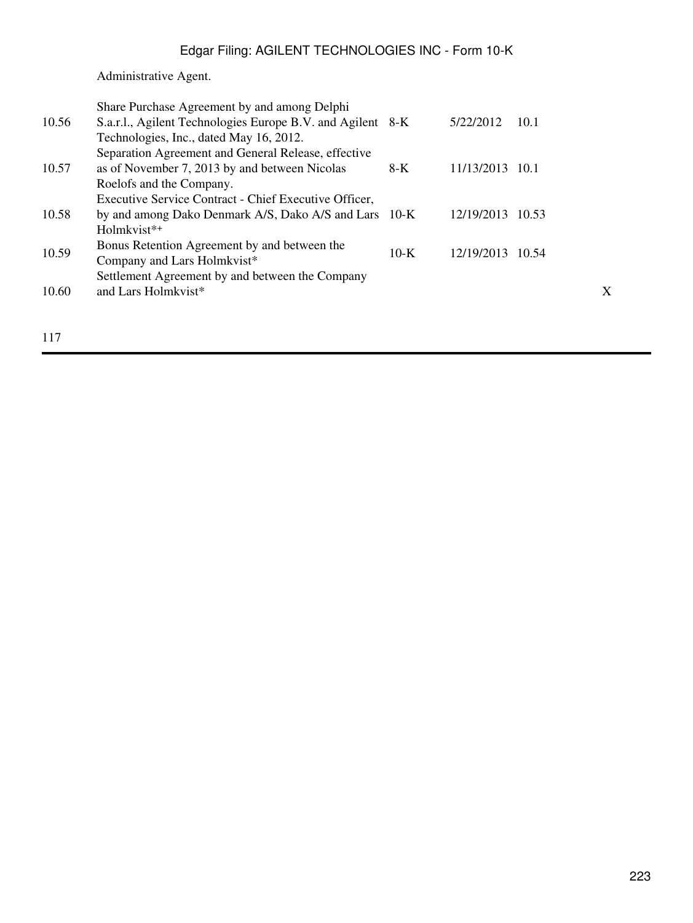Administrative Agent.

| 10.56 | Share Purchase Agreement by and among Delphi<br>S.a.r.l., Agilent Technologies Europe B.V. and Agilent 8-K<br>Technologies, Inc., dated May 16, 2012. |        | 5/22/2012        | 10.1 |
|-------|-------------------------------------------------------------------------------------------------------------------------------------------------------|--------|------------------|------|
| 10.57 | Separation Agreement and General Release, effective<br>as of November 7, 2013 by and between Nicolas<br>Roelofs and the Company.                      | 8-K    | 11/13/2013 10.1  |      |
| 10.58 | Executive Service Contract - Chief Executive Officer,<br>by and among Dako Denmark A/S, Dako A/S and Lars 10-K<br>Holmkvist*+                         |        | 12/19/2013 10.53 |      |
| 10.59 | Bonus Retention Agreement by and between the<br>Company and Lars Holmkvist*                                                                           | $10-K$ | 12/19/2013 10.54 |      |
| 10.60 | Settlement Agreement by and between the Company<br>and Lars Holmkvist*                                                                                |        |                  | X    |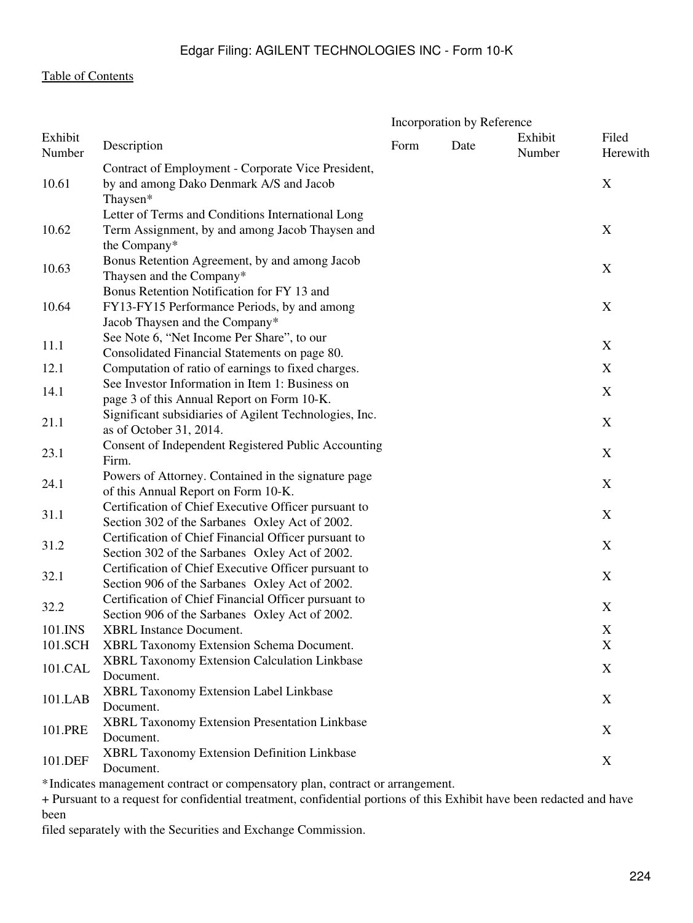#### [Table of Contents](#page-2-0)

|                   |                                                                                                                             |      | Incorporation by Reference |                   |                   |
|-------------------|-----------------------------------------------------------------------------------------------------------------------------|------|----------------------------|-------------------|-------------------|
| Exhibit<br>Number | Description                                                                                                                 | Form | Date                       | Exhibit<br>Number | Filed<br>Herewith |
| 10.61             | Contract of Employment - Corporate Vice President,<br>by and among Dako Denmark A/S and Jacob                               |      |                            |                   | X                 |
| 10.62             | Thaysen*<br>Letter of Terms and Conditions International Long<br>Term Assignment, by and among Jacob Thaysen and            |      |                            |                   | X                 |
| 10.63             | the Company*<br>Bonus Retention Agreement, by and among Jacob<br>Thaysen and the Company*                                   |      |                            |                   | X                 |
| 10.64             | Bonus Retention Notification for FY 13 and<br>FY13-FY15 Performance Periods, by and among<br>Jacob Thaysen and the Company* |      |                            |                   | X                 |
| 11.1              | See Note 6, "Net Income Per Share", to our<br>Consolidated Financial Statements on page 80.                                 |      |                            |                   | $\mathbf X$       |
| 12.1              | Computation of ratio of earnings to fixed charges.                                                                          |      |                            |                   | X                 |
| 14.1              | See Investor Information in Item 1: Business on<br>page 3 of this Annual Report on Form 10-K.                               |      |                            |                   | X                 |
| 21.1              | Significant subsidiaries of Agilent Technologies, Inc.<br>as of October 31, 2014.                                           |      |                            |                   | X                 |
| 23.1              | Consent of Independent Registered Public Accounting<br>Firm.                                                                |      |                            |                   | $\mathbf X$       |
| 24.1              | Powers of Attorney. Contained in the signature page<br>of this Annual Report on Form 10-K.                                  |      |                            |                   | X                 |
| 31.1              | Certification of Chief Executive Officer pursuant to<br>Section 302 of the Sarbanes Oxley Act of 2002.                      |      |                            |                   | $\mathbf X$       |
| 31.2              | Certification of Chief Financial Officer pursuant to<br>Section 302 of the Sarbanes Oxley Act of 2002.                      |      |                            |                   | X                 |
| 32.1              | Certification of Chief Executive Officer pursuant to<br>Section 906 of the Sarbanes Oxley Act of 2002.                      |      |                            |                   | X                 |
| 32.2              | Certification of Chief Financial Officer pursuant to<br>Section 906 of the Sarbanes Oxley Act of 2002.                      |      |                            |                   | X                 |
| 101.INS           | <b>XBRL</b> Instance Document.                                                                                              |      |                            |                   | X                 |
| 101.SCH           | XBRL Taxonomy Extension Schema Document.<br>XBRL Taxonomy Extension Calculation Linkbase                                    |      |                            |                   | X                 |
| 101.CAL           | Document.                                                                                                                   |      |                            |                   | X                 |
| 101.LAB           | XBRL Taxonomy Extension Label Linkbase<br>Document.                                                                         |      |                            |                   | X                 |
| 101.PRE           | XBRL Taxonomy Extension Presentation Linkbase<br>Document.                                                                  |      |                            |                   | X                 |
| 101.DEF           | XBRL Taxonomy Extension Definition Linkbase<br>Document.                                                                    |      |                            |                   | X                 |
|                   | *Indicates management contract or compensatory plan, contract or arrangement                                                |      |                            |                   |                   |

\*Indicates management contract or compensatory plan, contract or arrangement.

+ Pursuant to a request for confidential treatment, confidential portions of this Exhibit have been redacted and have been

filed separately with the Securities and Exchange Commission.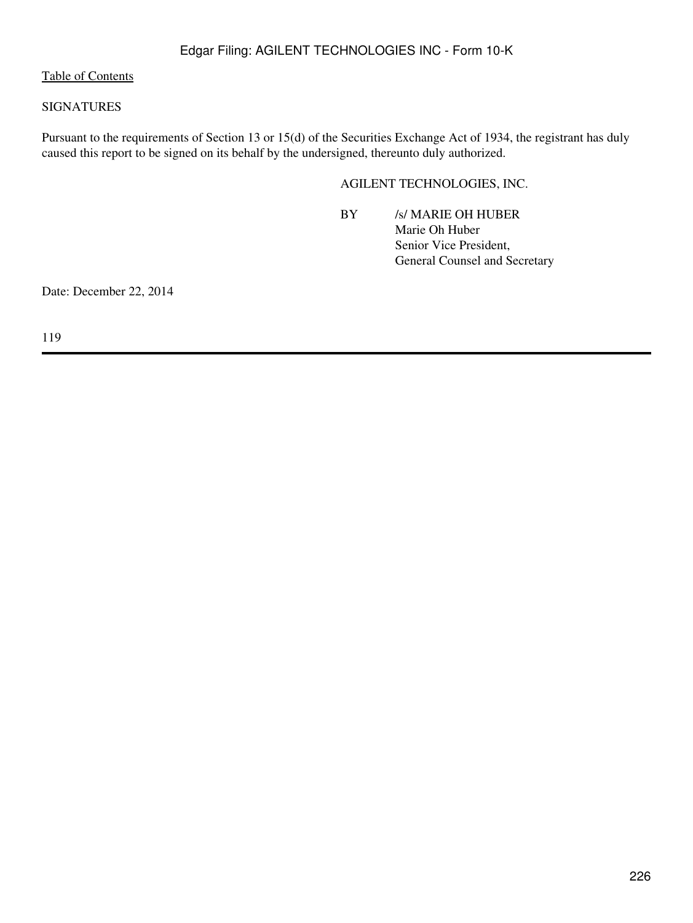[Table of Contents](#page-2-0) 

### SIGNATURES

Pursuant to the requirements of Section 13 or 15(d) of the Securities Exchange Act of 1934, the registrant has duly caused this report to be signed on its behalf by the undersigned, thereunto duly authorized.

### AGILENT TECHNOLOGIES, INC.

BY /s/ MARIE OH HUBER Marie Oh Huber Senior Vice President, General Counsel and Secretary

Date: December 22, 2014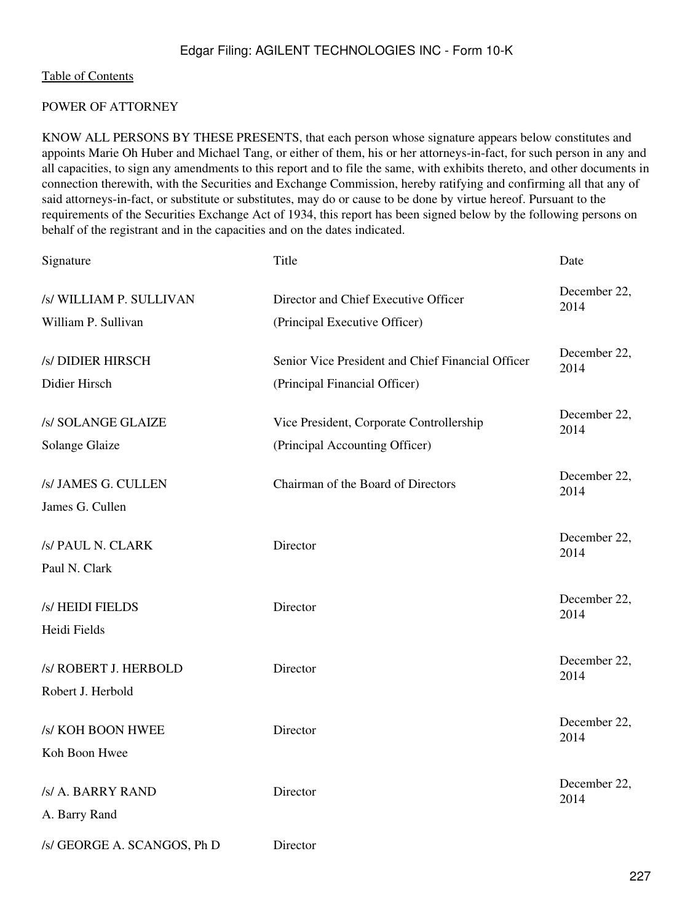### [Table of Contents](#page-2-0)

### POWER OF ATTORNEY

KNOW ALL PERSONS BY THESE PRESENTS, that each person whose signature appears below constitutes and appoints Marie Oh Huber and Michael Tang, or either of them, his or her attorneys-in-fact, for such person in any and all capacities, to sign any amendments to this report and to file the same, with exhibits thereto, and other documents in connection therewith, with the Securities and Exchange Commission, hereby ratifying and confirming all that any of said attorneys-in-fact, or substitute or substitutes, may do or cause to be done by virtue hereof. Pursuant to the requirements of the Securities Exchange Act of 1934, this report has been signed below by the following persons on behalf of the registrant and in the capacities and on the dates indicated.

| Signature                                      | Title                                                                              | Date                 |
|------------------------------------------------|------------------------------------------------------------------------------------|----------------------|
| /s/ WILLIAM P. SULLIVAN<br>William P. Sullivan | Director and Chief Executive Officer<br>(Principal Executive Officer)              | December 22,<br>2014 |
| /s/ DIDIER HIRSCH<br>Didier Hirsch             | Senior Vice President and Chief Financial Officer<br>(Principal Financial Officer) | December 22,<br>2014 |
| /s/ SOLANGE GLAIZE<br>Solange Glaize           | Vice President, Corporate Controllership<br>(Principal Accounting Officer)         | December 22,<br>2014 |
| /s/ JAMES G. CULLEN<br>James G. Cullen         | Chairman of the Board of Directors                                                 | December 22,<br>2014 |
| /s/ PAUL N. CLARK<br>Paul N. Clark             | Director                                                                           | December 22,<br>2014 |
| /s/ HEIDI FIELDS<br>Heidi Fields               | Director                                                                           | December 22,<br>2014 |
| /s/ ROBERT J. HERBOLD<br>Robert J. Herbold     | Director                                                                           | December 22,<br>2014 |
| /s/ KOH BOON HWEE<br>Koh Boon Hwee             | Director                                                                           | December 22,<br>2014 |
| /s/ A. BARRY RAND<br>A. Barry Rand             | Director                                                                           | December 22,<br>2014 |
| /s/ GEORGE A. SCANGOS, Ph D                    | Director                                                                           |                      |